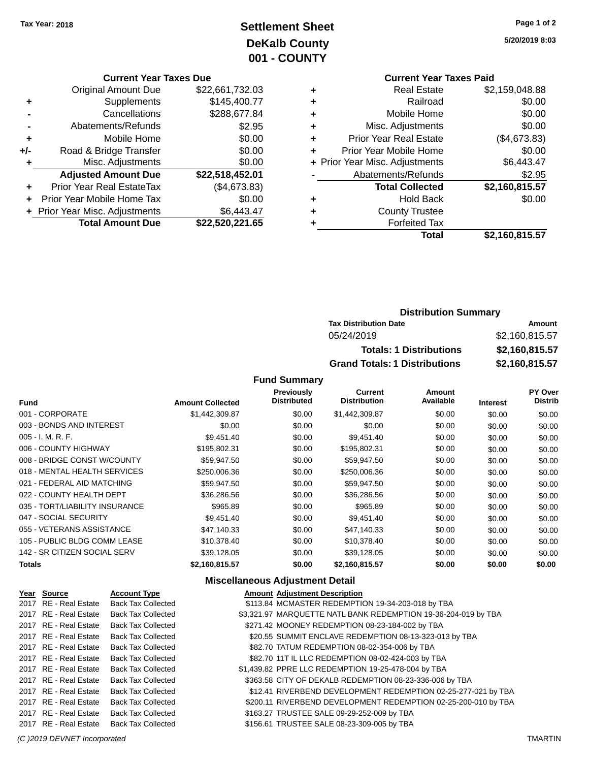## **Settlement Sheet Tax Year: 2018 Page 1 of 2 DeKalb County 001 - COUNTY**

**5/20/2019 8:03**

#### **Current Year Taxes Due**

|     | <b>Original Amount Due</b>       | \$22,661,732.03 |
|-----|----------------------------------|-----------------|
| ٠   | Supplements                      | \$145,400.77    |
|     | Cancellations                    | \$288,677.84    |
|     | Abatements/Refunds               | \$2.95          |
| ٠   | Mobile Home                      | \$0.00          |
| +/- | Road & Bridge Transfer           | \$0.00          |
| ٠   | Misc. Adjustments                | \$0.00          |
|     | <b>Adjusted Amount Due</b>       | \$22,518,452.01 |
| ÷   | <b>Prior Year Real EstateTax</b> | (\$4,673.83)    |
|     | Prior Year Mobile Home Tax       | \$0.00          |
|     | + Prior Year Misc. Adjustments   | \$6,443.47      |
|     | <b>Total Amount Due</b>          | \$22,520,221.65 |

### **Current Year Taxes Paid +** Real Estate \$2,159,048.88 **+** Railroad \$0.00 **+** Mobile Home \$0.00 **+** Misc. Adjustments \$0.00 **+** Prior Year Real Estate (\$4,673.83) **+** Prior Year Mobile Home \$0.00 **+** Prior Year Misc. Adjustments \$6,443.47 Abatements/Refunds \$2.95 **Total Collected \$2,160,815.57 +** Hold Back \$0.00 **+** County Trustee **+** Forfeited Tax **Total \$2,160,815.57**

### **Distribution Summary Tax Distribution Date Amount** 05/24/2019 \$2,160,815.57 **Totals: 1 Distributions \$2,160,815.57 Grand Totals: 1 Distributions \$2,160,815.57**

#### **Fund Summary**

| <b>Fund</b>                    | <b>Amount Collected</b> | <b>Previously</b><br><b>Distributed</b> | Current<br><b>Distribution</b> | <b>Amount</b><br>Available | <b>Interest</b> | PY Over<br><b>Distrib</b> |
|--------------------------------|-------------------------|-----------------------------------------|--------------------------------|----------------------------|-----------------|---------------------------|
| 001 - CORPORATE                | \$1,442,309.87          | \$0.00                                  | \$1,442,309.87                 | \$0.00                     | \$0.00          | \$0.00                    |
| 003 - BONDS AND INTEREST       | \$0.00                  | \$0.00                                  | \$0.00                         | \$0.00                     | \$0.00          | \$0.00                    |
| 005 - I. M. R. F.              | \$9,451.40              | \$0.00                                  | \$9,451.40                     | \$0.00                     | \$0.00          | \$0.00                    |
| 006 - COUNTY HIGHWAY           | \$195,802.31            | \$0.00                                  | \$195,802.31                   | \$0.00                     | \$0.00          | \$0.00                    |
| 008 - BRIDGE CONST W/COUNTY    | \$59,947.50             | \$0.00                                  | \$59,947.50                    | \$0.00                     | \$0.00          | \$0.00                    |
| 018 - MENTAL HEALTH SERVICES   | \$250,006.36            | \$0.00                                  | \$250,006.36                   | \$0.00                     | \$0.00          | \$0.00                    |
| 021 - FEDERAL AID MATCHING     | \$59,947.50             | \$0.00                                  | \$59,947.50                    | \$0.00                     | \$0.00          | \$0.00                    |
| 022 - COUNTY HEALTH DEPT       | \$36,286.56             | \$0.00                                  | \$36,286.56                    | \$0.00                     | \$0.00          | \$0.00                    |
| 035 - TORT/LIABILITY INSURANCE | \$965.89                | \$0.00                                  | \$965.89                       | \$0.00                     | \$0.00          | \$0.00                    |
| 047 - SOCIAL SECURITY          | \$9,451.40              | \$0.00                                  | \$9,451.40                     | \$0.00                     | \$0.00          | \$0.00                    |
| 055 - VETERANS ASSISTANCE      | \$47.140.33             | \$0.00                                  | \$47,140.33                    | \$0.00                     | \$0.00          | \$0.00                    |
| 105 - PUBLIC BLDG COMM LEASE   | \$10,378.40             | \$0.00                                  | \$10,378.40                    | \$0.00                     | \$0.00          | \$0.00                    |
| 142 - SR CITIZEN SOCIAL SERV   | \$39,128.05             | \$0.00                                  | \$39,128.05                    | \$0.00                     | \$0.00          | \$0.00                    |
| <b>Totals</b>                  | \$2,160,815.57          | \$0.00                                  | \$2,160,815.57                 | \$0.00                     | \$0.00          | \$0.00                    |

#### **Miscellaneous Adjustment Detail**

| <u>Year Source</u>    | <b>Account Type</b>       | <b>Amount Adjustment Description</b>                           |
|-----------------------|---------------------------|----------------------------------------------------------------|
| 2017 RE - Real Estate | <b>Back Tax Collected</b> | \$113.84 MCMASTER REDEMPTION 19-34-203-018 by TBA              |
| 2017 RE - Real Estate | <b>Back Tax Collected</b> | \$3,321.97 MARQUETTE NATL BANK REDEMPTION 19-36-204-019 by TBA |
| 2017 RE - Real Estate | <b>Back Tax Collected</b> | \$271.42 MOONEY REDEMPTION 08-23-184-002 by TBA                |
| 2017 RE - Real Estate | <b>Back Tax Collected</b> | \$20.55 SUMMIT ENCLAVE REDEMPTION 08-13-323-013 by TBA         |
| 2017 RE - Real Estate | <b>Back Tax Collected</b> | \$82.70 TATUM REDEMPTION 08-02-354-006 by TBA                  |
| 2017 RE - Real Estate | <b>Back Tax Collected</b> | \$82.70 11T IL LLC REDEMPTION 08-02-424-003 by TBA             |
| 2017 RE - Real Estate | <b>Back Tax Collected</b> | \$1,439.82 PPRE LLC REDEMPTION 19-25-478-004 by TBA            |
| 2017 RE - Real Estate | <b>Back Tax Collected</b> | \$363.58 CITY OF DEKALB REDEMPTION 08-23-336-006 by TBA        |
| 2017 RE - Real Estate | <b>Back Tax Collected</b> | \$12.41 RIVERBEND DEVELOPMENT REDEMPTION 02-25-277-021 by TBA  |
| 2017 RE - Real Estate | <b>Back Tax Collected</b> | \$200.11 RIVERBEND DEVELOPMENT REDEMPTION 02-25-200-010 by TBA |
| 2017 RE - Real Estate | <b>Back Tax Collected</b> | \$163.27 TRUSTEE SALE 09-29-252-009 by TBA                     |
| 2017 RE - Real Estate | <b>Back Tax Collected</b> | \$156.61 TRUSTEE SALE 08-23-309-005 by TBA                     |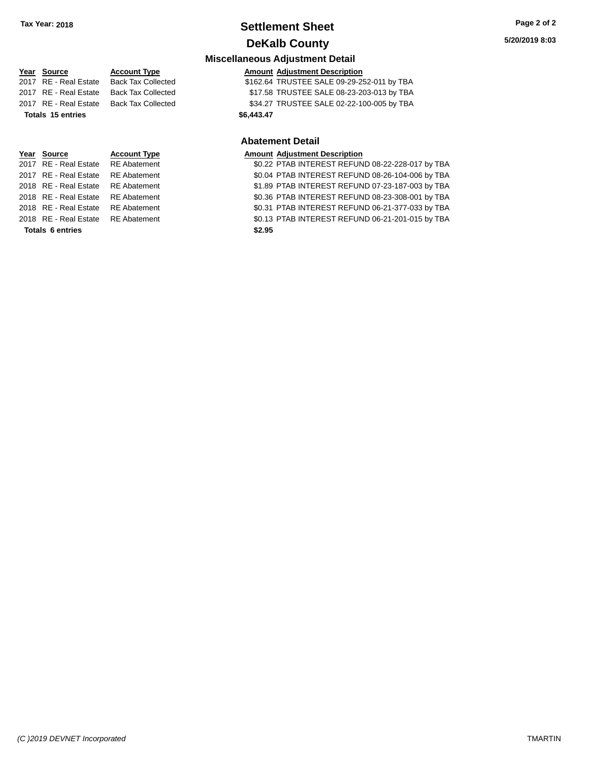### **Settlement Sheet Tax Year: 2018 Page 2 of 2 DeKalb County**

**Miscellaneous Adjustment Detail**

### **Year** Source **Account Type Account Adjustment Description** 2017 RE - Real Estate Back Tax Collected \$162.64 TRUSTEE SALE 09-29-252-011 by TBA 2017 RE - Real Estate Back Tax Collected \$17.58 TRUSTEE SALE 08-23-203-013 by TBA 2017 RE - Real Estate Back Tax Collected \$34.27 TRUSTEE SALE 02-22-100-005 by TBA **Totals \$6,443.47 15 entries**

**Totals \$2.95 6 entries**

**Abatement Detail Year Source Account Type Amount Adjustment Description**<br>2017 RE - Real Estate RE Abatement **Amount 1998** 1999 **AMOUNT ADDEREST REFUN** \$0.22 PTAB INTEREST REFUND 08-22-228-017 by TBA 2017 RE - Real Estate RE Abatement \$0.04 PTAB INTEREST REFUND 08-26-104-006 by TBA 2018 RE - Real Estate RE Abatement \$1.89 PTAB INTEREST REFUND 07-23-187-003 by TBA 2018 RE - Real Estate RE Abatement \$0.36 PTAB INTEREST REFUND 08-23-308-001 by TBA 2018 RE - Real Estate RE Abatement \$0.31 PTAB INTEREST REFUND 06-21-377-033 by TBA 2018 RE - Real Estate RE Abatement \$0.13 PTAB INTEREST REFUND 06-21-201-015 by TBA

*(C )2019 DEVNET Incorporated* TMARTIN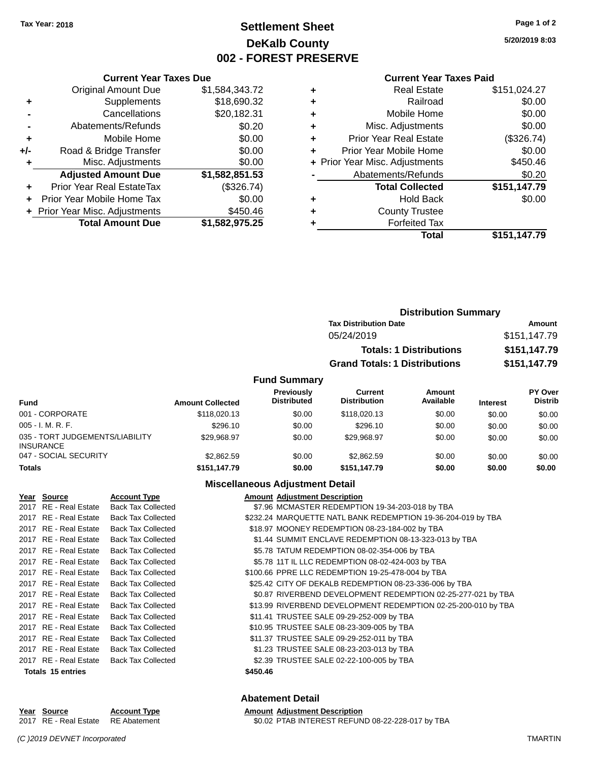### **Settlement Sheet Tax Year: 2018 Page 1 of 2 DeKalb County 002 - FOREST PRESERVE**

**5/20/2019 8:03**

#### **Current Year Taxes Paid**

|     | <b>Current Year Taxes Due</b>                |                |  |  |  |  |
|-----|----------------------------------------------|----------------|--|--|--|--|
|     | <b>Original Amount Due</b><br>\$1,584,343.72 |                |  |  |  |  |
| ٠   | Supplements                                  | \$18,690.32    |  |  |  |  |
|     | Cancellations                                | \$20,182.31    |  |  |  |  |
|     | \$0.20<br>Abatements/Refunds                 |                |  |  |  |  |
| ٠   | \$0.00<br>Mobile Home                        |                |  |  |  |  |
| +/- | Road & Bridge Transfer                       | \$0.00         |  |  |  |  |
|     | \$0.00<br>Misc. Adjustments                  |                |  |  |  |  |
|     | <b>Adjusted Amount Due</b>                   | \$1,582,851.53 |  |  |  |  |
| ÷   | Prior Year Real EstateTax                    | (\$326.74)     |  |  |  |  |
| ÷   | Prior Year Mobile Home Tax                   | \$0.00         |  |  |  |  |
|     | + Prior Year Misc. Adjustments               | \$450.46       |  |  |  |  |
|     | <b>Total Amount Due</b>                      | \$1,582,975.25 |  |  |  |  |

| ٠ | <b>Real Estate</b>             | \$151,024.27 |
|---|--------------------------------|--------------|
| ٠ | Railroad                       | \$0.00       |
| ٠ | Mobile Home                    | \$0.00       |
| ٠ | Misc. Adjustments              | \$0.00       |
| ٠ | <b>Prior Year Real Estate</b>  | (\$326.74)   |
| ٠ | Prior Year Mobile Home         | \$0.00       |
|   | + Prior Year Misc. Adjustments | \$450.46     |
|   | Abatements/Refunds             | \$0.20       |
|   | <b>Total Collected</b>         | \$151,147.79 |
| ٠ | <b>Hold Back</b>               | \$0.00       |
| ٠ | <b>County Trustee</b>          |              |
| ٠ | <b>Forfeited Tax</b>           |              |
|   | Total                          | \$151,147.79 |
|   |                                |              |

|                     | <b>Distribution Summary</b>          |                                |              |  |  |
|---------------------|--------------------------------------|--------------------------------|--------------|--|--|
|                     | <b>Tax Distribution Date</b>         |                                | Amount       |  |  |
|                     | 05/24/2019                           |                                | \$151,147.79 |  |  |
|                     |                                      | <b>Totals: 1 Distributions</b> | \$151,147.79 |  |  |
|                     | <b>Grand Totals: 1 Distributions</b> |                                | \$151,147.79 |  |  |
| <b>Fund Summary</b> |                                      |                                |              |  |  |
| Previously          | Current                              | Amount                         | PY Over      |  |  |

| Fund                                                | <b>Amount Collected</b> | <b>Previously</b><br><b>Distributed</b> | Current<br><b>Distribution</b> | Amount<br>Available | <b>Interest</b> | PY Over<br><b>Distrib</b> |
|-----------------------------------------------------|-------------------------|-----------------------------------------|--------------------------------|---------------------|-----------------|---------------------------|
| 001 - CORPORATE                                     | \$118,020.13            | \$0.00                                  | \$118,020.13                   | \$0.00              | \$0.00          | \$0.00                    |
| $005 - I. M. R. F.$                                 | \$296.10                | \$0.00                                  | \$296.10                       | \$0.00              | \$0.00          | \$0.00                    |
| 035 - TORT JUDGEMENTS/LIABILITY<br><b>INSURANCE</b> | \$29.968.97             | \$0.00                                  | \$29.968.97                    | \$0.00              | \$0.00          | \$0.00                    |
| 047 - SOCIAL SECURITY                               | \$2,862.59              | \$0.00                                  | \$2,862.59                     | \$0.00              | \$0.00          | \$0.00                    |
| <b>Totals</b>                                       | \$151.147.79            | \$0.00                                  | \$151.147.79                   | \$0.00              | \$0.00          | \$0.00                    |

#### **Miscellaneous Adjustment Detail**

| Year Source              | <b>Account Type</b>       | <b>Amount Adjustment Description</b>                          |
|--------------------------|---------------------------|---------------------------------------------------------------|
| 2017 RE - Real Estate    | <b>Back Tax Collected</b> | \$7.96 MCMASTER REDEMPTION 19-34-203-018 by TBA               |
| 2017 RE - Real Estate    | <b>Back Tax Collected</b> | \$232.24 MARQUETTE NATL BANK REDEMPTION 19-36-204-019 by TBA  |
| 2017 RE - Real Estate    | <b>Back Tax Collected</b> | \$18.97 MOONEY REDEMPTION 08-23-184-002 by TBA                |
| 2017 RE - Real Estate    | <b>Back Tax Collected</b> | \$1.44 SUMMIT ENCLAVE REDEMPTION 08-13-323-013 by TBA         |
| 2017 RE - Real Estate    | <b>Back Tax Collected</b> | \$5.78 TATUM REDEMPTION 08-02-354-006 by TBA                  |
| 2017 RE - Real Estate    | <b>Back Tax Collected</b> | \$5.78 11T IL LLC REDEMPTION 08-02-424-003 by TBA             |
| 2017 RE - Real Estate    | <b>Back Tax Collected</b> | \$100.66 PPRE LLC REDEMPTION 19-25-478-004 by TBA             |
| 2017 RE - Real Estate    | <b>Back Tax Collected</b> | \$25.42 CITY OF DEKALB REDEMPTION 08-23-336-006 by TBA        |
| 2017 RE - Real Estate    | <b>Back Tax Collected</b> | \$0.87 RIVERBEND DEVELOPMENT REDEMPTION 02-25-277-021 by TBA  |
| 2017 RE - Real Estate    | <b>Back Tax Collected</b> | \$13.99 RIVERBEND DEVELOPMENT REDEMPTION 02-25-200-010 by TBA |
| 2017 RE - Real Estate    | <b>Back Tax Collected</b> | \$11.41 TRUSTEE SALE 09-29-252-009 by TBA                     |
| 2017 RE - Real Estate    | <b>Back Tax Collected</b> | \$10.95 TRUSTEE SALE 08-23-309-005 by TBA                     |
| 2017 RE - Real Estate    | <b>Back Tax Collected</b> | \$11.37 TRUSTEE SALE 09-29-252-011 by TBA                     |
| 2017 RE - Real Estate    | <b>Back Tax Collected</b> | \$1.23 TRUSTEE SALE 08-23-203-013 by TBA                      |
| 2017 RE - Real Estate    | <b>Back Tax Collected</b> | \$2.39 TRUSTEE SALE 02-22-100-005 by TBA                      |
| <b>Totals 15 entries</b> |                           | \$450.46                                                      |

# Year Source **Account Type Aggle 2016** Amount Adjustment Description

### **Abatement Detail**

2017 RE - Real Estate RE Abatement \$0.02 PTAB INTEREST REFUND 08-22-228-017 by TBA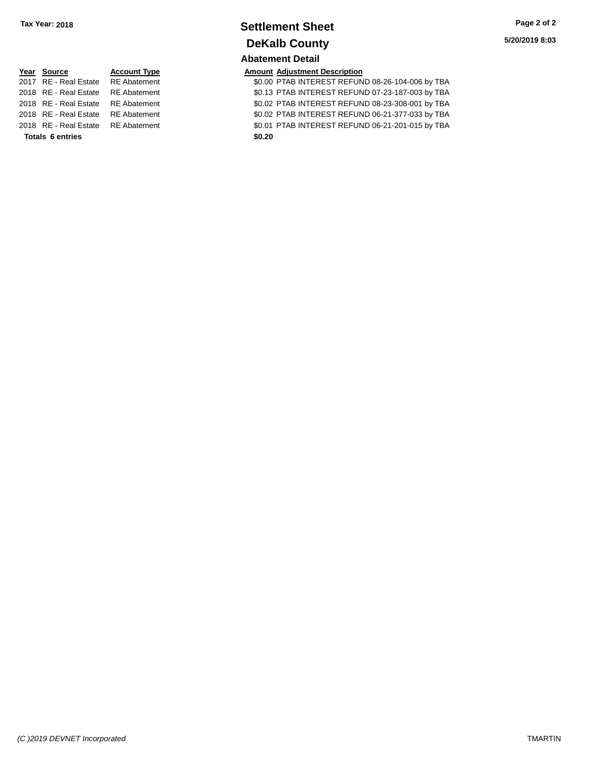### **Settlement Sheet Tax Year: 2018 Page 2 of 2 DeKalb County Abatement Detail**

| Year Source                        | <b>Account Type</b> |        | <b>Amount Adjustment Description</b> |
|------------------------------------|---------------------|--------|--------------------------------------|
| 2017 RE - Real Estate RE Abatement |                     |        | \$0.00 PTAB INTEREST REFUN           |
| 2018 RE - Real Estate RE Abatement |                     |        | \$0.13 PTAB INTEREST REFUN           |
| 2018 RE - Real Estate RE Abatement |                     |        | \$0.02 PTAB INTEREST REFUN           |
| 2018 RE - Real Estate RE Abatement |                     |        | \$0.02 PTAB INTEREST REFUN           |
| 2018 RE - Real Estate RE Abatement |                     |        | \$0.01 PTAB INTEREST REFUN           |
| <b>Totals 6 entries</b>            |                     | \$0.20 |                                      |

|                         | Year Source                        | <b>Account Type</b> | <b>Amount Adjustment Description</b>             |
|-------------------------|------------------------------------|---------------------|--------------------------------------------------|
|                         | 2017 RE - Real Estate              | <b>RE</b> Abatement | \$0.00 PTAB INTEREST REFUND 08-26-104-006 by TBA |
|                         | 2018 RE - Real Estate              | <b>RE</b> Abatement | \$0.13 PTAB INTEREST REFUND 07-23-187-003 by TBA |
|                         | 2018 RE - Real Estate              | <b>RE</b> Abatement | \$0.02 PTAB INTEREST REFUND 08-23-308-001 by TBA |
|                         | 2018 RE - Real Estate              | <b>RE</b> Abatement | \$0.02 PTAB INTEREST REFUND 06-21-377-033 by TBA |
|                         | 2018 RE - Real Estate RE Abatement |                     | \$0.01 PTAB INTEREST REFUND 06-21-201-015 by TBA |
| <b>Totals 6 entries</b> |                                    |                     | \$0.20                                           |
|                         |                                    |                     |                                                  |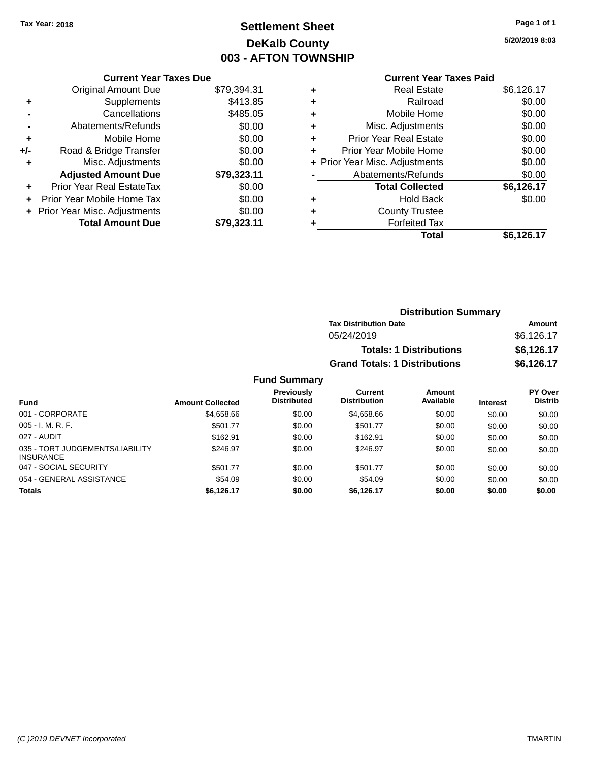## **Settlement Sheet Tax Year: 2018 Page 1 of 1 DeKalb County 003 - AFTON TOWNSHIP**

**5/20/2019 8:03**

|     | <b>Current Year Taxes Due</b>  |             |  |  |  |  |
|-----|--------------------------------|-------------|--|--|--|--|
|     | <b>Original Amount Due</b>     | \$79,394.31 |  |  |  |  |
| ٠   | Supplements                    | \$413.85    |  |  |  |  |
|     | \$485.05<br>Cancellations      |             |  |  |  |  |
|     | Abatements/Refunds             | \$0.00      |  |  |  |  |
| ٠   | Mobile Home                    | \$0.00      |  |  |  |  |
| +/- | Road & Bridge Transfer         | \$0.00      |  |  |  |  |
| ٠   | Misc. Adjustments              | \$0.00      |  |  |  |  |
|     | <b>Adjusted Amount Due</b>     | \$79,323.11 |  |  |  |  |
| ٠   | Prior Year Real EstateTax      | \$0.00      |  |  |  |  |
|     | Prior Year Mobile Home Tax     | \$0.00      |  |  |  |  |
|     | + Prior Year Misc. Adjustments | \$0.00      |  |  |  |  |
|     | <b>Total Amount Due</b>        | \$79.323.11 |  |  |  |  |
|     |                                |             |  |  |  |  |

### **Current Year Taxes Paid**

|   | <b>Real Estate</b>             | \$6,126.17 |
|---|--------------------------------|------------|
| ٠ | Railroad                       | \$0.00     |
| ٠ | Mobile Home                    | \$0.00     |
| ٠ | Misc. Adjustments              | \$0.00     |
|   | Prior Year Real Estate         | \$0.00     |
|   | Prior Year Mobile Home         | \$0.00     |
|   | + Prior Year Misc. Adjustments | \$0.00     |
|   | Abatements/Refunds             | \$0.00     |
|   | <b>Total Collected</b>         | \$6,126.17 |
| ٠ | Hold Back                      | \$0.00     |
|   | <b>County Trustee</b>          |            |
|   | <b>Forfeited Tax</b>           |            |
|   | Total                          | \$6,126.17 |
|   |                                |            |

| <b>Distribution Summary</b>          |            |
|--------------------------------------|------------|
| <b>Tax Distribution Date</b>         | Amount     |
| 05/24/2019                           | \$6,126.17 |
| <b>Totals: 1 Distributions</b>       | \$6,126.17 |
| <b>Grand Totals: 1 Distributions</b> | \$6,126.17 |

| <b>Fund</b>                                         | <b>Amount Collected</b> | <b>Previously</b><br><b>Distributed</b> | Current<br><b>Distribution</b> | Amount<br>Available | <b>Interest</b> | PY Over<br><b>Distrib</b> |
|-----------------------------------------------------|-------------------------|-----------------------------------------|--------------------------------|---------------------|-----------------|---------------------------|
| 001 - CORPORATE                                     | \$4,658.66              | \$0.00                                  | \$4,658,66                     | \$0.00              | \$0.00          | \$0.00                    |
| $005 - I. M. R. F.$                                 | \$501.77                | \$0.00                                  | \$501.77                       | \$0.00              | \$0.00          | \$0.00                    |
| 027 - AUDIT                                         | \$162.91                | \$0.00                                  | \$162.91                       | \$0.00              | \$0.00          | \$0.00                    |
| 035 - TORT JUDGEMENTS/LIABILITY<br><b>INSURANCE</b> | \$246.97                | \$0.00                                  | \$246.97                       | \$0.00              | \$0.00          | \$0.00                    |
| 047 - SOCIAL SECURITY                               | \$501.77                | \$0.00                                  | \$501.77                       | \$0.00              | \$0.00          | \$0.00                    |
| 054 - GENERAL ASSISTANCE                            | \$54.09                 | \$0.00                                  | \$54.09                        | \$0.00              | \$0.00          | \$0.00                    |
| <b>Totals</b>                                       | \$6.126.17              | \$0.00                                  | \$6.126.17                     | \$0.00              | \$0.00          | \$0.00                    |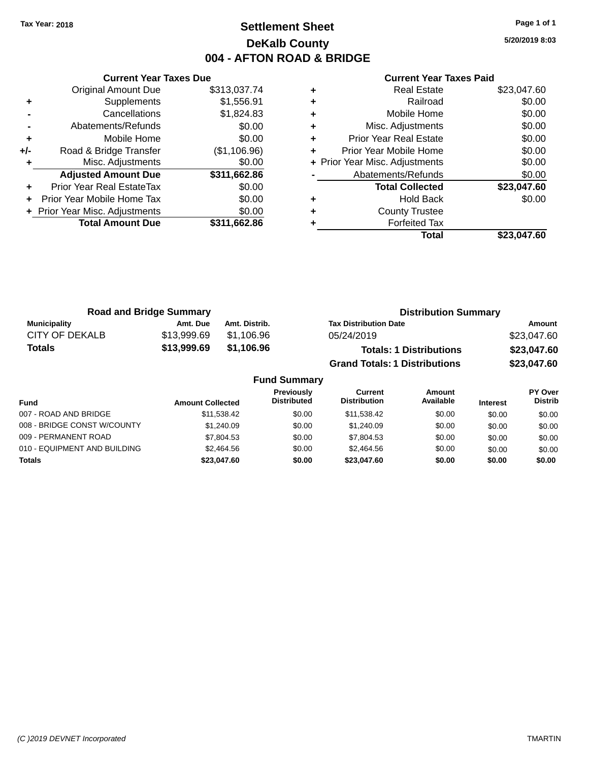### **Settlement Sheet Tax Year: 2018 Page 1 of 1 DeKalb County 004 - AFTON ROAD & BRIDGE**

**5/20/2019 8:03**

|     | <b>Current Year Taxes Due</b>  |              |
|-----|--------------------------------|--------------|
|     | <b>Original Amount Due</b>     | \$313,037.74 |
| ٠   | Supplements                    | \$1,556.91   |
|     | Cancellations                  | \$1,824.83   |
|     | Abatements/Refunds             | \$0.00       |
| ٠   | Mobile Home                    | \$0.00       |
| +/- | Road & Bridge Transfer         | (\$1,106.96) |
| ٠   | Misc. Adjustments              | \$0.00       |
|     | <b>Adjusted Amount Due</b>     | \$311,662.86 |
| ٠   | Prior Year Real EstateTax      | \$0.00       |
| ÷   | Prior Year Mobile Home Tax     | \$0.00       |
|     | + Prior Year Misc. Adjustments | \$0.00       |
|     | <b>Total Amount Due</b>        | \$311,662.86 |
|     |                                |              |

| ٠ | <b>Real Estate</b>             | \$23,047.60 |
|---|--------------------------------|-------------|
| ٠ | Railroad                       | \$0.00      |
| ٠ | Mobile Home                    | \$0.00      |
| ٠ | Misc. Adjustments              | \$0.00      |
| ٠ | <b>Prior Year Real Estate</b>  | \$0.00      |
| ٠ | Prior Year Mobile Home         | \$0.00      |
|   | + Prior Year Misc. Adjustments | \$0.00      |
|   | Abatements/Refunds             | \$0.00      |
|   | <b>Total Collected</b>         | \$23,047.60 |
| ٠ | <b>Hold Back</b>               | \$0.00      |
| ٠ | <b>County Trustee</b>          |             |
| ٠ | <b>Forfeited Tax</b>           |             |
|   | Total                          | \$23.047.60 |
|   |                                |             |

| <b>Road and Bridge Summary</b> |             | <b>Distribution Summary</b> |                                      |             |
|--------------------------------|-------------|-----------------------------|--------------------------------------|-------------|
| <b>Municipality</b>            | Amt. Due    | Amt. Distrib.               | <b>Tax Distribution Date</b>         | Amount      |
| CITY OF DEKALB                 | \$13.999.69 | \$1,106.96                  | 05/24/2019                           | \$23.047.60 |
| <b>Totals</b>                  | \$13,999.69 | \$1,106.96                  | <b>Totals: 1 Distributions</b>       | \$23,047.60 |
|                                |             |                             | <b>Grand Totals: 1 Distributions</b> | \$23,047.60 |

| <b>Fund Summary</b>          |                         |                                         |                                |                     |                 |                                  |
|------------------------------|-------------------------|-----------------------------------------|--------------------------------|---------------------|-----------------|----------------------------------|
| <b>Fund</b>                  | <b>Amount Collected</b> | <b>Previously</b><br><b>Distributed</b> | Current<br><b>Distribution</b> | Amount<br>Available | <b>Interest</b> | <b>PY Over</b><br><b>Distrib</b> |
| 007 - ROAD AND BRIDGE        | \$11.538.42             | \$0.00                                  | \$11,538.42                    | \$0.00              | \$0.00          | \$0.00                           |
| 008 - BRIDGE CONST W/COUNTY  | \$1,240.09              | \$0.00                                  | \$1.240.09                     | \$0.00              | \$0.00          | \$0.00                           |
| 009 - PERMANENT ROAD         | \$7,804.53              | \$0.00                                  | \$7,804.53                     | \$0.00              | \$0.00          | \$0.00                           |
| 010 - EQUIPMENT AND BUILDING | \$2.464.56              | \$0.00                                  | \$2,464.56                     | \$0.00              | \$0.00          | \$0.00                           |
| <b>Totals</b>                | \$23,047.60             | \$0.00                                  | \$23,047.60                    | \$0.00              | \$0.00          | \$0.00                           |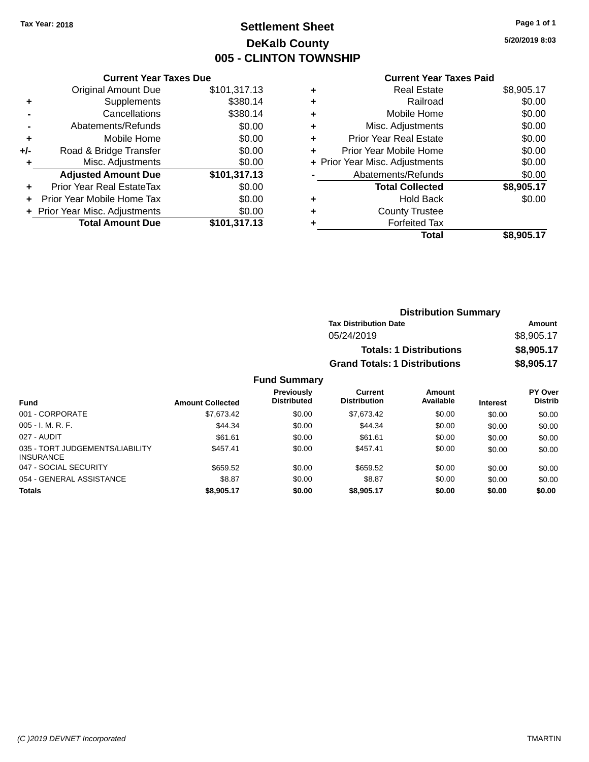### **Settlement Sheet Tax Year: 2018 Page 1 of 1 DeKalb County 005 - CLINTON TOWNSHIP**

**5/20/2019 8:03**

#### **Current Year Taxes Paid**

|     | <b>Current Year Taxes Due</b>  |              |
|-----|--------------------------------|--------------|
|     | <b>Original Amount Due</b>     | \$101,317.13 |
| ٠   | Supplements                    | \$380.14     |
|     | Cancellations                  | \$380.14     |
|     | Abatements/Refunds             | \$0.00       |
| ٠   | Mobile Home                    | \$0.00       |
| +/- | Road & Bridge Transfer         | \$0.00       |
|     | Misc. Adjustments              | \$0.00       |
|     | <b>Adjusted Amount Due</b>     | \$101,317.13 |
| ÷   | Prior Year Real EstateTax      | \$0.00       |
|     | Prior Year Mobile Home Tax     | \$0.00       |
|     | + Prior Year Misc. Adjustments | \$0.00       |
|     | <b>Total Amount Due</b>        | \$101,317.13 |
|     |                                |              |

| ٠ | <b>Real Estate</b>             | \$8,905.17 |
|---|--------------------------------|------------|
| ÷ | Railroad                       | \$0.00     |
| ٠ | Mobile Home                    | \$0.00     |
| ٠ | Misc. Adjustments              | \$0.00     |
| ٠ | <b>Prior Year Real Estate</b>  | \$0.00     |
| ٠ | Prior Year Mobile Home         | \$0.00     |
|   | + Prior Year Misc. Adjustments | \$0.00     |
|   | Abatements/Refunds             | \$0.00     |
|   | <b>Total Collected</b>         | \$8,905.17 |
| ٠ | <b>Hold Back</b>               | \$0.00     |
| ٠ | <b>County Trustee</b>          |            |
|   | <b>Forfeited Tax</b>           |            |
|   | Total                          | \$8,905.17 |
|   |                                |            |

| <b>Distribution Summary</b>          |            |
|--------------------------------------|------------|
| <b>Tax Distribution Date</b>         | Amount     |
| 05/24/2019                           | \$8,905.17 |
| <b>Totals: 1 Distributions</b>       | \$8,905.17 |
| <b>Grand Totals: 1 Distributions</b> | \$8,905.17 |

| <b>Fund</b>                                         | <b>Amount Collected</b> | <b>Previously</b><br><b>Distributed</b> | Current<br><b>Distribution</b> | Amount<br>Available | <b>Interest</b> | PY Over<br><b>Distrib</b> |
|-----------------------------------------------------|-------------------------|-----------------------------------------|--------------------------------|---------------------|-----------------|---------------------------|
| 001 - CORPORATE                                     | \$7,673.42              | \$0.00                                  | \$7.673.42                     | \$0.00              | \$0.00          | \$0.00                    |
| $005 - I. M. R. F.$                                 | \$44.34                 | \$0.00                                  | \$44.34                        | \$0.00              | \$0.00          | \$0.00                    |
| 027 - AUDIT                                         | \$61.61                 | \$0.00                                  | \$61.61                        | \$0.00              | \$0.00          | \$0.00                    |
| 035 - TORT JUDGEMENTS/LIABILITY<br><b>INSURANCE</b> | \$457.41                | \$0.00                                  | \$457.41                       | \$0.00              | \$0.00          | \$0.00                    |
| 047 - SOCIAL SECURITY                               | \$659.52                | \$0.00                                  | \$659.52                       | \$0.00              | \$0.00          | \$0.00                    |
| 054 - GENERAL ASSISTANCE                            | \$8.87                  | \$0.00                                  | \$8.87                         | \$0.00              | \$0.00          | \$0.00                    |
| <b>Totals</b>                                       | \$8,905.17              | \$0.00                                  | \$8,905.17                     | \$0.00              | \$0.00          | \$0.00                    |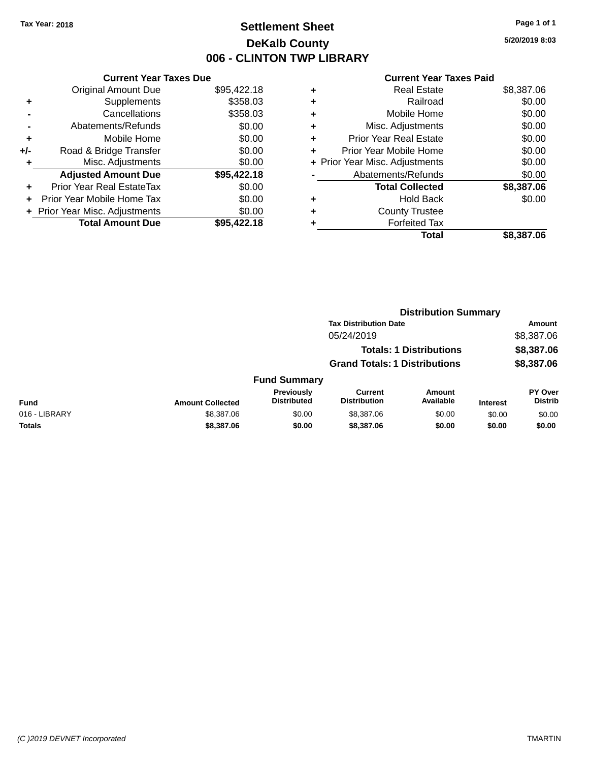### **Settlement Sheet Tax Year: 2018 Page 1 of 1 DeKalb County 006 - CLINTON TWP LIBRARY**

**5/20/2019 8:03**

| <b>Current Year Taxes Paid</b> |  |  |
|--------------------------------|--|--|
|                                |  |  |

|       | <b>Current Year Taxes Due</b>  |             |
|-------|--------------------------------|-------------|
|       | <b>Original Amount Due</b>     | \$95,422.18 |
| ٠     | Supplements                    | \$358.03    |
|       | Cancellations                  | \$358.03    |
|       | Abatements/Refunds             | \$0.00      |
| ٠     | Mobile Home                    | \$0.00      |
| $+/-$ | Road & Bridge Transfer         | \$0.00      |
| ٠     | Misc. Adjustments              | \$0.00      |
|       | <b>Adjusted Amount Due</b>     | \$95,422.18 |
| ÷     | Prior Year Real EstateTax      | \$0.00      |
|       | Prior Year Mobile Home Tax     | \$0.00      |
|       | + Prior Year Misc. Adjustments | \$0.00      |
|       | <b>Total Amount Due</b>        | \$95,422.18 |

|   | <b>Real Estate</b>             | \$8,387.06 |
|---|--------------------------------|------------|
| ٠ | Railroad                       | \$0.00     |
| ٠ | Mobile Home                    | \$0.00     |
| ٠ | Misc. Adjustments              | \$0.00     |
| ٠ | <b>Prior Year Real Estate</b>  | \$0.00     |
| ٠ | Prior Year Mobile Home         | \$0.00     |
|   | + Prior Year Misc. Adjustments | \$0.00     |
|   | Abatements/Refunds             | \$0.00     |
|   | <b>Total Collected</b>         | \$8,387.06 |
| ٠ | <b>Hold Back</b>               | \$0.00     |
|   | <b>County Trustee</b>          |            |
| ٠ | <b>Forfeited Tax</b>           |            |
|   | Total                          | \$8,387.06 |
|   |                                |            |

|               |                         | <b>Distribution Summary</b>             |                                       |                                |                 |                                  |  |
|---------------|-------------------------|-----------------------------------------|---------------------------------------|--------------------------------|-----------------|----------------------------------|--|
|               |                         |                                         |                                       | <b>Tax Distribution Date</b>   |                 | Amount                           |  |
|               |                         |                                         | 05/24/2019                            |                                |                 | \$8,387.06                       |  |
|               |                         |                                         |                                       | <b>Totals: 1 Distributions</b> |                 | \$8,387.06                       |  |
|               |                         |                                         | <b>Grand Totals: 1 Distributions</b>  |                                |                 | \$8,387.06                       |  |
|               |                         | <b>Fund Summary</b>                     |                                       |                                |                 |                                  |  |
| <b>Fund</b>   | <b>Amount Collected</b> | <b>Previously</b><br><b>Distributed</b> | <b>Current</b><br><b>Distribution</b> | <b>Amount</b><br>Available     | <b>Interest</b> | <b>PY Over</b><br><b>Distrib</b> |  |
| 016 - LIBRARY | \$8,387.06              | \$0.00                                  | \$8,387.06                            | \$0.00                         | \$0.00          | \$0.00                           |  |
| <b>Totals</b> | \$8,387.06              | \$0.00                                  | \$8,387.06                            | \$0.00                         | \$0.00          | \$0.00                           |  |
|               |                         |                                         |                                       |                                |                 |                                  |  |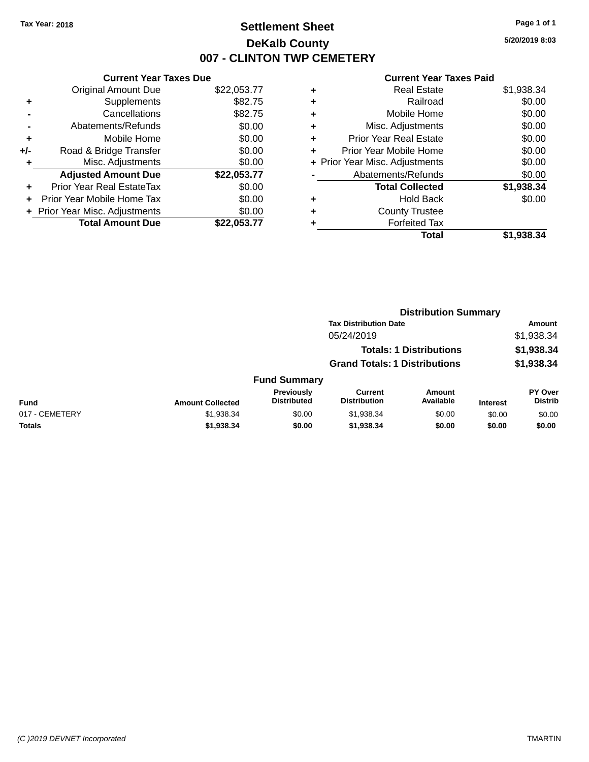### **Settlement Sheet Tax Year: 2018 Page 1 of 1 DeKalb County 007 - CLINTON TWP CEMETERY**

**5/20/2019 8:03**

| <b>Original Amount Due</b>   | \$22,053.77                   |
|------------------------------|-------------------------------|
| Supplements                  | \$82.75                       |
| Cancellations                | \$82.75                       |
| Abatements/Refunds           | \$0.00                        |
| Mobile Home                  | \$0.00                        |
| Road & Bridge Transfer       | \$0.00                        |
| Misc. Adjustments            | \$0.00                        |
| <b>Adjusted Amount Due</b>   | \$22,053.77                   |
| Prior Year Real EstateTax    | \$0.00                        |
| Prior Year Mobile Home Tax   | \$0.00                        |
| Prior Year Misc. Adjustments | \$0.00                        |
| <b>Total Amount Due</b>      | \$22.053.77                   |
|                              | <b>Current Year Taxes Due</b> |

|   | <b>Real Estate</b>             | \$1,938.34 |
|---|--------------------------------|------------|
| ٠ | Railroad                       | \$0.00     |
| ٠ | Mobile Home                    | \$0.00     |
| ٠ | Misc. Adjustments              | \$0.00     |
| ٠ | <b>Prior Year Real Estate</b>  | \$0.00     |
| ٠ | Prior Year Mobile Home         | \$0.00     |
|   | + Prior Year Misc. Adjustments | \$0.00     |
|   | Abatements/Refunds             | \$0.00     |
|   | <b>Total Collected</b>         | \$1,938.34 |
| ٠ | <b>Hold Back</b>               | \$0.00     |
| ٠ | <b>County Trustee</b>          |            |
| ٠ | <b>Forfeited Tax</b>           |            |
|   | Total                          | \$1,938.34 |
|   |                                |            |

|                |                         |                                  | <b>Distribution Summary</b>           |                                |                 |                                  |  |
|----------------|-------------------------|----------------------------------|---------------------------------------|--------------------------------|-----------------|----------------------------------|--|
|                |                         |                                  | <b>Tax Distribution Date</b>          |                                |                 | Amount                           |  |
|                |                         |                                  | 05/24/2019                            |                                |                 | \$1,938.34                       |  |
|                |                         |                                  |                                       | <b>Totals: 1 Distributions</b> |                 | \$1,938.34                       |  |
|                |                         |                                  | <b>Grand Totals: 1 Distributions</b>  |                                |                 | \$1,938.34                       |  |
|                |                         | <b>Fund Summary</b>              |                                       |                                |                 |                                  |  |
| <b>Fund</b>    | <b>Amount Collected</b> | Previously<br><b>Distributed</b> | <b>Current</b><br><b>Distribution</b> | Amount<br>Available            | <b>Interest</b> | <b>PY Over</b><br><b>Distrib</b> |  |
| 017 - CEMETERY | \$1,938.34              | \$0.00                           | \$1,938.34                            | \$0.00                         | \$0.00          | \$0.00                           |  |
| Totals         | \$1,938.34              | \$0.00                           | \$1,938.34                            | \$0.00                         | \$0.00          | \$0.00                           |  |
|                |                         |                                  |                                       |                                |                 |                                  |  |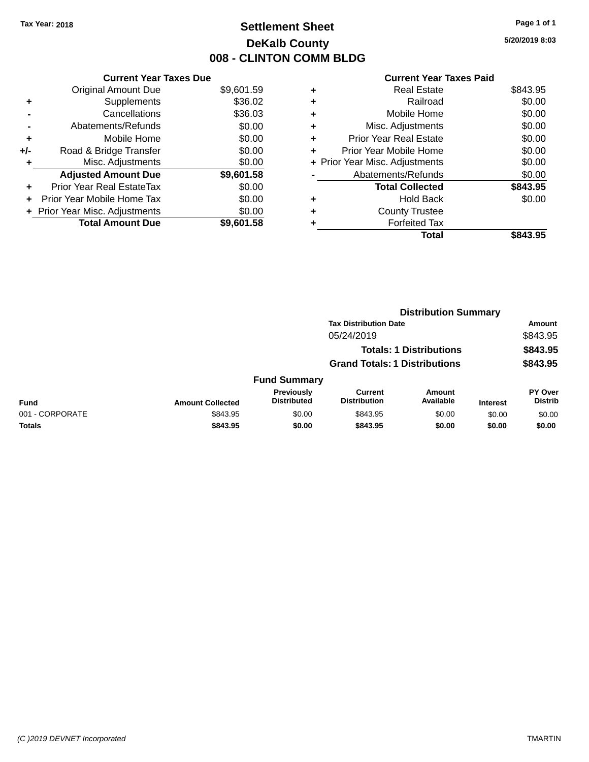### **Settlement Sheet Tax Year: 2018 Page 1 of 1 DeKalb County 008 - CLINTON COMM BLDG**

**5/20/2019 8:03**

|     | <b>Current Year Taxes Due</b>  |            |
|-----|--------------------------------|------------|
|     | <b>Original Amount Due</b>     | \$9,601.59 |
| ٠   | Supplements                    | \$36.02    |
|     | Cancellations                  | \$36.03    |
|     | Abatements/Refunds             | \$0.00     |
| ٠   | Mobile Home                    | \$0.00     |
| +/- | Road & Bridge Transfer         | \$0.00     |
|     | Misc. Adjustments              | \$0.00     |
|     | <b>Adjusted Amount Due</b>     | \$9,601.58 |
| ٠   | Prior Year Real EstateTax      | \$0.00     |
|     | Prior Year Mobile Home Tax     | \$0.00     |
|     | + Prior Year Misc. Adjustments | \$0.00     |
|     | <b>Total Amount Due</b>        | \$9,601.58 |
|     |                                |            |

|   | Real Estate                    | \$843.95 |
|---|--------------------------------|----------|
| ٠ | Railroad                       | \$0.00   |
| ٠ | Mobile Home                    | \$0.00   |
| ٠ | Misc. Adjustments              | \$0.00   |
| ٠ | <b>Prior Year Real Estate</b>  | \$0.00   |
|   | Prior Year Mobile Home         | \$0.00   |
|   | + Prior Year Misc. Adjustments | \$0.00   |
|   | Abatements/Refunds             | \$0.00   |
|   | <b>Total Collected</b>         | \$843.95 |
|   | Hold Back                      | \$0.00   |
|   | <b>County Trustee</b>          |          |
| ٠ | <b>Forfeited Tax</b>           |          |
|   | Total                          | \$843.95 |
|   |                                |          |

|                 |                         |                                  | <b>Distribution Summary</b>           |                                |                 |                                  |
|-----------------|-------------------------|----------------------------------|---------------------------------------|--------------------------------|-----------------|----------------------------------|
|                 |                         |                                  | <b>Tax Distribution Date</b>          |                                |                 | Amount                           |
|                 |                         |                                  | 05/24/2019                            |                                |                 | \$843.95                         |
|                 |                         |                                  |                                       | <b>Totals: 1 Distributions</b> |                 | \$843.95                         |
|                 |                         |                                  | <b>Grand Totals: 1 Distributions</b>  |                                |                 | \$843.95                         |
|                 |                         | <b>Fund Summary</b>              |                                       |                                |                 |                                  |
| <b>Fund</b>     | <b>Amount Collected</b> | Previously<br><b>Distributed</b> | <b>Current</b><br><b>Distribution</b> | Amount<br>Available            | <b>Interest</b> | <b>PY Over</b><br><b>Distrib</b> |
| 001 - CORPORATE | \$843.95                | \$0.00                           | \$843.95                              | \$0.00                         | \$0.00          | \$0.00                           |
| Totals          | \$843.95                | \$0.00                           | \$843.95                              | \$0.00                         | \$0.00          | \$0.00                           |
|                 |                         |                                  |                                       |                                |                 |                                  |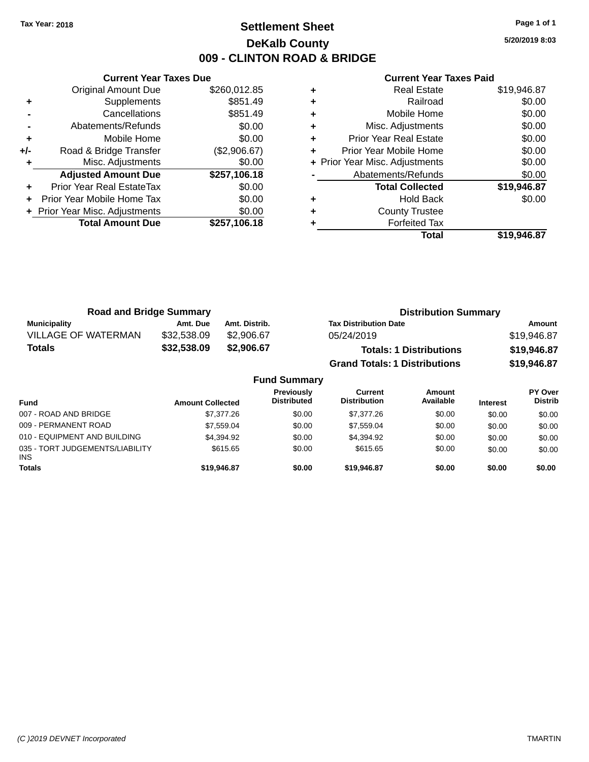### **Settlement Sheet Tax Year: 2018 Page 1 of 1 DeKalb County 009 - CLINTON ROAD & BRIDGE**

**5/20/2019 8:03**

|     | <b>Current Year Taxes Due</b>  |              |  |  |  |  |  |
|-----|--------------------------------|--------------|--|--|--|--|--|
|     | <b>Original Amount Due</b>     | \$260,012.85 |  |  |  |  |  |
| ٠   | Supplements                    | \$851.49     |  |  |  |  |  |
|     | Cancellations                  | \$851.49     |  |  |  |  |  |
|     | Abatements/Refunds             | \$0.00       |  |  |  |  |  |
| ٠   | Mobile Home                    | \$0.00       |  |  |  |  |  |
| +/- | Road & Bridge Transfer         | (\$2,906.67) |  |  |  |  |  |
|     | Misc. Adjustments              | \$0.00       |  |  |  |  |  |
|     | <b>Adjusted Amount Due</b>     | \$257,106.18 |  |  |  |  |  |
| ٠   | Prior Year Real EstateTax      | \$0.00       |  |  |  |  |  |
|     | Prior Year Mobile Home Tax     | \$0.00       |  |  |  |  |  |
|     | + Prior Year Misc. Adjustments | \$0.00       |  |  |  |  |  |
|     | <b>Total Amount Due</b>        | \$257,106.18 |  |  |  |  |  |
|     |                                |              |  |  |  |  |  |

| ٠ | <b>Real Estate</b>             | \$19,946.87 |
|---|--------------------------------|-------------|
| ٠ | Railroad                       | \$0.00      |
| ٠ | Mobile Home                    | \$0.00      |
| ٠ | Misc. Adjustments              | \$0.00      |
| ٠ | <b>Prior Year Real Estate</b>  | \$0.00      |
| ٠ | Prior Year Mobile Home         | \$0.00      |
|   | + Prior Year Misc. Adjustments | \$0.00      |
|   | Abatements/Refunds             | \$0.00      |
|   | <b>Total Collected</b>         | \$19,946.87 |
| ٠ | <b>Hold Back</b>               | \$0.00      |
| ٠ | <b>County Trustee</b>          |             |
|   | <b>Forfeited Tax</b>           |             |
|   | Total                          | \$19.946.87 |

| <b>Road and Bridge Summary</b> |             |               | <b>Distribution Summary</b>          |             |  |  |
|--------------------------------|-------------|---------------|--------------------------------------|-------------|--|--|
| <b>Municipality</b>            | Amt. Due    | Amt. Distrib. | <b>Tax Distribution Date</b>         | Amount      |  |  |
| <b>VILLAGE OF WATERMAN</b>     | \$32,538.09 | \$2,906.67    | 05/24/2019                           | \$19,946.87 |  |  |
| <b>Totals</b>                  | \$32,538.09 | \$2,906.67    | <b>Totals: 1 Distributions</b>       | \$19,946.87 |  |  |
|                                |             |               | <b>Grand Totals: 1 Distributions</b> | \$19,946.87 |  |  |
| <b>Fund Summary</b>            |             |               |                                      |             |  |  |

| <b>Fund</b>                                   | <b>Amount Collected</b> | <b>Previously</b><br><b>Distributed</b> | Current<br><b>Distribution</b> | Amount<br>Available | <b>Interest</b> | PY Over<br><b>Distrib</b> |
|-----------------------------------------------|-------------------------|-----------------------------------------|--------------------------------|---------------------|-----------------|---------------------------|
| 007 - ROAD AND BRIDGE                         | \$7,377,26              | \$0.00                                  | \$7,377,26                     | \$0.00              | \$0.00          | \$0.00                    |
| 009 - PERMANENT ROAD                          | \$7.559.04              | \$0.00                                  | \$7.559.04                     | \$0.00              | \$0.00          | \$0.00                    |
| 010 - EQUIPMENT AND BUILDING                  | \$4,394.92              | \$0.00                                  | \$4.394.92                     | \$0.00              | \$0.00          | \$0.00                    |
| 035 - TORT JUDGEMENTS/LIABILITY<br><b>INS</b> | \$615.65                | \$0.00                                  | \$615.65                       | \$0.00              | \$0.00          | \$0.00                    |
| <b>Totals</b>                                 | \$19,946.87             | \$0.00                                  | \$19,946.87                    | \$0.00              | \$0.00          | \$0.00                    |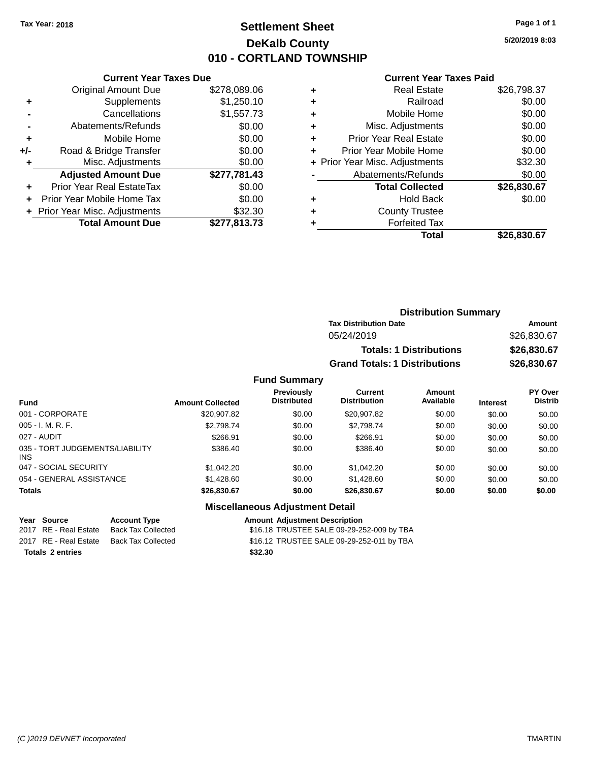### **Settlement Sheet Tax Year: 2018 Page 1 of 1 DeKalb County 010 - CORTLAND TOWNSHIP**

**5/20/2019 8:03**

|     | <b>Current Year Taxes Due</b>  |              |  |  |
|-----|--------------------------------|--------------|--|--|
|     | Original Amount Due            | \$278,089.06 |  |  |
| ٠   | Supplements                    | \$1,250.10   |  |  |
|     | Cancellations                  | \$1,557.73   |  |  |
|     | Abatements/Refunds             | \$0.00       |  |  |
| ٠   | Mobile Home                    | \$0.00       |  |  |
| +/- | Road & Bridge Transfer         | \$0.00       |  |  |
| ٠   | Misc. Adjustments              | \$0.00       |  |  |
|     | <b>Adjusted Amount Due</b>     | \$277,781.43 |  |  |
|     | Prior Year Real EstateTax      | \$0.00       |  |  |
| ÷   | Prior Year Mobile Home Tax     | \$0.00       |  |  |
|     | + Prior Year Misc. Adjustments | \$32.30      |  |  |
|     | <b>Total Amount Due</b>        | \$277,813.73 |  |  |
|     |                                |              |  |  |

#### **Current Year Taxes Paid**

|   | <b>Real Estate</b>             | \$26,798.37 |
|---|--------------------------------|-------------|
| ÷ | Railroad                       | \$0.00      |
| ÷ | Mobile Home                    | \$0.00      |
| ٠ | Misc. Adjustments              | \$0.00      |
| ٠ | Prior Year Real Estate         | \$0.00      |
|   | Prior Year Mobile Home         | \$0.00      |
|   | + Prior Year Misc. Adjustments | \$32.30     |
|   | Abatements/Refunds             | \$0.00      |
|   | <b>Total Collected</b>         | \$26,830.67 |
| ٠ | Hold Back                      | \$0.00      |
| ٠ | <b>County Trustee</b>          |             |
|   | <b>Forfeited Tax</b>           |             |
|   | Total                          | \$26,830.67 |
|   |                                |             |

### **Distribution Summary Tax Distribution Date Amount** 05/24/2019 \$26,830.67 **Totals: 1 Distributions \$26,830.67 Grand Totals: 1 Distributions \$26,830.67**

#### **Fund Summary**

| <b>Fund</b>                                   | <b>Amount Collected</b> | Previously<br><b>Distributed</b> | <b>Current</b><br><b>Distribution</b> | <b>Amount</b><br>Available | <b>Interest</b> | <b>PY Over</b><br><b>Distrib</b> |
|-----------------------------------------------|-------------------------|----------------------------------|---------------------------------------|----------------------------|-----------------|----------------------------------|
| 001 - CORPORATE                               | \$20,907.82             | \$0.00                           | \$20.907.82                           | \$0.00                     | \$0.00          | \$0.00                           |
| $005 - I. M. R. F.$                           | \$2,798,74              | \$0.00                           | \$2.798.74                            | \$0.00                     | \$0.00          | \$0.00                           |
| 027 - AUDIT                                   | \$266.91                | \$0.00                           | \$266.91                              | \$0.00                     | \$0.00          | \$0.00                           |
| 035 - TORT JUDGEMENTS/LIABILITY<br><b>INS</b> | \$386.40                | \$0.00                           | \$386.40                              | \$0.00                     | \$0.00          | \$0.00                           |
| 047 - SOCIAL SECURITY                         | \$1,042.20              | \$0.00                           | \$1,042.20                            | \$0.00                     | \$0.00          | \$0.00                           |
| 054 - GENERAL ASSISTANCE                      | \$1,428.60              | \$0.00                           | \$1,428,60                            | \$0.00                     | \$0.00          | \$0.00                           |
| <b>Totals</b>                                 | \$26,830.67             | \$0.00                           | \$26,830.67                           | \$0.00                     | \$0.00          | \$0.00                           |

#### **Miscellaneous Adjustment Detail**

| Year Source           |  |  |
|-----------------------|--|--|
| 2017 RE - Real Estate |  |  |
| 2017 RE - Real Estate |  |  |
|                       |  |  |

**Totals \$32.30 2 entries**

**Account Type**<br>Back Tax Collected<br>\$16.18 TRUSTEE SALE 09-29-25 \$16.18 TRUSTEE SALE 09-29-252-009 by TBA Back Tax Collected **2017** S16.12 TRUSTEE SALE 09-29-252-011 by TBA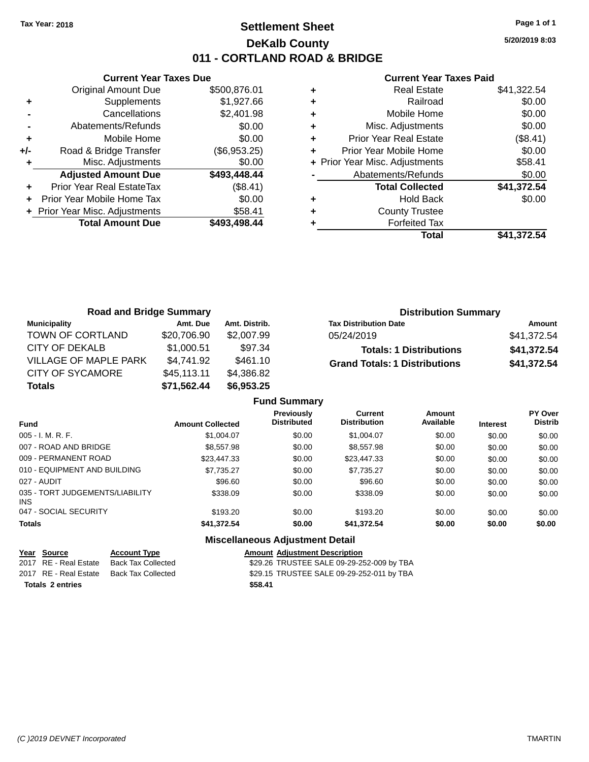### **Settlement Sheet Tax Year: 2018 Page 1 of 1 DeKalb County 011 - CORTLAND ROAD & BRIDGE**

**5/20/2019 8:03**

#### **Current Year Taxes Paid**

|       | <b>Current Year Taxes Due</b>  |              |
|-------|--------------------------------|--------------|
|       | <b>Original Amount Due</b>     | \$500,876.01 |
| ÷     | Supplements                    | \$1,927.66   |
|       | Cancellations                  | \$2,401.98   |
|       | Abatements/Refunds             | \$0.00       |
| ٠     | Mobile Home                    | \$0.00       |
| $+/-$ | Road & Bridge Transfer         | (\$6,953.25) |
|       | Misc. Adjustments              | \$0.00       |
|       | <b>Adjusted Amount Due</b>     | \$493,448.44 |
| ٠     | Prior Year Real EstateTax      | (\$8.41)     |
|       | Prior Year Mobile Home Tax     | \$0.00       |
|       | + Prior Year Misc. Adjustments | \$58.41      |
|       | <b>Total Amount Due</b>        | \$493,498.44 |
|       |                                |              |

| ٠ | <b>Real Estate</b>             | \$41,322.54 |
|---|--------------------------------|-------------|
| ٠ | Railroad                       | \$0.00      |
| ٠ | Mobile Home                    | \$0.00      |
| ٠ | Misc. Adjustments              | \$0.00      |
| ٠ | <b>Prior Year Real Estate</b>  | (\$8.41)    |
| ٠ | Prior Year Mobile Home         | \$0.00      |
|   | + Prior Year Misc. Adjustments | \$58.41     |
|   | Abatements/Refunds             | \$0.00      |
|   | <b>Total Collected</b>         | \$41,372.54 |
| ٠ | <b>Hold Back</b>               | \$0.00      |
| ٠ | <b>County Trustee</b>          |             |
| ٠ | <b>Forfeited Tax</b>           |             |
|   | Total                          | \$41.372.54 |

| <b>Road and Bridge Summary</b> |             |               | <b>Distribution Summary</b>          |             |
|--------------------------------|-------------|---------------|--------------------------------------|-------------|
| <b>Municipality</b>            | Amt. Due    | Amt. Distrib. | <b>Tax Distribution Date</b>         | Amount      |
| TOWN OF CORTLAND               | \$20,706.90 | \$2,007.99    | 05/24/2019                           | \$41,372.54 |
| CITY OF DEKALB                 | \$1,000.51  | \$97.34       | <b>Totals: 1 Distributions</b>       | \$41,372.54 |
| VILLAGE OF MAPLE PARK          | \$4,741.92  | \$461.10      | <b>Grand Totals: 1 Distributions</b> | \$41,372.54 |
| <b>CITY OF SYCAMORE</b>        | \$45,113.11 | \$4,386.82    |                                      |             |
| <b>Totals</b>                  | \$71,562.44 | \$6,953.25    |                                      |             |

|                                         |                         | <b>Fund Summary</b>                     |                                       |                     |                 |                           |
|-----------------------------------------|-------------------------|-----------------------------------------|---------------------------------------|---------------------|-----------------|---------------------------|
| <b>Fund</b>                             | <b>Amount Collected</b> | <b>Previously</b><br><b>Distributed</b> | <b>Current</b><br><b>Distribution</b> | Amount<br>Available | <b>Interest</b> | PY Over<br><b>Distrib</b> |
| $005 - I. M. R. F.$                     | \$1,004.07              | \$0.00                                  | \$1,004.07                            | \$0.00              | \$0.00          | \$0.00                    |
| 007 - ROAD AND BRIDGE                   | \$8,557.98              | \$0.00                                  | \$8,557.98                            | \$0.00              | \$0.00          | \$0.00                    |
| 009 - PERMANENT ROAD                    | \$23,447.33             | \$0.00                                  | \$23,447.33                           | \$0.00              | \$0.00          | \$0.00                    |
| 010 - EQUIPMENT AND BUILDING            | \$7.735.27              | \$0.00                                  | \$7.735.27                            | \$0.00              | \$0.00          | \$0.00                    |
| 027 - AUDIT                             | \$96.60                 | \$0.00                                  | \$96.60                               | \$0.00              | \$0.00          | \$0.00                    |
| 035 - TORT JUDGEMENTS/LIABILITY<br>INS. | \$338.09                | \$0.00                                  | \$338.09                              | \$0.00              | \$0.00          | \$0.00                    |
| 047 - SOCIAL SECURITY                   | \$193.20                | \$0.00                                  | \$193.20                              | \$0.00              | \$0.00          | \$0.00                    |
| <b>Totals</b>                           | \$41,372.54             | \$0.00                                  | \$41,372.54                           | \$0.00              | \$0.00          | \$0.00                    |
|                                         |                         | Missellanesses Adjustment Detail        |                                       |                     |                 |                           |

#### **Miscellaneous Adjustment Detail**

|                         | Year Source           | <b>Account Type</b>                      | <b>Amount Adjustment Description</b>      |
|-------------------------|-----------------------|------------------------------------------|-------------------------------------------|
|                         | 2017 RE - Real Estate | Back Tax Collected                       | \$29.26 TRUSTEE SALE 09-29-252-009 by TBA |
|                         |                       | 2017 RE - Real Estate Back Tax Collected | \$29.15 TRUSTEE SALE 09-29-252-011 by TBA |
| <b>Totals 2 entries</b> |                       |                                          | \$58.41                                   |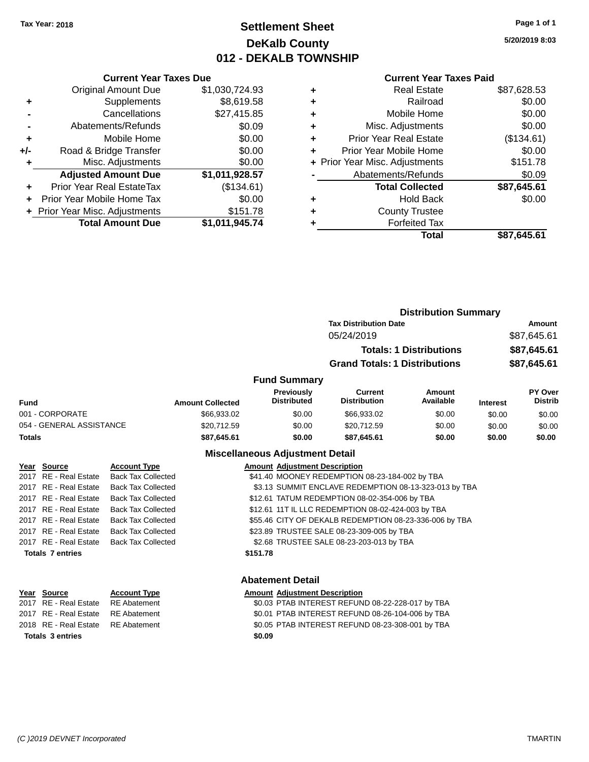### **Settlement Sheet Tax Year: 2018 Page 1 of 1 DeKalb County 012 - DEKALB TOWNSHIP**

**5/20/2019 8:03**

|  | <b>Current Year Taxes Paid</b> |  |  |  |
|--|--------------------------------|--|--|--|
|--|--------------------------------|--|--|--|

|     | <b>Current Year Taxes Due</b>  |                |  |  |
|-----|--------------------------------|----------------|--|--|
|     | <b>Original Amount Due</b>     | \$1,030,724.93 |  |  |
| ٠   | Supplements                    | \$8,619.58     |  |  |
|     | Cancellations                  | \$27,415.85    |  |  |
|     | Abatements/Refunds             | \$0.09         |  |  |
| ٠   | Mobile Home                    | \$0.00         |  |  |
| +/- | Road & Bridge Transfer         | \$0.00         |  |  |
| ٠   | Misc. Adjustments              | \$0.00         |  |  |
|     | <b>Adjusted Amount Due</b>     | \$1,011,928.57 |  |  |
|     | Prior Year Real EstateTax      | (\$134.61)     |  |  |
| ÷   | Prior Year Mobile Home Tax     | \$0.00         |  |  |
|     | + Prior Year Misc. Adjustments | \$151.78       |  |  |
|     | <b>Total Amount Due</b>        | \$1,011,945.74 |  |  |

| ٠ | <b>Real Estate</b>             | \$87,628.53 |
|---|--------------------------------|-------------|
| ٠ | Railroad                       | \$0.00      |
| ٠ | Mobile Home                    | \$0.00      |
| ٠ | Misc. Adjustments              | \$0.00      |
| ٠ | <b>Prior Year Real Estate</b>  | (\$134.61)  |
| ٠ | Prior Year Mobile Home         | \$0.00      |
|   | + Prior Year Misc. Adjustments | \$151.78    |
|   | Abatements/Refunds             | \$0.09      |
|   | <b>Total Collected</b>         | \$87,645.61 |
| ٠ | <b>Hold Back</b>               | \$0.00      |
|   | <b>County Trustee</b>          |             |
| ٠ | <b>Forfeited Tax</b>           |             |
|   | Total                          | \$87,645.61 |
|   |                                |             |

|                          |                         |                                        |                                      | <b>Distribution Summary</b>    |                 |                                  |
|--------------------------|-------------------------|----------------------------------------|--------------------------------------|--------------------------------|-----------------|----------------------------------|
|                          |                         |                                        | <b>Tax Distribution Date</b>         |                                |                 | Amount                           |
|                          |                         |                                        | 05/24/2019                           |                                |                 | \$87,645.61                      |
|                          |                         |                                        |                                      | <b>Totals: 1 Distributions</b> |                 | \$87,645.61                      |
|                          |                         |                                        | <b>Grand Totals: 1 Distributions</b> |                                |                 | \$87,645.61                      |
|                          |                         | <b>Fund Summary</b>                    |                                      |                                |                 |                                  |
| <b>Fund</b>              | <b>Amount Collected</b> | Previously<br><b>Distributed</b>       | Current<br><b>Distribution</b>       | Amount<br>Available            | <b>Interest</b> | <b>PY Over</b><br><b>Distrib</b> |
| 001 - CORPORATE          | \$66,933.02             | \$0.00                                 | \$66,933.02                          | \$0.00                         | \$0.00          | \$0.00                           |
| 054 - GENERAL ASSISTANCE | \$20.712.59             | \$0.00                                 | \$20.712.59                          | \$0.00                         | \$0.00          | \$0.00                           |
| <b>Totals</b>            | \$87,645.61             | \$0.00                                 | \$87,645.61                          | \$0.00                         | \$0.00          | \$0.00                           |
|                          |                         | <b>Miscellaneous Adjustment Detail</b> |                                      |                                |                 |                                  |

| Year Source             | <b>Account Type</b>       |          | <b>Amount Adjustment Description</b>                   |
|-------------------------|---------------------------|----------|--------------------------------------------------------|
| 2017 RE - Real Estate   | <b>Back Tax Collected</b> |          | \$41.40 MOONEY REDEMPTION 08-23-184-002 by TBA         |
| 2017 RE - Real Estate   | <b>Back Tax Collected</b> |          | \$3.13 SUMMIT ENCLAVE REDEMPTION 08-13-323-013 by TBA  |
| 2017 RE - Real Estate   | <b>Back Tax Collected</b> |          | \$12.61 TATUM REDEMPTION 08-02-354-006 by TBA          |
| 2017 RE - Real Estate   | <b>Back Tax Collected</b> |          | \$12.61 11T IL LLC REDEMPTION 08-02-424-003 by TBA     |
| 2017 RE - Real Estate   | <b>Back Tax Collected</b> |          | \$55.46 CITY OF DEKALB REDEMPTION 08-23-336-006 by TBA |
| 2017 RE - Real Estate   | <b>Back Tax Collected</b> |          | \$23.89 TRUSTEE SALE 08-23-309-005 by TBA              |
| 2017 RE - Real Estate   | <b>Back Tax Collected</b> |          | \$2.68 TRUSTEE SALE 08-23-203-013 by TBA               |
| <b>Totals 7 entries</b> |                           | \$151.78 |                                                        |
|                         |                           |          |                                                        |
| <b>Abatement Detail</b> |                           |          |                                                        |

| Year Source                        | <b>Account Type</b> | <b>Amount Adjustment Description</b>             |
|------------------------------------|---------------------|--------------------------------------------------|
| 2017 RE - Real Estate              | RE Abatement        | \$0.03 PTAB INTEREST REFUND 08-22-228-017 by TBA |
| 2017 RE - Real Estate RE Abatement |                     | \$0.01 PTAB INTEREST REFUND 08-26-104-006 by TBA |
| 2018 RE - Real Estate RE Abatement |                     | \$0.05 PTAB INTEREST REFUND 08-23-308-001 by TBA |
| <b>Totals 3 entries</b>            |                     | \$0.09                                           |
|                                    |                     |                                                  |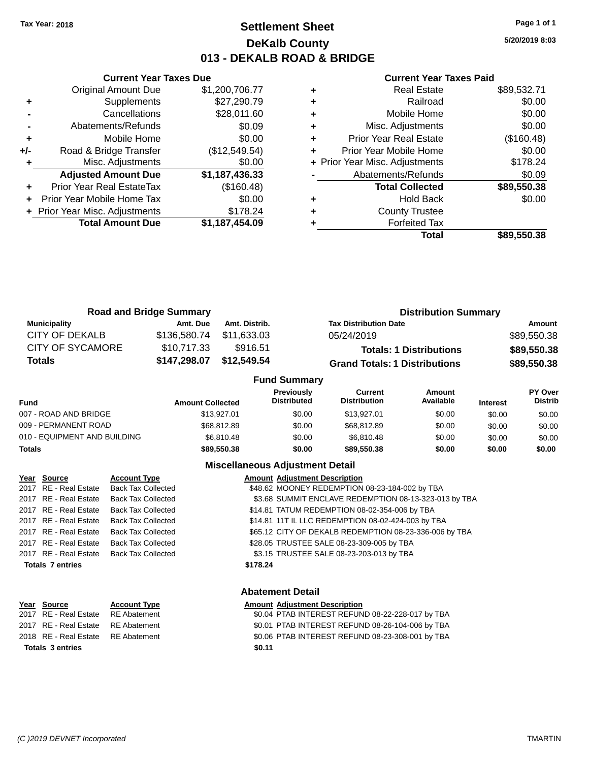### **Settlement Sheet Tax Year: 2018 Page 1 of 1 DeKalb County 013 - DEKALB ROAD & BRIDGE**

**5/20/2019 8:03**

#### **Current Year Taxes Paid**

|     | <b>Original Amount Due</b>     | \$1,200,706.77 |
|-----|--------------------------------|----------------|
| ٠   | Supplements                    | \$27,290.79    |
|     | Cancellations                  | \$28,011.60    |
|     | Abatements/Refunds             | \$0.09         |
| ٠   | Mobile Home                    | \$0.00         |
| +/- | Road & Bridge Transfer         | (\$12,549.54)  |
| ٠   | Misc. Adjustments              | \$0.00         |
|     | <b>Adjusted Amount Due</b>     | \$1,187,436.33 |
| ÷   | Prior Year Real EstateTax      | (\$160.48)     |
|     | Prior Year Mobile Home Tax     | \$0.00         |
|     | + Prior Year Misc. Adjustments | \$178.24       |
|     | <b>Total Amount Due</b>        | \$1,187,454.09 |
|     |                                |                |

**Current Year Taxes Due**

|   | <b>Real Estate</b>             | \$89,532.71 |
|---|--------------------------------|-------------|
| ٠ | Railroad                       | \$0.00      |
| ٠ | Mobile Home                    | \$0.00      |
| ٠ | Misc. Adjustments              | \$0.00      |
| ٠ | <b>Prior Year Real Estate</b>  | (\$160.48)  |
| ٠ | Prior Year Mobile Home         | \$0.00      |
|   | + Prior Year Misc. Adjustments | \$178.24    |
|   | Abatements/Refunds             | \$0.09      |
|   | <b>Total Collected</b>         | \$89,550.38 |
| ٠ | Hold Back                      | \$0.00      |
| ٠ | <b>County Trustee</b>          |             |
|   | <b>Forfeited Tax</b>           |             |
|   | Total                          | \$89,550.38 |
|   |                                |             |

|                         | <b>Road and Bridge Summary</b> |               | <b>Distribution Summary</b>          |             |
|-------------------------|--------------------------------|---------------|--------------------------------------|-------------|
| <b>Municipality</b>     | Amt. Due                       | Amt. Distrib. | <b>Tax Distribution Date</b>         | Amount      |
| <b>CITY OF DEKALB</b>   | \$136,580.74                   | \$11.633.03   | 05/24/2019                           | \$89,550.38 |
| <b>CITY OF SYCAMORE</b> | \$10,717.33                    | \$916.51      | <b>Totals: 1 Distributions</b>       | \$89,550.38 |
| <b>Totals</b>           | \$147,298.07                   | \$12,549.54   | <b>Grand Totals: 1 Distributions</b> | \$89,550.38 |
| <b>Fund Summary</b>     |                                |               |                                      |             |

| Fund                         | <b>Amount Collected</b> | Previously<br><b>Distributed</b> | Current<br><b>Distribution</b> | Amount<br>Available | <b>Interest</b> | PY Over<br><b>Distrib</b> |
|------------------------------|-------------------------|----------------------------------|--------------------------------|---------------------|-----------------|---------------------------|
| 007 - ROAD AND BRIDGE        | \$13,927.01             | \$0.00                           | \$13,927.01                    | \$0.00              | \$0.00          | \$0.00                    |
| 009 - PERMANENT ROAD         | \$68,812.89             | \$0.00                           | \$68,812.89                    | \$0.00              | \$0.00          | \$0.00                    |
| 010 - EQUIPMENT AND BUILDING | \$6.810.48              | \$0.00                           | \$6,810.48                     | \$0.00              | \$0.00          | \$0.00                    |
| Totals                       | \$89,550.38             | \$0.00                           | \$89,550,38                    | \$0.00              | \$0.00          | \$0.00                    |
|                              |                         |                                  |                                |                     |                 |                           |

#### **Miscellaneous Adjustment Detail**

| Year Source             | <b>Account Type</b>       | <b>Amount Adjustment Description</b>                   |  |
|-------------------------|---------------------------|--------------------------------------------------------|--|
| 2017 RE - Real Estate   | <b>Back Tax Collected</b> | \$48.62 MOONEY REDEMPTION 08-23-184-002 by TBA         |  |
| 2017 RE - Real Estate   | <b>Back Tax Collected</b> | \$3.68 SUMMIT ENCLAVE REDEMPTION 08-13-323-013 by TBA  |  |
| 2017 RE - Real Estate   | <b>Back Tax Collected</b> | \$14.81 TATUM REDEMPTION 08-02-354-006 by TBA          |  |
| 2017 RE - Real Estate   | <b>Back Tax Collected</b> | \$14.81 11T IL LLC REDEMPTION 08-02-424-003 by TBA     |  |
| 2017 RE - Real Estate   | <b>Back Tax Collected</b> | \$65.12 CITY OF DEKALB REDEMPTION 08-23-336-006 by TBA |  |
| 2017 RE - Real Estate   | <b>Back Tax Collected</b> | \$28.05 TRUSTEE SALE 08-23-309-005 by TBA              |  |
| 2017 RE - Real Estate   | <b>Back Tax Collected</b> | \$3.15 TRUSTEE SALE 08-23-203-013 by TBA               |  |
| <b>Totals 7 entries</b> |                           | \$178.24                                               |  |
|                         |                           |                                                        |  |

# **Year Source Account Type Account Type Amount Adjustment Description**<br>2017 RE - Real Estate RE Abatement **Account 1** \$0.04 PTAB INTEREST REFUN **Totals \$0.11 3 entries**

### **Abatement Detail**

### \$0.04 PTAB INTEREST REFUND 08-22-228-017 by TBA 2017 RE - Real Estate RE Abatement \$0.01 PTAB INTEREST REFUND 08-26-104-006 by TBA 2018 RE - Real Estate RE Abatement \$0.06 PTAB INTEREST REFUND 08-23-308-001 by TBA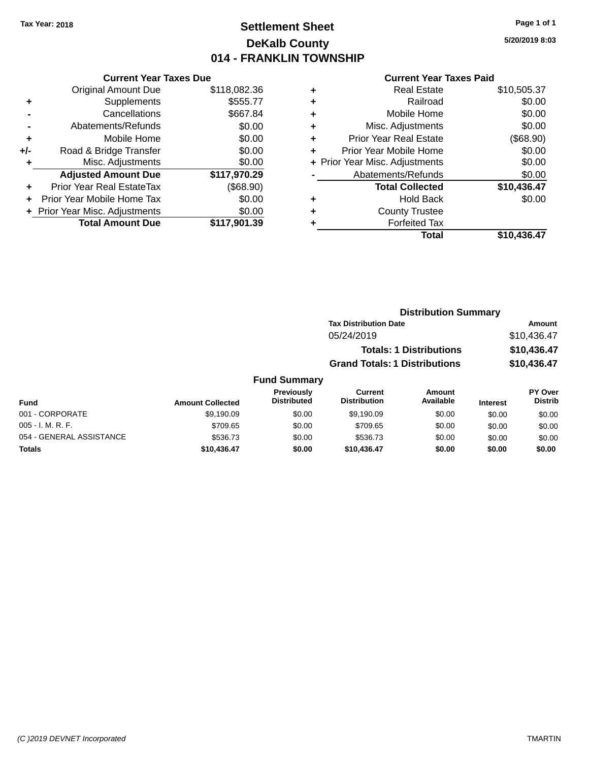### **Settlement Sheet Tax Year: 2018 Page 1 of 1 DeKalb County 014 - FRANKLIN TOWNSHIP**

**5/20/2019 8:03**

#### **Current Year Taxes Paid**

|     | <b>Current Year Taxes Due</b>  |              |
|-----|--------------------------------|--------------|
|     | <b>Original Amount Due</b>     | \$118,082.36 |
| ٠   | Supplements                    | \$555.77     |
|     | Cancellations                  | \$667.84     |
|     | Abatements/Refunds             | \$0.00       |
| ٠   | Mobile Home                    | \$0.00       |
| +/- | Road & Bridge Transfer         | \$0.00       |
| ٠   | Misc. Adjustments              | \$0.00       |
|     | <b>Adjusted Amount Due</b>     | \$117,970.29 |
| ٠   | Prior Year Real EstateTax      | (\$68.90)    |
|     | Prior Year Mobile Home Tax     | \$0.00       |
|     | + Prior Year Misc. Adjustments | \$0.00       |
|     | <b>Total Amount Due</b>        | \$117,901.39 |
|     |                                |              |

|   |                                | \$10,505.37 |
|---|--------------------------------|-------------|
| ٠ | Railroad                       | \$0.00      |
| ٠ | Mobile Home                    | \$0.00      |
| ٠ | Misc. Adjustments              | \$0.00      |
| ٠ | <b>Prior Year Real Estate</b>  | (\$68.90)   |
| ٠ | Prior Year Mobile Home         | \$0.00      |
|   | + Prior Year Misc. Adjustments | \$0.00      |
|   | Abatements/Refunds             | \$0.00      |
|   | <b>Total Collected</b>         | \$10,436.47 |
| ٠ | Hold Back                      | \$0.00      |
| ٠ | <b>County Trustee</b>          |             |
| ٠ | <b>Forfeited Tax</b>           |             |
|   | Total                          | \$10,436.47 |
|   |                                |             |

### **Distribution Summary Tax Distribution Date Amount** 05/24/2019 \$10,436.47 **Totals: 1 Distributions \$10,436.47 Grand Totals: 1 Distributions \$10,436.47**

| Fund                     | <b>Amount Collected</b> | <b>Previously</b><br><b>Distributed</b> | Current<br><b>Distribution</b> | Amount<br>Available | <b>Interest</b> | <b>PY Over</b><br><b>Distrib</b> |
|--------------------------|-------------------------|-----------------------------------------|--------------------------------|---------------------|-----------------|----------------------------------|
| 001 - CORPORATE          | \$9,190.09              | \$0.00                                  | \$9.190.09                     | \$0.00              | \$0.00          | \$0.00                           |
| $005 - I. M. R. F.$      | \$709.65                | \$0.00                                  | \$709.65                       | \$0.00              | \$0.00          | \$0.00                           |
| 054 - GENERAL ASSISTANCE | \$536.73                | \$0.00                                  | \$536.73                       | \$0.00              | \$0.00          | \$0.00                           |
| <b>Totals</b>            | \$10,436.47             | \$0.00                                  | \$10,436,47                    | \$0.00              | \$0.00          | \$0.00                           |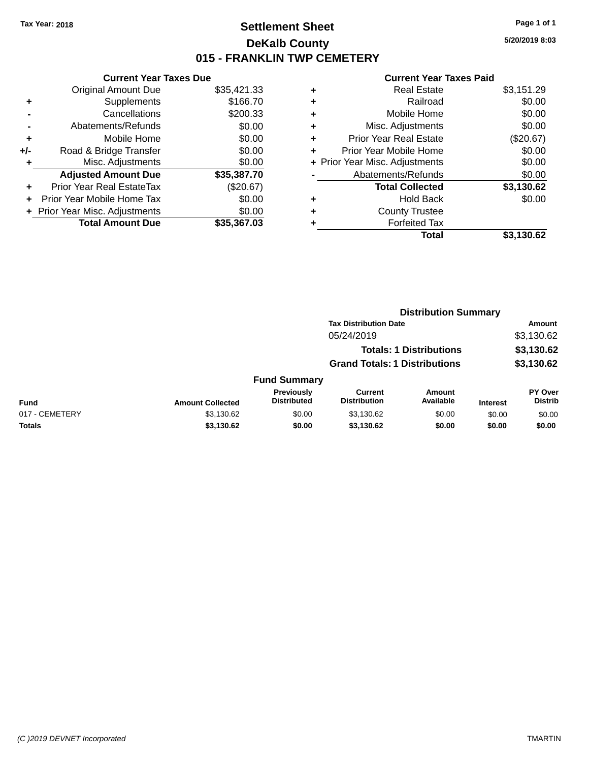### **Settlement Sheet Tax Year: 2018 Page 1 of 1 DeKalb County 015 - FRANKLIN TWP CEMETERY**

**5/20/2019 8:03**

|     | <b>Current Year Taxes Due</b>            |             |  |  |  |  |
|-----|------------------------------------------|-------------|--|--|--|--|
|     | <b>Original Amount Due</b>               | \$35,421.33 |  |  |  |  |
| ٠   | \$166.70<br>Supplements                  |             |  |  |  |  |
|     | Cancellations                            | \$200.33    |  |  |  |  |
|     | Abatements/Refunds                       | \$0.00      |  |  |  |  |
| ٠   | \$0.00<br>Mobile Home                    |             |  |  |  |  |
| +/- | Road & Bridge Transfer                   | \$0.00      |  |  |  |  |
|     | Misc. Adjustments<br>\$0.00              |             |  |  |  |  |
|     | <b>Adjusted Amount Due</b>               | \$35,387.70 |  |  |  |  |
| ÷   | Prior Year Real EstateTax                | (\$20.67)   |  |  |  |  |
|     | \$0.00<br>Prior Year Mobile Home Tax     |             |  |  |  |  |
|     | \$0.00<br>+ Prior Year Misc. Adjustments |             |  |  |  |  |
|     | <b>Total Amount Due</b>                  | \$35,367,03 |  |  |  |  |

|   | <b>Real Estate</b>             | \$3,151.29 |
|---|--------------------------------|------------|
| ٠ | Railroad                       | \$0.00     |
| ٠ | Mobile Home                    | \$0.00     |
| ٠ | Misc. Adjustments              | \$0.00     |
| ٠ | <b>Prior Year Real Estate</b>  | (\$20.67)  |
| ٠ | Prior Year Mobile Home         | \$0.00     |
|   | + Prior Year Misc. Adjustments | \$0.00     |
|   | Abatements/Refunds             | \$0.00     |
|   | <b>Total Collected</b>         | \$3,130.62 |
| ٠ | Hold Back                      | \$0.00     |
|   | <b>County Trustee</b>          |            |
| ٠ | <b>Forfeited Tax</b>           |            |
|   | Total                          | \$3,130.62 |
|   |                                |            |

|                |                         |                                  | <b>Distribution Summary</b>           |                                |                 |                                  |  |
|----------------|-------------------------|----------------------------------|---------------------------------------|--------------------------------|-----------------|----------------------------------|--|
|                |                         |                                  | <b>Tax Distribution Date</b>          |                                |                 | <b>Amount</b>                    |  |
|                |                         |                                  | 05/24/2019                            |                                |                 | \$3,130.62                       |  |
|                |                         |                                  |                                       | <b>Totals: 1 Distributions</b> |                 | \$3,130.62                       |  |
|                |                         |                                  | <b>Grand Totals: 1 Distributions</b>  |                                |                 | \$3,130.62                       |  |
|                |                         | <b>Fund Summary</b>              |                                       |                                |                 |                                  |  |
| <b>Fund</b>    | <b>Amount Collected</b> | Previously<br><b>Distributed</b> | <b>Current</b><br><b>Distribution</b> | <b>Amount</b><br>Available     | <b>Interest</b> | <b>PY Over</b><br><b>Distrib</b> |  |
| 017 - CEMETERY | \$3,130.62              | \$0.00                           | \$3,130.62                            | \$0.00                         | \$0.00          | \$0.00                           |  |
| <b>Totals</b>  | \$3,130.62              | \$0.00                           | \$3,130.62                            | \$0.00                         | \$0.00          | \$0.00                           |  |
|                |                         |                                  |                                       |                                |                 |                                  |  |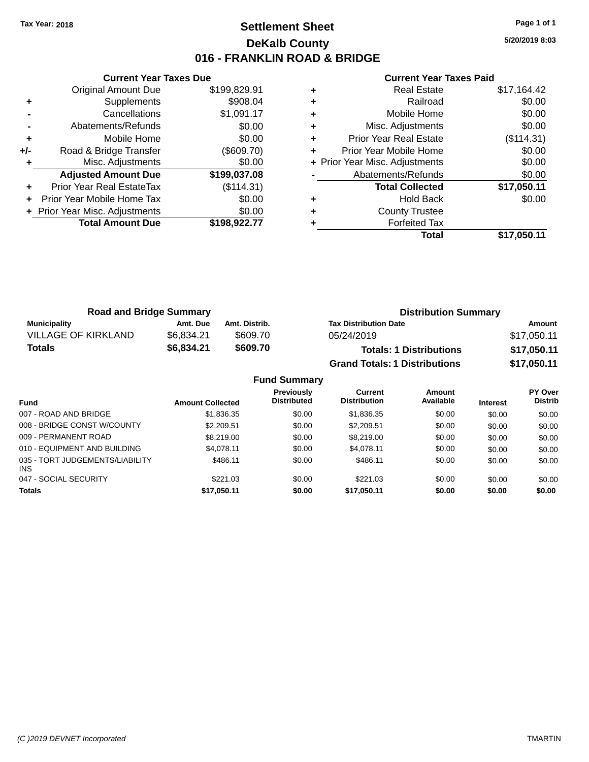### **Settlement Sheet Tax Year: 2018 Page 1 of 1 DeKalb County 016 - FRANKLIN ROAD & BRIDGE**

**5/20/2019 8:03**

|       | <b>Current Year Taxes Due</b>  |              |
|-------|--------------------------------|--------------|
|       | <b>Original Amount Due</b>     | \$199,829.91 |
| ٠     | Supplements                    | \$908.04     |
|       | Cancellations                  | \$1,091.17   |
|       | Abatements/Refunds             | \$0.00       |
| ٠     | Mobile Home                    | \$0.00       |
| $+/-$ | Road & Bridge Transfer         | (\$609.70)   |
|       | Misc. Adjustments              | \$0.00       |
|       | <b>Adjusted Amount Due</b>     | \$199,037.08 |
| ٠     | Prior Year Real EstateTax      | (\$114.31)   |
|       | Prior Year Mobile Home Tax     | \$0.00       |
|       | + Prior Year Misc. Adjustments | \$0.00       |
|       | <b>Total Amount Due</b>        | \$198,922.77 |
|       |                                |              |

| ٠ | <b>Real Estate</b>             | \$17,164.42 |
|---|--------------------------------|-------------|
| ٠ | Railroad                       | \$0.00      |
| ٠ | Mobile Home                    | \$0.00      |
| ٠ | Misc. Adjustments              | \$0.00      |
| ٠ | <b>Prior Year Real Estate</b>  | (\$114.31)  |
| ٠ | Prior Year Mobile Home         | \$0.00      |
|   | + Prior Year Misc. Adjustments | \$0.00      |
|   | Abatements/Refunds             | \$0.00      |
|   | <b>Total Collected</b>         | \$17,050.11 |
| ٠ | <b>Hold Back</b>               | \$0.00      |
| ٠ | <b>County Trustee</b>          |             |
|   | <b>Forfeited Tax</b>           |             |
|   | Total                          | \$17.050.11 |

| <b>Road and Bridge Summary</b> |            |               | <b>Distribution Summary</b>          |             |  |
|--------------------------------|------------|---------------|--------------------------------------|-------------|--|
| <b>Municipality</b>            | Amt. Due   | Amt. Distrib. | <b>Tax Distribution Date</b>         | Amount      |  |
| <b>VILLAGE OF KIRKLAND</b>     | \$6.834.21 | \$609.70      | 05/24/2019                           | \$17,050.11 |  |
| <b>Totals</b>                  | \$6,834.21 | \$609.70      | <b>Totals: 1 Distributions</b>       | \$17,050.11 |  |
|                                |            |               | <b>Grand Totals: 1 Distributions</b> | \$17,050.11 |  |

|                                         |                         | <b>Fund Summary</b>                     |                                |                     |                 |                           |
|-----------------------------------------|-------------------------|-----------------------------------------|--------------------------------|---------------------|-----------------|---------------------------|
| <b>Fund</b>                             | <b>Amount Collected</b> | <b>Previously</b><br><b>Distributed</b> | Current<br><b>Distribution</b> | Amount<br>Available | <b>Interest</b> | PY Over<br><b>Distrib</b> |
| 007 - ROAD AND BRIDGE                   | \$1,836.35              | \$0.00                                  | \$1,836.35                     | \$0.00              | \$0.00          | \$0.00                    |
| 008 - BRIDGE CONST W/COUNTY             | \$2,209.51              | \$0.00                                  | \$2,209.51                     | \$0.00              | \$0.00          | \$0.00                    |
| 009 - PERMANENT ROAD                    | \$8,219,00              | \$0.00                                  | \$8,219,00                     | \$0.00              | \$0.00          | \$0.00                    |
| 010 - EQUIPMENT AND BUILDING            | \$4.078.11              | \$0.00                                  | \$4.078.11                     | \$0.00              | \$0.00          | \$0.00                    |
| 035 - TORT JUDGEMENTS/LIABILITY<br>INS. | \$486.11                | \$0.00                                  | \$486.11                       | \$0.00              | \$0.00          | \$0.00                    |
| 047 - SOCIAL SECURITY                   | \$221.03                | \$0.00                                  | \$221.03                       | \$0.00              | \$0.00          | \$0.00                    |
| <b>Totals</b>                           | \$17,050.11             | \$0.00                                  | \$17,050.11                    | \$0.00              | \$0.00          | \$0.00                    |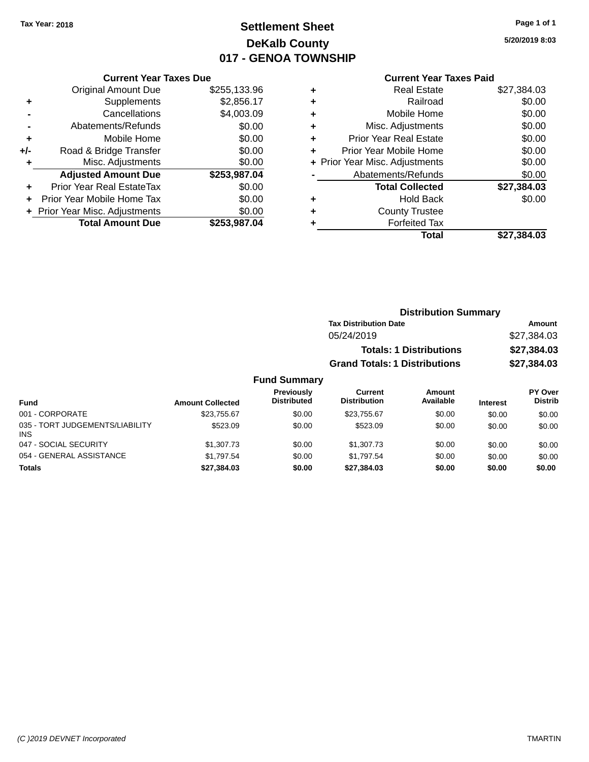## **Settlement Sheet Tax Year: 2018 Page 1 of 1 DeKalb County 017 - GENOA TOWNSHIP**

**5/20/2019 8:03**

| <b>Current Y</b> |
|------------------|

| <b>Current Year Taxes Due</b>    |                                |  |  |
|----------------------------------|--------------------------------|--|--|
| <b>Original Amount Due</b>       | \$255,133.96                   |  |  |
| Supplements                      | \$2,856.17                     |  |  |
| Cancellations                    | \$4,003.09                     |  |  |
| Abatements/Refunds               | \$0.00                         |  |  |
| Mobile Home                      | \$0.00                         |  |  |
| Road & Bridge Transfer           | \$0.00                         |  |  |
| Misc. Adjustments                | \$0.00                         |  |  |
| <b>Adjusted Amount Due</b>       | \$253,987.04                   |  |  |
| <b>Prior Year Real EstateTax</b> | \$0.00                         |  |  |
| Prior Year Mobile Home Tax       | \$0.00                         |  |  |
|                                  | \$0.00                         |  |  |
| <b>Total Amount Due</b>          | \$253,987.04                   |  |  |
|                                  |                                |  |  |
|                                  | + Prior Year Misc. Adjustments |  |  |

|   | <b>Current Year Taxes Paid</b> |             |
|---|--------------------------------|-------------|
| ٠ | <b>Real Estate</b>             | \$27,384.03 |
| ٠ | Railroad                       | \$0.00      |
| ٠ | Mobile Home                    | \$0.00      |
| ٠ | Misc. Adjustments              | \$0.00      |
| ٠ | <b>Prior Year Real Estate</b>  | \$0.00      |
| ٠ | Prior Year Mobile Home         | \$0.00      |
|   | + Prior Year Misc. Adjustments | \$0.00      |
|   | Abatements/Refunds             | \$0.00      |
|   | <b>Total Collected</b>         | \$27,384.03 |
| ٠ | <b>Hold Back</b>               | \$0.00      |
|   | <b>County Trustee</b>          |             |
|   | <b>Forfeited Tax</b>           |             |
|   | Total                          | \$27,384.03 |
|   |                                |             |

| <b>Distribution Summary</b>          |             |
|--------------------------------------|-------------|
| <b>Tax Distribution Date</b>         | Amount      |
| 05/24/2019                           | \$27,384.03 |
| <b>Totals: 1 Distributions</b>       | \$27,384.03 |
| <b>Grand Totals: 1 Distributions</b> | \$27,384.03 |

| <b>Fund</b>                                   | <b>Amount Collected</b> | <b>Previously</b><br><b>Distributed</b> | Current<br><b>Distribution</b> | Amount<br>Available | <b>Interest</b> | PY Over<br><b>Distrib</b> |
|-----------------------------------------------|-------------------------|-----------------------------------------|--------------------------------|---------------------|-----------------|---------------------------|
| 001 - CORPORATE                               | \$23.755.67             | \$0.00                                  | \$23,755.67                    | \$0.00              | \$0.00          | \$0.00                    |
| 035 - TORT JUDGEMENTS/LIABILITY<br><b>INS</b> | \$523.09                | \$0.00                                  | \$523.09                       | \$0.00              | \$0.00          | \$0.00                    |
| 047 - SOCIAL SECURITY                         | \$1,307.73              | \$0.00                                  | \$1,307.73                     | \$0.00              | \$0.00          | \$0.00                    |
| 054 - GENERAL ASSISTANCE                      | \$1.797.54              | \$0.00                                  | \$1.797.54                     | \$0.00              | \$0.00          | \$0.00                    |
| <b>Totals</b>                                 | \$27,384.03             | \$0.00                                  | \$27.384.03                    | \$0.00              | \$0.00          | \$0.00                    |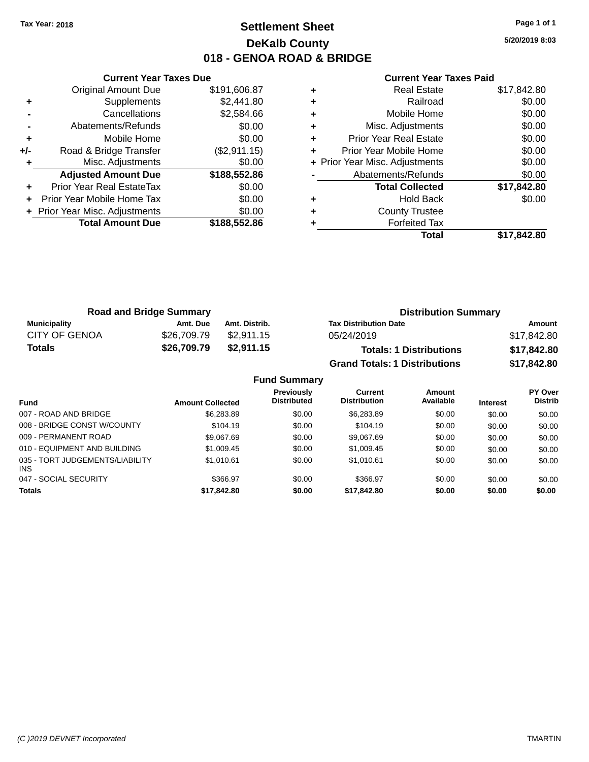### **Settlement Sheet Tax Year: 2018 Page 1 of 1 DeKalb County 018 - GENOA ROAD & BRIDGE**

**5/20/2019 8:03**

|     | <b>Current Year Taxes Due</b>  |              |  |  |  |
|-----|--------------------------------|--------------|--|--|--|
|     | Original Amount Due            | \$191,606.87 |  |  |  |
| ٠   | Supplements                    | \$2,441.80   |  |  |  |
|     | Cancellations                  | \$2,584.66   |  |  |  |
|     | Abatements/Refunds             | \$0.00       |  |  |  |
| ٠   | Mobile Home                    | \$0.00       |  |  |  |
| +/- | Road & Bridge Transfer         | (\$2,911.15) |  |  |  |
| ٠   | Misc. Adjustments              | \$0.00       |  |  |  |
|     | <b>Adjusted Amount Due</b>     | \$188,552.86 |  |  |  |
| ٠   | Prior Year Real EstateTax      | \$0.00       |  |  |  |
| ÷   | Prior Year Mobile Home Tax     | \$0.00       |  |  |  |
|     | + Prior Year Misc. Adjustments | \$0.00       |  |  |  |
|     | <b>Total Amount Due</b>        | \$188,552.86 |  |  |  |
|     |                                |              |  |  |  |

|   | <b>Real Estate</b>             | \$17,842.80 |
|---|--------------------------------|-------------|
| ٠ | Railroad                       | \$0.00      |
| ٠ | Mobile Home                    | \$0.00      |
| ٠ | Misc. Adjustments              | \$0.00      |
| ٠ | Prior Year Real Estate         | \$0.00      |
|   | Prior Year Mobile Home         | \$0.00      |
|   | + Prior Year Misc. Adjustments | \$0.00      |
|   | Abatements/Refunds             | \$0.00      |
|   | <b>Total Collected</b>         | \$17,842.80 |
| ٠ | Hold Back                      | \$0.00      |
| ٠ | <b>County Trustee</b>          |             |
|   | <b>Forfeited Tax</b>           |             |
|   | Total                          | \$17,842.80 |
|   |                                |             |

| <b>Road and Bridge Summary</b> |             |               | <b>Distribution Summary</b>          |             |  |
|--------------------------------|-------------|---------------|--------------------------------------|-------------|--|
| Municipality                   | Amt. Due    | Amt. Distrib. | <b>Tax Distribution Date</b>         | Amount      |  |
| <b>CITY OF GENOA</b>           | \$26,709.79 | \$2.911.15    | 05/24/2019                           | \$17,842.80 |  |
| Totals                         | \$26,709.79 | \$2,911.15    | <b>Totals: 1 Distributions</b>       | \$17,842.80 |  |
|                                |             |               | <b>Grand Totals: 1 Distributions</b> | \$17,842.80 |  |

| <b>Fund Summary</b>                     |                         |                                         |                                       |                     |                 |                                  |
|-----------------------------------------|-------------------------|-----------------------------------------|---------------------------------------|---------------------|-----------------|----------------------------------|
| <b>Fund</b>                             | <b>Amount Collected</b> | <b>Previously</b><br><b>Distributed</b> | <b>Current</b><br><b>Distribution</b> | Amount<br>Available | <b>Interest</b> | <b>PY Over</b><br><b>Distrib</b> |
| 007 - ROAD AND BRIDGE                   | \$6,283.89              | \$0.00                                  | \$6,283.89                            | \$0.00              | \$0.00          | \$0.00                           |
| 008 - BRIDGE CONST W/COUNTY             | \$104.19                | \$0.00                                  | \$104.19                              | \$0.00              | \$0.00          | \$0.00                           |
| 009 - PERMANENT ROAD                    | \$9,067.69              | \$0.00                                  | \$9.067.69                            | \$0.00              | \$0.00          | \$0.00                           |
| 010 - EQUIPMENT AND BUILDING            | \$1,009.45              | \$0.00                                  | \$1,009.45                            | \$0.00              | \$0.00          | \$0.00                           |
| 035 - TORT JUDGEMENTS/LIABILITY<br>INS. | \$1.010.61              | \$0.00                                  | \$1.010.61                            | \$0.00              | \$0.00          | \$0.00                           |
| 047 - SOCIAL SECURITY                   | \$366.97                | \$0.00                                  | \$366.97                              | \$0.00              | \$0.00          | \$0.00                           |
| <b>Totals</b>                           | \$17,842.80             | \$0.00                                  | \$17,842.80                           | \$0.00              | \$0.00          | \$0.00                           |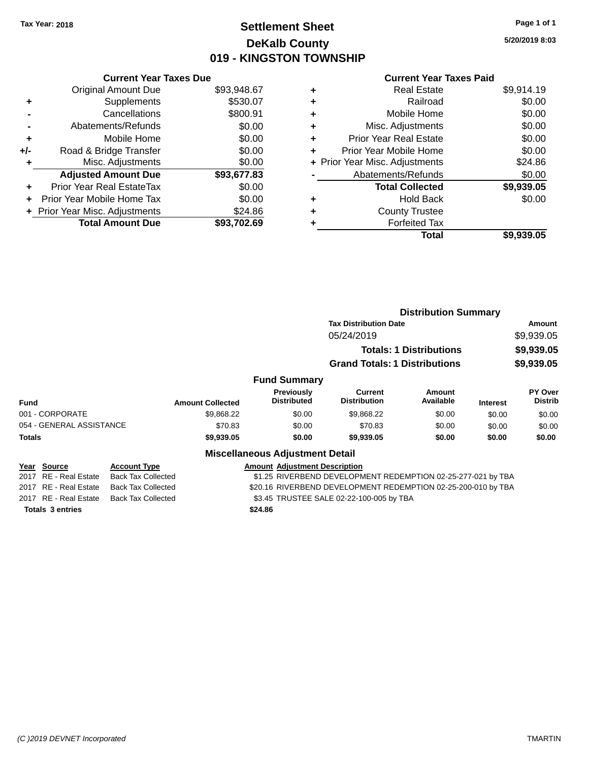### **Settlement Sheet Tax Year: 2018 Page 1 of 1 DeKalb County 019 - KINGSTON TOWNSHIP**

**5/20/2019 8:03**

|       | <b>Current Year Taxes Due</b>             |             |  |  |  |  |  |
|-------|-------------------------------------------|-------------|--|--|--|--|--|
|       | <b>Original Amount Due</b>                | \$93,948.67 |  |  |  |  |  |
| ٠     | \$530.07<br>Supplements                   |             |  |  |  |  |  |
|       | Cancellations                             | \$800.91    |  |  |  |  |  |
|       | \$0.00<br>Abatements/Refunds              |             |  |  |  |  |  |
| ٠     | \$0.00<br>Mobile Home                     |             |  |  |  |  |  |
| $+/-$ | \$0.00<br>Road & Bridge Transfer          |             |  |  |  |  |  |
| ٠     | Misc. Adjustments                         |             |  |  |  |  |  |
|       | <b>Adjusted Amount Due</b>                | \$93,677.83 |  |  |  |  |  |
| ÷     | Prior Year Real EstateTax                 | \$0.00      |  |  |  |  |  |
|       | Prior Year Mobile Home Tax                | \$0.00      |  |  |  |  |  |
|       | \$24.86<br>+ Prior Year Misc. Adjustments |             |  |  |  |  |  |
|       | <b>Total Amount Due</b>                   | \$93.702.69 |  |  |  |  |  |
|       |                                           |             |  |  |  |  |  |

### **Current Year Taxes Paid**

|   | <b>Real Estate</b>             | \$9,914.19 |
|---|--------------------------------|------------|
| ٠ | Railroad                       | \$0.00     |
| ٠ | Mobile Home                    | \$0.00     |
| ٠ | Misc. Adjustments              | \$0.00     |
|   | <b>Prior Year Real Estate</b>  | \$0.00     |
|   | Prior Year Mobile Home         | \$0.00     |
|   | + Prior Year Misc. Adjustments | \$24.86    |
|   | Abatements/Refunds             | \$0.00     |
|   | <b>Total Collected</b>         | \$9,939.05 |
| ٠ | <b>Hold Back</b>               | \$0.00     |
|   | <b>County Trustee</b>          |            |
|   | <b>Forfeited Tax</b>           |            |
|   | Total                          | \$9,939.05 |
|   |                                |            |

|                                                    |                           |            |                                          | <b>Distribution Summary</b>                                   |                                |                 |                           |
|----------------------------------------------------|---------------------------|------------|------------------------------------------|---------------------------------------------------------------|--------------------------------|-----------------|---------------------------|
|                                                    |                           |            |                                          | <b>Tax Distribution Date</b><br>05/24/2019                    |                                |                 | Amount<br>\$9,939.05      |
|                                                    |                           |            |                                          |                                                               | <b>Totals: 1 Distributions</b> |                 | \$9,939.05                |
|                                                    |                           |            |                                          | <b>Grand Totals: 1 Distributions</b>                          |                                |                 | \$9,939.05                |
|                                                    |                           |            | <b>Fund Summary</b>                      |                                                               |                                |                 |                           |
| <b>Fund</b>                                        | <b>Amount Collected</b>   |            | Previously<br><b>Distributed</b>         | <b>Current</b><br><b>Distribution</b>                         | Amount<br>Available            | <b>Interest</b> | PY Over<br><b>Distrib</b> |
| 001 - CORPORATE                                    |                           | \$9,868.22 | \$0.00                                   | \$9,868.22                                                    | \$0.00                         | \$0.00          | \$0.00                    |
| 054 - GENERAL ASSISTANCE                           |                           | \$70.83    | \$0.00                                   | \$70.83                                                       | \$0.00                         | \$0.00          | \$0.00                    |
| <b>Totals</b>                                      |                           | \$9,939.05 | \$0.00                                   | \$9,939.05                                                    | \$0.00                         | \$0.00          | \$0.00                    |
|                                                    |                           |            | <b>Miscellaneous Adjustment Detail</b>   |                                                               |                                |                 |                           |
| Year Source                                        | <b>Account Type</b>       |            | <b>Amount Adiustment Description</b>     |                                                               |                                |                 |                           |
| 2017 RE - Real Estate                              | <b>Back Tax Collected</b> |            |                                          | \$1.25 RIVERBEND DEVELOPMENT REDEMPTION 02-25-277-021 by TBA  |                                |                 |                           |
| 2017 RE - Real Estate<br><b>Back Tax Collected</b> |                           |            |                                          | \$20.16 RIVERBEND DEVELOPMENT REDEMPTION 02-25-200-010 by TBA |                                |                 |                           |
| 2017 RE - Real Estate                              | <b>Back Tax Collected</b> |            | \$3.45 TRUSTEE SALE 02-22-100-005 by TBA |                                                               |                                |                 |                           |
|                                                    |                           |            |                                          |                                                               |                                |                 |                           |

**Totals \$24.86 3 entries**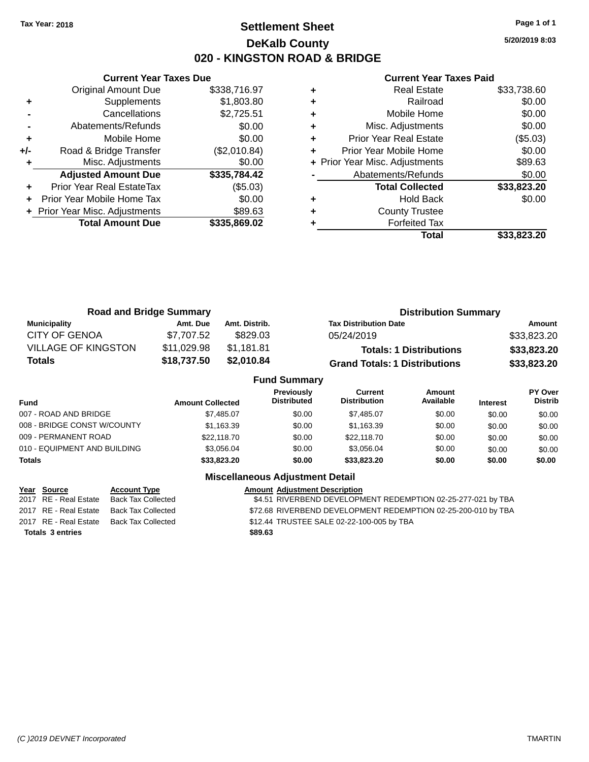### **Settlement Sheet Tax Year: 2018 Page 1 of 1 DeKalb County 020 - KINGSTON ROAD & BRIDGE**

**5/20/2019 8:03**

#### **Current Year Taxes Paid**

|       | <b>Current Year Taxes Due</b>              |              |  |  |  |  |  |
|-------|--------------------------------------------|--------------|--|--|--|--|--|
|       | <b>Original Amount Due</b><br>\$338,716.97 |              |  |  |  |  |  |
| ٠     | \$1,803.80<br>Supplements                  |              |  |  |  |  |  |
|       | Cancellations                              | \$2,725.51   |  |  |  |  |  |
|       | Abatements/Refunds                         | \$0.00       |  |  |  |  |  |
| ٠     | Mobile Home                                |              |  |  |  |  |  |
| $+/-$ | (\$2,010.84)<br>Road & Bridge Transfer     |              |  |  |  |  |  |
|       | Misc. Adjustments                          | \$0.00       |  |  |  |  |  |
|       | <b>Adjusted Amount Due</b>                 | \$335,784.42 |  |  |  |  |  |
|       | Prior Year Real EstateTax                  | (\$5.03)     |  |  |  |  |  |
|       | Prior Year Mobile Home Tax                 | \$0.00       |  |  |  |  |  |
|       | \$89.63<br>+ Prior Year Misc. Adjustments  |              |  |  |  |  |  |
|       | <b>Total Amount Due</b>                    | \$335.869.02 |  |  |  |  |  |
|       |                                            |              |  |  |  |  |  |

|   | <b>Real Estate</b>             | \$33,738.60 |
|---|--------------------------------|-------------|
| ٠ | Railroad                       | \$0.00      |
| ٠ | Mobile Home                    | \$0.00      |
| ٠ | Misc. Adjustments              | \$0.00      |
| ٠ | Prior Year Real Estate         | (\$5.03)    |
| ٠ | Prior Year Mobile Home         | \$0.00      |
|   | + Prior Year Misc. Adjustments | \$89.63     |
|   | Abatements/Refunds             | \$0.00      |
|   | <b>Total Collected</b>         | \$33,823.20 |
| ٠ | <b>Hold Back</b>               | \$0.00      |
| ٠ | <b>County Trustee</b>          |             |
|   | <b>Forfeited Tax</b>           |             |
|   | Total                          | \$33.823.20 |

| <b>Road and Bridge Summary</b> |             |                     | <b>Distribution Summary</b>          |             |
|--------------------------------|-------------|---------------------|--------------------------------------|-------------|
| <b>Municipality</b>            | Amt. Due    | Amt. Distrib.       | <b>Tax Distribution Date</b>         | Amount      |
| <b>CITY OF GENOA</b>           | \$7.707.52  | \$829.03            | 05/24/2019                           | \$33,823.20 |
| <b>VILLAGE OF KINGSTON</b>     | \$11,029.98 | \$1,181.81          | <b>Totals: 1 Distributions</b>       | \$33,823.20 |
| Totals                         | \$18,737.50 | \$2,010.84          | <b>Grand Totals: 1 Distributions</b> | \$33,823.20 |
|                                |             | <b>Fund Summary</b> |                                      |             |

| <b>Fund Summary</b>          |                         |                                         |                                |                     |                 |                           |
|------------------------------|-------------------------|-----------------------------------------|--------------------------------|---------------------|-----------------|---------------------------|
| Fund                         | <b>Amount Collected</b> | <b>Previously</b><br><b>Distributed</b> | Current<br><b>Distribution</b> | Amount<br>Available | <b>Interest</b> | PY Over<br><b>Distrib</b> |
| 007 - ROAD AND BRIDGE        | \$7.485.07              | \$0.00                                  | \$7.485.07                     | \$0.00              | \$0.00          | \$0.00                    |
| 008 - BRIDGE CONST W/COUNTY  | \$1.163.39              | \$0.00                                  | \$1.163.39                     | \$0.00              | \$0.00          | \$0.00                    |
| 009 - PERMANENT ROAD         | \$22,118.70             | \$0.00                                  | \$22,118.70                    | \$0.00              | \$0.00          | \$0.00                    |
| 010 - EQUIPMENT AND BUILDING | \$3.056.04              | \$0.00                                  | \$3.056.04                     | \$0.00              | \$0.00          | \$0.00                    |
| <b>Totals</b>                | \$33,823.20             | \$0.00                                  | \$33.823.20                    | \$0.00              | \$0.00          | \$0.00                    |
|                              |                         |                                         |                                |                     |                 |                           |

### **Miscellaneous Adjustment Detail**

| Year Source             | <b>Account Type</b>                      |         | <b>Amount Adjustment Description</b>                          |
|-------------------------|------------------------------------------|---------|---------------------------------------------------------------|
| 2017 RE - Real Estate   | Back Tax Collected                       |         | \$4.51 RIVERBEND DEVELOPMENT REDEMPTION 02-25-277-021 by TBA  |
|                         | 2017 RE - Real Estate Back Tax Collected |         | \$72.68 RIVERBEND DEVELOPMENT REDEMPTION 02-25-200-010 by TBA |
|                         | 2017 RE - Real Estate Back Tax Collected |         | \$12.44 TRUSTEE SALE 02-22-100-005 by TBA                     |
| <b>Totals 3 entries</b> |                                          | \$89.63 |                                                               |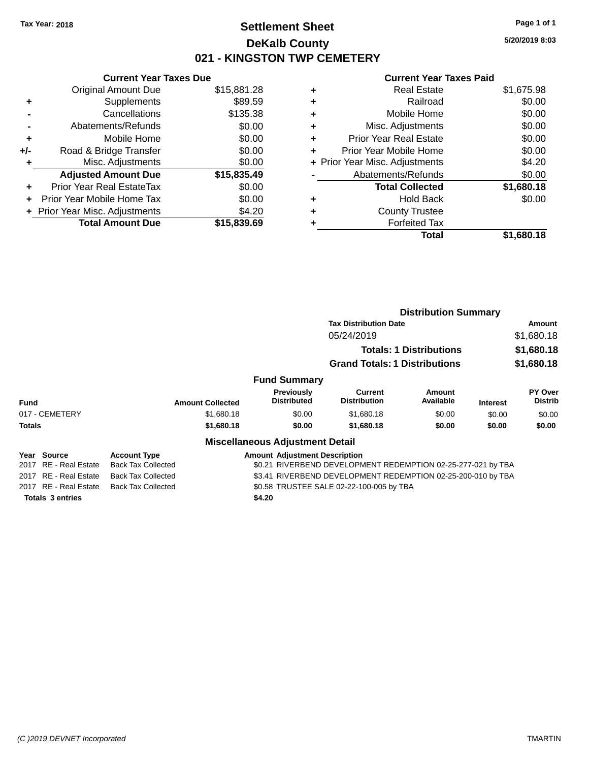### **Settlement Sheet Tax Year: 2018 Page 1 of 1 DeKalb County 021 - KINGSTON TWP CEMETERY**

**Current Year Taxes Due** Original Amount Due \$15,881.28 **+** Supplements \$89.59 **-** Cancellations \$135.38 **-** Abatements/Refunds \$0.00 **+** Mobile Home \$0.00 **+/-** Road & Bridge Transfer \$0.00 **+** Misc. Adjustments \$0.00 **Adjusted Amount Due \$15,835.49 +** Prior Year Real EstateTax \$0.00 **+** Prior Year Mobile Home Tax \$0.00 **+ Prior Year Misc. Adjustments**  $$4.20$ **Total Amount Due \$15,839.69**

|   | <b>Real Estate</b>             | \$1,675.98 |
|---|--------------------------------|------------|
| ٠ | Railroad                       | \$0.00     |
| ÷ | Mobile Home                    | \$0.00     |
| ٠ | Misc. Adjustments              | \$0.00     |
|   | Prior Year Real Estate         | \$0.00     |
|   | Prior Year Mobile Home         | \$0.00     |
|   | + Prior Year Misc. Adjustments | \$4.20     |
|   | Abatements/Refunds             | \$0.00     |
|   | <b>Total Collected</b>         | \$1,680.18 |
| ٠ | Hold Back                      | \$0.00     |
|   | <b>County Trustee</b>          |            |
|   | <b>Forfeited Tax</b>           |            |
|   | Total                          | \$1,680.18 |
|   |                                |            |

|                       |                           |                                         |                                                              | <b>Distribution Summary</b>    |                 |                           |
|-----------------------|---------------------------|-----------------------------------------|--------------------------------------------------------------|--------------------------------|-----------------|---------------------------|
|                       |                           |                                         | <b>Tax Distribution Date</b>                                 |                                |                 | Amount                    |
|                       |                           |                                         | 05/24/2019                                                   |                                |                 | \$1,680.18                |
|                       |                           |                                         |                                                              | <b>Totals: 1 Distributions</b> |                 | \$1,680.18                |
|                       |                           |                                         | <b>Grand Totals: 1 Distributions</b>                         |                                |                 | \$1,680.18                |
|                       |                           | <b>Fund Summary</b>                     |                                                              |                                |                 |                           |
| <b>Fund</b>           | <b>Amount Collected</b>   | <b>Previously</b><br><b>Distributed</b> | Current<br><b>Distribution</b>                               | <b>Amount</b><br>Available     | <b>Interest</b> | PY Over<br><b>Distrib</b> |
| 017 - CEMETERY        | \$1,680.18                | \$0.00                                  | \$1,680.18                                                   | \$0.00                         | \$0.00          | \$0.00                    |
| <b>Totals</b>         | \$1,680.18                | \$0.00                                  | \$1,680.18                                                   | \$0.00                         | \$0.00          | \$0.00                    |
|                       |                           | <b>Miscellaneous Adjustment Detail</b>  |                                                              |                                |                 |                           |
| Year Source           | <b>Account Type</b>       | <b>Amount Adjustment Description</b>    |                                                              |                                |                 |                           |
| 2017 RE - Real Estate | <b>Back Tax Collected</b> |                                         | \$0.21 RIVERBEND DEVELOPMENT REDEMPTION 02-25-277-021 by TBA |                                |                 |                           |
| 2017 RE - Real Estate | <b>Back Tax Collected</b> |                                         | \$3.41 RIVERBEND DEVELOPMENT REDEMPTION 02-25-200-010 by TBA |                                |                 |                           |
| 2017 RE - Real Estate | <b>Back Tax Collected</b> |                                         | \$0.58 TRUSTEE SALE 02-22-100-005 by TBA                     |                                |                 |                           |
| Totals 3 entries      |                           | \$4.20                                  |                                                              |                                |                 |                           |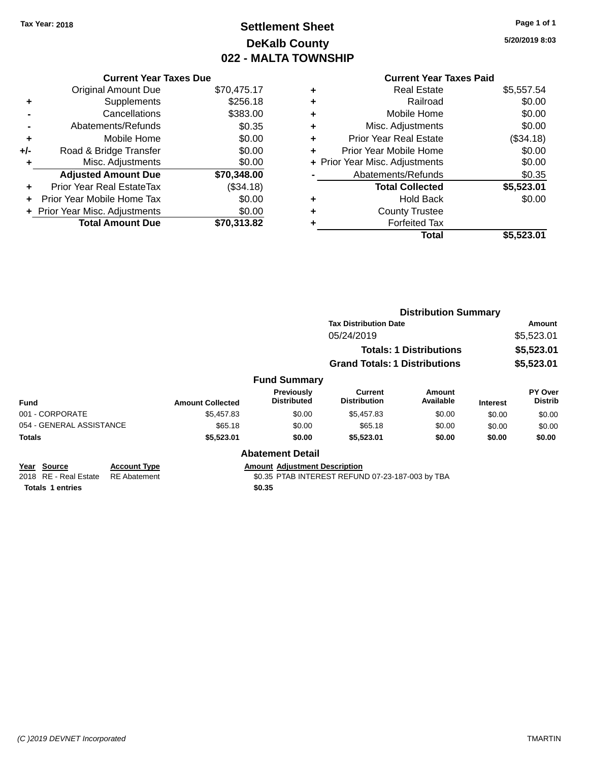## **Settlement Sheet Tax Year: 2018 Page 1 of 1 DeKalb County 022 - MALTA TOWNSHIP**

**5/20/2019 8:03**

**Total \$5,523.01**

|     | <b>Current Year Taxes Due</b>  |             |
|-----|--------------------------------|-------------|
|     | <b>Original Amount Due</b>     | \$70,475.17 |
| ٠   | Supplements                    | \$256.18    |
|     | Cancellations                  | \$383.00    |
|     | Abatements/Refunds             | \$0.35      |
| ٠   | Mobile Home                    | \$0.00      |
| +/- | Road & Bridge Transfer         | \$0.00      |
|     | Misc. Adjustments              | \$0.00      |
|     | <b>Adjusted Amount Due</b>     | \$70,348.00 |
| ٠   | Prior Year Real EstateTax      | (\$34.18)   |
|     | Prior Year Mobile Home Tax     | \$0.00      |
|     | + Prior Year Misc. Adjustments | \$0.00      |
|     | <b>Total Amount Due</b>        | \$70,313.82 |
|     |                                |             |

#### **Current Year Taxes Paid +** Real Estate \$5,557.54 **+** Railroad \$0.00 **+** Mobile Home \$0.00 **+** Misc. Adjustments \$0.00 **+** Prior Year Real Estate (\$34.18) **+** Prior Year Mobile Home \$0.00<br> **+** Prior Year Misc. Adjustments \$0.00 **+ Prior Year Misc. Adjustments -** Abatements/Refunds \$0.35 **Total Collected \$5,523.01 +** Hold Back \$0.00 **+** County Trustee

**+** Forfeited Tax

|                                                                                       |                         |                                         | <b>Distribution Summary</b>                      |                                |                 |                                  |
|---------------------------------------------------------------------------------------|-------------------------|-----------------------------------------|--------------------------------------------------|--------------------------------|-----------------|----------------------------------|
|                                                                                       |                         |                                         | <b>Tax Distribution Date</b>                     |                                |                 | Amount                           |
|                                                                                       |                         |                                         | 05/24/2019                                       |                                |                 | \$5,523.01                       |
|                                                                                       |                         |                                         |                                                  | <b>Totals: 1 Distributions</b> |                 | \$5,523.01                       |
|                                                                                       |                         |                                         | <b>Grand Totals: 1 Distributions</b>             |                                |                 | \$5,523.01                       |
|                                                                                       |                         | <b>Fund Summary</b>                     |                                                  |                                |                 |                                  |
| <b>Fund</b>                                                                           | <b>Amount Collected</b> | <b>Previously</b><br><b>Distributed</b> | <b>Current</b><br><b>Distribution</b>            | Amount<br>Available            | <b>Interest</b> | <b>PY Over</b><br><b>Distrib</b> |
| 001 - CORPORATE                                                                       | \$5,457.83              | \$0.00                                  | \$5,457.83                                       | \$0.00                         | \$0.00          | \$0.00                           |
| 054 - GENERAL ASSISTANCE                                                              | \$65.18                 | \$0.00                                  | \$65.18                                          | \$0.00                         | \$0.00          | \$0.00                           |
| Totals                                                                                | \$5,523.01              | \$0.00                                  | \$5,523.01                                       | \$0.00                         | \$0.00          | \$0.00                           |
|                                                                                       |                         | <b>Abatement Detail</b>                 |                                                  |                                |                 |                                  |
| Year<br><b>Account Type</b><br>Source<br>2018 RE - Real Estate<br><b>RE</b> Abatement |                         | <b>Amount Adjustment Description</b>    | \$0.35 PTAB INTEREST REFUND 07-23-187-003 by TBA |                                |                 |                                  |
| <b>Totals 1 entries</b>                                                               |                         | \$0.35                                  |                                                  |                                |                 |                                  |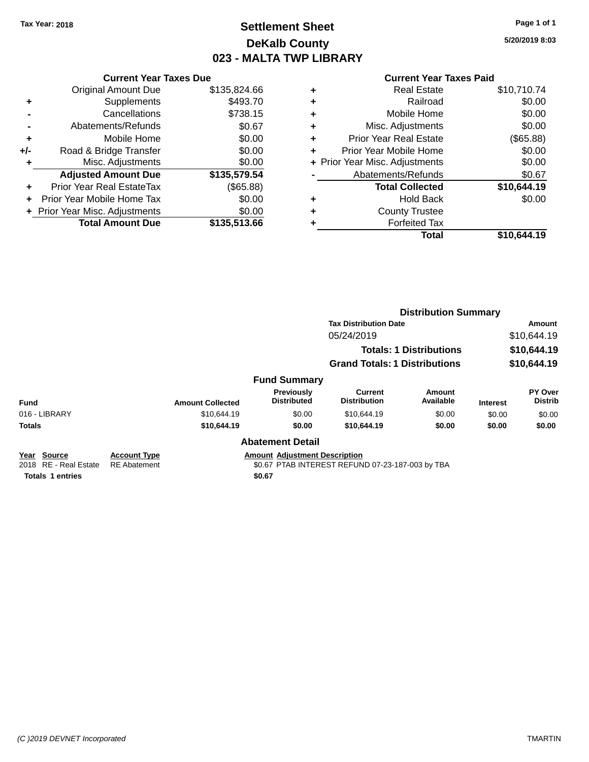### **Settlement Sheet Tax Year: 2018 Page 1 of 1 DeKalb County 023 - MALTA TWP LIBRARY**

**5/20/2019 8:03**

#### **Current Year Taxes Paid**

|     | <b>Current Year Taxes Due</b>  |              |
|-----|--------------------------------|--------------|
|     | <b>Original Amount Due</b>     | \$135,824.66 |
| ٠   | Supplements                    | \$493.70     |
|     | Cancellations                  | \$738.15     |
|     | Abatements/Refunds             | \$0.67       |
| ٠   | Mobile Home                    | \$0.00       |
| +/- | Road & Bridge Transfer         | \$0.00       |
| ٠   | Misc. Adjustments              | \$0.00       |
|     | <b>Adjusted Amount Due</b>     | \$135,579.54 |
| ÷   | Prior Year Real EstateTax      | (\$65.88)    |
|     | Prior Year Mobile Home Tax     | \$0.00       |
|     | + Prior Year Misc. Adjustments | \$0.00       |
|     | <b>Total Amount Due</b>        | \$135,513.66 |

| ٠ | <b>Real Estate</b>             | \$10,710.74 |
|---|--------------------------------|-------------|
| ٠ | Railroad                       | \$0.00      |
| ٠ | Mobile Home                    | \$0.00      |
| ٠ | Misc. Adjustments              | \$0.00      |
| ٠ | Prior Year Real Estate         | (\$65.88)   |
| ٠ | Prior Year Mobile Home         | \$0.00      |
|   | + Prior Year Misc. Adjustments | \$0.00      |
|   | Abatements/Refunds             | \$0.67      |
|   | <b>Total Collected</b>         | \$10,644.19 |
| ٠ | Hold Back                      | \$0.00      |
| ٠ | <b>County Trustee</b>          |             |
|   | <b>Forfeited Tax</b>           |             |
|   | Total                          | \$10,644.19 |
|   |                                |             |

|                                      |                                            |                         |                                      | <b>Distribution Summary</b>                      |                                |                 |                           |
|--------------------------------------|--------------------------------------------|-------------------------|--------------------------------------|--------------------------------------------------|--------------------------------|-----------------|---------------------------|
|                                      |                                            |                         |                                      | <b>Tax Distribution Date</b>                     |                                |                 | Amount                    |
|                                      |                                            |                         |                                      | 05/24/2019                                       |                                |                 | \$10,644.19               |
|                                      |                                            |                         |                                      |                                                  | <b>Totals: 1 Distributions</b> |                 | \$10,644.19               |
|                                      |                                            |                         |                                      | <b>Grand Totals: 1 Distributions</b>             |                                |                 | \$10,644.19               |
|                                      |                                            |                         | <b>Fund Summary</b>                  |                                                  |                                |                 |                           |
| <b>Fund</b>                          |                                            | <b>Amount Collected</b> | Previously<br><b>Distributed</b>     | Current<br><b>Distribution</b>                   | Amount<br>Available            | <b>Interest</b> | PY Over<br><b>Distrib</b> |
| 016 - LIBRARY                        |                                            | \$10,644.19             | \$0.00                               | \$10,644.19                                      | \$0.00                         | \$0.00          | \$0.00                    |
| <b>Totals</b>                        |                                            | \$10,644.19             | \$0.00                               | \$10.644.19                                      | \$0.00                         | \$0.00          | \$0.00                    |
|                                      |                                            |                         | <b>Abatement Detail</b>              |                                                  |                                |                 |                           |
| Year Source<br>2018 RE - Real Estate | <b>Account Type</b><br><b>RE</b> Abatement |                         | <b>Amount Adjustment Description</b> | \$0.67 PTAB INTEREST REFUND 07-23-187-003 by TBA |                                |                 |                           |

**Totals \$0.67 1 entries**

*(C )2019 DEVNET Incorporated* TMARTIN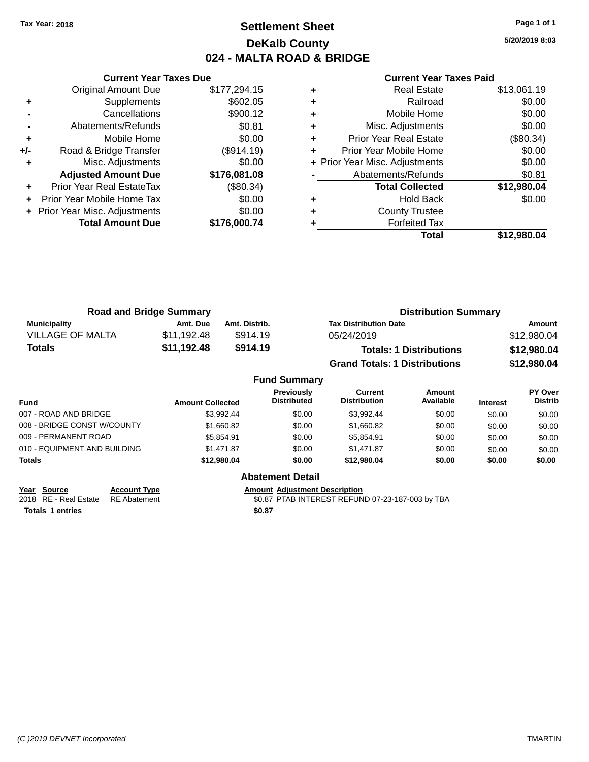### **Settlement Sheet Tax Year: 2018 Page 1 of 1 DeKalb County 024 - MALTA ROAD & BRIDGE**

**5/20/2019 8:03**

|     | <b>Current Year Taxes Due</b>  |              |
|-----|--------------------------------|--------------|
|     | <b>Original Amount Due</b>     | \$177,294.15 |
| ٠   | Supplements                    | \$602.05     |
|     | Cancellations                  | \$900.12     |
|     | Abatements/Refunds             | \$0.81       |
| ٠   | Mobile Home                    | \$0.00       |
| +/- | Road & Bridge Transfer         | (\$914.19)   |
| ٠   | Misc. Adjustments              | \$0.00       |
|     | <b>Adjusted Amount Due</b>     | \$176,081.08 |
| ٠   | Prior Year Real EstateTax      | (\$80.34)    |
| ÷   | Prior Year Mobile Home Tax     | \$0.00       |
|     | + Prior Year Misc. Adjustments | \$0.00       |
|     | <b>Total Amount Due</b>        | \$176,000.74 |
|     |                                |              |

### **Current Year Taxes Paid**

| ٠ | <b>Real Estate</b>             | \$13,061.19 |
|---|--------------------------------|-------------|
| ٠ | Railroad                       | \$0.00      |
| ٠ | Mobile Home                    | \$0.00      |
| ٠ | Misc. Adjustments              | \$0.00      |
| ٠ | <b>Prior Year Real Estate</b>  | (\$80.34)   |
| ٠ | Prior Year Mobile Home         | \$0.00      |
|   | + Prior Year Misc. Adjustments | \$0.00      |
|   | Abatements/Refunds             | \$0.81      |
|   | <b>Total Collected</b>         | \$12,980.04 |
| ٠ | Hold Back                      | \$0.00      |
| ٠ | <b>County Trustee</b>          |             |
| ٠ | <b>Forfeited Tax</b>           |             |
|   | Total                          | \$12,980.04 |
|   |                                |             |

|                         | <b>Road and Bridge Summary</b> |               | <b>Distribution Summary</b>          |             |
|-------------------------|--------------------------------|---------------|--------------------------------------|-------------|
| <b>Municipality</b>     | Amt. Due                       | Amt. Distrib. | <b>Tax Distribution Date</b>         | Amount      |
| <b>VILLAGE OF MALTA</b> | \$11,192.48                    | \$914.19      | 05/24/2019                           | \$12,980.04 |
| <b>Totals</b>           | \$11,192.48                    | \$914.19      | <b>Totals: 1 Distributions</b>       | \$12,980.04 |
|                         |                                |               | <b>Grand Totals: 1 Distributions</b> | \$12,980.04 |

|                              |                         | <b>Fund Summary</b>                     |                                |                            |                 |                           |
|------------------------------|-------------------------|-----------------------------------------|--------------------------------|----------------------------|-----------------|---------------------------|
| <b>Fund</b>                  | <b>Amount Collected</b> | <b>Previously</b><br><b>Distributed</b> | Current<br><b>Distribution</b> | <b>Amount</b><br>Available | <b>Interest</b> | PY Over<br><b>Distrib</b> |
| 007 - ROAD AND BRIDGE        | \$3.992.44              | \$0.00                                  | \$3.992.44                     | \$0.00                     | \$0.00          | \$0.00                    |
| 008 - BRIDGE CONST W/COUNTY  | \$1,660.82              | \$0.00                                  | \$1,660.82                     | \$0.00                     | \$0.00          | \$0.00                    |
| 009 - PERMANENT ROAD         | \$5,854.91              | \$0.00                                  | \$5,854.91                     | \$0.00                     | \$0.00          | \$0.00                    |
| 010 - EQUIPMENT AND BUILDING | \$1,471.87              | \$0.00                                  | \$1,471.87                     | \$0.00                     | \$0.00          | \$0.00                    |
| <b>Totals</b>                | \$12,980,04             | \$0.00                                  | \$12,980,04                    | \$0.00                     | \$0.00          | \$0.00                    |
|                              |                         | <b>Abatement Detail</b>                 |                                |                            |                 |                           |

| Year Source                        | <b>Account Type</b> | <b>Amount Adiustment Description</b> |
|------------------------------------|---------------------|--------------------------------------|
| 2018 RE - Real Estate RE Abatement |                     | \$0.87 PTAB INTEREST REFUN           |
|                                    |                     |                                      |

**Totals \$0.87 1 entries**

2018 RE - Real Estate \$0.87 PTAB INTEREST REFUND 07-23-187-003 by TBA RE Abatement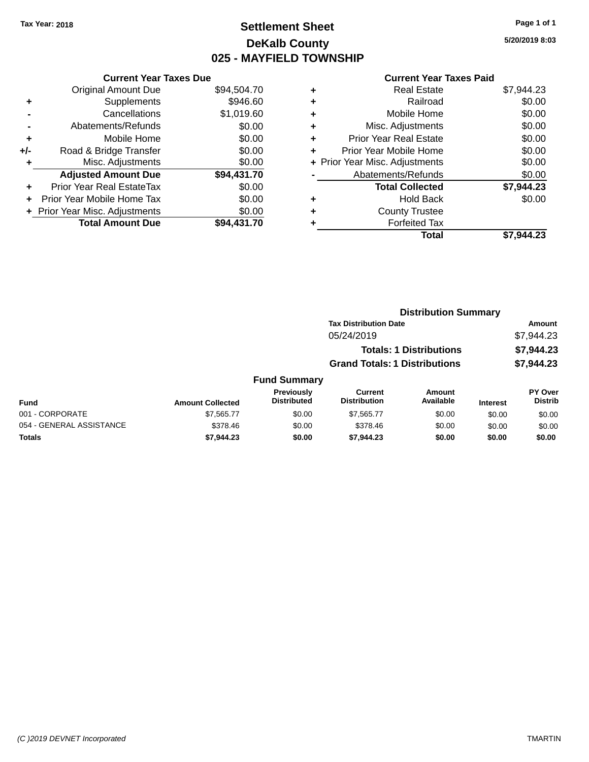### **Settlement Sheet Tax Year: 2018 Page 1 of 1 DeKalb County 025 - MAYFIELD TOWNSHIP**

**5/20/2019 8:03**

#### **Current Year Taxes Paid**

|     | <b>Current Year Taxes Due</b>             |             |  |  |  |  |
|-----|-------------------------------------------|-------------|--|--|--|--|
|     | \$94,504.70<br><b>Original Amount Due</b> |             |  |  |  |  |
| ٠   | \$946.60<br>Supplements                   |             |  |  |  |  |
|     | Cancellations                             | \$1,019.60  |  |  |  |  |
|     | Abatements/Refunds                        | \$0.00      |  |  |  |  |
| ٠   | \$0.00<br>Mobile Home                     |             |  |  |  |  |
| +/- | \$0.00<br>Road & Bridge Transfer          |             |  |  |  |  |
|     | Misc. Adjustments                         | \$0.00      |  |  |  |  |
|     | <b>Adjusted Amount Due</b>                | \$94,431.70 |  |  |  |  |
| ÷   | Prior Year Real EstateTax                 | \$0.00      |  |  |  |  |
|     | \$0.00<br>Prior Year Mobile Home Tax      |             |  |  |  |  |
|     | \$0.00<br>+ Prior Year Misc. Adjustments  |             |  |  |  |  |
|     | <b>Total Amount Due</b>                   | \$94.431.70 |  |  |  |  |

|   | Real Estate                    | \$7,944.23 |
|---|--------------------------------|------------|
| ٠ | Railroad                       | \$0.00     |
| ٠ | Mobile Home                    | \$0.00     |
| ٠ | Misc. Adjustments              | \$0.00     |
| ٠ | <b>Prior Year Real Estate</b>  | \$0.00     |
| ÷ | Prior Year Mobile Home         | \$0.00     |
|   | + Prior Year Misc. Adjustments | \$0.00     |
|   | Abatements/Refunds             | \$0.00     |
|   | <b>Total Collected</b>         | \$7,944.23 |
| ٠ | Hold Back                      | \$0.00     |
| ٠ | <b>County Trustee</b>          |            |
|   | <b>Forfeited Tax</b>           |            |
|   | Total                          | \$7,944.23 |
|   |                                |            |

|                          |                         |                                  |                                       | <b>Distribution Summary</b>    |                 |                           |
|--------------------------|-------------------------|----------------------------------|---------------------------------------|--------------------------------|-----------------|---------------------------|
|                          |                         |                                  | <b>Tax Distribution Date</b>          |                                |                 | Amount                    |
|                          |                         |                                  | 05/24/2019                            |                                |                 | \$7,944.23                |
|                          |                         |                                  |                                       | <b>Totals: 1 Distributions</b> |                 | \$7,944.23                |
|                          |                         |                                  | <b>Grand Totals: 1 Distributions</b>  |                                |                 | \$7,944.23                |
|                          |                         | <b>Fund Summary</b>              |                                       |                                |                 |                           |
| <b>Fund</b>              | <b>Amount Collected</b> | Previously<br><b>Distributed</b> | <b>Current</b><br><b>Distribution</b> | Amount<br>Available            | <b>Interest</b> | PY Over<br><b>Distrib</b> |
| 001 - CORPORATE          | \$7,565.77              | \$0.00                           | \$7,565.77                            | \$0.00                         | \$0.00          | \$0.00                    |
| 054 - GENERAL ASSISTANCE | \$378.46                | \$0.00                           | \$378.46                              | \$0.00                         | \$0.00          | \$0.00                    |

**Totals \$7,944.23 \$0.00 \$7,944.23 \$0.00 \$0.00 \$0.00**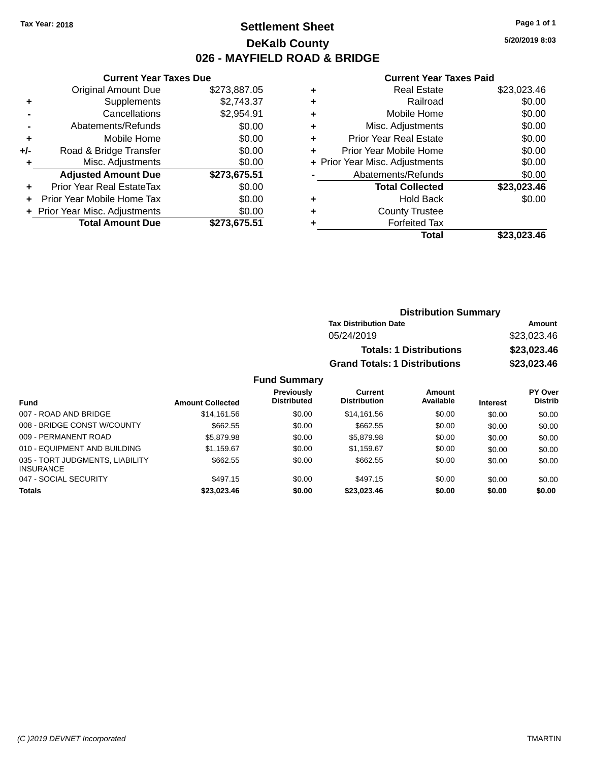### **Settlement Sheet Tax Year: 2018 Page 1 of 1 DeKalb County 026 - MAYFIELD ROAD & BRIDGE**

**5/20/2019 8:03**

#### **Current Year Taxes Paid**

|     | <b>Current Year Taxes Due</b> |              |
|-----|-------------------------------|--------------|
|     | <b>Original Amount Due</b>    | \$273,887.05 |
| ٠   | Supplements                   | \$2,743.37   |
|     | Cancellations                 | \$2,954.91   |
|     | Abatements/Refunds            | \$0.00       |
| ٠   | Mobile Home                   | \$0.00       |
| +/- | Road & Bridge Transfer        | \$0.00       |
|     | Misc. Adjustments             | \$0.00       |
|     | <b>Adjusted Amount Due</b>    | \$273,675.51 |
| ÷   | Prior Year Real EstateTax     | \$0.00       |
| ÷   | Prior Year Mobile Home Tax    | \$0.00       |
|     | Prior Year Misc. Adjustments  | \$0.00       |
|     | <b>Total Amount Due</b>       | \$273,675.51 |

|   | <b>Real Estate</b>             | \$23,023.46 |
|---|--------------------------------|-------------|
| ٠ | Railroad                       | \$0.00      |
| ٠ | Mobile Home                    | \$0.00      |
| ٠ | Misc. Adjustments              | \$0.00      |
| ٠ | <b>Prior Year Real Estate</b>  | \$0.00      |
| ٠ | Prior Year Mobile Home         | \$0.00      |
|   | + Prior Year Misc. Adjustments | \$0.00      |
|   | Abatements/Refunds             | \$0.00      |
|   | <b>Total Collected</b>         | \$23,023.46 |
| ٠ | <b>Hold Back</b>               | \$0.00      |
| ٠ | <b>County Trustee</b>          |             |
| ٠ | <b>Forfeited Tax</b>           |             |
|   | Total                          | \$23.023.46 |
|   |                                |             |

| <b>Distribution Summary</b>          |             |  |  |
|--------------------------------------|-------------|--|--|
| <b>Tax Distribution Date</b>         | Amount      |  |  |
| 05/24/2019                           | \$23,023.46 |  |  |
| <b>Totals: 1 Distributions</b>       | \$23,023.46 |  |  |
| <b>Grand Totals: 1 Distributions</b> | \$23,023.46 |  |  |

| Fund                                                | <b>Amount Collected</b> | Previously<br><b>Distributed</b> | Current<br><b>Distribution</b> | Amount<br>Available | <b>Interest</b> | PY Over<br><b>Distrib</b> |
|-----------------------------------------------------|-------------------------|----------------------------------|--------------------------------|---------------------|-----------------|---------------------------|
| 007 - ROAD AND BRIDGE                               | \$14.161.56             | \$0.00                           | \$14.161.56                    | \$0.00              | \$0.00          | \$0.00                    |
| 008 - BRIDGE CONST W/COUNTY                         | \$662.55                | \$0.00                           | \$662.55                       | \$0.00              | \$0.00          | \$0.00                    |
| 009 - PERMANENT ROAD                                | \$5,879.98              | \$0.00                           | \$5,879.98                     | \$0.00              | \$0.00          | \$0.00                    |
| 010 - EQUIPMENT AND BUILDING                        | \$1,159.67              | \$0.00                           | \$1.159.67                     | \$0.00              | \$0.00          | \$0.00                    |
| 035 - TORT JUDGMENTS, LIABILITY<br><b>INSURANCE</b> | \$662.55                | \$0.00                           | \$662.55                       | \$0.00              | \$0.00          | \$0.00                    |
| 047 - SOCIAL SECURITY                               | \$497.15                | \$0.00                           | \$497.15                       | \$0.00              | \$0.00          | \$0.00                    |
| <b>Totals</b>                                       | \$23,023.46             | \$0.00                           | \$23,023,46                    | \$0.00              | \$0.00          | \$0.00                    |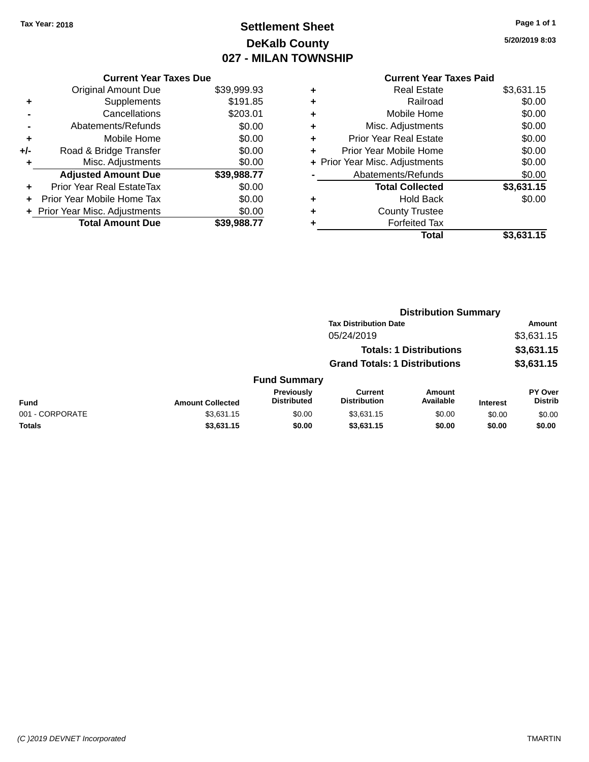## **Settlement Sheet Tax Year: 2018 Page 1 of 1 DeKalb County 027 - MILAN TOWNSHIP**

**5/20/2019 8:03**

|       | <b>Current Year Taxes Due</b>  |             |
|-------|--------------------------------|-------------|
|       | <b>Original Amount Due</b>     | \$39,999.93 |
| ٠     | Supplements                    | \$191.85    |
|       | Cancellations                  | \$203.01    |
|       | Abatements/Refunds             | \$0.00      |
| ٠     | Mobile Home                    | \$0.00      |
| $+/-$ | Road & Bridge Transfer         | \$0.00      |
| ٠     | Misc. Adjustments              | \$0.00      |
|       | <b>Adjusted Amount Due</b>     | \$39,988.77 |
| ٠     | Prior Year Real EstateTax      | \$0.00      |
|       | Prior Year Mobile Home Tax     | \$0.00      |
|       | + Prior Year Misc. Adjustments | \$0.00      |
|       | <b>Total Amount Due</b>        | \$39.988.77 |
|       |                                |             |

| ٠ | <b>Real Estate</b>             | \$3,631.15 |
|---|--------------------------------|------------|
| ٠ | Railroad                       | \$0.00     |
| ٠ | Mobile Home                    | \$0.00     |
| ٠ | Misc. Adjustments              | \$0.00     |
| ٠ | <b>Prior Year Real Estate</b>  | \$0.00     |
| ٠ | Prior Year Mobile Home         | \$0.00     |
|   | + Prior Year Misc. Adjustments | \$0.00     |
|   | Abatements/Refunds             | \$0.00     |
|   | <b>Total Collected</b>         | \$3,631.15 |
| ٠ | <b>Hold Back</b>               | \$0.00     |
| ٠ | <b>County Trustee</b>          |            |
| ٠ | <b>Forfeited Tax</b>           |            |
|   | Total                          | \$3.631.15 |
|   |                                |            |

|                 |                         |                                  |                                       | <b>Distribution Summary</b>    |                 |                           |
|-----------------|-------------------------|----------------------------------|---------------------------------------|--------------------------------|-----------------|---------------------------|
|                 |                         |                                  | <b>Tax Distribution Date</b>          |                                |                 | <b>Amount</b>             |
|                 |                         |                                  | 05/24/2019                            |                                |                 | \$3,631.15                |
|                 |                         |                                  |                                       | <b>Totals: 1 Distributions</b> |                 | \$3,631.15                |
|                 |                         |                                  | <b>Grand Totals: 1 Distributions</b>  |                                |                 | \$3,631.15                |
|                 |                         | <b>Fund Summary</b>              |                                       |                                |                 |                           |
| <b>Fund</b>     | <b>Amount Collected</b> | Previously<br><b>Distributed</b> | <b>Current</b><br><b>Distribution</b> | Amount<br>Available            | <b>Interest</b> | PY Over<br><b>Distrib</b> |
| 001 - CORPORATE | \$3,631.15              | \$0.00                           | \$3,631.15                            | \$0.00                         | \$0.00          | \$0.00                    |
| Totals          | \$3,631.15              | \$0.00                           | \$3,631.15                            | \$0.00                         | \$0.00          | \$0.00                    |
|                 |                         |                                  |                                       |                                |                 |                           |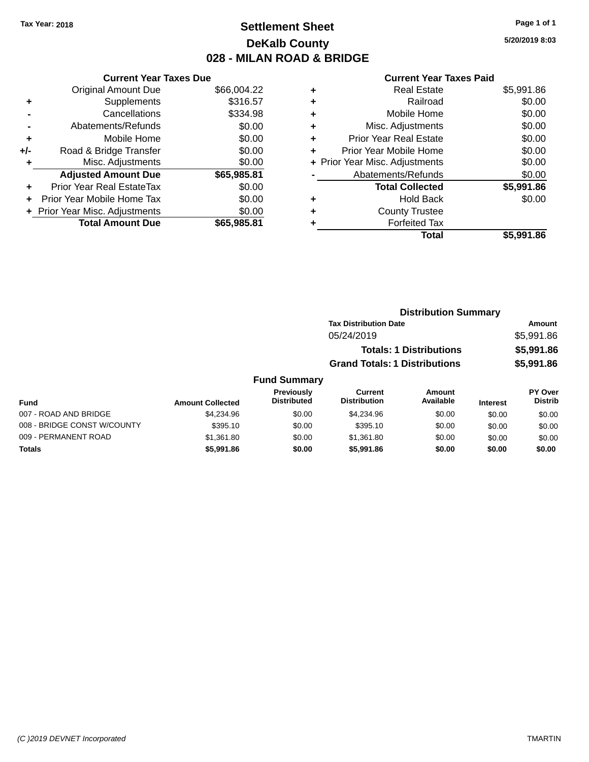### **Settlement Sheet Tax Year: 2018 Page 1 of 1 DeKalb County 028 - MILAN ROAD & BRIDGE**

**5/20/2019 8:03**

|     | <b>Current Year Taxes Due</b>  |             |
|-----|--------------------------------|-------------|
|     | <b>Original Amount Due</b>     | \$66,004.22 |
| ٠   | Supplements                    | \$316.57    |
|     | Cancellations                  | \$334.98    |
|     | Abatements/Refunds             | \$0.00      |
| ٠   | Mobile Home                    | \$0.00      |
| +/- | Road & Bridge Transfer         | \$0.00      |
|     | Misc. Adjustments              | \$0.00      |
|     | <b>Adjusted Amount Due</b>     | \$65,985.81 |
| ÷   | Prior Year Real EstateTax      | \$0.00      |
|     | Prior Year Mobile Home Tax     | \$0.00      |
|     | + Prior Year Misc. Adjustments | \$0.00      |
|     | <b>Total Amount Due</b>        | \$65.985.81 |
|     |                                |             |

| ٠ | <b>Real Estate</b>             | \$5,991.86 |
|---|--------------------------------|------------|
| ٠ | Railroad                       | \$0.00     |
| ٠ | Mobile Home                    | \$0.00     |
| ٠ | Misc. Adjustments              | \$0.00     |
| ٠ | <b>Prior Year Real Estate</b>  | \$0.00     |
| ٠ | Prior Year Mobile Home         | \$0.00     |
|   | + Prior Year Misc. Adjustments | \$0.00     |
|   | Abatements/Refunds             | \$0.00     |
|   | <b>Total Collected</b>         | \$5,991.86 |
| ٠ | Hold Back                      | \$0.00     |
| ٠ | <b>County Trustee</b>          |            |
| ٠ | <b>Forfeited Tax</b>           |            |
|   | Total                          | \$5,991.86 |
|   |                                |            |

|                     |                                      | <b>Distribution Summary</b> |                |
|---------------------|--------------------------------------|-----------------------------|----------------|
|                     | <b>Tax Distribution Date</b>         | <b>Amount</b>               |                |
|                     | 05/24/2019                           |                             | \$5,991.86     |
|                     | <b>Totals: 1 Distributions</b>       |                             | \$5,991.86     |
|                     | <b>Grand Totals: 1 Distributions</b> |                             | \$5,991.86     |
| <b>Fund Summary</b> |                                      |                             |                |
| Previously          | Current                              | Amount                      | <b>PY Over</b> |
|                     |                                      |                             |                |

| Fund                        | <b>Amount Collected</b> | Previously<br><b>Distributed</b> | Current<br><b>Distribution</b> | Amount<br>Available | <b>Interest</b> | <b>PY Over</b><br><b>Distrib</b> |
|-----------------------------|-------------------------|----------------------------------|--------------------------------|---------------------|-----------------|----------------------------------|
| 007 - ROAD AND BRIDGE       | \$4,234.96              | \$0.00                           | \$4,234.96                     | \$0.00              | \$0.00          | \$0.00                           |
| 008 - BRIDGE CONST W/COUNTY | \$395.10                | \$0.00                           | \$395.10                       | \$0.00              | \$0.00          | \$0.00                           |
| 009 - PERMANENT ROAD        | \$1,361.80              | \$0.00                           | \$1.361.80                     | \$0.00              | \$0.00          | \$0.00                           |
| <b>Totals</b>               | \$5,991.86              | \$0.00                           | \$5,991.86                     | \$0.00              | \$0.00          | \$0.00                           |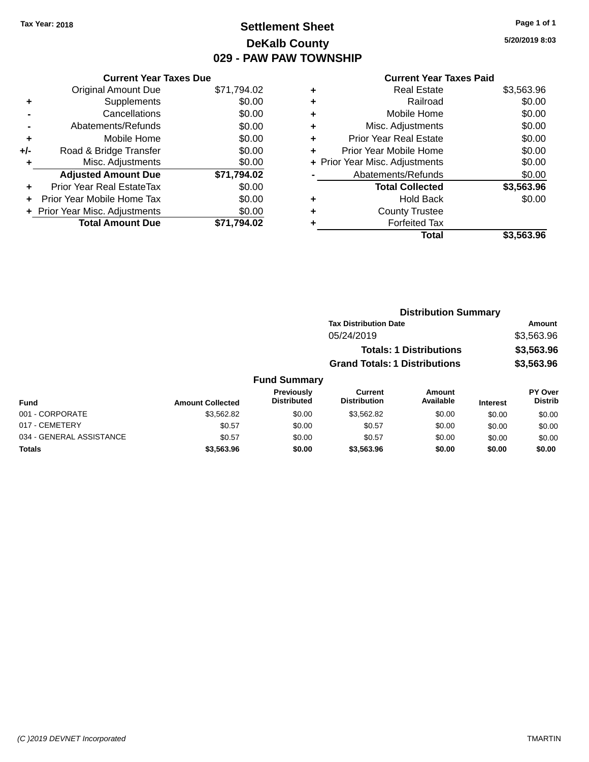## **Settlement Sheet Tax Year: 2018 Page 1 of 1 DeKalb County 029 - PAW PAW TOWNSHIP**

|     | <b>Current Year Taxes Due</b>  |             |
|-----|--------------------------------|-------------|
|     | <b>Original Amount Due</b>     | \$71,794.02 |
| ٠   | Supplements                    | \$0.00      |
|     | Cancellations                  | \$0.00      |
|     | Abatements/Refunds             | \$0.00      |
| ٠   | Mobile Home                    | \$0.00      |
| +/- | Road & Bridge Transfer         | \$0.00      |
|     | Misc. Adjustments              | \$0.00      |
|     | <b>Adjusted Amount Due</b>     | \$71,794.02 |
| ÷   | Prior Year Real EstateTax      | \$0.00      |
|     | Prior Year Mobile Home Tax     | \$0.00      |
|     | + Prior Year Misc. Adjustments | \$0.00      |
|     | <b>Total Amount Due</b>        | .794.02     |

### **Current Year Taxes Paid +** Real Estate \$3,563.96

|   | Total                          | \$3,563.96 |
|---|--------------------------------|------------|
|   | <b>Forfeited Tax</b>           |            |
| ÷ | <b>County Trustee</b>          |            |
|   | <b>Hold Back</b>               | \$0.00     |
|   | <b>Total Collected</b>         | \$3,563.96 |
|   | Abatements/Refunds             | \$0.00     |
|   | + Prior Year Misc. Adjustments | \$0.00     |
| ÷ | Prior Year Mobile Home         | \$0.00     |
| ٠ | <b>Prior Year Real Estate</b>  | \$0.00     |
| ٠ | Misc. Adjustments              | \$0.00     |
| ÷ | Mobile Home                    | \$0.00     |
| ÷ | Railroad                       | \$0.00     |
|   |                                |            |

| <b>Distribution Summary</b>          |            |
|--------------------------------------|------------|
| <b>Tax Distribution Date</b>         | Amount     |
| 05/24/2019                           | \$3,563.96 |
| <b>Totals: 1 Distributions</b>       | \$3,563.96 |
| <b>Grand Totals: 1 Distributions</b> | \$3,563.96 |

#### **Fund Summary**

| Fund                     | <b>Amount Collected</b> | <b>Previously</b><br><b>Distributed</b> | Current<br><b>Distribution</b> | Amount<br>Available | <b>Interest</b> | <b>PY Over</b><br><b>Distrib</b> |
|--------------------------|-------------------------|-----------------------------------------|--------------------------------|---------------------|-----------------|----------------------------------|
| 001 - CORPORATE          | \$3.562.82              | \$0.00                                  | \$3,562.82                     | \$0.00              | \$0.00          | \$0.00                           |
| 017 - CEMETERY           | \$0.57                  | \$0.00                                  | \$0.57                         | \$0.00              | \$0.00          | \$0.00                           |
| 034 - GENERAL ASSISTANCE | \$0.57                  | \$0.00                                  | \$0.57                         | \$0.00              | \$0.00          | \$0.00                           |
| <b>Totals</b>            | \$3,563.96              | \$0.00                                  | \$3,563.96                     | \$0.00              | \$0.00          | \$0.00                           |

**5/20/2019 8:03**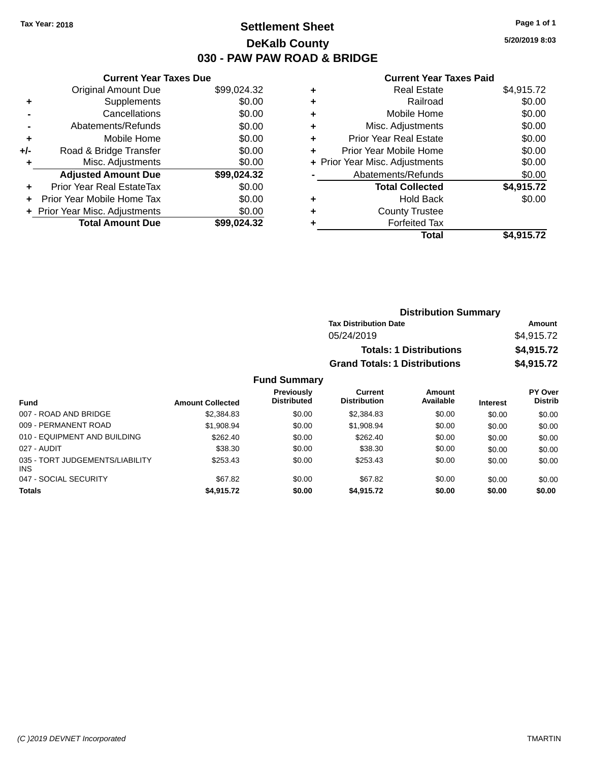### **Settlement Sheet Tax Year: 2018 Page 1 of 1 DeKalb County 030 - PAW PAW ROAD & BRIDGE**

**5/20/2019 8:03**

#### **Current Year Taxes Paid**

| <b>Current Year Taxes Due</b> |                              |
|-------------------------------|------------------------------|
| <b>Original Amount Due</b>    | \$99,024.32                  |
| Supplements                   | \$0.00                       |
| Cancellations                 | \$0.00                       |
| Abatements/Refunds            | \$0.00                       |
| Mobile Home                   | \$0.00                       |
| Road & Bridge Transfer        | \$0.00                       |
| Misc. Adjustments             | \$0.00                       |
| <b>Adjusted Amount Due</b>    | \$99,024.32                  |
| Prior Year Real EstateTax     | \$0.00                       |
| Prior Year Mobile Home Tax    | \$0.00                       |
|                               | \$0.00                       |
| <b>Total Amount Due</b>       | \$99.024.32                  |
|                               | Prior Year Misc. Adjustments |

|   | <b>Real Estate</b>             | \$4,915.72 |
|---|--------------------------------|------------|
| ٠ | Railroad                       | \$0.00     |
| ٠ | Mobile Home                    | \$0.00     |
| ٠ | Misc. Adjustments              | \$0.00     |
| ٠ | <b>Prior Year Real Estate</b>  | \$0.00     |
| ٠ | Prior Year Mobile Home         | \$0.00     |
|   | + Prior Year Misc. Adjustments | \$0.00     |
|   | Abatements/Refunds             | \$0.00     |
|   | <b>Total Collected</b>         | \$4,915.72 |
| ٠ | <b>Hold Back</b>               | \$0.00     |
| ٠ | <b>County Trustee</b>          |            |
| ٠ | <b>Forfeited Tax</b>           |            |
|   | Total                          | \$4,915.72 |
|   |                                |            |

| <b>Distribution Summary</b>          |            |
|--------------------------------------|------------|
| <b>Tax Distribution Date</b>         | Amount     |
| 05/24/2019                           | \$4,915.72 |
| <b>Totals: 1 Distributions</b>       | \$4,915.72 |
| <b>Grand Totals: 1 Distributions</b> | \$4,915.72 |
|                                      |            |

| <b>Fund</b>                                   | <b>Amount Collected</b> | Previously<br><b>Distributed</b> | Current<br><b>Distribution</b> | Amount<br>Available | <b>Interest</b> | PY Over<br><b>Distrib</b> |
|-----------------------------------------------|-------------------------|----------------------------------|--------------------------------|---------------------|-----------------|---------------------------|
| 007 - ROAD AND BRIDGE                         | \$2,384.83              | \$0.00                           | \$2,384.83                     | \$0.00              | \$0.00          | \$0.00                    |
| 009 - PERMANENT ROAD                          | \$1,908.94              | \$0.00                           | \$1,908.94                     | \$0.00              | \$0.00          | \$0.00                    |
| 010 - EQUIPMENT AND BUILDING                  | \$262.40                | \$0.00                           | \$262.40                       | \$0.00              | \$0.00          | \$0.00                    |
| 027 - AUDIT                                   | \$38.30                 | \$0.00                           | \$38.30                        | \$0.00              | \$0.00          | \$0.00                    |
| 035 - TORT JUDGEMENTS/LIABILITY<br><b>INS</b> | \$253.43                | \$0.00                           | \$253.43                       | \$0.00              | \$0.00          | \$0.00                    |
| 047 - SOCIAL SECURITY                         | \$67.82                 | \$0.00                           | \$67.82                        | \$0.00              | \$0.00          | \$0.00                    |
| <b>Totals</b>                                 | \$4,915.72              | \$0.00                           | \$4.915.72                     | \$0.00              | \$0.00          | \$0.00                    |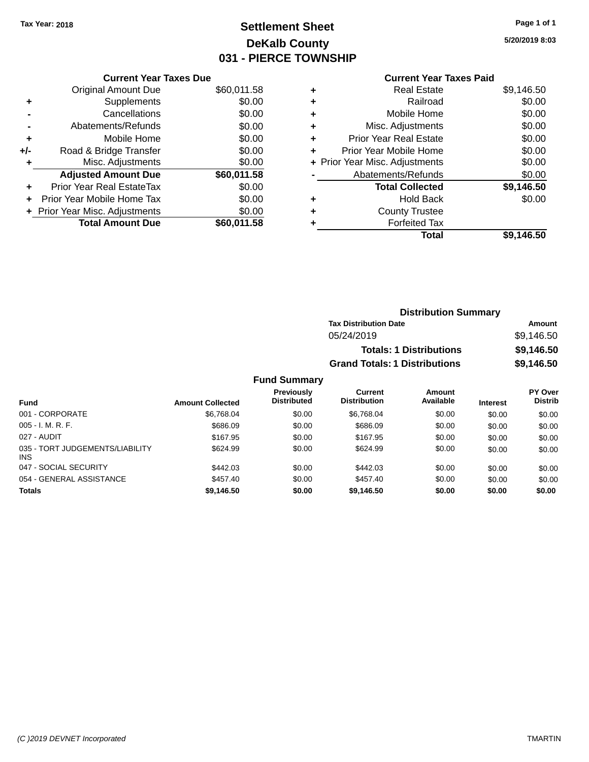## **Settlement Sheet Tax Year: 2018 Page 1 of 1 DeKalb County 031 - PIERCE TOWNSHIP**

**5/20/2019 8:03**

## **Current Year Taxes Paid**

|     | <b>Current Year Taxes Due</b>  |             |
|-----|--------------------------------|-------------|
|     | <b>Original Amount Due</b>     | \$60,011.58 |
| ٠   | Supplements                    | \$0.00      |
|     | Cancellations                  | \$0.00      |
|     | Abatements/Refunds             | \$0.00      |
| ÷   | Mobile Home                    | \$0.00      |
| +/- | Road & Bridge Transfer         | \$0.00      |
|     | Misc. Adjustments              | \$0.00      |
|     | <b>Adjusted Amount Due</b>     | \$60,011.58 |
| ٠   | Prior Year Real EstateTax      | \$0.00      |
|     | Prior Year Mobile Home Tax     | \$0.00      |
|     | + Prior Year Misc. Adjustments | \$0.00      |
|     | <b>Total Amount Due</b>        | \$60,011.58 |
|     |                                |             |

| ٠ | <b>Real Estate</b>             | \$9,146.50 |
|---|--------------------------------|------------|
| ٠ | Railroad                       | \$0.00     |
| ٠ | Mobile Home                    | \$0.00     |
| ٠ | Misc. Adjustments              | \$0.00     |
| ٠ | <b>Prior Year Real Estate</b>  | \$0.00     |
| ÷ | Prior Year Mobile Home         | \$0.00     |
|   | + Prior Year Misc. Adjustments | \$0.00     |
|   | Abatements/Refunds             | \$0.00     |
|   | <b>Total Collected</b>         | \$9,146.50 |
| ٠ | Hold Back                      | \$0.00     |
| ٠ | <b>County Trustee</b>          |            |
| ٠ | <b>Forfeited Tax</b>           |            |
|   | Total                          | \$9,146.50 |
|   |                                |            |

| <b>Distribution Summary</b>          |            |
|--------------------------------------|------------|
| <b>Tax Distribution Date</b>         | Amount     |
| 05/24/2019                           | \$9,146.50 |
| <b>Totals: 1 Distributions</b>       | \$9,146.50 |
| <b>Grand Totals: 1 Distributions</b> | \$9,146.50 |

| <b>Fund</b>                                   | <b>Amount Collected</b> | Previously<br><b>Distributed</b> | Current<br><b>Distribution</b> | <b>Amount</b><br>Available | <b>Interest</b> | <b>PY Over</b><br><b>Distrib</b> |
|-----------------------------------------------|-------------------------|----------------------------------|--------------------------------|----------------------------|-----------------|----------------------------------|
| 001 - CORPORATE                               | \$6,768.04              | \$0.00                           | \$6.768.04                     | \$0.00                     | \$0.00          | \$0.00                           |
| $005 - I. M. R. F.$                           | \$686.09                | \$0.00                           | \$686.09                       | \$0.00                     | \$0.00          | \$0.00                           |
| 027 - AUDIT                                   | \$167.95                | \$0.00                           | \$167.95                       | \$0.00                     | \$0.00          | \$0.00                           |
| 035 - TORT JUDGEMENTS/LIABILITY<br><b>INS</b> | \$624.99                | \$0.00                           | \$624.99                       | \$0.00                     | \$0.00          | \$0.00                           |
| 047 - SOCIAL SECURITY                         | \$442.03                | \$0.00                           | \$442.03                       | \$0.00                     | \$0.00          | \$0.00                           |
| 054 - GENERAL ASSISTANCE                      | \$457.40                | \$0.00                           | \$457.40                       | \$0.00                     | \$0.00          | \$0.00                           |
| <b>Totals</b>                                 | \$9,146.50              | \$0.00                           | \$9.146.50                     | \$0.00                     | \$0.00          | \$0.00                           |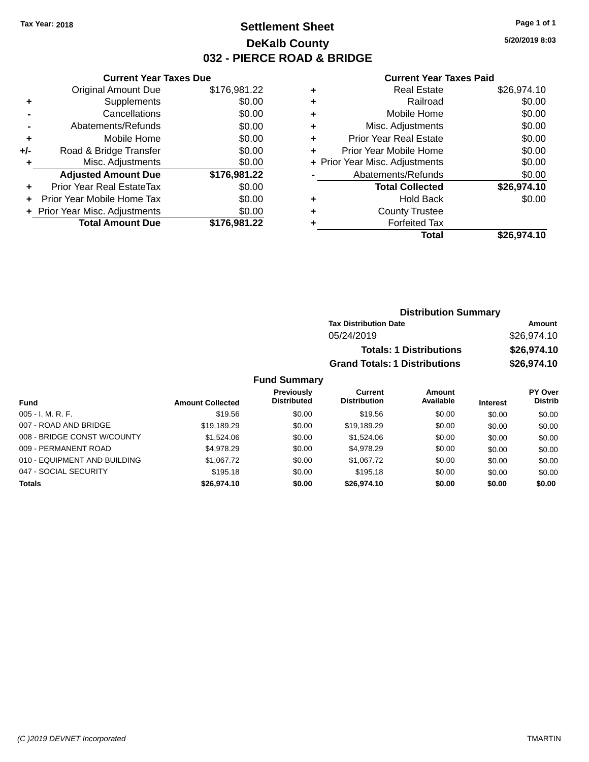### **Settlement Sheet Tax Year: 2018 Page 1 of 1 DeKalb County 032 - PIERCE ROAD & BRIDGE**

**5/20/2019 8:03**

#### **Current Year Taxes Paid**

|     | <b>Current Year Taxes Due</b>  |              |
|-----|--------------------------------|--------------|
|     | <b>Original Amount Due</b>     | \$176,981.22 |
| ٠   | Supplements                    | \$0.00       |
|     | Cancellations                  | \$0.00       |
|     | Abatements/Refunds             | \$0.00       |
| ٠   | Mobile Home                    | \$0.00       |
| +/- | Road & Bridge Transfer         | \$0.00       |
|     | Misc. Adjustments              | \$0.00       |
|     | <b>Adjusted Amount Due</b>     | \$176,981.22 |
| ٠   | Prior Year Real EstateTax      | \$0.00       |
|     | Prior Year Mobile Home Tax     | \$0.00       |
|     | + Prior Year Misc. Adjustments | \$0.00       |
|     | <b>Total Amount Due</b>        | \$176,981.22 |
|     |                                |              |

|   | <b>Real Estate</b>             | \$26,974.10 |
|---|--------------------------------|-------------|
| ٠ | Railroad                       | \$0.00      |
| ٠ | Mobile Home                    | \$0.00      |
| ٠ | Misc. Adjustments              | \$0.00      |
| ٠ | <b>Prior Year Real Estate</b>  | \$0.00      |
| ٠ | Prior Year Mobile Home         | \$0.00      |
|   | + Prior Year Misc. Adjustments | \$0.00      |
|   | Abatements/Refunds             | \$0.00      |
|   | <b>Total Collected</b>         | \$26,974.10 |
| ٠ | <b>Hold Back</b>               | \$0.00      |
| ٠ | <b>County Trustee</b>          |             |
| ٠ | <b>Forfeited Tax</b>           |             |
|   | Total                          | \$26,974.10 |
|   |                                |             |

| <b>Distribution Summary</b>          |             |
|--------------------------------------|-------------|
| <b>Tax Distribution Date</b>         | Amount      |
| 05/24/2019                           | \$26,974.10 |
| <b>Totals: 1 Distributions</b>       | \$26,974.10 |
| <b>Grand Totals: 1 Distributions</b> | \$26,974.10 |

| <b>Fund</b>                  | <b>Amount Collected</b> | Previously<br><b>Distributed</b> | Current<br><b>Distribution</b> | Amount<br>Available | <b>Interest</b> | PY Over<br><b>Distrib</b> |
|------------------------------|-------------------------|----------------------------------|--------------------------------|---------------------|-----------------|---------------------------|
| $005 - I. M. R. F.$          | \$19.56                 | \$0.00                           | \$19.56                        | \$0.00              | \$0.00          | \$0.00                    |
| 007 - ROAD AND BRIDGE        | \$19,189.29             | \$0.00                           | \$19.189.29                    | \$0.00              | \$0.00          | \$0.00                    |
| 008 - BRIDGE CONST W/COUNTY  | \$1.524.06              | \$0.00                           | \$1,524.06                     | \$0.00              | \$0.00          | \$0.00                    |
| 009 - PERMANENT ROAD         | \$4,978.29              | \$0.00                           | \$4,978.29                     | \$0.00              | \$0.00          | \$0.00                    |
| 010 - EQUIPMENT AND BUILDING | \$1,067.72              | \$0.00                           | \$1,067.72                     | \$0.00              | \$0.00          | \$0.00                    |
| 047 - SOCIAL SECURITY        | \$195.18                | \$0.00                           | \$195.18                       | \$0.00              | \$0.00          | \$0.00                    |
| <b>Totals</b>                | \$26,974.10             | \$0.00                           | \$26,974.10                    | \$0.00              | \$0.00          | \$0.00                    |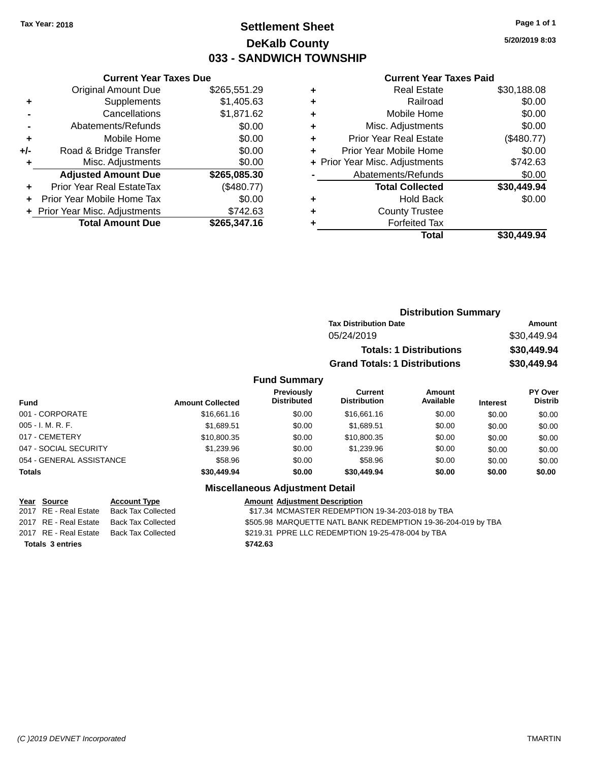### **Settlement Sheet Tax Year: 2018 Page 1 of 1 DeKalb County 033 - SANDWICH TOWNSHIP**

**5/20/2019 8:03**

#### **Current Year Taxes Paid**

|       | <b>Current Year Taxes Due</b>  |              |
|-------|--------------------------------|--------------|
|       | <b>Original Amount Due</b>     | \$265,551.29 |
| ٠     | Supplements                    | \$1,405.63   |
|       | Cancellations                  | \$1,871.62   |
|       | Abatements/Refunds             | \$0.00       |
| ÷     | Mobile Home                    | \$0.00       |
| $+/-$ | Road & Bridge Transfer         | \$0.00       |
|       | Misc. Adjustments              | \$0.00       |
|       | <b>Adjusted Amount Due</b>     | \$265,085.30 |
| ÷     | Prior Year Real EstateTax      | (\$480.77)   |
|       | Prior Year Mobile Home Tax     | \$0.00       |
|       | + Prior Year Misc. Adjustments | \$742.63     |
|       | <b>Total Amount Due</b>        | \$265,347.16 |
|       |                                |              |

| ٠ | <b>Real Estate</b>             | \$30,188.08 |
|---|--------------------------------|-------------|
| ٠ | Railroad                       | \$0.00      |
| ٠ | Mobile Home                    | \$0.00      |
| ٠ | Misc. Adjustments              | \$0.00      |
| ٠ | <b>Prior Year Real Estate</b>  | (\$480.77)  |
| ٠ | Prior Year Mobile Home         | \$0.00      |
|   | + Prior Year Misc. Adjustments | \$742.63    |
|   | Abatements/Refunds             | \$0.00      |
|   | <b>Total Collected</b>         | \$30,449.94 |
| ٠ | Hold Back                      | \$0.00      |
| ٠ | <b>County Trustee</b>          |             |
|   | <b>Forfeited Tax</b>           |             |
|   | Total                          | \$30.449.94 |
|   |                                |             |

|                         |                                         | <b>Distribution Summary</b>          |                     |                 |                                  |  |  |
|-------------------------|-----------------------------------------|--------------------------------------|---------------------|-----------------|----------------------------------|--|--|
|                         |                                         | <b>Tax Distribution Date</b>         |                     |                 | Amount                           |  |  |
|                         | 05/24/2019                              |                                      |                     |                 | \$30,449.94                      |  |  |
|                         |                                         | <b>Totals: 1 Distributions</b>       |                     |                 | \$30,449.94                      |  |  |
|                         |                                         | <b>Grand Totals: 1 Distributions</b> |                     | \$30,449.94     |                                  |  |  |
|                         | <b>Fund Summary</b>                     |                                      |                     |                 |                                  |  |  |
| <b>Amount Collected</b> | <b>Previously</b><br><b>Distributed</b> | Current<br><b>Distribution</b>       | Amount<br>Available | <b>Interest</b> | <b>PY Over</b><br><b>Distrib</b> |  |  |
| \$16,661.16             | \$0.00                                  | \$16,661.16                          | \$0.00              | \$0.00          | \$0.00                           |  |  |

| Fund                     | <b>Amount Collected</b> | <b>Distributed</b>              | <b>Distribution</b> | Available | <b>Interest</b> | <b>Distrib</b> |
|--------------------------|-------------------------|---------------------------------|---------------------|-----------|-----------------|----------------|
| 001 - CORPORATE          | \$16,661.16             | \$0.00                          | \$16,661.16         | \$0.00    | \$0.00          | \$0.00         |
| 005 - I. M. R. F.        | \$1,689.51              | \$0.00                          | \$1,689.51          | \$0.00    | \$0.00          | \$0.00         |
| 017 - CEMETERY           | \$10,800.35             | \$0.00                          | \$10,800.35         | \$0.00    | \$0.00          | \$0.00         |
| 047 - SOCIAL SECURITY    | \$1,239.96              | \$0.00                          | \$1,239.96          | \$0.00    | \$0.00          | \$0.00         |
| 054 - GENERAL ASSISTANCE | \$58.96                 | \$0.00                          | \$58.96             | \$0.00    | \$0.00          | \$0.00         |
| <b>Totals</b>            | \$30,449.94             | \$0.00                          | \$30,449.94         | \$0.00    | \$0.00          | \$0.00         |
|                          |                         | Miscollanoous Adiustmont Dotail |                     |           |                 |                |

#### **Miscellaneous Adjustment Detail**

| Year Source             | <b>Account Type</b>                      | <b>Amount Adjustment Description</b>                         |
|-------------------------|------------------------------------------|--------------------------------------------------------------|
| 2017 RE - Real Estate   | Back Tax Collected                       | \$17.34 MCMASTER REDEMPTION 19-34-203-018 by TBA             |
|                         | 2017 RE - Real Estate Back Tax Collected | \$505.98 MARQUETTE NATL BANK REDEMPTION 19-36-204-019 by TBA |
| 2017 RE - Real Estate   | Back Tax Collected                       | \$219.31 PPRE LLC REDEMPTION 19-25-478-004 by TBA            |
| <b>Totals 3 entries</b> |                                          | \$742.63                                                     |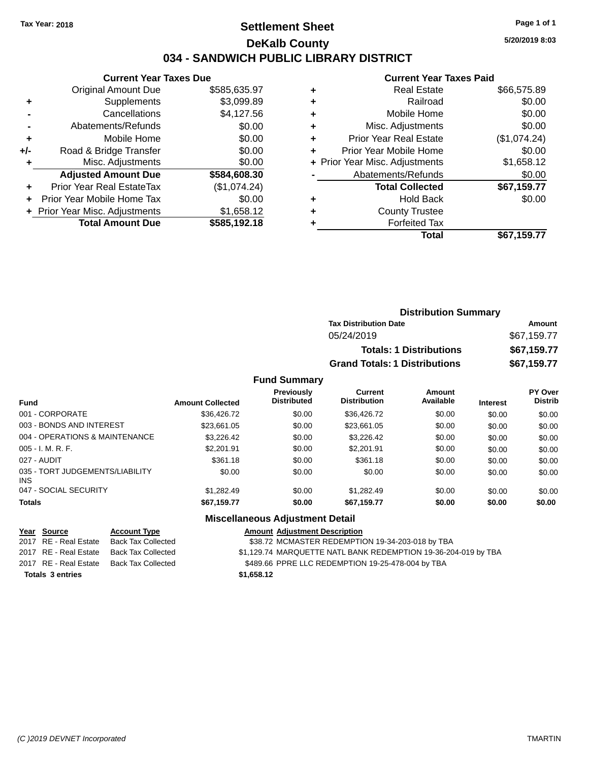### **Settlement Sheet Tax Year: 2018 Page 1 of 1 DeKalb County 034 - SANDWICH PUBLIC LIBRARY DISTRICT**

**5/20/2019 8:03**

|     | <b>Current Year Taxes Due</b>  |              |
|-----|--------------------------------|--------------|
|     | <b>Original Amount Due</b>     | \$585,635.97 |
| ٠   | Supplements                    | \$3,099.89   |
|     | Cancellations                  | \$4,127.56   |
|     | Abatements/Refunds             | \$0.00       |
| ٠   | Mobile Home                    | \$0.00       |
| +/- | Road & Bridge Transfer         | \$0.00       |
| ٠   | Misc. Adjustments              | \$0.00       |
|     | <b>Adjusted Amount Due</b>     | \$584,608.30 |
| ٠   | Prior Year Real EstateTax      | (\$1,074.24) |
|     | Prior Year Mobile Home Tax     | \$0.00       |
|     | + Prior Year Misc. Adjustments | \$1,658.12   |
|     | <b>Total Amount Due</b>        | \$585,192.18 |
|     |                                |              |

|   | <b>Current Year Taxes Paid</b> |              |
|---|--------------------------------|--------------|
| ٠ | <b>Real Estate</b>             | \$66,575.89  |
|   | Railroad                       | \$0.00       |
| ٠ | Mobile Home                    | \$0.00       |
| ٠ | Misc. Adjustments              | \$0.00       |
| ٠ | <b>Prior Year Real Estate</b>  | (\$1,074.24) |
| ٠ | Prior Year Mobile Home         | \$0.00       |
|   | + Prior Year Misc. Adjustments | \$1,658.12   |
|   | Abatements/Refunds             | \$0.00       |
|   | <b>Total Collected</b>         | \$67,159.77  |
|   | <b>Hold Back</b>               | \$0.00       |
|   | <b>County Trustee</b>          |              |
|   | <b>Forfeited Tax</b>           |              |
|   | Total                          | \$67,159.77  |

| <b>Distribution Summary</b>          |             |
|--------------------------------------|-------------|
| <b>Tax Distribution Date</b>         | Amount      |
| 05/24/2019                           | \$67,159.77 |
| <b>Totals: 1 Distributions</b>       | \$67,159.77 |
| <b>Grand Totals: 1 Distributions</b> | \$67,159.77 |

#### **Fund Summary**

| <b>Fund</b>                             | <b>Amount Collected</b> | <b>Previously</b><br><b>Distributed</b> | Current<br><b>Distribution</b> | Amount<br>Available | <b>Interest</b> | <b>PY Over</b><br><b>Distrib</b> |
|-----------------------------------------|-------------------------|-----------------------------------------|--------------------------------|---------------------|-----------------|----------------------------------|
| 001 - CORPORATE                         | \$36.426.72             | \$0.00                                  | \$36,426,72                    | \$0.00              | \$0.00          | \$0.00                           |
| 003 - BONDS AND INTEREST                | \$23.661.05             | \$0.00                                  | \$23.661.05                    | \$0.00              | \$0.00          | \$0.00                           |
| 004 - OPERATIONS & MAINTENANCE          | \$3.226.42              | \$0.00                                  | \$3.226.42                     | \$0.00              | \$0.00          | \$0.00                           |
| $005 - I. M. R. F.$                     | \$2,201.91              | \$0.00                                  | \$2,201.91                     | \$0.00              | \$0.00          | \$0.00                           |
| 027 - AUDIT                             | \$361.18                | \$0.00                                  | \$361.18                       | \$0.00              | \$0.00          | \$0.00                           |
| 035 - TORT JUDGEMENTS/LIABILITY<br>INS. | \$0.00                  | \$0.00                                  | \$0.00                         | \$0.00              | \$0.00          | \$0.00                           |
| 047 - SOCIAL SECURITY                   | \$1.282.49              | \$0.00                                  | \$1.282.49                     | \$0.00              | \$0.00          | \$0.00                           |
| <b>Totals</b>                           | \$67,159.77             | \$0.00                                  | \$67,159.77                    | \$0.00              | \$0.00          | \$0.00                           |

#### **Miscellaneous Adjustment Detail**

| Year Source             | <b>Account Type</b> | <b>Amount Adjustment Description</b>                           |
|-------------------------|---------------------|----------------------------------------------------------------|
| 2017 RE - Real Estate   | Back Tax Collected  | \$38.72 MCMASTER REDEMPTION 19-34-203-018 by TBA               |
| 2017 RE - Real Estate   | Back Tax Collected  | \$1,129.74 MARQUETTE NATL BANK REDEMPTION 19-36-204-019 by TBA |
| 2017 RE - Real Estate   | Back Tax Collected  | \$489.66 PPRE LLC REDEMPTION 19-25-478-004 by TBA              |
| <b>Totals 3 entries</b> |                     | \$1,658.12                                                     |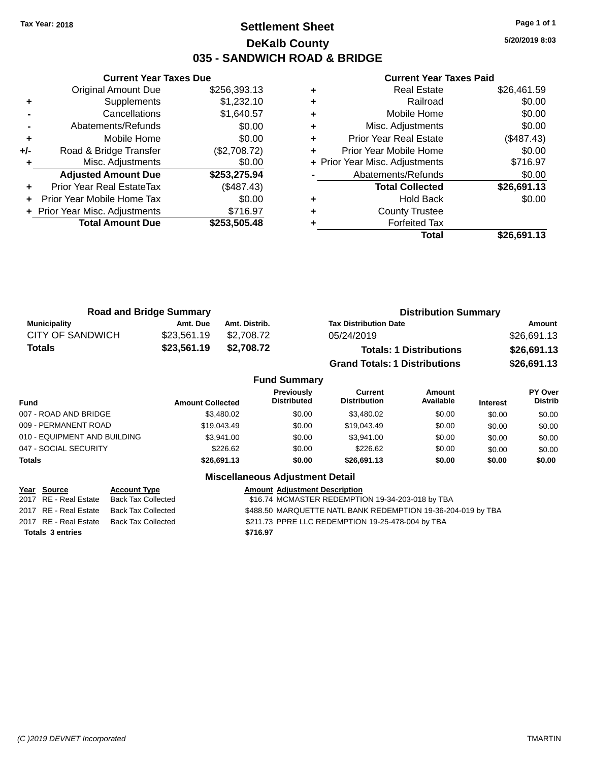### **Settlement Sheet Tax Year: 2018 Page 1 of 1 DeKalb County 035 - SANDWICH ROAD & BRIDGE**

**5/20/2019 8:03**

|     | <b>Current Year Taxes Due</b>  |              |
|-----|--------------------------------|--------------|
|     | <b>Original Amount Due</b>     | \$256,393.13 |
| ٠   | Supplements                    | \$1,232.10   |
|     | Cancellations                  | \$1,640.57   |
|     | Abatements/Refunds             | \$0.00       |
| ٠   | Mobile Home                    | \$0.00       |
| +/- | Road & Bridge Transfer         | (\$2,708.72) |
|     | Misc. Adjustments              | \$0.00       |
|     | <b>Adjusted Amount Due</b>     | \$253,275.94 |
| ٠   | Prior Year Real EstateTax      | (\$487.43)   |
|     | Prior Year Mobile Home Tax     | \$0.00       |
|     | + Prior Year Misc. Adjustments | \$716.97     |
|     | <b>Total Amount Due</b>        | \$253,505.48 |
|     |                                |              |

| ٠ | <b>Real Estate</b>             | \$26,461.59 |
|---|--------------------------------|-------------|
| ٠ | Railroad                       | \$0.00      |
| ٠ | Mobile Home                    | \$0.00      |
| ٠ | Misc. Adjustments              | \$0.00      |
| ٠ | Prior Year Real Estate         | (\$487.43)  |
| ٠ | Prior Year Mobile Home         | \$0.00      |
|   | + Prior Year Misc. Adjustments | \$716.97    |
|   | Abatements/Refunds             | \$0.00      |
|   | <b>Total Collected</b>         | \$26,691.13 |
| ٠ | <b>Hold Back</b>               | \$0.00      |
| ٠ | <b>County Trustee</b>          |             |
|   | <b>Forfeited Tax</b>           |             |
|   | Total                          | \$26,691.13 |

| <b>Road and Bridge Summary</b> |             |               | <b>Distribution Summary</b>          |             |  |
|--------------------------------|-------------|---------------|--------------------------------------|-------------|--|
| <b>Municipality</b>            | Amt. Due    | Amt. Distrib. | <b>Tax Distribution Date</b>         | Amount      |  |
| CITY OF SANDWICH               | \$23.561.19 | \$2.708.72    | 05/24/2019                           | \$26,691.13 |  |
| <b>Totals</b>                  | \$23,561.19 | \$2,708.72    | <b>Totals: 1 Distributions</b>       | \$26,691.13 |  |
|                                |             |               | <b>Grand Totals: 1 Distributions</b> | \$26,691.13 |  |

|                              |                         | <b>Fund Summary</b>                     |                                |                     |                 |                           |
|------------------------------|-------------------------|-----------------------------------------|--------------------------------|---------------------|-----------------|---------------------------|
| <b>Fund</b>                  | <b>Amount Collected</b> | <b>Previously</b><br><b>Distributed</b> | Current<br><b>Distribution</b> | Amount<br>Available | <b>Interest</b> | PY Over<br><b>Distrib</b> |
| 007 - ROAD AND BRIDGE        | \$3,480.02              | \$0.00                                  | \$3,480.02                     | \$0.00              | \$0.00          | \$0.00                    |
| 009 - PERMANENT ROAD         | \$19.043.49             | \$0.00                                  | \$19.043.49                    | \$0.00              | \$0.00          | \$0.00                    |
| 010 - EQUIPMENT AND BUILDING | \$3.941.00              | \$0.00                                  | \$3,941.00                     | \$0.00              | \$0.00          | \$0.00                    |
| 047 - SOCIAL SECURITY        | \$226.62                | \$0.00                                  | \$226.62                       | \$0.00              | \$0.00          | \$0.00                    |
| <b>Totals</b>                | \$26,691.13             | \$0.00                                  | \$26,691.13                    | \$0.00              | \$0.00          | \$0.00                    |
|                              |                         | <b>Miscellaneous Adjustment Detail</b>  |                                |                     |                 |                           |

| Year Source             | <b>Account Type</b>                      | <b>Amount Adjustment Description</b>                         |
|-------------------------|------------------------------------------|--------------------------------------------------------------|
|                         | 2017 RE - Real Estate Back Tax Collected | \$16.74 MCMASTER REDEMPTION 19-34-203-018 by TBA             |
|                         | 2017 RE - Real Estate Back Tax Collected | \$488.50 MARQUETTE NATL BANK REDEMPTION 19-36-204-019 by TBA |
|                         | 2017 RE - Real Estate Back Tax Collected | \$211.73 PPRE LLC REDEMPTION 19-25-478-004 by TBA            |
| <b>Totals 3 entries</b> |                                          | \$716.97                                                     |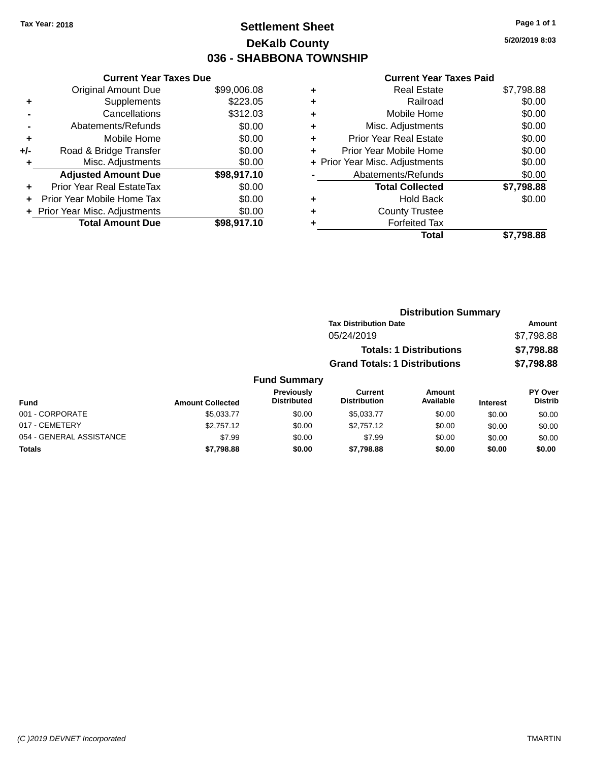## **Settlement Sheet Tax Year: 2018 Page 1 of 1 DeKalb County 036 - SHABBONA TOWNSHIP**

**5/20/2019 8:03**

|     | <b>Current Year Taxes Due</b>  |             |
|-----|--------------------------------|-------------|
|     | <b>Original Amount Due</b>     | \$99,006.08 |
| ٠   | Supplements                    | \$223.05    |
|     | Cancellations                  | \$312.03    |
|     | Abatements/Refunds             | \$0.00      |
| ٠   | Mobile Home                    | \$0.00      |
| +/- | Road & Bridge Transfer         | \$0.00      |
|     | Misc. Adjustments              | \$0.00      |
|     | <b>Adjusted Amount Due</b>     | \$98,917.10 |
| ÷   | Prior Year Real EstateTax      | \$0.00      |
| ÷   | Prior Year Mobile Home Tax     | \$0.00      |
|     | + Prior Year Misc. Adjustments | \$0.00      |
|     | <b>Total Amount Due</b>        | \$98,917.10 |

|   | <b>Real Estate</b>             | \$7,798.88 |
|---|--------------------------------|------------|
| ٠ | Railroad                       | \$0.00     |
| ٠ | Mobile Home                    | \$0.00     |
| ٠ | Misc. Adjustments              | \$0.00     |
| ٠ | <b>Prior Year Real Estate</b>  | \$0.00     |
| ٠ | Prior Year Mobile Home         | \$0.00     |
|   | + Prior Year Misc. Adjustments | \$0.00     |
|   | Abatements/Refunds             | \$0.00     |
|   | <b>Total Collected</b>         | \$7,798.88 |
| ٠ | Hold Back                      | \$0.00     |
|   | <b>County Trustee</b>          |            |
| ٠ | <b>Forfeited Tax</b>           |            |
|   | Total                          | \$7.798.88 |
|   |                                |            |

|                         |                                  | <b>Distribution Summary</b>          |                                |                 |                                  |
|-------------------------|----------------------------------|--------------------------------------|--------------------------------|-----------------|----------------------------------|
|                         |                                  | <b>Tax Distribution Date</b>         |                                |                 | Amount                           |
|                         |                                  | 05/24/2019                           |                                |                 | \$7,798.88                       |
|                         |                                  |                                      | <b>Totals: 1 Distributions</b> |                 | \$7,798.88                       |
|                         |                                  | <b>Grand Totals: 1 Distributions</b> |                                |                 | \$7,798.88                       |
|                         | <b>Fund Summary</b>              |                                      |                                |                 |                                  |
| <b>Amount Collected</b> | Previously<br><b>Distributed</b> | Current<br><b>Distribution</b>       | Amount<br>Available            | <b>Interest</b> | <b>PY Over</b><br><b>Distrib</b> |
|                         |                                  |                                      |                                |                 |                                  |

| <b>Fund</b>              | <b>Amount Collected</b> | <b>Distributed</b> | <b>Distribution</b> | Available | <b>Interest</b> | Distrib |
|--------------------------|-------------------------|--------------------|---------------------|-----------|-----------------|---------|
| 001 - CORPORATE          | \$5.033.77              | \$0.00             | \$5,033,77          | \$0.00    | \$0.00          | \$0.00  |
| 017 - CEMETERY           | \$2.757.12              | \$0.00             | \$2,757.12          | \$0.00    | \$0.00          | \$0.00  |
| 054 - GENERAL ASSISTANCE | \$7.99                  | \$0.00             | \$7.99              | \$0.00    | \$0.00          | \$0.00  |
| Totals                   | \$7,798.88              | \$0.00             | \$7.798.88          | \$0.00    | \$0.00          | \$0.00  |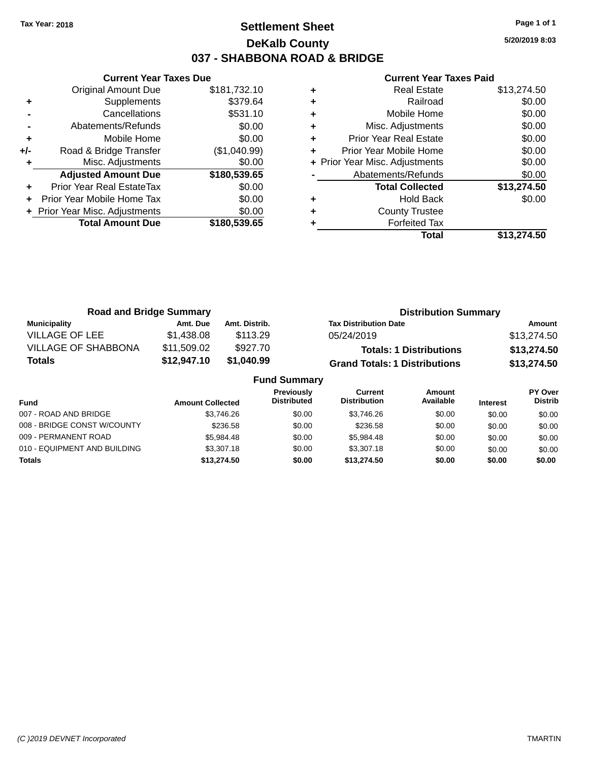### **Settlement Sheet Tax Year: 2018 Page 1 of 1 DeKalb County 037 - SHABBONA ROAD & BRIDGE**

**5/20/2019 8:03**

|     | <b>Current Year Taxes Due</b>  |              |
|-----|--------------------------------|--------------|
|     | <b>Original Amount Due</b>     | \$181,732.10 |
| ٠   | Supplements                    | \$379.64     |
|     | Cancellations                  | \$531.10     |
|     | Abatements/Refunds             | \$0.00       |
| ٠   | Mobile Home                    | \$0.00       |
| +/- | Road & Bridge Transfer         | (\$1,040.99) |
|     | Misc. Adjustments              | \$0.00       |
|     | <b>Adjusted Amount Due</b>     | \$180,539.65 |
| ٠   | Prior Year Real EstateTax      | \$0.00       |
|     | Prior Year Mobile Home Tax     | \$0.00       |
|     | + Prior Year Misc. Adjustments | \$0.00       |
|     | <b>Total Amount Due</b>        | \$180,539.65 |
|     |                                |              |

| ٠ | <b>Real Estate</b>             | \$13,274.50 |
|---|--------------------------------|-------------|
| ٠ | Railroad                       | \$0.00      |
| ٠ | Mobile Home                    | \$0.00      |
| ٠ | Misc. Adjustments              | \$0.00      |
| ٠ | <b>Prior Year Real Estate</b>  | \$0.00      |
| ٠ | Prior Year Mobile Home         | \$0.00      |
|   | + Prior Year Misc. Adjustments | \$0.00      |
|   | Abatements/Refunds             | \$0.00      |
|   | <b>Total Collected</b>         | \$13,274.50 |
| ٠ | <b>Hold Back</b>               | \$0.00      |
| ٠ | <b>County Trustee</b>          |             |
|   | <b>Forfeited Tax</b>           |             |
|   | Total                          | \$13.274.50 |

| <b>Road and Bridge Summary</b> |             |                     | <b>Distribution Summary</b>          |             |  |
|--------------------------------|-------------|---------------------|--------------------------------------|-------------|--|
| <b>Municipality</b>            | Amt. Due    | Amt. Distrib.       | <b>Tax Distribution Date</b>         | Amount      |  |
| <b>VILLAGE OF LEE</b>          | \$1,438.08  | \$113.29            | 05/24/2019                           | \$13,274.50 |  |
| <b>VILLAGE OF SHABBONA</b>     | \$11,509.02 | \$927.70            | <b>Totals: 1 Distributions</b>       | \$13,274.50 |  |
| <b>Totals</b>                  | \$12,947.10 | \$1,040.99          | <b>Grand Totals: 1 Distributions</b> | \$13,274.50 |  |
|                                |             | <b>Fund Summary</b> |                                      |             |  |

| <b>Amount Collected</b> | <b>Previously</b><br><b>Distributed</b> | Current<br><b>Distribution</b> | Amount<br>Available | <b>Interest</b> | PY Over<br><b>Distrib</b> |
|-------------------------|-----------------------------------------|--------------------------------|---------------------|-----------------|---------------------------|
| \$3.746.26              | \$0.00                                  | \$3.746.26                     | \$0.00              | \$0.00          | \$0.00                    |
| \$236.58                | \$0.00                                  | \$236.58                       | \$0.00              | \$0.00          | \$0.00                    |
| \$5.984.48              | \$0.00                                  | \$5.984.48                     | \$0.00              | \$0.00          | \$0.00                    |
| \$3,307.18              | \$0.00                                  | \$3,307.18                     | \$0.00              | \$0.00          | \$0.00                    |
| \$13,274.50             | \$0.00                                  | \$13,274.50                    | \$0.00              | \$0.00          | \$0.00                    |
|                         |                                         |                                |                     |                 |                           |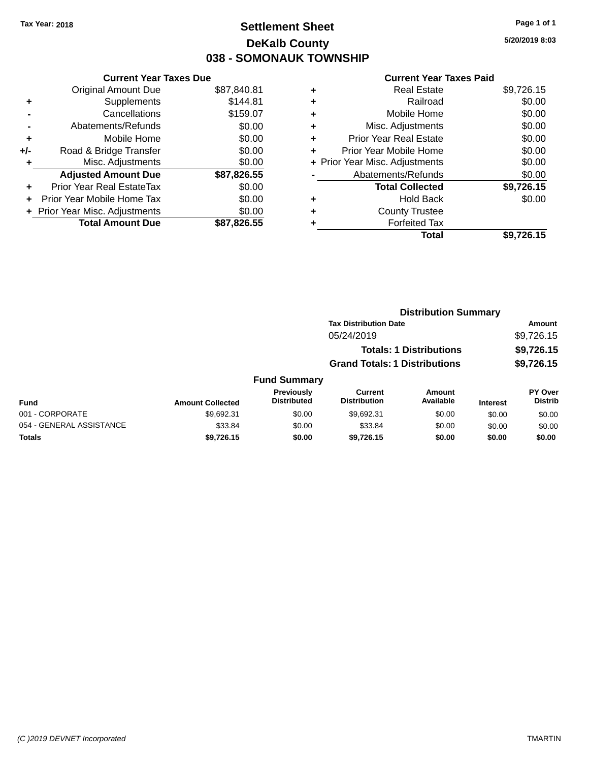## **Settlement Sheet Tax Year: 2018 Page 1 of 1 DeKalb County 038 - SOMONAUK TOWNSHIP**

**5/20/2019 8:03**

| \$87,840.81<br>\$144.81<br>\$159.07 |
|-------------------------------------|
|                                     |
|                                     |
|                                     |
| \$0.00                              |
| \$0.00                              |
| \$0.00                              |
| \$0.00                              |
| \$87,826.55                         |
| \$0.00                              |
| \$0.00                              |
| \$0.00                              |
| \$87,826.55                         |
|                                     |

| ٠ | <b>Real Estate</b>             | \$9,726.15 |
|---|--------------------------------|------------|
| ٠ | Railroad                       | \$0.00     |
| ٠ | Mobile Home                    | \$0.00     |
| ٠ | Misc. Adjustments              | \$0.00     |
| ٠ | <b>Prior Year Real Estate</b>  | \$0.00     |
| ٠ | Prior Year Mobile Home         | \$0.00     |
|   | + Prior Year Misc. Adjustments | \$0.00     |
|   | Abatements/Refunds             | \$0.00     |
|   | <b>Total Collected</b>         | \$9,726.15 |
| ٠ | <b>Hold Back</b>               | \$0.00     |
| ٠ | <b>County Trustee</b>          |            |
| ٠ | <b>Forfeited Tax</b>           |            |
|   | Total                          | \$9,726.15 |
|   |                                |            |

|                         |                                         | <b>Distribution Summary</b>          |                                |                 |                                  |  |
|-------------------------|-----------------------------------------|--------------------------------------|--------------------------------|-----------------|----------------------------------|--|
|                         |                                         | <b>Tax Distribution Date</b>         |                                |                 | Amount                           |  |
|                         |                                         | 05/24/2019                           |                                |                 | \$9,726.15                       |  |
|                         |                                         |                                      | <b>Totals: 1 Distributions</b> |                 | \$9,726.15                       |  |
|                         |                                         | <b>Grand Totals: 1 Distributions</b> |                                |                 | \$9,726.15                       |  |
|                         | <b>Fund Summary</b>                     |                                      |                                |                 |                                  |  |
| <b>Amount Collected</b> | <b>Previously</b><br><b>Distributed</b> | Current<br><b>Distribution</b>       | Amount<br>Available            | <b>Interest</b> | <b>PY Over</b><br><b>Distrib</b> |  |
| 0.60231                 | <b>CO OO</b>                            | 0.60231                              | <b>CO OO</b>                   | 0000            | 0000                             |  |

| <b>Fund</b>              | <b>Amount Collected</b> | <b>Previously</b><br><b>Distributed</b> | Current<br><b>Distribution</b> | Amount<br>Available | <b>Interest</b> | <b>PY Over</b><br><b>Distrib</b> |
|--------------------------|-------------------------|-----------------------------------------|--------------------------------|---------------------|-----------------|----------------------------------|
| 001 - CORPORATE          | \$9.692.31              | \$0.00                                  | \$9.692.31                     | \$0.00              | \$0.00          | \$0.00                           |
| 054 - GENERAL ASSISTANCE | \$33.84                 | \$0.00                                  | \$33.84                        | \$0.00              | \$0.00          | \$0.00                           |
| <b>Totals</b>            | \$9.726.15              | \$0.00                                  | \$9.726.15                     | \$0.00              | \$0.00          | \$0.00                           |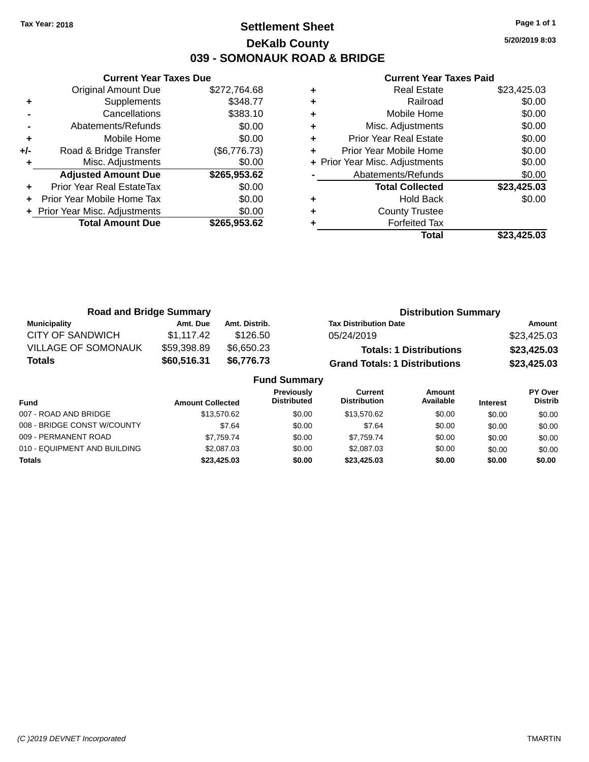### **Settlement Sheet Tax Year: 2018 Page 1 of 1 DeKalb County 039 - SOMONAUK ROAD & BRIDGE**

**5/20/2019 8:03**

|     | <b>Current Year Taxes Due</b>  |              |
|-----|--------------------------------|--------------|
|     | <b>Original Amount Due</b>     | \$272,764.68 |
| ٠   | Supplements                    | \$348.77     |
|     | Cancellations                  | \$383.10     |
|     | Abatements/Refunds             | \$0.00       |
| ٠   | Mobile Home                    | \$0.00       |
| +/- | Road & Bridge Transfer         | (\$6,776.73) |
|     | Misc. Adjustments              | \$0.00       |
|     | <b>Adjusted Amount Due</b>     | \$265,953.62 |
| ٠   | Prior Year Real EstateTax      | \$0.00       |
|     | Prior Year Mobile Home Tax     | \$0.00       |
|     | + Prior Year Misc. Adjustments | \$0.00       |
|     | <b>Total Amount Due</b>        | \$265,953.62 |
|     |                                |              |

|   | <b>Real Estate</b>             | \$23,425.03 |
|---|--------------------------------|-------------|
| ٠ | Railroad                       | \$0.00      |
| ٠ | Mobile Home                    | \$0.00      |
| ٠ | Misc. Adjustments              | \$0.00      |
| ٠ | <b>Prior Year Real Estate</b>  | \$0.00      |
| ٠ | Prior Year Mobile Home         | \$0.00      |
|   | + Prior Year Misc. Adjustments | \$0.00      |
|   | Abatements/Refunds             | \$0.00      |
|   | <b>Total Collected</b>         | \$23,425.03 |
| ٠ | <b>Hold Back</b>               | \$0.00      |
| ٠ | <b>County Trustee</b>          |             |
| ٠ | <b>Forfeited Tax</b>           |             |
|   | Total                          | \$23,425.03 |
|   |                                |             |

| <b>Road and Bridge Summary</b> |             | <b>Distribution Summary</b> |                                      |             |
|--------------------------------|-------------|-----------------------------|--------------------------------------|-------------|
| <b>Municipality</b>            | Amt. Due    | Amt. Distrib.               | <b>Tax Distribution Date</b>         | Amount      |
| <b>CITY OF SANDWICH</b>        | \$1,117.42  | \$126.50                    | 05/24/2019                           | \$23,425.03 |
| <b>VILLAGE OF SOMONAUK</b>     | \$59,398.89 | \$6,650.23                  | <b>Totals: 1 Distributions</b>       | \$23,425.03 |
| <b>Totals</b>                  | \$60,516.31 | \$6,776.73                  | <b>Grand Totals: 1 Distributions</b> | \$23,425.03 |
| <b>Fund Summary</b>            |             |                             |                                      |             |

|                              |                         | .                                       |                                |                     |                 |                           |
|------------------------------|-------------------------|-----------------------------------------|--------------------------------|---------------------|-----------------|---------------------------|
| Fund                         | <b>Amount Collected</b> | <b>Previously</b><br><b>Distributed</b> | Current<br><b>Distribution</b> | Amount<br>Available | <b>Interest</b> | PY Over<br><b>Distrib</b> |
| 007 - ROAD AND BRIDGE        | \$13,570.62             | \$0.00                                  | \$13,570.62                    | \$0.00              | \$0.00          | \$0.00                    |
| 008 - BRIDGE CONST W/COUNTY  | \$7.64                  | \$0.00                                  | \$7.64                         | \$0.00              | \$0.00          | \$0.00                    |
| 009 - PERMANENT ROAD         | \$7.759.74              | \$0.00                                  | \$7.759.74                     | \$0.00              | \$0.00          | \$0.00                    |
| 010 - EQUIPMENT AND BUILDING | \$2,087.03              | \$0.00                                  | \$2,087.03                     | \$0.00              | \$0.00          | \$0.00                    |
| <b>Totals</b>                | \$23,425.03             | \$0.00                                  | \$23,425.03                    | \$0.00              | \$0.00          | \$0.00                    |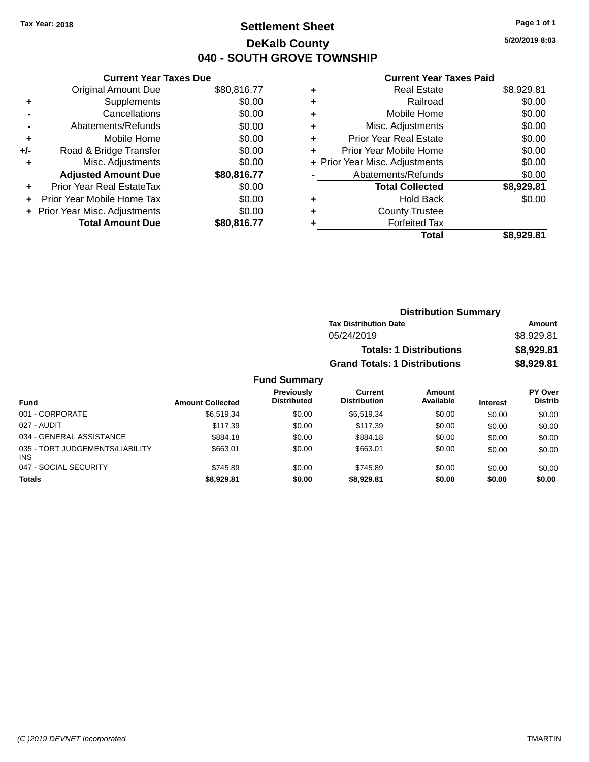### **Settlement Sheet Tax Year: 2018 Page 1 of 1 DeKalb County 040 - SOUTH GROVE TOWNSHIP**

**5/20/2019 8:03**

#### **Current Year Taxes Paid**

|     | <b>Current Year Taxes Due</b>  |             |
|-----|--------------------------------|-------------|
|     | <b>Original Amount Due</b>     | \$80,816.77 |
| ٠   | Supplements                    | \$0.00      |
|     | Cancellations                  | \$0.00      |
|     | Abatements/Refunds             | \$0.00      |
| ٠   | Mobile Home                    | \$0.00      |
| +/- | Road & Bridge Transfer         | \$0.00      |
|     | Misc. Adjustments              | \$0.00      |
|     | <b>Adjusted Amount Due</b>     | \$80,816.77 |
| ÷   | Prior Year Real EstateTax      | \$0.00      |
|     | Prior Year Mobile Home Tax     | \$0.00      |
|     | + Prior Year Misc. Adjustments | \$0.00      |
|     | <b>Total Amount Due</b>        | \$80,816.77 |

| <b>Real Estate</b>             | \$8,929.81 |
|--------------------------------|------------|
| Railroad                       | \$0.00     |
| Mobile Home                    | \$0.00     |
| Misc. Adjustments              | \$0.00     |
| <b>Prior Year Real Estate</b>  | \$0.00     |
| Prior Year Mobile Home         | \$0.00     |
| + Prior Year Misc. Adjustments | \$0.00     |
| Abatements/Refunds             | \$0.00     |
| <b>Total Collected</b>         | \$8,929.81 |
| <b>Hold Back</b>               | \$0.00     |
| <b>County Trustee</b>          |            |
| <b>Forfeited Tax</b>           |            |
| Total                          | \$8,929.81 |
|                                |            |

| <b>Distribution Summary</b>          |            |
|--------------------------------------|------------|
| <b>Tax Distribution Date</b>         | Amount     |
| 05/24/2019                           | \$8,929.81 |
| <b>Totals: 1 Distributions</b>       | \$8,929.81 |
| <b>Grand Totals: 1 Distributions</b> | \$8,929.81 |

| <b>Fund</b>                                   | <b>Amount Collected</b> | Previously<br><b>Distributed</b> | Current<br><b>Distribution</b> | Amount<br>Available | <b>Interest</b> | PY Over<br><b>Distrib</b> |
|-----------------------------------------------|-------------------------|----------------------------------|--------------------------------|---------------------|-----------------|---------------------------|
| 001 - CORPORATE                               | \$6.519.34              | \$0.00                           | \$6,519.34                     | \$0.00              | \$0.00          | \$0.00                    |
| 027 - AUDIT                                   | \$117.39                | \$0.00                           | \$117.39                       | \$0.00              | \$0.00          | \$0.00                    |
| 034 - GENERAL ASSISTANCE                      | \$884.18                | \$0.00                           | \$884.18                       | \$0.00              | \$0.00          | \$0.00                    |
| 035 - TORT JUDGEMENTS/LIABILITY<br><b>INS</b> | \$663.01                | \$0.00                           | \$663.01                       | \$0.00              | \$0.00          | \$0.00                    |
| 047 - SOCIAL SECURITY                         | \$745.89                | \$0.00                           | \$745.89                       | \$0.00              | \$0.00          | \$0.00                    |
| <b>Totals</b>                                 | \$8.929.81              | \$0.00                           | \$8.929.81                     | \$0.00              | \$0.00          | \$0.00                    |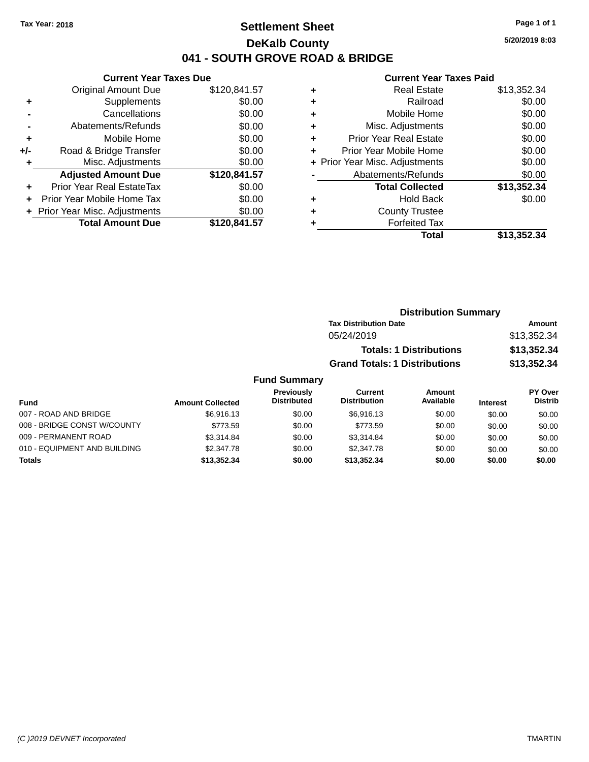### **Settlement Sheet Tax Year: 2018 Page 1 of 1 DeKalb County 041 - SOUTH GROVE ROAD & BRIDGE**

**5/20/2019 8:03**

#### **Current Year Taxes Paid**

|     | <b>Current Year Taxes Due</b>  |              |
|-----|--------------------------------|--------------|
|     | <b>Original Amount Due</b>     | \$120,841.57 |
| ٠   | Supplements                    | \$0.00       |
|     | Cancellations                  | \$0.00       |
|     | Abatements/Refunds             | \$0.00       |
| ٠   | Mobile Home                    | \$0.00       |
| +/- | Road & Bridge Transfer         | \$0.00       |
|     | Misc. Adjustments              | \$0.00       |
|     | <b>Adjusted Amount Due</b>     | \$120,841.57 |
| ÷   | Prior Year Real EstateTax      | \$0.00       |
|     | Prior Year Mobile Home Tax     | \$0.00       |
|     | + Prior Year Misc. Adjustments | \$0.00       |
|     | <b>Total Amount Due</b>        | \$120,841.57 |
|     |                                |              |

| ٠ | <b>Real Estate</b>             | \$13,352.34 |
|---|--------------------------------|-------------|
| ٠ | Railroad                       | \$0.00      |
| ٠ | Mobile Home                    | \$0.00      |
| ٠ | Misc. Adjustments              | \$0.00      |
| ٠ | <b>Prior Year Real Estate</b>  | \$0.00      |
| ٠ | Prior Year Mobile Home         | \$0.00      |
|   | + Prior Year Misc. Adjustments | \$0.00      |
|   | Abatements/Refunds             | \$0.00      |
|   | <b>Total Collected</b>         | \$13,352.34 |
| ٠ | <b>Hold Back</b>               | \$0.00      |
| ٠ | <b>County Trustee</b>          |             |
| ٠ | <b>Forfeited Tax</b>           |             |
|   | Total                          | \$13,352.34 |
|   |                                |             |

| <b>Distribution Summary</b>          |             |
|--------------------------------------|-------------|
| <b>Tax Distribution Date</b>         | Amount      |
| 05/24/2019                           | \$13,352,34 |
| <b>Totals: 1 Distributions</b>       | \$13,352.34 |
| <b>Grand Totals: 1 Distributions</b> | \$13,352.34 |

| Fund                         | <b>Amount Collected</b> | Previously<br><b>Distributed</b> | Current<br><b>Distribution</b> | Amount<br>Available | <b>Interest</b> | <b>PY Over</b><br><b>Distrib</b> |
|------------------------------|-------------------------|----------------------------------|--------------------------------|---------------------|-----------------|----------------------------------|
| 007 - ROAD AND BRIDGE        | \$6.916.13              | \$0.00                           | \$6.916.13                     | \$0.00              | \$0.00          | \$0.00                           |
| 008 - BRIDGE CONST W/COUNTY  | \$773.59                | \$0.00                           | \$773.59                       | \$0.00              | \$0.00          | \$0.00                           |
| 009 - PERMANENT ROAD         | \$3.314.84              | \$0.00                           | \$3.314.84                     | \$0.00              | \$0.00          | \$0.00                           |
| 010 - EQUIPMENT AND BUILDING | \$2,347.78              | \$0.00                           | \$2,347.78                     | \$0.00              | \$0.00          | \$0.00                           |
| <b>Totals</b>                | \$13,352,34             | \$0.00                           | \$13.352.34                    | \$0.00              | \$0.00          | \$0.00                           |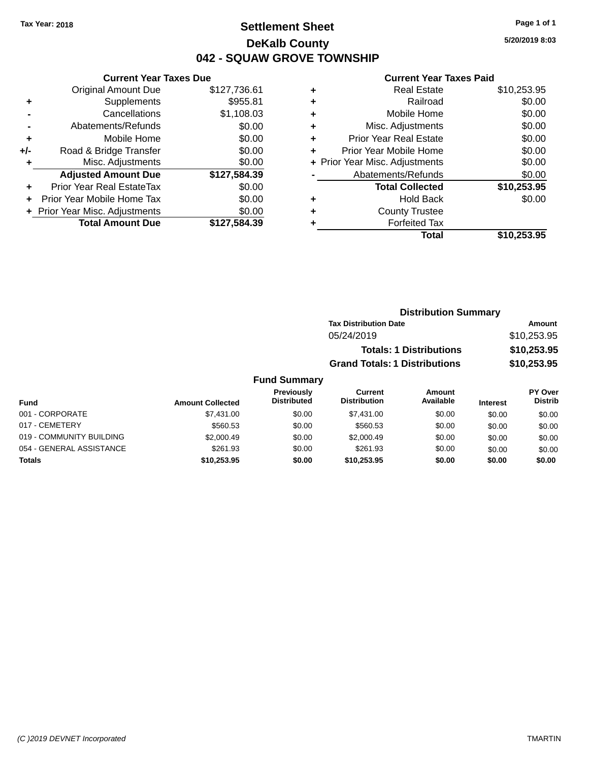### **Settlement Sheet Tax Year: 2018 Page 1 of 1 DeKalb County 042 - SQUAW GROVE TOWNSHIP**

**5/20/2019 8:03**

#### **Current Year Taxes Paid**

|       | <b>Current Year Taxes Due</b>  |              |
|-------|--------------------------------|--------------|
|       | <b>Original Amount Due</b>     | \$127,736.61 |
| ٠     | Supplements                    | \$955.81     |
|       | Cancellations                  | \$1,108.03   |
|       | Abatements/Refunds             | \$0.00       |
| ٠     | Mobile Home                    | \$0.00       |
| $+/-$ | Road & Bridge Transfer         | \$0.00       |
| ٠     | Misc. Adjustments              | \$0.00       |
|       | <b>Adjusted Amount Due</b>     | \$127,584.39 |
| ٠     | Prior Year Real EstateTax      | \$0.00       |
|       | Prior Year Mobile Home Tax     | \$0.00       |
|       | + Prior Year Misc. Adjustments | \$0.00       |
|       | <b>Total Amount Due</b>        | \$127,584.39 |
|       |                                |              |

|   | <b>Real Estate</b>             | \$10,253.95 |
|---|--------------------------------|-------------|
| ٠ | Railroad                       | \$0.00      |
| ٠ | Mobile Home                    | \$0.00      |
| ٠ | Misc. Adjustments              | \$0.00      |
| ٠ | <b>Prior Year Real Estate</b>  | \$0.00      |
| ٠ | Prior Year Mobile Home         | \$0.00      |
|   | + Prior Year Misc. Adjustments | \$0.00      |
|   | Abatements/Refunds             | \$0.00      |
|   | <b>Total Collected</b>         | \$10,253.95 |
| ٠ | <b>Hold Back</b>               | \$0.00      |
| ٠ | <b>County Trustee</b>          |             |
| ٠ | <b>Forfeited Tax</b>           |             |
|   | Total                          | \$10,253.95 |
|   |                                |             |

| <b>Distribution Summary</b>          |             |
|--------------------------------------|-------------|
| <b>Tax Distribution Date</b>         | Amount      |
| 05/24/2019                           | \$10,253.95 |
| <b>Totals: 1 Distributions</b>       | \$10,253.95 |
| <b>Grand Totals: 1 Distributions</b> | \$10,253.95 |

| <b>Fund</b>              | <b>Amount Collected</b> | Previously<br><b>Distributed</b> | Current<br><b>Distribution</b> | Amount<br>Available | <b>Interest</b> | PY Over<br><b>Distrib</b> |
|--------------------------|-------------------------|----------------------------------|--------------------------------|---------------------|-----------------|---------------------------|
| 001 - CORPORATE          | \$7.431.00              | \$0.00                           | \$7,431,00                     | \$0.00              | \$0.00          | \$0.00                    |
| 017 - CEMETERY           | \$560.53                | \$0.00                           | \$560.53                       | \$0.00              | \$0.00          | \$0.00                    |
| 019 - COMMUNITY BUILDING | \$2,000.49              | \$0.00                           | \$2,000.49                     | \$0.00              | \$0.00          | \$0.00                    |
| 054 - GENERAL ASSISTANCE | \$261.93                | \$0.00                           | \$261.93                       | \$0.00              | \$0.00          | \$0.00                    |
| <b>Totals</b>            | \$10,253.95             | \$0.00                           | \$10.253.95                    | \$0.00              | \$0.00          | \$0.00                    |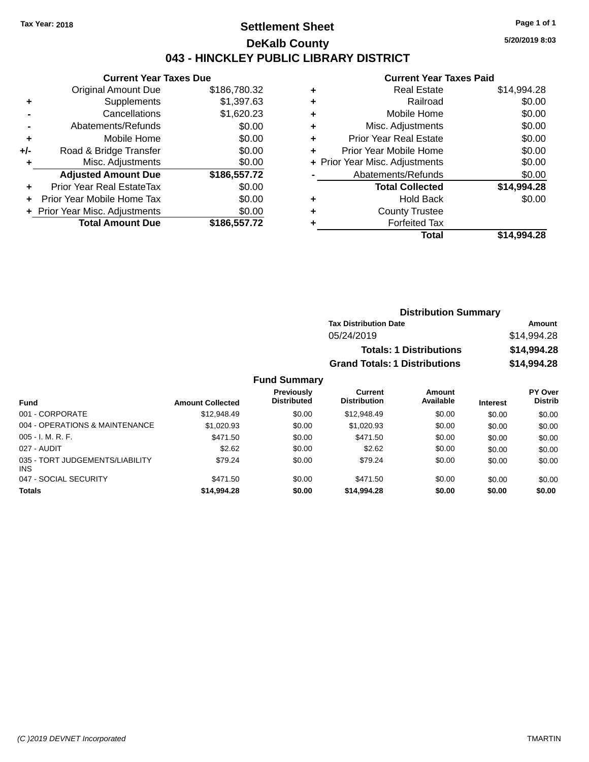### **Settlement Sheet Tax Year: 2018 Page 1 of 1 DeKalb County 043 - HINCKLEY PUBLIC LIBRARY DISTRICT**

**5/20/2019 8:03**

# **Current Year Taxes Paid**

|     | <b>Current Year Taxes Due</b>  |              |
|-----|--------------------------------|--------------|
|     | <b>Original Amount Due</b>     | \$186,780.32 |
| ٠   | Supplements                    | \$1,397.63   |
|     | Cancellations                  | \$1,620.23   |
|     | Abatements/Refunds             | \$0.00       |
| ٠   | Mobile Home                    | \$0.00       |
| +/- | Road & Bridge Transfer         | \$0.00       |
| ٠   | Misc. Adjustments              | \$0.00       |
|     | <b>Adjusted Amount Due</b>     | \$186,557.72 |
|     | Prior Year Real EstateTax      | \$0.00       |
|     | Prior Year Mobile Home Tax     | \$0.00       |
|     | + Prior Year Misc. Adjustments | \$0.00       |
|     | <b>Total Amount Due</b>        | \$186,557.72 |
|     |                                |              |

| ٠ | <b>Real Estate</b>             | \$14,994.28 |
|---|--------------------------------|-------------|
| ÷ | Railroad                       | \$0.00      |
| ٠ | Mobile Home                    | \$0.00      |
| ٠ | Misc. Adjustments              | \$0.00      |
| ٠ | <b>Prior Year Real Estate</b>  | \$0.00      |
| ٠ | Prior Year Mobile Home         | \$0.00      |
|   | + Prior Year Misc. Adjustments | \$0.00      |
|   | Abatements/Refunds             | \$0.00      |
|   | <b>Total Collected</b>         | \$14,994.28 |
| ٠ | Hold Back                      | \$0.00      |
| ٠ | <b>County Trustee</b>          |             |
| ٠ | <b>Forfeited Tax</b>           |             |
|   | Total                          | \$14,994.28 |
|   |                                |             |

| <b>Distribution Summary</b>          |             |  |  |
|--------------------------------------|-------------|--|--|
| <b>Tax Distribution Date</b>         | Amount      |  |  |
| 05/24/2019                           | \$14.994.28 |  |  |
| <b>Totals: 1 Distributions</b>       | \$14,994.28 |  |  |
| <b>Grand Totals: 1 Distributions</b> | \$14,994.28 |  |  |

| <b>Fund</b>                                   | <b>Amount Collected</b> | Previously<br><b>Distributed</b> | <b>Current</b><br><b>Distribution</b> | Amount<br>Available | <b>Interest</b> | PY Over<br><b>Distrib</b> |
|-----------------------------------------------|-------------------------|----------------------------------|---------------------------------------|---------------------|-----------------|---------------------------|
| 001 - CORPORATE                               | \$12,948.49             | \$0.00                           | \$12,948.49                           | \$0.00              | \$0.00          | \$0.00                    |
| 004 - OPERATIONS & MAINTENANCE                | \$1,020.93              | \$0.00                           | \$1.020.93                            | \$0.00              | \$0.00          | \$0.00                    |
| $005 - I. M. R. F.$                           | \$471.50                | \$0.00                           | \$471.50                              | \$0.00              | \$0.00          | \$0.00                    |
| 027 - AUDIT                                   | \$2.62                  | \$0.00                           | \$2.62                                | \$0.00              | \$0.00          | \$0.00                    |
| 035 - TORT JUDGEMENTS/LIABILITY<br><b>INS</b> | \$79.24                 | \$0.00                           | \$79.24                               | \$0.00              | \$0.00          | \$0.00                    |
| 047 - SOCIAL SECURITY                         | \$471.50                | \$0.00                           | \$471.50                              | \$0.00              | \$0.00          | \$0.00                    |
| <b>Totals</b>                                 | \$14,994.28             | \$0.00                           | \$14,994.28                           | \$0.00              | \$0.00          | \$0.00                    |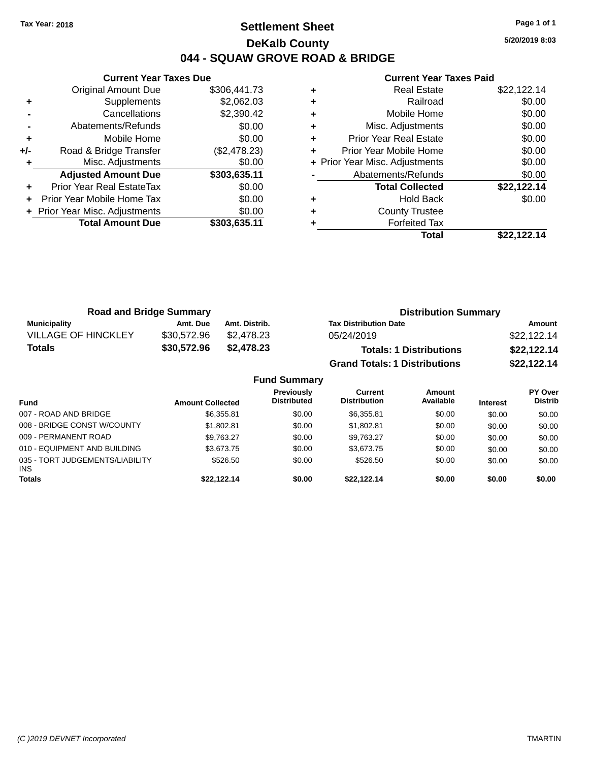### **Settlement Sheet Tax Year: 2018 Page 1 of 1 DeKalb County 044 - SQUAW GROVE ROAD & BRIDGE**

**5/20/2019 8:03**

|     | <b>Current Year Taxes Due</b>  |              |
|-----|--------------------------------|--------------|
|     | Original Amount Due            | \$306,441.73 |
| ٠   | Supplements                    | \$2,062.03   |
|     | Cancellations                  | \$2,390.42   |
|     | Abatements/Refunds             | \$0.00       |
| ٠   | Mobile Home                    | \$0.00       |
| +/- | Road & Bridge Transfer         | (\$2,478.23) |
|     | Misc. Adjustments              | \$0.00       |
|     | <b>Adjusted Amount Due</b>     | \$303,635.11 |
|     | Prior Year Real EstateTax      | \$0.00       |
|     | Prior Year Mobile Home Tax     | \$0.00       |
|     | + Prior Year Misc. Adjustments | \$0.00       |
|     | <b>Total Amount Due</b>        | \$303,635.11 |
|     |                                |              |

| Prior Year Mobile Home<br>+ Prior Year Misc. Adjustments<br>Abatements/Refunds<br><b>Total Collected</b><br><b>Hold Back</b><br><b>County Trustee</b> | \$0.00<br>\$0.00<br>\$0.00<br>\$22,122.14<br>\$0.00 |
|-------------------------------------------------------------------------------------------------------------------------------------------------------|-----------------------------------------------------|
|                                                                                                                                                       |                                                     |
|                                                                                                                                                       |                                                     |
|                                                                                                                                                       |                                                     |
|                                                                                                                                                       |                                                     |
|                                                                                                                                                       |                                                     |
|                                                                                                                                                       |                                                     |
| <b>Prior Year Real Estate</b>                                                                                                                         | \$0.00                                              |
| Misc. Adjustments                                                                                                                                     | \$0.00                                              |
| Mobile Home                                                                                                                                           | \$0.00                                              |
| Railroad                                                                                                                                              | \$0.00                                              |
| <b>Real Estate</b>                                                                                                                                    | \$22,122.14                                         |
|                                                                                                                                                       |                                                     |

| <b>Road and Bridge Summary</b> |             |               | <b>Distribution Summary</b>          |             |  |
|--------------------------------|-------------|---------------|--------------------------------------|-------------|--|
| Municipality                   | Amt. Due    | Amt. Distrib. | <b>Tax Distribution Date</b>         | Amount      |  |
| <b>VILLAGE OF HINCKLEY</b>     | \$30.572.96 | \$2.478.23    | 05/24/2019                           | \$22,122.14 |  |
| <b>Totals</b>                  | \$30,572.96 | \$2,478.23    | <b>Totals: 1 Distributions</b>       | \$22,122.14 |  |
|                                |             |               | <b>Grand Totals: 1 Distributions</b> | \$22,122.14 |  |

|                                         |                         | <b>Fund Summary</b>                     |                                |                     |                 |                                  |
|-----------------------------------------|-------------------------|-----------------------------------------|--------------------------------|---------------------|-----------------|----------------------------------|
| Fund                                    | <b>Amount Collected</b> | <b>Previously</b><br><b>Distributed</b> | Current<br><b>Distribution</b> | Amount<br>Available | <b>Interest</b> | <b>PY Over</b><br><b>Distrib</b> |
| 007 - ROAD AND BRIDGE                   | \$6,355.81              | \$0.00                                  | \$6.355.81                     | \$0.00              | \$0.00          | \$0.00                           |
| 008 - BRIDGE CONST W/COUNTY             | \$1,802.81              | \$0.00                                  | \$1,802.81                     | \$0.00              | \$0.00          | \$0.00                           |
| 009 - PERMANENT ROAD                    | \$9.763.27              | \$0.00                                  | \$9.763.27                     | \$0.00              | \$0.00          | \$0.00                           |
| 010 - EQUIPMENT AND BUILDING            | \$3,673,75              | \$0.00                                  | \$3,673.75                     | \$0.00              | \$0.00          | \$0.00                           |
| 035 - TORT JUDGEMENTS/LIABILITY<br>INS. | \$526.50                | \$0.00                                  | \$526.50                       | \$0.00              | \$0.00          | \$0.00                           |
| <b>Totals</b>                           | \$22.122.14             | \$0.00                                  | \$22.122.14                    | \$0.00              | \$0.00          | \$0.00                           |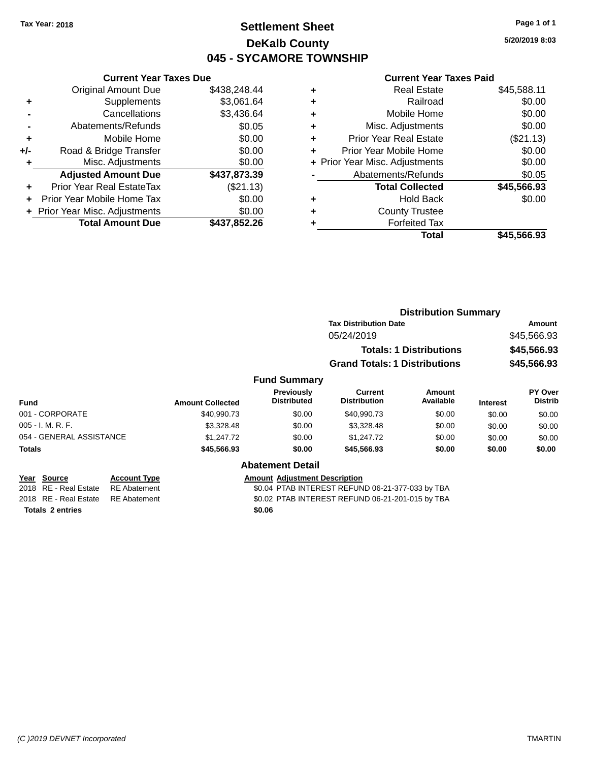### **Settlement Sheet Tax Year: 2018 Page 1 of 1 DeKalb County 045 - SYCAMORE TOWNSHIP**

**5/20/2019 8:03**

#### **Current Year Taxes Paid**

|     | <b>Current Year Taxes Due</b>  |              |
|-----|--------------------------------|--------------|
|     | <b>Original Amount Due</b>     | \$438,248.44 |
| ÷   | Supplements                    | \$3,061.64   |
|     | Cancellations                  | \$3,436.64   |
|     | Abatements/Refunds             | \$0.05       |
| ٠   | Mobile Home                    | \$0.00       |
| +/- | Road & Bridge Transfer         | \$0.00       |
|     | Misc. Adjustments              | \$0.00       |
|     | <b>Adjusted Amount Due</b>     | \$437,873.39 |
| ÷   | Prior Year Real EstateTax      | (\$21.13)    |
|     | Prior Year Mobile Home Tax     | \$0.00       |
|     | + Prior Year Misc. Adjustments | \$0.00       |
|     | <b>Total Amount Due</b>        | \$437,852.26 |
|     |                                |              |

| ٠ | <b>Real Estate</b>             | \$45,588.11 |
|---|--------------------------------|-------------|
| ٠ | Railroad                       | \$0.00      |
| ٠ | Mobile Home                    | \$0.00      |
| ٠ | Misc. Adjustments              | \$0.00      |
| ٠ | Prior Year Real Estate         | (\$21.13)   |
| ٠ | Prior Year Mobile Home         | \$0.00      |
|   | + Prior Year Misc. Adjustments | \$0.00      |
|   | Abatements/Refunds             | \$0.05      |
|   | <b>Total Collected</b>         | \$45,566.93 |
| ٠ | <b>Hold Back</b>               | \$0.00      |
| ٠ | <b>County Trustee</b>          |             |
| ٠ | <b>Forfeited Tax</b>           |             |
|   | Total                          | \$45,566.93 |
|   |                                |             |

|                                              |                         |                                      | <b>Distribution Summary</b>           |                                |                 |                           |
|----------------------------------------------|-------------------------|--------------------------------------|---------------------------------------|--------------------------------|-----------------|---------------------------|
|                                              |                         |                                      | <b>Tax Distribution Date</b>          |                                | Amount          |                           |
|                                              |                         |                                      | 05/24/2019                            |                                |                 | \$45,566.93               |
|                                              |                         |                                      |                                       | <b>Totals: 1 Distributions</b> |                 | \$45,566.93               |
|                                              |                         |                                      | <b>Grand Totals: 1 Distributions</b>  |                                |                 | \$45,566.93               |
|                                              |                         | <b>Fund Summary</b>                  |                                       |                                |                 |                           |
| <b>Fund</b>                                  | <b>Amount Collected</b> | Previously<br><b>Distributed</b>     | <b>Current</b><br><b>Distribution</b> | Amount<br>Available            | <b>Interest</b> | PY Over<br><b>Distrib</b> |
| 001 - CORPORATE                              | \$40,990.73             | \$0.00                               | \$40,990.73                           | \$0.00                         | \$0.00          | \$0.00                    |
| 005 - I. M. R. F.                            | \$3,328.48              | \$0.00                               | \$3,328.48                            | \$0.00                         | \$0.00          | \$0.00                    |
| 054 - GENERAL ASSISTANCE                     | \$1,247.72              | \$0.00                               | \$1,247.72                            | \$0.00                         | \$0.00          | \$0.00                    |
| Totals                                       | \$45,566.93             | \$0.00                               | \$45,566.93                           | \$0.00                         | \$0.00          | \$0.00                    |
|                                              |                         | <b>Abatement Detail</b>              |                                       |                                |                 |                           |
| Year<br><b>Account Type</b><br><b>Source</b> |                         | <b>Amount Adjustment Description</b> |                                       |                                |                 |                           |

**<u>Year Source</u><br>
2018 RE - Real Estate RE Abatement Totals \$0.06 2 entries**

\$0.04 PTAB INTEREST REFUND 06-21-377-033 by TBA

2018 RE - Real Estate RE Abatement \$0.02 PTAB INTEREST REFUND 06-21-201-015 by TBA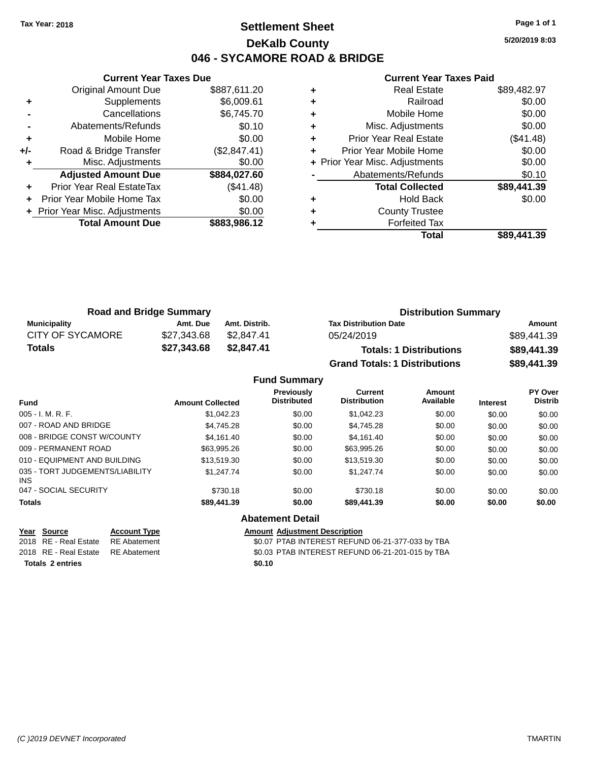### **Settlement Sheet Tax Year: 2018 Page 1 of 1 DeKalb County 046 - SYCAMORE ROAD & BRIDGE**

**Current Year Taxes Due** Original Amount Due \$887,611.20 **+** Supplements \$6,009.61 **-** Cancellations \$6,745.70 **-** Abatements/Refunds **\$0.10 +** Mobile Home \$0.00 **+/-** Road & Bridge Transfer (\$2,847.41) **+** Misc. Adjustments \$0.00 **Adjusted Amount Due \$884,027.60 +** Prior Year Real EstateTax (\$41.48) **+** Prior Year Mobile Home Tax \$0.00 **+ Prior Year Misc. Adjustments**  $$0.00$ **Total Amount Due \$883,986.12**

#### **Current Year Taxes Paid**

|   | <b>Real Estate</b>             | \$89,482.97 |
|---|--------------------------------|-------------|
| ٠ | Railroad                       | \$0.00      |
| ٠ | Mobile Home                    | \$0.00      |
| ٠ | Misc. Adjustments              | \$0.00      |
| ٠ | <b>Prior Year Real Estate</b>  | (\$41.48)   |
|   | Prior Year Mobile Home         | \$0.00      |
|   | + Prior Year Misc. Adjustments | \$0.00      |
|   | Abatements/Refunds             | \$0.10      |
|   | <b>Total Collected</b>         | \$89,441.39 |
| ٠ | <b>Hold Back</b>               | \$0.00      |
|   | <b>County Trustee</b>          |             |
|   | <b>Forfeited Tax</b>           |             |
|   | Total                          | \$89.441.39 |
|   |                                |             |

| <b>Road and Bridge Summary</b> |             |               | <b>Distribution Summary</b>          |             |  |
|--------------------------------|-------------|---------------|--------------------------------------|-------------|--|
| Municipality                   | Amt. Due    | Amt. Distrib. | <b>Tax Distribution Date</b>         | Amount      |  |
| <b>CITY OF SYCAMORE</b>        | \$27,343.68 | \$2.847.41    | 05/24/2019                           | \$89,441.39 |  |
| <b>Totals</b>                  | \$27,343.68 | \$2.847.41    | <b>Totals: 1 Distributions</b>       | \$89,441.39 |  |
|                                |             |               | <b>Grand Totals: 1 Distributions</b> | \$89,441.39 |  |

#### **Fund Summary Fund Interest Amount Collected Distributed PY Over Distrib Amount Available Current Distribution Previously** 005 - I. M. R. F. \$1,042.23 \$0.00 \$1,042.23 \$0.00 \$0.00 \$0.00 007 - ROAD AND BRIDGE 60.00 \$4,745.28 \$0.00 \$4,745.28 \$0.00 \$0.00 \$0.00 \$0.00 008 - BRIDGE CONST W/COUNTY  $$4,161.40$   $$0.00$   $$4,161.40$   $$0.00$   $$0.00$   $$0.00$   $$0.00$ 009 - PERMANENT ROAD \$63,995.26 \$0.00 \$63,995.26 \$0.00 \$0.00 \$0.00 010 - EQUIPMENT AND BUILDING \$13,519.30 \$0.00 \$13,519.30 \$0.00 \$0.00 \$0.00 \$0.00 035 - TORT JUDGEMENTS/LIABILITY INS \$1,247.74 \$0.00 \$1,247.74 \$0.00 \$0.00 \$0.00 047 - SOCIAL SECURITY \$730.18 \$0.00 \$0.00 \$0.00 \$0.00 \$0.00 \$0.00 **Totals \$89,441.39 \$0.00 \$89,441.39 \$0.00 \$0.00 \$0.00 Abatement Detail**

**Year Source Account Type Amount Adjustment Description** 2018 RE - Real Estate RE Abatement \$0.07 PTAB INTEREST REFUND 06-21-377-033 by TBA 2018 RE - Real Estate RE Abatement \$0.03 PTAB INTEREST REFUND 06-21-201-015 by TBA **Totals \$0.10 2 entries**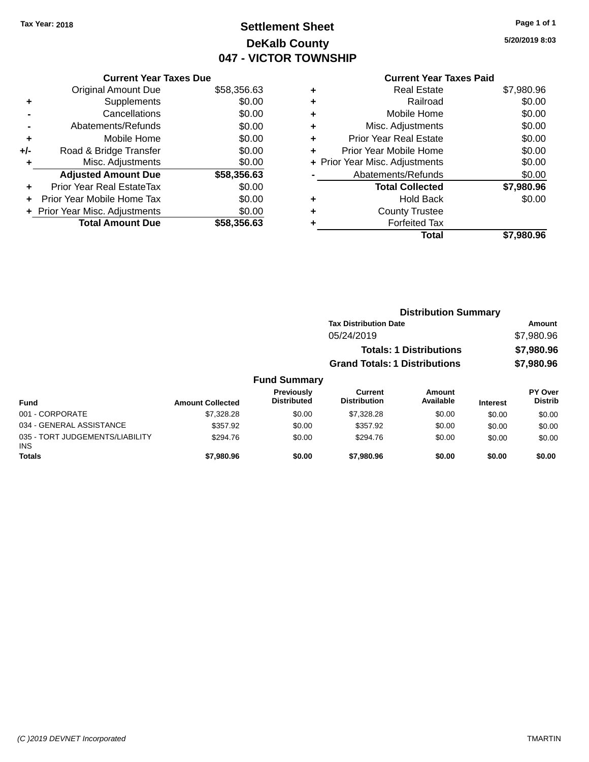# **Settlement Sheet Tax Year: 2018 Page 1 of 1 DeKalb County 047 - VICTOR TOWNSHIP**

**5/20/2019 8:03**

|     | <b>Current Year Taxes Due</b>  |             |
|-----|--------------------------------|-------------|
|     | <b>Original Amount Due</b>     | \$58,356.63 |
| ٠   | Supplements                    | \$0.00      |
|     | Cancellations                  | \$0.00      |
|     | Abatements/Refunds             | \$0.00      |
| ٠   | Mobile Home                    | \$0.00      |
| +/- | Road & Bridge Transfer         | \$0.00      |
| ٠   | Misc. Adjustments              | \$0.00      |
|     | <b>Adjusted Amount Due</b>     | \$58,356.63 |
| ÷   | Prior Year Real EstateTax      | \$0.00      |
| ÷   | Prior Year Mobile Home Tax     | \$0.00      |
|     | + Prior Year Misc. Adjustments | \$0.00      |
|     | <b>Total Amount Due</b>        | \$58,356.63 |
|     |                                |             |

|   | <b>Current Year Taxes Paid</b> |            |
|---|--------------------------------|------------|
| ٠ | <b>Real Estate</b>             | \$7,980.96 |
| ٠ | Railroad                       | \$0.00     |
| ٠ | Mobile Home                    | \$0.00     |
| ٠ | Misc. Adjustments              | \$0.00     |
| ٠ | <b>Prior Year Real Estate</b>  | \$0.00     |
| ÷ | Prior Year Mobile Home         | \$0.00     |
|   | + Prior Year Misc. Adjustments | \$0.00     |
|   | Abatements/Refunds             | \$0.00     |
|   | <b>Total Collected</b>         | \$7,980.96 |
| ٠ | Hold Back                      | \$0.00     |
|   | <b>County Trustee</b>          |            |
| ٠ | <b>Forfeited Tax</b>           |            |
|   | Total                          | \$7,980.96 |
|   |                                |            |

|                                         |                         |                                  |                                       | <b>Distribution Summary</b>    |                 |                                  |
|-----------------------------------------|-------------------------|----------------------------------|---------------------------------------|--------------------------------|-----------------|----------------------------------|
|                                         |                         |                                  | <b>Tax Distribution Date</b>          |                                |                 | Amount                           |
|                                         |                         |                                  | 05/24/2019                            |                                |                 | \$7,980.96                       |
|                                         |                         |                                  |                                       | <b>Totals: 1 Distributions</b> |                 | \$7,980.96                       |
|                                         |                         |                                  | <b>Grand Totals: 1 Distributions</b>  |                                |                 | \$7,980.96                       |
|                                         |                         | <b>Fund Summary</b>              |                                       |                                |                 |                                  |
| <b>Fund</b>                             | <b>Amount Collected</b> | Previously<br><b>Distributed</b> | <b>Current</b><br><b>Distribution</b> | Amount<br>Available            | <b>Interest</b> | <b>PY Over</b><br><b>Distrib</b> |
| 001 - CORPORATE                         | \$7,328,28              | \$0.00                           | \$7,328,28                            | \$0.00                         | \$0.00          | \$0.00                           |
| 034 - GENERAL ASSISTANCE                | \$357.92                | \$0.00                           | \$357.92                              | \$0.00                         | \$0.00          | \$0.00                           |
| 035 - TORT JUDGEMENTS/LIABILITY<br>INS. | \$294.76                | \$0.00                           | \$294.76                              | \$0.00                         | \$0.00          | \$0.00                           |

**Totals \$7,980.96 \$0.00 \$7,980.96 \$0.00 \$0.00 \$0.00**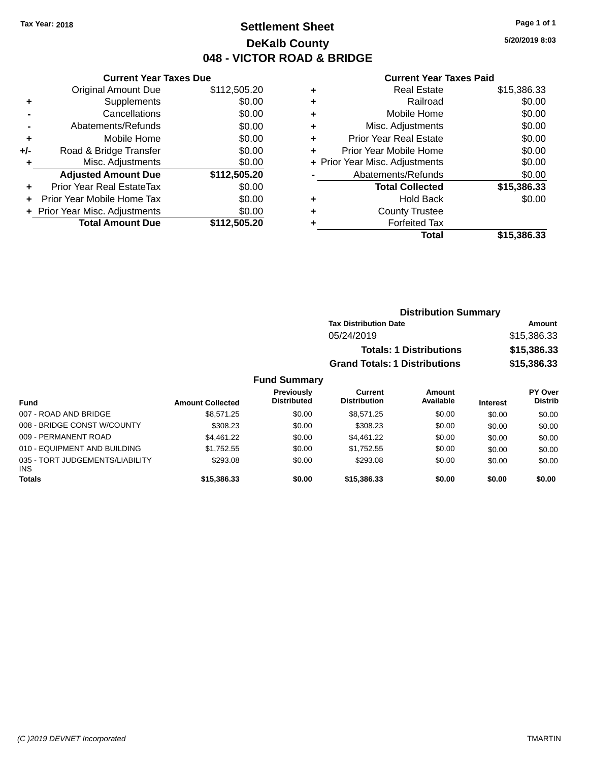### **Settlement Sheet Tax Year: 2018 Page 1 of 1 DeKalb County 048 - VICTOR ROAD & BRIDGE**

**5/20/2019 8:03**

#### **Current Year Taxes Paid**

|     | <b>Current Year Taxes Due</b>  |              |
|-----|--------------------------------|--------------|
|     | <b>Original Amount Due</b>     | \$112,505.20 |
| ٠   | Supplements                    | \$0.00       |
|     | Cancellations                  | \$0.00       |
|     | Abatements/Refunds             | \$0.00       |
| ÷   | Mobile Home                    | \$0.00       |
| +/- | Road & Bridge Transfer         | \$0.00       |
|     | Misc. Adjustments              | \$0.00       |
|     | <b>Adjusted Amount Due</b>     | \$112,505.20 |
| ٠   | Prior Year Real EstateTax      | \$0.00       |
|     | Prior Year Mobile Home Tax     | \$0.00       |
|     | + Prior Year Misc. Adjustments | \$0.00       |
|     | <b>Total Amount Due</b>        | \$112,505.20 |
|     |                                |              |

| ٠ | <b>Real Estate</b>             | \$15,386.33 |
|---|--------------------------------|-------------|
| ٠ | Railroad                       | \$0.00      |
| ٠ | Mobile Home                    | \$0.00      |
| ٠ | Misc. Adjustments              | \$0.00      |
| ٠ | <b>Prior Year Real Estate</b>  | \$0.00      |
| ٠ | Prior Year Mobile Home         | \$0.00      |
|   | + Prior Year Misc. Adjustments | \$0.00      |
|   | Abatements/Refunds             | \$0.00      |
|   | <b>Total Collected</b>         | \$15,386.33 |
| ٠ | <b>Hold Back</b>               | \$0.00      |
| ٠ | <b>County Trustee</b>          |             |
| ٠ | <b>Forfeited Tax</b>           |             |
|   | Total                          | \$15,386.33 |
|   |                                |             |

| <b>Distribution Summary</b>          |             |
|--------------------------------------|-------------|
| <b>Tax Distribution Date</b>         | Amount      |
| 05/24/2019                           | \$15,386.33 |
| <b>Totals: 1 Distributions</b>       | \$15,386.33 |
| <b>Grand Totals: 1 Distributions</b> | \$15,386.33 |
|                                      |             |

| <b>Fund</b>                                   | <b>Amount Collected</b> | Previously<br><b>Distributed</b> | Current<br><b>Distribution</b> | Amount<br>Available | <b>Interest</b> | PY Over<br><b>Distrib</b> |
|-----------------------------------------------|-------------------------|----------------------------------|--------------------------------|---------------------|-----------------|---------------------------|
| 007 - ROAD AND BRIDGE                         | \$8.571.25              | \$0.00                           | \$8.571.25                     | \$0.00              | \$0.00          | \$0.00                    |
| 008 - BRIDGE CONST W/COUNTY                   | \$308.23                | \$0.00                           | \$308.23                       | \$0.00              | \$0.00          | \$0.00                    |
| 009 - PERMANENT ROAD                          | \$4.461.22              | \$0.00                           | \$4,461.22                     | \$0.00              | \$0.00          | \$0.00                    |
| 010 - EQUIPMENT AND BUILDING                  | \$1.752.55              | \$0.00                           | \$1.752.55                     | \$0.00              | \$0.00          | \$0.00                    |
| 035 - TORT JUDGEMENTS/LIABILITY<br><b>INS</b> | \$293.08                | \$0.00                           | \$293.08                       | \$0.00              | \$0.00          | \$0.00                    |
| <b>Totals</b>                                 | \$15,386.33             | \$0.00                           | \$15,386.33                    | \$0.00              | \$0.00          | \$0.00                    |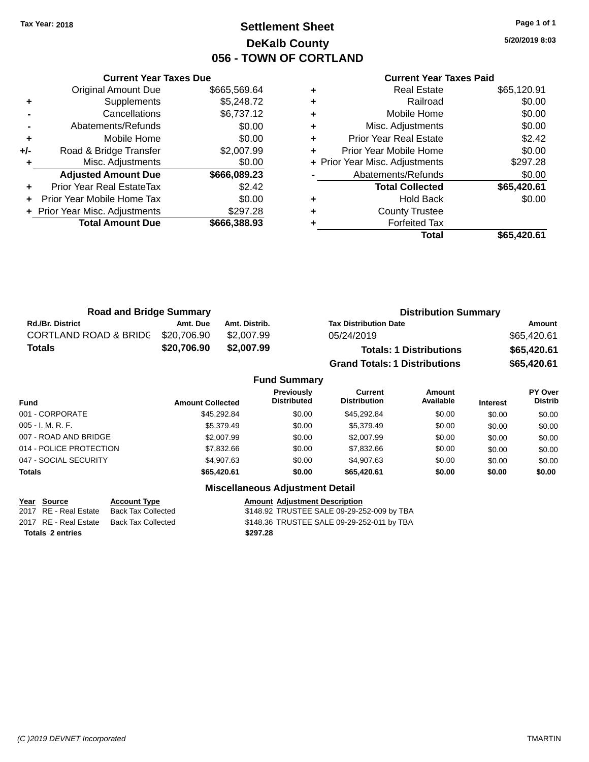### **Settlement Sheet Tax Year: 2018 Page 1 of 1 DeKalb County 056 - TOWN OF CORTLAND**

**5/20/2019 8:03**

|       | <b>Current Year Taxes Due</b>  |              |
|-------|--------------------------------|--------------|
|       | <b>Original Amount Due</b>     | \$665,569.64 |
| ٠     | Supplements                    | \$5,248.72   |
|       | Cancellations                  | \$6,737.12   |
|       | Abatements/Refunds             | \$0.00       |
| ٠     | Mobile Home                    | \$0.00       |
| $+/-$ | Road & Bridge Transfer         | \$2,007.99   |
| ٠     | Misc. Adjustments              | \$0.00       |
|       | <b>Adjusted Amount Due</b>     | \$666,089.23 |
| ÷     | Prior Year Real EstateTax      | \$2.42       |
|       | Prior Year Mobile Home Tax     | \$0.00       |
|       | + Prior Year Misc. Adjustments | \$297.28     |
|       | <b>Total Amount Due</b>        | \$666,388.93 |
|       |                                |              |

#### **Current Year Taxes Paid**

|   | <b>Real Estate</b>             | \$65,120.91 |
|---|--------------------------------|-------------|
| ٠ | Railroad                       | \$0.00      |
| ÷ | Mobile Home                    | \$0.00      |
| ٠ | Misc. Adjustments              | \$0.00      |
| ٠ | <b>Prior Year Real Estate</b>  | \$2.42      |
|   | Prior Year Mobile Home         | \$0.00      |
|   | + Prior Year Misc. Adjustments | \$297.28    |
|   | Abatements/Refunds             | \$0.00      |
|   | <b>Total Collected</b>         | \$65,420.61 |
| ٠ | Hold Back                      | \$0.00      |
|   | <b>County Trustee</b>          |             |
|   | <b>Forfeited Tax</b>           |             |
|   | Total                          | \$65,420.61 |
|   |                                |             |

| <b>Road and Bridge Summary</b>   |             | <b>Distribution Summary</b> |                                      |             |
|----------------------------------|-------------|-----------------------------|--------------------------------------|-------------|
| <b>Rd./Br. District</b>          | Amt. Due    | Amt. Distrib.               | <b>Tax Distribution Date</b>         | Amount      |
| <b>CORTLAND ROAD &amp; BRIDG</b> | \$20,706.90 | \$2.007.99                  | 05/24/2019                           | \$65,420.61 |
| <b>Totals</b>                    | \$20,706.90 | \$2,007.99                  | <b>Totals: 1 Distributions</b>       | \$65,420.61 |
|                                  |             |                             | <b>Grand Totals: 1 Distributions</b> | \$65,420.61 |

#### **Fund Summary Fund Interest Amount Collected Distributed PY Over Distrib Amount Available Current Distribution Previously** 001 - CORPORATE \$45,292.84 \$0.00 \$45,292.84 \$0.00 \$0.00 \$0.00 005 - I. M. R. F. Channel Communication (St. 195,379.49 \$0.00 \$1.000 \$0.00 \$0.00 \$0.00 \$0.00 \$0.00 \$0.00 \$0.00 007 - ROAD AND BRIDGE 60.00 \$2,007.99 \$2,007.99 \$0.00 \$0.00 \$0.00 \$0.00 \$0.00 \$0.00 014 - POLICE PROTECTION \$7,832.66 \$0.00 \$7,832.66 \$0.00 \$0.00 \$0.00 \$0.00 047 - SOCIAL SECURITY 60.00 \$4,907.63 \$1,907.63 \$0.00 \$0.00 \$0.00 \$0.00 \$0.00 \$0.00 **Totals \$65,420.61 \$0.00 \$65,420.61 \$0.00 \$0.00 \$0.00**

#### **Miscellaneous Adjustment Detail**

| Year Source             | <b>Account Type</b> | <b>Amount Adiustment Description</b>       |
|-------------------------|---------------------|--------------------------------------------|
| 2017 RE - Real Estate   | Back Tax Collected  | \$148.92 TRUSTEE SALE 09-29-252-009 by TBA |
| 2017 RE - Real Estate   | Back Tax Collected  | \$148.36 TRUSTEE SALE 09-29-252-011 by TBA |
| <b>Totals 2 entries</b> |                     | \$297.28                                   |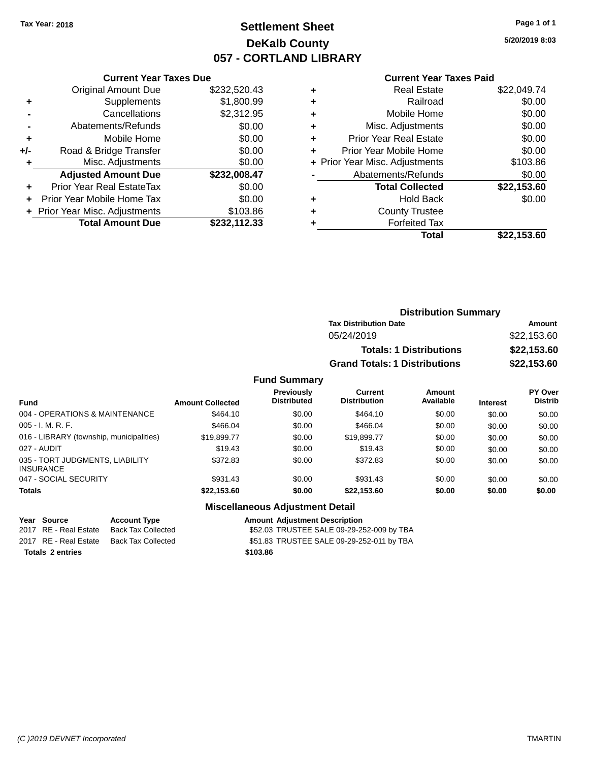## **Settlement Sheet Tax Year: 2018 Page 1 of 1 DeKalb County 057 - CORTLAND LIBRARY**

**5/20/2019 8:03**

#### **Current Year Taxes Paid**

| <b>Original Amount Due</b> | \$232,520.43                                                    |
|----------------------------|-----------------------------------------------------------------|
| Supplements                | \$1,800.99                                                      |
| Cancellations              | \$2,312.95                                                      |
| Abatements/Refunds         | \$0.00                                                          |
| Mobile Home                | \$0.00                                                          |
| Road & Bridge Transfer     | \$0.00                                                          |
| Misc. Adjustments          | \$0.00                                                          |
| <b>Adjusted Amount Due</b> | \$232,008.47                                                    |
| Prior Year Real EstateTax  | \$0.00                                                          |
| Prior Year Mobile Home Tax | \$0.00                                                          |
|                            | \$103.86                                                        |
| <b>Total Amount Due</b>    | \$232,112.33                                                    |
|                            | <b>Current Year Taxes Due</b><br>+ Prior Year Misc. Adjustments |

| ٠ | <b>Real Estate</b>             | \$22,049.74 |
|---|--------------------------------|-------------|
| ٠ | Railroad                       | \$0.00      |
| ٠ | Mobile Home                    | \$0.00      |
| ٠ | Misc. Adjustments              | \$0.00      |
| ٠ | <b>Prior Year Real Estate</b>  | \$0.00      |
| ٠ | Prior Year Mobile Home         | \$0.00      |
|   | + Prior Year Misc. Adjustments | \$103.86    |
|   | Abatements/Refunds             | \$0.00      |
|   | <b>Total Collected</b>         | \$22,153.60 |
| ٠ | Hold Back                      | \$0.00      |
| ٠ | <b>County Trustee</b>          |             |
| ٠ | <b>Forfeited Tax</b>           |             |
|   | Total                          | \$22.153.60 |
|   |                                |             |

| <b>Distribution Summary</b>          |             |
|--------------------------------------|-------------|
| <b>Tax Distribution Date</b>         | Amount      |
| 05/24/2019                           | \$22,153.60 |
| <b>Totals: 1 Distributions</b>       | \$22,153.60 |
| <b>Grand Totals: 1 Distributions</b> | \$22,153.60 |

#### **Fund Summary**

| Fund                                                | <b>Amount Collected</b> | <b>Previously</b><br><b>Distributed</b> | <b>Current</b><br><b>Distribution</b> | <b>Amount</b><br>Available | <b>Interest</b> | PY Over<br><b>Distrib</b> |
|-----------------------------------------------------|-------------------------|-----------------------------------------|---------------------------------------|----------------------------|-----------------|---------------------------|
| 004 - OPERATIONS & MAINTENANCE                      | \$464.10                | \$0.00                                  | \$464.10                              | \$0.00                     | \$0.00          | \$0.00                    |
| $005 - I. M. R. F.$                                 | \$466.04                | \$0.00                                  | \$466.04                              | \$0.00                     | \$0.00          | \$0.00                    |
| 016 - LIBRARY (township, municipalities)            | \$19,899.77             | \$0.00                                  | \$19,899.77                           | \$0.00                     | \$0.00          | \$0.00                    |
| 027 - AUDIT                                         | \$19.43                 | \$0.00                                  | \$19.43                               | \$0.00                     | \$0.00          | \$0.00                    |
| 035 - TORT JUDGMENTS, LIABILITY<br><b>INSURANCE</b> | \$372.83                | \$0.00                                  | \$372.83                              | \$0.00                     | \$0.00          | \$0.00                    |
| 047 - SOCIAL SECURITY                               | \$931.43                | \$0.00                                  | \$931.43                              | \$0.00                     | \$0.00          | \$0.00                    |
| <b>Totals</b>                                       | \$22,153.60             | \$0.00                                  | \$22,153.60                           | \$0.00                     | \$0.00          | \$0.00                    |

### **Miscellaneous Adjustment Detail**

| Year Source           |  |
|-----------------------|--|
| 2017 RE - Real Estate |  |
| 2017 RE - Real Estate |  |

**Totals \$103.86 2 entries**

**Account Type**<br>
Back Tax Collected<br>
TRUSTEE SALE 09-29-2 \$52.03 TRUSTEE SALE 09-29-252-009 by TBA Back Tax Collected **2017 SEP 51.83 TRUSTEE SALE 09-29-252-011 by TBA**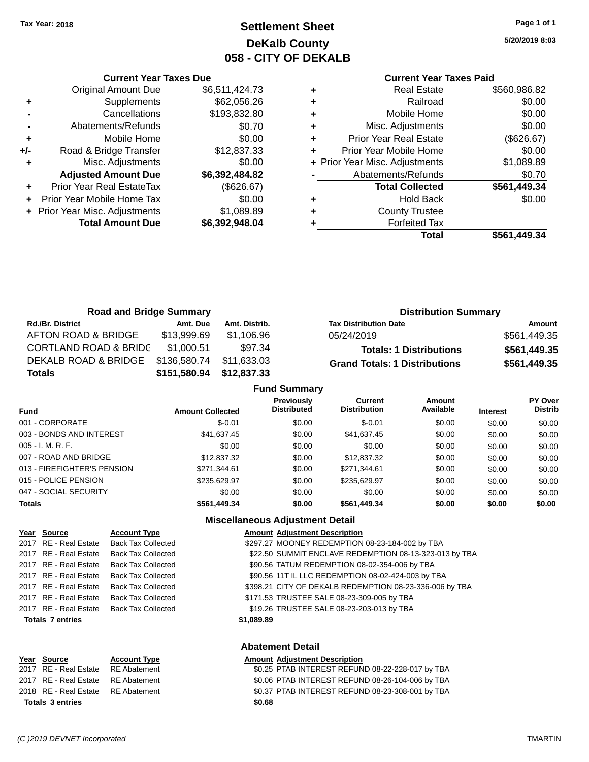# **Settlement Sheet Tax Year: 2018 Page 1 of 1 DeKalb County 058 - CITY OF DEKALB**

**5/20/2019 8:03**

| <b>Current Year Taxes Paid</b> |  |  |  |
|--------------------------------|--|--|--|
|--------------------------------|--|--|--|

|           |   | Total                          | \$561,449.34 |
|-----------|---|--------------------------------|--------------|
| 2,948.04  | ٠ | <b>Forfeited Tax</b>           |              |
| 1,089.89  | ٠ | <b>County Trustee</b>          |              |
| \$0.00    | ٠ | <b>Hold Back</b>               | \$0.00       |
| \$626.67) |   | <b>Total Collected</b>         | \$561,449.34 |
| 2,484.82  |   | Abatements/Refunds             | \$0.70       |
| \$0.00    |   | + Prior Year Misc. Adjustments | \$1,089.89   |
| 2,837.33  | ٠ | Prior Year Mobile Home         | \$0.00       |
| \$0.00    | ٠ | <b>Prior Year Real Estate</b>  | (\$626.67)   |
| \$0.70    | ٠ | Misc. Adjustments              | \$0.00       |
| 3,832.80  | ٠ | Mobile Home                    | \$0.00       |
| 2,056.26  | ٠ | Railroad                       | \$0.00       |
| 1,424.73  | ٠ | <b>Real Estate</b>             | \$560,986.82 |
|           |   |                                |              |

|       | <b>Original Amount Due</b>     | \$6,511,424.73 |
|-------|--------------------------------|----------------|
| ٠     | Supplements                    | \$62,056.26    |
|       | Cancellations                  | \$193,832.80   |
|       | Abatements/Refunds             | \$0.70         |
| ÷     | Mobile Home                    | \$0.00         |
| $+/-$ | Road & Bridge Transfer         | \$12,837.33    |
| ÷     | Misc. Adjustments              | \$0.00         |
|       | <b>Adjusted Amount Due</b>     | \$6,392,484.82 |
| ٠     | Prior Year Real EstateTax      | (\$626.67)     |
| ÷     | Prior Year Mobile Home Tax     | \$0.00         |
|       | + Prior Year Misc. Adjustments | \$1,089.89     |
|       | <b>Total Amount Due</b>        | \$6,392,948.04 |

**Current Year Taxes Due**

| <b>Road and Bridge Summary</b>   |              |               | <b>Distribution Summary</b>          |              |
|----------------------------------|--------------|---------------|--------------------------------------|--------------|
| <b>Rd./Br. District</b>          | Amt. Due     | Amt. Distrib. | <b>Tax Distribution Date</b>         | Amount       |
| AFTON ROAD & BRIDGE              | \$13,999.69  | \$1,106.96    | 05/24/2019                           | \$561,449.35 |
| <b>CORTLAND ROAD &amp; BRIDC</b> | \$1.000.51   | \$97.34       | <b>Totals: 1 Distributions</b>       | \$561,449.35 |
| DEKALB ROAD & BRIDGE             | \$136,580.74 | \$11,633.03   | <b>Grand Totals: 1 Distributions</b> | \$561,449.35 |
| <b>Totals</b>                    | \$151,580.94 | \$12,837.33   |                                      |              |
| <b>Fund Summary</b>              |              |               |                                      |              |

| <b>Fund Summary</b>         |                         |                                  |                                       |                     |                 |                           |
|-----------------------------|-------------------------|----------------------------------|---------------------------------------|---------------------|-----------------|---------------------------|
| <b>Fund</b>                 | <b>Amount Collected</b> | Previously<br><b>Distributed</b> | <b>Current</b><br><b>Distribution</b> | Amount<br>Available | <b>Interest</b> | PY Over<br><b>Distrib</b> |
| 001 - CORPORATE             | $$-0.01$                | \$0.00                           | $$-0.01$                              | \$0.00              | \$0.00          | \$0.00                    |
| 003 - BONDS AND INTEREST    | \$41,637.45             | \$0.00                           | \$41,637.45                           | \$0.00              | \$0.00          | \$0.00                    |
| $005 - I. M. R. F.$         | \$0.00                  | \$0.00                           | \$0.00                                | \$0.00              | \$0.00          | \$0.00                    |
| 007 - ROAD AND BRIDGE       | \$12,837,32             | \$0.00                           | \$12,837.32                           | \$0.00              | \$0.00          | \$0.00                    |
| 013 - FIREFIGHTER'S PENSION | \$271,344.61            | \$0.00                           | \$271,344.61                          | \$0.00              | \$0.00          | \$0.00                    |
| 015 - POLICE PENSION        | \$235.629.97            | \$0.00                           | \$235.629.97                          | \$0.00              | \$0.00          | \$0.00                    |
| 047 - SOCIAL SECURITY       | \$0.00                  | \$0.00                           | \$0.00                                | \$0.00              | \$0.00          | \$0.00                    |
| <b>Totals</b>               | \$561.449.34            | \$0.00                           | \$561,449.34                          | \$0.00              | \$0.00          | \$0.00                    |

### **Miscellaneous Adjustment Detail**

| Year Source             | <b>Account Type</b>       |            | <b>Amount Adjustment Description</b>                    |
|-------------------------|---------------------------|------------|---------------------------------------------------------|
| 2017 RE - Real Estate   | <b>Back Tax Collected</b> |            | \$297.27 MOONEY REDEMPTION 08-23-184-002 by TBA         |
| 2017 RE - Real Estate   | <b>Back Tax Collected</b> |            | \$22.50 SUMMIT ENCLAVE REDEMPTION 08-13-323-013 by TBA  |
| 2017 RE - Real Estate   | <b>Back Tax Collected</b> |            | \$90.56 TATUM REDEMPTION 08-02-354-006 by TBA           |
| 2017 RE - Real Estate   | <b>Back Tax Collected</b> |            | \$90.56 11T IL LLC REDEMPTION 08-02-424-003 by TBA      |
| 2017 RE - Real Estate   | <b>Back Tax Collected</b> |            | \$398.21 CITY OF DEKALB REDEMPTION 08-23-336-006 by TBA |
| 2017 RE - Real Estate   | Back Tax Collected        |            | \$171.53 TRUSTEE SALE 08-23-309-005 by TBA              |
| 2017 RE - Real Estate   | <b>Back Tax Collected</b> |            | \$19.26 TRUSTEE SALE 08-23-203-013 by TBA               |
| <b>Totals 7 entries</b> |                           | \$1,089.89 |                                                         |
|                         |                           |            |                                                         |
|                         |                           |            | Ahatamant Datail                                        |

#### **Abatement Detail**

| Year Source                        | <b>Account Type</b> | <b>Amount Adjustment Description</b>             |
|------------------------------------|---------------------|--------------------------------------------------|
| 2017 RE - Real Estate RE Abatement |                     | \$0.25 PTAB INTEREST REFUND 08-22-228-017 by TBA |
| 2017 RE - Real Estate RE Abatement |                     | \$0.06 PTAB INTEREST REFUND 08-26-104-006 by TBA |
| 2018 RE - Real Estate RE Abatement |                     | \$0.37 PTAB INTEREST REFUND 08-23-308-001 by TBA |
| <b>Totals 3 entries</b>            |                     | \$0.68                                           |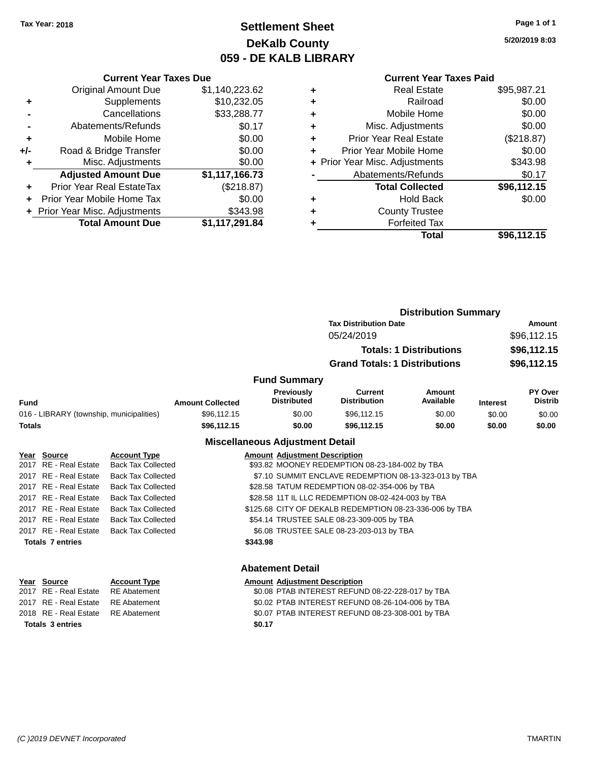## **Settlement Sheet Tax Year: 2018 Page 1 of 1 DeKalb County 059 - DE KALB LIBRARY**

**5/20/2019 8:03**

#### **Current Year Taxes Paid**

|     | <b>Current Year Taxes Due</b>  |                |  |  |  |  |
|-----|--------------------------------|----------------|--|--|--|--|
|     | <b>Original Amount Due</b>     | \$1,140,223.62 |  |  |  |  |
| ٠   | Supplements                    | \$10,232.05    |  |  |  |  |
|     | Cancellations                  | \$33,288.77    |  |  |  |  |
|     | Abatements/Refunds             | \$0.17         |  |  |  |  |
| ٠   | Mobile Home                    | \$0.00         |  |  |  |  |
| +/- | Road & Bridge Transfer         | \$0.00         |  |  |  |  |
|     | Misc. Adjustments              | \$0.00         |  |  |  |  |
|     | <b>Adjusted Amount Due</b>     | \$1,117,166.73 |  |  |  |  |
| ÷   | Prior Year Real EstateTax      | (\$218.87)     |  |  |  |  |
| ÷   | Prior Year Mobile Home Tax     | \$0.00         |  |  |  |  |
|     | + Prior Year Misc. Adjustments | \$343.98       |  |  |  |  |
|     | <b>Total Amount Due</b>        | \$1,117,291.84 |  |  |  |  |

| ٠ | <b>Real Estate</b>             | \$95,987.21 |
|---|--------------------------------|-------------|
| ٠ | Railroad                       | \$0.00      |
| ٠ | Mobile Home                    | \$0.00      |
| ٠ | Misc. Adjustments              | \$0.00      |
| ÷ | <b>Prior Year Real Estate</b>  | (\$218.87)  |
| ٠ | Prior Year Mobile Home         | \$0.00      |
|   | + Prior Year Misc. Adjustments | \$343.98    |
|   | Abatements/Refunds             | \$0.17      |
|   | <b>Total Collected</b>         | \$96,112.15 |
| ٠ | <b>Hold Back</b>               | \$0.00      |
| ٠ | <b>County Trustee</b>          |             |
|   | <b>Forfeited Tax</b>           |             |
|   | Total                          | \$96,112.15 |
|   |                                |             |

|                                          | <b>Distribution Summary</b> |                                  |                                      |                                |                 |                           |
|------------------------------------------|-----------------------------|----------------------------------|--------------------------------------|--------------------------------|-----------------|---------------------------|
|                                          |                             |                                  | <b>Tax Distribution Date</b>         |                                |                 | Amount                    |
|                                          |                             |                                  | 05/24/2019                           |                                |                 | \$96,112.15               |
|                                          |                             |                                  |                                      | <b>Totals: 1 Distributions</b> |                 | \$96,112.15               |
|                                          |                             |                                  | <b>Grand Totals: 1 Distributions</b> |                                |                 | \$96,112.15               |
|                                          |                             | <b>Fund Summary</b>              |                                      |                                |                 |                           |
| Fund                                     | <b>Amount Collected</b>     | Previously<br><b>Distributed</b> | Current<br><b>Distribution</b>       | <b>Amount</b><br>Available     | <b>Interest</b> | PY Over<br><b>Distrib</b> |
| 016 - LIBRARY (township, municipalities) | \$96,112.15                 | \$0.00                           | \$96,112.15                          | \$0.00                         | \$0.00          | \$0.00                    |
| <b>Totals</b>                            | \$96,112.15                 | \$0.00                           | \$96,112.15                          | \$0.00                         | \$0.00          | \$0.00                    |
|                                          |                             |                                  |                                      |                                |                 |                           |

### **Miscellaneous Adjustment Detail**

| Year Source             | <b>Account Type</b>       |          | <b>Amount Adjustment Description</b>                    |
|-------------------------|---------------------------|----------|---------------------------------------------------------|
| 2017 RE - Real Estate   | <b>Back Tax Collected</b> |          | \$93.82 MOONEY REDEMPTION 08-23-184-002 by TBA          |
| 2017 RE - Real Estate   | <b>Back Tax Collected</b> |          | \$7.10 SUMMIT ENCLAVE REDEMPTION 08-13-323-013 by TBA   |
| 2017 RE - Real Estate   | <b>Back Tax Collected</b> |          | \$28.58 TATUM REDEMPTION 08-02-354-006 by TBA           |
| 2017 RE - Real Estate   | <b>Back Tax Collected</b> |          | \$28.58 11T IL LLC REDEMPTION 08-02-424-003 by TBA      |
| 2017 RE - Real Estate   | <b>Back Tax Collected</b> |          | \$125.68 CITY OF DEKALB REDEMPTION 08-23-336-006 by TBA |
| 2017 RE - Real Estate   | <b>Back Tax Collected</b> |          | \$54.14 TRUSTEE SALE 08-23-309-005 by TBA               |
| 2017 RE - Real Estate   | <b>Back Tax Collected</b> |          | \$6.08 TRUSTEE SALE 08-23-203-013 by TBA                |
| <b>Totals 7 entries</b> |                           | \$343.98 |                                                         |
|                         |                           |          |                                                         |
|                         |                           |          |                                                         |

| Year Source                        | <b>Account Type</b> | Amount |
|------------------------------------|---------------------|--------|
| 2017 RE - Real Estate RE Abatement |                     | \$0.08 |
| 2017 RE - Real Estate RE Abatement |                     | \$0.02 |
| 2018 RE - Real Estate RE Abatement |                     | \$0.07 |
| <b>Totals 3 entries</b>            |                     | \$0.17 |

### **Abatement Detail**

**<u>Amount Adjustment Description</u>**  $\overline{$0.08$}$  PTAB INTEREST REFUND 08-22-228-017 by TBA \$0.02 PTAB INTEREST REFUND 08-26-104-006 by TBA \$0.07 PTAB INTEREST REFUND 08-23-308-001 by TBA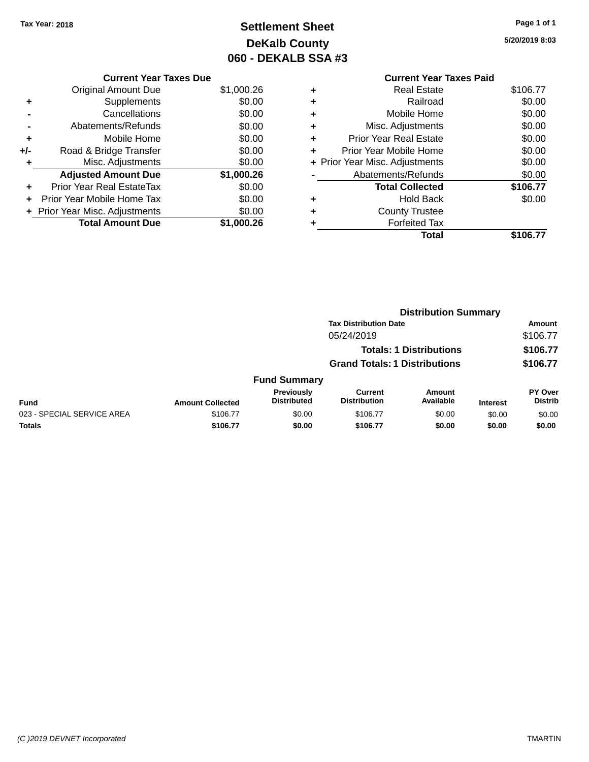# **Settlement Sheet Tax Year: 2018 Page 1 of 1 DeKalb County 060 - DEKALB SSA #3**

**5/20/2019 8:03**

|   | <b>Current Year Taxes Paid</b> |          |
|---|--------------------------------|----------|
| ٠ | <b>Real Estate</b>             | \$106.77 |
| ٠ | Railroad                       | \$0.00   |
| ٠ | Mobile Home                    | \$0.00   |
|   | Misc. Adjustments              | \$0.00   |
| ٠ | <b>Prior Year Real Estate</b>  | \$0.00   |
| ٠ | Prior Year Mobile Home         | \$0.00   |
|   | + Prior Year Misc. Adjustments | \$0.00   |
|   | Abatements/Refunds             | \$0.00   |
|   | <b>Total Collected</b>         | \$106.77 |
|   | <b>Hold Back</b>               | \$0.00   |
| ٠ | <b>County Trustee</b>          |          |
|   | <b>Forfeited Tax</b>           |          |
|   | Total                          | \$106.77 |
|   |                                |          |

|     | <b>Current Year Taxes Due</b> |            |
|-----|-------------------------------|------------|
|     | Original Amount Due           | \$1,000.26 |
| ٠   | Supplements                   | \$0.00     |
|     | Cancellations                 | \$0.00     |
|     | Abatements/Refunds            | \$0.00     |
| ٠   | Mobile Home                   | \$0.00     |
| +/- | Road & Bridge Transfer        | \$0.00     |
|     | Misc. Adjustments             | \$0.00     |
|     | <b>Adjusted Amount Due</b>    | \$1,000.26 |
|     | Prior Year Real EstateTax     | \$0.00     |
|     | Prior Year Mobile Home Tax    | \$0.00     |
|     | Prior Year Misc. Adjustments  | \$0.00     |
|     | <b>Total Amount Due</b>       | \$1,000.26 |
|     |                               |            |

|                            | <b>Distribution Summary</b> |                                  |                                       |                                |                 |                           |  |
|----------------------------|-----------------------------|----------------------------------|---------------------------------------|--------------------------------|-----------------|---------------------------|--|
|                            |                             |                                  | <b>Tax Distribution Date</b>          |                                |                 | Amount                    |  |
|                            |                             |                                  | 05/24/2019                            |                                |                 | \$106.77                  |  |
|                            |                             |                                  |                                       | <b>Totals: 1 Distributions</b> |                 | \$106.77                  |  |
|                            |                             |                                  | <b>Grand Totals: 1 Distributions</b>  |                                |                 | \$106.77                  |  |
|                            |                             | <b>Fund Summary</b>              |                                       |                                |                 |                           |  |
| <b>Fund</b>                | <b>Amount Collected</b>     | Previously<br><b>Distributed</b> | <b>Current</b><br><b>Distribution</b> | Amount<br>Available            | <b>Interest</b> | PY Over<br><b>Distrib</b> |  |
| 023 - SPECIAL SERVICE AREA | \$106.77                    | \$0.00                           | \$106.77                              | \$0.00                         | \$0.00          | \$0.00                    |  |
| <b>Totals</b>              | \$106.77                    | \$0.00                           | \$106.77                              | \$0.00                         | \$0.00          | \$0.00                    |  |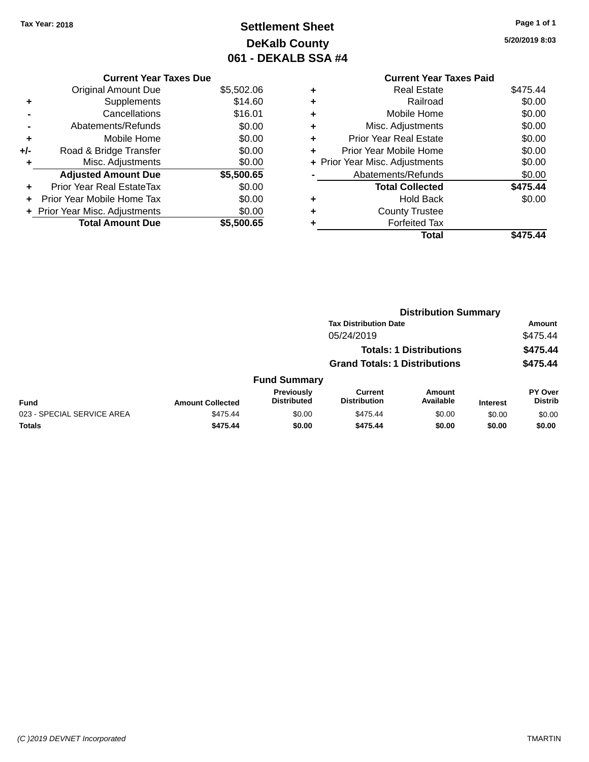# **Settlement Sheet Tax Year: 2018 Page 1 of 1 DeKalb County 061 - DEKALB SSA #4**

**5/20/2019 8:03**

|     | <b>Current Year Taxes Due</b>  |            |
|-----|--------------------------------|------------|
|     | <b>Original Amount Due</b>     | \$5,502.06 |
| ٠   | Supplements                    | \$14.60    |
|     | Cancellations                  | \$16.01    |
|     | Abatements/Refunds             | \$0.00     |
| ÷   | Mobile Home                    | \$0.00     |
| +/- | Road & Bridge Transfer         | \$0.00     |
| ٠   | Misc. Adjustments              | \$0.00     |
|     | <b>Adjusted Amount Due</b>     | \$5,500.65 |
|     | Prior Year Real EstateTax      | \$0.00     |
|     | Prior Year Mobile Home Tax     | \$0.00     |
|     | + Prior Year Misc. Adjustments | \$0.00     |
|     | <b>Total Amount Due</b>        | \$5,500.65 |

|   | <b>Current Year Taxes Paid</b> |          |
|---|--------------------------------|----------|
|   | Real Estate                    | \$475.44 |
| ٠ | Railroad                       | \$0.00   |
| ٠ | Mobile Home                    | \$0.00   |
| ٠ | Misc. Adjustments              | \$0.00   |
| ٠ | <b>Prior Year Real Estate</b>  | \$0.00   |
|   | Prior Year Mobile Home         | \$0.00   |
|   | + Prior Year Misc. Adjustments | \$0.00   |
|   | Abatements/Refunds             | \$0.00   |
|   | <b>Total Collected</b>         | \$475.44 |
|   | Hold Back                      | \$0.00   |
| ٠ | <b>County Trustee</b>          |          |
|   | <b>Forfeited Tax</b>           |          |
|   | Total                          | \$475.44 |
|   |                                |          |

|                            |                         |                                  |                                       | <b>Distribution Summary</b>    |                 |                           |
|----------------------------|-------------------------|----------------------------------|---------------------------------------|--------------------------------|-----------------|---------------------------|
|                            |                         |                                  | <b>Tax Distribution Date</b>          |                                |                 | <b>Amount</b>             |
|                            |                         |                                  | 05/24/2019                            |                                |                 | \$475.44                  |
|                            |                         |                                  |                                       | <b>Totals: 1 Distributions</b> |                 | \$475.44                  |
|                            |                         |                                  | <b>Grand Totals: 1 Distributions</b>  |                                |                 | \$475.44                  |
|                            |                         | <b>Fund Summary</b>              |                                       |                                |                 |                           |
| <b>Fund</b>                | <b>Amount Collected</b> | Previously<br><b>Distributed</b> | <b>Current</b><br><b>Distribution</b> | Amount<br>Available            | <b>Interest</b> | PY Over<br><b>Distrib</b> |
| 023 - SPECIAL SERVICE AREA | \$475.44                | \$0.00                           | \$475.44                              | \$0.00                         | \$0.00          | \$0.00                    |
| <b>Totals</b>              | \$475.44                | \$0.00                           | \$475.44                              | \$0.00                         | \$0.00          | \$0.00                    |
|                            |                         |                                  |                                       |                                |                 |                           |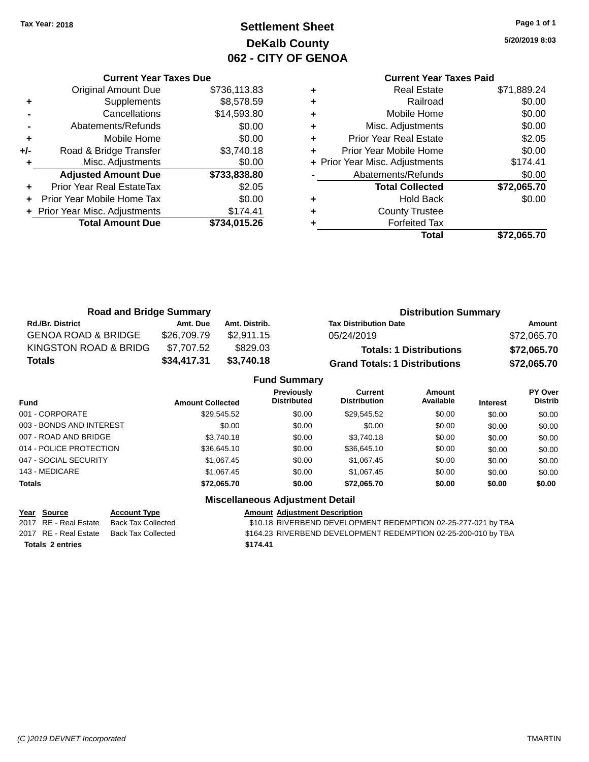# **Settlement Sheet Tax Year: 2018 Page 1 of 1 DeKalb County 062 - CITY OF GENOA**

**5/20/2019 8:03**

|   | Total                          | \$72.065.70 |
|---|--------------------------------|-------------|
|   | <b>Forfeited Tax</b>           |             |
| ٠ | <b>County Trustee</b>          |             |
| ٠ | <b>Hold Back</b>               | \$0.00      |
|   | <b>Total Collected</b>         | \$72,065.70 |
|   | Abatements/Refunds             | \$0.00      |
|   | + Prior Year Misc. Adjustments | \$174.41    |
| ٠ | Prior Year Mobile Home         | \$0.00      |
| ٠ | <b>Prior Year Real Estate</b>  | \$2.05      |
| ٠ | Misc. Adjustments              | \$0.00      |
| ٠ | Mobile Home                    | \$0.00      |
| ٠ | Railroad                       | \$0.00      |
| ٠ | <b>Real Estate</b>             | \$71,889.24 |
|   | <b>Current Year Taxes Paid</b> |             |
|   |                                |             |

|     | <b>Current Year Taxes Due</b>  |              |
|-----|--------------------------------|--------------|
|     | <b>Original Amount Due</b>     | \$736,113.83 |
| ٠   | Supplements                    | \$8,578.59   |
|     | Cancellations                  | \$14,593.80  |
|     | Abatements/Refunds             | \$0.00       |
| ÷   | Mobile Home                    | \$0.00       |
| +/- | Road & Bridge Transfer         | \$3,740.18   |
| ٠   | Misc. Adjustments              | \$0.00       |
|     | <b>Adjusted Amount Due</b>     | \$733,838.80 |
| ÷   | Prior Year Real EstateTax      | \$2.05       |
|     | Prior Year Mobile Home Tax     | \$0.00       |
|     | + Prior Year Misc. Adjustments | \$174.41     |
|     | <b>Total Amount Due</b>        | \$734,015.26 |
|     |                                |              |

| <b>Road and Bridge Summary</b> |             |               | <b>Distribution Summary</b>          |             |  |
|--------------------------------|-------------|---------------|--------------------------------------|-------------|--|
| <b>Rd./Br. District</b>        | Amt. Due    | Amt. Distrib. | <b>Tax Distribution Date</b>         | Amount      |  |
| <b>GENOA ROAD &amp; BRIDGE</b> | \$26,709.79 | \$2,911.15    | 05/24/2019                           | \$72,065.70 |  |
| KINGSTON ROAD & BRIDG          | \$7.707.52  | \$829.03      | <b>Totals: 1 Distributions</b>       | \$72,065.70 |  |
| <b>Totals</b>                  | \$34,417.31 | \$3,740.18    | <b>Grand Totals: 1 Distributions</b> | \$72,065.70 |  |
| Eund Cummony                   |             |               |                                      |             |  |

|                          |                         | <b>Fund Summary</b>                     |                                       |                     |                 |                                  |
|--------------------------|-------------------------|-----------------------------------------|---------------------------------------|---------------------|-----------------|----------------------------------|
| <b>Fund</b>              | <b>Amount Collected</b> | <b>Previously</b><br><b>Distributed</b> | <b>Current</b><br><b>Distribution</b> | Amount<br>Available | <b>Interest</b> | <b>PY Over</b><br><b>Distrib</b> |
| 001 - CORPORATE          | \$29,545.52             | \$0.00                                  | \$29,545.52                           | \$0.00              | \$0.00          | \$0.00                           |
| 003 - BONDS AND INTEREST | \$0.00                  | \$0.00                                  | \$0.00                                | \$0.00              | \$0.00          | \$0.00                           |
| 007 - ROAD AND BRIDGE.   | \$3,740.18              | \$0.00                                  | \$3,740.18                            | \$0.00              | \$0.00          | \$0.00                           |
| 014 - POLICE PROTECTION  | \$36,645.10             | \$0.00                                  | \$36,645.10                           | \$0.00              | \$0.00          | \$0.00                           |
| 047 - SOCIAL SECURITY    | \$1,067.45              | \$0.00                                  | \$1,067.45                            | \$0.00              | \$0.00          | \$0.00                           |
| 143 - MEDICARE           | \$1.067.45              | \$0.00                                  | \$1.067.45                            | \$0.00              | \$0.00          | \$0.00                           |
| Totals                   | \$72,065.70             | \$0.00                                  | \$72.065.70                           | \$0.00              | \$0.00          | \$0.00                           |
|                          |                         | <b>Miscellaneous Adiustment Detail</b>  |                                       |                     |                 |                                  |

**Year Source Account Type Amount Adjustment Description**<br>2017 RE - Real Estate Back Tax Collected \$10.18 RIVERBEND DEVELOPM

**Totals \$174.41 2 entries**

\$10.18 RIVERBEND DEVELOPMENT REDEMPTION 02-25-277-021 by TBA 2017 RE - Real Estate Back Tax Collected \$164.23 RIVERBEND DEVELOPMENT REDEMPTION 02-25-200-010 by TBA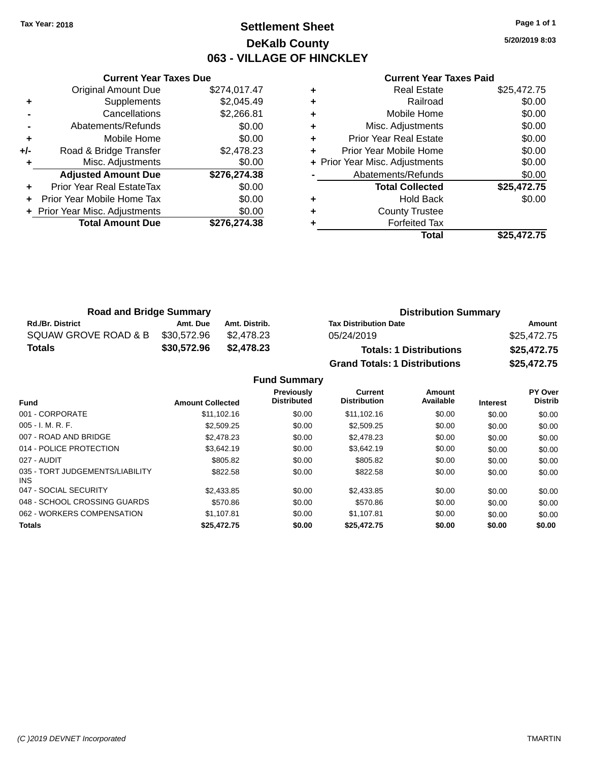### **Settlement Sheet Tax Year: 2018 Page 1 of 1 DeKalb County 063 - VILLAGE OF HINCKLEY**

**5/20/2019 8:03**

|     | <b>Current Year Taxes Due</b>    |              |
|-----|----------------------------------|--------------|
|     | <b>Original Amount Due</b>       | \$274,017.47 |
| ٠   | Supplements                      | \$2,045.49   |
|     | Cancellations                    | \$2,266.81   |
|     | Abatements/Refunds               | \$0.00       |
| ٠   | Mobile Home                      | \$0.00       |
| +/- | Road & Bridge Transfer           | \$2,478.23   |
| ٠   | Misc. Adjustments                | \$0.00       |
|     | <b>Adjusted Amount Due</b>       | \$276,274.38 |
|     | <b>Prior Year Real EstateTax</b> | \$0.00       |
|     | Prior Year Mobile Home Tax       | \$0.00       |
|     | + Prior Year Misc. Adjustments   | \$0.00       |
|     | <b>Total Amount Due</b>          | \$276,274.38 |
|     |                                  |              |

#### **Current Year Taxes Paid**

|   | <b>Real Estate</b>             | \$25,472.75 |
|---|--------------------------------|-------------|
| ٠ | Railroad                       | \$0.00      |
| ٠ | Mobile Home                    | \$0.00      |
| ٠ | Misc. Adjustments              | \$0.00      |
| ٠ | <b>Prior Year Real Estate</b>  | \$0.00      |
|   | Prior Year Mobile Home         | \$0.00      |
|   | + Prior Year Misc. Adjustments | \$0.00      |
|   | Abatements/Refunds             | \$0.00      |
|   | <b>Total Collected</b>         | \$25,472.75 |
| ٠ | <b>Hold Back</b>               | \$0.00      |
|   | <b>County Trustee</b>          |             |
|   | <b>Forfeited Tax</b>           |             |
|   | Total                          | \$25,472.75 |
|   |                                |             |

| <b>Road and Bridge Summary</b> |             |               | <b>Distribution Summary</b>          |             |  |
|--------------------------------|-------------|---------------|--------------------------------------|-------------|--|
| <b>Rd./Br. District</b>        | Amt. Due    | Amt. Distrib. | <b>Tax Distribution Date</b>         | Amount      |  |
| SQUAW GROVE ROAD & B           | \$30.572.96 | \$2.478.23    | 05/24/2019                           | \$25,472.75 |  |
| <b>Totals</b>                  | \$30,572.96 | \$2,478.23    | <b>Totals: 1 Distributions</b>       | \$25,472.75 |  |
|                                |             |               | <b>Grand Totals: 1 Distributions</b> | \$25,472.75 |  |

|                                         |                         | Previously<br><b>Distributed</b> | Current<br><b>Distribution</b> | Amount<br>Available |                 | PY Over<br><b>Distrib</b> |
|-----------------------------------------|-------------------------|----------------------------------|--------------------------------|---------------------|-----------------|---------------------------|
| <b>Fund</b>                             | <b>Amount Collected</b> |                                  |                                |                     | <b>Interest</b> |                           |
| 001 - CORPORATE                         | \$11.102.16             | \$0.00                           | \$11.102.16                    | \$0.00              | \$0.00          | \$0.00                    |
| $005 - I. M. R. F.$                     | \$2,509.25              | \$0.00                           | \$2,509.25                     | \$0.00              | \$0.00          | \$0.00                    |
| 007 - ROAD AND BRIDGE                   | \$2,478.23              | \$0.00                           | \$2,478.23                     | \$0.00              | \$0.00          | \$0.00                    |
| 014 - POLICE PROTECTION                 | \$3.642.19              | \$0.00                           | \$3.642.19                     | \$0.00              | \$0.00          | \$0.00                    |
| 027 - AUDIT                             | \$805.82                | \$0.00                           | \$805.82                       | \$0.00              | \$0.00          | \$0.00                    |
| 035 - TORT JUDGEMENTS/LIABILITY<br>INS. | \$822.58                | \$0.00                           | \$822.58                       | \$0.00              | \$0.00          | \$0.00                    |
| 047 - SOCIAL SECURITY                   | \$2,433.85              | \$0.00                           | \$2,433.85                     | \$0.00              | \$0.00          | \$0.00                    |
| 048 - SCHOOL CROSSING GUARDS            | \$570.86                | \$0.00                           | \$570.86                       | \$0.00              | \$0.00          | \$0.00                    |
| 062 - WORKERS COMPENSATION              | \$1.107.81              | \$0.00                           | \$1.107.81                     | \$0.00              | \$0.00          | \$0.00                    |
| <b>Totals</b>                           | \$25,472.75             | \$0.00                           | \$25,472.75                    | \$0.00              | \$0.00          | \$0.00                    |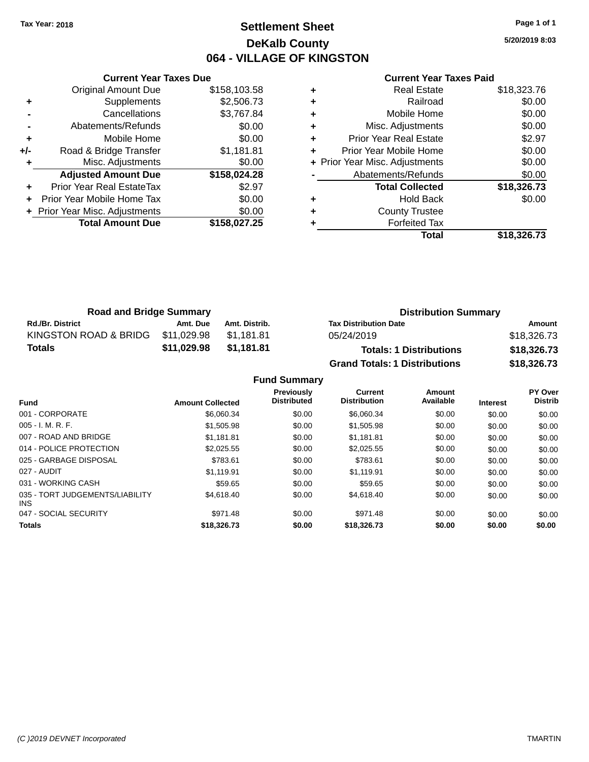### **Settlement Sheet Tax Year: 2018 Page 1 of 1 DeKalb County 064 - VILLAGE OF KINGSTON**

**5/20/2019 8:03**

|     | <b>Current Year Taxes Due</b>    |              |
|-----|----------------------------------|--------------|
|     | <b>Original Amount Due</b>       | \$158,103.58 |
| ٠   | Supplements                      | \$2,506.73   |
|     | Cancellations                    | \$3,767.84   |
|     | Abatements/Refunds               | \$0.00       |
| ٠   | Mobile Home                      | \$0.00       |
| +/- | Road & Bridge Transfer           | \$1,181.81   |
| ٠   | Misc. Adjustments                | \$0.00       |
|     | <b>Adjusted Amount Due</b>       | \$158,024.28 |
| ٠   | <b>Prior Year Real EstateTax</b> | \$2.97       |
|     | Prior Year Mobile Home Tax       | \$0.00       |
|     | + Prior Year Misc. Adjustments   | \$0.00       |
|     | <b>Total Amount Due</b>          | \$158,027.25 |
|     |                                  |              |

### **Current Year Taxes Paid**

| ٠ | <b>Real Estate</b>             | \$18,323.76 |
|---|--------------------------------|-------------|
| ٠ | Railroad                       | \$0.00      |
| ٠ | Mobile Home                    | \$0.00      |
| ٠ | Misc. Adjustments              | \$0.00      |
| ٠ | <b>Prior Year Real Estate</b>  | \$2.97      |
| ٠ | Prior Year Mobile Home         | \$0.00      |
|   | + Prior Year Misc. Adjustments | \$0.00      |
|   | Abatements/Refunds             | \$0.00      |
|   | <b>Total Collected</b>         | \$18,326.73 |
| ٠ | Hold Back                      | \$0.00      |
| ٠ | <b>County Trustee</b>          |             |
| ٠ | <b>Forfeited Tax</b>           |             |
|   | Total                          | \$18,326.73 |
|   |                                |             |

| <b>Road and Bridge Summary</b> |             |               | <b>Distribution Summary</b>          |             |  |
|--------------------------------|-------------|---------------|--------------------------------------|-------------|--|
| <b>Rd./Br. District</b>        | Amt. Due    | Amt. Distrib. | <b>Tax Distribution Date</b>         | Amount      |  |
| KINGSTON ROAD & BRIDG          | \$11.029.98 | \$1.181.81    | 05/24/2019                           | \$18,326.73 |  |
| <b>Totals</b>                  | \$11,029.98 | \$1,181.81    | <b>Totals: 1 Distributions</b>       | \$18,326.73 |  |
|                                |             |               | <b>Grand Totals: 1 Distributions</b> | \$18,326.73 |  |

| <b>Fund</b>                                   | <b>Amount Collected</b> | Previously<br><b>Distributed</b> | Current<br><b>Distribution</b> | Amount<br>Available | <b>Interest</b> | PY Over<br><b>Distrib</b> |
|-----------------------------------------------|-------------------------|----------------------------------|--------------------------------|---------------------|-----------------|---------------------------|
| 001 - CORPORATE                               | \$6,060,34              | \$0.00                           | \$6,060,34                     | \$0.00              | \$0.00          | \$0.00                    |
| 005 - I. M. R. F.                             | \$1,505.98              | \$0.00                           | \$1,505.98                     | \$0.00              | \$0.00          | \$0.00                    |
| 007 - ROAD AND BRIDGE                         | \$1.181.81              | \$0.00                           | \$1,181.81                     | \$0.00              | \$0.00          | \$0.00                    |
| 014 - POLICE PROTECTION                       | \$2,025.55              | \$0.00                           | \$2.025.55                     | \$0.00              | \$0.00          | \$0.00                    |
| 025 - GARBAGE DISPOSAL                        | \$783.61                | \$0.00                           | \$783.61                       | \$0.00              | \$0.00          | \$0.00                    |
| 027 - AUDIT                                   | \$1.119.91              | \$0.00                           | \$1.119.91                     | \$0.00              | \$0.00          | \$0.00                    |
| 031 - WORKING CASH                            | \$59.65                 | \$0.00                           | \$59.65                        | \$0.00              | \$0.00          | \$0.00                    |
| 035 - TORT JUDGEMENTS/LIABILITY<br><b>INS</b> | \$4,618.40              | \$0.00                           | \$4.618.40                     | \$0.00              | \$0.00          | \$0.00                    |
| 047 - SOCIAL SECURITY                         | \$971.48                | \$0.00                           | \$971.48                       | \$0.00              | \$0.00          | \$0.00                    |
| <b>Totals</b>                                 | \$18,326.73             | \$0.00                           | \$18,326.73                    | \$0.00              | \$0.00          | \$0.00                    |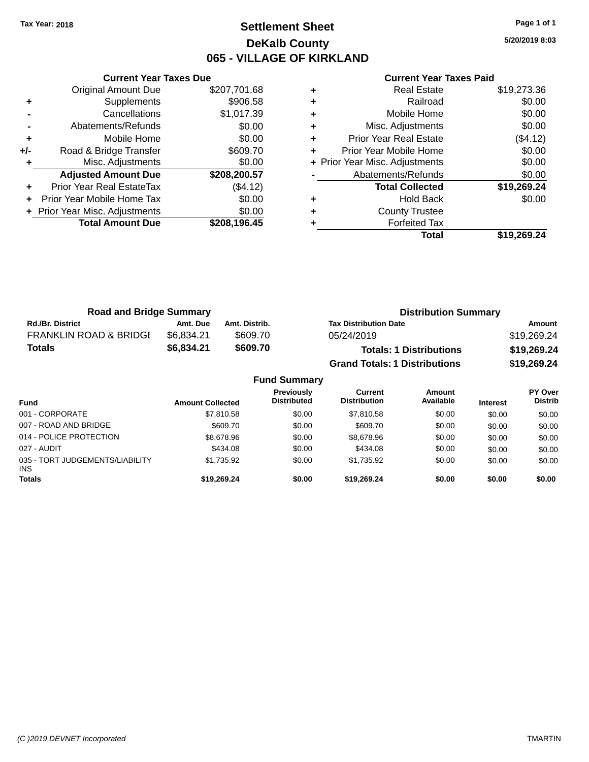### **Settlement Sheet Tax Year: 2018 Page 1 of 1 DeKalb County 065 - VILLAGE OF KIRKLAND**

**5/20/2019 8:03**

|     | <b>Current Year Taxes Due</b>  |              |
|-----|--------------------------------|--------------|
|     | <b>Original Amount Due</b>     | \$207,701.68 |
| ÷   | Supplements                    | \$906.58     |
|     | Cancellations                  | \$1,017.39   |
|     | Abatements/Refunds             | \$0.00       |
| ٠   | Mobile Home                    | \$0.00       |
| +/- | Road & Bridge Transfer         | \$609.70     |
|     | Misc. Adjustments              | \$0.00       |
|     | <b>Adjusted Amount Due</b>     | \$208,200.57 |
| ÷   | Prior Year Real EstateTax      | (\$4.12)     |
|     | Prior Year Mobile Home Tax     | \$0.00       |
|     | + Prior Year Misc. Adjustments | \$0.00       |
|     | <b>Total Amount Due</b>        | \$208,196.45 |
|     |                                |              |

| <b>Real Estate</b>             | \$19,273.36 |
|--------------------------------|-------------|
| Railroad                       | \$0.00      |
| Mobile Home                    | \$0.00      |
| Misc. Adjustments              | \$0.00      |
| Prior Year Real Estate         | (\$4.12)    |
| Prior Year Mobile Home         | \$0.00      |
| + Prior Year Misc. Adjustments | \$0.00      |
| Abatements/Refunds             | \$0.00      |
| <b>Total Collected</b>         | \$19,269.24 |
| <b>Hold Back</b>               | \$0.00      |
| <b>County Trustee</b>          |             |
| <b>Forfeited Tax</b>           |             |
| Total                          | \$19.269.24 |
|                                |             |

| <b>Road and Bridge Summary</b>    |            |               | <b>Distribution Summary</b>          |             |
|-----------------------------------|------------|---------------|--------------------------------------|-------------|
| <b>Rd./Br. District</b>           | Amt. Due   | Amt. Distrib. | <b>Tax Distribution Date</b>         | Amount      |
| <b>FRANKLIN ROAD &amp; BRIDGI</b> | \$6.834.21 | \$609.70      | 05/24/2019                           | \$19,269.24 |
| Totals                            | \$6,834.21 | \$609.70      | <b>Totals: 1 Distributions</b>       | \$19,269.24 |
|                                   |            |               | <b>Grand Totals: 1 Distributions</b> | \$19,269.24 |

| <b>Fund Summary</b>                     |                         |                                         |                                       |                            |                 |                           |  |
|-----------------------------------------|-------------------------|-----------------------------------------|---------------------------------------|----------------------------|-----------------|---------------------------|--|
| <b>Fund</b>                             | <b>Amount Collected</b> | <b>Previously</b><br><b>Distributed</b> | <b>Current</b><br><b>Distribution</b> | <b>Amount</b><br>Available | <b>Interest</b> | PY Over<br><b>Distrib</b> |  |
| 001 - CORPORATE                         | \$7,810.58              | \$0.00                                  | \$7,810.58                            | \$0.00                     | \$0.00          | \$0.00                    |  |
| 007 - ROAD AND BRIDGE                   | \$609.70                | \$0.00                                  | \$609.70                              | \$0.00                     | \$0.00          | \$0.00                    |  |
| 014 - POLICE PROTECTION                 | \$8,678.96              | \$0.00                                  | \$8,678.96                            | \$0.00                     | \$0.00          | \$0.00                    |  |
| 027 - AUDIT                             | \$434.08                | \$0.00                                  | \$434.08                              | \$0.00                     | \$0.00          | \$0.00                    |  |
| 035 - TORT JUDGEMENTS/LIABILITY<br>INS. | \$1,735.92              | \$0.00                                  | \$1,735.92                            | \$0.00                     | \$0.00          | \$0.00                    |  |
| <b>Totals</b>                           | \$19,269.24             | \$0.00                                  | \$19,269.24                           | \$0.00                     | \$0.00          | \$0.00                    |  |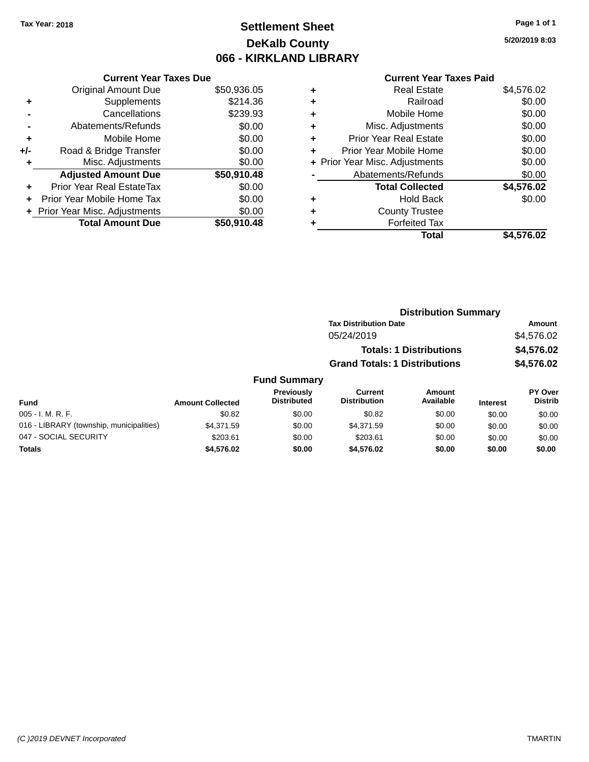# **Settlement Sheet Tax Year: 2018 Page 1 of 1 DeKalb County 066 - KIRKLAND LIBRARY**

**5/20/2019 8:03**

|     | <b>Current Year Taxes Due</b>  |             |
|-----|--------------------------------|-------------|
|     | <b>Original Amount Due</b>     | \$50,936.05 |
| ÷   | Supplements                    | \$214.36    |
|     | Cancellations                  | \$239.93    |
|     | Abatements/Refunds             | \$0.00      |
| ٠   | Mobile Home                    | \$0.00      |
| +/- | Road & Bridge Transfer         | \$0.00      |
|     | Misc. Adjustments              | \$0.00      |
|     | <b>Adjusted Amount Due</b>     | \$50,910.48 |
| ÷   | Prior Year Real EstateTax      | \$0.00      |
|     | Prior Year Mobile Home Tax     | \$0.00      |
|     | + Prior Year Misc. Adjustments | \$0.00      |
|     | <b>Total Amount Due</b>        | \$50,910,48 |
|     |                                |             |

| ٠ | <b>Real Estate</b>             | \$4,576.02 |
|---|--------------------------------|------------|
| ٠ | Railroad                       | \$0.00     |
| ٠ | Mobile Home                    | \$0.00     |
| ٠ | Misc. Adjustments              | \$0.00     |
| ٠ | <b>Prior Year Real Estate</b>  | \$0.00     |
| ٠ | Prior Year Mobile Home         | \$0.00     |
|   | + Prior Year Misc. Adjustments | \$0.00     |
|   | Abatements/Refunds             | \$0.00     |
|   | <b>Total Collected</b>         | \$4,576.02 |
| ٠ | <b>Hold Back</b>               | \$0.00     |
| ٠ | <b>County Trustee</b>          |            |
|   | <b>Forfeited Tax</b>           |            |
|   | Total                          | \$4.576.02 |
|   |                                |            |

|         | <b>Distribution Summary</b>          |            |
|---------|--------------------------------------|------------|
|         | <b>Tax Distribution Date</b>         | Amount     |
|         | 05/24/2019                           | \$4,576.02 |
|         | <b>Totals: 1 Distributions</b>       | \$4,576.02 |
|         | <b>Grand Totals: 1 Distributions</b> | \$4,576.02 |
| Summary |                                      |            |

| <b>Fund Summary</b>                      |                         |                                  |                                       |                     |                 |                           |
|------------------------------------------|-------------------------|----------------------------------|---------------------------------------|---------------------|-----------------|---------------------------|
| <b>Fund</b>                              | <b>Amount Collected</b> | Previously<br><b>Distributed</b> | <b>Current</b><br><b>Distribution</b> | Amount<br>Available | <b>Interest</b> | PY Over<br><b>Distrib</b> |
| $005 - I. M. R. F.$                      | \$0.82                  | \$0.00                           | \$0.82                                | \$0.00              | \$0.00          | \$0.00                    |
| 016 - LIBRARY (township, municipalities) | \$4.371.59              | \$0.00                           | \$4.371.59                            | \$0.00              | \$0.00          | \$0.00                    |
| 047 - SOCIAL SECURITY                    | \$203.61                | \$0.00                           | \$203.61                              | \$0.00              | \$0.00          | \$0.00                    |
| <b>Totals</b>                            | \$4,576.02              | \$0.00                           | \$4,576.02                            | \$0.00              | \$0.00          | \$0.00                    |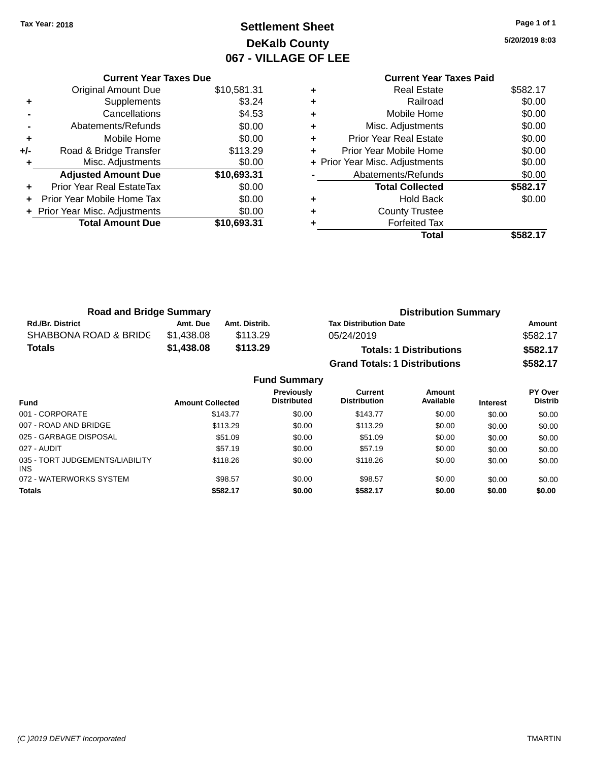# **Settlement Sheet Tax Year: 2018 Page 1 of 1 DeKalb County 067 - VILLAGE OF LEE**

**5/20/2019 8:03**

|     | <b>Current Year Taxes Due</b>  |             |
|-----|--------------------------------|-------------|
|     | <b>Original Amount Due</b>     | \$10,581.31 |
| ٠   | Supplements                    | \$3.24      |
|     | Cancellations                  | \$4.53      |
|     | Abatements/Refunds             | \$0.00      |
| ٠   | Mobile Home                    | \$0.00      |
| +/- | Road & Bridge Transfer         | \$113.29    |
| ٠   | Misc. Adjustments              | \$0.00      |
|     | <b>Adjusted Amount Due</b>     | \$10,693.31 |
| ٠   | Prior Year Real EstateTax      | \$0.00      |
|     | Prior Year Mobile Home Tax     | \$0.00      |
|     | + Prior Year Misc. Adjustments | \$0.00      |
|     | <b>Total Amount Due</b>        | \$10,693.31 |
|     |                                |             |

|   | <b>Current Year Taxes Paid</b> |          |
|---|--------------------------------|----------|
|   | <b>Real Estate</b>             | \$582.17 |
| ÷ | Railroad                       | \$0.00   |
| ÷ | Mobile Home                    | \$0.00   |
|   | Misc. Adjustments              | \$0.00   |
| ٠ | <b>Prior Year Real Estate</b>  | \$0.00   |
| ÷ | Prior Year Mobile Home         | \$0.00   |
|   | + Prior Year Misc. Adjustments | \$0.00   |
|   | Abatements/Refunds             | \$0.00   |
|   | <b>Total Collected</b>         | \$582.17 |
|   | Hold Back                      | \$0.00   |
|   | <b>County Trustee</b>          |          |
|   | <b>Forfeited Tax</b>           |          |
|   | Total                          | \$582.17 |
|   |                                |          |

| <b>Road and Bridge Summary</b> |            |               | <b>Distribution Summary</b>          |          |  |
|--------------------------------|------------|---------------|--------------------------------------|----------|--|
| <b>Rd./Br. District</b>        | Amt. Due   | Amt. Distrib. | <b>Tax Distribution Date</b>         | Amount   |  |
| SHABBONA ROAD & BRIDC          | \$1,438.08 | \$113.29      | 05/24/2019                           | \$582.17 |  |
| <b>Totals</b>                  | \$1.438.08 | \$113.29      | <b>Totals: 1 Distributions</b>       | \$582.17 |  |
|                                |            |               | <b>Grand Totals: 1 Distributions</b> | \$582.17 |  |

|                                         |                         | <b>Fund Summary</b>                     |                                |                     |                 |                           |
|-----------------------------------------|-------------------------|-----------------------------------------|--------------------------------|---------------------|-----------------|---------------------------|
| <b>Fund</b>                             | <b>Amount Collected</b> | <b>Previously</b><br><b>Distributed</b> | Current<br><b>Distribution</b> | Amount<br>Available | <b>Interest</b> | PY Over<br><b>Distrib</b> |
| 001 - CORPORATE                         | \$143.77                | \$0.00                                  | \$143.77                       | \$0.00              | \$0.00          | \$0.00                    |
| 007 - ROAD AND BRIDGE                   | \$113.29                | \$0.00                                  | \$113.29                       | \$0.00              | \$0.00          | \$0.00                    |
| 025 - GARBAGE DISPOSAL                  | \$51.09                 | \$0.00                                  | \$51.09                        | \$0.00              | \$0.00          | \$0.00                    |
| 027 - AUDIT                             | \$57.19                 | \$0.00                                  | \$57.19                        | \$0.00              | \$0.00          | \$0.00                    |
| 035 - TORT JUDGEMENTS/LIABILITY<br>INS. | \$118.26                | \$0.00                                  | \$118.26                       | \$0.00              | \$0.00          | \$0.00                    |
| 072 - WATERWORKS SYSTEM                 | \$98.57                 | \$0.00                                  | \$98.57                        | \$0.00              | \$0.00          | \$0.00                    |
| <b>Totals</b>                           | \$582.17                | \$0.00                                  | \$582.17                       | \$0.00              | \$0.00          | \$0.00                    |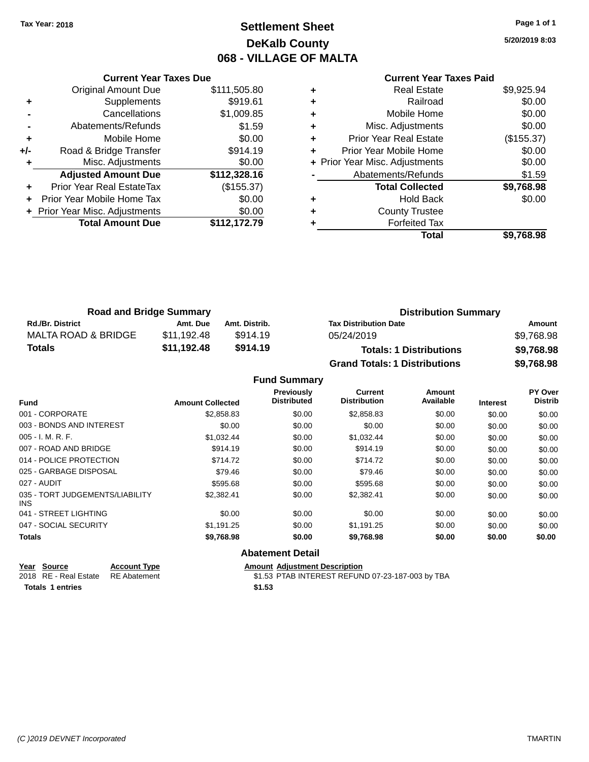# **Settlement Sheet Tax Year: 2018 Page 1 of 1 DeKalb County 068 - VILLAGE OF MALTA**

**5/20/2019 8:03**

### **Current Year Taxes Paid +** Real Estate \$9,925.94 **+** Railroad \$0.00 **+** Mobile Home \$0.00 **+** Misc. Adjustments \$0.00 **+** Prior Year Real Estate (\$155.37) **+** Prior Year Mobile Home \$0.00 **+ Prior Year Misc. Adjustments**  $$0.00$ Abatements/Refunds \$1.59 **Total Collected \$9,768.98 +** Hold Back \$0.00

|     | <b>Current Year Taxes Due</b>    |              |
|-----|----------------------------------|--------------|
|     | <b>Original Amount Due</b>       | \$111,505.80 |
| ٠   | Supplements                      | \$919.61     |
|     | Cancellations                    | \$1,009.85   |
|     | Abatements/Refunds               | \$1.59       |
| ٠   | Mobile Home                      | \$0.00       |
| +/- | Road & Bridge Transfer           | \$914.19     |
| ٠   | Misc. Adjustments                | \$0.00       |
|     | <b>Adjusted Amount Due</b>       | \$112,328.16 |
| ٠   | <b>Prior Year Real EstateTax</b> | (\$155.37)   |
|     | Prior Year Mobile Home Tax       | \$0.00       |
|     | + Prior Year Misc. Adjustments   | \$0.00       |
|     | <b>Total Amount Due</b>          | \$112,172.79 |
|     |                                  |              |

| vv.vv      | <b>HUIU DUUN</b>      |   | vv.vv        |
|------------|-----------------------|---|--------------|
|            | <b>County Trustee</b> | ٠ | \$0.00       |
|            | <b>Forfeited Tax</b>  | ٠ | \$112,172.79 |
| \$9,768.98 | <b>Total</b>          |   |              |
|            |                       |   |              |
|            |                       |   |              |
|            |                       |   |              |
|            |                       |   |              |
|            |                       |   |              |

| <b>Road and Bridge Summary</b> |             |               | <b>Distribution Summary</b>          |            |  |
|--------------------------------|-------------|---------------|--------------------------------------|------------|--|
| <b>Rd./Br. District</b>        | Amt. Due    | Amt. Distrib. | <b>Tax Distribution Date</b>         | Amount     |  |
| MALTA ROAD & BRIDGE            | \$11.192.48 | \$914.19      | 05/24/2019                           | \$9,768.98 |  |
| <b>Totals</b>                  | \$11,192.48 | \$914.19      | <b>Totals: 1 Distributions</b>       | \$9,768.98 |  |
|                                |             |               | <b>Grand Totals: 1 Distributions</b> | \$9,768.98 |  |

#### **Fund Summary Fund Interest Amount Collected Distributed PY Over Distrib Amount Available Current Distribution Previously** 001 - CORPORATE \$2,858.83 \$0.00 \$2,858.83 \$0.00 \$0.00 \$0.00 003 - BONDS AND INTEREST  $$0.00$   $$0.00$   $$0.00$   $$0.00$   $$0.00$   $$0.00$   $$0.00$   $$0.00$ 005 - I. M. R. F. \$1,032.44 \$0.00 \$1,032.44 \$0.00 \$0.00 \$0.00 007 - ROAD AND BRIDGE \$914.19 \$90.00 \$914.19 \$0.00 \$0.00 \$0.00 \$0.00 014 - POLICE PROTECTION **\$714.72** \$0.00 \$714.72 \$0.00 \$0.00 \$0.00 \$0.00 \$0.00 025 - GARBAGE DISPOSAL \$79.46 \$0.00 \$0.00 \$0.00 \$0.00 \$0.00 027 - AUDIT \$595.68 \$0.00 \$595.68 \$0.00 \$0.00 \$0.00 035 - TORT JUDGEMENTS/LIABILITY INS \$2,382.41 \$0.00 \$2,382.41 \$0.00 \$0.00 \$0.00 041 - STREET LIGHTING  $$0.00$   $$0.00$   $$0.00$   $$0.00$   $$0.00$   $$0.00$   $$0.00$   $$0.00$ 047 - SOCIAL SECURITY \$1,191.25 \$0.00 \$0.00 \$0.00 \$0.00 \$0.00 **Totals \$9,768.98 \$0.00 \$9,768.98 \$0.00 \$0.00 \$0.00 Abatement Detail**

| Year Source                        | <b>Account Type</b> | Amount |
|------------------------------------|---------------------|--------|
| 2018 RE - Real Estate RE Abatement |                     | \$1.53 |
| <b>Totals 1 entries</b>            |                     | \$1.53 |

**<u>Amount Adjustment Description</u>** \$1.53 PTAB INTEREST REFUND 07-23-187-003 by TBA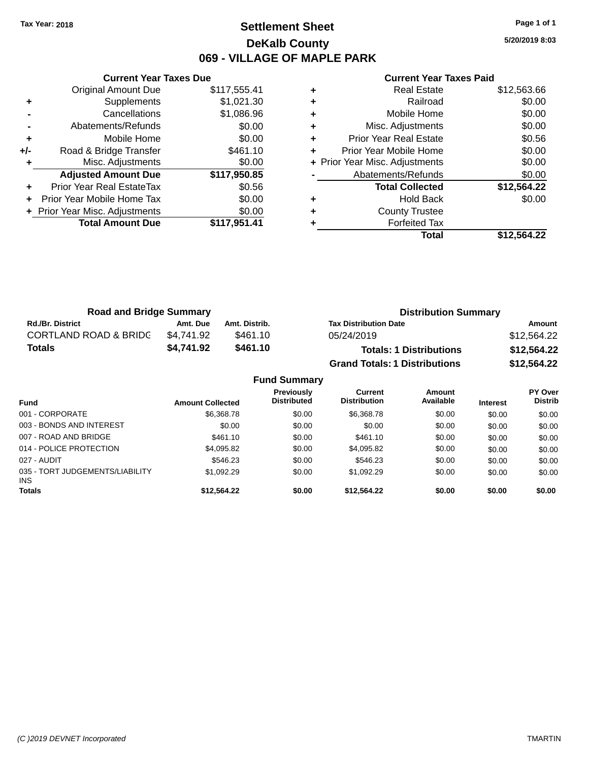### **Settlement Sheet Tax Year: 2018 Page 1 of 1 DeKalb County 069 - VILLAGE OF MAPLE PARK**

**5/20/2019 8:03**

|     | <b>Current Year Taxes Due</b>  |              |  |  |  |  |
|-----|--------------------------------|--------------|--|--|--|--|
|     | <b>Original Amount Due</b>     | \$117,555.41 |  |  |  |  |
| ٠   | Supplements                    | \$1,021.30   |  |  |  |  |
|     | Cancellations                  | \$1,086.96   |  |  |  |  |
|     | Abatements/Refunds             | \$0.00       |  |  |  |  |
| ÷   | Mobile Home                    | \$0.00       |  |  |  |  |
| +/- | Road & Bridge Transfer         | \$461.10     |  |  |  |  |
| ٠   | \$0.00<br>Misc. Adjustments    |              |  |  |  |  |
|     | <b>Adjusted Amount Due</b>     | \$117,950.85 |  |  |  |  |
| ٠   | Prior Year Real EstateTax      | \$0.56       |  |  |  |  |
|     | Prior Year Mobile Home Tax     | \$0.00       |  |  |  |  |
|     | + Prior Year Misc. Adjustments | \$0.00       |  |  |  |  |
|     | <b>Total Amount Due</b>        | \$117.951.41 |  |  |  |  |
|     |                                |              |  |  |  |  |

|   | <b>Real Estate</b>             | \$12,563.66 |
|---|--------------------------------|-------------|
| ٠ | Railroad                       | \$0.00      |
| ٠ | Mobile Home                    | \$0.00      |
| ٠ | Misc. Adjustments              | \$0.00      |
| ٠ | <b>Prior Year Real Estate</b>  | \$0.56      |
| ٠ | Prior Year Mobile Home         | \$0.00      |
|   | + Prior Year Misc. Adjustments | \$0.00      |
|   | Abatements/Refunds             | \$0.00      |
|   | <b>Total Collected</b>         | \$12,564.22 |
| ٠ | <b>Hold Back</b>               | \$0.00      |
| ٠ | <b>County Trustee</b>          |             |
|   | <b>Forfeited Tax</b>           |             |
|   | Total                          | \$12.564.22 |

| <b>Road and Bridge Summary</b>   |            |               | <b>Distribution Summary</b>          |             |  |
|----------------------------------|------------|---------------|--------------------------------------|-------------|--|
| <b>Rd./Br. District</b>          | Amt. Due   | Amt. Distrib. | <b>Tax Distribution Date</b>         | Amount      |  |
| <b>CORTLAND ROAD &amp; BRIDC</b> | \$4.741.92 | \$461.10      | 05/24/2019                           | \$12,564.22 |  |
| <b>Totals</b>                    | \$4.741.92 | \$461.10      | <b>Totals: 1 Distributions</b>       | \$12,564.22 |  |
|                                  |            |               | <b>Grand Totals: 1 Distributions</b> | \$12,564.22 |  |

| <b>Fund Summary</b>                     |                         |                                         |                                |                     |                 |                           |
|-----------------------------------------|-------------------------|-----------------------------------------|--------------------------------|---------------------|-----------------|---------------------------|
| <b>Fund</b>                             | <b>Amount Collected</b> | <b>Previously</b><br><b>Distributed</b> | Current<br><b>Distribution</b> | Amount<br>Available | <b>Interest</b> | PY Over<br><b>Distrib</b> |
| 001 - CORPORATE                         | \$6,368.78              | \$0.00                                  | \$6,368.78                     | \$0.00              | \$0.00          | \$0.00                    |
| 003 - BONDS AND INTEREST                | \$0.00                  | \$0.00                                  | \$0.00                         | \$0.00              | \$0.00          | \$0.00                    |
| 007 - ROAD AND BRIDGE                   | \$461.10                | \$0.00                                  | \$461.10                       | \$0.00              | \$0.00          | \$0.00                    |
| 014 - POLICE PROTECTION                 | \$4,095.82              | \$0.00                                  | \$4,095.82                     | \$0.00              | \$0.00          | \$0.00                    |
| 027 - AUDIT                             | \$546.23                | \$0.00                                  | \$546.23                       | \$0.00              | \$0.00          | \$0.00                    |
| 035 - TORT JUDGEMENTS/LIABILITY<br>INS. | \$1,092.29              | \$0.00                                  | \$1,092.29                     | \$0.00              | \$0.00          | \$0.00                    |
| <b>Totals</b>                           | \$12,564.22             | \$0.00                                  | \$12.564.22                    | \$0.00              | \$0.00          | \$0.00                    |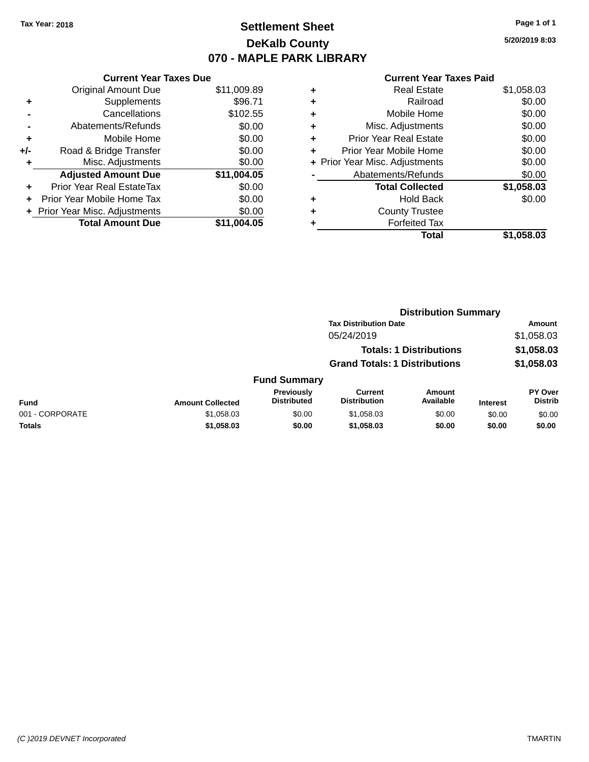## **Settlement Sheet Tax Year: 2018 Page 1 of 1 DeKalb County 070 - MAPLE PARK LIBRARY**

**5/20/2019 8:03**

| <b>Original Amount Due</b>                | \$11,009.89                   |  |  |
|-------------------------------------------|-------------------------------|--|--|
| Supplements                               | \$96.71                       |  |  |
| Cancellations                             | \$102.55                      |  |  |
| Abatements/Refunds                        | \$0.00                        |  |  |
| Mobile Home                               | \$0.00                        |  |  |
| \$0.00<br>Road & Bridge Transfer<br>$+/-$ |                               |  |  |
| \$0.00<br>Misc. Adjustments               |                               |  |  |
| <b>Adjusted Amount Due</b>                | \$11,004.05                   |  |  |
| Prior Year Real EstateTax                 | \$0.00                        |  |  |
| Prior Year Mobile Home Tax                | \$0.00                        |  |  |
| Prior Year Misc. Adjustments              | \$0.00                        |  |  |
| <b>Total Amount Due</b>                   | \$11.004.05                   |  |  |
|                                           | <b>Current Year Taxes Due</b> |  |  |

| ٠ | <b>Real Estate</b>             | \$1,058.03 |
|---|--------------------------------|------------|
| ٠ | Railroad                       | \$0.00     |
| ٠ | Mobile Home                    | \$0.00     |
| ٠ | Misc. Adjustments              | \$0.00     |
| ٠ | <b>Prior Year Real Estate</b>  | \$0.00     |
| ÷ | Prior Year Mobile Home         | \$0.00     |
|   | + Prior Year Misc. Adjustments | \$0.00     |
|   | Abatements/Refunds             | \$0.00     |
|   | <b>Total Collected</b>         | \$1,058.03 |
| ٠ | <b>Hold Back</b>               | \$0.00     |
| ٠ | <b>County Trustee</b>          |            |
| ٠ | <b>Forfeited Tax</b>           |            |
|   | Total                          | \$1,058.03 |
|   |                                |            |

|                 |                         |                                  | <b>Distribution Summary</b>           |                                |                 |                                  |  |
|-----------------|-------------------------|----------------------------------|---------------------------------------|--------------------------------|-----------------|----------------------------------|--|
|                 |                         |                                  | <b>Tax Distribution Date</b>          |                                |                 | Amount                           |  |
|                 |                         |                                  | 05/24/2019                            |                                |                 | \$1,058.03                       |  |
|                 |                         |                                  |                                       | <b>Totals: 1 Distributions</b> |                 | \$1,058.03                       |  |
|                 |                         |                                  | <b>Grand Totals: 1 Distributions</b>  |                                |                 | \$1,058.03                       |  |
|                 |                         | <b>Fund Summary</b>              |                                       |                                |                 |                                  |  |
| <b>Fund</b>     | <b>Amount Collected</b> | Previously<br><b>Distributed</b> | <b>Current</b><br><b>Distribution</b> | Amount<br>Available            | <b>Interest</b> | <b>PY Over</b><br><b>Distrib</b> |  |
| 001 - CORPORATE | \$1,058.03              | \$0.00                           | \$1,058.03                            | \$0.00                         | \$0.00          | \$0.00                           |  |
| Totals          | \$1,058.03              | \$0.00                           | \$1,058.03                            | \$0.00                         | \$0.00          | \$0.00                           |  |
|                 |                         |                                  |                                       |                                |                 |                                  |  |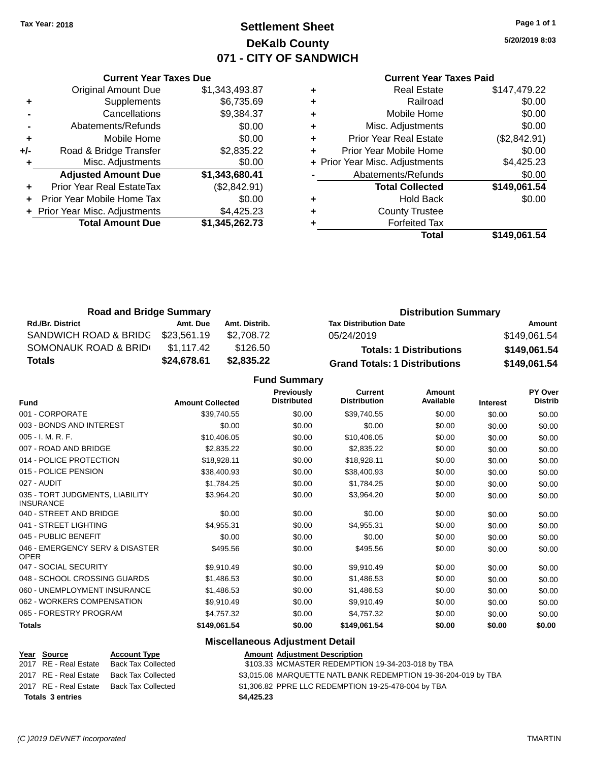### **Settlement Sheet Tax Year: 2018 Page 1 of 1 DeKalb County 071 - CITY OF SANDWICH**

**5/20/2019 8:03**

#### **Current Year Taxes Paid**

|     | <b>Current Year Taxes Due</b>  |                |  |  |  |
|-----|--------------------------------|----------------|--|--|--|
|     | <b>Original Amount Due</b>     | \$1,343,493.87 |  |  |  |
| ٠   | Supplements                    | \$6,735.69     |  |  |  |
|     | Cancellations                  | \$9,384.37     |  |  |  |
|     | Abatements/Refunds             | \$0.00         |  |  |  |
| ÷   | Mobile Home                    | \$0.00         |  |  |  |
| +/- | Road & Bridge Transfer         | \$2,835.22     |  |  |  |
|     | Misc. Adjustments              | \$0.00         |  |  |  |
|     | <b>Adjusted Amount Due</b>     | \$1,343,680.41 |  |  |  |
|     | Prior Year Real EstateTax      | (\$2,842.91)   |  |  |  |
| ÷   | Prior Year Mobile Home Tax     | \$0.00         |  |  |  |
|     | + Prior Year Misc. Adjustments | \$4,425.23     |  |  |  |
|     | <b>Total Amount Due</b>        | \$1,345,262.73 |  |  |  |
|     |                                |                |  |  |  |

|   | <b>Real Estate</b>             | \$147,479.22 |
|---|--------------------------------|--------------|
| ٠ | Railroad                       | \$0.00       |
| ٠ | Mobile Home                    | \$0.00       |
| ٠ | Misc. Adjustments              | \$0.00       |
| ٠ | <b>Prior Year Real Estate</b>  | (\$2,842.91) |
| ٠ | Prior Year Mobile Home         | \$0.00       |
|   | + Prior Year Misc. Adjustments | \$4,425.23   |
|   | Abatements/Refunds             | \$0.00       |
|   | <b>Total Collected</b>         | \$149,061.54 |
| ٠ | <b>Hold Back</b>               | \$0.00       |
| ٠ | <b>County Trustee</b>          |              |
| ٠ | <b>Forfeited Tax</b>           |              |
|   | Total                          | \$149,061.54 |
|   |                                |              |

| <b>Road and Bridge Summary</b> |             |               | <b>Distribution Summary</b>          |              |  |
|--------------------------------|-------------|---------------|--------------------------------------|--------------|--|
| <b>Rd./Br. District</b>        | Amt. Due    | Amt. Distrib. | <b>Tax Distribution Date</b>         | Amount       |  |
| SANDWICH ROAD & BRIDG          | \$23.561.19 | \$2.708.72    | 05/24/2019                           | \$149.061.54 |  |
| SOMONAUK ROAD & BRIDI          | \$1.117.42  | \$126.50      | <b>Totals: 1 Distributions</b>       | \$149,061.54 |  |
| Totals                         | \$24,678.61 | \$2,835,22    | <b>Grand Totals: 1 Distributions</b> | \$149,061.54 |  |

**Fund Summary**

| <b>Fund</b>                                         | <b>Amount Collected</b> | <b>Previously</b><br><b>Distributed</b> | <b>Current</b><br><b>Distribution</b> | Amount<br>Available | <b>Interest</b> | <b>PY Over</b><br><b>Distrib</b> |
|-----------------------------------------------------|-------------------------|-----------------------------------------|---------------------------------------|---------------------|-----------------|----------------------------------|
| 001 - CORPORATE                                     | \$39,740.55             | \$0.00                                  | \$39,740.55                           | \$0.00              | \$0.00          | \$0.00                           |
| 003 - BONDS AND INTEREST                            | \$0.00                  | \$0.00                                  | \$0.00                                | \$0.00              | \$0.00          | \$0.00                           |
| 005 - I. M. R. F.                                   | \$10,406.05             | \$0.00                                  | \$10,406.05                           | \$0.00              | \$0.00          | \$0.00                           |
| 007 - ROAD AND BRIDGE                               | \$2,835.22              | \$0.00                                  | \$2,835.22                            | \$0.00              | \$0.00          | \$0.00                           |
| 014 - POLICE PROTECTION                             | \$18,928.11             | \$0.00                                  | \$18,928.11                           | \$0.00              | \$0.00          | \$0.00                           |
| 015 - POLICE PENSION                                | \$38,400.93             | \$0.00                                  | \$38,400.93                           | \$0.00              | \$0.00          | \$0.00                           |
| 027 - AUDIT                                         | \$1,784.25              | \$0.00                                  | \$1,784.25                            | \$0.00              | \$0.00          | \$0.00                           |
| 035 - TORT JUDGMENTS, LIABILITY<br><b>INSURANCE</b> | \$3,964.20              | \$0.00                                  | \$3,964.20                            | \$0.00              | \$0.00          | \$0.00                           |
| 040 - STREET AND BRIDGE                             | \$0.00                  | \$0.00                                  | \$0.00                                | \$0.00              | \$0.00          | \$0.00                           |
| 041 - STREET LIGHTING                               | \$4,955.31              | \$0.00                                  | \$4,955.31                            | \$0.00              | \$0.00          | \$0.00                           |
| 045 - PUBLIC BENEFIT                                | \$0.00                  | \$0.00                                  | \$0.00                                | \$0.00              | \$0.00          | \$0.00                           |
| 046 - EMERGENCY SERV & DISASTER<br><b>OPER</b>      | \$495.56                | \$0.00                                  | \$495.56                              | \$0.00              | \$0.00          | \$0.00                           |
| 047 - SOCIAL SECURITY                               | \$9,910.49              | \$0.00                                  | \$9,910.49                            | \$0.00              | \$0.00          | \$0.00                           |
| 048 - SCHOOL CROSSING GUARDS                        | \$1,486.53              | \$0.00                                  | \$1,486.53                            | \$0.00              | \$0.00          | \$0.00                           |
| 060 - UNEMPLOYMENT INSURANCE                        | \$1,486.53              | \$0.00                                  | \$1,486.53                            | \$0.00              | \$0.00          | \$0.00                           |
| 062 - WORKERS COMPENSATION                          | \$9,910.49              | \$0.00                                  | \$9,910.49                            | \$0.00              | \$0.00          | \$0.00                           |
| 065 - FORESTRY PROGRAM                              | \$4,757.32              | \$0.00                                  | \$4,757.32                            | \$0.00              | \$0.00          | \$0.00                           |
| <b>Totals</b>                                       | \$149,061.54            | \$0.00                                  | \$149,061.54                          | \$0.00              | \$0.00          | \$0.00                           |

### **Miscellaneous Adjustment Detail**

| Year Source             | <b>Account Type</b>       | <b>Amount Adjustment Description</b>                           |
|-------------------------|---------------------------|----------------------------------------------------------------|
| 2017 RE - Real Estate   | <b>Back Tax Collected</b> | \$103.33 MCMASTER REDEMPTION 19-34-203-018 by TBA              |
| 2017 RE - Real Estate   | Back Tax Collected        | \$3,015.08 MARQUETTE NATL BANK REDEMPTION 19-36-204-019 by TBA |
| 2017 RE - Real Estate   | Back Tax Collected        | \$1,306.82 PPRE LLC REDEMPTION 19-25-478-004 by TBA            |
| <b>Totals 3 entries</b> |                           | \$4,425.23                                                     |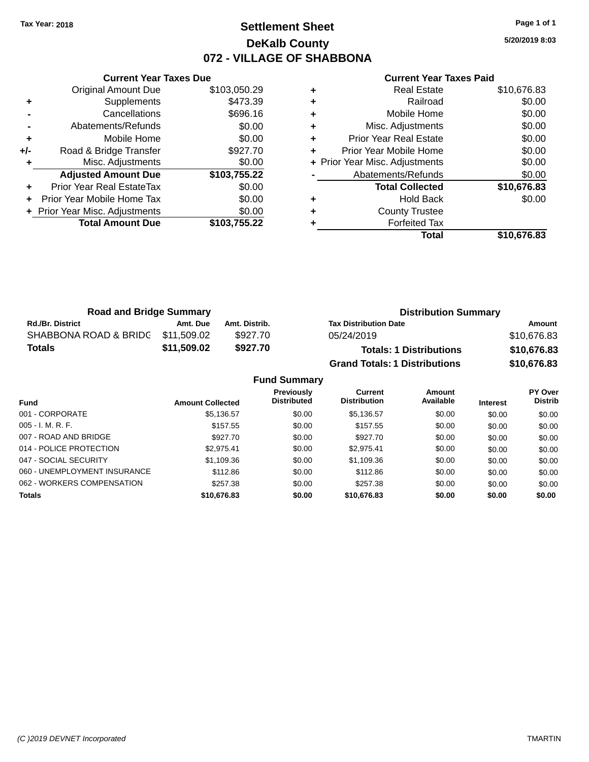### **Settlement Sheet Tax Year: 2018 Page 1 of 1 DeKalb County 072 - VILLAGE OF SHABBONA**

**5/20/2019 8:03**

|    | <b>Current Year Taxes Paid</b> |              |  |  |
|----|--------------------------------|--------------|--|--|
| ÷  | <b>Real Estate</b>             | \$10,676.83  |  |  |
| a. | Railroad                       | <b>RO 00</b> |  |  |

|     | <b>Original Amount Due</b>       | \$103,050.29 |
|-----|----------------------------------|--------------|
| ٠   | Supplements                      | \$473.39     |
|     | Cancellations                    | \$696.16     |
|     | Abatements/Refunds               | \$0.00       |
| ٠   | Mobile Home                      | \$0.00       |
| +/- | Road & Bridge Transfer           | \$927.70     |
| ٠   | Misc. Adjustments                | \$0.00       |
|     |                                  |              |
|     | <b>Adjusted Amount Due</b>       | \$103,755.22 |
|     | <b>Prior Year Real EstateTax</b> | \$0.00       |
|     | Prior Year Mobile Home Tax       | \$0.00       |
|     | + Prior Year Misc. Adjustments   | \$0.00       |
|     | <b>Total Amount Due</b>          | \$103,755.22 |

**Current Year Taxes Due**

|   | Total                          | \$10,676.83 |
|---|--------------------------------|-------------|
| ٠ | <b>Forfeited Tax</b>           |             |
| ÷ | <b>County Trustee</b>          |             |
| ٠ | <b>Hold Back</b>               | \$0.00      |
|   | <b>Total Collected</b>         | \$10,676.83 |
|   | Abatements/Refunds             | \$0.00      |
|   | + Prior Year Misc. Adjustments | \$0.00      |
| ٠ | Prior Year Mobile Home         | \$0.00      |
| ٠ | <b>Prior Year Real Estate</b>  | \$0.00      |
| ٠ | Misc. Adjustments              | \$0.00      |
| ÷ | Mobile Home                    | \$0.00      |
| ÷ | Railroad                       | \$0.00      |
|   |                                | 00.07 O     |

| <b>Road and Bridge Summary</b> |             |               | <b>Distribution Summary</b>          |             |  |
|--------------------------------|-------------|---------------|--------------------------------------|-------------|--|
| <b>Rd./Br. District</b>        | Amt. Due    | Amt. Distrib. | <b>Tax Distribution Date</b>         | Amount      |  |
| SHABBONA ROAD & BRIDG          | \$11.509.02 | \$927.70      | 05/24/2019                           | \$10,676.83 |  |
| <b>Totals</b>                  | \$11,509.02 | \$927.70      | <b>Totals: 1 Distributions</b>       | \$10,676.83 |  |
|                                |             |               | <b>Grand Totals: 1 Distributions</b> | \$10,676.83 |  |

| <b>Fund Summary</b>          |                         |                                         |                                       |                     |                 |                           |  |
|------------------------------|-------------------------|-----------------------------------------|---------------------------------------|---------------------|-----------------|---------------------------|--|
| <b>Fund</b>                  | <b>Amount Collected</b> | <b>Previously</b><br><b>Distributed</b> | <b>Current</b><br><b>Distribution</b> | Amount<br>Available | <b>Interest</b> | PY Over<br><b>Distrib</b> |  |
| 001 - CORPORATE              | \$5,136.57              | \$0.00                                  | \$5,136.57                            | \$0.00              | \$0.00          | \$0.00                    |  |
| $005 - I. M. R. F.$          | \$157.55                | \$0.00                                  | \$157.55                              | \$0.00              | \$0.00          | \$0.00                    |  |
| 007 - ROAD AND BRIDGE        | \$927.70                | \$0.00                                  | \$927.70                              | \$0.00              | \$0.00          | \$0.00                    |  |
| 014 - POLICE PROTECTION      | \$2.975.41              | \$0.00                                  | \$2.975.41                            | \$0.00              | \$0.00          | \$0.00                    |  |
| 047 - SOCIAL SECURITY        | \$1,109.36              | \$0.00                                  | \$1,109.36                            | \$0.00              | \$0.00          | \$0.00                    |  |
| 060 - UNEMPLOYMENT INSURANCE | \$112.86                | \$0.00                                  | \$112.86                              | \$0.00              | \$0.00          | \$0.00                    |  |
| 062 - WORKERS COMPENSATION   | \$257.38                | \$0.00                                  | \$257.38                              | \$0.00              | \$0.00          | \$0.00                    |  |
| <b>Totals</b>                | \$10,676.83             | \$0.00                                  | \$10,676.83                           | \$0.00              | \$0.00          | \$0.00                    |  |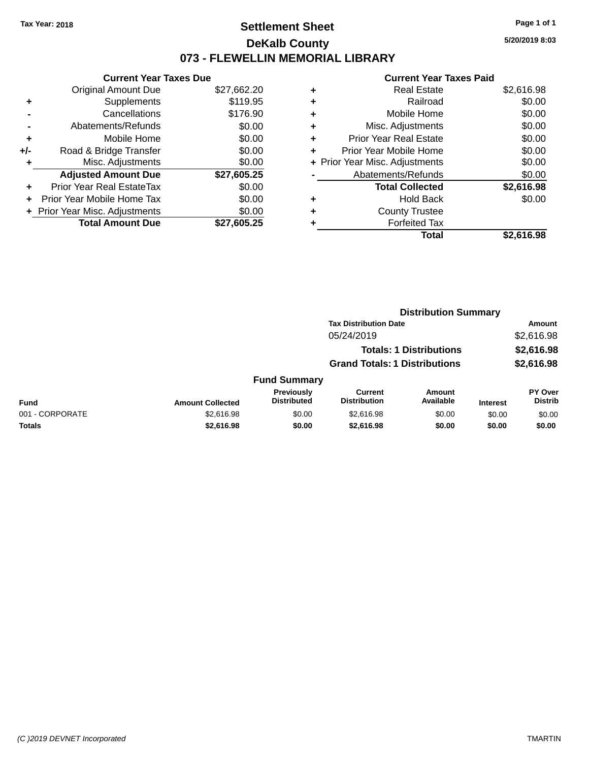### **Settlement Sheet Tax Year: 2018 Page 1 of 1 DeKalb County 073 - FLEWELLIN MEMORIAL LIBRARY**

**5/20/2019 8:03**

| <b>Original Amount Due</b><br>\$27,662.20 |        |
|-------------------------------------------|--------|
|                                           |        |
| \$119.95<br>Supplements<br>٠              |        |
| \$176.90<br>Cancellations                 |        |
| Abatements/Refunds                        | \$0.00 |
| Mobile Home<br>÷                          | \$0.00 |
| Road & Bridge Transfer<br>+/-             | \$0.00 |
| Misc. Adjustments                         | \$0.00 |
| <b>Adjusted Amount Due</b><br>\$27,605.25 |        |
| Prior Year Real EstateTax<br>÷            | \$0.00 |
| Prior Year Mobile Home Tax                | \$0.00 |
| + Prior Year Misc. Adjustments            | \$0.00 |
| <b>Total Amount Due</b><br>\$27.605.25    |        |

| ٠ | <b>Real Estate</b>             | \$2,616.98 |
|---|--------------------------------|------------|
| ٠ | Railroad                       | \$0.00     |
| ٠ | Mobile Home                    | \$0.00     |
| ٠ | Misc. Adjustments              | \$0.00     |
| ٠ | <b>Prior Year Real Estate</b>  | \$0.00     |
| ٠ | Prior Year Mobile Home         | \$0.00     |
|   | + Prior Year Misc. Adjustments | \$0.00     |
|   | Abatements/Refunds             | \$0.00     |
|   | <b>Total Collected</b>         | \$2,616.98 |
| ٠ | <b>Hold Back</b>               | \$0.00     |
| ٠ | <b>County Trustee</b>          |            |
|   | <b>Forfeited Tax</b>           |            |
|   | Total                          | \$2,616.98 |
|   |                                |            |

|                 |                         |                                  |                                       | <b>Distribution Summary</b>    |                 |                                  |
|-----------------|-------------------------|----------------------------------|---------------------------------------|--------------------------------|-----------------|----------------------------------|
|                 |                         |                                  | <b>Tax Distribution Date</b>          |                                |                 | Amount                           |
|                 |                         |                                  | 05/24/2019                            |                                |                 | \$2,616.98                       |
|                 |                         |                                  |                                       | <b>Totals: 1 Distributions</b> |                 | \$2,616.98                       |
|                 |                         |                                  | <b>Grand Totals: 1 Distributions</b>  |                                |                 | \$2,616.98                       |
|                 |                         | <b>Fund Summary</b>              |                                       |                                |                 |                                  |
| <b>Fund</b>     | <b>Amount Collected</b> | Previously<br><b>Distributed</b> | <b>Current</b><br><b>Distribution</b> | Amount<br>Available            | <b>Interest</b> | <b>PY Over</b><br><b>Distrib</b> |
| 001 - CORPORATE | \$2,616.98              | \$0.00                           | \$2,616.98                            | \$0.00                         | \$0.00          | \$0.00                           |
| Totals          | \$2,616.98              | \$0.00                           | \$2,616.98                            | \$0.00                         | \$0.00          | \$0.00                           |
|                 |                         |                                  |                                       |                                |                 |                                  |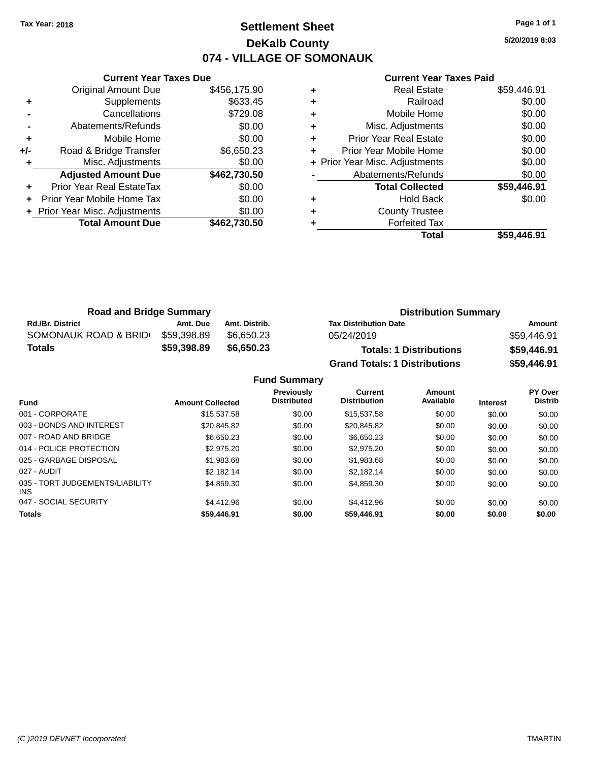### **Settlement Sheet Tax Year: 2018 Page 1 of 1 DeKalb County 074 - VILLAGE OF SOMONAUK**

**5/20/2019 8:03**

|     | <b>Current Year Taxes Due</b>  |              |
|-----|--------------------------------|--------------|
|     | <b>Original Amount Due</b>     | \$456,175.90 |
| ٠   | Supplements                    | \$633.45     |
|     | Cancellations                  | \$729.08     |
|     | Abatements/Refunds             | \$0.00       |
| ٠   | Mobile Home                    | \$0.00       |
| +/- | Road & Bridge Transfer         | \$6,650.23   |
|     | Misc. Adjustments              | \$0.00       |
|     | <b>Adjusted Amount Due</b>     | \$462,730.50 |
| ٠   | Prior Year Real EstateTax      | \$0.00       |
|     | Prior Year Mobile Home Tax     | \$0.00       |
|     | + Prior Year Misc. Adjustments | \$0.00       |
|     | <b>Total Amount Due</b>        | \$462,730,50 |
|     |                                |              |

| <b>Real Estate</b>             | \$59,446.91 |
|--------------------------------|-------------|
| Railroad                       | \$0.00      |
| Mobile Home                    | \$0.00      |
| Misc. Adjustments              | \$0.00      |
| <b>Prior Year Real Estate</b>  | \$0.00      |
| Prior Year Mobile Home         | \$0.00      |
| + Prior Year Misc. Adjustments | \$0.00      |
| Abatements/Refunds             | \$0.00      |
| <b>Total Collected</b>         | \$59,446.91 |
| <b>Hold Back</b>               | \$0.00      |
| <b>County Trustee</b>          |             |
| <b>Forfeited Tax</b>           |             |
| Total                          | \$59,446.91 |
|                                |             |

| <b>Road and Bridge Summary</b> |             |               | <b>Distribution Summary</b>          |             |  |
|--------------------------------|-------------|---------------|--------------------------------------|-------------|--|
| <b>Rd./Br. District</b>        | Amt. Due    | Amt. Distrib. | <b>Tax Distribution Date</b>         | Amount      |  |
| SOMONAUK ROAD & BRIDI          | \$59,398.89 | \$6.650.23    | 05/24/2019                           | \$59,446.91 |  |
| Totals                         | \$59,398.89 | \$6,650,23    | <b>Totals: 1 Distributions</b>       | \$59,446.91 |  |
|                                |             |               | <b>Grand Totals: 1 Distributions</b> | \$59,446.91 |  |

|                                        |                         | <b>Fund Summary</b>                     |                                       |                     |                 |                                  |
|----------------------------------------|-------------------------|-----------------------------------------|---------------------------------------|---------------------|-----------------|----------------------------------|
| Fund                                   | <b>Amount Collected</b> | <b>Previously</b><br><b>Distributed</b> | <b>Current</b><br><b>Distribution</b> | Amount<br>Available | <b>Interest</b> | <b>PY Over</b><br><b>Distrib</b> |
| 001 - CORPORATE                        | \$15,537.58             | \$0.00                                  | \$15,537.58                           | \$0.00              | \$0.00          | \$0.00                           |
| 003 - BONDS AND INTEREST               | \$20.845.82             | \$0.00                                  | \$20.845.82                           | \$0.00              | \$0.00          | \$0.00                           |
| 007 - ROAD AND BRIDGE                  | \$6,650.23              | \$0.00                                  | \$6,650.23                            | \$0.00              | \$0.00          | \$0.00                           |
| 014 - POLICE PROTECTION                | \$2,975.20              | \$0.00                                  | \$2,975.20                            | \$0.00              | \$0.00          | \$0.00                           |
| 025 - GARBAGE DISPOSAL                 | \$1,983.68              | \$0.00                                  | \$1,983.68                            | \$0.00              | \$0.00          | \$0.00                           |
| 027 - AUDIT                            | \$2.182.14              | \$0.00                                  | \$2.182.14                            | \$0.00              | \$0.00          | \$0.00                           |
| 035 - TORT JUDGEMENTS/LIABILITY<br>INS | \$4,859.30              | \$0.00                                  | \$4,859.30                            | \$0.00              | \$0.00          | \$0.00                           |
| 047 - SOCIAL SECURITY                  | \$4,412.96              | \$0.00                                  | \$4,412.96                            | \$0.00              | \$0.00          | \$0.00                           |
| <b>Totals</b>                          | \$59,446.91             | \$0.00                                  | \$59,446.91                           | \$0.00              | \$0.00          | \$0.00                           |
|                                        |                         |                                         |                                       |                     |                 |                                  |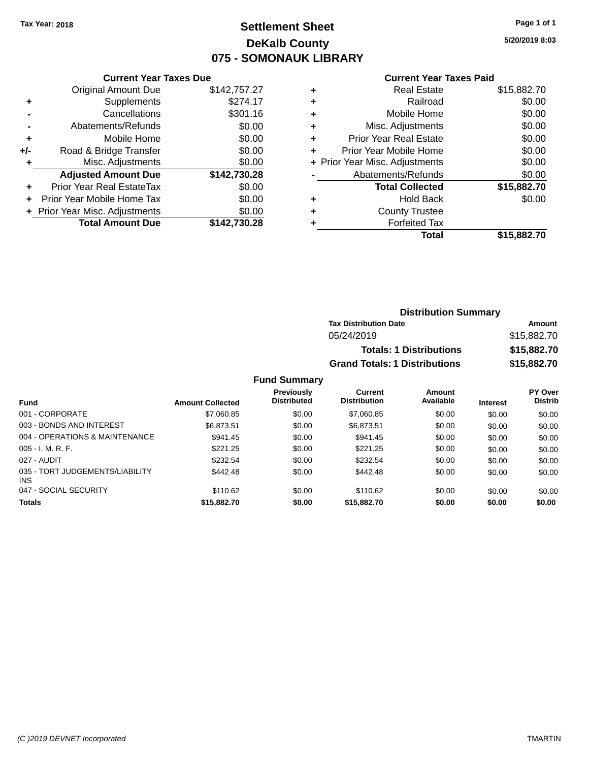# **Settlement Sheet Tax Year: 2018 Page 1 of 1 DeKalb County 075 - SOMONAUK LIBRARY**

**5/20/2019 8:03**

#### **Current Year Taxes Paid**

|     | <b>Current Year Taxes Due</b>    |              |  |  |  |
|-----|----------------------------------|--------------|--|--|--|
|     | <b>Original Amount Due</b>       | \$142,757.27 |  |  |  |
| ٠   | Supplements                      | \$274.17     |  |  |  |
|     | Cancellations                    | \$301.16     |  |  |  |
|     | Abatements/Refunds               | \$0.00       |  |  |  |
| ٠   | Mobile Home                      | \$0.00       |  |  |  |
| +/- | \$0.00<br>Road & Bridge Transfer |              |  |  |  |
|     | Misc. Adjustments                | \$0.00       |  |  |  |
|     | <b>Adjusted Amount Due</b>       | \$142,730.28 |  |  |  |
| ٠   | Prior Year Real EstateTax        | \$0.00       |  |  |  |
|     | Prior Year Mobile Home Tax       | \$0.00       |  |  |  |
|     | + Prior Year Misc. Adjustments   | \$0.00       |  |  |  |
|     | <b>Total Amount Due</b>          | \$142,730.28 |  |  |  |
|     |                                  |              |  |  |  |

| ٠ | <b>Real Estate</b>             | \$15,882.70 |
|---|--------------------------------|-------------|
| ٠ | Railroad                       | \$0.00      |
| ٠ | Mobile Home                    | \$0.00      |
| ٠ | Misc. Adjustments              | \$0.00      |
| ٠ | <b>Prior Year Real Estate</b>  | \$0.00      |
| ٠ | Prior Year Mobile Home         | \$0.00      |
|   | + Prior Year Misc. Adjustments | \$0.00      |
|   | Abatements/Refunds             | \$0.00      |
|   | <b>Total Collected</b>         | \$15,882.70 |
| ٠ | Hold Back                      | \$0.00      |
| ٠ | <b>County Trustee</b>          |             |
| ٠ | <b>Forfeited Tax</b>           |             |
|   | Total                          | \$15,882.70 |
|   |                                |             |

| <b>Distribution Summary</b>          |             |  |
|--------------------------------------|-------------|--|
| <b>Tax Distribution Date</b>         | Amount      |  |
| 05/24/2019                           | \$15,882.70 |  |
| <b>Totals: 1 Distributions</b>       | \$15,882.70 |  |
| <b>Grand Totals: 1 Distributions</b> | \$15,882.70 |  |

| <b>Fund</b>                                   | <b>Amount Collected</b> | <b>Previously</b><br><b>Distributed</b> | Current<br><b>Distribution</b> | Amount<br>Available | <b>Interest</b> | <b>PY Over</b><br><b>Distrib</b> |
|-----------------------------------------------|-------------------------|-----------------------------------------|--------------------------------|---------------------|-----------------|----------------------------------|
|                                               |                         |                                         |                                |                     |                 |                                  |
| 001 - CORPORATE                               | \$7,060.85              | \$0.00                                  | \$7,060.85                     | \$0.00              | \$0.00          | \$0.00                           |
| 003 - BONDS AND INTEREST                      | \$6,873.51              | \$0.00                                  | \$6,873.51                     | \$0.00              | \$0.00          | \$0.00                           |
| 004 - OPERATIONS & MAINTENANCE                | \$941.45                | \$0.00                                  | \$941.45                       | \$0.00              | \$0.00          | \$0.00                           |
| $005 - I. M. R. F.$                           | \$221.25                | \$0.00                                  | \$221.25                       | \$0.00              | \$0.00          | \$0.00                           |
| 027 - AUDIT                                   | \$232.54                | \$0.00                                  | \$232.54                       | \$0.00              | \$0.00          | \$0.00                           |
| 035 - TORT JUDGEMENTS/LIABILITY<br><b>INS</b> | \$442.48                | \$0.00                                  | \$442.48                       | \$0.00              | \$0.00          | \$0.00                           |
| 047 - SOCIAL SECURITY                         | \$110.62                | \$0.00                                  | \$110.62                       | \$0.00              | \$0.00          | \$0.00                           |
| <b>Totals</b>                                 | \$15,882.70             | \$0.00                                  | \$15,882,70                    | \$0.00              | \$0.00          | \$0.00                           |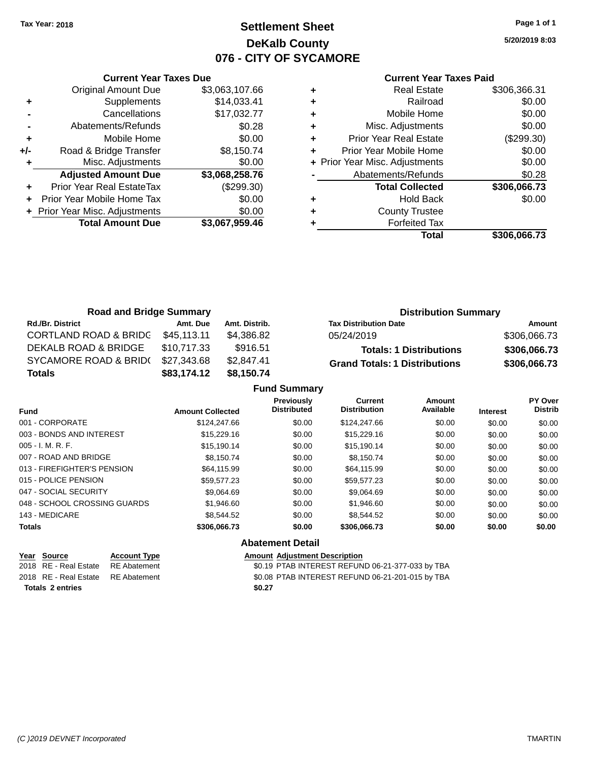### **Settlement Sheet Tax Year: 2018 Page 1 of 1 DeKalb County 076 - CITY OF SYCAMORE**

**5/20/2019 8:03**

| <b>Current Year Taxes Paid</b> |  |  |
|--------------------------------|--|--|
|                                |  |  |

|     | <b>Current Year Taxes Due</b>  |                |  |  |  |
|-----|--------------------------------|----------------|--|--|--|
|     | <b>Original Amount Due</b>     | \$3,063,107.66 |  |  |  |
| ÷   | Supplements                    | \$14,033.41    |  |  |  |
|     | Cancellations                  | \$17,032.77    |  |  |  |
|     | Abatements/Refunds             | \$0.28         |  |  |  |
| ٠   | Mobile Home                    | \$0.00         |  |  |  |
| +/- | Road & Bridge Transfer         | \$8,150.74     |  |  |  |
| ٠   | Misc. Adjustments              | \$0.00         |  |  |  |
|     | <b>Adjusted Amount Due</b>     | \$3,068,258.76 |  |  |  |
|     | Prior Year Real EstateTax      | (\$299.30)     |  |  |  |
| ÷   | Prior Year Mobile Home Tax     | \$0.00         |  |  |  |
|     | + Prior Year Misc. Adjustments | \$0.00         |  |  |  |
|     | <b>Total Amount Due</b>        | \$3,067,959.46 |  |  |  |
|     |                                |                |  |  |  |

| <b>Real Estate</b>            | \$306,366.31                   |
|-------------------------------|--------------------------------|
| Railroad                      | \$0.00                         |
| Mobile Home                   | \$0.00                         |
| Misc. Adjustments             | \$0.00                         |
| <b>Prior Year Real Estate</b> | (\$299.30)                     |
| Prior Year Mobile Home        | \$0.00                         |
|                               | \$0.00                         |
| Abatements/Refunds            | \$0.28                         |
| <b>Total Collected</b>        | \$306,066.73                   |
| <b>Hold Back</b>              | \$0.00                         |
| <b>County Trustee</b>         |                                |
| <b>Forfeited Tax</b>          |                                |
| Total                         | \$306,066.73                   |
|                               | + Prior Year Misc. Adjustments |

| <b>Road and Bridge Summary</b>   |             |               | <b>Distribution Summary</b>          |              |  |
|----------------------------------|-------------|---------------|--------------------------------------|--------------|--|
| <b>Rd./Br. District</b>          | Amt. Due    | Amt. Distrib. | <b>Tax Distribution Date</b>         | Amount       |  |
| <b>CORTLAND ROAD &amp; BRIDG</b> | \$45,113.11 | \$4,386.82    | 05/24/2019                           | \$306,066.73 |  |
| DEKALB ROAD & BRIDGE             | \$10.717.33 | \$916.51      | <b>Totals: 1 Distributions</b>       | \$306,066.73 |  |
| SYCAMORE ROAD & BRID(            | \$27,343.68 | \$2.847.41    | <b>Grand Totals: 1 Distributions</b> | \$306,066.73 |  |
| <b>Totals</b>                    | \$83,174.12 | \$8,150.74    |                                      |              |  |

| Previously<br><b>Distributed</b> | <b>Current</b><br><b>Distribution</b> | <b>Amount</b><br>Available          |                 | PY Over        |
|----------------------------------|---------------------------------------|-------------------------------------|-----------------|----------------|
|                                  |                                       |                                     | <b>Interest</b> | <b>Distrib</b> |
|                                  | \$124,247.66                          | \$0.00                              | \$0.00          | \$0.00         |
| \$0.00                           | \$15,229.16                           | \$0.00                              | \$0.00          | \$0.00         |
| \$0.00                           | \$15.190.14                           | \$0.00                              | \$0.00          | \$0.00         |
| \$0.00                           | \$8.150.74                            | \$0.00                              | \$0.00          | \$0.00         |
| \$0.00                           | \$64,115.99                           | \$0.00                              | \$0.00          | \$0.00         |
| \$0.00                           | \$59,577.23                           | \$0.00                              | \$0.00          | \$0.00         |
| \$0.00                           | \$9,064.69                            | \$0.00                              | \$0.00          | \$0.00         |
| \$0.00                           | \$1.946.60                            | \$0.00                              | \$0.00          | \$0.00         |
| \$0.00                           | \$8.544.52                            | \$0.00                              | \$0.00          | \$0.00         |
| \$0.00                           | \$306,066.73                          | \$0.00                              | \$0.00          | \$0.00         |
|                                  | \$0.00                                | All <i>all and a gold</i> Post of H |                 |                |

| <b>Abatement Detail</b> |  |
|-------------------------|--|
|-------------------------|--|

| Year Source<br>2018 RE - Real Estate | <b>Account Type</b><br>RE Abatement | <b>Amount Adiustment Description</b><br>\$0.19 PTAB INTEREST REFUND 06-21-377-033 by TBA |
|--------------------------------------|-------------------------------------|------------------------------------------------------------------------------------------|
| 2018 RE - Real Estate RE Abatement   |                                     | \$0.08 PTAB INTEREST REFUND 06-21-201-015 by TBA                                         |
| <b>Totals 2 entries</b>              |                                     | \$0.27                                                                                   |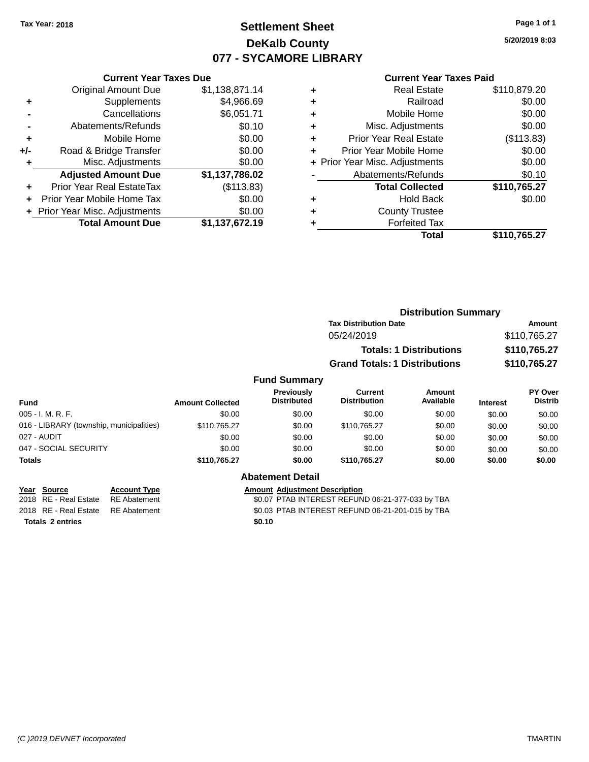### **Settlement Sheet Tax Year: 2018 Page 1 of 1 DeKalb County 077 - SYCAMORE LIBRARY**

**5/20/2019 8:03**

#### **Current Year Taxes Paid**

|       | <b>Total Amount Due</b>          | \$1,137,672.19 |
|-------|----------------------------------|----------------|
|       | + Prior Year Misc. Adjustments   | \$0.00         |
|       | Prior Year Mobile Home Tax       | \$0.00         |
|       | <b>Prior Year Real EstateTax</b> | (\$113.83)     |
|       | <b>Adjusted Amount Due</b>       | \$1,137,786.02 |
| ٠     | Misc. Adjustments                | \$0.00         |
| $+/-$ | Road & Bridge Transfer           | \$0.00         |
| ٠     | Mobile Home                      | \$0.00         |
|       | Abatements/Refunds               | \$0.10         |
|       | Cancellations                    | \$6,051.71     |
| ٠     | Supplements                      | \$4,966.69     |
|       | Original Amount Due              | \$1,138,871.14 |
|       |                                  |                |

**Current Year Taxes Due**

| <b>Real Estate</b>             | \$110,879.20 |
|--------------------------------|--------------|
| Railroad                       | \$0.00       |
| Mobile Home                    | \$0.00       |
| Misc. Adjustments              | \$0.00       |
| <b>Prior Year Real Estate</b>  | (\$113.83)   |
| Prior Year Mobile Home         | \$0.00       |
| + Prior Year Misc. Adjustments | \$0.00       |
| Abatements/Refunds             | \$0.10       |
| <b>Total Collected</b>         | \$110,765.27 |
| <b>Hold Back</b>               | \$0.00       |
| <b>County Trustee</b>          |              |
| <b>Forfeited Tax</b>           |              |
| Total                          | \$110,765.27 |
|                                |              |

|                     | <b>Distribution Summary</b>          |              |  |
|---------------------|--------------------------------------|--------------|--|
|                     | <b>Tax Distribution Date</b>         | Amount       |  |
|                     | 05/24/2019                           | \$110,765.27 |  |
|                     | <b>Totals: 1 Distributions</b>       | \$110,765.27 |  |
|                     | <b>Grand Totals: 1 Distributions</b> | \$110,765.27 |  |
| <b>Fund Summary</b> |                                      |              |  |

#### **Fund Interest Amount Collected Distributed PY Over Distrib Amount Available Current Distribution Previously** 005 - I. M. R. F. Channel Communication of the South State of South State State State State State State State S 016 - LIBRARY (township, municipalities)  $$110,765.27$  \$0.00  $$110,765.27$  \$0.00 \$0.00 \$0.00 027 - AUDIT \$0.00 \$0.00 \$0.00 \$0.00 \$0.00 \$0.00 047 - SOCIAL SECURITY 60.00 \$0.00 \$0.00 \$0.00 \$0.00 \$0.00 \$0.00 \$0.00 \$0.00 \$0.00 **Totals \$110,765.27 \$0.00 \$110,765.27 \$0.00 \$0.00 \$0.00**

|                         | Year Source                        | <b>Account Type</b> | Amount |
|-------------------------|------------------------------------|---------------------|--------|
|                         | 2018 RE - Real Estate              | RE Abatement        | \$0.07 |
|                         | 2018 RE - Real Estate RE Abatement |                     | \$0.03 |
| <b>Totals 2 entries</b> |                                    |                     | \$0.10 |

### **Abatement Detail**

**Pear Internal Account Adjustment Description** 

2018 THE REAL ESTATE REAL ESTATE REFUND 06-21-377-033 by TBA \$0.03 PTAB INTEREST REFUND 06-21-201-015 by TBA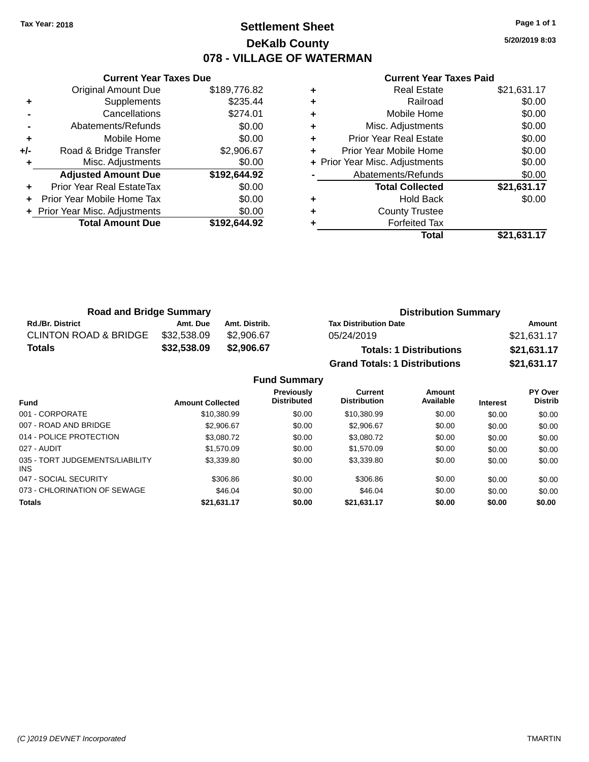### **Settlement Sheet Tax Year: 2018 Page 1 of 1 DeKalb County 078 - VILLAGE OF WATERMAN**

**5/20/2019 8:03**

#### **Current Year Taxes Paid**

|     | <b>Current Year Taxes Due</b>  |              |
|-----|--------------------------------|--------------|
|     | <b>Original Amount Due</b>     | \$189,776.82 |
| ٠   | Supplements                    | \$235.44     |
|     | Cancellations                  | \$274.01     |
|     | Abatements/Refunds             | \$0.00       |
| ÷   | Mobile Home                    | \$0.00       |
| +/- | Road & Bridge Transfer         | \$2,906.67   |
| ٠   | Misc. Adjustments              | \$0.00       |
|     | <b>Adjusted Amount Due</b>     | \$192,644.92 |
| ÷   | Prior Year Real EstateTax      | \$0.00       |
| ÷   | Prior Year Mobile Home Tax     | \$0.00       |
|     | + Prior Year Misc. Adjustments | \$0.00       |
|     | <b>Total Amount Due</b>        | \$192,644.92 |
|     |                                |              |

| <b>Real Estate</b>             | \$21,631.17 |
|--------------------------------|-------------|
| Railroad                       | \$0.00      |
| Mobile Home                    | \$0.00      |
| Misc. Adjustments              | \$0.00      |
| <b>Prior Year Real Estate</b>  | \$0.00      |
| Prior Year Mobile Home         | \$0.00      |
| + Prior Year Misc. Adjustments | \$0.00      |
| Abatements/Refunds             | \$0.00      |
| <b>Total Collected</b>         | \$21,631.17 |
| <b>Hold Back</b>               | \$0.00      |
| <b>County Trustee</b>          |             |
| <b>Forfeited Tax</b>           |             |
| Total                          | \$21,631.17 |
|                                |             |

| <b>Road and Bridge Summary</b>   |             |               | <b>Distribution Summary</b>          |             |  |
|----------------------------------|-------------|---------------|--------------------------------------|-------------|--|
| <b>Rd./Br. District</b>          | Amt. Due    | Amt. Distrib. | <b>Tax Distribution Date</b>         | Amount      |  |
| <b>CLINTON ROAD &amp; BRIDGE</b> | \$32,538.09 | \$2,906.67    | 05/24/2019                           | \$21,631.17 |  |
| <b>Totals</b>                    | \$32.538.09 | \$2,906.67    | <b>Totals: 1 Distributions</b>       | \$21,631.17 |  |
|                                  |             |               | <b>Grand Totals: 1 Distributions</b> | \$21,631.17 |  |

|                                         |                         | <b>Fund Summary</b>              |                                       |                     |                 |                           |
|-----------------------------------------|-------------------------|----------------------------------|---------------------------------------|---------------------|-----------------|---------------------------|
| <b>Fund</b>                             | <b>Amount Collected</b> | Previously<br><b>Distributed</b> | <b>Current</b><br><b>Distribution</b> | Amount<br>Available | <b>Interest</b> | PY Over<br><b>Distrib</b> |
| 001 - CORPORATE                         | \$10,380.99             | \$0.00                           | \$10,380.99                           | \$0.00              | \$0.00          | \$0.00                    |
| 007 - ROAD AND BRIDGE                   | \$2,906.67              | \$0.00                           | \$2,906.67                            | \$0.00              | \$0.00          | \$0.00                    |
| 014 - POLICE PROTECTION                 | \$3,080.72              | \$0.00                           | \$3.080.72                            | \$0.00              | \$0.00          | \$0.00                    |
| 027 - AUDIT                             | \$1,570.09              | \$0.00                           | \$1,570.09                            | \$0.00              | \$0.00          | \$0.00                    |
| 035 - TORT JUDGEMENTS/LIABILITY<br>INS. | \$3,339.80              | \$0.00                           | \$3,339.80                            | \$0.00              | \$0.00          | \$0.00                    |
| 047 - SOCIAL SECURITY                   | \$306.86                | \$0.00                           | \$306.86                              | \$0.00              | \$0.00          | \$0.00                    |
| 073 - CHLORINATION OF SEWAGE            | \$46.04                 | \$0.00                           | \$46.04                               | \$0.00              | \$0.00          | \$0.00                    |
| <b>Totals</b>                           | \$21,631.17             | \$0.00                           | \$21,631.17                           | \$0.00              | \$0.00          | \$0.00                    |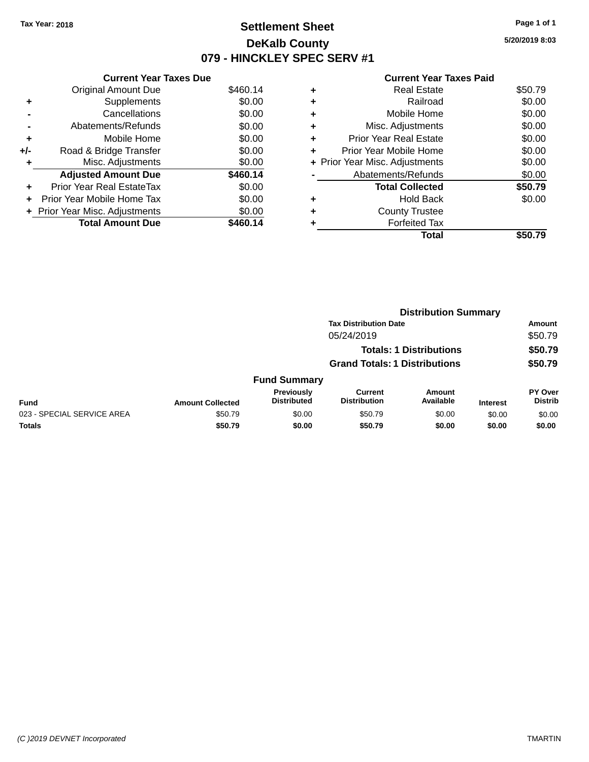### **Settlement Sheet Tax Year: 2018 Page 1 of 1 DeKalb County 079 - HINCKLEY SPEC SERV #1**

**5/20/2019 8:03**

|  | <b>Current Year Taxes Paid</b> |  |  |  |
|--|--------------------------------|--|--|--|
|--|--------------------------------|--|--|--|

|     | <b>Current Year Taxes Due</b>  |          |  |  |  |  |
|-----|--------------------------------|----------|--|--|--|--|
|     | <b>Original Amount Due</b>     | \$460.14 |  |  |  |  |
| ٠   | Supplements                    | \$0.00   |  |  |  |  |
|     | Cancellations                  | \$0.00   |  |  |  |  |
|     | Abatements/Refunds             | \$0.00   |  |  |  |  |
| ٠   | Mobile Home                    | \$0.00   |  |  |  |  |
| +/- | Road & Bridge Transfer         | \$0.00   |  |  |  |  |
| ٠   | Misc. Adjustments              | \$0.00   |  |  |  |  |
|     | <b>Adjusted Amount Due</b>     | \$460.14 |  |  |  |  |
| ٠   | Prior Year Real EstateTax      | \$0.00   |  |  |  |  |
| ÷   | Prior Year Mobile Home Tax     | \$0.00   |  |  |  |  |
|     | + Prior Year Misc. Adjustments | \$0.00   |  |  |  |  |
|     | <b>Total Amount Due</b>        | \$460.14 |  |  |  |  |

|   | Total                          | \$50.79 |
|---|--------------------------------|---------|
|   | <b>Forfeited Tax</b>           |         |
| ٠ | <b>County Trustee</b>          |         |
| ٠ | Hold Back                      | \$0.00  |
|   | <b>Total Collected</b>         | \$50.79 |
|   | Abatements/Refunds             | \$0.00  |
|   | + Prior Year Misc. Adjustments | \$0.00  |
| ٠ | Prior Year Mobile Home         | \$0.00  |
| ٠ | <b>Prior Year Real Estate</b>  | \$0.00  |
| ٠ | Misc. Adjustments              | \$0.00  |
| ٠ | Mobile Home                    | \$0.00  |
| ٠ | Railroad                       | \$0.00  |
| ٠ | <b>Real Estate</b>             | \$50.79 |
|   |                                |         |

|                            |                         |                                  |                                      | <b>Distribution Summary</b>    |                 |                           |
|----------------------------|-------------------------|----------------------------------|--------------------------------------|--------------------------------|-----------------|---------------------------|
|                            |                         | <b>Tax Distribution Date</b>     |                                      |                                |                 | <b>Amount</b>             |
|                            |                         |                                  | 05/24/2019                           |                                |                 | \$50.79                   |
|                            |                         |                                  |                                      | <b>Totals: 1 Distributions</b> |                 | \$50.79                   |
|                            |                         |                                  | <b>Grand Totals: 1 Distributions</b> |                                |                 | \$50.79                   |
|                            |                         | <b>Fund Summary</b>              |                                      |                                |                 |                           |
| <b>Fund</b>                | <b>Amount Collected</b> | Previously<br><b>Distributed</b> | Current<br><b>Distribution</b>       | Amount<br>Available            | <b>Interest</b> | PY Over<br><b>Distrib</b> |
| 023 - SPECIAL SERVICE AREA | \$50.79                 | \$0.00                           | \$50.79                              | \$0.00                         | \$0.00          | \$0.00                    |
| <b>Totals</b>              | \$50.79                 | \$0.00                           | \$50.79                              | \$0.00                         | \$0.00          | \$0.00                    |
|                            |                         |                                  |                                      |                                |                 |                           |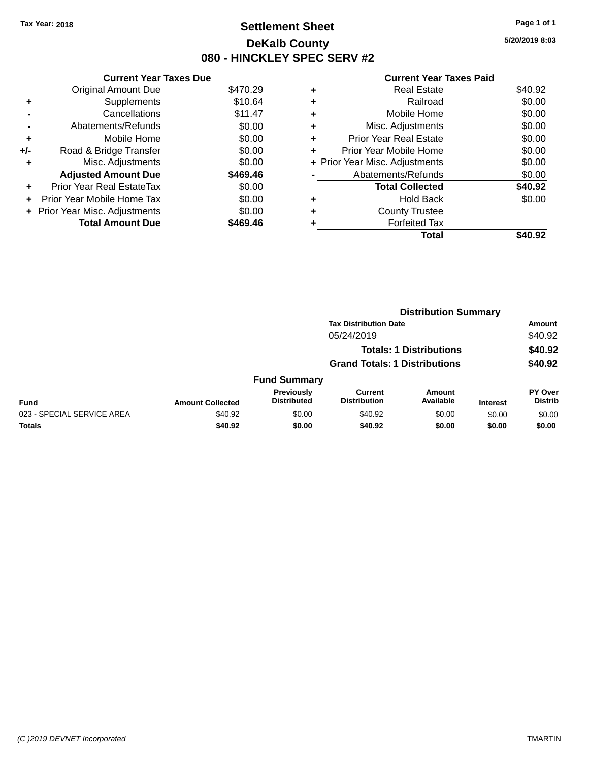### **Settlement Sheet Tax Year: 2018 Page 1 of 1 DeKalb County 080 - HINCKLEY SPEC SERV #2**

**5/20/2019 8:03**

|       | <b>Current Year Taxes Due</b>  |          |
|-------|--------------------------------|----------|
|       | Original Amount Due            | \$470.29 |
|       | Supplements                    | \$10.64  |
|       | Cancellations                  | \$11.47  |
|       | Abatements/Refunds             | \$0.00   |
| ٠     | Mobile Home                    | \$0.00   |
| $+/-$ | Road & Bridge Transfer         | \$0.00   |
| ٠     | Misc. Adjustments              | \$0.00   |
|       | <b>Adjusted Amount Due</b>     | \$469.46 |
| ÷     | Prior Year Real EstateTax      | \$0.00   |
| ÷     | Prior Year Mobile Home Tax     | \$0.00   |
|       | + Prior Year Misc. Adjustments | \$0.00   |
|       | <b>Total Amount Due</b>        | \$469.46 |

#### **Current Year Taxes Paid +** Real Estate \$40.92

|   | Total                          | \$40.92 |
|---|--------------------------------|---------|
|   | Forfeited Tax                  |         |
| ٠ | <b>County Trustee</b>          |         |
| ٠ | <b>Hold Back</b>               | \$0.00  |
|   | <b>Total Collected</b>         | \$40.92 |
|   | Abatements/Refunds             | \$0.00  |
|   | + Prior Year Misc. Adjustments | \$0.00  |
| ٠ | Prior Year Mobile Home         | \$0.00  |
| ٠ | <b>Prior Year Real Estate</b>  | \$0.00  |
| ٠ | Misc. Adjustments              | \$0.00  |
| ٠ | Mobile Home                    | \$0.00  |
| ÷ | Railroad                       | \$0.00  |
| Ŧ | ngal Lolal <del>c</del>        | ש∺∪.ອ∠  |

|                            |                         |                                  | <b>Distribution Summary</b>          |                                |                 |                           |
|----------------------------|-------------------------|----------------------------------|--------------------------------------|--------------------------------|-----------------|---------------------------|
|                            |                         |                                  | <b>Tax Distribution Date</b>         |                                |                 | <b>Amount</b>             |
|                            |                         |                                  | 05/24/2019                           |                                |                 | \$40.92                   |
|                            |                         |                                  |                                      | <b>Totals: 1 Distributions</b> |                 | \$40.92                   |
|                            |                         |                                  | <b>Grand Totals: 1 Distributions</b> |                                |                 | \$40.92                   |
|                            |                         | <b>Fund Summary</b>              |                                      |                                |                 |                           |
| <b>Fund</b>                | <b>Amount Collected</b> | Previously<br><b>Distributed</b> | Current<br><b>Distribution</b>       | Amount<br>Available            | <b>Interest</b> | PY Over<br><b>Distrib</b> |
| 023 - SPECIAL SERVICE AREA | \$40.92                 | \$0.00                           | \$40.92                              | \$0.00                         | \$0.00          | \$0.00                    |
| <b>Totals</b>              | \$40.92                 | \$0.00                           | \$40.92                              | \$0.00                         | \$0.00          | \$0.00                    |
|                            |                         |                                  |                                      |                                |                 |                           |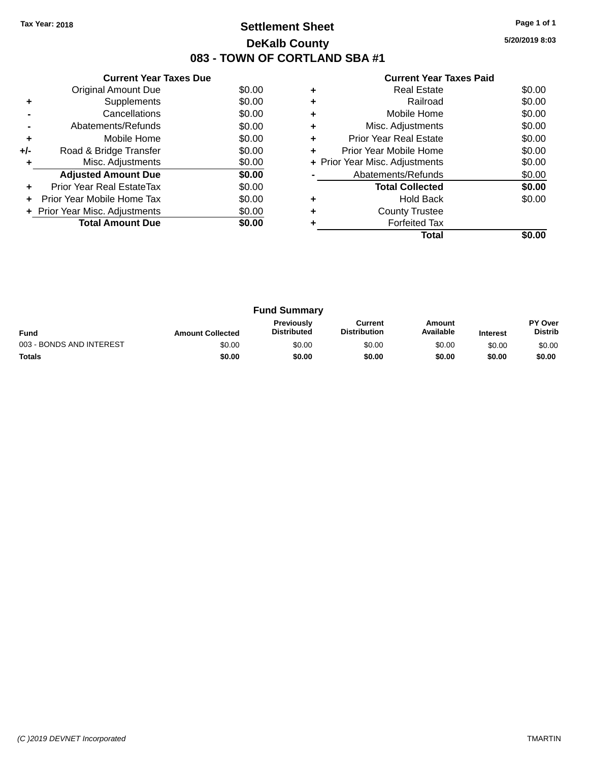### **Settlement Sheet Tax Year: 2018 Page 1 of 1 DeKalb County 083 - TOWN OF CORTLAND SBA #1**

**5/20/2019 8:03**

|       | <b>Current Year Taxes Due</b>  |        |  |  |  |
|-------|--------------------------------|--------|--|--|--|
|       | Original Amount Due            | \$0.00 |  |  |  |
| ٠     | Supplements                    | \$0.00 |  |  |  |
|       | Cancellations                  | \$0.00 |  |  |  |
|       | Abatements/Refunds             | \$0.00 |  |  |  |
| ٠     | Mobile Home                    | \$0.00 |  |  |  |
| $+/-$ | Road & Bridge Transfer         | \$0.00 |  |  |  |
| ÷     | Misc. Adjustments              | \$0.00 |  |  |  |
|       | <b>Adjusted Amount Due</b>     | \$0.00 |  |  |  |
|       | Prior Year Real EstateTax      | \$0.00 |  |  |  |
|       | Prior Year Mobile Home Tax     | \$0.00 |  |  |  |
|       | + Prior Year Misc. Adjustments | \$0.00 |  |  |  |
|       | <b>Total Amount Due</b>        | \$0.00 |  |  |  |
|       |                                |        |  |  |  |

|   | Real Estate                    | \$0.00 |
|---|--------------------------------|--------|
| ٠ | Railroad                       | \$0.00 |
| ٠ | Mobile Home                    | \$0.00 |
| ٠ | Misc. Adjustments              | \$0.00 |
| ٠ | <b>Prior Year Real Estate</b>  | \$0.00 |
| ٠ | Prior Year Mobile Home         | \$0.00 |
|   | + Prior Year Misc. Adjustments | \$0.00 |
|   | Abatements/Refunds             | \$0.00 |
|   | <b>Total Collected</b>         | \$0.00 |
|   | <b>Hold Back</b>               | \$0.00 |
| ٠ | <b>County Trustee</b>          |        |
|   | <b>Forfeited Tax</b>           |        |
|   | Total                          |        |

| <b>Fund Summary</b>      |                         |                                         |                                |                     |                 |                                  |
|--------------------------|-------------------------|-----------------------------------------|--------------------------------|---------------------|-----------------|----------------------------------|
| <b>Fund</b>              | <b>Amount Collected</b> | <b>Previously</b><br><b>Distributed</b> | Current<br><b>Distribution</b> | Amount<br>Available | <b>Interest</b> | <b>PY Over</b><br><b>Distrib</b> |
| 003 - BONDS AND INTEREST | \$0.00                  | \$0.00                                  | \$0.00                         | \$0.00              | \$0.00          | \$0.00                           |
| <b>Totals</b>            | \$0.00                  | \$0.00                                  | \$0.00                         | \$0.00              | \$0.00          | \$0.00                           |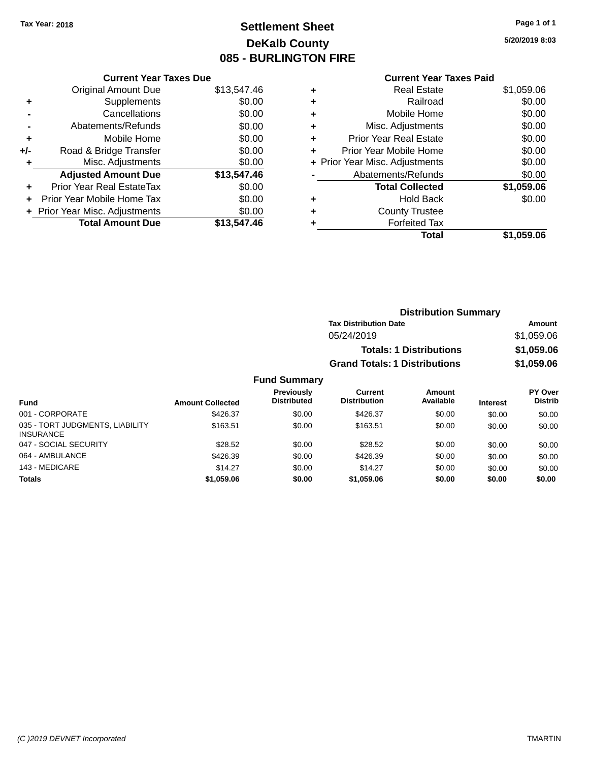# **Settlement Sheet Tax Year: 2018 Page 1 of 1 DeKalb County 085 - BURLINGTON FIRE**

**5/20/2019 8:03**

### **Current Year Taxes Paid**

|     | <b>Current Year Taxes Due</b>  |             |  |  |
|-----|--------------------------------|-------------|--|--|
|     | <b>Original Amount Due</b>     | \$13,547.46 |  |  |
| ÷   | Supplements                    | \$0.00      |  |  |
|     | Cancellations                  | \$0.00      |  |  |
|     | Abatements/Refunds             | \$0.00      |  |  |
| ٠   | Mobile Home                    | \$0.00      |  |  |
| +/- | Road & Bridge Transfer         | \$0.00      |  |  |
| ٠   | Misc. Adjustments              | \$0.00      |  |  |
|     | <b>Adjusted Amount Due</b>     | \$13,547.46 |  |  |
| ÷   | Prior Year Real EstateTax      | \$0.00      |  |  |
| ÷   | Prior Year Mobile Home Tax     | \$0.00      |  |  |
|     | + Prior Year Misc. Adjustments | \$0.00      |  |  |
|     | <b>Total Amount Due</b>        | \$13,547.46 |  |  |
|     |                                |             |  |  |

| ٠ | <b>Real Estate</b>             | \$1,059.06 |
|---|--------------------------------|------------|
| ٠ | Railroad                       | \$0.00     |
| ٠ | Mobile Home                    | \$0.00     |
| ٠ | Misc. Adjustments              | \$0.00     |
| ٠ | <b>Prior Year Real Estate</b>  | \$0.00     |
| ٠ | Prior Year Mobile Home         | \$0.00     |
|   | + Prior Year Misc. Adjustments | \$0.00     |
|   | Abatements/Refunds             | \$0.00     |
|   | <b>Total Collected</b>         | \$1,059.06 |
| ٠ | Hold Back                      | \$0.00     |
|   | <b>County Trustee</b>          |            |
| ٠ | <b>Forfeited Tax</b>           |            |
|   | Total                          | \$1,059.06 |
|   |                                |            |

| <b>Distribution Summary</b>          |            |  |
|--------------------------------------|------------|--|
| <b>Tax Distribution Date</b>         | Amount     |  |
| 05/24/2019                           | \$1,059.06 |  |
| <b>Totals: 1 Distributions</b>       | \$1,059.06 |  |
| <b>Grand Totals: 1 Distributions</b> | \$1,059.06 |  |
|                                      |            |  |

| <b>Fund</b>                                         | <b>Amount Collected</b> | Previously<br><b>Distributed</b> | Current<br><b>Distribution</b> | Amount<br>Available | <b>Interest</b> | PY Over<br><b>Distrib</b> |
|-----------------------------------------------------|-------------------------|----------------------------------|--------------------------------|---------------------|-----------------|---------------------------|
| 001 - CORPORATE                                     | \$426.37                | \$0.00                           | \$426.37                       | \$0.00              | \$0.00          | \$0.00                    |
| 035 - TORT JUDGMENTS, LIABILITY<br><b>INSURANCE</b> | \$163.51                | \$0.00                           | \$163.51                       | \$0.00              | \$0.00          | \$0.00                    |
| 047 - SOCIAL SECURITY                               | \$28.52                 | \$0.00                           | \$28.52                        | \$0.00              | \$0.00          | \$0.00                    |
| 064 - AMBULANCE                                     | \$426.39                | \$0.00                           | \$426.39                       | \$0.00              | \$0.00          | \$0.00                    |
| 143 - MEDICARE                                      | \$14.27                 | \$0.00                           | \$14.27                        | \$0.00              | \$0.00          | \$0.00                    |
| <b>Totals</b>                                       | \$1,059.06              | \$0.00                           | \$1,059.06                     | \$0.00              | \$0.00          | \$0.00                    |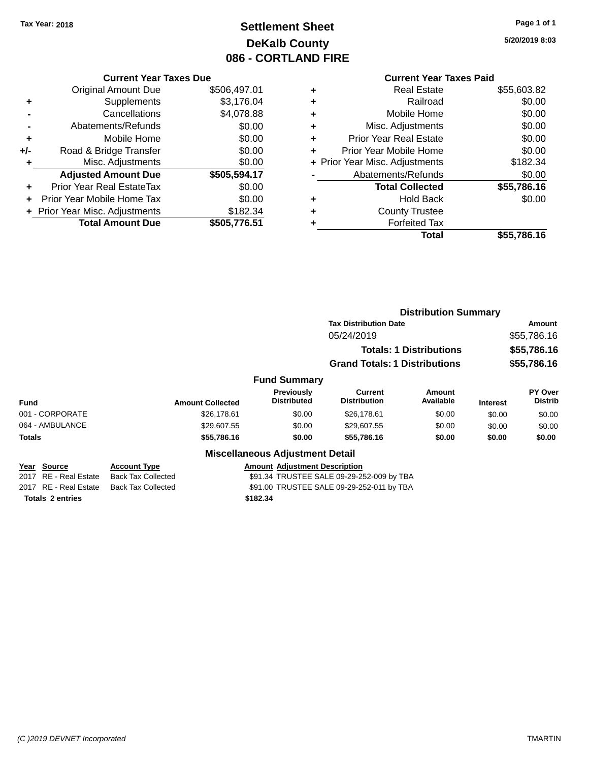# **Settlement Sheet Tax Year: 2018 Page 1 of 1 DeKalb County 086 - CORTLAND FIRE**

**5/20/2019 8:03**

#### **Current Year Taxes Due**

|     | <b>Original Amount Due</b>       | \$506,497.01 |
|-----|----------------------------------|--------------|
| ٠   | Supplements                      | \$3,176.04   |
|     | Cancellations                    | \$4,078.88   |
|     | Abatements/Refunds               | \$0.00       |
| ٠   | Mobile Home                      | \$0.00       |
| +/- | Road & Bridge Transfer           | \$0.00       |
| ٠   | Misc. Adjustments                | \$0.00       |
|     | <b>Adjusted Amount Due</b>       | \$505,594.17 |
| ٠   | <b>Prior Year Real EstateTax</b> | \$0.00       |
|     | Prior Year Mobile Home Tax       | \$0.00       |
|     | + Prior Year Misc. Adjustments   | \$182.34     |
|     | <b>Total Amount Due</b>          | \$505,776.51 |

### **Current Year Taxes Paid**

|   | Total                          | \$55,786.16 |
|---|--------------------------------|-------------|
| ٠ | <b>Forfeited Tax</b>           |             |
| ٠ | <b>County Trustee</b>          |             |
| ٠ | <b>Hold Back</b>               | \$0.00      |
|   | <b>Total Collected</b>         | \$55,786.16 |
|   | Abatements/Refunds             | \$0.00      |
|   | + Prior Year Misc. Adjustments | \$182.34    |
| ٠ | Prior Year Mobile Home         | \$0.00      |
| ٠ | <b>Prior Year Real Estate</b>  | \$0.00      |
| ٠ | Misc. Adjustments              | \$0.00      |
| ٠ | Mobile Home                    | \$0.00      |
| ٠ | Railroad                       | \$0.00      |
| ٠ | <b>Real Estate</b>             | \$55,603.82 |

|                                      |                                                  |                                           | <b>Distribution Summary</b>               |                                |                 |                                  |
|--------------------------------------|--------------------------------------------------|-------------------------------------------|-------------------------------------------|--------------------------------|-----------------|----------------------------------|
|                                      |                                                  |                                           | <b>Tax Distribution Date</b>              |                                |                 | Amount                           |
|                                      |                                                  |                                           | 05/24/2019                                |                                |                 | \$55,786.16                      |
|                                      |                                                  |                                           |                                           | <b>Totals: 1 Distributions</b> |                 | \$55,786.16                      |
|                                      |                                                  |                                           | <b>Grand Totals: 1 Distributions</b>      |                                |                 | \$55,786.16                      |
|                                      |                                                  | <b>Fund Summary</b>                       |                                           |                                |                 |                                  |
| <b>Fund</b>                          | <b>Amount Collected</b>                          | Previously<br>Distributed                 | Current<br><b>Distribution</b>            | <b>Amount</b><br>Available     | <b>Interest</b> | <b>PY Over</b><br><b>Distrib</b> |
| 001 - CORPORATE                      | \$26,178.61                                      | \$0.00                                    | \$26,178.61                               | \$0.00                         | \$0.00          | \$0.00                           |
| 064 - AMBULANCE                      | \$29,607.55                                      | \$0.00                                    | \$29,607.55                               | \$0.00                         | \$0.00          | \$0.00                           |
| Totals                               | \$55,786.16                                      | \$0.00                                    | \$55,786.16                               | \$0.00                         | \$0.00          | \$0.00                           |
|                                      |                                                  | <b>Miscellaneous Adjustment Detail</b>    |                                           |                                |                 |                                  |
| Year Source<br>2017 RE - Real Estate | <b>Account Type</b><br><b>Back Tax Collected</b> | <b>Amount Adiustment Description</b>      | \$91.34 TRUSTEE SALE 09-29-252-009 by TBA |                                |                 |                                  |
| 2017 RE - Real Estate                | <b>Back Tax Collected</b>                        | \$91.00 TRUSTEE SALE 09-29-252-011 by TBA |                                           |                                |                 |                                  |

**Totals \$182.34 2 entries**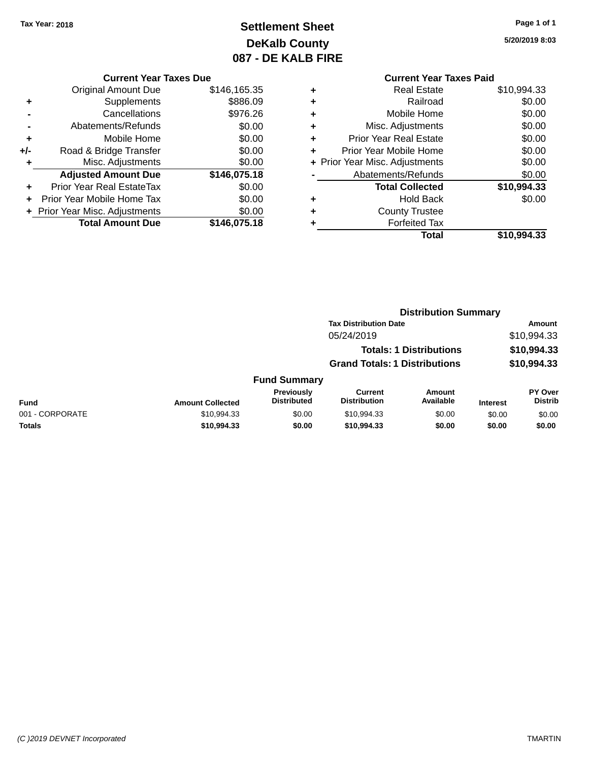# **Settlement Sheet Tax Year: 2018 Page 1 of 1 DeKalb County 087 - DE KALB FIRE**

**5/20/2019 8:03**

|     | <b>Current Year Taxes Due</b>  |              |  |  |  |
|-----|--------------------------------|--------------|--|--|--|
|     | <b>Original Amount Due</b>     | \$146,165.35 |  |  |  |
| ÷   | Supplements                    | \$886.09     |  |  |  |
|     | Cancellations                  | \$976.26     |  |  |  |
|     | Abatements/Refunds             | \$0.00       |  |  |  |
| ÷   | Mobile Home                    | \$0.00       |  |  |  |
| +/- | Road & Bridge Transfer         | \$0.00       |  |  |  |
| ٠   | Misc. Adjustments              | \$0.00       |  |  |  |
|     | <b>Adjusted Amount Due</b>     | \$146,075.18 |  |  |  |
|     | Prior Year Real EstateTax      | \$0.00       |  |  |  |
|     | Prior Year Mobile Home Tax     | \$0.00       |  |  |  |
|     | + Prior Year Misc. Adjustments | \$0.00       |  |  |  |
|     | <b>Total Amount Due</b>        | \$146,075.18 |  |  |  |
|     |                                |              |  |  |  |

# **Current Year Taxes Paid**

| ٠ | <b>Real Estate</b>             | \$10,994.33 |
|---|--------------------------------|-------------|
| ٠ | Railroad                       | \$0.00      |
| ٠ | Mobile Home                    | \$0.00      |
| ٠ | Misc. Adjustments              | \$0.00      |
| ٠ | <b>Prior Year Real Estate</b>  | \$0.00      |
| ٠ | Prior Year Mobile Home         | \$0.00      |
|   | + Prior Year Misc. Adjustments | \$0.00      |
|   | Abatements/Refunds             | \$0.00      |
|   | <b>Total Collected</b>         | \$10,994.33 |
| ٠ | <b>Hold Back</b>               | \$0.00      |
| ٠ | <b>County Trustee</b>          |             |
|   | <b>Forfeited Tax</b>           |             |
|   | Total                          | \$10,994.33 |
|   |                                |             |

#### **Distribution Summary Tax Distribution Date Amount** 05/24/2019 \$10,994.33 **Totals: 1 Distributions \$10,994.33 Grand Totals: 1 Distributions \$10,994.33 Fund Summary Fund Interest Amount Collected Distributed PY Over Distrib Amount Available Current Distribution Previously** 001 - CORPORATE \$10,994.33 \$0.00 \$10,994.33 \$0.00 \$0.00 \$0.00 **Totals \$10,994.33 \$0.00 \$10,994.33 \$0.00 \$0.00 \$0.00**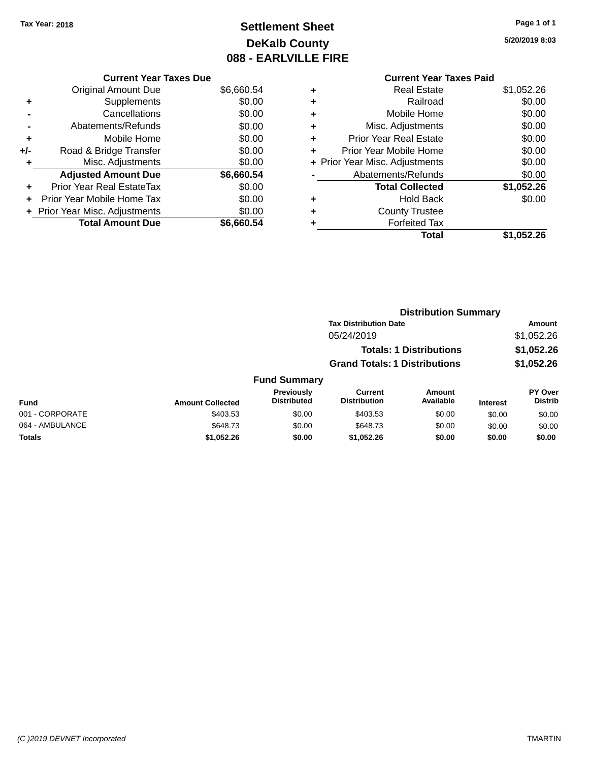# **Settlement Sheet Tax Year: 2018 Page 1 of 1 DeKalb County 088 - EARLVILLE FIRE**

#### **5/20/2019 8:03**

| <b>Current Year Taxes Due</b>  |            |
|--------------------------------|------------|
| <b>Original Amount Due</b>     | \$6,660.54 |
| Supplements                    | \$0.00     |
| Cancellations                  | \$0.00     |
| Abatements/Refunds             | \$0.00     |
| Mobile Home                    | \$0.00     |
| Road & Bridge Transfer         | \$0.00     |
| Misc. Adjustments              | \$0.00     |
|                                |            |
| <b>Adjusted Amount Due</b>     | \$6,660.54 |
| Prior Year Real EstateTax      | \$0.00     |
| Prior Year Mobile Home Tax     | \$0.00     |
| + Prior Year Misc. Adjustments | \$0.00     |
|                                |            |

### **Current Year Taxes Paid +** Real Estate \$1,052.26 **+** Railroad \$0.00 **+** Mobile Home \$0.00 **+** Misc. Adjustments \$0.00 **+** Prior Year Real Estate \$0.00 **+** Prior Year Mobile Home \$0.00 **+ Prior Year Misc. Adjustments**  $$0.00$ **-** Abatements/Refunds \$0.00 **Total Collected \$1,052.26 +** Hold Back \$0.00 **+** County Trustee **+** Forfeited Tax **Total \$1,052.26**

|                 |                         |                                  | <b>Distribution Summary</b>           |                                |                 |                                  |
|-----------------|-------------------------|----------------------------------|---------------------------------------|--------------------------------|-----------------|----------------------------------|
|                 |                         |                                  | <b>Tax Distribution Date</b>          |                                |                 | Amount                           |
|                 |                         |                                  | 05/24/2019                            |                                |                 | \$1,052.26                       |
|                 |                         |                                  |                                       | <b>Totals: 1 Distributions</b> |                 | \$1,052.26                       |
|                 |                         |                                  | <b>Grand Totals: 1 Distributions</b>  |                                |                 | \$1,052.26                       |
|                 |                         | <b>Fund Summary</b>              |                                       |                                |                 |                                  |
| <b>Fund</b>     | <b>Amount Collected</b> | Previously<br><b>Distributed</b> | <b>Current</b><br><b>Distribution</b> | Amount<br>Available            | <b>Interest</b> | <b>PY Over</b><br><b>Distrib</b> |
| 001 - CORPORATE | \$403.53                | \$0.00                           | \$403.53                              | \$0.00                         | \$0.00          | \$0.00                           |
| 064 - AMBULANCE | \$648.73                | \$0.00                           | \$648.73                              | \$0.00                         | \$0.00          | \$0.00                           |
| <b>Totals</b>   | \$1,052.26              | \$0.00                           | \$1,052.26                            | \$0.00                         | \$0.00          | \$0.00                           |
|                 |                         |                                  |                                       |                                |                 |                                  |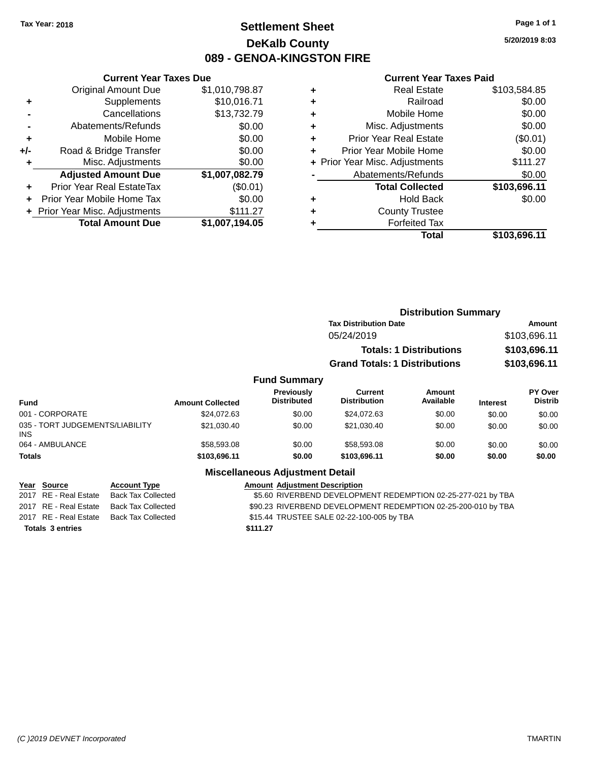035 -INS

### **Settlement Sheet Tax Year: 2018 Page 1 of 1 DeKalb County 089 - GENOA-KINGSTON FIRE**

**5/20/2019 8:03**

#### **Current Year Taxes Paid**

|       | <b>Current Year Taxes Due</b>  |                |
|-------|--------------------------------|----------------|
|       | <b>Original Amount Due</b>     | \$1,010,798.87 |
| ٠     | Supplements                    | \$10,016.71    |
|       | Cancellations                  | \$13,732.79    |
|       | Abatements/Refunds             | \$0.00         |
| ٠     | Mobile Home                    | \$0.00         |
| $+/-$ | Road & Bridge Transfer         | \$0.00         |
|       | Misc. Adjustments              | \$0.00         |
|       | <b>Adjusted Amount Due</b>     | \$1,007,082.79 |
| ÷     | Prior Year Real EstateTax      | (\$0.01)       |
| ÷     | Prior Year Mobile Home Tax     | \$0.00         |
|       | + Prior Year Misc. Adjustments | \$111.27       |
|       | <b>Total Amount Due</b>        | \$1,007,194.05 |

| ٠ | <b>Real Estate</b>             | \$103,584.85 |
|---|--------------------------------|--------------|
| ٠ | Railroad                       | \$0.00       |
| ٠ | Mobile Home                    | \$0.00       |
| ٠ | Misc. Adjustments              | \$0.00       |
| ٠ | <b>Prior Year Real Estate</b>  | (\$0.01)     |
| ٠ | Prior Year Mobile Home         | \$0.00       |
|   | + Prior Year Misc. Adjustments | \$111.27     |
|   | Abatements/Refunds             | \$0.00       |
|   | <b>Total Collected</b>         | \$103,696.11 |
| ٠ | <b>Hold Back</b>               | \$0.00       |
| ٠ | <b>County Trustee</b>          |              |
| ٠ | <b>Forfeited Tax</b>           |              |
|   | Total                          | \$103,696.11 |
|   |                                |              |

|                                         |                     |                         |                                        | <b>Distribution Summary</b>          |                                |                 |                                  |
|-----------------------------------------|---------------------|-------------------------|----------------------------------------|--------------------------------------|--------------------------------|-----------------|----------------------------------|
|                                         |                     |                         |                                        | <b>Tax Distribution Date</b>         |                                |                 | Amount                           |
|                                         |                     |                         |                                        | 05/24/2019                           |                                |                 | \$103,696.11                     |
|                                         |                     |                         |                                        |                                      | <b>Totals: 1 Distributions</b> |                 | \$103,696.11                     |
|                                         |                     |                         |                                        | <b>Grand Totals: 1 Distributions</b> |                                |                 | \$103,696.11                     |
|                                         |                     |                         | <b>Fund Summary</b>                    |                                      |                                |                 |                                  |
| <b>Fund</b>                             |                     | <b>Amount Collected</b> | Previously<br><b>Distributed</b>       | Current<br><b>Distribution</b>       | Amount<br>Available            | <b>Interest</b> | <b>PY Over</b><br><b>Distrib</b> |
| 001 - CORPORATE                         |                     | \$24,072.63             | \$0.00                                 | \$24,072.63                          | \$0.00                         | \$0.00          | \$0.00                           |
| 035 - TORT JUDGEMENTS/LIABILITY<br>INS. |                     | \$21,030.40             | \$0.00                                 | \$21,030.40                          | \$0.00                         | \$0.00          | \$0.00                           |
| 064 - AMBULANCE                         |                     | \$58,593.08             | \$0.00                                 | \$58,593.08                          | \$0.00                         | \$0.00          | \$0.00                           |
| <b>Totals</b>                           |                     | \$103,696.11            | \$0.00                                 | \$103,696.11                         | \$0.00                         | \$0.00          | \$0.00                           |
|                                         |                     |                         | <b>Miscellaneous Adjustment Detail</b> |                                      |                                |                 |                                  |
| Year Source                             | <b>Account Type</b> |                         | <b>Amount Adjustment Description</b>   |                                      |                                |                 |                                  |

| <u>rear source</u>      | <b>ACCOUNT TYPE</b> | Amount Adjustment Description                                 |
|-------------------------|---------------------|---------------------------------------------------------------|
| 2017 RE - Real Estate   | Back Tax Collected  | \$5.60 RIVERBEND DEVELOPMENT REDEMPTION 02-25-277-021 by TBA  |
| 2017 RE - Real Estate   | Back Tax Collected  | \$90.23 RIVERBEND DEVELOPMENT REDEMPTION 02-25-200-010 by TBA |
| 2017 RE - Real Estate   | Back Tax Collected  | \$15.44 TRUSTEE SALE 02-22-100-005 by TBA                     |
| <b>Totals 3 entries</b> |                     | \$111.27                                                      |
|                         |                     |                                                               |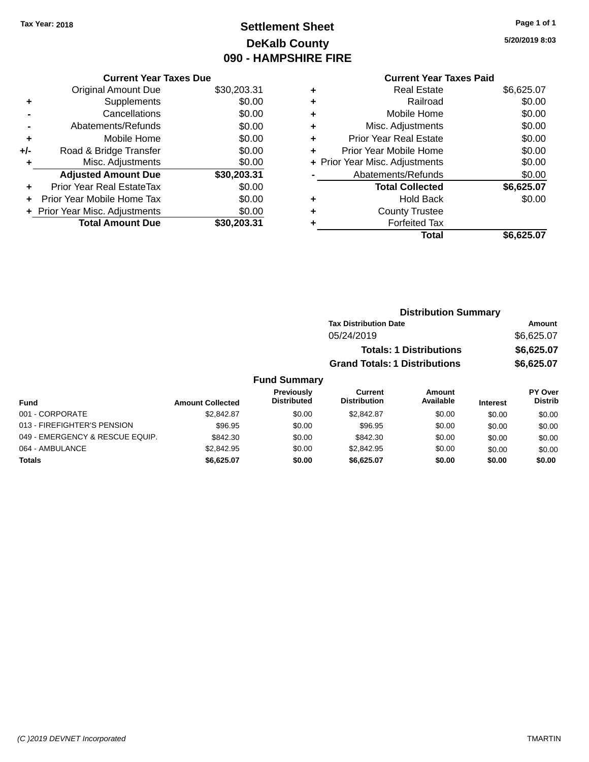**Current Year Taxes Due** Original Amount Due \$30,203.31

**Adjusted Amount Due \$30,203.31**

**Total Amount Due \$30,203.31**

**+** Supplements \$0.00 **-** Cancellations \$0.00 **-** Abatements/Refunds \$0.00 **+** Mobile Home \$0.00 **+/-** Road & Bridge Transfer \$0.00 **+** Misc. Adjustments \$0.00

**+** Prior Year Real EstateTax \$0.00 **+** Prior Year Mobile Home Tax \$0.00 **+ Prior Year Misc. Adjustments**  $$0.00$ 

# **Settlement Sheet Tax Year: 2018 Page 1 of 1 DeKalb County 090 - HAMPSHIRE FIRE**

**5/20/2019 8:03**

**Total \$6,625.07**

### **Current Year Taxes Paid +** Real Estate \$6,625.07 **+** Railroad \$0.00 **+** Mobile Home \$0.00 **+** Misc. Adjustments \$0.00 **+** Prior Year Real Estate \$0.00 **+** Prior Year Mobile Home \$0.00 **+** Prior Year Misc. Adjustments  $$0.00$ Abatements/Refunds \$0.00 **Total Collected \$6,625.07 +** Hold Back \$0.00

|   | Total                |
|---|----------------------|
| ٠ | <b>Forfeited Tax</b> |

**+** County Trustee

| x  |  |  |
|----|--|--|
| ıl |  |  |

| <b>Distribution Summary</b>  |            |
|------------------------------|------------|
| <b>Tax Distribution Date</b> | Amount     |
| 05/24/2019                   | \$6.625.07 |
|                              |            |

| <b>Totals: 1 Distributions</b> | \$6,625.07 |
|--------------------------------|------------|
| Grand Totals: 1 Distributions  | \$6,625.07 |

| <b>Fund</b>                     | <b>Amount Collected</b> | <b>Previously</b><br><b>Distributed</b> | Current<br><b>Distribution</b> | Amount<br>Available | <b>Interest</b> | <b>PY Over</b><br><b>Distrib</b> |
|---------------------------------|-------------------------|-----------------------------------------|--------------------------------|---------------------|-----------------|----------------------------------|
| 001 - CORPORATE                 | \$2.842.87              | \$0.00                                  | \$2.842.87                     | \$0.00              | \$0.00          | \$0.00                           |
| 013 - FIREFIGHTER'S PENSION     | \$96.95                 | \$0.00                                  | \$96.95                        | \$0.00              | \$0.00          | \$0.00                           |
| 049 - EMERGENCY & RESCUE EQUIP. | \$842.30                | \$0.00                                  | \$842.30                       | \$0.00              | \$0.00          | \$0.00                           |
| 064 - AMBULANCE                 | \$2,842.95              | \$0.00                                  | \$2,842.95                     | \$0.00              | \$0.00          | \$0.00                           |
| <b>Totals</b>                   | \$6,625.07              | \$0.00                                  | \$6.625.07                     | \$0.00              | \$0.00          | \$0.00                           |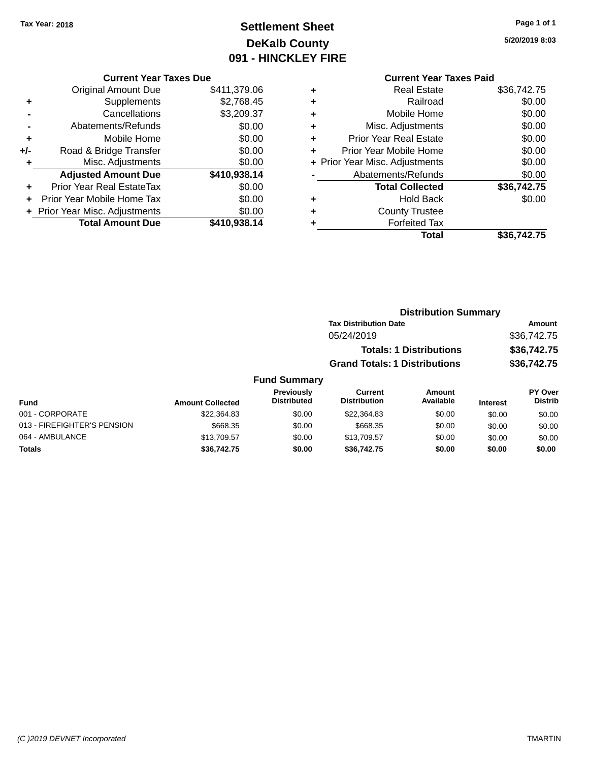# **Settlement Sheet Tax Year: 2018 Page 1 of 1 DeKalb County 091 - HINCKLEY FIRE**

**5/20/2019 8:03**

|       | <b>Current Year Taxes Due</b>    |              |
|-------|----------------------------------|--------------|
|       | <b>Original Amount Due</b>       | \$411,379.06 |
| ٠     | Supplements                      | \$2,768.45   |
|       | Cancellations                    | \$3,209.37   |
|       | Abatements/Refunds               | \$0.00       |
| ٠     | Mobile Home                      | \$0.00       |
| $+/-$ | Road & Bridge Transfer           | \$0.00       |
| ٠     | Misc. Adjustments                | \$0.00       |
|       | <b>Adjusted Amount Due</b>       | \$410,938.14 |
| ٠     | <b>Prior Year Real EstateTax</b> | \$0.00       |
|       | Prior Year Mobile Home Tax       | \$0.00       |
|       | + Prior Year Misc. Adjustments   | \$0.00       |
|       | <b>Total Amount Due</b>          | \$410,938.14 |
|       |                                  |              |

### **Current Year Taxes Paid +** Real Estate \$36,742.75 **+** Railroad \$0.00 **+** Mobile Home \$0.00 **+** Misc. Adjustments \$0.00 **+** Prior Year Real Estate \$0.00 **+** Prior Year Mobile Home \$0.00 **+ Prior Year Misc. Adjustments**  $$0.00$ **-** Abatements/Refunds \$0.00 **Total Collected \$36,742.75 +** Hold Back \$0.00 **+** County Trustee **+** Forfeited Tax **Total \$36,742.75**

|                             | <b>Distribution Summary</b> |                                  |                                      |                     |                 |                           |  |
|-----------------------------|-----------------------------|----------------------------------|--------------------------------------|---------------------|-----------------|---------------------------|--|
|                             |                             |                                  | <b>Tax Distribution Date</b>         |                     |                 | <b>Amount</b>             |  |
|                             |                             |                                  | 05/24/2019                           |                     |                 | \$36,742.75               |  |
|                             |                             |                                  | <b>Totals: 1 Distributions</b>       |                     | \$36,742.75     |                           |  |
|                             |                             |                                  | <b>Grand Totals: 1 Distributions</b> |                     |                 | \$36,742.75               |  |
|                             |                             | <b>Fund Summary</b>              |                                      |                     |                 |                           |  |
| <b>Fund</b>                 | <b>Amount Collected</b>     | Previously<br><b>Distributed</b> | Current<br><b>Distribution</b>       | Amount<br>Available | <b>Interest</b> | PY Over<br><b>Distrib</b> |  |
| 001 - CORPORATE             | \$22,364.83                 | \$0.00                           | \$22,364.83                          | \$0.00              | \$0.00          | \$0.00                    |  |
| 013 - FIREFIGHTER'S PENSION | \$668.35                    | \$0.00                           | \$668.35                             | \$0.00              | \$0.00          | \$0.00                    |  |
| 064 - AMBULANCE             | \$13,709.57                 | \$0.00                           | \$13,709.57                          | \$0.00              | \$0.00          | \$0.00                    |  |

**Totals \$36,742.75 \$0.00 \$36,742.75 \$0.00 \$0.00 \$0.00**

#### *(C )2019 DEVNET Incorporated* TMARTIN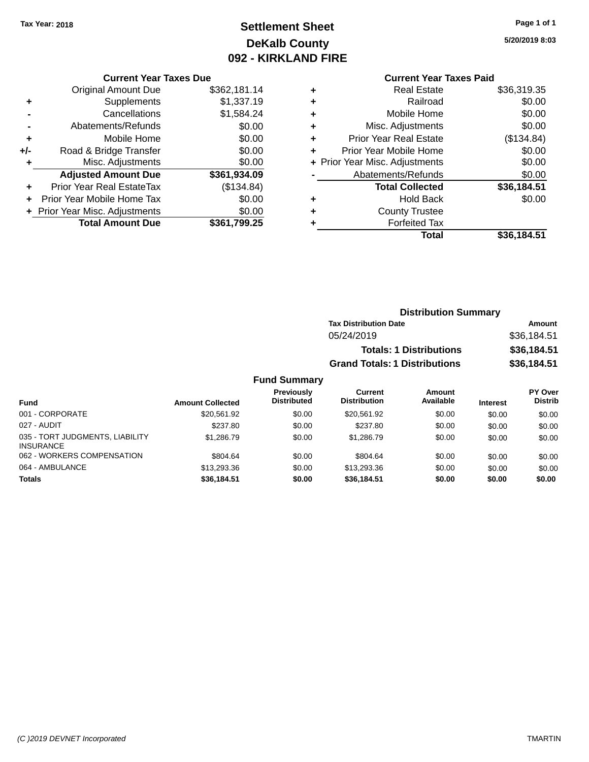# **Settlement Sheet Tax Year: 2018 Page 1 of 1 DeKalb County 092 - KIRKLAND FIRE**

**5/20/2019 8:03**

# **Current Year Taxes Paid**

|       | <b>Current Year Taxes Due</b>  |              |
|-------|--------------------------------|--------------|
|       | <b>Original Amount Due</b>     | \$362,181.14 |
| ٠     | Supplements                    | \$1,337.19   |
|       | Cancellations                  | \$1,584.24   |
|       | Abatements/Refunds             | \$0.00       |
| ÷     | Mobile Home                    | \$0.00       |
| $+/-$ | Road & Bridge Transfer         | \$0.00       |
|       | Misc. Adjustments              | \$0.00       |
|       | <b>Adjusted Amount Due</b>     | \$361,934.09 |
| ٠     | Prior Year Real EstateTax      | (\$134.84)   |
|       | Prior Year Mobile Home Tax     | \$0.00       |
|       | + Prior Year Misc. Adjustments | \$0.00       |
|       | <b>Total Amount Due</b>        | \$361.799.25 |
|       |                                |              |

|   | Total                          | \$36.184.51 |
|---|--------------------------------|-------------|
|   | <b>Forfeited Tax</b>           |             |
| ٠ | <b>County Trustee</b>          |             |
| ٠ | <b>Hold Back</b>               | \$0.00      |
|   | <b>Total Collected</b>         | \$36,184.51 |
|   | Abatements/Refunds             | \$0.00      |
|   | + Prior Year Misc. Adjustments | \$0.00      |
| ٠ | Prior Year Mobile Home         | \$0.00      |
| ÷ | <b>Prior Year Real Estate</b>  | (\$134.84)  |
| ٠ | Misc. Adjustments              | \$0.00      |
| ٠ | Mobile Home                    | \$0.00      |
| ٠ | Railroad                       | \$0.00      |
| ٠ | Real Estate                    | \$36,319.35 |
|   |                                |             |

| <b>Distribution Summary</b>          |             |
|--------------------------------------|-------------|
| <b>Tax Distribution Date</b>         | Amount      |
| 05/24/2019                           | \$36,184.51 |
| <b>Totals: 1 Distributions</b>       | \$36,184.51 |
| <b>Grand Totals: 1 Distributions</b> | \$36,184.51 |

| Fund                                                | <b>Amount Collected</b> | Previously<br><b>Distributed</b> | Current<br><b>Distribution</b> | Amount<br>Available | <b>Interest</b> | PY Over<br><b>Distrib</b> |
|-----------------------------------------------------|-------------------------|----------------------------------|--------------------------------|---------------------|-----------------|---------------------------|
| 001 - CORPORATE                                     | \$20.561.92             | \$0.00                           | \$20.561.92                    | \$0.00              | \$0.00          | \$0.00                    |
| 027 - AUDIT                                         | \$237.80                | \$0.00                           | \$237.80                       | \$0.00              | \$0.00          | \$0.00                    |
| 035 - TORT JUDGMENTS, LIABILITY<br><b>INSURANCE</b> | \$1,286.79              | \$0.00                           | \$1,286.79                     | \$0.00              | \$0.00          | \$0.00                    |
| 062 - WORKERS COMPENSATION                          | \$804.64                | \$0.00                           | \$804.64                       | \$0.00              | \$0.00          | \$0.00                    |
| 064 - AMBULANCE                                     | \$13,293,36             | \$0.00                           | \$13,293,36                    | \$0.00              | \$0.00          | \$0.00                    |
| <b>Totals</b>                                       | \$36,184,51             | \$0.00                           | \$36.184.51                    | \$0.00              | \$0.00          | \$0.00                    |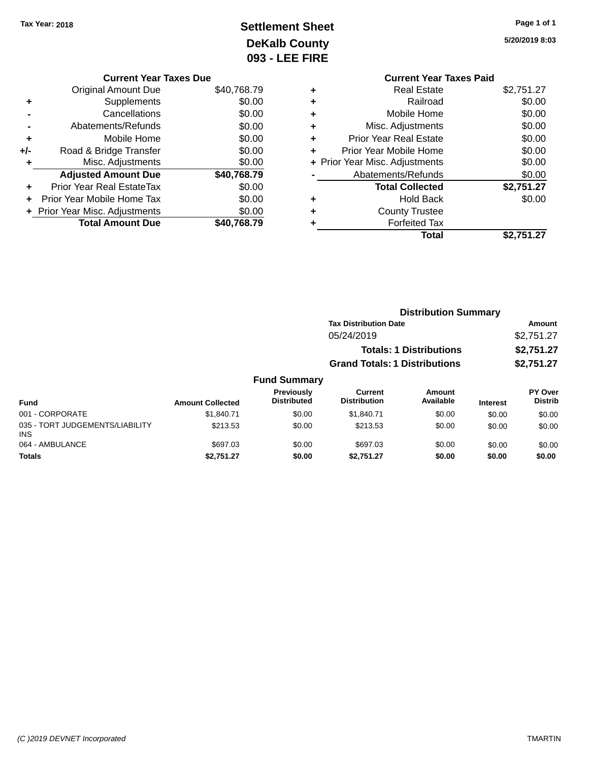INS

# **Settlement Sheet Tax Year: 2018 Page 1 of 1 DeKalb County 093 - LEE FIRE**

**5/20/2019 8:03**

|   | <b>Current Year Taxes Paid</b> |            |
|---|--------------------------------|------------|
| ٠ | <b>Real Estate</b>             | \$2,751.27 |
| ٠ | Railroad                       | \$0.00     |
| ٠ | Mobile Home                    | \$0.00     |
| ٠ | Misc. Adjustments              | \$0.00     |
| ٠ | <b>Prior Year Real Estate</b>  | \$0.00     |
| ٠ | Prior Year Mobile Home         | \$0.00     |
|   | + Prior Year Misc. Adjustments | \$0.00     |
|   | Abatements/Refunds             | \$0.00     |
|   | <b>Total Collected</b>         | \$2,751.27 |
| ٠ | <b>Hold Back</b>               | \$0.00     |
| ٠ | <b>County Trustee</b>          |            |
|   | <b>Forfeited Tax</b>           |            |
|   | Total                          | \$2.751.27 |
|   |                                |            |

|     | <b>Current Year Taxes Due</b>    |             |
|-----|----------------------------------|-------------|
|     | <b>Original Amount Due</b>       | \$40,768.79 |
| ٠   | Supplements                      | \$0.00      |
|     | Cancellations                    | \$0.00      |
|     | Abatements/Refunds               | \$0.00      |
| ٠   | Mobile Home                      | \$0.00      |
| +/- | Road & Bridge Transfer           | \$0.00      |
| ٠   | Misc. Adjustments                | \$0.00      |
|     | <b>Adjusted Amount Due</b>       | \$40,768.79 |
|     | <b>Prior Year Real EstateTax</b> | \$0.00      |
|     | Prior Year Mobile Home Tax       | \$0.00      |
|     | + Prior Year Misc. Adjustments   | \$0.00      |
|     | <b>Total Amount Due</b>          | \$40,768.79 |

|                                               | <b>Distribution Summary</b> |                                         |                                       |                                |                 |                           |
|-----------------------------------------------|-----------------------------|-----------------------------------------|---------------------------------------|--------------------------------|-----------------|---------------------------|
|                                               |                             |                                         | <b>Tax Distribution Date</b>          |                                |                 | Amount                    |
|                                               |                             |                                         | 05/24/2019                            |                                |                 | \$2,751.27                |
|                                               |                             |                                         |                                       | <b>Totals: 1 Distributions</b> |                 | \$2,751.27                |
|                                               |                             |                                         | <b>Grand Totals: 1 Distributions</b>  |                                |                 | \$2,751.27                |
|                                               |                             | <b>Fund Summary</b>                     |                                       |                                |                 |                           |
| <b>Fund</b>                                   | <b>Amount Collected</b>     | <b>Previously</b><br><b>Distributed</b> | <b>Current</b><br><b>Distribution</b> | Amount<br>Available            | <b>Interest</b> | PY Over<br><b>Distrib</b> |
| 001 - CORPORATE                               | \$1,840.71                  | \$0.00                                  | \$1,840.71                            | \$0.00                         | \$0.00          | \$0.00                    |
| 035 - TORT JUDGEMENTS/LIABILITY<br><b>INS</b> | \$213.53                    | \$0.00                                  | \$213.53                              | \$0.00                         | \$0.00          | \$0.00                    |

064 - AMBULANCE 60.00 \$697.03 \$697.03 \$0.00 \$697.03 \$0.00 \$0.00 \$0.00 \$0.00 **Totals \$2,751.27 \$0.00 \$2,751.27 \$0.00 \$0.00 \$0.00**

#### *(C )2019 DEVNET Incorporated* TMARTIN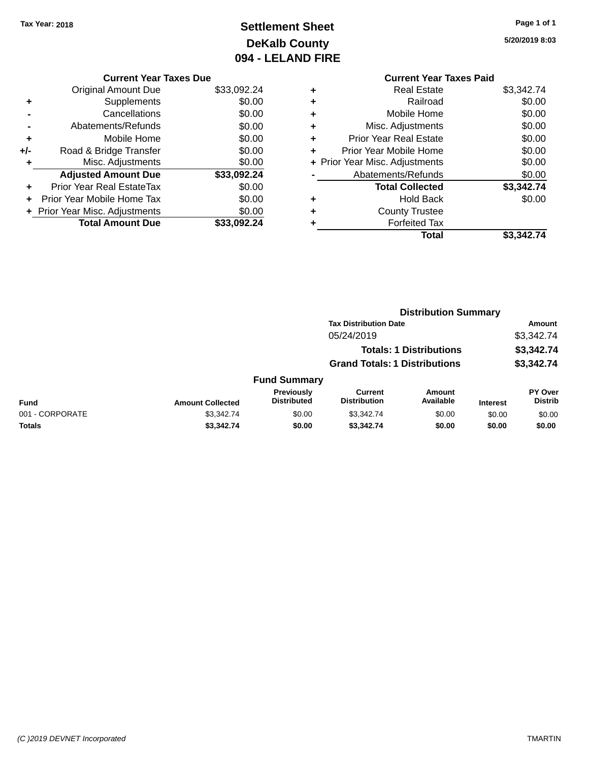# **Settlement Sheet Tax Year: 2018 Page 1 of 1 DeKalb County 094 - LELAND FIRE**

**5/20/2019 8:03**

|     | <b>Current Year Taxes Due</b>  |             |
|-----|--------------------------------|-------------|
|     | <b>Original Amount Due</b>     | \$33,092.24 |
| ٠   | Supplements                    | \$0.00      |
|     | Cancellations                  | \$0.00      |
|     | Abatements/Refunds             | \$0.00      |
| ٠   | Mobile Home                    | \$0.00      |
| +/- | Road & Bridge Transfer         | \$0.00      |
| ٠   | Misc. Adjustments              | \$0.00      |
|     | <b>Adjusted Amount Due</b>     | \$33,092.24 |
| ÷   | Prior Year Real EstateTax      | \$0.00      |
| ÷   | Prior Year Mobile Home Tax     | \$0.00      |
|     | + Prior Year Misc. Adjustments | \$0.00      |
|     | <b>Total Amount Due</b>        | \$33.092.24 |
|     |                                |             |

### **Current Year Taxes Paid +** Real Estate \$3,342.74 **+** Railroad \$0.00 **+** Mobile Home \$0.00 **+** Misc. Adjustments \$0.00 **+** Prior Year Real Estate \$0.00 **+** Prior Year Mobile Home \$0.00 **+ Prior Year Misc. Adjustments**  $$0.00$ **-** Abatements/Refunds \$0.00 **Total Collected \$3,342.74 +** Hold Back \$0.00 **+** County Trustee **+** Forfeited Tax **Total \$3,342.74**

|                 | <b>Distribution Summary</b> |                                         |                                       |                                |                 |                                  |  |
|-----------------|-----------------------------|-----------------------------------------|---------------------------------------|--------------------------------|-----------------|----------------------------------|--|
|                 |                             |                                         | <b>Tax Distribution Date</b>          |                                |                 | Amount                           |  |
|                 |                             |                                         | 05/24/2019                            |                                |                 | \$3,342.74                       |  |
|                 |                             |                                         |                                       | <b>Totals: 1 Distributions</b> |                 | \$3,342.74                       |  |
|                 |                             |                                         | <b>Grand Totals: 1 Distributions</b>  |                                |                 | \$3,342.74                       |  |
|                 |                             | <b>Fund Summary</b>                     |                                       |                                |                 |                                  |  |
| <b>Fund</b>     | <b>Amount Collected</b>     | <b>Previously</b><br><b>Distributed</b> | <b>Current</b><br><b>Distribution</b> | Amount<br>Available            | <b>Interest</b> | <b>PY Over</b><br><b>Distrib</b> |  |
| 001 - CORPORATE | \$3,342.74                  | \$0.00                                  | \$3,342.74                            | \$0.00                         | \$0.00          | \$0.00                           |  |
| Totals          | \$3,342.74                  | \$0.00                                  | \$3,342.74                            | \$0.00                         | \$0.00          | \$0.00                           |  |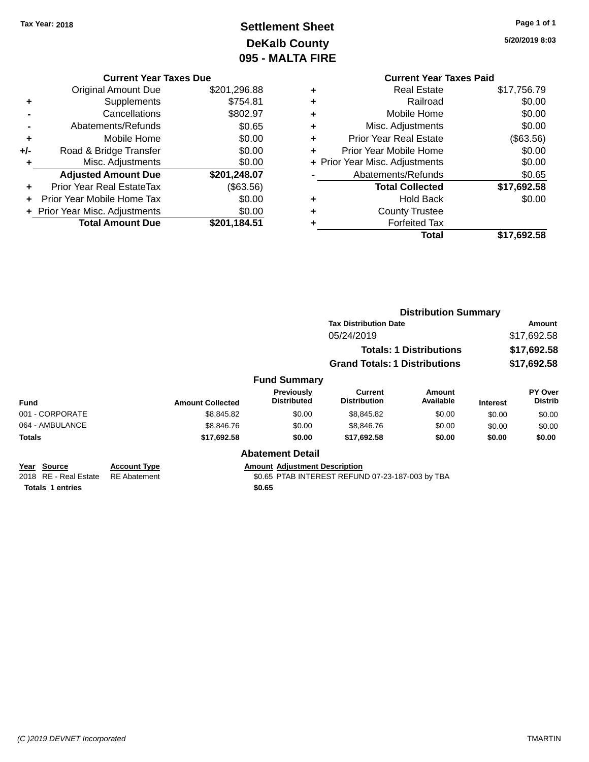# **Settlement Sheet Tax Year: 2018 Page 1 of 1 DeKalb County 095 - MALTA FIRE**

**5/20/2019 8:03**

#### **Current Year Taxes Due**

|     | <b>Original Amount Due</b>     | \$201,296.88 |
|-----|--------------------------------|--------------|
| ٠   | Supplements                    | \$754.81     |
|     | Cancellations                  | \$802.97     |
|     | Abatements/Refunds             | \$0.65       |
| ٠   | Mobile Home                    | \$0.00       |
| +/- | Road & Bridge Transfer         | \$0.00       |
| ٠   | Misc. Adjustments              | \$0.00       |
|     | <b>Adjusted Amount Due</b>     | \$201,248.07 |
| ÷   | Prior Year Real EstateTax      | (\$63.56)    |
|     | Prior Year Mobile Home Tax     | \$0.00       |
|     | + Prior Year Misc. Adjustments | \$0.00       |
|     | <b>Total Amount Due</b>        | \$201,184.51 |

### **Current Year Taxes Paid +** Real Estate \$17,756.79 **+** Railroad \$0.00 **+** Mobile Home \$0.00 **+** Misc. Adjustments \$0.00 **+** Prior Year Real Estate (\$63.56) **+** Prior Year Mobile Home \$0.00 **+ Prior Year Misc. Adjustments**  $$0.00$ **-** Abatements/Refunds \$0.65 **Total Collected \$17,692.58 +** Hold Back \$0.00 **+** County Trustee **+** Forfeited Tax **Total \$17,692.58**

|                                      |                                            |                         |                                      | <b>Distribution Summary</b>                      |                     |                                      |                                  |  |
|--------------------------------------|--------------------------------------------|-------------------------|--------------------------------------|--------------------------------------------------|---------------------|--------------------------------------|----------------------------------|--|
|                                      |                                            |                         |                                      | <b>Tax Distribution Date</b>                     |                     | Amount<br>\$17,692.58<br>\$17,692.58 |                                  |  |
|                                      |                                            |                         |                                      | 05/24/2019<br><b>Totals: 1 Distributions</b>     |                     |                                      |                                  |  |
|                                      |                                            |                         |                                      |                                                  |                     |                                      |                                  |  |
|                                      |                                            |                         |                                      | <b>Grand Totals: 1 Distributions</b>             |                     |                                      | \$17,692.58                      |  |
|                                      |                                            |                         | <b>Fund Summary</b>                  |                                                  |                     |                                      |                                  |  |
| <b>Fund</b>                          |                                            | <b>Amount Collected</b> | Previously<br><b>Distributed</b>     | <b>Current</b><br><b>Distribution</b>            | Amount<br>Available | <b>Interest</b>                      | <b>PY Over</b><br><b>Distrib</b> |  |
| 001 - CORPORATE                      |                                            | \$8,845.82              | \$0.00                               | \$8,845.82                                       | \$0.00              | \$0.00                               | \$0.00                           |  |
| 064 - AMBULANCE                      |                                            | \$8,846.76              | \$0.00                               | \$8,846.76                                       | \$0.00              | \$0.00                               | \$0.00                           |  |
| <b>Totals</b>                        |                                            | \$17,692.58             | \$0.00                               | \$17,692.58                                      | \$0.00              | \$0.00                               | \$0.00                           |  |
|                                      |                                            |                         | <b>Abatement Detail</b>              |                                                  |                     |                                      |                                  |  |
| Year Source<br>2018 RE - Real Estate | <b>Account Type</b><br><b>RE</b> Abatement |                         | <b>Amount Adjustment Description</b> | \$0.65 PTAB INTEREST REFUND 07-23-187-003 by TBA |                     |                                      |                                  |  |
| <b>Totals 1 entries</b>              |                                            |                         | \$0.65                               |                                                  |                     |                                      |                                  |  |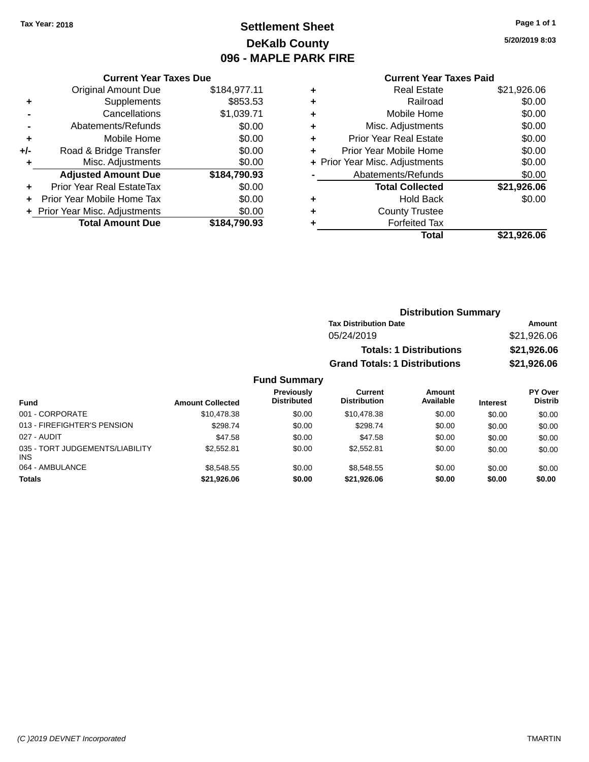# **Settlement Sheet Tax Year: 2018 Page 1 of 1 DeKalb County 096 - MAPLE PARK FIRE**

**5/20/2019 8:03**

### **Current Year Taxes Paid**

|     | <b>Current Year Taxes Due</b>  |              |
|-----|--------------------------------|--------------|
|     | <b>Original Amount Due</b>     | \$184,977.11 |
| ÷   | Supplements                    | \$853.53     |
|     | Cancellations                  | \$1,039.71   |
|     | Abatements/Refunds             | \$0.00       |
| ٠   | Mobile Home                    | \$0.00       |
| +/- | Road & Bridge Transfer         | \$0.00       |
|     | Misc. Adjustments              | \$0.00       |
|     | <b>Adjusted Amount Due</b>     | \$184,790.93 |
| ÷   | Prior Year Real EstateTax      | \$0.00       |
| ÷   | Prior Year Mobile Home Tax     | \$0.00       |
|     | + Prior Year Misc. Adjustments | \$0.00       |
|     | <b>Total Amount Due</b>        | \$184.790.93 |

| ٠ | <b>Real Estate</b>             | \$21,926.06 |
|---|--------------------------------|-------------|
| ٠ | Railroad                       | \$0.00      |
| ٠ | Mobile Home                    | \$0.00      |
| ٠ | Misc. Adjustments              | \$0.00      |
| ٠ | <b>Prior Year Real Estate</b>  | \$0.00      |
|   | Prior Year Mobile Home         | \$0.00      |
|   | + Prior Year Misc. Adjustments | \$0.00      |
|   | Abatements/Refunds             | \$0.00      |
|   | <b>Total Collected</b>         | \$21,926.06 |
| ٠ | Hold Back                      | \$0.00      |
| ٠ | <b>County Trustee</b>          |             |
| ٠ | <b>Forfeited Tax</b>           |             |
|   | Total                          | \$21,926.06 |
|   |                                |             |

| <b>Distribution Summary</b>          |             |
|--------------------------------------|-------------|
| <b>Tax Distribution Date</b>         | Amount      |
| 05/24/2019                           | \$21,926.06 |
| <b>Totals: 1 Distributions</b>       | \$21,926.06 |
| <b>Grand Totals: 1 Distributions</b> | \$21,926.06 |

| Fund                                          | <b>Amount Collected</b> | <b>Previously</b><br><b>Distributed</b> | Current<br><b>Distribution</b> | Amount<br>Available | <b>Interest</b> | PY Over<br><b>Distrib</b> |
|-----------------------------------------------|-------------------------|-----------------------------------------|--------------------------------|---------------------|-----------------|---------------------------|
| 001 - CORPORATE                               | \$10,478.38             | \$0.00                                  | \$10,478.38                    | \$0.00              | \$0.00          | \$0.00                    |
| 013 - FIREFIGHTER'S PENSION                   | \$298.74                | \$0.00                                  | \$298.74                       | \$0.00              | \$0.00          | \$0.00                    |
| 027 - AUDIT                                   | \$47.58                 | \$0.00                                  | \$47.58                        | \$0.00              | \$0.00          | \$0.00                    |
| 035 - TORT JUDGEMENTS/LIABILITY<br><b>INS</b> | \$2.552.81              | \$0.00                                  | \$2,552.81                     | \$0.00              | \$0.00          | \$0.00                    |
| 064 - AMBULANCE                               | \$8,548,55              | \$0.00                                  | \$8,548,55                     | \$0.00              | \$0.00          | \$0.00                    |
| <b>Totals</b>                                 | \$21,926.06             | \$0.00                                  | \$21.926.06                    | \$0.00              | \$0.00          | \$0.00                    |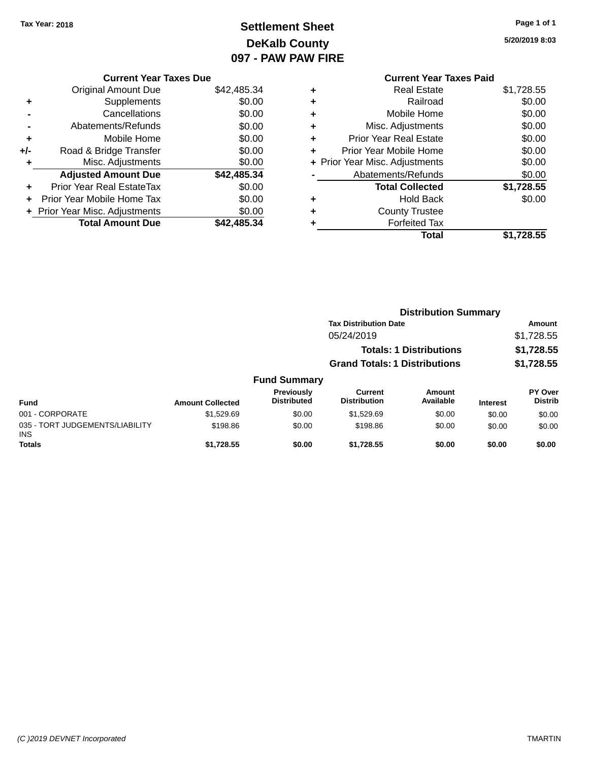# **Settlement Sheet Tax Year: 2018 Page 1 of 1 DeKalb County 097 - PAW PAW FIRE**

**5/20/2019 8:03**

|       | <b>Current Year Taxes Due</b>  |             |
|-------|--------------------------------|-------------|
|       | <b>Original Amount Due</b>     | \$42,485.34 |
| ٠     | Supplements                    | \$0.00      |
|       | Cancellations                  | \$0.00      |
|       | Abatements/Refunds             | \$0.00      |
| ٠     | Mobile Home                    | \$0.00      |
| $+/-$ | Road & Bridge Transfer         | \$0.00      |
| ٠     | Misc. Adjustments              | \$0.00      |
|       | <b>Adjusted Amount Due</b>     | \$42,485.34 |
| ٠     | Prior Year Real EstateTax      | \$0.00      |
|       | Prior Year Mobile Home Tax     | \$0.00      |
|       | + Prior Year Misc. Adjustments | \$0.00      |
|       | <b>Total Amount Due</b>        | \$42.485.34 |
|       |                                |             |

|   | <b>Current Year Taxes Paid</b> |            |
|---|--------------------------------|------------|
| ٠ | Real Estate                    | \$1,728.55 |
| ٠ | Railroad                       | \$0.00     |
| ٠ | Mobile Home                    | \$0.00     |
| ٠ | Misc. Adjustments              | \$0.00     |
| ÷ | <b>Prior Year Real Estate</b>  | \$0.00     |
| ٠ | Prior Year Mobile Home         | \$0.00     |
|   | + Prior Year Misc. Adjustments | \$0.00     |
|   | Abatements/Refunds             | \$0.00     |
|   | <b>Total Collected</b>         | \$1,728.55 |
|   | <b>Hold Back</b>               | \$0.00     |
| ٠ | <b>County Trustee</b>          |            |
|   | <b>Forfeited Tax</b>           |            |
|   | Total                          | \$1,728.55 |
|   |                                |            |

|                                         |                         |                                         |                                       | <b>Distribution Summary</b>    |                 |                           |
|-----------------------------------------|-------------------------|-----------------------------------------|---------------------------------------|--------------------------------|-----------------|---------------------------|
|                                         |                         |                                         | <b>Tax Distribution Date</b>          |                                |                 | Amount                    |
|                                         |                         |                                         | 05/24/2019                            |                                |                 | \$1,728.55                |
|                                         |                         |                                         |                                       | <b>Totals: 1 Distributions</b> |                 | \$1,728.55                |
|                                         |                         |                                         | <b>Grand Totals: 1 Distributions</b>  |                                |                 | \$1,728.55                |
|                                         |                         | <b>Fund Summary</b>                     |                                       |                                |                 |                           |
| <b>Fund</b>                             | <b>Amount Collected</b> | <b>Previously</b><br><b>Distributed</b> | <b>Current</b><br><b>Distribution</b> | Amount<br>Available            | <b>Interest</b> | PY Over<br><b>Distrib</b> |
| 001 - CORPORATE                         | \$1.529.69              | \$0.00                                  | \$1.529.69                            | \$0.00                         | \$0.00          | \$0.00                    |
| 035 - TORT JUDGEMENTS/LIABILITY<br>INS. | \$198.86                | \$0.00                                  | \$198.86                              | \$0.00                         | \$0.00          | \$0.00                    |
| <b>Totals</b>                           | \$1,728.55              | \$0.00                                  | \$1,728.55                            | \$0.00                         | \$0.00          | \$0.00                    |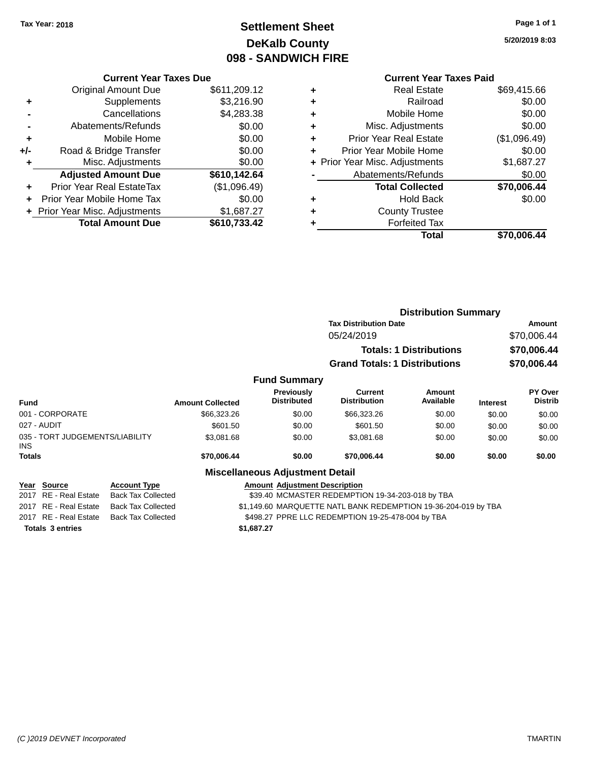# **Settlement Sheet Tax Year: 2018 Page 1 of 1 DeKalb County 098 - SANDWICH FIRE**

**5/20/2019 8:03**

### **Current Year Taxes Paid**

|     | <b>Current Year Taxes Due</b>  |              |
|-----|--------------------------------|--------------|
|     | <b>Original Amount Due</b>     | \$611,209.12 |
| ٠   | Supplements                    | \$3,216.90   |
|     | Cancellations                  | \$4,283.38   |
|     | Abatements/Refunds             | \$0.00       |
| ٠   | Mobile Home                    | \$0.00       |
| +/- | Road & Bridge Transfer         | \$0.00       |
|     | Misc. Adjustments              | \$0.00       |
|     | <b>Adjusted Amount Due</b>     | \$610,142.64 |
| ÷   | Prior Year Real EstateTax      | (\$1,096.49) |
|     | Prior Year Mobile Home Tax     | \$0.00       |
|     | + Prior Year Misc. Adjustments | \$1,687.27   |
|     | <b>Total Amount Due</b>        | \$610,733.42 |
|     |                                |              |

| ٠ | <b>Real Estate</b>             | \$69,415.66  |
|---|--------------------------------|--------------|
| ٠ | Railroad                       | \$0.00       |
| ٠ | Mobile Home                    | \$0.00       |
| ٠ | Misc. Adjustments              | \$0.00       |
| ٠ | <b>Prior Year Real Estate</b>  | (\$1,096.49) |
| ÷ | Prior Year Mobile Home         | \$0.00       |
|   | + Prior Year Misc. Adjustments | \$1,687.27   |
|   | Abatements/Refunds             | \$0.00       |
|   | <b>Total Collected</b>         | \$70,006.44  |
| ٠ | <b>Hold Back</b>               | \$0.00       |
| ٠ | <b>County Trustee</b>          |              |
| ٠ | <b>Forfeited Tax</b>           |              |
|   | Total                          | \$70,006.44  |
|   |                                |              |

|                                                          |                                                  |                         |                                                                | <b>Distribution Summary</b>                      |                                |                 |                           |
|----------------------------------------------------------|--------------------------------------------------|-------------------------|----------------------------------------------------------------|--------------------------------------------------|--------------------------------|-----------------|---------------------------|
|                                                          |                                                  |                         |                                                                | <b>Tax Distribution Date</b>                     |                                |                 | Amount                    |
|                                                          |                                                  |                         |                                                                | 05/24/2019                                       |                                |                 | \$70,006.44               |
|                                                          |                                                  |                         |                                                                |                                                  | <b>Totals: 1 Distributions</b> |                 | \$70,006.44               |
|                                                          |                                                  |                         |                                                                | <b>Grand Totals: 1 Distributions</b>             |                                |                 | \$70,006.44               |
|                                                          |                                                  |                         | <b>Fund Summary</b>                                            |                                                  |                                |                 |                           |
| <b>Fund</b>                                              |                                                  | <b>Amount Collected</b> | <b>Previously</b><br><b>Distributed</b>                        | Current<br><b>Distribution</b>                   | <b>Amount</b><br>Available     | <b>Interest</b> | PY Over<br><b>Distrib</b> |
| 001 - CORPORATE                                          |                                                  | \$66,323.26             | \$0.00                                                         | \$66,323.26                                      | \$0.00                         | \$0.00          | \$0.00                    |
| 027 - AUDIT                                              |                                                  | \$601.50                | \$0.00                                                         | \$601.50                                         | \$0.00                         | \$0.00          | \$0.00                    |
| 035 - TORT JUDGEMENTS/LIABILITY<br><b>INS</b>            |                                                  | \$3,081.68              | \$0.00                                                         | \$3,081.68                                       | \$0.00                         | \$0.00          | \$0.00                    |
| Totals                                                   |                                                  | \$70,006.44             | \$0.00                                                         | \$70,006.44                                      | \$0.00                         | \$0.00          | \$0.00                    |
|                                                          |                                                  |                         | <b>Miscellaneous Adjustment Detail</b>                         |                                                  |                                |                 |                           |
| <b>Source</b><br>Year<br><b>RE</b> - Real Estate<br>2017 | <b>Account Type</b><br><b>Back Tax Collected</b> |                         | <b>Amount Adjustment Description</b>                           | \$39.40 MCMASTER REDEMPTION 19-34-203-018 by TBA |                                |                 |                           |
| 2017 RE - Real Estate                                    | <b>Back Tax Collected</b>                        |                         | \$1,149.60 MARQUETTE NATL BANK REDEMPTION 19-36-204-019 by TBA |                                                  |                                |                 |                           |

**Totals \$1,687.27 3 entries**

2017 RE - Real Estate Back Tax Collected \$498.27 PPRE LLC REDEMPTION 19-25-478-004 by TBA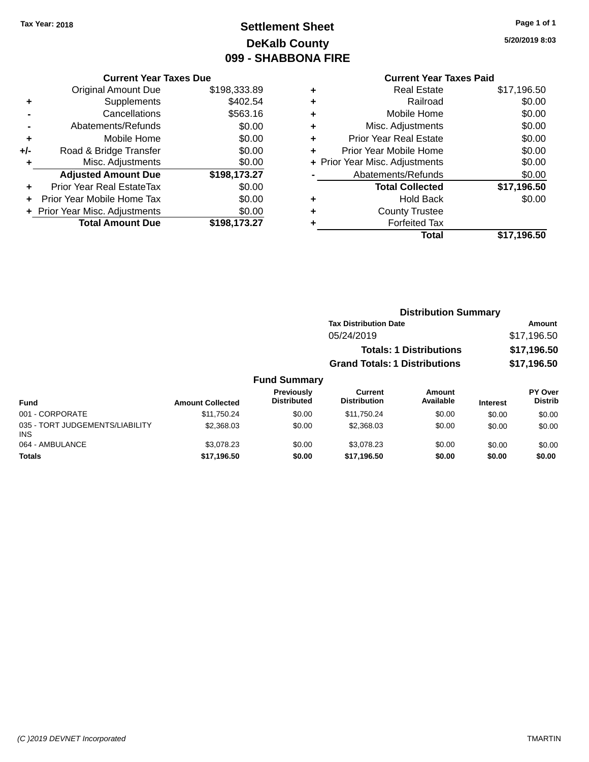# **Settlement Sheet Tax Year: 2018 Page 1 of 1 DeKalb County 099 - SHABBONA FIRE**

**5/20/2019 8:03**

|     | <b>Current Year Taxes Due</b>  |              |  |  |  |
|-----|--------------------------------|--------------|--|--|--|
|     | <b>Original Amount Due</b>     | \$198,333.89 |  |  |  |
|     | Supplements                    | \$402.54     |  |  |  |
|     | Cancellations                  | \$563.16     |  |  |  |
|     | Abatements/Refunds             | \$0.00       |  |  |  |
| ٠   | Mobile Home                    | \$0.00       |  |  |  |
| +/- | Road & Bridge Transfer         | \$0.00       |  |  |  |
|     | Misc. Adjustments              | \$0.00       |  |  |  |
|     | <b>Adjusted Amount Due</b>     | \$198,173.27 |  |  |  |
| ÷   | Prior Year Real EstateTax      | \$0.00       |  |  |  |
|     | Prior Year Mobile Home Tax     | \$0.00       |  |  |  |
|     | + Prior Year Misc. Adjustments | \$0.00       |  |  |  |
|     | <b>Total Amount Due</b>        | \$198.173.27 |  |  |  |

|   | <b>Current Year Taxes Paid</b> |             |
|---|--------------------------------|-------------|
| ٠ | <b>Real Estate</b>             | \$17,196.50 |
| ٠ | Railroad                       | \$0.00      |
| ٠ | Mobile Home                    | \$0.00      |
| ٠ | Misc. Adjustments              | \$0.00      |
| ٠ | <b>Prior Year Real Estate</b>  | \$0.00      |
| ٠ | Prior Year Mobile Home         | \$0.00      |
|   | + Prior Year Misc. Adjustments | \$0.00      |
|   | Abatements/Refunds             | \$0.00      |
|   | <b>Total Collected</b>         | \$17,196.50 |
| ٠ | <b>Hold Back</b>               | \$0.00      |
|   | <b>County Trustee</b>          |             |
|   | <b>Forfeited Tax</b>           |             |
|   | Total                          | \$17,196.50 |
|   |                                |             |

|                     | <b>Distribution Summary</b>          |             |  |  |
|---------------------|--------------------------------------|-------------|--|--|
|                     | <b>Tax Distribution Date</b>         | Amount      |  |  |
|                     | 05/24/2019                           | \$17,196.50 |  |  |
|                     | <b>Totals: 1 Distributions</b>       | \$17,196.50 |  |  |
|                     | <b>Grand Totals: 1 Distributions</b> | \$17,196.50 |  |  |
| <b>Fund Summary</b> |                                      |             |  |  |

| <b>Fund</b>                                   | <b>Amount Collected</b> | Previously<br><b>Distributed</b> | Current<br><b>Distribution</b> | Amount<br>Available | <b>Interest</b> | <b>PY Over</b><br><b>Distrib</b> |
|-----------------------------------------------|-------------------------|----------------------------------|--------------------------------|---------------------|-----------------|----------------------------------|
| 001 - CORPORATE                               | \$11.750.24             | \$0.00                           | \$11.750.24                    | \$0.00              | \$0.00          | \$0.00                           |
| 035 - TORT JUDGEMENTS/LIABILITY<br><b>INS</b> | \$2,368,03              | \$0.00                           | \$2,368,03                     | \$0.00              | \$0.00          | \$0.00                           |
| 064 - AMBULANCE                               | \$3.078.23              | \$0.00                           | \$3.078.23                     | \$0.00              | \$0.00          | \$0.00                           |
| <b>Totals</b>                                 | \$17,196.50             | \$0.00                           | \$17,196.50                    | \$0.00              | \$0.00          | \$0.00                           |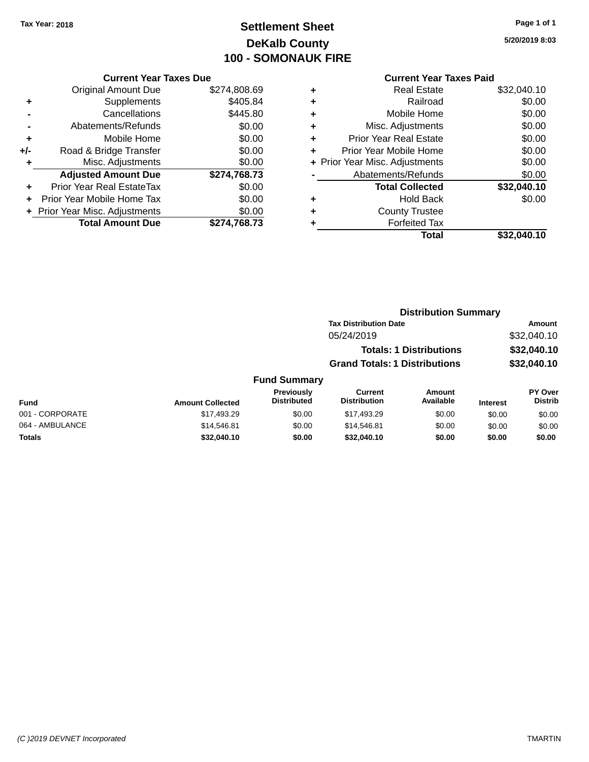# **Settlement Sheet Tax Year: 2018 Page 1 of 1 DeKalb County 100 - SOMONAUK FIRE**

**5/20/2019 8:03**

### **Current Year Taxes Paid**

| <b>Current Year Taxes Due</b>  |              |  |  |  |
|--------------------------------|--------------|--|--|--|
| <b>Original Amount Due</b>     | \$274,808.69 |  |  |  |
| Supplements                    | \$405.84     |  |  |  |
| Cancellations                  | \$445.80     |  |  |  |
| Abatements/Refunds             | \$0.00       |  |  |  |
| Mobile Home                    | \$0.00       |  |  |  |
| Road & Bridge Transfer         | \$0.00       |  |  |  |
| Misc. Adjustments              | \$0.00       |  |  |  |
| <b>Adjusted Amount Due</b>     | \$274,768.73 |  |  |  |
| Prior Year Real EstateTax      | \$0.00       |  |  |  |
| Prior Year Mobile Home Tax     | \$0.00       |  |  |  |
| + Prior Year Misc. Adjustments | \$0.00       |  |  |  |
| <b>Total Amount Due</b>        | \$274,768.73 |  |  |  |
|                                |              |  |  |  |

| ٠ | <b>Real Estate</b>             | \$32,040.10 |
|---|--------------------------------|-------------|
| ٠ | Railroad                       | \$0.00      |
| ٠ | Mobile Home                    | \$0.00      |
| ٠ | Misc. Adjustments              | \$0.00      |
| ٠ | <b>Prior Year Real Estate</b>  | \$0.00      |
| ٠ | Prior Year Mobile Home         | \$0.00      |
|   | + Prior Year Misc. Adjustments | \$0.00      |
|   | Abatements/Refunds             | \$0.00      |
|   | <b>Total Collected</b>         | \$32,040.10 |
| ٠ | Hold Back                      | \$0.00      |
| ٠ | <b>County Trustee</b>          |             |
| ٠ | <b>Forfeited Tax</b>           |             |
|   | Total                          | \$32,040.10 |
|   |                                |             |

|             |                                         |                                      | <b>Distribution Summary</b>    |                 |                                  |
|-------------|-----------------------------------------|--------------------------------------|--------------------------------|-----------------|----------------------------------|
|             |                                         | <b>Tax Distribution Date</b>         |                                | <b>Amount</b>   |                                  |
|             |                                         | 05/24/2019                           |                                |                 | \$32,040.10                      |
|             |                                         |                                      | <b>Totals: 1 Distributions</b> |                 | \$32,040.10                      |
|             |                                         | <b>Grand Totals: 1 Distributions</b> |                                |                 | \$32,040.10                      |
|             | <b>Fund Summary</b>                     |                                      |                                |                 |                                  |
| t Collected | <b>Previously</b><br><b>Distributed</b> | Current<br><b>Distribution</b>       | Amount<br>Available            | <b>Interest</b> | <b>PY Over</b><br><b>Distrib</b> |

| Fund            | <b>Amount Collected</b> | <b>Previously</b><br><b>Distributed</b> | Current<br><b>Distribution</b> | Amount<br>Available | <b>Interest</b> | <b>PY Over</b><br>Distrib |
|-----------------|-------------------------|-----------------------------------------|--------------------------------|---------------------|-----------------|---------------------------|
| 001 - CORPORATE | \$17.493.29             | \$0.00                                  | \$17.493.29                    | \$0.00              | \$0.00          | \$0.00                    |
| 064 - AMBULANCE | \$14,546.81             | \$0.00                                  | \$14.546.81                    | \$0.00              | \$0.00          | \$0.00                    |
| <b>Totals</b>   | \$32,040.10             | \$0.00                                  | \$32.040.10                    | \$0.00              | \$0.00          | \$0.00                    |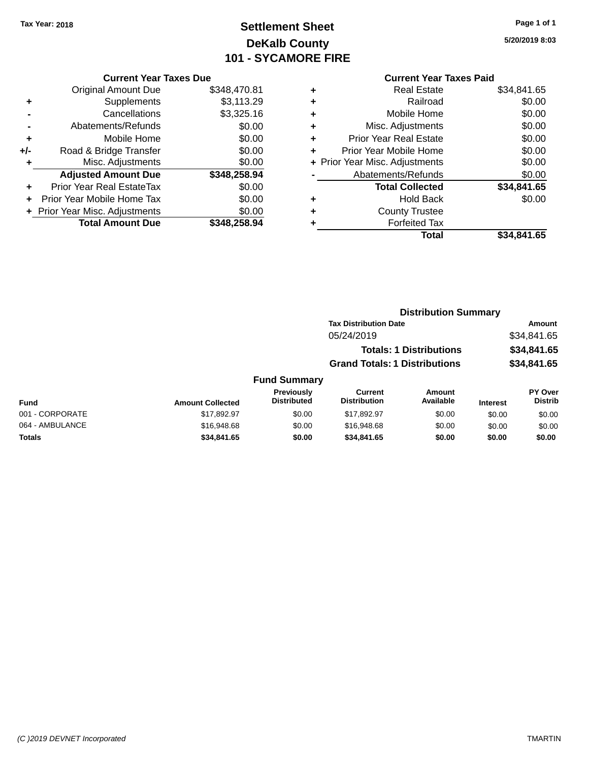**Current Year Taxes Due** Original Amount Due \$348,470.81

**Adjusted Amount Due \$348,258.94**

**Total Amount Due \$348,258.94**

**+** Supplements \$3,113.29 **-** Cancellations \$3,325.16 **-** Abatements/Refunds \$0.00 **+** Mobile Home \$0.00 **+/-** Road & Bridge Transfer \$0.00 **+** Misc. Adjustments \$0.00

**+** Prior Year Real EstateTax \$0.00 **+** Prior Year Mobile Home Tax \$0.00 **+ Prior Year Misc. Adjustments**  $$0.00$ 

# **Settlement Sheet Tax Year: 2018 Page 1 of 1 DeKalb County 101 - SYCAMORE FIRE**

**5/20/2019 8:03**

|   | <b>Current Year Taxes Paid</b> |             |
|---|--------------------------------|-------------|
| ٠ | Real Estate                    | \$34,841.65 |
| ٠ | Railroad                       | \$0.00      |
| ٠ | Mobile Home                    | \$0.00      |
| ÷ | Misc. Adjustments              | \$0.00      |
| ٠ | <b>Prior Year Real Estate</b>  | \$0.00      |
| ÷ | Prior Year Mobile Home         | \$0.00      |
|   | + Prior Year Misc. Adjustments | \$0.00      |
|   | Abatements/Refunds             | \$0.00      |
|   | <b>Total Collected</b>         | \$34,841.65 |
| ٠ | <b>Hold Back</b>               | \$0.00      |
|   | <b>County Trustee</b>          |             |
|   | <b>Forfeited Tax</b>           |             |
|   | Total                          | \$34.841.65 |

**Distribution Summary**

| юл   |  |
|------|--|
| otal |  |

|                  |                           | <b>Tax Distribution Date</b>         |                                   |          | Amount                           |
|------------------|---------------------------|--------------------------------------|-----------------------------------|----------|----------------------------------|
|                  |                           | 05/24/2019                           |                                   |          | \$34,841.65                      |
|                  |                           |                                      | <b>Totals: 1 Distributions</b>    |          | \$34,841.65                      |
|                  |                           | <b>Grand Totals: 1 Distributions</b> |                                   |          | \$34,841.65                      |
|                  | <b>Fund Summary</b>       |                                      |                                   |          |                                  |
| Amount Colloctod | Previously<br>Distributed | Current<br><b>Distribution</b>       | <b>Amount</b><br><b>Available</b> | Informat | <b>PY Over</b><br><b>Distrib</b> |

| <b>Fund</b>     | <b>Amount Collected</b> | <b>Previously</b><br><b>Distributed</b> | Current<br><b>Distribution</b> | Amount<br>Available | <b>Interest</b> | <b>PY Over</b><br><b>Distrib</b> |
|-----------------|-------------------------|-----------------------------------------|--------------------------------|---------------------|-----------------|----------------------------------|
| 001 - CORPORATE | \$17.892.97             | \$0.00                                  | \$17.892.97                    | \$0.00              | \$0.00          | \$0.00                           |
| 064 - AMBULANCE | \$16,948.68             | \$0.00                                  | \$16,948.68                    | \$0.00              | \$0.00          | \$0.00                           |
| <b>Totals</b>   | \$34,841.65             | \$0.00                                  | \$34,841,65                    | \$0.00              | \$0.00          | \$0.00                           |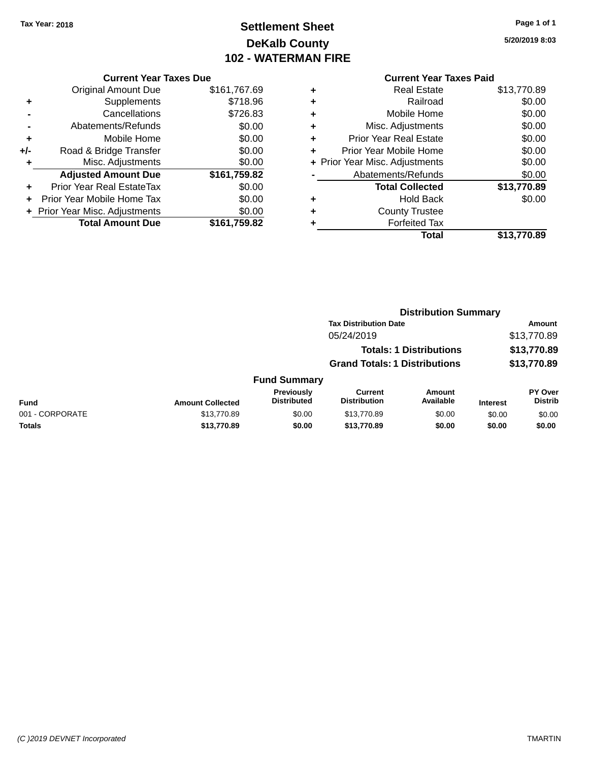# **Settlement Sheet Tax Year: 2018 Page 1 of 1 DeKalb County 102 - WATERMAN FIRE**

**5/20/2019 8:03**

### **Current Year Taxes Paid**

|     | <b>Current Year Taxes Due</b>  |              |  |  |  |
|-----|--------------------------------|--------------|--|--|--|
|     | <b>Original Amount Due</b>     | \$161,767.69 |  |  |  |
| ٠   | Supplements                    | \$718.96     |  |  |  |
|     | Cancellations                  | \$726.83     |  |  |  |
|     | Abatements/Refunds             | \$0.00       |  |  |  |
| ٠   | Mobile Home                    | \$0.00       |  |  |  |
| +/- | Road & Bridge Transfer         | \$0.00       |  |  |  |
|     | Misc. Adjustments              | \$0.00       |  |  |  |
|     | <b>Adjusted Amount Due</b>     | \$161,759.82 |  |  |  |
| ٠   | Prior Year Real EstateTax      | \$0.00       |  |  |  |
|     | Prior Year Mobile Home Tax     | \$0.00       |  |  |  |
|     | + Prior Year Misc. Adjustments | \$0.00       |  |  |  |
|     | <b>Total Amount Due</b>        | \$161,759.82 |  |  |  |
|     |                                |              |  |  |  |

|   | <b>Real Estate</b>             | \$13,770.89 |
|---|--------------------------------|-------------|
| ٠ | Railroad                       | \$0.00      |
| ٠ | Mobile Home                    | \$0.00      |
| ٠ | Misc. Adjustments              | \$0.00      |
| ٠ | <b>Prior Year Real Estate</b>  | \$0.00      |
| ÷ | Prior Year Mobile Home         | \$0.00      |
|   | + Prior Year Misc. Adjustments | \$0.00      |
|   | Abatements/Refunds             | \$0.00      |
|   | <b>Total Collected</b>         | \$13,770.89 |
| ٠ | Hold Back                      | \$0.00      |
| ٠ | <b>County Trustee</b>          |             |
| ٠ | <b>Forfeited Tax</b>           |             |
|   | Total                          | \$13,770.89 |
|   |                                |             |

|                 | <b>Distribution Summary</b> |                                         |                                       |                                |                 |                                  |
|-----------------|-----------------------------|-----------------------------------------|---------------------------------------|--------------------------------|-----------------|----------------------------------|
|                 |                             |                                         | <b>Tax Distribution Date</b>          |                                | Amount          |                                  |
|                 |                             |                                         | 05/24/2019                            |                                |                 | \$13,770.89                      |
|                 |                             |                                         |                                       | <b>Totals: 1 Distributions</b> |                 | \$13,770.89                      |
|                 |                             |                                         | <b>Grand Totals: 1 Distributions</b>  |                                |                 | \$13,770.89                      |
|                 |                             | <b>Fund Summary</b>                     |                                       |                                |                 |                                  |
| <b>Fund</b>     | <b>Amount Collected</b>     | <b>Previously</b><br><b>Distributed</b> | <b>Current</b><br><b>Distribution</b> | Amount<br>Available            | <b>Interest</b> | <b>PY Over</b><br><b>Distrib</b> |
| 001 - CORPORATE | \$13,770.89                 | \$0.00                                  | \$13,770.89                           | \$0.00                         | \$0.00          | \$0.00                           |
| <b>Totals</b>   | \$13,770.89                 | \$0.00                                  | \$13,770.89                           | \$0.00                         | \$0.00          | \$0.00                           |
|                 |                             |                                         |                                       |                                |                 |                                  |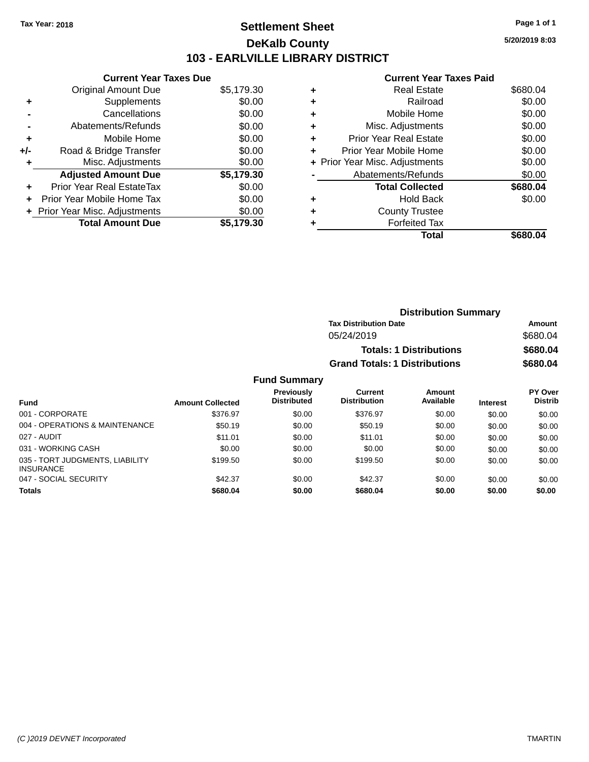### **Settlement Sheet Tax Year: 2018 Page 1 of 1 DeKalb County 103 - EARLVILLE LIBRARY DISTRICT**

**5/20/2019 8:03**

#### **Current Year Taxes Paid**

| <b>Current Year Taxes Due</b> |                              |
|-------------------------------|------------------------------|
| <b>Original Amount Due</b>    | \$5,179.30                   |
| Supplements                   | \$0.00                       |
| Cancellations                 | \$0.00                       |
| Abatements/Refunds            | \$0.00                       |
| Mobile Home                   | \$0.00                       |
| Road & Bridge Transfer        | \$0.00                       |
| Misc. Adjustments             | \$0.00                       |
| <b>Adjusted Amount Due</b>    | \$5,179.30                   |
| Prior Year Real EstateTax     | \$0.00                       |
| Prior Year Mobile Home Tax    | \$0.00                       |
|                               | \$0.00                       |
| <b>Total Amount Due</b>       | \$5.179.30                   |
|                               | Prior Year Misc. Adjustments |

|   | <b>Real Estate</b>             | \$680.04 |
|---|--------------------------------|----------|
| ٠ | Railroad                       | \$0.00   |
| ٠ | Mobile Home                    | \$0.00   |
| ٠ | Misc. Adjustments              | \$0.00   |
| ٠ | <b>Prior Year Real Estate</b>  | \$0.00   |
|   | Prior Year Mobile Home         | \$0.00   |
|   | + Prior Year Misc. Adjustments | \$0.00   |
|   | Abatements/Refunds             | \$0.00   |
|   | <b>Total Collected</b>         | \$680.04 |
| ٠ | <b>Hold Back</b>               | \$0.00   |
|   | <b>County Trustee</b>          |          |
|   | <b>Forfeited Tax</b>           |          |
|   | Total                          | \$680.04 |
|   |                                |          |

| <b>Distribution Summary</b>          |          |  |
|--------------------------------------|----------|--|
| <b>Tax Distribution Date</b>         | Amount   |  |
| 05/24/2019                           | \$680.04 |  |
| <b>Totals: 1 Distributions</b>       | \$680.04 |  |
| <b>Grand Totals: 1 Distributions</b> | \$680.04 |  |

| <b>Fund</b>                                         | <b>Amount Collected</b> | Previously<br><b>Distributed</b> | Current<br><b>Distribution</b> | <b>Amount</b><br>Available | <b>Interest</b> | PY Over<br><b>Distrib</b> |
|-----------------------------------------------------|-------------------------|----------------------------------|--------------------------------|----------------------------|-----------------|---------------------------|
| 001 - CORPORATE                                     | \$376.97                | \$0.00                           | \$376.97                       | \$0.00                     | \$0.00          | \$0.00                    |
| 004 - OPERATIONS & MAINTENANCE                      | \$50.19                 | \$0.00                           | \$50.19                        | \$0.00                     | \$0.00          | \$0.00                    |
| 027 - AUDIT                                         | \$11.01                 | \$0.00                           | \$11.01                        | \$0.00                     | \$0.00          | \$0.00                    |
| 031 - WORKING CASH                                  | \$0.00                  | \$0.00                           | \$0.00                         | \$0.00                     | \$0.00          | \$0.00                    |
| 035 - TORT JUDGMENTS, LIABILITY<br><b>INSURANCE</b> | \$199.50                | \$0.00                           | \$199.50                       | \$0.00                     | \$0.00          | \$0.00                    |
| 047 - SOCIAL SECURITY                               | \$42.37                 | \$0.00                           | \$42.37                        | \$0.00                     | \$0.00          | \$0.00                    |
| <b>Totals</b>                                       | \$680.04                | \$0.00                           | \$680.04                       | \$0.00                     | \$0.00          | \$0.00                    |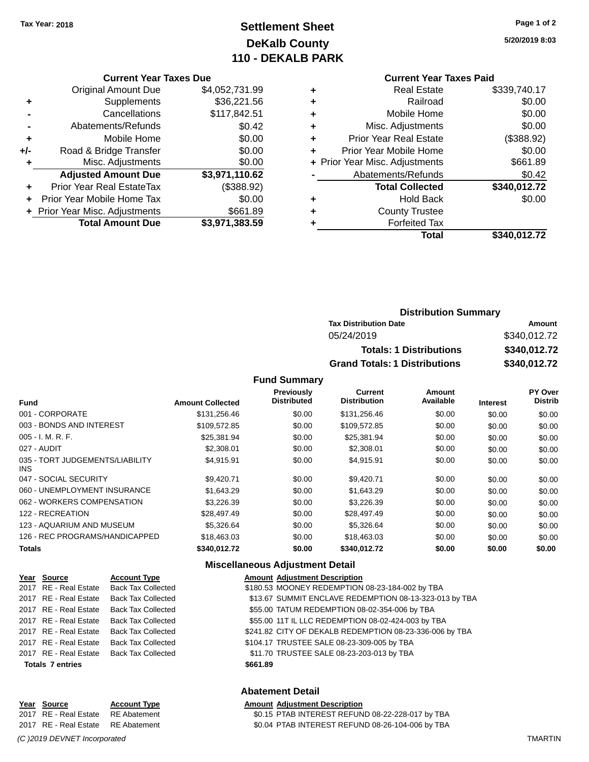# **Settlement Sheet Tax Year: 2018 Page 1 of 2 DeKalb County 110 - DEKALB PARK**

**5/20/2019 8:03**

#### **Current Year Taxes Paid**

| <b>Real Estate</b>             | \$339,740.17 |
|--------------------------------|--------------|
| Railroad                       | \$0.00       |
| Mobile Home                    | \$0.00       |
| Misc. Adjustments              | \$0.00       |
| <b>Prior Year Real Estate</b>  | (\$388.92)   |
| Prior Year Mobile Home         | \$0.00       |
| + Prior Year Misc. Adjustments | \$661.89     |
| Abatements/Refunds             | \$0.42       |
| <b>Total Collected</b>         | \$340,012.72 |
| <b>Hold Back</b>               | \$0.00       |
| <b>County Trustee</b>          |              |
| <b>Forfeited Tax</b>           |              |
| Total                          | \$340.012.72 |
|                                |              |

|     | <b>Current Year Taxes Due</b>    |                |
|-----|----------------------------------|----------------|
|     | <b>Original Amount Due</b>       | \$4,052,731.99 |
| ٠   | Supplements                      | \$36,221.56    |
|     | Cancellations                    | \$117,842.51   |
|     | Abatements/Refunds               | \$0.42         |
| ٠   | Mobile Home                      | \$0.00         |
| +/- | Road & Bridge Transfer           | \$0.00         |
| ٠   | Misc. Adjustments                | \$0.00         |
|     | <b>Adjusted Amount Due</b>       | \$3,971,110.62 |
|     | <b>Prior Year Real EstateTax</b> | (\$388.92)     |
|     | Prior Year Mobile Home Tax       | \$0.00         |
|     | + Prior Year Misc. Adjustments   | \$661.89       |
|     | <b>Total Amount Due</b>          | \$3,971,383.59 |

| <b>Distribution Summary</b>          |              |  |  |
|--------------------------------------|--------------|--|--|
| <b>Tax Distribution Date</b>         | Amount       |  |  |
| 05/24/2019                           | \$340,012.72 |  |  |
| <b>Totals: 1 Distributions</b>       | \$340,012.72 |  |  |
| <b>Grand Totals: 1 Distributions</b> | \$340,012.72 |  |  |

**Fund Summary**

| <b>Fund</b>                             | <b>Amount Collected</b> | <b>Previously</b><br><b>Distributed</b> | Current<br><b>Distribution</b> | Amount<br>Available | <b>Interest</b> | PY Over<br><b>Distrib</b> |
|-----------------------------------------|-------------------------|-----------------------------------------|--------------------------------|---------------------|-----------------|---------------------------|
| 001 - CORPORATE                         | \$131,256.46            | \$0.00                                  | \$131,256.46                   | \$0.00              | \$0.00          | \$0.00                    |
| 003 - BONDS AND INTEREST                | \$109,572.85            | \$0.00                                  | \$109,572.85                   | \$0.00              | \$0.00          | \$0.00                    |
| $005 - I. M. R. F.$                     | \$25,381.94             | \$0.00                                  | \$25,381.94                    | \$0.00              | \$0.00          | \$0.00                    |
| 027 - AUDIT                             | \$2,308.01              | \$0.00                                  | \$2,308.01                     | \$0.00              | \$0.00          | \$0.00                    |
| 035 - TORT JUDGEMENTS/LIABILITY<br>INS. | \$4.915.91              | \$0.00                                  | \$4.915.91                     | \$0.00              | \$0.00          | \$0.00                    |
| 047 - SOCIAL SECURITY                   | \$9.420.71              | \$0.00                                  | \$9,420.71                     | \$0.00              | \$0.00          | \$0.00                    |
| 060 - UNEMPLOYMENT INSURANCE            | \$1,643.29              | \$0.00                                  | \$1,643.29                     | \$0.00              | \$0.00          | \$0.00                    |
| 062 - WORKERS COMPENSATION              | \$3,226.39              | \$0.00                                  | \$3,226.39                     | \$0.00              | \$0.00          | \$0.00                    |
| 122 - RECREATION                        | \$28,497.49             | \$0.00                                  | \$28,497.49                    | \$0.00              | \$0.00          | \$0.00                    |
| 123 - AQUARIUM AND MUSEUM               | \$5,326,64              | \$0.00                                  | \$5,326,64                     | \$0.00              | \$0.00          | \$0.00                    |
| 126 - REC PROGRAMS/HANDICAPPED          | \$18,463.03             | \$0.00                                  | \$18,463.03                    | \$0.00              | \$0.00          | \$0.00                    |
| <b>Totals</b>                           | \$340,012.72            | \$0.00                                  | \$340,012.72                   | \$0.00              | \$0.00          | \$0.00                    |

#### **Miscellaneous Adjustment Detail**

| Year Source             | <b>Account Type</b>       | <b>Amount Adjustment Description</b>                    |
|-------------------------|---------------------------|---------------------------------------------------------|
| 2017 RE - Real Estate   | <b>Back Tax Collected</b> | \$180.53 MOONEY REDEMPTION 08-23-184-002 by TBA         |
| 2017 RE - Real Estate   | <b>Back Tax Collected</b> | \$13.67 SUMMIT ENCLAVE REDEMPTION 08-13-323-013 by TBA  |
| 2017 RE - Real Estate   | <b>Back Tax Collected</b> | \$55.00 TATUM REDEMPTION 08-02-354-006 by TBA           |
| 2017 RE - Real Estate   | <b>Back Tax Collected</b> | \$55.00 11T IL LLC REDEMPTION 08-02-424-003 by TBA      |
| 2017 RE - Real Estate   | <b>Back Tax Collected</b> | \$241.82 CITY OF DEKALB REDEMPTION 08-23-336-006 by TBA |
| 2017 RE - Real Estate   | <b>Back Tax Collected</b> | \$104.17 TRUSTEE SALE 08-23-309-005 by TBA              |
| 2017 RE - Real Estate   | <b>Back Tax Collected</b> | \$11.70 TRUSTEE SALE 08-23-203-013 by TBA               |
| <b>Totals 7 entries</b> |                           | \$661.89                                                |

#### **Abatement Detail**

| Year Source                        | <b>Account Type</b> | <b>Amount Adiustment Description</b>             |
|------------------------------------|---------------------|--------------------------------------------------|
| 2017 RE - Real Estate RE Abatement |                     | \$0.15 PTAB INTEREST REFUND 08-22-228-017 by TBA |
| 2017 RE - Real Estate RE Abatement |                     | \$0.04 PTAB INTEREST REFUND 08-26-104-006 by TBA |

*(C )2019 DEVNET Incorporated* TMARTIN

**Year Source**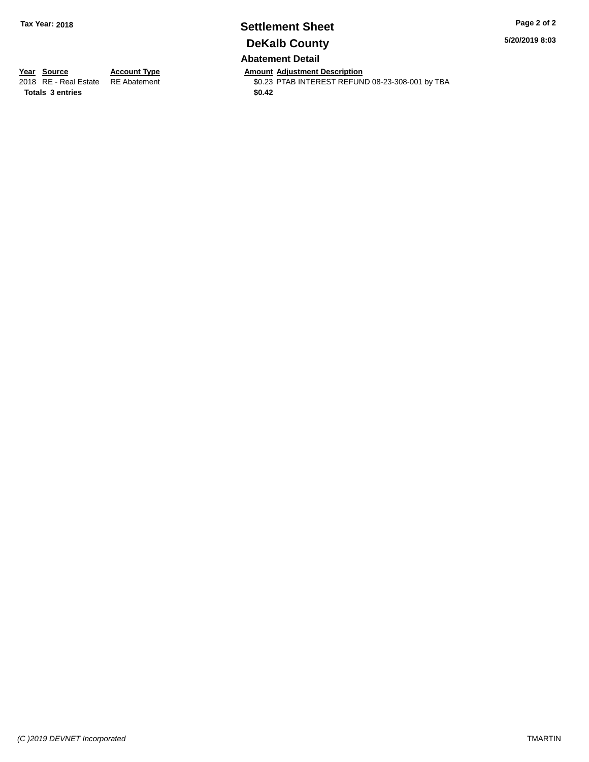# **Settlement Sheet Tax Year: 2018 Page 2 of 2 DeKalb County**

**5/20/2019 8:03**

### **Abatement Detail**

**Totals \$0.42 3 entries**

**Year Source Account Type Amount Adjustment Description** \$0.23 PTAB INTEREST REFUND 08-23-308-001 by TBA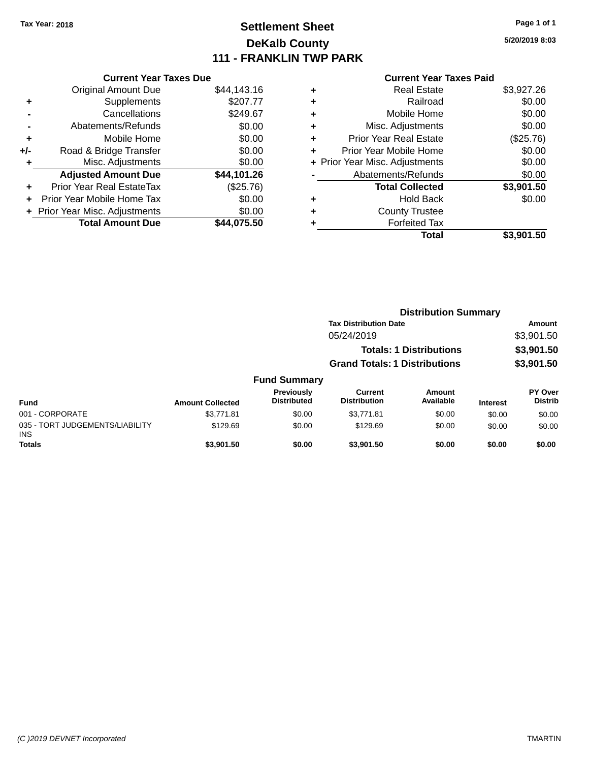### **Settlement Sheet Tax Year: 2018 Page 1 of 1 DeKalb County 111 - FRANKLIN TWP PARK**

**5/20/2019 8:03**

#### **Current Year Taxes Paid**

|     | <b>Current Year Taxes Due</b>  |             |
|-----|--------------------------------|-------------|
|     | <b>Original Amount Due</b>     | \$44,143.16 |
| ٠   | Supplements                    | \$207.77    |
|     | Cancellations                  | \$249.67    |
|     | Abatements/Refunds             | \$0.00      |
| ٠   | Mobile Home                    | \$0.00      |
| +/- | Road & Bridge Transfer         | \$0.00      |
| ÷   | Misc. Adjustments              | \$0.00      |
|     | <b>Adjusted Amount Due</b>     | \$44,101.26 |
| ٠   | Prior Year Real EstateTax      | (\$25.76)   |
|     | Prior Year Mobile Home Tax     | \$0.00      |
|     | + Prior Year Misc. Adjustments | \$0.00      |
|     | <b>Total Amount Due</b>        | \$44,075.50 |
|     |                                |             |

|   | Total                          | \$3,901.50 |
|---|--------------------------------|------------|
| ٠ | <b>Forfeited Tax</b>           |            |
| ٠ | <b>County Trustee</b>          |            |
| ٠ | Hold Back                      | \$0.00     |
|   | <b>Total Collected</b>         | \$3,901.50 |
|   | Abatements/Refunds             | \$0.00     |
|   | + Prior Year Misc. Adjustments | \$0.00     |
| ٠ | Prior Year Mobile Home         | \$0.00     |
| ÷ | <b>Prior Year Real Estate</b>  | (\$25.76)  |
| ٠ | Misc. Adjustments              | \$0.00     |
| ٠ | Mobile Home                    | \$0.00     |
| ٠ | Railroad                       | \$0.00     |
| ٠ | Real Estate                    | \$3,927.26 |
|   |                                |            |

|                                         |                         |                                         | <b>Distribution Summary</b>           |                                |                 |                                  |
|-----------------------------------------|-------------------------|-----------------------------------------|---------------------------------------|--------------------------------|-----------------|----------------------------------|
|                                         |                         |                                         | <b>Tax Distribution Date</b>          |                                |                 | Amount                           |
|                                         |                         |                                         | 05/24/2019                            |                                |                 | \$3,901.50                       |
|                                         |                         |                                         |                                       | <b>Totals: 1 Distributions</b> |                 | \$3,901.50                       |
|                                         |                         |                                         | <b>Grand Totals: 1 Distributions</b>  |                                |                 | \$3,901.50                       |
|                                         |                         | <b>Fund Summary</b>                     |                                       |                                |                 |                                  |
| <b>Fund</b>                             | <b>Amount Collected</b> | <b>Previously</b><br><b>Distributed</b> | <b>Current</b><br><b>Distribution</b> | <b>Amount</b><br>Available     | <b>Interest</b> | <b>PY Over</b><br><b>Distrib</b> |
| 001 - CORPORATE                         | \$3.771.81              | \$0.00                                  | \$3.771.81                            | \$0.00                         | \$0.00          | \$0.00                           |
| 035 - TORT JUDGEMENTS/LIABILITY<br>INS. | \$129.69                | \$0.00                                  | \$129.69                              | \$0.00                         | \$0.00          | \$0.00                           |
| <b>Totals</b>                           | \$3,901.50              | \$0.00                                  | \$3,901.50                            | \$0.00                         | \$0.00          | \$0.00                           |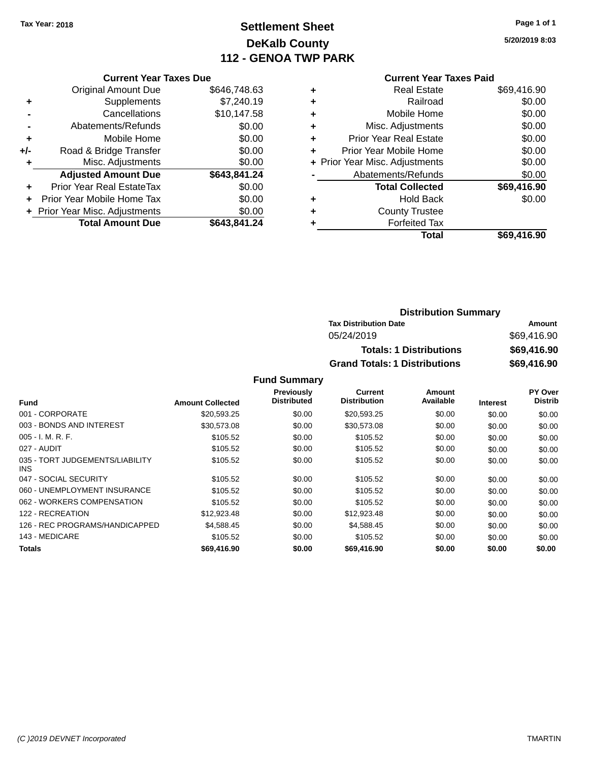# **Settlement Sheet Tax Year: 2018 Page 1 of 1 DeKalb County 112 - GENOA TWP PARK**

**5/20/2019 8:03**

|     | <b>Current Year Taxes Due</b>  |              |
|-----|--------------------------------|--------------|
|     | <b>Original Amount Due</b>     | \$646,748.63 |
| ÷   | Supplements                    | \$7,240.19   |
|     | Cancellations                  | \$10,147.58  |
|     | Abatements/Refunds             | \$0.00       |
| ÷   | Mobile Home                    | \$0.00       |
| +/- | Road & Bridge Transfer         | \$0.00       |
| ٠   | Misc. Adjustments              | \$0.00       |
|     | <b>Adjusted Amount Due</b>     | \$643,841.24 |
| ÷   | Prior Year Real EstateTax      | \$0.00       |
| ٠   | Prior Year Mobile Home Tax     | \$0.00       |
|     | + Prior Year Misc. Adjustments | \$0.00       |
|     | <b>Total Amount Due</b>        | \$643,841.24 |
|     |                                |              |

### **Current Year Taxes Paid**

|   | <b>Real Estate</b>             | \$69,416.90 |
|---|--------------------------------|-------------|
| ٠ | Railroad                       | \$0.00      |
| ٠ | Mobile Home                    | \$0.00      |
| ٠ | Misc. Adjustments              | \$0.00      |
| ٠ | <b>Prior Year Real Estate</b>  | \$0.00      |
|   | Prior Year Mobile Home         | \$0.00      |
|   | + Prior Year Misc. Adjustments | \$0.00      |
|   | Abatements/Refunds             | \$0.00      |
|   | <b>Total Collected</b>         | \$69,416.90 |
| ٠ | Hold Back                      | \$0.00      |
| ٠ | <b>County Trustee</b>          |             |
|   | <b>Forfeited Tax</b>           |             |
|   | Total                          | \$69,416.90 |
|   |                                |             |

### **Distribution Summary Tax Distribution Date Amount** 05/24/2019 \$69,416.90 **Totals: 1 Distributions \$69,416.90 Grand Totals: 1 Distributions \$69,416.90**

|                                         |                         | <b>Previously</b>  | Current             | Amount    |                 | <b>PY Over</b> |
|-----------------------------------------|-------------------------|--------------------|---------------------|-----------|-----------------|----------------|
| <b>Fund</b>                             | <b>Amount Collected</b> | <b>Distributed</b> | <b>Distribution</b> | Available | <b>Interest</b> | <b>Distrib</b> |
| 001 - CORPORATE                         | \$20,593.25             | \$0.00             | \$20,593.25         | \$0.00    | \$0.00          | \$0.00         |
| 003 - BONDS AND INTEREST                | \$30,573.08             | \$0.00             | \$30,573.08         | \$0.00    | \$0.00          | \$0.00         |
| $005 - I. M. R. F.$                     | \$105.52                | \$0.00             | \$105.52            | \$0.00    | \$0.00          | \$0.00         |
| 027 - AUDIT                             | \$105.52                | \$0.00             | \$105.52            | \$0.00    | \$0.00          | \$0.00         |
| 035 - TORT JUDGEMENTS/LIABILITY<br>INS. | \$105.52                | \$0.00             | \$105.52            | \$0.00    | \$0.00          | \$0.00         |
| 047 - SOCIAL SECURITY                   | \$105.52                | \$0.00             | \$105.52            | \$0.00    | \$0.00          | \$0.00         |
| 060 - UNEMPLOYMENT INSURANCE            | \$105.52                | \$0.00             | \$105.52            | \$0.00    | \$0.00          | \$0.00         |
| 062 - WORKERS COMPENSATION              | \$105.52                | \$0.00             | \$105.52            | \$0.00    | \$0.00          | \$0.00         |
| 122 - RECREATION                        | \$12,923.48             | \$0.00             | \$12,923.48         | \$0.00    | \$0.00          | \$0.00         |
| 126 - REC PROGRAMS/HANDICAPPED          | \$4,588,45              | \$0.00             | \$4,588.45          | \$0.00    | \$0.00          | \$0.00         |
| 143 - MEDICARE                          | \$105.52                | \$0.00             | \$105.52            | \$0.00    | \$0.00          | \$0.00         |
| <b>Totals</b>                           | \$69,416.90             | \$0.00             | \$69,416.90         | \$0.00    | \$0.00          | \$0.00         |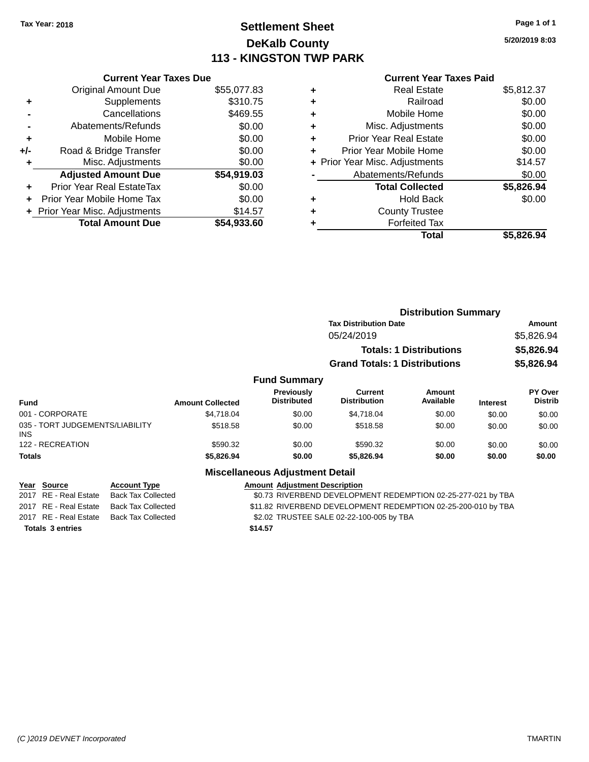### **Settlement Sheet Tax Year: 2018 Page 1 of 1 DeKalb County 113 - KINGSTON TWP PARK**

**5/20/2019 8:03**

|       | <b>Current Year Taxes Due</b>  |             |
|-------|--------------------------------|-------------|
|       | <b>Original Amount Due</b>     | \$55,077.83 |
| ٠     | Supplements                    | \$310.75    |
|       | Cancellations                  | \$469.55    |
|       | Abatements/Refunds             | \$0.00      |
| ٠     | Mobile Home                    | \$0.00      |
| $+/-$ | Road & Bridge Transfer         | \$0.00      |
| ٠     | Misc. Adjustments              | \$0.00      |
|       | <b>Adjusted Amount Due</b>     | \$54,919.03 |
| ÷     | Prior Year Real EstateTax      | \$0.00      |
|       | Prior Year Mobile Home Tax     | \$0.00      |
|       | + Prior Year Misc. Adjustments | \$14.57     |
|       | <b>Total Amount Due</b>        | \$54.933.60 |
|       |                                |             |

#### **Current Year Taxes Paid**

|   | Real Estate                    | \$5,812.37 |
|---|--------------------------------|------------|
| ٠ | Railroad                       | \$0.00     |
| ٠ | Mobile Home                    | \$0.00     |
| ٠ | Misc. Adjustments              | \$0.00     |
| ٠ | <b>Prior Year Real Estate</b>  | \$0.00     |
|   | Prior Year Mobile Home         | \$0.00     |
|   | + Prior Year Misc. Adjustments | \$14.57    |
|   | Abatements/Refunds             | \$0.00     |
|   | <b>Total Collected</b>         | \$5,826.94 |
| ٠ | <b>Hold Back</b>               | \$0.00     |
| ٠ | <b>County Trustee</b>          |            |
|   | <b>Forfeited Tax</b>           |            |
|   | Total                          | \$5,826.94 |
|   |                                |            |

|                                         |                 |                         |                                        | <b>Distribution Summary</b>          |                                |                 |                           |
|-----------------------------------------|-----------------|-------------------------|----------------------------------------|--------------------------------------|--------------------------------|-----------------|---------------------------|
|                                         |                 |                         |                                        | <b>Tax Distribution Date</b>         |                                |                 | Amount                    |
|                                         |                 |                         |                                        | 05/24/2019                           |                                |                 | \$5,826.94                |
|                                         |                 |                         |                                        |                                      | <b>Totals: 1 Distributions</b> |                 | \$5,826.94                |
|                                         |                 |                         |                                        | <b>Grand Totals: 1 Distributions</b> |                                |                 | \$5,826.94                |
|                                         |                 |                         | <b>Fund Summary</b>                    |                                      |                                |                 |                           |
| <b>Fund</b>                             |                 | <b>Amount Collected</b> | Previously<br><b>Distributed</b>       | Current<br><b>Distribution</b>       | Amount<br>Available            | <b>Interest</b> | PY Over<br><b>Distrib</b> |
| 001 - CORPORATE                         |                 | \$4,718.04              | \$0.00                                 | \$4,718.04                           | \$0.00                         | \$0.00          | \$0.00                    |
| 035 - TORT JUDGEMENTS/LIABILITY<br>INS. |                 | \$518.58                | \$0.00                                 | \$518.58                             | \$0.00                         | \$0.00          | \$0.00                    |
| 122 - RECREATION                        |                 | \$590.32                | \$0.00                                 | \$590.32                             | \$0.00                         | \$0.00          | \$0.00                    |
| <b>Totals</b>                           |                 | \$5,826.94              | \$0.00                                 | \$5,826.94                           | \$0.00                         | \$0.00          | \$0.00                    |
|                                         |                 |                         | <b>Miscellaneous Adjustment Detail</b> |                                      |                                |                 |                           |
| $V_{\text{max}}$ $R_{\text{max}}$       | $A - 1 - 1 = 1$ |                         | Americal Adjustment Benediction        |                                      |                                |                 |                           |

| Year Source             | <b>Account Type</b> | <b>Amount Adjustment Description</b>                          |
|-------------------------|---------------------|---------------------------------------------------------------|
| 2017 RE - Real Estate   | Back Tax Collected  | \$0.73 RIVERBEND DEVELOPMENT REDEMPTION 02-25-277-021 by TBA  |
| 2017 RE - Real Estate   | Back Tax Collected  | \$11.82 RIVERBEND DEVELOPMENT REDEMPTION 02-25-200-010 by TBA |
| 2017 RE - Real Estate   | Back Tax Collected  | \$2.02 TRUSTEE SALE 02-22-100-005 by TBA                      |
| <b>Totals 3 entries</b> |                     | \$14.57                                                       |
|                         |                     |                                                               |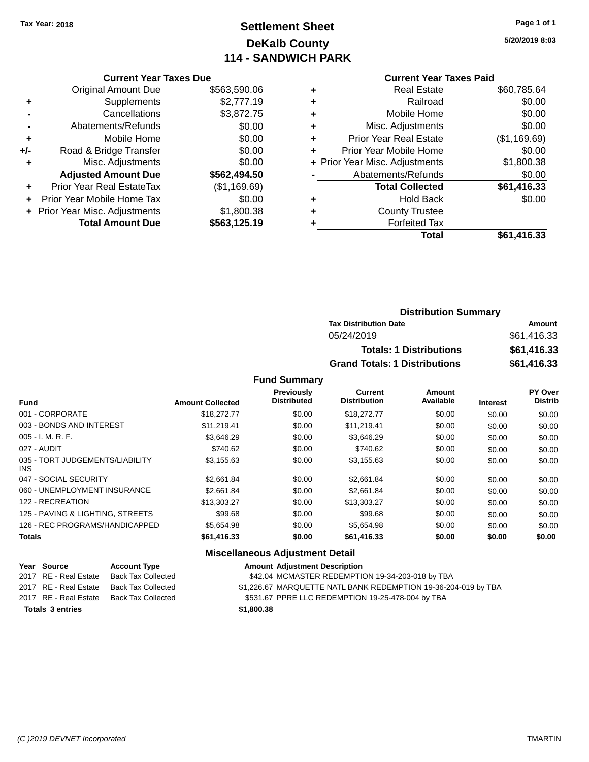# **Settlement Sheet Tax Year: 2018 Page 1 of 1 DeKalb County 114 - SANDWICH PARK**

**5/20/2019 8:03**

| <b>Current Year Taxes Due</b> |  |  |
|-------------------------------|--|--|
|                               |  |  |

|     | <b>Original Amount Due</b>       | \$563,590.06 |
|-----|----------------------------------|--------------|
| ٠   | Supplements                      | \$2,777.19   |
|     | Cancellations                    | \$3,872.75   |
|     | Abatements/Refunds               | \$0.00       |
| ٠   | Mobile Home                      | \$0.00       |
| +/- | Road & Bridge Transfer           | \$0.00       |
| ٠   | Misc. Adjustments                | \$0.00       |
|     | <b>Adjusted Amount Due</b>       | \$562,494.50 |
|     | <b>Prior Year Real EstateTax</b> | (\$1,169.69) |
|     | Prior Year Mobile Home Tax       | \$0.00       |
|     | + Prior Year Misc. Adjustments   | \$1,800.38   |
|     | <b>Total Amount Due</b>          | \$563,125.19 |

### **Current Year Taxes Paid**

|   | <b>Real Estate</b>             | \$60,785.64  |
|---|--------------------------------|--------------|
| ٠ | Railroad                       | \$0.00       |
| ٠ | Mobile Home                    | \$0.00       |
| ٠ | Misc. Adjustments              | \$0.00       |
| ٠ | <b>Prior Year Real Estate</b>  | (\$1,169.69) |
| ٠ | Prior Year Mobile Home         | \$0.00       |
|   | + Prior Year Misc. Adjustments | \$1,800.38   |
|   | Abatements/Refunds             | \$0.00       |
|   | <b>Total Collected</b>         | \$61,416.33  |
| ٠ | <b>Hold Back</b>               | \$0.00       |
| ٠ | <b>County Trustee</b>          |              |
| ٠ | <b>Forfeited Tax</b>           |              |
|   | Total                          | \$61,416.33  |
|   |                                |              |

### **Distribution Summary Tax Distribution Date Amount** 05/24/2019 \$61,416.33 **Totals: 1 Distributions \$61,416.33 Grand Totals: 1 Distributions \$61,416.33**

#### **Fund Summary**

|                                         |                         | <b>Previously</b><br><b>Distributed</b> | <b>Current</b><br><b>Distribution</b> | Amount<br>Available |                 | PY Over<br><b>Distrib</b> |
|-----------------------------------------|-------------------------|-----------------------------------------|---------------------------------------|---------------------|-----------------|---------------------------|
| Fund                                    | <b>Amount Collected</b> |                                         |                                       |                     | <b>Interest</b> |                           |
| 001 - CORPORATE                         | \$18,272.77             | \$0.00                                  | \$18,272.77                           | \$0.00              | \$0.00          | \$0.00                    |
| 003 - BONDS AND INTEREST                | \$11.219.41             | \$0.00                                  | \$11.219.41                           | \$0.00              | \$0.00          | \$0.00                    |
| $005 - I. M. R. F.$                     | \$3.646.29              | \$0.00                                  | \$3.646.29                            | \$0.00              | \$0.00          | \$0.00                    |
| 027 - AUDIT                             | \$740.62                | \$0.00                                  | \$740.62                              | \$0.00              | \$0.00          | \$0.00                    |
| 035 - TORT JUDGEMENTS/LIABILITY<br>INS. | \$3,155.63              | \$0.00                                  | \$3,155.63                            | \$0.00              | \$0.00          | \$0.00                    |
| 047 - SOCIAL SECURITY                   | \$2,661.84              | \$0.00                                  | \$2,661.84                            | \$0.00              | \$0.00          | \$0.00                    |
| 060 - UNEMPLOYMENT INSURANCE            | \$2,661.84              | \$0.00                                  | \$2,661.84                            | \$0.00              | \$0.00          | \$0.00                    |
| 122 - RECREATION                        | \$13,303.27             | \$0.00                                  | \$13,303,27                           | \$0.00              | \$0.00          | \$0.00                    |
| 125 - PAVING & LIGHTING, STREETS        | \$99.68                 | \$0.00                                  | \$99.68                               | \$0.00              | \$0.00          | \$0.00                    |
| 126 - REC PROGRAMS/HANDICAPPED          | \$5.654.98              | \$0.00                                  | \$5.654.98                            | \$0.00              | \$0.00          | \$0.00                    |
| <b>Totals</b>                           | \$61,416.33             | \$0.00                                  | \$61,416.33                           | \$0.00              | \$0.00          | \$0.00                    |

### **Miscellaneous Adjustment Detail**

| Year Source             | <b>Account Type</b>                      | <b>Amount Adjustment Description</b>                           |
|-------------------------|------------------------------------------|----------------------------------------------------------------|
|                         | 2017 RE - Real Estate Back Tax Collected | \$42.04 MCMASTER REDEMPTION 19-34-203-018 by TBA               |
|                         | 2017 RE - Real Estate Back Tax Collected | \$1,226.67 MARQUETTE NATL BANK REDEMPTION 19-36-204-019 by TBA |
|                         | 2017 RE - Real Estate Back Tax Collected | \$531.67 PPRE LLC REDEMPTION 19-25-478-004 by TBA              |
| <b>Totals 3 entries</b> |                                          | \$1,800,38                                                     |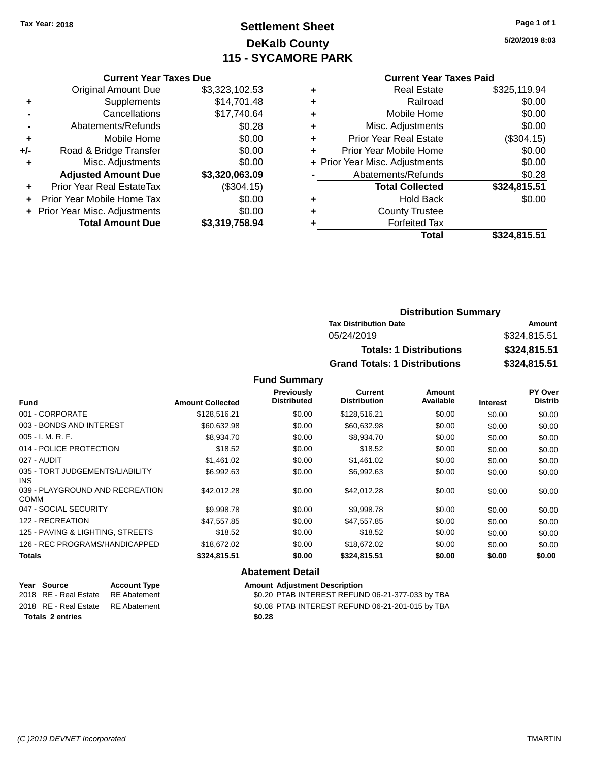## **Settlement Sheet Tax Year: 2018 Page 1 of 1 DeKalb County 115 - SYCAMORE PARK**

**5/20/2019 8:03**

#### **Current Year Taxes Paid**

|       | <b>Total Amount Due</b>        | \$3,319,758.94 |
|-------|--------------------------------|----------------|
|       | + Prior Year Misc. Adjustments | \$0.00         |
|       | Prior Year Mobile Home Tax     | \$0.00         |
| ٠     | Prior Year Real EstateTax      | (\$304.15)     |
|       | <b>Adjusted Amount Due</b>     | \$3,320,063.09 |
| ٠     | Misc. Adjustments              | \$0.00         |
| $+/-$ | Road & Bridge Transfer         | \$0.00         |
| ٠     | Mobile Home                    | \$0.00         |
|       | Abatements/Refunds             | \$0.28         |
|       | Cancellations                  | \$17,740.64    |
| ٠     | Supplements                    | \$14,701.48    |
|       | <b>Original Amount Due</b>     | \$3,323,102.53 |
|       |                                |                |

**Current Year Taxes Due**

|   | <b>Real Estate</b>             | \$325,119.94 |
|---|--------------------------------|--------------|
| ٠ | Railroad                       | \$0.00       |
| ٠ | Mobile Home                    | \$0.00       |
| ٠ | Misc. Adjustments              | \$0.00       |
| ٠ | <b>Prior Year Real Estate</b>  | (\$304.15)   |
| ٠ | Prior Year Mobile Home         | \$0.00       |
|   | + Prior Year Misc. Adjustments | \$0.00       |
|   | Abatements/Refunds             | \$0.28       |
|   | <b>Total Collected</b>         | \$324,815.51 |
| ٠ | <b>Hold Back</b>               | \$0.00       |
| ٠ | <b>County Trustee</b>          |              |
| ٠ | <b>Forfeited Tax</b>           |              |
|   | Total                          | \$324,815.51 |
|   |                                |              |

### **Distribution Summary Tax Distribution Date Amount** 05/24/2019 \$324,815.51 **Totals: 1 Distributions \$324,815.51 Grand Totals: 1 Distributions \$324,815.51**

#### **Fund Summary**

| <b>Fund</b>                                    | <b>Amount Collected</b> | <b>Previously</b><br><b>Distributed</b> | Current<br><b>Distribution</b> | Amount<br>Available | <b>Interest</b> | <b>PY Over</b><br><b>Distrib</b> |
|------------------------------------------------|-------------------------|-----------------------------------------|--------------------------------|---------------------|-----------------|----------------------------------|
| 001 - CORPORATE                                |                         |                                         |                                |                     |                 |                                  |
|                                                | \$128,516.21            | \$0.00                                  | \$128,516.21                   | \$0.00              | \$0.00          | \$0.00                           |
| 003 - BONDS AND INTEREST                       | \$60,632.98             | \$0.00                                  | \$60,632.98                    | \$0.00              | \$0.00          | \$0.00                           |
| $005 - I. M. R. F.$                            | \$8,934.70              | \$0.00                                  | \$8,934.70                     | \$0.00              | \$0.00          | \$0.00                           |
| 014 - POLICE PROTECTION                        | \$18.52                 | \$0.00                                  | \$18.52                        | \$0.00              | \$0.00          | \$0.00                           |
| 027 - AUDIT                                    | \$1,461.02              | \$0.00                                  | \$1,461.02                     | \$0.00              | \$0.00          | \$0.00                           |
| 035 - TORT JUDGEMENTS/LIABILITY<br>INS.        | \$6,992.63              | \$0.00                                  | \$6,992.63                     | \$0.00              | \$0.00          | \$0.00                           |
| 039 - PLAYGROUND AND RECREATION<br><b>COMM</b> | \$42,012.28             | \$0.00                                  | \$42,012.28                    | \$0.00              | \$0.00          | \$0.00                           |
| 047 - SOCIAL SECURITY                          | \$9,998.78              | \$0.00                                  | \$9,998.78                     | \$0.00              | \$0.00          | \$0.00                           |
| 122 - RECREATION                               | \$47,557.85             | \$0.00                                  | \$47,557.85                    | \$0.00              | \$0.00          | \$0.00                           |
| 125 - PAVING & LIGHTING, STREETS               | \$18.52                 | \$0.00                                  | \$18.52                        | \$0.00              | \$0.00          | \$0.00                           |
| 126 - REC PROGRAMS/HANDICAPPED                 | \$18,672.02             | \$0.00                                  | \$18,672.02                    | \$0.00              | \$0.00          | \$0.00                           |
| <b>Totals</b>                                  | \$324,815.51            | \$0.00                                  | \$324,815.51                   | \$0.00              | \$0.00          | \$0.00                           |
|                                                |                         | <b>Abatement Detail</b>                 |                                |                     |                 |                                  |

#### **Year** Source **Account Type Account Adjustment Description** 2018 RE - Real Estate RE Abatement \$0.20 PTAB INTEREST REFUND 06-21-377-033 by TBA 2018 RE - Real Estate RE Abatement \$0.08 PTAB INTEREST REFUND 06-21-201-015 by TBA **Totals \$0.28 2 entries**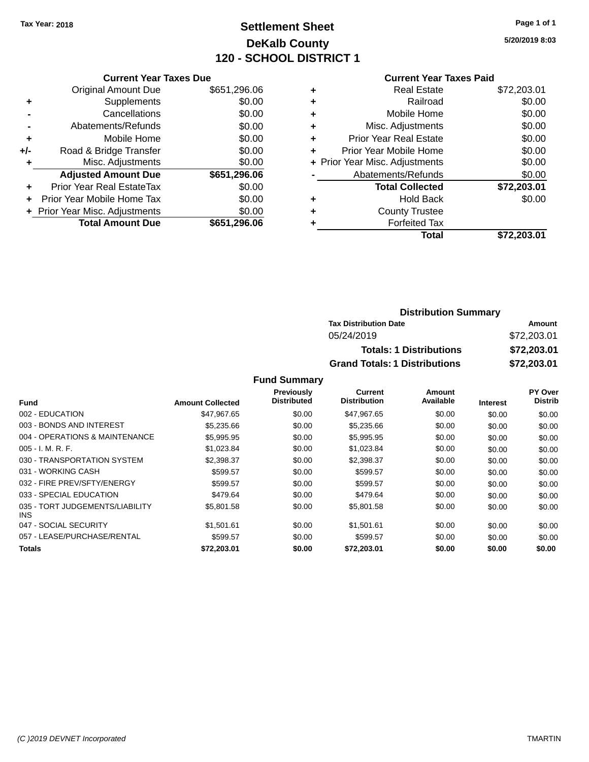### **Settlement Sheet Tax Year: 2018 Page 1 of 1 DeKalb County 120 - SCHOOL DISTRICT 1**

**5/20/2019 8:03**

### **Current Year Taxes Paid**

|     | <b>Current Year Taxes Due</b>  |              |
|-----|--------------------------------|--------------|
|     | <b>Original Amount Due</b>     | \$651,296.06 |
| ٠   | Supplements                    | \$0.00       |
|     | Cancellations                  | \$0.00       |
|     | Abatements/Refunds             | \$0.00       |
| ٠   | Mobile Home                    | \$0.00       |
| +/- | Road & Bridge Transfer         | \$0.00       |
|     | Misc. Adjustments              | \$0.00       |
|     | <b>Adjusted Amount Due</b>     | \$651,296.06 |
| ÷   | Prior Year Real EstateTax      | \$0.00       |
|     | Prior Year Mobile Home Tax     | \$0.00       |
|     | + Prior Year Misc. Adjustments | \$0.00       |
|     | <b>Total Amount Due</b>        | \$651,296.06 |
|     |                                |              |

|   | <b>Real Estate</b>             | \$72,203.01 |
|---|--------------------------------|-------------|
| ٠ | Railroad                       | \$0.00      |
| ٠ | Mobile Home                    | \$0.00      |
| ٠ | Misc. Adjustments              | \$0.00      |
| ٠ | <b>Prior Year Real Estate</b>  | \$0.00      |
|   | Prior Year Mobile Home         | \$0.00      |
|   | + Prior Year Misc. Adjustments | \$0.00      |
|   | Abatements/Refunds             | \$0.00      |
|   | <b>Total Collected</b>         | \$72,203.01 |
| ٠ | <b>Hold Back</b>               | \$0.00      |
|   | <b>County Trustee</b>          |             |
|   | <b>Forfeited Tax</b>           |             |
|   | Total                          | \$72,203.01 |
|   |                                |             |

### **Distribution Summary Tax Distribution Date Amount** 05/24/2019 \$72,203.01 **Totals: 1 Distributions \$72,203.01 Grand Totals: 1 Distributions \$72,203.01**

|                                         |                         | Previously         | Current             | Amount    |                 | PY Over        |
|-----------------------------------------|-------------------------|--------------------|---------------------|-----------|-----------------|----------------|
| <b>Fund</b>                             | <b>Amount Collected</b> | <b>Distributed</b> | <b>Distribution</b> | Available | <b>Interest</b> | <b>Distrib</b> |
| 002 - EDUCATION                         | \$47,967.65             | \$0.00             | \$47,967.65         | \$0.00    | \$0.00          | \$0.00         |
| 003 - BONDS AND INTEREST                | \$5,235.66              | \$0.00             | \$5,235.66          | \$0.00    | \$0.00          | \$0.00         |
| 004 - OPERATIONS & MAINTENANCE          | \$5,995.95              | \$0.00             | \$5,995.95          | \$0.00    | \$0.00          | \$0.00         |
| $005 - I. M. R. F.$                     | \$1,023.84              | \$0.00             | \$1,023.84          | \$0.00    | \$0.00          | \$0.00         |
| 030 - TRANSPORTATION SYSTEM             | \$2,398,37              | \$0.00             | \$2,398.37          | \$0.00    | \$0.00          | \$0.00         |
| 031 - WORKING CASH                      | \$599.57                | \$0.00             | \$599.57            | \$0.00    | \$0.00          | \$0.00         |
| 032 - FIRE PREV/SFTY/ENERGY             | \$599.57                | \$0.00             | \$599.57            | \$0.00    | \$0.00          | \$0.00         |
| 033 - SPECIAL EDUCATION                 | \$479.64                | \$0.00             | \$479.64            | \$0.00    | \$0.00          | \$0.00         |
| 035 - TORT JUDGEMENTS/LIABILITY<br>INS. | \$5,801.58              | \$0.00             | \$5,801.58          | \$0.00    | \$0.00          | \$0.00         |
| 047 - SOCIAL SECURITY                   | \$1.501.61              | \$0.00             | \$1,501.61          | \$0.00    | \$0.00          | \$0.00         |
| 057 - LEASE/PURCHASE/RENTAL             | \$599.57                | \$0.00             | \$599.57            | \$0.00    | \$0.00          | \$0.00         |
| Totals                                  | \$72,203.01             | \$0.00             | \$72.203.01         | \$0.00    | \$0.00          | \$0.00         |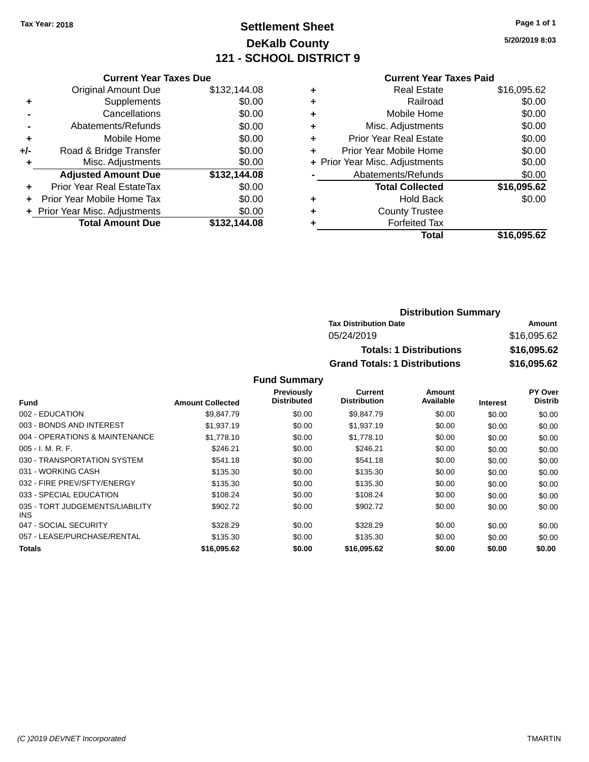### **Settlement Sheet Tax Year: 2018 Page 1 of 1 DeKalb County 121 - SCHOOL DISTRICT 9**

**5/20/2019 8:03**

#### **Current Year Taxes Paid**

|     | <b>Current Year Taxes Due</b>  |              |
|-----|--------------------------------|--------------|
|     | <b>Original Amount Due</b>     | \$132,144.08 |
| ÷   | Supplements                    | \$0.00       |
|     | Cancellations                  | \$0.00       |
|     | Abatements/Refunds             | \$0.00       |
| ٠   | Mobile Home                    | \$0.00       |
| +/- | Road & Bridge Transfer         | \$0.00       |
| ٠   | Misc. Adjustments              | \$0.00       |
|     | <b>Adjusted Amount Due</b>     | \$132,144.08 |
| ٠   | Prior Year Real EstateTax      | \$0.00       |
|     | Prior Year Mobile Home Tax     | \$0.00       |
|     | + Prior Year Misc. Adjustments | \$0.00       |
|     | <b>Total Amount Due</b>        | \$132,144.08 |
|     |                                |              |

| ٠ | <b>Real Estate</b>             | \$16,095.62 |
|---|--------------------------------|-------------|
| ٠ | Railroad                       | \$0.00      |
| ٠ | Mobile Home                    | \$0.00      |
| ٠ | Misc. Adjustments              | \$0.00      |
| ٠ | <b>Prior Year Real Estate</b>  | \$0.00      |
| ÷ | Prior Year Mobile Home         | \$0.00      |
|   | + Prior Year Misc. Adjustments | \$0.00      |
|   | Abatements/Refunds             | \$0.00      |
|   | <b>Total Collected</b>         | \$16,095.62 |
| ٠ | <b>Hold Back</b>               | \$0.00      |
| ٠ | <b>County Trustee</b>          |             |
| ٠ | <b>Forfeited Tax</b>           |             |
|   | Total                          | \$16,095.62 |
|   |                                |             |

| <b>Distribution Summary</b>          |             |
|--------------------------------------|-------------|
| <b>Tax Distribution Date</b>         | Amount      |
| 05/24/2019                           | \$16,095.62 |
| <b>Totals: 1 Distributions</b>       | \$16,095.62 |
| <b>Grand Totals: 1 Distributions</b> | \$16,095.62 |

|                                         |                         | Previously         | Current             | Amount    |                 | PY Over        |
|-----------------------------------------|-------------------------|--------------------|---------------------|-----------|-----------------|----------------|
| <b>Fund</b>                             | <b>Amount Collected</b> | <b>Distributed</b> | <b>Distribution</b> | Available | <b>Interest</b> | <b>Distrib</b> |
| 002 - EDUCATION                         | \$9,847.79              | \$0.00             | \$9,847.79          | \$0.00    | \$0.00          | \$0.00         |
| 003 - BONDS AND INTEREST                | \$1,937.19              | \$0.00             | \$1,937.19          | \$0.00    | \$0.00          | \$0.00         |
| 004 - OPERATIONS & MAINTENANCE          | \$1,778.10              | \$0.00             | \$1,778.10          | \$0.00    | \$0.00          | \$0.00         |
| $005 - I. M. R. F.$                     | \$246.21                | \$0.00             | \$246.21            | \$0.00    | \$0.00          | \$0.00         |
| 030 - TRANSPORTATION SYSTEM             | \$541.18                | \$0.00             | \$541.18            | \$0.00    | \$0.00          | \$0.00         |
| 031 - WORKING CASH                      | \$135.30                | \$0.00             | \$135.30            | \$0.00    | \$0.00          | \$0.00         |
| 032 - FIRE PREV/SFTY/ENERGY             | \$135.30                | \$0.00             | \$135.30            | \$0.00    | \$0.00          | \$0.00         |
| 033 - SPECIAL EDUCATION                 | \$108.24                | \$0.00             | \$108.24            | \$0.00    | \$0.00          | \$0.00         |
| 035 - TORT JUDGEMENTS/LIABILITY<br>INS. | \$902.72                | \$0.00             | \$902.72            | \$0.00    | \$0.00          | \$0.00         |
| 047 - SOCIAL SECURITY                   | \$328.29                | \$0.00             | \$328.29            | \$0.00    | \$0.00          | \$0.00         |
| 057 - LEASE/PURCHASE/RENTAL             | \$135.30                | \$0.00             | \$135.30            | \$0.00    | \$0.00          | \$0.00         |
| Totals                                  | \$16,095.62             | \$0.00             | \$16,095.62         | \$0.00    | \$0.00          | \$0.00         |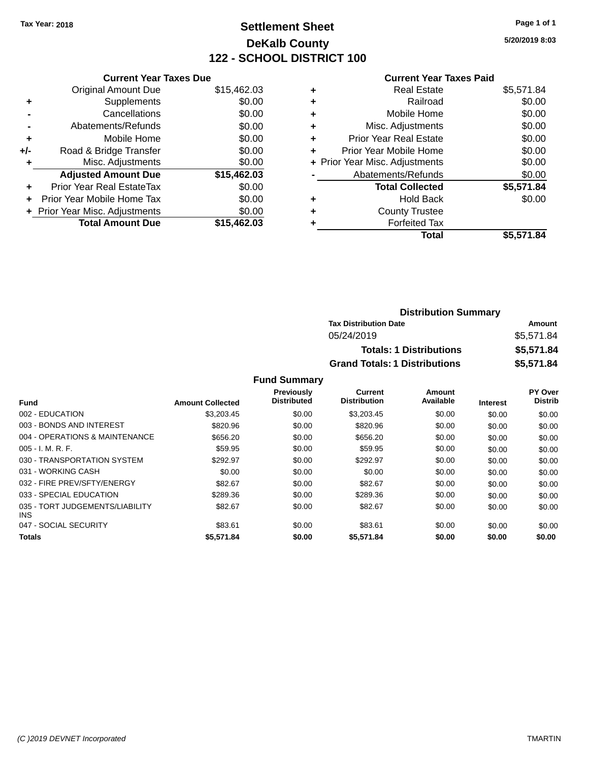### **Settlement Sheet Tax Year: 2018 Page 1 of 1 DeKalb County 122 - SCHOOL DISTRICT 100**

**5/20/2019 8:03**

|  | <b>Current Year Taxes Paid</b> |  |  |  |
|--|--------------------------------|--|--|--|
|--|--------------------------------|--|--|--|

| <b>Current Year Taxes Due</b>  |             |
|--------------------------------|-------------|
| <b>Original Amount Due</b>     | \$15,462.03 |
| Supplements<br>٠               | \$0.00      |
| Cancellations                  | \$0.00      |
| Abatements/Refunds             | \$0.00      |
| Mobile Home<br>÷               | \$0.00      |
| Road & Bridge Transfer<br>+/-  | \$0.00      |
| Misc. Adjustments              | \$0.00      |
| <b>Adjusted Amount Due</b>     | \$15,462.03 |
| Prior Year Real EstateTax<br>÷ | \$0.00      |
| Prior Year Mobile Home Tax     | \$0.00      |
| + Prior Year Misc. Adjustments | \$0.00      |
| <b>Total Amount Due</b>        | \$15.462.03 |

| ٠ | <b>Real Estate</b>             | \$5,571.84 |
|---|--------------------------------|------------|
| ٠ | Railroad                       | \$0.00     |
| ٠ | Mobile Home                    | \$0.00     |
| ٠ | Misc. Adjustments              | \$0.00     |
| ٠ | <b>Prior Year Real Estate</b>  | \$0.00     |
| ÷ | Prior Year Mobile Home         | \$0.00     |
|   | + Prior Year Misc. Adjustments | \$0.00     |
|   | Abatements/Refunds             | \$0.00     |
|   | <b>Total Collected</b>         | \$5,571.84 |
| ٠ | <b>Hold Back</b>               | \$0.00     |
| ٠ | <b>County Trustee</b>          |            |
| ٠ | <b>Forfeited Tax</b>           |            |
|   | Total                          | \$5,571.84 |
|   |                                |            |

| <b>Distribution Summary</b>          |            |  |  |  |
|--------------------------------------|------------|--|--|--|
| <b>Tax Distribution Date</b>         | Amount     |  |  |  |
| 05/24/2019                           | \$5,571.84 |  |  |  |
| <b>Totals: 1 Distributions</b>       | \$5,571.84 |  |  |  |
| <b>Grand Totals: 1 Distributions</b> | \$5,571.84 |  |  |  |

|                                         |                         | <b>Previously</b><br><b>Distributed</b> | Current<br><b>Distribution</b> | Amount<br>Available |                 | PY Over<br><b>Distrib</b> |
|-----------------------------------------|-------------------------|-----------------------------------------|--------------------------------|---------------------|-----------------|---------------------------|
| Fund                                    | <b>Amount Collected</b> |                                         |                                |                     | <b>Interest</b> |                           |
| 002 - EDUCATION                         | \$3,203.45              | \$0.00                                  | \$3,203.45                     | \$0.00              | \$0.00          | \$0.00                    |
| 003 - BONDS AND INTEREST                | \$820.96                | \$0.00                                  | \$820.96                       | \$0.00              | \$0.00          | \$0.00                    |
| 004 - OPERATIONS & MAINTENANCE          | \$656.20                | \$0.00                                  | \$656.20                       | \$0.00              | \$0.00          | \$0.00                    |
| $005 - I. M. R. F.$                     | \$59.95                 | \$0.00                                  | \$59.95                        | \$0.00              | \$0.00          | \$0.00                    |
| 030 - TRANSPORTATION SYSTEM             | \$292.97                | \$0.00                                  | \$292.97                       | \$0.00              | \$0.00          | \$0.00                    |
| 031 - WORKING CASH                      | \$0.00                  | \$0.00                                  | \$0.00                         | \$0.00              | \$0.00          | \$0.00                    |
| 032 - FIRE PREV/SFTY/ENERGY             | \$82.67                 | \$0.00                                  | \$82.67                        | \$0.00              | \$0.00          | \$0.00                    |
| 033 - SPECIAL EDUCATION                 | \$289.36                | \$0.00                                  | \$289.36                       | \$0.00              | \$0.00          | \$0.00                    |
| 035 - TORT JUDGEMENTS/LIABILITY<br>INS. | \$82.67                 | \$0.00                                  | \$82.67                        | \$0.00              | \$0.00          | \$0.00                    |
| 047 - SOCIAL SECURITY                   | \$83.61                 | \$0.00                                  | \$83.61                        | \$0.00              | \$0.00          | \$0.00                    |
| <b>Totals</b>                           | \$5,571.84              | \$0.00                                  | \$5,571.84                     | \$0.00              | \$0.00          | \$0.00                    |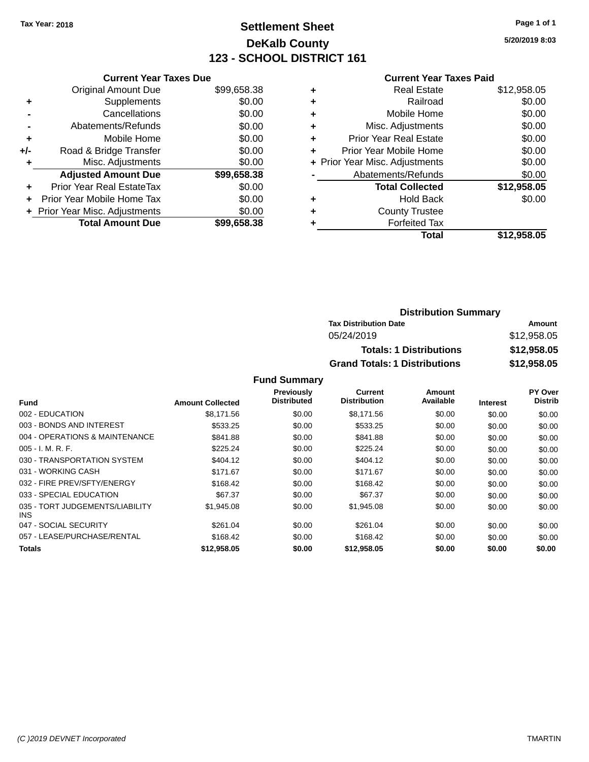### **Settlement Sheet Tax Year: 2018 Page 1 of 1 DeKalb County 123 - SCHOOL DISTRICT 161**

**5/20/2019 8:03**

|       | <b>Current Year Taxes Due</b>  |             |
|-------|--------------------------------|-------------|
|       | <b>Original Amount Due</b>     | \$99,658.38 |
|       | Supplements                    | \$0.00      |
|       | Cancellations                  | \$0.00      |
|       | Abatements/Refunds             | \$0.00      |
| ٠     | Mobile Home                    | \$0.00      |
| $+/-$ | Road & Bridge Transfer         | \$0.00      |
|       | Misc. Adjustments              | \$0.00      |
|       | <b>Adjusted Amount Due</b>     | \$99,658.38 |
| ÷     | Prior Year Real EstateTax      | \$0.00      |
| ÷     | Prior Year Mobile Home Tax     | \$0.00      |
|       | + Prior Year Misc. Adjustments | \$0.00      |
|       | <b>Total Amount Due</b>        | \$99,658.38 |
|       |                                |             |

### **Current Year Taxes Paid**

| ٠ | Real Estate                    | \$12,958.05 |
|---|--------------------------------|-------------|
| ٠ | Railroad                       | \$0.00      |
| ٠ | Mobile Home                    | \$0.00      |
| ٠ | Misc. Adjustments              | \$0.00      |
| ٠ | <b>Prior Year Real Estate</b>  | \$0.00      |
| ٠ | Prior Year Mobile Home         | \$0.00      |
|   | + Prior Year Misc. Adjustments | \$0.00      |
|   | Abatements/Refunds             | \$0.00      |
|   | <b>Total Collected</b>         | \$12,958.05 |
| ٠ | <b>Hold Back</b>               | \$0.00      |
| ٠ | <b>County Trustee</b>          |             |
| ٠ | <b>Forfeited Tax</b>           |             |
|   | Total                          | \$12,958.05 |
|   |                                |             |

### **Distribution Summary Tax Distribution Date Amount** 05/24/2019 \$12,958.05 **Totals: 1 Distributions \$12,958.05 Grand Totals: 1 Distributions \$12,958.05**

|                                         |                         | Previously  | <b>Current</b>      | Amount    |                 | PY Over        |
|-----------------------------------------|-------------------------|-------------|---------------------|-----------|-----------------|----------------|
| <b>Fund</b>                             | <b>Amount Collected</b> | Distributed | <b>Distribution</b> | Available | <b>Interest</b> | <b>Distrib</b> |
| 002 - EDUCATION                         | \$8.171.56              | \$0.00      | \$8,171.56          | \$0.00    | \$0.00          | \$0.00         |
| 003 - BONDS AND INTEREST                | \$533.25                | \$0.00      | \$533.25            | \$0.00    | \$0.00          | \$0.00         |
| 004 - OPERATIONS & MAINTENANCE          | \$841.88                | \$0.00      | \$841.88            | \$0.00    | \$0.00          | \$0.00         |
| $005 - I. M. R. F.$                     | \$225.24                | \$0.00      | \$225.24            | \$0.00    | \$0.00          | \$0.00         |
| 030 - TRANSPORTATION SYSTEM             | \$404.12                | \$0.00      | \$404.12            | \$0.00    | \$0.00          | \$0.00         |
| 031 - WORKING CASH                      | \$171.67                | \$0.00      | \$171.67            | \$0.00    | \$0.00          | \$0.00         |
| 032 - FIRE PREV/SFTY/ENERGY             | \$168.42                | \$0.00      | \$168.42            | \$0.00    | \$0.00          | \$0.00         |
| 033 - SPECIAL EDUCATION                 | \$67.37                 | \$0.00      | \$67.37             | \$0.00    | \$0.00          | \$0.00         |
| 035 - TORT JUDGEMENTS/LIABILITY<br>INS. | \$1,945.08              | \$0.00      | \$1,945.08          | \$0.00    | \$0.00          | \$0.00         |
| 047 - SOCIAL SECURITY                   | \$261.04                | \$0.00      | \$261.04            | \$0.00    | \$0.00          | \$0.00         |
| 057 - LEASE/PURCHASE/RENTAL             | \$168.42                | \$0.00      | \$168.42            | \$0.00    | \$0.00          | \$0.00         |
| Totals                                  | \$12,958.05             | \$0.00      | \$12,958.05         | \$0.00    | \$0.00          | \$0.00         |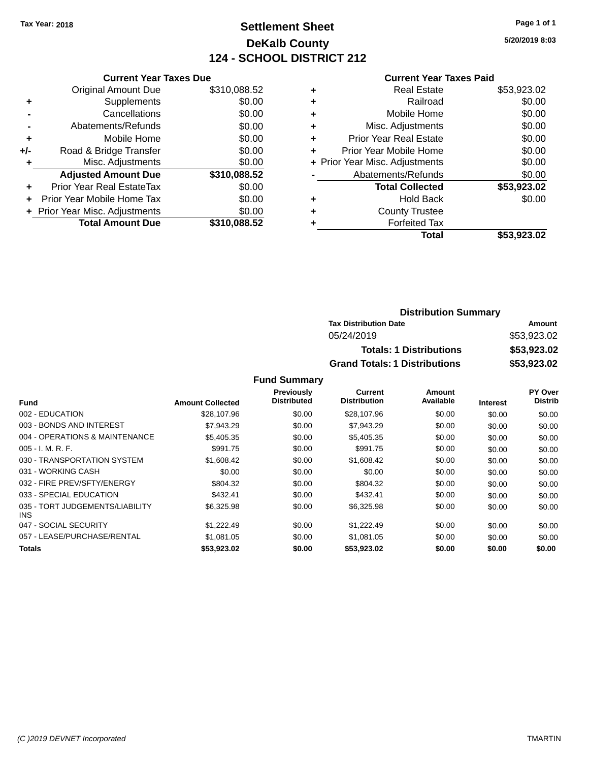### **Settlement Sheet Tax Year: 2018 Page 1 of 1 DeKalb County 124 - SCHOOL DISTRICT 212**

**5/20/2019 8:03**

#### **Current Year Taxes Paid**

|     | <b>Current Year Taxes Due</b>  |              |
|-----|--------------------------------|--------------|
|     | <b>Original Amount Due</b>     | \$310,088.52 |
| ٠   | Supplements                    | \$0.00       |
|     | Cancellations                  | \$0.00       |
|     | Abatements/Refunds             | \$0.00       |
| ٠   | Mobile Home                    | \$0.00       |
| +/- | Road & Bridge Transfer         | \$0.00       |
|     | Misc. Adjustments              | \$0.00       |
|     | <b>Adjusted Amount Due</b>     | \$310,088.52 |
| ٠   | Prior Year Real EstateTax      | \$0.00       |
|     | Prior Year Mobile Home Tax     | \$0.00       |
|     | + Prior Year Misc. Adjustments | \$0.00       |
|     | <b>Total Amount Due</b>        | \$310,088.52 |
|     |                                |              |

|   | <b>Real Estate</b>             | \$53,923.02 |
|---|--------------------------------|-------------|
| ٠ | Railroad                       | \$0.00      |
| ٠ | Mobile Home                    | \$0.00      |
| ٠ | Misc. Adjustments              | \$0.00      |
| ٠ | <b>Prior Year Real Estate</b>  | \$0.00      |
| ٠ | Prior Year Mobile Home         | \$0.00      |
|   | + Prior Year Misc. Adjustments | \$0.00      |
|   | Abatements/Refunds             | \$0.00      |
|   | <b>Total Collected</b>         | \$53,923.02 |
| ٠ | <b>Hold Back</b>               | \$0.00      |
| ٠ | <b>County Trustee</b>          |             |
| ٠ | <b>Forfeited Tax</b>           |             |
|   | Total                          | \$53,923.02 |
|   |                                |             |

| <b>Distribution Summary</b>          |             |  |  |  |
|--------------------------------------|-------------|--|--|--|
| <b>Tax Distribution Date</b>         | Amount      |  |  |  |
| 05/24/2019                           | \$53,923.02 |  |  |  |
| <b>Totals: 1 Distributions</b>       | \$53,923.02 |  |  |  |
| <b>Grand Totals: 1 Distributions</b> | \$53,923.02 |  |  |  |

|                                         |                         | <b>Previously</b>  | Current             | Amount    |                 | PY Over        |
|-----------------------------------------|-------------------------|--------------------|---------------------|-----------|-----------------|----------------|
| <b>Fund</b>                             | <b>Amount Collected</b> | <b>Distributed</b> | <b>Distribution</b> | Available | <b>Interest</b> | <b>Distrib</b> |
| 002 - EDUCATION                         | \$28,107.96             | \$0.00             | \$28,107.96         | \$0.00    | \$0.00          | \$0.00         |
| 003 - BONDS AND INTEREST                | \$7.943.29              | \$0.00             | \$7,943.29          | \$0.00    | \$0.00          | \$0.00         |
| 004 - OPERATIONS & MAINTENANCE          | \$5.405.35              | \$0.00             | \$5,405.35          | \$0.00    | \$0.00          | \$0.00         |
| $005 - I. M. R. F.$                     | \$991.75                | \$0.00             | \$991.75            | \$0.00    | \$0.00          | \$0.00         |
| 030 - TRANSPORTATION SYSTEM             | \$1,608.42              | \$0.00             | \$1,608.42          | \$0.00    | \$0.00          | \$0.00         |
| 031 - WORKING CASH                      | \$0.00                  | \$0.00             | \$0.00              | \$0.00    | \$0.00          | \$0.00         |
| 032 - FIRE PREV/SFTY/ENERGY             | \$804.32                | \$0.00             | \$804.32            | \$0.00    | \$0.00          | \$0.00         |
| 033 - SPECIAL EDUCATION                 | \$432.41                | \$0.00             | \$432.41            | \$0.00    | \$0.00          | \$0.00         |
| 035 - TORT JUDGEMENTS/LIABILITY<br>INS. | \$6,325.98              | \$0.00             | \$6,325.98          | \$0.00    | \$0.00          | \$0.00         |
| 047 - SOCIAL SECURITY                   | \$1,222.49              | \$0.00             | \$1,222.49          | \$0.00    | \$0.00          | \$0.00         |
| 057 - LEASE/PURCHASE/RENTAL             | \$1.081.05              | \$0.00             | \$1,081.05          | \$0.00    | \$0.00          | \$0.00         |
| Totals                                  | \$53,923.02             | \$0.00             | \$53,923.02         | \$0.00    | \$0.00          | \$0.00         |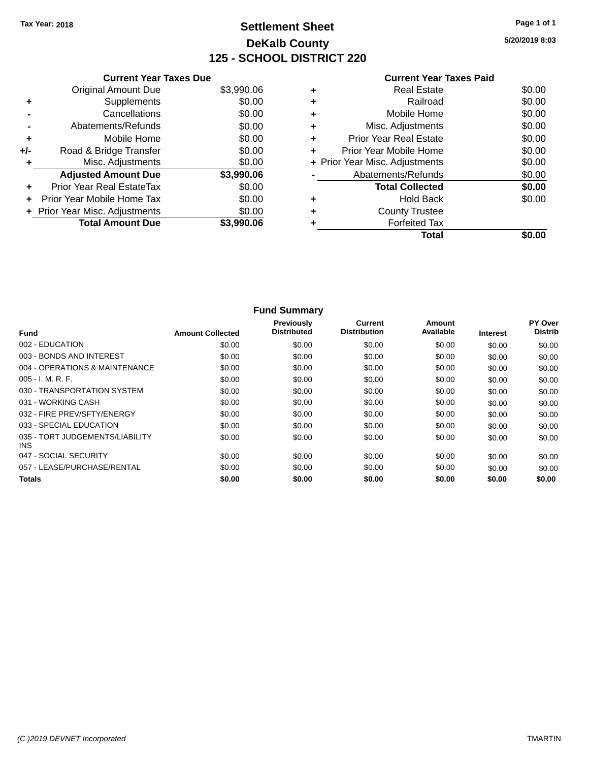### **Settlement Sheet Tax Year: 2018 Page 1 of 1 DeKalb County 125 - SCHOOL DISTRICT 220**

**5/20/2019 8:03**

|       | <b>Current Year Taxes Due</b>  |            |
|-------|--------------------------------|------------|
|       | <b>Original Amount Due</b>     | \$3,990.06 |
| ٠     | Supplements                    | \$0.00     |
|       | Cancellations                  | \$0.00     |
|       | Abatements/Refunds             | \$0.00     |
| ٠     | Mobile Home                    | \$0.00     |
| $+/-$ | Road & Bridge Transfer         | \$0.00     |
|       | Misc. Adjustments              | \$0.00     |
|       | <b>Adjusted Amount Due</b>     | \$3,990.06 |
| ÷     | Prior Year Real EstateTax      | \$0.00     |
| ÷     | Prior Year Mobile Home Tax     | \$0.00     |
|       | + Prior Year Misc. Adjustments | \$0.00     |
|       | <b>Total Amount Due</b>        | \$3,990.06 |
|       |                                |            |

#### **Current Year Taxes Paid +** Real Estate \$0.00 **+** Railroad \$0.00<br>▲ Mobile Home \$0.00 **Mobile Home**

|           | Total                          | \$0.00       |
|-----------|--------------------------------|--------------|
|           | <b>Forfeited Tax</b>           |              |
| $\ddot{}$ | <b>County Trustee</b>          |              |
| ٠         | <b>Hold Back</b>               | \$0.00       |
|           | <b>Total Collected</b>         | \$0.00       |
|           | Abatements/Refunds             | \$0.00       |
|           | + Prior Year Misc. Adjustments | \$0.00       |
| ÷         | Prior Year Mobile Home         | \$0.00       |
| ÷         | <b>Prior Year Real Estate</b>  | \$0.00       |
| $\ddot{}$ | Misc. Adjustments              | \$0.00       |
| ÷         | <b>NODIE HOTHE</b>             | <b>JU.UU</b> |

| <b>Fund Summary</b>                     |                         |                                  |                                |                     |                 |                           |
|-----------------------------------------|-------------------------|----------------------------------|--------------------------------|---------------------|-----------------|---------------------------|
| <b>Fund</b>                             | <b>Amount Collected</b> | Previously<br><b>Distributed</b> | Current<br><b>Distribution</b> | Amount<br>Available | <b>Interest</b> | PY Over<br><b>Distrib</b> |
| 002 - EDUCATION                         | \$0.00                  | \$0.00                           | \$0.00                         | \$0.00              | \$0.00          | \$0.00                    |
| 003 - BONDS AND INTEREST                | \$0.00                  | \$0.00                           | \$0.00                         | \$0.00              | \$0.00          | \$0.00                    |
| 004 - OPERATIONS & MAINTENANCE          | \$0.00                  | \$0.00                           | \$0.00                         | \$0.00              | \$0.00          | \$0.00                    |
| 005 - I. M. R. F.                       | \$0.00                  | \$0.00                           | \$0.00                         | \$0.00              | \$0.00          | \$0.00                    |
| 030 - TRANSPORTATION SYSTEM             | \$0.00                  | \$0.00                           | \$0.00                         | \$0.00              | \$0.00          | \$0.00                    |
| 031 - WORKING CASH                      | \$0.00                  | \$0.00                           | \$0.00                         | \$0.00              | \$0.00          | \$0.00                    |
| 032 - FIRE PREV/SFTY/ENERGY             | \$0.00                  | \$0.00                           | \$0.00                         | \$0.00              | \$0.00          | \$0.00                    |
| 033 - SPECIAL EDUCATION                 | \$0.00                  | \$0.00                           | \$0.00                         | \$0.00              | \$0.00          | \$0.00                    |
| 035 - TORT JUDGEMENTS/LIABILITY<br>INS. | \$0.00                  | \$0.00                           | \$0.00                         | \$0.00              | \$0.00          | \$0.00                    |
| 047 - SOCIAL SECURITY                   | \$0.00                  | \$0.00                           | \$0.00                         | \$0.00              | \$0.00          | \$0.00                    |
| 057 - LEASE/PURCHASE/RENTAL             | \$0.00                  | \$0.00                           | \$0.00                         | \$0.00              | \$0.00          | \$0.00                    |
| <b>Totals</b>                           | \$0.00                  | \$0.00                           | \$0.00                         | \$0.00              | \$0.00          | \$0.00                    |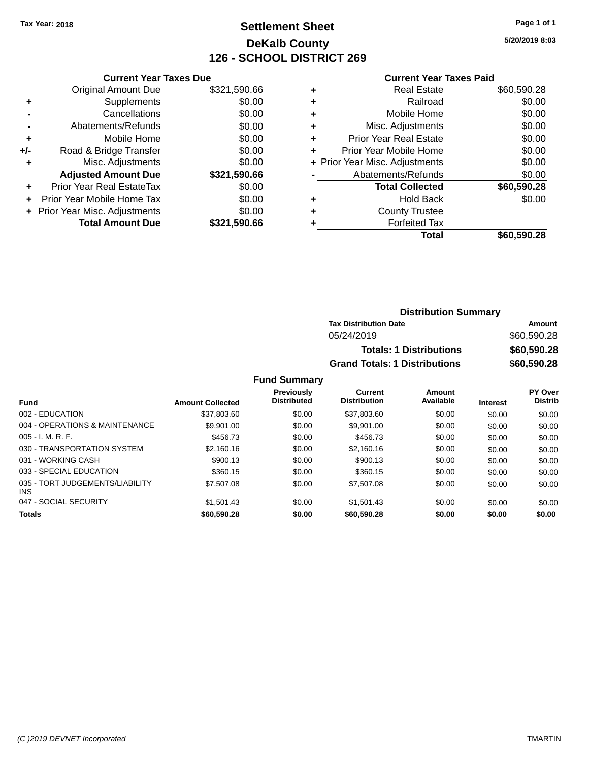### **Settlement Sheet Tax Year: 2018 Page 1 of 1 DeKalb County 126 - SCHOOL DISTRICT 269**

**5/20/2019 8:03**

#### **Current Year Taxes Paid**

|       | <b>Current Year Taxes Due</b>  |              |
|-------|--------------------------------|--------------|
|       | <b>Original Amount Due</b>     | \$321,590.66 |
| ٠     | Supplements                    | \$0.00       |
|       | Cancellations                  | \$0.00       |
|       | Abatements/Refunds             | \$0.00       |
| ٠     | Mobile Home                    | \$0.00       |
| $+/-$ | Road & Bridge Transfer         | \$0.00       |
|       | Misc. Adjustments              | \$0.00       |
|       | <b>Adjusted Amount Due</b>     | \$321,590.66 |
| ٠     | Prior Year Real EstateTax      | \$0.00       |
|       | Prior Year Mobile Home Tax     | \$0.00       |
|       | + Prior Year Misc. Adjustments | \$0.00       |
|       | <b>Total Amount Due</b>        | \$321,590.66 |
|       |                                |              |

|   | Real Estate                    | \$60,590.28 |
|---|--------------------------------|-------------|
| ٠ | Railroad                       | \$0.00      |
| ٠ | Mobile Home                    | \$0.00      |
| ٠ | Misc. Adjustments              | \$0.00      |
| ٠ | <b>Prior Year Real Estate</b>  | \$0.00      |
| ÷ | Prior Year Mobile Home         | \$0.00      |
|   | + Prior Year Misc. Adjustments | \$0.00      |
|   | Abatements/Refunds             | \$0.00      |
|   | <b>Total Collected</b>         | \$60,590.28 |
| ٠ | Hold Back                      | \$0.00      |
| ٠ | <b>County Trustee</b>          |             |
|   | <b>Forfeited Tax</b>           |             |
|   | <b>Total</b>                   | \$60,590.28 |
|   |                                |             |

| <b>Distribution Summary</b>          |             |
|--------------------------------------|-------------|
| <b>Tax Distribution Date</b>         | Amount      |
| 05/24/2019                           | \$60,590.28 |
| <b>Totals: 1 Distributions</b>       | \$60,590.28 |
| <b>Grand Totals: 1 Distributions</b> | \$60,590.28 |

| <b>Fund</b>                                   | <b>Amount Collected</b> | <b>Previously</b><br><b>Distributed</b> | <b>Current</b><br><b>Distribution</b> | Amount<br>Available | <b>Interest</b> | <b>PY Over</b><br><b>Distrib</b> |
|-----------------------------------------------|-------------------------|-----------------------------------------|---------------------------------------|---------------------|-----------------|----------------------------------|
| 002 - EDUCATION                               | \$37,803,60             | \$0.00                                  | \$37,803,60                           | \$0.00              | \$0.00          | \$0.00                           |
| 004 - OPERATIONS & MAINTENANCE                | \$9.901.00              | \$0.00                                  | \$9.901.00                            | \$0.00              | \$0.00          | \$0.00                           |
| $005 - I. M. R. F.$                           | \$456.73                | \$0.00                                  | \$456.73                              | \$0.00              | \$0.00          | \$0.00                           |
| 030 - TRANSPORTATION SYSTEM                   | \$2,160.16              | \$0.00                                  | \$2,160.16                            | \$0.00              | \$0.00          | \$0.00                           |
| 031 - WORKING CASH                            | \$900.13                | \$0.00                                  | \$900.13                              | \$0.00              | \$0.00          | \$0.00                           |
| 033 - SPECIAL EDUCATION                       | \$360.15                | \$0.00                                  | \$360.15                              | \$0.00              | \$0.00          | \$0.00                           |
| 035 - TORT JUDGEMENTS/LIABILITY<br><b>INS</b> | \$7,507.08              | \$0.00                                  | \$7,507.08                            | \$0.00              | \$0.00          | \$0.00                           |
| 047 - SOCIAL SECURITY                         | \$1.501.43              | \$0.00                                  | \$1.501.43                            | \$0.00              | \$0.00          | \$0.00                           |
| <b>Totals</b>                                 | \$60,590,28             | \$0.00                                  | \$60,590.28                           | \$0.00              | \$0.00          | \$0.00                           |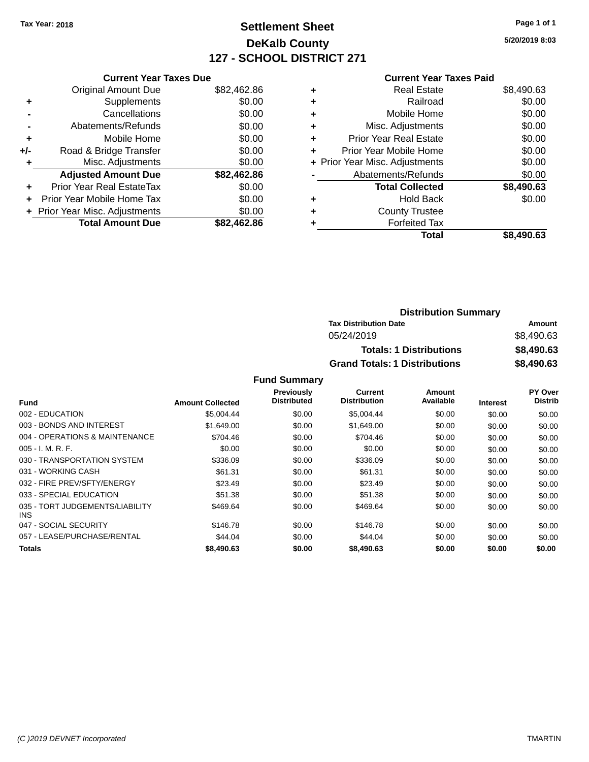### **Settlement Sheet Tax Year: 2018 Page 1 of 1 DeKalb County 127 - SCHOOL DISTRICT 271**

**5/20/2019 8:03**

### **Current Year Taxes Paid**

| <b>Original Amount Due</b> | \$82,462.86                                                   |
|----------------------------|---------------------------------------------------------------|
| Supplements                | \$0.00                                                        |
| Cancellations              | \$0.00                                                        |
| Abatements/Refunds         | \$0.00                                                        |
| Mobile Home                | \$0.00                                                        |
| Road & Bridge Transfer     | \$0.00                                                        |
| Misc. Adjustments          | \$0.00                                                        |
| <b>Adjusted Amount Due</b> | \$82,462.86                                                   |
| Prior Year Real EstateTax  | \$0.00                                                        |
| Prior Year Mobile Home Tax | \$0.00                                                        |
|                            | \$0.00                                                        |
| <b>Total Amount Due</b>    | \$82.462.86                                                   |
|                            | <b>Current Year Taxes Due</b><br>Prior Year Misc. Adjustments |

| ٠ | <b>Real Estate</b>             | \$8,490.63 |
|---|--------------------------------|------------|
| ٠ | Railroad                       | \$0.00     |
| ٠ | Mobile Home                    | \$0.00     |
| ٠ | Misc. Adjustments              | \$0.00     |
| ٠ | <b>Prior Year Real Estate</b>  | \$0.00     |
| ٠ | Prior Year Mobile Home         | \$0.00     |
|   | + Prior Year Misc. Adjustments | \$0.00     |
|   | Abatements/Refunds             | \$0.00     |
|   | <b>Total Collected</b>         | \$8,490.63 |
| ٠ | <b>Hold Back</b>               | \$0.00     |
| ٠ | <b>County Trustee</b>          |            |
| ٠ | <b>Forfeited Tax</b>           |            |
|   | Total                          | \$8,490.63 |
|   |                                |            |

| <b>Distribution Summary</b>          |            |
|--------------------------------------|------------|
| <b>Tax Distribution Date</b>         | Amount     |
| 05/24/2019                           | \$8,490.63 |
| <b>Totals: 1 Distributions</b>       | \$8,490.63 |
| <b>Grand Totals: 1 Distributions</b> | \$8,490.63 |

|                                         |                         | <b>Previously</b>  | <b>Current</b>      | Amount    |                 | PY Over        |
|-----------------------------------------|-------------------------|--------------------|---------------------|-----------|-----------------|----------------|
| <b>Fund</b>                             | <b>Amount Collected</b> | <b>Distributed</b> | <b>Distribution</b> | Available | <b>Interest</b> | <b>Distrib</b> |
| 002 - EDUCATION                         | \$5,004.44              | \$0.00             | \$5,004.44          | \$0.00    | \$0.00          | \$0.00         |
| 003 - BONDS AND INTEREST                | \$1.649.00              | \$0.00             | \$1,649.00          | \$0.00    | \$0.00          | \$0.00         |
| 004 - OPERATIONS & MAINTENANCE          | \$704.46                | \$0.00             | \$704.46            | \$0.00    | \$0.00          | \$0.00         |
| $005 - I. M. R. F.$                     | \$0.00                  | \$0.00             | \$0.00              | \$0.00    | \$0.00          | \$0.00         |
| 030 - TRANSPORTATION SYSTEM             | \$336.09                | \$0.00             | \$336.09            | \$0.00    | \$0.00          | \$0.00         |
| 031 - WORKING CASH                      | \$61.31                 | \$0.00             | \$61.31             | \$0.00    | \$0.00          | \$0.00         |
| 032 - FIRE PREV/SFTY/ENERGY             | \$23.49                 | \$0.00             | \$23.49             | \$0.00    | \$0.00          | \$0.00         |
| 033 - SPECIAL EDUCATION                 | \$51.38                 | \$0.00             | \$51.38             | \$0.00    | \$0.00          | \$0.00         |
| 035 - TORT JUDGEMENTS/LIABILITY<br>INS. | \$469.64                | \$0.00             | \$469.64            | \$0.00    | \$0.00          | \$0.00         |
| 047 - SOCIAL SECURITY                   | \$146.78                | \$0.00             | \$146.78            | \$0.00    | \$0.00          | \$0.00         |
| 057 - LEASE/PURCHASE/RENTAL             | \$44.04                 | \$0.00             | \$44.04             | \$0.00    | \$0.00          | \$0.00         |
| <b>Totals</b>                           | \$8,490.63              | \$0.00             | \$8,490.63          | \$0.00    | \$0.00          | \$0.00         |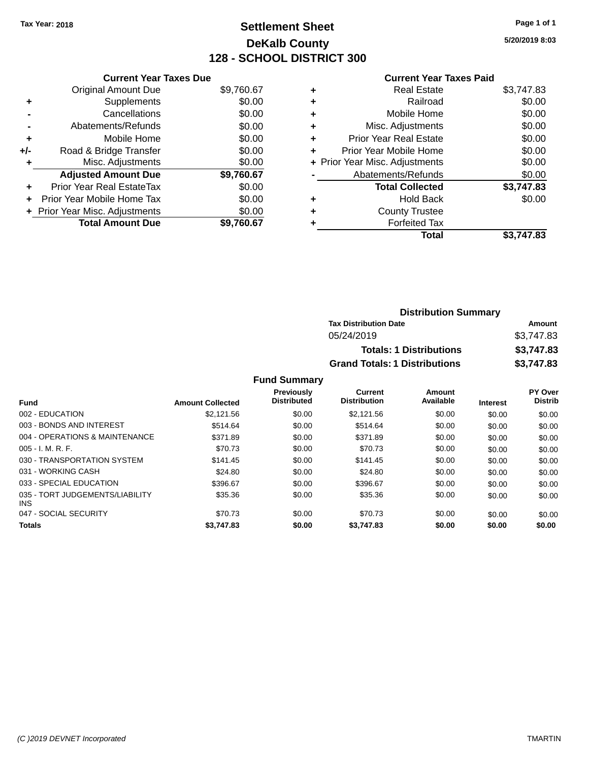### **Settlement Sheet Tax Year: 2018 Page 1 of 1 DeKalb County 128 - SCHOOL DISTRICT 300**

**5/20/2019 8:03**

| <b>Current Year Taxes Due</b>    |            |
|----------------------------------|------------|
| <b>Original Amount Due</b>       | \$9,760.67 |
| Supplements                      | \$0.00     |
| Cancellations                    | \$0.00     |
| Abatements/Refunds               | \$0.00     |
| Mobile Home                      | \$0.00     |
| Road & Bridge Transfer           | \$0.00     |
|                                  |            |
| Misc. Adjustments                | \$0.00     |
| <b>Adjusted Amount Due</b>       | \$9,760.67 |
| <b>Prior Year Real EstateTax</b> | \$0.00     |
| Prior Year Mobile Home Tax       | \$0.00     |
| + Prior Year Misc. Adjustments   | \$0.00     |
|                                  |            |

### **Current Year Taxes Paid**

| <b>Distribution Summary</b>          |            |
|--------------------------------------|------------|
| <b>Tax Distribution Date</b>         | Amount     |
| 05/24/2019                           | \$3,747.83 |
| <b>Totals: 1 Distributions</b>       | \$3,747.83 |
| <b>Grand Totals: 1 Distributions</b> | \$3,747.83 |

| <b>Fund</b>                             | <b>Amount Collected</b> | <b>Previously</b><br><b>Distributed</b> | <b>Current</b><br><b>Distribution</b> | Amount<br>Available | <b>Interest</b> | PY Over<br><b>Distrib</b> |
|-----------------------------------------|-------------------------|-----------------------------------------|---------------------------------------|---------------------|-----------------|---------------------------|
| 002 - EDUCATION                         | \$2,121.56              | \$0.00                                  | \$2,121.56                            | \$0.00              | \$0.00          | \$0.00                    |
| 003 - BONDS AND INTEREST                | \$514.64                | \$0.00                                  | \$514.64                              | \$0.00              | \$0.00          | \$0.00                    |
| 004 - OPERATIONS & MAINTENANCE          | \$371.89                | \$0.00                                  | \$371.89                              | \$0.00              | \$0.00          | \$0.00                    |
| $005 - I. M. R. F.$                     | \$70.73                 | \$0.00                                  | \$70.73                               | \$0.00              | \$0.00          | \$0.00                    |
| 030 - TRANSPORTATION SYSTEM             | \$141.45                | \$0.00                                  | \$141.45                              | \$0.00              | \$0.00          | \$0.00                    |
| 031 - WORKING CASH                      | \$24.80                 | \$0.00                                  | \$24.80                               | \$0.00              | \$0.00          | \$0.00                    |
| 033 - SPECIAL EDUCATION                 | \$396.67                | \$0.00                                  | \$396.67                              | \$0.00              | \$0.00          | \$0.00                    |
| 035 - TORT JUDGEMENTS/LIABILITY<br>INS. | \$35.36                 | \$0.00                                  | \$35.36                               | \$0.00              | \$0.00          | \$0.00                    |
| 047 - SOCIAL SECURITY                   | \$70.73                 | \$0.00                                  | \$70.73                               | \$0.00              | \$0.00          | \$0.00                    |
| <b>Totals</b>                           | \$3,747.83              | \$0.00                                  | \$3,747.83                            | \$0.00              | \$0.00          | \$0.00                    |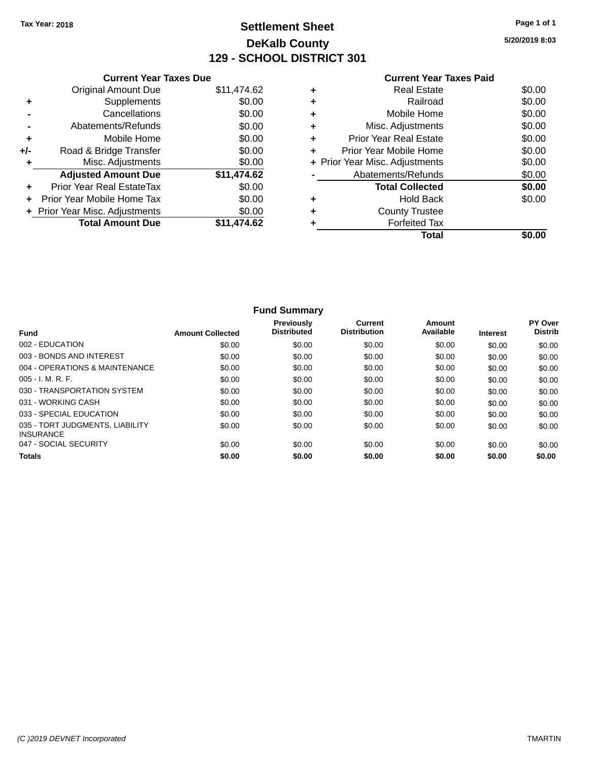### **Settlement Sheet Tax Year: 2018 Page 1 of 1 DeKalb County 129 - SCHOOL DISTRICT 301**

**5/20/2019 8:03**

|       | <b>Current Year Taxes Due</b>  |             |
|-------|--------------------------------|-------------|
|       | <b>Original Amount Due</b>     | \$11,474.62 |
| ٠     | Supplements                    | \$0.00      |
|       | Cancellations                  | \$0.00      |
|       | Abatements/Refunds             | \$0.00      |
| ٠     | Mobile Home                    | \$0.00      |
| $+/-$ | Road & Bridge Transfer         | \$0.00      |
| ٠     | Misc. Adjustments              | \$0.00      |
|       | <b>Adjusted Amount Due</b>     | \$11,474.62 |
| ٠     | Prior Year Real EstateTax      | \$0.00      |
|       | Prior Year Mobile Home Tax     | \$0.00      |
|       | + Prior Year Misc. Adjustments | \$0.00      |
|       | <b>Total Amount Due</b>        | \$11,474.62 |
|       |                                |             |

### **Current Year Taxes Paid +** Real Estate \$0.00 **+** Railroad \$0.00 **+** Mobile Home \$0.00 **+** Misc. Adjustments \$0.00 **+** Prior Year Real Estate \$0.00 **+** Prior Year Mobile Home \$0.00<br> **+** Prior Year Misc. Adjustments \$0.00 **+ Prior Year Misc. Adjustments -** Abatements/Refunds \$0.00 **Total Collected \$0.00 +** Hold Back \$0.00 **+** County Trustee **+** Forfeited Tax **Total \$0.00**

|                                                     |                         | <b>Fund Summary</b>              |                                       |                     |                 |                           |
|-----------------------------------------------------|-------------------------|----------------------------------|---------------------------------------|---------------------|-----------------|---------------------------|
| <b>Fund</b>                                         | <b>Amount Collected</b> | Previously<br><b>Distributed</b> | <b>Current</b><br><b>Distribution</b> | Amount<br>Available | <b>Interest</b> | PY Over<br><b>Distrib</b> |
| 002 - EDUCATION                                     | \$0.00                  | \$0.00                           | \$0.00                                | \$0.00              | \$0.00          | \$0.00                    |
| 003 - BONDS AND INTEREST                            | \$0.00                  | \$0.00                           | \$0.00                                | \$0.00              | \$0.00          | \$0.00                    |
| 004 - OPERATIONS & MAINTENANCE                      | \$0.00                  | \$0.00                           | \$0.00                                | \$0.00              | \$0.00          | \$0.00                    |
| $005 - I. M. R. F.$                                 | \$0.00                  | \$0.00                           | \$0.00                                | \$0.00              | \$0.00          | \$0.00                    |
| 030 - TRANSPORTATION SYSTEM                         | \$0.00                  | \$0.00                           | \$0.00                                | \$0.00              | \$0.00          | \$0.00                    |
| 031 - WORKING CASH                                  | \$0.00                  | \$0.00                           | \$0.00                                | \$0.00              | \$0.00          | \$0.00                    |
| 033 - SPECIAL EDUCATION                             | \$0.00                  | \$0.00                           | \$0.00                                | \$0.00              | \$0.00          | \$0.00                    |
| 035 - TORT JUDGMENTS, LIABILITY<br><b>INSURANCE</b> | \$0.00                  | \$0.00                           | \$0.00                                | \$0.00              | \$0.00          | \$0.00                    |
| 047 - SOCIAL SECURITY                               | \$0.00                  | \$0.00                           | \$0.00                                | \$0.00              | \$0.00          | \$0.00                    |
| <b>Totals</b>                                       | \$0.00                  | \$0.00                           | \$0.00                                | \$0.00              | \$0.00          | \$0.00                    |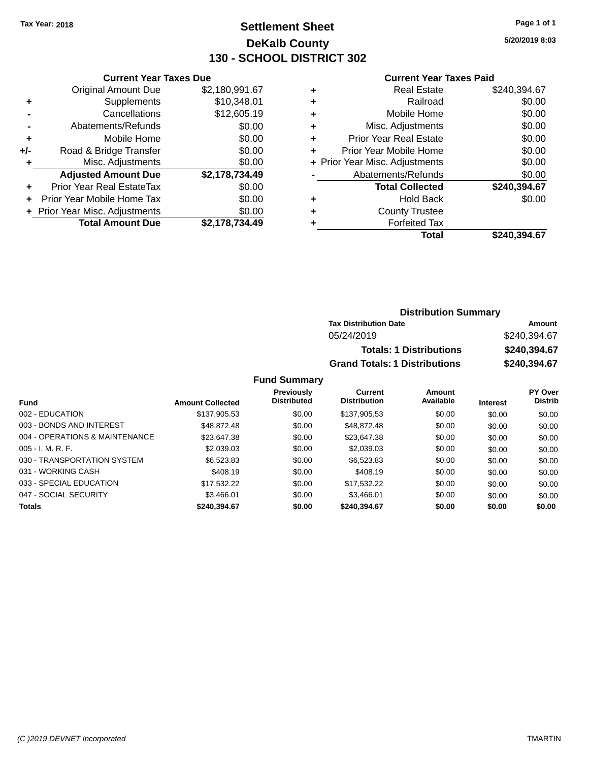### **Settlement Sheet Tax Year: 2018 Page 1 of 1 DeKalb County 130 - SCHOOL DISTRICT 302**

**5/20/2019 8:03**

#### **Current Year Taxes Paid**

|     | <b>Current Year Taxes Due</b>  |                |  |  |  |
|-----|--------------------------------|----------------|--|--|--|
|     | <b>Original Amount Due</b>     | \$2,180,991.67 |  |  |  |
| ÷   | Supplements                    | \$10,348.01    |  |  |  |
|     | Cancellations                  | \$12,605.19    |  |  |  |
|     | Abatements/Refunds             | \$0.00         |  |  |  |
| ٠   | Mobile Home                    | \$0.00         |  |  |  |
| +/- | Road & Bridge Transfer         | \$0.00         |  |  |  |
| ٠   | Misc. Adjustments              | \$0.00         |  |  |  |
|     | <b>Adjusted Amount Due</b>     | \$2,178,734.49 |  |  |  |
| ÷   | Prior Year Real EstateTax      | \$0.00         |  |  |  |
|     | Prior Year Mobile Home Tax     | \$0.00         |  |  |  |
|     | + Prior Year Misc. Adjustments | \$0.00         |  |  |  |
|     | <b>Total Amount Due</b>        | \$2,178,734.49 |  |  |  |

| ٠ | <b>Real Estate</b>             | \$240,394.67 |
|---|--------------------------------|--------------|
| ٠ | Railroad                       | \$0.00       |
| ٠ | Mobile Home                    | \$0.00       |
| ٠ | Misc. Adjustments              | \$0.00       |
| ٠ | <b>Prior Year Real Estate</b>  | \$0.00       |
| ٠ | Prior Year Mobile Home         | \$0.00       |
|   | + Prior Year Misc. Adjustments | \$0.00       |
|   | Abatements/Refunds             | \$0.00       |
|   | <b>Total Collected</b>         | \$240,394.67 |
| ٠ | <b>Hold Back</b>               | \$0.00       |
| ٠ | <b>County Trustee</b>          |              |
| ٠ | <b>Forfeited Tax</b>           |              |
|   | Total                          | \$240,394.67 |
|   |                                |              |

| <b>Distribution Summary</b>          |              |  |  |  |
|--------------------------------------|--------------|--|--|--|
| <b>Tax Distribution Date</b>         | Amount       |  |  |  |
| 05/24/2019                           | \$240,394.67 |  |  |  |
| <b>Totals: 1 Distributions</b>       | \$240,394.67 |  |  |  |
| <b>Grand Totals: 1 Distributions</b> | \$240,394.67 |  |  |  |

| <b>Fund</b>                    | <b>Amount Collected</b> | Previously<br><b>Distributed</b> | Current<br><b>Distribution</b> | Amount<br>Available | <b>Interest</b> | <b>PY Over</b><br><b>Distrib</b> |
|--------------------------------|-------------------------|----------------------------------|--------------------------------|---------------------|-----------------|----------------------------------|
|                                |                         |                                  |                                |                     |                 |                                  |
| 002 - EDUCATION                | \$137,905.53            | \$0.00                           | \$137,905.53                   | \$0.00              | \$0.00          | \$0.00                           |
| 003 - BONDS AND INTEREST       | \$48.872.48             | \$0.00                           | \$48,872,48                    | \$0.00              | \$0.00          | \$0.00                           |
| 004 - OPERATIONS & MAINTENANCE | \$23,647.38             | \$0.00                           | \$23,647.38                    | \$0.00              | \$0.00          | \$0.00                           |
| $005 - I. M. R. F.$            | \$2,039.03              | \$0.00                           | \$2,039.03                     | \$0.00              | \$0.00          | \$0.00                           |
| 030 - TRANSPORTATION SYSTEM    | \$6,523.83              | \$0.00                           | \$6,523.83                     | \$0.00              | \$0.00          | \$0.00                           |
| 031 - WORKING CASH             | \$408.19                | \$0.00                           | \$408.19                       | \$0.00              | \$0.00          | \$0.00                           |
| 033 - SPECIAL EDUCATION        | \$17,532.22             | \$0.00                           | \$17.532.22                    | \$0.00              | \$0.00          | \$0.00                           |
| 047 - SOCIAL SECURITY          | \$3.466.01              | \$0.00                           | \$3.466.01                     | \$0.00              | \$0.00          | \$0.00                           |
| <b>Totals</b>                  | \$240,394.67            | \$0.00                           | \$240,394.67                   | \$0.00              | \$0.00          | \$0.00                           |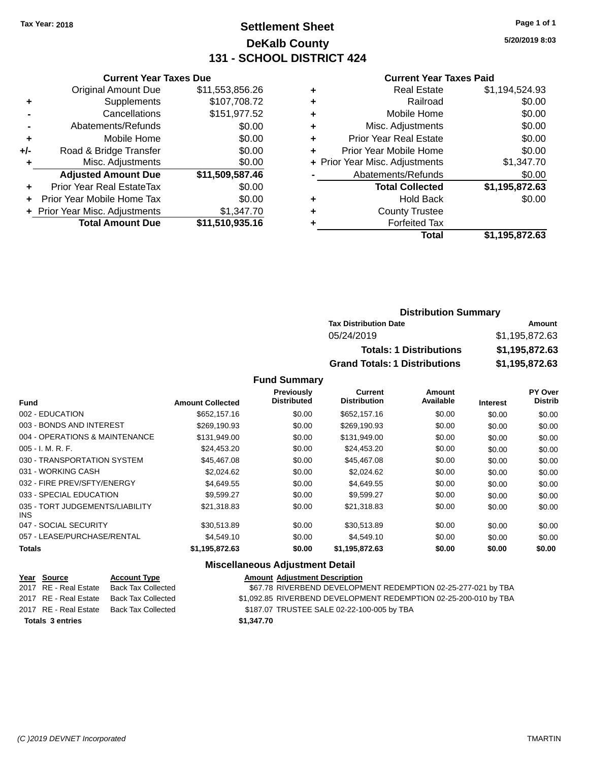### **Settlement Sheet Tax Year: 2018 Page 1 of 1 DeKalb County 131 - SCHOOL DISTRICT 424**

**5/20/2019 8:03**

#### **Current Year Taxes Paid**

|       | <b>Current Year Taxes Due</b>    |                 |
|-------|----------------------------------|-----------------|
|       | <b>Original Amount Due</b>       | \$11,553,856.26 |
| ٠     | Supplements                      | \$107,708.72    |
|       | Cancellations                    | \$151,977.52    |
|       | Abatements/Refunds               | \$0.00          |
| ٠     | Mobile Home                      | \$0.00          |
| $+/-$ | Road & Bridge Transfer           | \$0.00          |
| ٠     | Misc. Adjustments                | \$0.00          |
|       | <b>Adjusted Amount Due</b>       | \$11,509,587.46 |
| ÷     | <b>Prior Year Real EstateTax</b> | \$0.00          |
|       | Prior Year Mobile Home Tax       | \$0.00          |
|       | + Prior Year Misc. Adjustments   | \$1,347.70      |
|       | <b>Total Amount Due</b>          | \$11,510,935.16 |
|       |                                  |                 |

|   | <b>Real Estate</b>             | \$1,194,524.93 |
|---|--------------------------------|----------------|
| ٠ | Railroad                       | \$0.00         |
| ٠ | Mobile Home                    | \$0.00         |
| ٠ | Misc. Adjustments              | \$0.00         |
| ٠ | <b>Prior Year Real Estate</b>  | \$0.00         |
| ٠ | Prior Year Mobile Home         | \$0.00         |
|   | + Prior Year Misc. Adjustments | \$1,347.70     |
|   | Abatements/Refunds             | \$0.00         |
|   | <b>Total Collected</b>         | \$1,195,872.63 |
| ٠ | <b>Hold Back</b>               | \$0.00         |
| ٠ | <b>County Trustee</b>          |                |
| ٠ | <b>Forfeited Tax</b>           |                |
|   | Total                          | \$1,195,872.63 |
|   |                                |                |

### **Distribution Summary Tax Distribution Date Amount** 05/24/2019 \$1,195,872.63 **Totals: 1 Distributions \$1,195,872.63 Grand Totals: 1 Distributions \$1,195,872.63**

#### **Fund Summary**

|                                         |                         | Previously         | <b>Current</b>      | Amount    |                 | PY Over        |
|-----------------------------------------|-------------------------|--------------------|---------------------|-----------|-----------------|----------------|
| <b>Fund</b>                             | <b>Amount Collected</b> | <b>Distributed</b> | <b>Distribution</b> | Available | <b>Interest</b> | <b>Distrib</b> |
| 002 - EDUCATION                         | \$652,157.16            | \$0.00             | \$652,157.16        | \$0.00    | \$0.00          | \$0.00         |
| 003 - BONDS AND INTEREST                | \$269,190.93            | \$0.00             | \$269,190.93        | \$0.00    | \$0.00          | \$0.00         |
| 004 - OPERATIONS & MAINTENANCE          | \$131,949.00            | \$0.00             | \$131,949.00        | \$0.00    | \$0.00          | \$0.00         |
| $005 - I. M. R. F.$                     | \$24,453.20             | \$0.00             | \$24,453.20         | \$0.00    | \$0.00          | \$0.00         |
| 030 - TRANSPORTATION SYSTEM             | \$45,467.08             | \$0.00             | \$45,467.08         | \$0.00    | \$0.00          | \$0.00         |
| 031 - WORKING CASH                      | \$2.024.62              | \$0.00             | \$2,024.62          | \$0.00    | \$0.00          | \$0.00         |
| 032 - FIRE PREV/SFTY/ENERGY             | \$4.649.55              | \$0.00             | \$4,649.55          | \$0.00    | \$0.00          | \$0.00         |
| 033 - SPECIAL EDUCATION                 | \$9.599.27              | \$0.00             | \$9,599.27          | \$0.00    | \$0.00          | \$0.00         |
| 035 - TORT JUDGEMENTS/LIABILITY<br>INS. | \$21,318.83             | \$0.00             | \$21,318.83         | \$0.00    | \$0.00          | \$0.00         |
| 047 - SOCIAL SECURITY                   | \$30.513.89             | \$0.00             | \$30,513.89         | \$0.00    | \$0.00          | \$0.00         |
| 057 - LEASE/PURCHASE/RENTAL             | \$4,549.10              | \$0.00             | \$4,549.10          | \$0.00    | \$0.00          | \$0.00         |
| <b>Totals</b>                           | \$1,195,872.63          | \$0.00             | \$1,195,872.63      | \$0.00    | \$0.00          | \$0.00         |

### **Miscellaneous Adjustment Detail**

| Year Source             | <b>Account Type</b> |            | <b>Amount Adjustment Description</b>                             |
|-------------------------|---------------------|------------|------------------------------------------------------------------|
| 2017 RE - Real Estate   | Back Tax Collected  |            | \$67.78 RIVERBEND DEVELOPMENT REDEMPTION 02-25-277-021 by TBA    |
| 2017 RE - Real Estate   | Back Tax Collected  |            | \$1,092.85 RIVERBEND DEVELOPMENT REDEMPTION 02-25-200-010 by TBA |
| 2017 RE - Real Estate   | Back Tax Collected  |            | \$187.07 TRUSTEE SALE 02-22-100-005 by TBA                       |
| <b>Totals 3 entries</b> |                     | \$1,347.70 |                                                                  |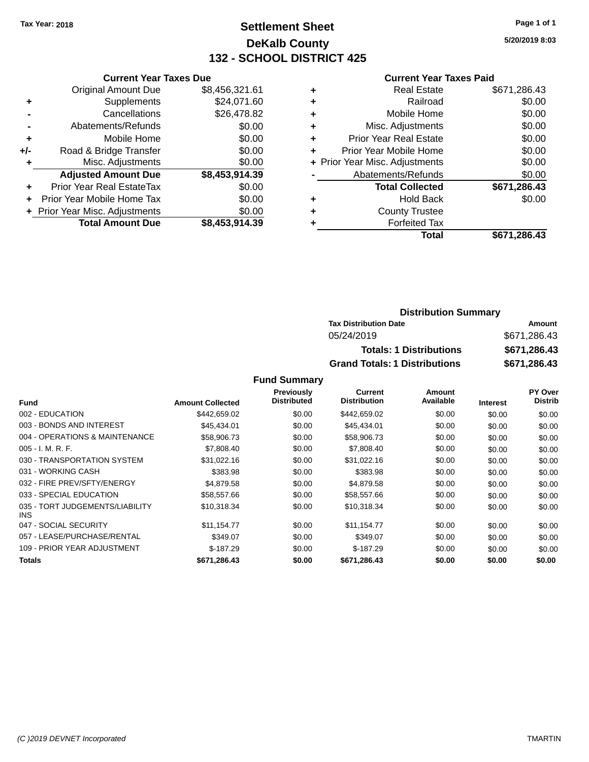### **Settlement Sheet Tax Year: 2018 Page 1 of 1 DeKalb County 132 - SCHOOL DISTRICT 425**

**5/20/2019 8:03**

#### **Current Year Taxes Paid**

|     | <b>Current Year Taxes Due</b>            |                |  |  |  |
|-----|------------------------------------------|----------------|--|--|--|
|     | <b>Original Amount Due</b>               | \$8,456,321.61 |  |  |  |
| ٠   | Supplements                              | \$24,071.60    |  |  |  |
|     | Cancellations                            | \$26,478.82    |  |  |  |
|     | Abatements/Refunds                       | \$0.00         |  |  |  |
| ٠   | Mobile Home                              | \$0.00         |  |  |  |
| +/- | Road & Bridge Transfer                   | \$0.00         |  |  |  |
| ٠   | Misc. Adjustments                        | \$0.00         |  |  |  |
|     | <b>Adjusted Amount Due</b>               | \$8,453,914.39 |  |  |  |
| ÷   | Prior Year Real EstateTax                | \$0.00         |  |  |  |
| ÷   | Prior Year Mobile Home Tax               | \$0.00         |  |  |  |
|     | \$0.00<br>+ Prior Year Misc. Adjustments |                |  |  |  |
|     | <b>Total Amount Due</b>                  | \$8,453,914.39 |  |  |  |

| ٠ | <b>Real Estate</b>             | \$671,286.43 |
|---|--------------------------------|--------------|
| ٠ | Railroad                       | \$0.00       |
| ٠ | Mobile Home                    | \$0.00       |
| ٠ | Misc. Adjustments              | \$0.00       |
| ٠ | <b>Prior Year Real Estate</b>  | \$0.00       |
| ٠ | Prior Year Mobile Home         | \$0.00       |
|   | + Prior Year Misc. Adjustments | \$0.00       |
|   | Abatements/Refunds             | \$0.00       |
|   | <b>Total Collected</b>         | \$671,286.43 |
| ٠ | <b>Hold Back</b>               | \$0.00       |
| ٠ | <b>County Trustee</b>          |              |
|   | <b>Forfeited Tax</b>           |              |
|   | Total                          | \$671,286.43 |

### **Distribution Summary Tax Distribution Date Amount** 05/24/2019 \$671,286.43 **Totals: 1 Distributions \$671,286.43 Grand Totals: 1 Distributions \$671,286.43**

|                                         |                         | <b>Previously</b>  | Current             | <b>Amount</b> |                 | PY Over        |
|-----------------------------------------|-------------------------|--------------------|---------------------|---------------|-----------------|----------------|
| <b>Fund</b>                             | <b>Amount Collected</b> | <b>Distributed</b> | <b>Distribution</b> | Available     | <b>Interest</b> | <b>Distrib</b> |
| 002 - EDUCATION                         | \$442,659.02            | \$0.00             | \$442,659.02        | \$0.00        | \$0.00          | \$0.00         |
| 003 - BONDS AND INTEREST                | \$45,434.01             | \$0.00             | \$45,434.01         | \$0.00        | \$0.00          | \$0.00         |
| 004 - OPERATIONS & MAINTENANCE          | \$58,906.73             | \$0.00             | \$58,906.73         | \$0.00        | \$0.00          | \$0.00         |
| $005 - I. M. R. F.$                     | \$7,808.40              | \$0.00             | \$7,808.40          | \$0.00        | \$0.00          | \$0.00         |
| 030 - TRANSPORTATION SYSTEM             | \$31,022.16             | \$0.00             | \$31,022.16         | \$0.00        | \$0.00          | \$0.00         |
| 031 - WORKING CASH                      | \$383.98                | \$0.00             | \$383.98            | \$0.00        | \$0.00          | \$0.00         |
| 032 - FIRE PREV/SFTY/ENERGY             | \$4.879.58              | \$0.00             | \$4,879.58          | \$0.00        | \$0.00          | \$0.00         |
| 033 - SPECIAL EDUCATION                 | \$58,557.66             | \$0.00             | \$58,557.66         | \$0.00        | \$0.00          | \$0.00         |
| 035 - TORT JUDGEMENTS/LIABILITY<br>INS. | \$10,318.34             | \$0.00             | \$10,318.34         | \$0.00        | \$0.00          | \$0.00         |
| 047 - SOCIAL SECURITY                   | \$11.154.77             | \$0.00             | \$11.154.77         | \$0.00        | \$0.00          | \$0.00         |
| 057 - LEASE/PURCHASE/RENTAL             | \$349.07                | \$0.00             | \$349.07            | \$0.00        | \$0.00          | \$0.00         |
| 109 - PRIOR YEAR ADJUSTMENT             | $$-187.29$              | \$0.00             | $$-187.29$          | \$0.00        | \$0.00          | \$0.00         |
| <b>Totals</b>                           | \$671,286.43            | \$0.00             | \$671,286.43        | \$0.00        | \$0.00          | \$0.00         |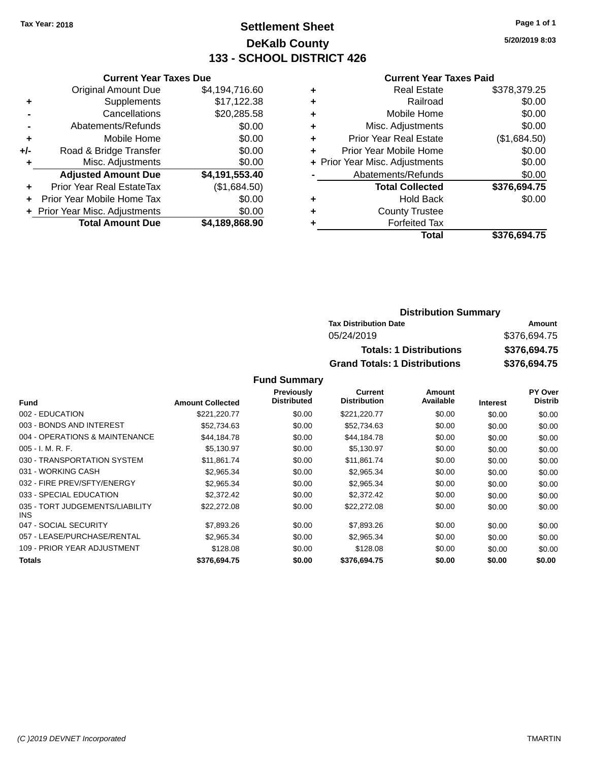### **Settlement Sheet Tax Year: 2018 Page 1 of 1 DeKalb County 133 - SCHOOL DISTRICT 426**

**5/20/2019 8:03**

#### **Current Year Taxes Paid**

|       | <b>Current Year Taxes Due</b> |                |
|-------|-------------------------------|----------------|
|       | <b>Original Amount Due</b>    | \$4,194,716.60 |
| ٠     | Supplements                   | \$17,122.38    |
|       | Cancellations                 | \$20,285.58    |
|       | Abatements/Refunds            | \$0.00         |
| ٠     | Mobile Home                   | \$0.00         |
| $+/-$ | Road & Bridge Transfer        | \$0.00         |
|       | Misc. Adjustments             | \$0.00         |
|       | <b>Adjusted Amount Due</b>    | \$4,191,553.40 |
| ÷     | Prior Year Real EstateTax     | (\$1,684.50)   |
|       | Prior Year Mobile Home Tax    | \$0.00         |
|       | Prior Year Misc. Adjustments  | \$0.00         |
|       | <b>Total Amount Due</b>       | \$4,189,868.90 |
|       |                               |                |

| ٠ | <b>Real Estate</b>             | \$378,379.25 |
|---|--------------------------------|--------------|
| ٠ | Railroad                       | \$0.00       |
| ٠ | Mobile Home                    | \$0.00       |
| ٠ | Misc. Adjustments              | \$0.00       |
| ٠ | <b>Prior Year Real Estate</b>  | (\$1,684.50) |
| ÷ | Prior Year Mobile Home         | \$0.00       |
|   | + Prior Year Misc. Adjustments | \$0.00       |
|   | Abatements/Refunds             | \$0.00       |
|   | <b>Total Collected</b>         | \$376,694.75 |
| ٠ | <b>Hold Back</b>               | \$0.00       |
| ٠ | <b>County Trustee</b>          |              |
| ٠ | <b>Forfeited Tax</b>           |              |
|   | Total                          | \$376,694.75 |
|   |                                |              |

### **Distribution Summary Tax Distribution Date Amount** 05/24/2019 \$376,694.75 **Totals: 1 Distributions \$376,694.75 Grand Totals: 1 Distributions \$376,694.75**

|                                         |                         | Previously         | Current             | Amount    |                 | PY Over        |
|-----------------------------------------|-------------------------|--------------------|---------------------|-----------|-----------------|----------------|
| <b>Fund</b>                             | <b>Amount Collected</b> | <b>Distributed</b> | <b>Distribution</b> | Available | <b>Interest</b> | <b>Distrib</b> |
| 002 - EDUCATION                         | \$221,220.77            | \$0.00             | \$221,220.77        | \$0.00    | \$0.00          | \$0.00         |
| 003 - BONDS AND INTEREST                | \$52,734.63             | \$0.00             | \$52,734.63         | \$0.00    | \$0.00          | \$0.00         |
| 004 - OPERATIONS & MAINTENANCE          | \$44,184.78             | \$0.00             | \$44,184.78         | \$0.00    | \$0.00          | \$0.00         |
| $005 - I. M. R. F.$                     | \$5,130.97              | \$0.00             | \$5,130.97          | \$0.00    | \$0.00          | \$0.00         |
| 030 - TRANSPORTATION SYSTEM             | \$11,861.74             | \$0.00             | \$11,861.74         | \$0.00    | \$0.00          | \$0.00         |
| 031 - WORKING CASH                      | \$2,965.34              | \$0.00             | \$2,965.34          | \$0.00    | \$0.00          | \$0.00         |
| 032 - FIRE PREV/SFTY/ENERGY             | \$2.965.34              | \$0.00             | \$2.965.34          | \$0.00    | \$0.00          | \$0.00         |
| 033 - SPECIAL EDUCATION                 | \$2,372.42              | \$0.00             | \$2,372.42          | \$0.00    | \$0.00          | \$0.00         |
| 035 - TORT JUDGEMENTS/LIABILITY<br>INS. | \$22,272.08             | \$0.00             | \$22,272.08         | \$0.00    | \$0.00          | \$0.00         |
| 047 - SOCIAL SECURITY                   | \$7,893.26              | \$0.00             | \$7,893.26          | \$0.00    | \$0.00          | \$0.00         |
| 057 - LEASE/PURCHASE/RENTAL             | \$2.965.34              | \$0.00             | \$2,965.34          | \$0.00    | \$0.00          | \$0.00         |
| 109 - PRIOR YEAR ADJUSTMENT             | \$128.08                | \$0.00             | \$128.08            | \$0.00    | \$0.00          | \$0.00         |
| <b>Totals</b>                           | \$376,694.75            | \$0.00             | \$376,694.75        | \$0.00    | \$0.00          | \$0.00         |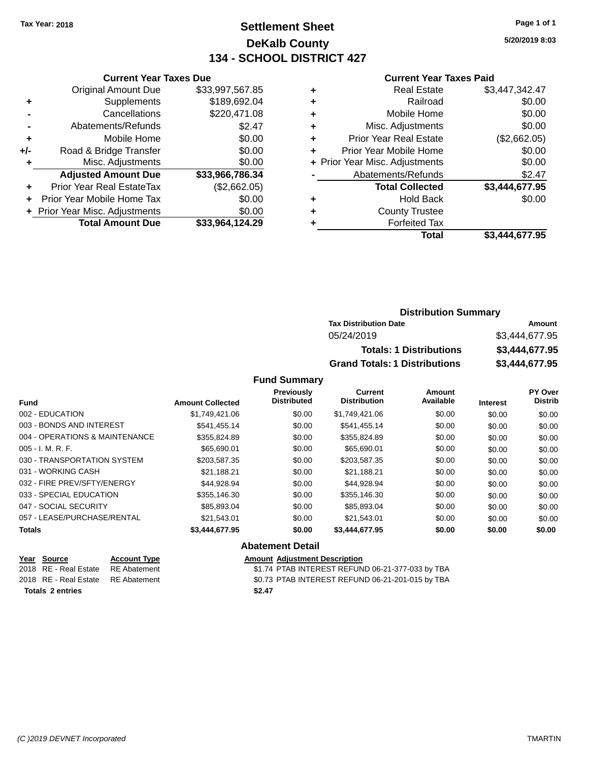### **Settlement Sheet Tax Year: 2018 Page 1 of 1 DeKalb County 134 - SCHOOL DISTRICT 427**

**5/20/2019 8:03**

#### **Current Year Taxes Paid**

|     | <b>Total Amount Due</b>        | \$33,964,124.29 |
|-----|--------------------------------|-----------------|
|     | + Prior Year Misc. Adjustments | \$0.00          |
|     | Prior Year Mobile Home Tax     | \$0.00          |
| ٠   | Prior Year Real EstateTax      | (\$2,662.05)    |
|     | <b>Adjusted Amount Due</b>     | \$33,966,786.34 |
| ٠   | Misc. Adjustments              | \$0.00          |
| +/- | Road & Bridge Transfer         | \$0.00          |
| ٠   | Mobile Home                    | \$0.00          |
|     | Abatements/Refunds             | \$2.47          |
|     | Cancellations                  | \$220,471.08    |
| ٠   | Supplements                    | \$189,692.04    |
|     | <b>Original Amount Due</b>     | \$33,997,567.85 |
|     |                                |                 |

**Current Year Taxes Due**

|   | <b>Real Estate</b>             | \$3,447,342.47 |
|---|--------------------------------|----------------|
| ٠ | Railroad                       | \$0.00         |
| ٠ | Mobile Home                    | \$0.00         |
| ٠ | Misc. Adjustments              | \$0.00         |
| ٠ | <b>Prior Year Real Estate</b>  | (\$2,662.05)   |
| ٠ | Prior Year Mobile Home         | \$0.00         |
|   | + Prior Year Misc. Adjustments | \$0.00         |
|   | Abatements/Refunds             | \$2.47         |
|   | <b>Total Collected</b>         | \$3,444,677.95 |
| ٠ | <b>Hold Back</b>               | \$0.00         |
| ٠ | <b>County Trustee</b>          |                |
| ٠ | <b>Forfeited Tax</b>           |                |
|   | Total                          | \$3,444,677.95 |
|   |                                |                |

### **Distribution Summary Tax Distribution Date Amount** 05/24/2019 \$3,444,677.95 **Totals: 1 Distributions \$3,444,677.95 Grand Totals: 1 Distributions \$3,444,677.95**

### **Fund Summary**

| <b>Fund</b>                    | <b>Amount Collected</b> | Previously<br><b>Distributed</b> | <b>Current</b><br><b>Distribution</b> | Amount<br>Available | <b>Interest</b> | PY Over<br><b>Distrib</b> |
|--------------------------------|-------------------------|----------------------------------|---------------------------------------|---------------------|-----------------|---------------------------|
| 002 - EDUCATION                | \$1,749,421.06          | \$0.00                           | \$1,749,421.06                        | \$0.00              | \$0.00          | \$0.00                    |
| 003 - BONDS AND INTEREST       | \$541.455.14            | \$0.00                           | \$541.455.14                          | \$0.00              | \$0.00          | \$0.00                    |
| 004 - OPERATIONS & MAINTENANCE | \$355.824.89            | \$0.00                           | \$355.824.89                          | \$0.00              | \$0.00          | \$0.00                    |
| $005 - I. M. R. F.$            | \$65,690.01             | \$0.00                           | \$65,690.01                           | \$0.00              | \$0.00          | \$0.00                    |
| 030 - TRANSPORTATION SYSTEM    | \$203.587.35            | \$0.00                           | \$203.587.35                          | \$0.00              | \$0.00          | \$0.00                    |
| 031 - WORKING CASH             | \$21.188.21             | \$0.00                           | \$21.188.21                           | \$0.00              | \$0.00          | \$0.00                    |
| 032 - FIRE PREV/SFTY/ENERGY    | \$44.928.94             | \$0.00                           | \$44.928.94                           | \$0.00              | \$0.00          | \$0.00                    |
| 033 - SPECIAL EDUCATION        | \$355,146.30            | \$0.00                           | \$355,146.30                          | \$0.00              | \$0.00          | \$0.00                    |
| 047 - SOCIAL SECURITY          | \$85,893,04             | \$0.00                           | \$85.893.04                           | \$0.00              | \$0.00          | \$0.00                    |
| 057 - LEASE/PURCHASE/RENTAL    | \$21.543.01             | \$0.00                           | \$21,543.01                           | \$0.00              | \$0.00          | \$0.00                    |
| <b>Totals</b>                  | \$3,444,677.95          | \$0.00                           | \$3,444,677.95                        | \$0.00              | \$0.00          | \$0.00                    |

### **Abatement Detail**

| Year Source                        | <b>Account Type</b> | Amount |
|------------------------------------|---------------------|--------|
| 2018 RE - Real Estate              | RE Abatement        | \$1.74 |
| 2018 RE - Real Estate RE Abatement |                     | \$0.73 |
| <b>Totals 2 entries</b>            |                     | \$2.47 |

**Amount Adjustment Description** \$1.74 PTAB INTEREST REFUND 06-21-377-033 by TBA

\$0.73 PTAB INTEREST REFUND 06-21-201-015 by TBA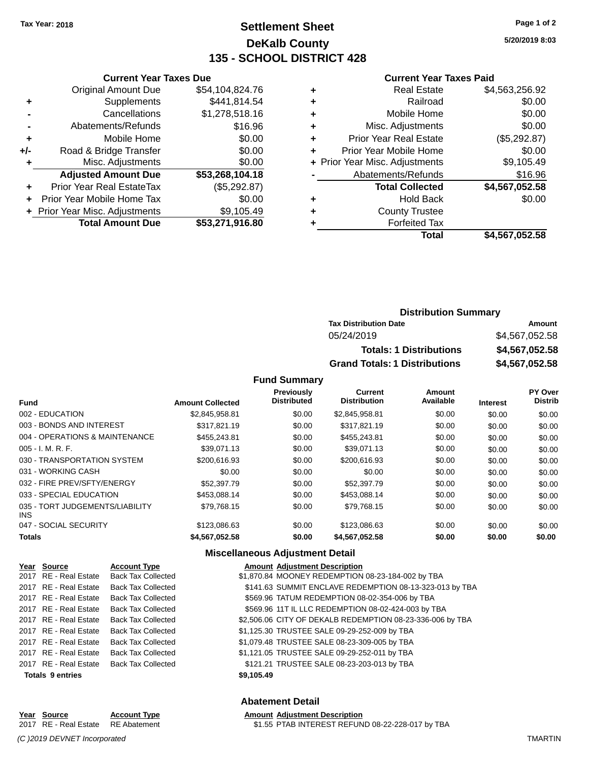### **Settlement Sheet Tax Year: 2018 Page 1 of 2 DeKalb County 135 - SCHOOL DISTRICT 428**

**5/20/2019 8:03**

#### **Current Year Taxes Paid**

|     | <b>Current Year Taxes Due</b>  |                 |   |
|-----|--------------------------------|-----------------|---|
|     | <b>Original Amount Due</b>     | \$54,104,824.76 | ٠ |
|     | Supplements                    | \$441,814.54    | ٠ |
|     | Cancellations                  | \$1,278,518.16  | ٠ |
|     | Abatements/Refunds             | \$16.96         | ٠ |
|     | Mobile Home                    | \$0.00          | ٠ |
| +/- | Road & Bridge Transfer         | \$0.00          | ٠ |
|     | Misc. Adjustments              | \$0.00          |   |
|     | <b>Adjusted Amount Due</b>     | \$53,268,104.18 |   |
| ٠   | Prior Year Real EstateTax      | (\$5,292.87)    |   |
|     | Prior Year Mobile Home Tax     | \$0.00          | ٠ |
|     | + Prior Year Misc. Adjustments | \$9,105.49      |   |
|     | <b>Total Amount Due</b>        | \$53,271,916.80 |   |
|     |                                |                 |   |

|   | Real Estate                    | \$4,563,256.92 |
|---|--------------------------------|----------------|
| ٠ | Railroad                       | \$0.00         |
| ٠ | Mobile Home                    | \$0.00         |
| ٠ | Misc. Adjustments              | \$0.00         |
| ٠ | <b>Prior Year Real Estate</b>  | (\$5,292.87)   |
|   | Prior Year Mobile Home         | \$0.00         |
|   | + Prior Year Misc. Adjustments | \$9,105.49     |
|   | Abatements/Refunds             | \$16.96        |
|   | <b>Total Collected</b>         | \$4,567,052.58 |
|   | Hold Back                      | \$0.00         |
|   | <b>County Trustee</b>          |                |
|   | <b>Forfeited Tax</b>           |                |
|   | <b>Total</b>                   | \$4,567,052.58 |
|   |                                |                |

### **Distribution Summary Tax Distribution Date Amount** 05/24/2019 \$4,567,052.58 **Totals: 1 Distributions \$4,567,052.58 Grand Totals: 1 Distributions \$4,567,052.58**

#### **Fund Summary**

|                                         |                         | <b>Previously</b><br><b>Distributed</b> | Current<br><b>Distribution</b> | <b>Amount</b><br>Available |                 | <b>PY Over</b><br><b>Distrib</b> |
|-----------------------------------------|-------------------------|-----------------------------------------|--------------------------------|----------------------------|-----------------|----------------------------------|
| <b>Fund</b>                             | <b>Amount Collected</b> |                                         |                                |                            | <b>Interest</b> |                                  |
| 002 - EDUCATION                         | \$2.845.958.81          | \$0.00                                  | \$2,845,958.81                 | \$0.00                     | \$0.00          | \$0.00                           |
| 003 - BONDS AND INTEREST                | \$317.821.19            | \$0.00                                  | \$317.821.19                   | \$0.00                     | \$0.00          | \$0.00                           |
| 004 - OPERATIONS & MAINTENANCE          | \$455,243.81            | \$0.00                                  | \$455,243.81                   | \$0.00                     | \$0.00          | \$0.00                           |
| $005 - I. M. R. F.$                     | \$39.071.13             | \$0.00                                  | \$39.071.13                    | \$0.00                     | \$0.00          | \$0.00                           |
| 030 - TRANSPORTATION SYSTEM             | \$200,616.93            | \$0.00                                  | \$200.616.93                   | \$0.00                     | \$0.00          | \$0.00                           |
| 031 - WORKING CASH                      | \$0.00                  | \$0.00                                  | \$0.00                         | \$0.00                     | \$0.00          | \$0.00                           |
| 032 - FIRE PREV/SFTY/ENERGY             | \$52,397.79             | \$0.00                                  | \$52,397.79                    | \$0.00                     | \$0.00          | \$0.00                           |
| 033 - SPECIAL EDUCATION                 | \$453.088.14            | \$0.00                                  | \$453.088.14                   | \$0.00                     | \$0.00          | \$0.00                           |
| 035 - TORT JUDGEMENTS/LIABILITY<br>INS. | \$79,768.15             | \$0.00                                  | \$79,768.15                    | \$0.00                     | \$0.00          | \$0.00                           |
| 047 - SOCIAL SECURITY                   | \$123,086.63            | \$0.00                                  | \$123,086.63                   | \$0.00                     | \$0.00          | \$0.00                           |
| <b>Totals</b>                           | \$4,567,052.58          | \$0.00                                  | \$4,567,052.58                 | \$0.00                     | \$0.00          | \$0.00                           |

### **Miscellaneous Adjustment Detail**

| Year Source             | <b>Account Type</b>                      |            | <b>Amount Adjustment Description</b>                      |
|-------------------------|------------------------------------------|------------|-----------------------------------------------------------|
| 2017 RE - Real Estate   | <b>Back Tax Collected</b>                |            | \$1,870.84 MOONEY REDEMPTION 08-23-184-002 by TBA         |
| 2017 RE - Real Estate   | Back Tax Collected                       |            | \$141.63 SUMMIT ENCLAVE REDEMPTION 08-13-323-013 by TBA   |
| 2017 RE - Real Estate   | Back Tax Collected                       |            | \$569.96 TATUM REDEMPTION 08-02-354-006 by TBA            |
| 2017 RE - Real Estate   | Back Tax Collected                       |            | \$569.96 11T IL LLC REDEMPTION 08-02-424-003 by TBA       |
|                         | 2017 RE - Real Estate Back Tax Collected |            | \$2,506.06 CITY OF DEKALB REDEMPTION 08-23-336-006 by TBA |
|                         | 2017 RE - Real Estate Back Tax Collected |            | \$1,125.30 TRUSTEE SALE 09-29-252-009 by TBA              |
| 2017 RE - Real Estate   | Back Tax Collected                       |            | \$1,079.48 TRUSTEE SALE 08-23-309-005 by TBA              |
| 2017 RE - Real Estate   | <b>Back Tax Collected</b>                |            | \$1,121.05 TRUSTEE SALE 09-29-252-011 by TBA              |
|                         | 2017 RE - Real Estate Back Tax Collected |            | \$121.21 TRUSTEE SALE 08-23-203-013 by TBA                |
| <b>Totals 9 entries</b> |                                          | \$9,105.49 |                                                           |

#### **Abatement Detail**

\$1.55 PTAB INTEREST REFUND 08-22-228-017 by TBA

## **Year Source Account Type Amount Adjustment Description**<br>2017 RE - Real Estate RE Abatement \$1.55 PTAB INTEREST REFUN

*(C )2019 DEVNET Incorporated* TMARTIN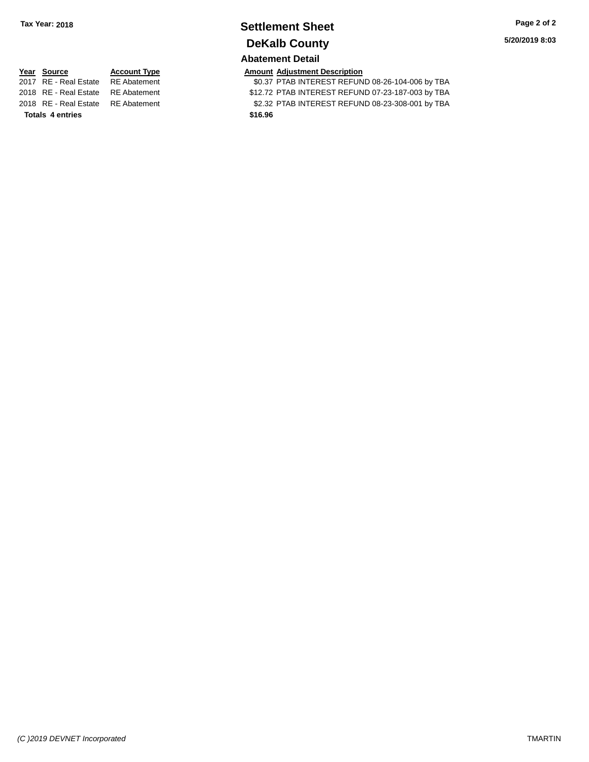### **Settlement Sheet Tax Year: 2018 Page 2 of 2 DeKalb County Abatement Detail**

**5/20/2019 8:03**

**Totals \$16.96 4 entries**

**Year Source Account Type Amount Adjustment Description**<br>2017 RE - Real Estate RE Abatement \$0.37 PTAB INTEREST REFUN \$0.37 PTAB INTEREST REFUND 08-26-104-006 by TBA 2018 RE - Real Estate RE Abatement \$12.72 PTAB INTEREST REFUND 07-23-187-003 by TBA 2018 RE - Real Estate RE Abatement \$2.32 PTAB INTEREST REFUND 08-23-308-001 by TBA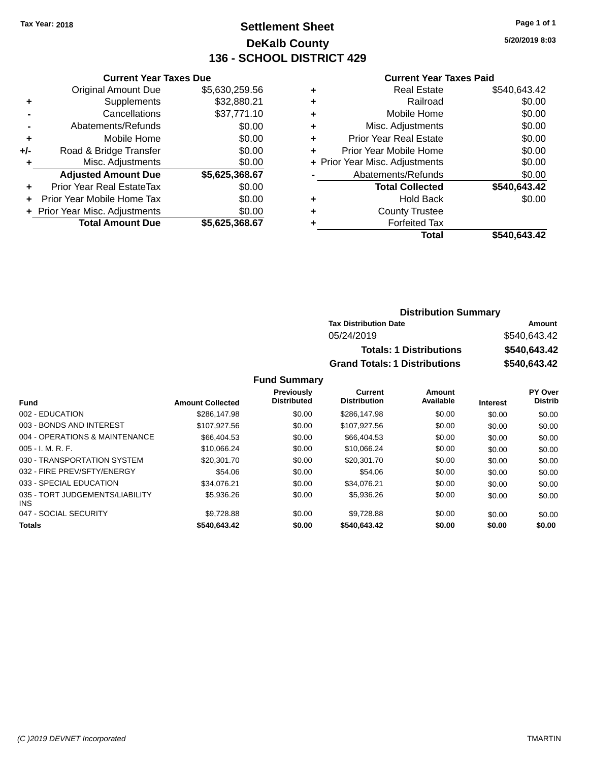### **Settlement Sheet Tax Year: 2018 Page 1 of 1 DeKalb County 136 - SCHOOL DISTRICT 429**

**5/20/2019 8:03**

#### **Current Year Taxes Paid**

|     | + Prior Year Misc. Adjustments<br><b>Total Amount Due</b> | \$0.00<br>\$5,625,368.67 |  |  |  |
|-----|-----------------------------------------------------------|--------------------------|--|--|--|
| ÷   | Prior Year Mobile Home Tax                                | \$0.00                   |  |  |  |
| ٠   | Prior Year Real EstateTax                                 | \$0.00                   |  |  |  |
|     | <b>Adjusted Amount Due</b>                                | \$5,625,368.67           |  |  |  |
| ٠   | Misc. Adjustments                                         | \$0.00                   |  |  |  |
| +/- | Road & Bridge Transfer                                    | \$0.00                   |  |  |  |
| ٠   | Mobile Home                                               | \$0.00                   |  |  |  |
|     | Abatements/Refunds                                        | \$0.00                   |  |  |  |
|     | Cancellations                                             | \$37,771.10              |  |  |  |
| ٠   | Supplements                                               | \$32,880.21              |  |  |  |
|     | <b>Original Amount Due</b>                                | \$5,630,259.56           |  |  |  |
|     | <b>Current Year Taxes Due</b>                             |                          |  |  |  |

| ٠ | <b>Real Estate</b>             | \$540,643.42 |
|---|--------------------------------|--------------|
| ٠ | Railroad                       | \$0.00       |
| ٠ | Mobile Home                    | \$0.00       |
| ٠ | Misc. Adjustments              | \$0.00       |
| ٠ | <b>Prior Year Real Estate</b>  | \$0.00       |
| ٠ | Prior Year Mobile Home         | \$0.00       |
|   | + Prior Year Misc. Adjustments | \$0.00       |
|   | Abatements/Refunds             | \$0.00       |
|   | <b>Total Collected</b>         | \$540,643.42 |
| ٠ | Hold Back                      | \$0.00       |
| ٠ | <b>County Trustee</b>          |              |
| ٠ | <b>Forfeited Tax</b>           |              |
|   | Total                          | \$540,643.42 |
|   |                                |              |

| <b>Distribution Summary</b>          |              |
|--------------------------------------|--------------|
| <b>Tax Distribution Date</b>         | Amount       |
| 05/24/2019                           | \$540.643.42 |
| <b>Totals: 1 Distributions</b>       | \$540,643.42 |
| <b>Grand Totals: 1 Distributions</b> | \$540,643.42 |

| <b>Fund</b>                                   | <b>Amount Collected</b> | Previously<br><b>Distributed</b> | <b>Current</b><br><b>Distribution</b> | Amount<br>Available | <b>Interest</b> | PY Over<br><b>Distrib</b> |
|-----------------------------------------------|-------------------------|----------------------------------|---------------------------------------|---------------------|-----------------|---------------------------|
|                                               |                         |                                  |                                       |                     |                 |                           |
| 002 - EDUCATION                               | \$286,147.98            | \$0.00                           | \$286,147.98                          | \$0.00              | \$0.00          | \$0.00                    |
| 003 - BONDS AND INTEREST                      | \$107.927.56            | \$0.00                           | \$107.927.56                          | \$0.00              | \$0.00          | \$0.00                    |
| 004 - OPERATIONS & MAINTENANCE                | \$66,404.53             | \$0.00                           | \$66,404.53                           | \$0.00              | \$0.00          | \$0.00                    |
| $005 - I. M. R. F.$                           | \$10.066.24             | \$0.00                           | \$10.066.24                           | \$0.00              | \$0.00          | \$0.00                    |
| 030 - TRANSPORTATION SYSTEM                   | \$20,301.70             | \$0.00                           | \$20,301.70                           | \$0.00              | \$0.00          | \$0.00                    |
| 032 - FIRE PREV/SFTY/ENERGY                   | \$54.06                 | \$0.00                           | \$54.06                               | \$0.00              | \$0.00          | \$0.00                    |
| 033 - SPECIAL EDUCATION                       | \$34.076.21             | \$0.00                           | \$34.076.21                           | \$0.00              | \$0.00          | \$0.00                    |
| 035 - TORT JUDGEMENTS/LIABILITY<br><b>INS</b> | \$5,936.26              | \$0.00                           | \$5,936,26                            | \$0.00              | \$0.00          | \$0.00                    |
| 047 - SOCIAL SECURITY                         | \$9.728.88              | \$0.00                           | \$9.728.88                            | \$0.00              | \$0.00          | \$0.00                    |
| <b>Totals</b>                                 | \$540,643.42            | \$0.00                           | \$540,643.42                          | \$0.00              | \$0.00          | \$0.00                    |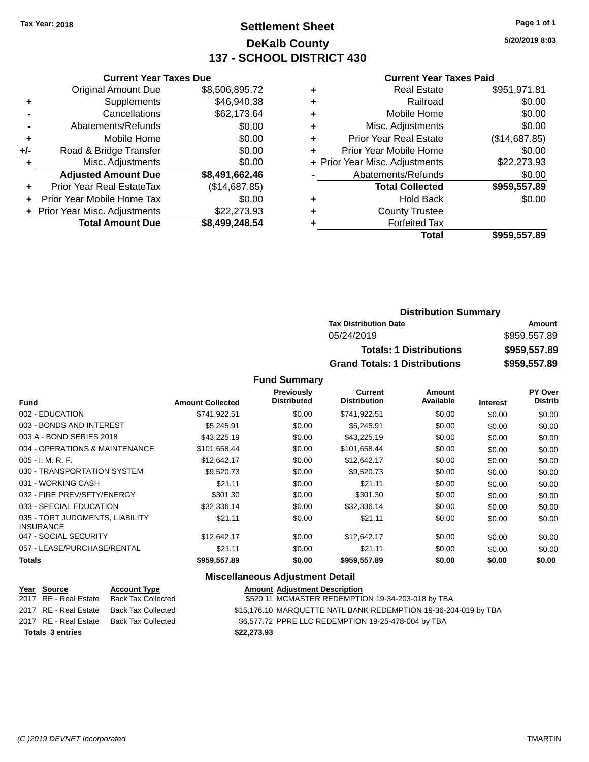### **Settlement Sheet Tax Year: 2018 Page 1 of 1 DeKalb County 137 - SCHOOL DISTRICT 430**

**5/20/2019 8:03**

#### **Current Year Taxes Paid**

|     | <b>Current Year Taxes Due</b>  |                |
|-----|--------------------------------|----------------|
|     | <b>Original Amount Due</b>     | \$8,506,895.72 |
| ٠   | Supplements                    | \$46,940.38    |
|     | Cancellations                  | \$62,173.64    |
|     | Abatements/Refunds             | \$0.00         |
| ٠   | Mobile Home                    | \$0.00         |
| +/- | Road & Bridge Transfer         | \$0.00         |
| ٠   | Misc. Adjustments              | \$0.00         |
|     | <b>Adjusted Amount Due</b>     | \$8,491,662.46 |
| ٠   | Prior Year Real EstateTax      | (\$14,687.85)  |
| ÷   | Prior Year Mobile Home Tax     | \$0.00         |
|     | + Prior Year Misc. Adjustments | \$22,273.93    |
|     | <b>Total Amount Due</b>        | \$8,499,248.54 |

| ٠ | <b>Real Estate</b>             | \$951,971.81  |
|---|--------------------------------|---------------|
| ٠ | Railroad                       | \$0.00        |
| ٠ | Mobile Home                    | \$0.00        |
| ٠ | Misc. Adjustments              | \$0.00        |
| ٠ | <b>Prior Year Real Estate</b>  | (\$14,687.85) |
| ٠ | Prior Year Mobile Home         | \$0.00        |
|   | + Prior Year Misc. Adjustments | \$22,273.93   |
|   | Abatements/Refunds             | \$0.00        |
|   | <b>Total Collected</b>         | \$959,557.89  |
| ٠ | <b>Hold Back</b>               | \$0.00        |
| ٠ | <b>County Trustee</b>          |               |
| ٠ | <b>Forfeited Tax</b>           |               |
|   | Total                          | \$959,557.89  |
|   |                                |               |

| <b>Distribution Summary</b>          |              |
|--------------------------------------|--------------|
| <b>Tax Distribution Date</b>         | Amount       |
| 05/24/2019                           | \$959,557.89 |
| <b>Totals: 1 Distributions</b>       | \$959,557.89 |
| <b>Grand Totals: 1 Distributions</b> | \$959,557.89 |

### **Fund Summary**

| <b>Fund</b>                                         | <b>Amount Collected</b> | <b>Previously</b><br><b>Distributed</b> | Current<br><b>Distribution</b> | Amount<br>Available | <b>Interest</b> | <b>PY Over</b><br><b>Distrib</b> |
|-----------------------------------------------------|-------------------------|-----------------------------------------|--------------------------------|---------------------|-----------------|----------------------------------|
| 002 - EDUCATION                                     | \$741,922.51            | \$0.00                                  | \$741,922.51                   | \$0.00              | \$0.00          | \$0.00                           |
| 003 - BONDS AND INTEREST                            | \$5.245.91              | \$0.00                                  | \$5.245.91                     | \$0.00              | \$0.00          | \$0.00                           |
| 003 A - BOND SERIES 2018                            | \$43,225.19             | \$0.00                                  | \$43,225.19                    | \$0.00              | \$0.00          | \$0.00                           |
| 004 - OPERATIONS & MAINTENANCE                      | \$101.658.44            | \$0.00                                  | \$101,658.44                   | \$0.00              | \$0.00          | \$0.00                           |
| $005 - I. M. R. F.$                                 | \$12,642.17             | \$0.00                                  | \$12,642.17                    | \$0.00              | \$0.00          | \$0.00                           |
| 030 - TRANSPORTATION SYSTEM                         | \$9,520.73              | \$0.00                                  | \$9,520.73                     | \$0.00              | \$0.00          | \$0.00                           |
| 031 - WORKING CASH                                  | \$21.11                 | \$0.00                                  | \$21.11                        | \$0.00              | \$0.00          | \$0.00                           |
| 032 - FIRE PREV/SFTY/ENERGY                         | \$301.30                | \$0.00                                  | \$301.30                       | \$0.00              | \$0.00          | \$0.00                           |
| 033 - SPECIAL EDUCATION                             | \$32,336.14             | \$0.00                                  | \$32,336.14                    | \$0.00              | \$0.00          | \$0.00                           |
| 035 - TORT JUDGMENTS, LIABILITY<br><b>INSURANCE</b> | \$21.11                 | \$0.00                                  | \$21.11                        | \$0.00              | \$0.00          | \$0.00                           |
| 047 - SOCIAL SECURITY                               | \$12.642.17             | \$0.00                                  | \$12.642.17                    | \$0.00              | \$0.00          | \$0.00                           |
| 057 - LEASE/PURCHASE/RENTAL                         | \$21.11                 | \$0.00                                  | \$21.11                        | \$0.00              | \$0.00          | \$0.00                           |
| Totals                                              | \$959,557.89            | \$0.00                                  | \$959,557.89                   | \$0.00              | \$0.00          | \$0.00                           |

### **Miscellaneous Adjustment Detail**

| Year Source             | <b>Account Type</b> | <b>Amount Adjustment Description</b>                            |
|-------------------------|---------------------|-----------------------------------------------------------------|
| 2017 RE - Real Estate   | Back Tax Collected  | \$520.11 MCMASTER REDEMPTION 19-34-203-018 by TBA               |
| 2017 RE - Real Estate   | Back Tax Collected  | \$15,176.10 MARQUETTE NATL BANK REDEMPTION 19-36-204-019 by TBA |
| 2017 RE - Real Estate   | Back Tax Collected  | \$6,577.72 PPRE LLC REDEMPTION 19-25-478-004 by TBA             |
| <b>Totals 3 entries</b> |                     | \$22,273.93                                                     |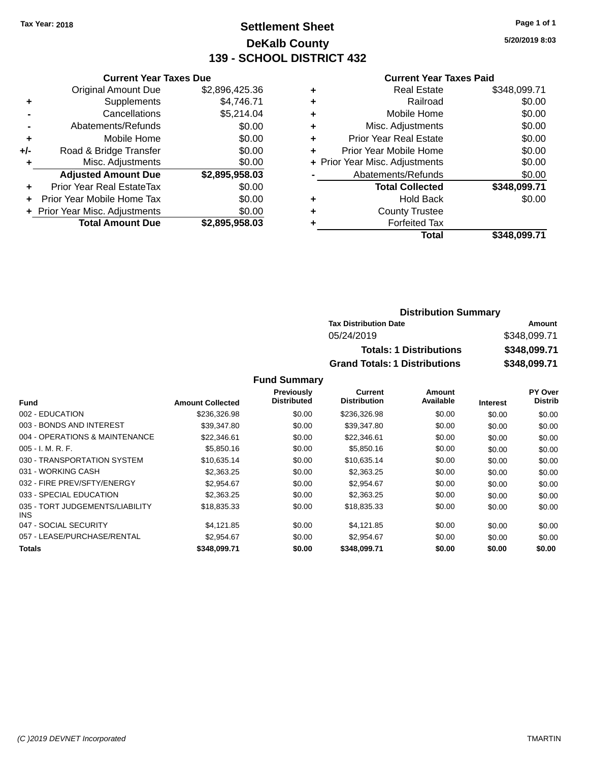### **Settlement Sheet Tax Year: 2018 Page 1 of 1 DeKalb County 139 - SCHOOL DISTRICT 432**

**5/20/2019 8:03**

#### **Current Year Taxes Paid**

| <b>Current Year Taxes Due</b>  |                |
|--------------------------------|----------------|
| <b>Original Amount Due</b>     | \$2,896,425.36 |
| Supplements                    | \$4,746.71     |
| Cancellations                  | \$5,214.04     |
| Abatements/Refunds             | \$0.00         |
| Mobile Home                    | \$0.00         |
| Road & Bridge Transfer         | \$0.00         |
| Misc. Adjustments              | \$0.00         |
| <b>Adjusted Amount Due</b>     | \$2,895,958.03 |
| Prior Year Real EstateTax      | \$0.00         |
| Prior Year Mobile Home Tax     | \$0.00         |
| + Prior Year Misc. Adjustments | \$0.00         |
| <b>Total Amount Due</b>        | \$2.895.958.03 |
|                                |                |

|   | <b>Real Estate</b>             | \$348,099.71 |
|---|--------------------------------|--------------|
| ٠ | Railroad                       | \$0.00       |
| ٠ | Mobile Home                    | \$0.00       |
| ٠ | Misc. Adjustments              | \$0.00       |
| ٠ | <b>Prior Year Real Estate</b>  | \$0.00       |
| ٠ | Prior Year Mobile Home         | \$0.00       |
|   | + Prior Year Misc. Adjustments | \$0.00       |
|   | Abatements/Refunds             | \$0.00       |
|   | <b>Total Collected</b>         | \$348,099.71 |
| ٠ | <b>Hold Back</b>               | \$0.00       |
| ٠ | <b>County Trustee</b>          |              |
| ٠ | <b>Forfeited Tax</b>           |              |
|   | Total                          | \$348,099.71 |
|   |                                |              |

| <b>Distribution Summary</b>          |              |  |  |
|--------------------------------------|--------------|--|--|
| <b>Tax Distribution Date</b>         | Amount       |  |  |
| 05/24/2019                           | \$348,099.71 |  |  |
| <b>Totals: 1 Distributions</b>       | \$348,099.71 |  |  |
| <b>Grand Totals: 1 Distributions</b> | \$348,099.71 |  |  |

|                                         |                         | <b>Previously</b>  | <b>Current</b>      | Amount    |                 | <b>PY Over</b> |
|-----------------------------------------|-------------------------|--------------------|---------------------|-----------|-----------------|----------------|
| <b>Fund</b>                             | <b>Amount Collected</b> | <b>Distributed</b> | <b>Distribution</b> | Available | <b>Interest</b> | <b>Distrib</b> |
| 002 - EDUCATION                         | \$236,326.98            | \$0.00             | \$236,326.98        | \$0.00    | \$0.00          | \$0.00         |
| 003 - BONDS AND INTEREST                | \$39.347.80             | \$0.00             | \$39,347.80         | \$0.00    | \$0.00          | \$0.00         |
| 004 - OPERATIONS & MAINTENANCE          | \$22,346.61             | \$0.00             | \$22,346.61         | \$0.00    | \$0.00          | \$0.00         |
| $005 - I. M. R. F.$                     | \$5,850.16              | \$0.00             | \$5,850.16          | \$0.00    | \$0.00          | \$0.00         |
| 030 - TRANSPORTATION SYSTEM             | \$10,635.14             | \$0.00             | \$10,635.14         | \$0.00    | \$0.00          | \$0.00         |
| 031 - WORKING CASH                      | \$2,363,25              | \$0.00             | \$2,363.25          | \$0.00    | \$0.00          | \$0.00         |
| 032 - FIRE PREV/SFTY/ENERGY             | \$2.954.67              | \$0.00             | \$2.954.67          | \$0.00    | \$0.00          | \$0.00         |
| 033 - SPECIAL EDUCATION                 | \$2,363,25              | \$0.00             | \$2,363,25          | \$0.00    | \$0.00          | \$0.00         |
| 035 - TORT JUDGEMENTS/LIABILITY<br>INS. | \$18,835,33             | \$0.00             | \$18,835,33         | \$0.00    | \$0.00          | \$0.00         |
| 047 - SOCIAL SECURITY                   | \$4.121.85              | \$0.00             | \$4,121.85          | \$0.00    | \$0.00          | \$0.00         |
| 057 - LEASE/PURCHASE/RENTAL             | \$2.954.67              | \$0.00             | \$2.954.67          | \$0.00    | \$0.00          | \$0.00         |
| Totals                                  | \$348,099.71            | \$0.00             | \$348,099.71        | \$0.00    | \$0.00          | \$0.00         |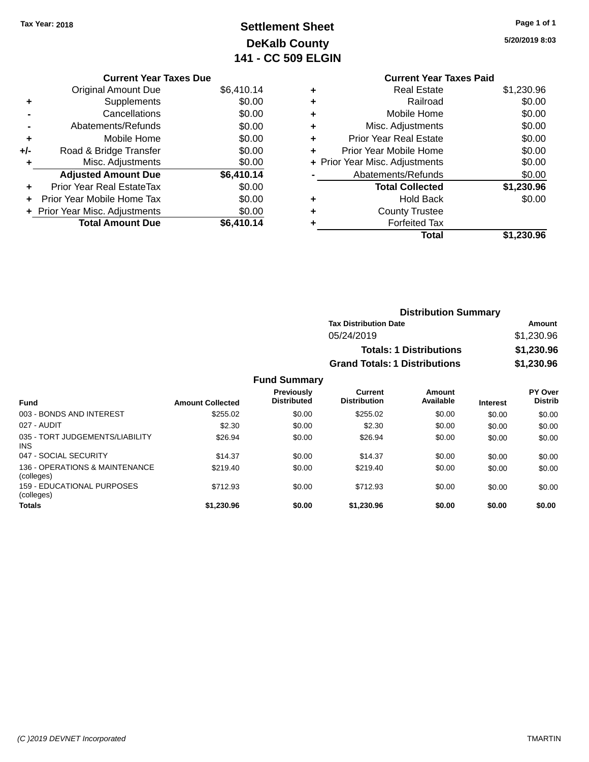## **Settlement Sheet Tax Year: 2018 Page 1 of 1 DeKalb County 141 - CC 509 ELGIN**

**5/20/2019 8:03**

# **Current Year Taxes Due**

|     | <b>Original Amount Due</b>       | \$6,410.14 |
|-----|----------------------------------|------------|
| ٠   | Supplements                      | \$0.00     |
|     | Cancellations                    | \$0.00     |
|     | Abatements/Refunds               | \$0.00     |
| ٠   | Mobile Home                      | \$0.00     |
| +/- | Road & Bridge Transfer           | \$0.00     |
| ٠   | Misc. Adjustments                | \$0.00     |
|     | <b>Adjusted Amount Due</b>       | \$6,410.14 |
|     | <b>Prior Year Real EstateTax</b> | \$0.00     |
|     | Prior Year Mobile Home Tax       | \$0.00     |
|     | + Prior Year Misc. Adjustments   | \$0.00     |
|     | <b>Total Amount Due</b>          | \$6,410.14 |

|   | <b>Current Year Taxes Paid</b> |            |
|---|--------------------------------|------------|
| ٠ | <b>Real Estate</b>             | \$1,230.96 |
| ٠ | Railroad                       | \$0.00     |
|   | Mobile Home                    | \$0.00     |
|   | Misc. Adjustments              | \$0.00     |
| ٠ | <b>Prior Year Real Estate</b>  | \$0.00     |
|   | Prior Year Mobile Home         | \$0.00     |
|   | + Prior Year Misc. Adjustments | \$0.00     |
|   | Abatements/Refunds             | \$0.00     |
|   | <b>Total Collected</b>         | \$1,230.96 |
|   | Hold Back                      | \$0.00     |
|   | <b>County Trustee</b>          |            |
|   | <b>Forfeited Tax</b>           |            |
|   | Total                          | \$1.230.96 |
|   |                                |            |

| <b>Distribution Summary</b>          |            |
|--------------------------------------|------------|
| <b>Tax Distribution Date</b>         | Amount     |
| 05/24/2019                           | \$1,230.96 |
| <b>Totals: 1 Distributions</b>       | \$1,230.96 |
| <b>Grand Totals: 1 Distributions</b> | \$1,230.96 |

| <b>Fund</b>                                   | <b>Amount Collected</b> | Previously<br><b>Distributed</b> | Current<br><b>Distribution</b> | Amount<br>Available | <b>Interest</b> | <b>PY Over</b><br><b>Distrib</b> |
|-----------------------------------------------|-------------------------|----------------------------------|--------------------------------|---------------------|-----------------|----------------------------------|
| 003 - BONDS AND INTEREST                      | \$255.02                | \$0.00                           | \$255.02                       | \$0.00              | \$0.00          | \$0.00                           |
| 027 - AUDIT                                   | \$2.30                  | \$0.00                           | \$2.30                         | \$0.00              | \$0.00          | \$0.00                           |
| 035 - TORT JUDGEMENTS/LIABILITY<br><b>INS</b> | \$26.94                 | \$0.00                           | \$26.94                        | \$0.00              | \$0.00          | \$0.00                           |
| 047 - SOCIAL SECURITY                         | \$14.37                 | \$0.00                           | \$14.37                        | \$0.00              | \$0.00          | \$0.00                           |
| 136 - OPERATIONS & MAINTENANCE<br>(colleges)  | \$219.40                | \$0.00                           | \$219.40                       | \$0.00              | \$0.00          | \$0.00                           |
| 159 - EDUCATIONAL PURPOSES<br>(colleges)      | \$712.93                | \$0.00                           | \$712.93                       | \$0.00              | \$0.00          | \$0.00                           |
| <b>Totals</b>                                 | \$1,230.96              | \$0.00                           | \$1,230.96                     | \$0.00              | \$0.00          | \$0.00                           |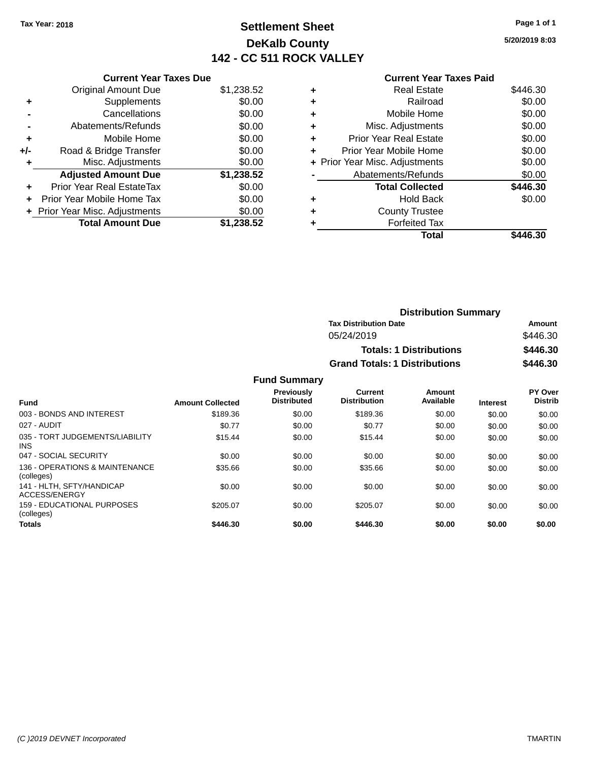### **Settlement Sheet Tax Year: 2018 Page 1 of 1 DeKalb County 142 - CC 511 ROCK VALLEY**

**5/20/2019 8:03**

## **Current Year Taxes Paid**

|       | <b>Current Year Taxes Due</b>  |            |
|-------|--------------------------------|------------|
|       | <b>Original Amount Due</b>     | \$1,238.52 |
| ٠     | Supplements                    | \$0.00     |
|       | Cancellations                  | \$0.00     |
|       | Abatements/Refunds             | \$0.00     |
| ٠     | Mobile Home                    | \$0.00     |
| $+/-$ | Road & Bridge Transfer         | \$0.00     |
| ٠     | Misc. Adjustments              | \$0.00     |
|       | <b>Adjusted Amount Due</b>     | \$1,238.52 |
| ٠     | Prior Year Real EstateTax      | \$0.00     |
|       | Prior Year Mobile Home Tax     | \$0.00     |
|       | + Prior Year Misc. Adjustments | \$0.00     |
|       | <b>Total Amount Due</b>        | \$1.238.52 |
|       |                                |            |

| ٠ | <b>Real Estate</b>             | \$446.30 |
|---|--------------------------------|----------|
| ٠ | Railroad                       | \$0.00   |
| ٠ | Mobile Home                    | \$0.00   |
| ٠ | Misc. Adjustments              | \$0.00   |
| ٠ | <b>Prior Year Real Estate</b>  | \$0.00   |
| ٠ | Prior Year Mobile Home         | \$0.00   |
|   | + Prior Year Misc. Adjustments | \$0.00   |
|   | Abatements/Refunds             | \$0.00   |
|   | <b>Total Collected</b>         | \$446.30 |
| ٠ | <b>Hold Back</b>               | \$0.00   |
| ٠ | <b>County Trustee</b>          |          |
|   | <b>Forfeited Tax</b>           |          |
|   | Total                          | \$446.30 |
|   |                                |          |

| <b>Distribution Summary</b>          |          |  |
|--------------------------------------|----------|--|
| <b>Tax Distribution Date</b>         | Amount   |  |
| 05/24/2019                           | \$446.30 |  |
| <b>Totals: 1 Distributions</b>       | \$446.30 |  |
| <b>Grand Totals: 1 Distributions</b> | \$446.30 |  |

| <b>Fund</b>                                   | <b>Amount Collected</b> | <b>Previously</b><br><b>Distributed</b> | <b>Current</b><br><b>Distribution</b> | Amount<br>Available | <b>Interest</b> | <b>PY Over</b><br><b>Distrib</b> |
|-----------------------------------------------|-------------------------|-----------------------------------------|---------------------------------------|---------------------|-----------------|----------------------------------|
| 003 - BONDS AND INTEREST                      | \$189.36                | \$0.00                                  | \$189.36                              | \$0.00              | \$0.00          | \$0.00                           |
| 027 - AUDIT                                   | \$0.77                  | \$0.00                                  | \$0.77                                | \$0.00              | \$0.00          | \$0.00                           |
| 035 - TORT JUDGEMENTS/LIABILITY<br><b>INS</b> | \$15.44                 | \$0.00                                  | \$15.44                               | \$0.00              | \$0.00          | \$0.00                           |
| 047 - SOCIAL SECURITY                         | \$0.00                  | \$0.00                                  | \$0.00                                | \$0.00              | \$0.00          | \$0.00                           |
| 136 - OPERATIONS & MAINTENANCE<br>(colleges)  | \$35.66                 | \$0.00                                  | \$35.66                               | \$0.00              | \$0.00          | \$0.00                           |
| 141 - HLTH, SFTY/HANDICAP<br>ACCESS/ENERGY    | \$0.00                  | \$0.00                                  | \$0.00                                | \$0.00              | \$0.00          | \$0.00                           |
| 159 - EDUCATIONAL PURPOSES<br>(colleges)      | \$205.07                | \$0.00                                  | \$205.07                              | \$0.00              | \$0.00          | \$0.00                           |
| <b>Totals</b>                                 | \$446.30                | \$0.00                                  | \$446.30                              | \$0.00              | \$0.00          | \$0.00                           |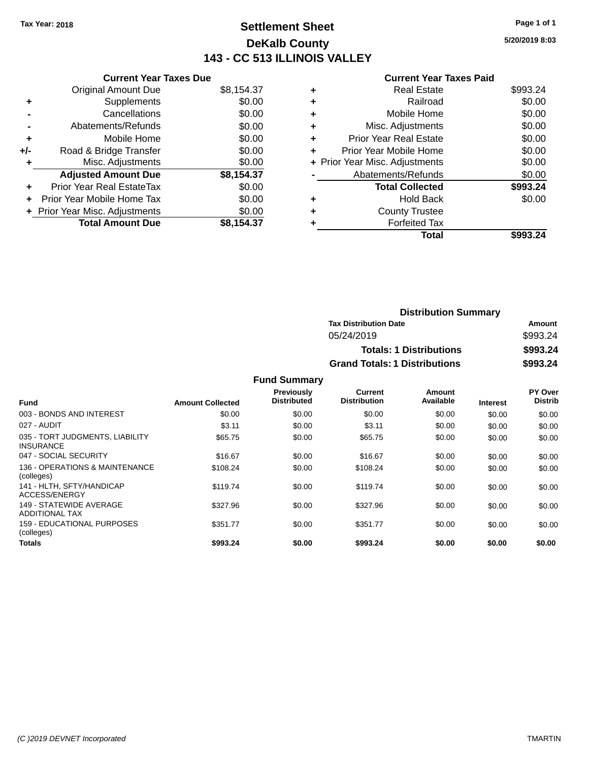### **Settlement Sheet Tax Year: 2018 Page 1 of 1 DeKalb County 143 - CC 513 ILLINOIS VALLEY**

**5/20/2019 8:03**

#### **Current Year Taxes Paid**

|     | <b>Current Year Taxes Due</b>  |            |
|-----|--------------------------------|------------|
|     | <b>Original Amount Due</b>     | \$8,154.37 |
| ٠   | Supplements                    | \$0.00     |
|     | Cancellations                  | \$0.00     |
|     | Abatements/Refunds             | \$0.00     |
| ٠   | Mobile Home                    | \$0.00     |
| +/- | Road & Bridge Transfer         | \$0.00     |
| ٠   | Misc. Adjustments              | \$0.00     |
|     | <b>Adjusted Amount Due</b>     | \$8,154.37 |
| ÷   | Prior Year Real EstateTax      | \$0.00     |
| ÷   | Prior Year Mobile Home Tax     | \$0.00     |
|     | + Prior Year Misc. Adjustments | \$0.00     |
|     | <b>Total Amount Due</b>        | \$8.154.37 |

|   | <b>Real Estate</b>             | \$993.24 |
|---|--------------------------------|----------|
| ٠ | Railroad                       | \$0.00   |
| ٠ | Mobile Home                    | \$0.00   |
| ٠ | Misc. Adjustments              | \$0.00   |
| ٠ | <b>Prior Year Real Estate</b>  | \$0.00   |
| ٠ | Prior Year Mobile Home         | \$0.00   |
|   | + Prior Year Misc. Adjustments | \$0.00   |
|   | Abatements/Refunds             | \$0.00   |
|   | <b>Total Collected</b>         | \$993.24 |
| ٠ | Hold Back                      | \$0.00   |
|   | <b>County Trustee</b>          |          |
| ٠ | <b>Forfeited Tax</b>           |          |
|   | Total                          | \$993.24 |
|   |                                |          |

| <b>Distribution Summary</b>          |          |  |
|--------------------------------------|----------|--|
| <b>Tax Distribution Date</b>         | Amount   |  |
| 05/24/2019                           | \$993.24 |  |
| <b>Totals: 1 Distributions</b>       | \$993.24 |  |
| <b>Grand Totals: 1 Distributions</b> | \$993.24 |  |

| Fund                                                | <b>Amount Collected</b> | Previously<br><b>Distributed</b> | Current<br><b>Distribution</b> | Amount<br>Available | <b>Interest</b> | PY Over<br><b>Distrib</b> |
|-----------------------------------------------------|-------------------------|----------------------------------|--------------------------------|---------------------|-----------------|---------------------------|
| 003 - BONDS AND INTEREST                            | \$0.00                  | \$0.00                           | \$0.00                         | \$0.00              | \$0.00          | \$0.00                    |
| 027 - AUDIT                                         | \$3.11                  | \$0.00                           | \$3.11                         | \$0.00              | \$0.00          | \$0.00                    |
| 035 - TORT JUDGMENTS, LIABILITY<br><b>INSURANCE</b> | \$65.75                 | \$0.00                           | \$65.75                        | \$0.00              | \$0.00          | \$0.00                    |
| 047 - SOCIAL SECURITY                               | \$16.67                 | \$0.00                           | \$16.67                        | \$0.00              | \$0.00          | \$0.00                    |
| 136 - OPERATIONS & MAINTENANCE<br>(colleges)        | \$108.24                | \$0.00                           | \$108.24                       | \$0.00              | \$0.00          | \$0.00                    |
| 141 - HLTH, SFTY/HANDICAP<br>ACCESS/ENERGY          | \$119.74                | \$0.00                           | \$119.74                       | \$0.00              | \$0.00          | \$0.00                    |
| 149 - STATEWIDE AVERAGE<br><b>ADDITIONAL TAX</b>    | \$327.96                | \$0.00                           | \$327.96                       | \$0.00              | \$0.00          | \$0.00                    |
| 159 - EDUCATIONAL PURPOSES<br>(colleges)            | \$351.77                | \$0.00                           | \$351.77                       | \$0.00              | \$0.00          | \$0.00                    |
| <b>Totals</b>                                       | \$993.24                | \$0.00                           | \$993.24                       | \$0.00              | \$0.00          | \$0.00                    |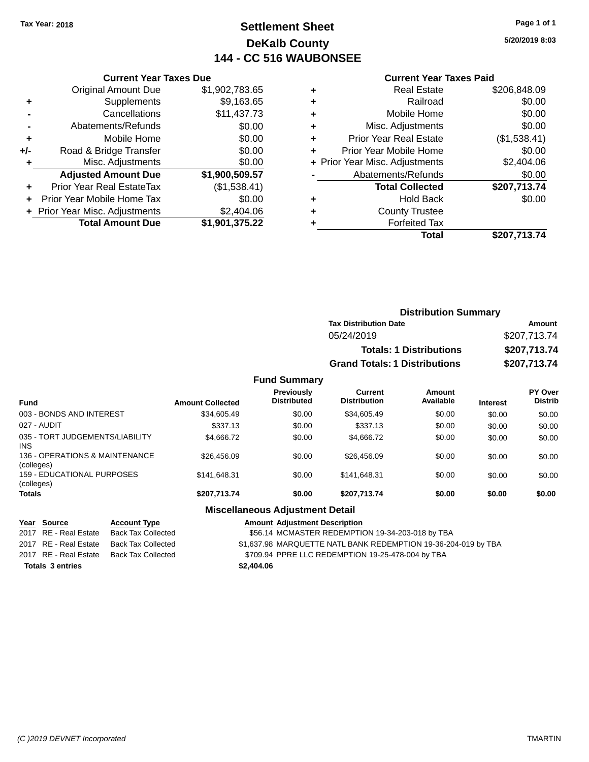### **Settlement Sheet Tax Year: 2018 Page 1 of 1 DeKalb County 144 - CC 516 WAUBONSEE**

**5/20/2019 8:03**

#### **Current Year Taxes Paid**

|     | <b>Original Amount Due</b>       | \$1,902,783.65 |
|-----|----------------------------------|----------------|
| ٠   | Supplements                      | \$9,163.65     |
|     | Cancellations                    | \$11,437.73    |
|     | Abatements/Refunds               | \$0.00         |
| ٠   | Mobile Home                      | \$0.00         |
| +/- | Road & Bridge Transfer           | \$0.00         |
| ٠   | Misc. Adjustments                | \$0.00         |
|     | <b>Adjusted Amount Due</b>       | \$1,900,509.57 |
|     | <b>Prior Year Real EstateTax</b> | (\$1,538.41)   |
|     | Prior Year Mobile Home Tax       | \$0.00         |
|     | + Prior Year Misc. Adjustments   | \$2,404.06     |
|     | <b>Total Amount Due</b>          | \$1,901,375.22 |
|     |                                  |                |

**Current Year Taxes Due**

|   | <b>Real Estate</b>             | \$206,848.09 |
|---|--------------------------------|--------------|
| ٠ | Railroad                       | \$0.00       |
| ٠ | Mobile Home                    | \$0.00       |
| ٠ | Misc. Adjustments              | \$0.00       |
| ٠ | <b>Prior Year Real Estate</b>  | (\$1,538.41) |
| ٠ | Prior Year Mobile Home         | \$0.00       |
|   | + Prior Year Misc. Adjustments | \$2,404.06   |
|   | Abatements/Refunds             | \$0.00       |
|   | <b>Total Collected</b>         | \$207,713.74 |
| ٠ | <b>Hold Back</b>               | \$0.00       |
| ٠ | <b>County Trustee</b>          |              |
| ٠ | <b>Forfeited Tax</b>           |              |
|   | Total                          | \$207,713.74 |
|   |                                |              |

| <b>Distribution Summary</b>          |              |
|--------------------------------------|--------------|
| <b>Tax Distribution Date</b>         | Amount       |
| 05/24/2019                           | \$207,713.74 |
| <b>Totals: 1 Distributions</b>       | \$207,713.74 |
| <b>Grand Totals: 1 Distributions</b> | \$207,713.74 |

#### **Fund Summary Fund Interest Amount Collected Distributed PY Over Distrib Amount Available Current Distribution Previously** 003 - BONDS AND INTEREST \$34,605.49 \$0.00 \$34,605.49 \$0.00 \$0.00 \$0.00 \$0.00 \$0.00 027 - AUDIT \$337.13 \$0.00 \$337.13 \$0.00 \$0.00 \$0.00 035 - TORT JUDGEMENTS/LIABILITY INS \$4,666.72 \$0.00 \$4,666.72 \$0.00 \$0.00 \$0.00 136 - OPERATIONS & MAINTENANCE (colleges) \$26,456.09 \$0.00 \$26,456.09 \$0.00 \$0.00 \$0.00 159 - EDUCATIONAL PURPOSES (colleges) \$141,648.31 \$0.00 \$141,648.31 \$0.00 \$0.00 \$0.00 **Totals \$207,713.74 \$0.00 \$207,713.74 \$0.00 \$0.00 \$0.00**

### **Miscellaneous Adjustment Detail**

#### **Year Source Account Type Amount Adjustment Description**

2017 RE - Real Estate Back Tax Collected \$56.14 MCMASTER REDEMPTION 19-34-203-018 by TBA

2017 RE - Real Estate Back Tax Collected \$1,637.98 MARQUETTE NATL BANK REDEMPTION 19-36-204-019 by TBA

2017 RE - Real Estate Back Tax Collected \$709.94 PPRE LLC REDEMPTION 19-25-478-004 by TBA

**Totals \$2,404.06 3 entries**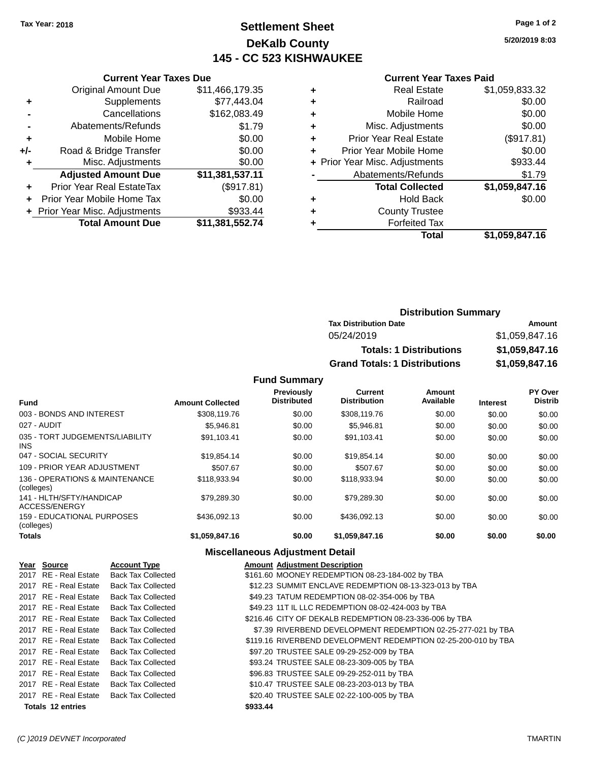### **Settlement Sheet Tax Year: 2018 Page 1 of 2 DeKalb County 145 - CC 523 KISHWAUKEE**

**5/20/2019 8:03**

#### **Current Year Taxes Paid**

|     | <b>Current Year Taxes Due</b>  |                 |  |
|-----|--------------------------------|-----------------|--|
|     | <b>Original Amount Due</b>     | \$11,466,179.35 |  |
| ٠   | Supplements                    | \$77,443.04     |  |
|     | Cancellations                  | \$162,083.49    |  |
|     | Abatements/Refunds             | \$1.79          |  |
| ٠   | Mobile Home                    | \$0.00          |  |
| +/- | Road & Bridge Transfer         | \$0.00          |  |
| ٠   | Misc. Adjustments              | \$0.00          |  |
|     | <b>Adjusted Amount Due</b>     | \$11,381,537.11 |  |
| ٠   | Prior Year Real EstateTax      | (\$917.81)      |  |
| ÷   | Prior Year Mobile Home Tax     | \$0.00          |  |
|     | + Prior Year Misc. Adjustments | \$933.44        |  |
|     | <b>Total Amount Due</b>        | \$11,381,552.74 |  |
|     |                                |                 |  |

|   | Real Estate                    | \$1,059,833.32 |
|---|--------------------------------|----------------|
| ٠ | Railroad                       | \$0.00         |
| ٠ | Mobile Home                    | \$0.00         |
| ٠ | Misc. Adjustments              | \$0.00         |
| ٠ | <b>Prior Year Real Estate</b>  | (\$917.81)     |
| ÷ | Prior Year Mobile Home         | \$0.00         |
|   | + Prior Year Misc. Adjustments | \$933.44       |
|   | Abatements/Refunds             | \$1.79         |
|   | <b>Total Collected</b>         | \$1,059,847.16 |
| ٠ | Hold Back                      | \$0.00         |
| ٠ | <b>County Trustee</b>          |                |
|   | <b>Forfeited Tax</b>           |                |
|   | Total                          | \$1,059,847.16 |
|   |                                |                |

| <b>Distribution Summary</b>          |                |  |
|--------------------------------------|----------------|--|
| <b>Tax Distribution Date</b>         | Amount         |  |
| 05/24/2019                           | \$1,059,847.16 |  |
| <b>Totals: 1 Distributions</b>       | \$1,059,847.16 |  |
| <b>Grand Totals: 1 Distributions</b> | \$1,059,847.16 |  |

**Fund Summary**

| <b>Fund</b>                                  | <b>Amount Collected</b> | <b>Previously</b><br><b>Distributed</b> | Current<br><b>Distribution</b> | Amount<br>Available | <b>Interest</b> | PY Over<br><b>Distrib</b> |
|----------------------------------------------|-------------------------|-----------------------------------------|--------------------------------|---------------------|-----------------|---------------------------|
| 003 - BONDS AND INTEREST                     | \$308,119.76            | \$0.00                                  | \$308,119.76                   | \$0.00              | \$0.00          | \$0.00                    |
| 027 - AUDIT                                  | \$5.946.81              | \$0.00                                  | \$5.946.81                     | \$0.00              | \$0.00          | \$0.00                    |
| 035 - TORT JUDGEMENTS/LIABILITY<br>INS.      | \$91,103.41             | \$0.00                                  | \$91,103.41                    | \$0.00              | \$0.00          | \$0.00                    |
| 047 - SOCIAL SECURITY                        | \$19,854.14             | \$0.00                                  | \$19.854.14                    | \$0.00              | \$0.00          | \$0.00                    |
| 109 - PRIOR YEAR ADJUSTMENT                  | \$507.67                | \$0.00                                  | \$507.67                       | \$0.00              | \$0.00          | \$0.00                    |
| 136 - OPERATIONS & MAINTENANCE<br>(colleges) | \$118,933.94            | \$0.00                                  | \$118,933.94                   | \$0.00              | \$0.00          | \$0.00                    |
| 141 - HLTH/SFTY/HANDICAP<br>ACCESS/ENERGY    | \$79,289,30             | \$0.00                                  | \$79.289.30                    | \$0.00              | \$0.00          | \$0.00                    |
| 159 - EDUCATIONAL PURPOSES<br>(colleges)     | \$436,092.13            | \$0.00                                  | \$436.092.13                   | \$0.00              | \$0.00          | \$0.00                    |
| <b>Totals</b>                                | \$1,059,847.16          | \$0.00                                  | \$1,059,847.16                 | \$0.00              | \$0.00          | \$0.00                    |

### **Miscellaneous Adjustment Detail**

| Year Source           | <b>Account Type</b>       | <b>Amount Adjustment Description</b>                           |
|-----------------------|---------------------------|----------------------------------------------------------------|
| 2017 RE - Real Estate | <b>Back Tax Collected</b> | \$161.60 MOONEY REDEMPTION 08-23-184-002 by TBA                |
| 2017 RE - Real Estate | <b>Back Tax Collected</b> | \$12.23 SUMMIT ENCLAVE REDEMPTION 08-13-323-013 by TBA         |
| 2017 RE - Real Estate | <b>Back Tax Collected</b> | \$49.23 TATUM REDEMPTION 08-02-354-006 by TBA                  |
| 2017 RE - Real Estate | <b>Back Tax Collected</b> | \$49.23 11T IL LLC REDEMPTION 08-02-424-003 by TBA             |
| 2017 RE - Real Estate | <b>Back Tax Collected</b> | \$216.46 CITY OF DEKALB REDEMPTION 08-23-336-006 by TBA        |
| 2017 RE - Real Estate | <b>Back Tax Collected</b> | \$7.39 RIVERBEND DEVELOPMENT REDEMPTION 02-25-277-021 by TBA   |
| 2017 RE - Real Estate | <b>Back Tax Collected</b> | \$119.16 RIVERBEND DEVELOPMENT REDEMPTION 02-25-200-010 by TBA |
| 2017 RE - Real Estate | <b>Back Tax Collected</b> | \$97.20 TRUSTEE SALE 09-29-252-009 by TBA                      |
| 2017 RE - Real Estate | <b>Back Tax Collected</b> | \$93.24 TRUSTEE SALE 08-23-309-005 by TBA                      |
| 2017 RE - Real Estate | <b>Back Tax Collected</b> | \$96.83 TRUSTEE SALE 09-29-252-011 by TBA                      |
| 2017 RE - Real Estate | <b>Back Tax Collected</b> | \$10.47 TRUSTEE SALE 08-23-203-013 by TBA                      |
| 2017 RE - Real Estate | <b>Back Tax Collected</b> | \$20.40 TRUSTEE SALE 02-22-100-005 by TBA                      |
| Totals 12 entries     |                           | \$933.44                                                       |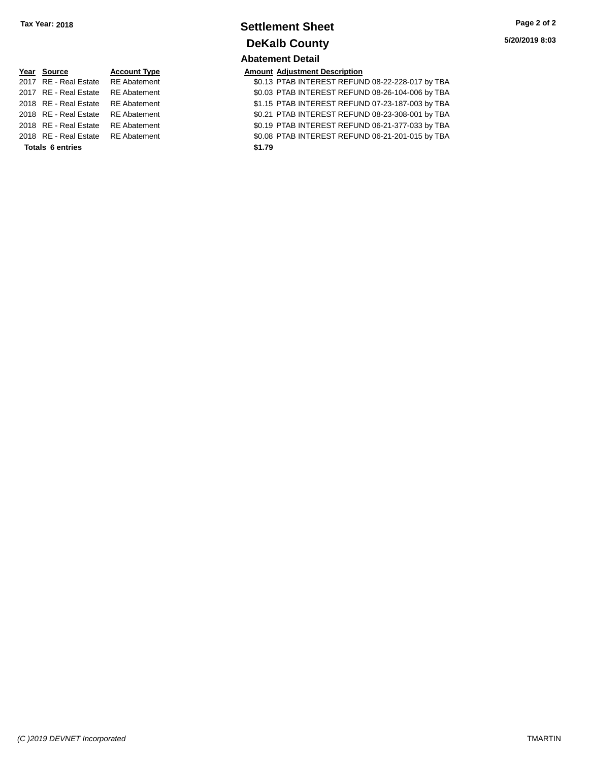### **Settlement Sheet Tax Year: 2018 Page 2 of 2 DeKalb County Abatement Detail**

| Year Source             | <b>Account Type</b> | <b>Amount</b> |
|-------------------------|---------------------|---------------|
| 2017 RE - Real Estate   | <b>RE</b> Abatement | \$0.13        |
| 2017 RE - Real Estate   | <b>RE</b> Abatement | \$0.03        |
| 2018 RE - Real Estate   | <b>RE</b> Abatement | \$1.15        |
| 2018 RE - Real Estate   | <b>RE</b> Abatement | \$0.21        |
| 2018 RE - Real Estate   | <b>RE</b> Abatement | \$0.19        |
| 2018 RE - Real Estate   | <b>RE</b> Abatement | \$0.08        |
| <b>Totals 6 entries</b> |                     | \$1.79        |

**<u>Pear Source Account Adjustment Description</u><br>
\$0.13 PTAB INTEREST REFUN** 

\$0.13 PTAB INTEREST REFUND 08-22-228-017 by TBA 20.03 PTAB INTEREST REFUND 08-26-104-006 by TBA 2018 61.15 PTAB INTEREST REFUND 07-23-187-003 by TBA 1t 12018 80.21 PTAB INTEREST REFUND 08-23-308-001 by TBA 20.19 PTAB INTEREST REFUND 06-21-377-033 by TBA 2018 REAL EST REFUND 06-21-201-015 by TBA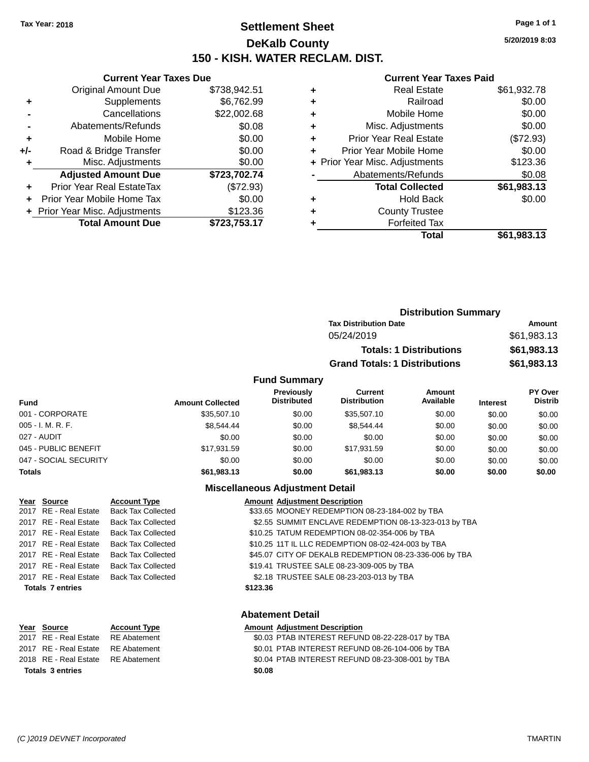### **Settlement Sheet Tax Year: 2018 Page 1 of 1 DeKalb County 150 - KISH. WATER RECLAM. DIST.**

**5/20/2019 8:03**

#### **Current Year Taxes Paid**

|     | <b>Current Year Taxes Due</b>  |              |  |  |
|-----|--------------------------------|--------------|--|--|
|     | <b>Original Amount Due</b>     | \$738,942.51 |  |  |
| ٠   | Supplements                    | \$6,762.99   |  |  |
|     | Cancellations                  | \$22,002.68  |  |  |
|     | Abatements/Refunds             | \$0.08       |  |  |
| ٠   | Mobile Home                    | \$0.00       |  |  |
| +/- | Road & Bridge Transfer         | \$0.00       |  |  |
| ٠   | Misc. Adjustments              | \$0.00       |  |  |
|     | <b>Adjusted Amount Due</b>     | \$723,702.74 |  |  |
| ÷   | Prior Year Real EstateTax      | (\$72.93)    |  |  |
|     | Prior Year Mobile Home Tax     | \$0.00       |  |  |
|     | + Prior Year Misc. Adjustments | \$123.36     |  |  |
|     | <b>Total Amount Due</b>        | \$723,753.17 |  |  |

|   | <b>Real Estate</b>             | \$61,932.78 |
|---|--------------------------------|-------------|
| ٠ | Railroad                       | \$0.00      |
| ٠ | Mobile Home                    | \$0.00      |
| ٠ | Misc. Adjustments              | \$0.00      |
| ٠ | Prior Year Real Estate         | (\$72.93)   |
| ٠ | Prior Year Mobile Home         | \$0.00      |
|   | + Prior Year Misc. Adjustments | \$123.36    |
|   | Abatements/Refunds             | \$0.08      |
|   | <b>Total Collected</b>         | \$61,983.13 |
| ٠ | <b>Hold Back</b>               | \$0.00      |
| ٠ | <b>County Trustee</b>          |             |
| ٠ | <b>Forfeited Tax</b>           |             |
|   | Total                          | \$61,983.13 |
|   |                                |             |

|                     | <b>Distribution Summary</b>          |               |
|---------------------|--------------------------------------|---------------|
|                     | <b>Tax Distribution Date</b>         | <b>Amount</b> |
|                     | 05/24/2019                           | \$61,983.13   |
|                     | <b>Totals: 1 Distributions</b>       | \$61,983.13   |
|                     | <b>Grand Totals: 1 Distributions</b> | \$61,983.13   |
| <b>Fund Summary</b> |                                      |               |

| <b>Fund</b>           | <b>Amount Collected</b> | <b>Previously</b><br><b>Distributed</b> | Current<br><b>Distribution</b> | Amount<br>Available | <b>Interest</b> | PY Over<br><b>Distrib</b> |
|-----------------------|-------------------------|-----------------------------------------|--------------------------------|---------------------|-----------------|---------------------------|
| 001 - CORPORATE       | \$35,507.10             | \$0.00                                  | \$35,507.10                    | \$0.00              | \$0.00          | \$0.00                    |
| $005 - I. M. R. F.$   | \$8.544.44              | \$0.00                                  | \$8,544,44                     | \$0.00              | \$0.00          | \$0.00                    |
| 027 - AUDIT           | \$0.00                  | \$0.00                                  | \$0.00                         | \$0.00              | \$0.00          | \$0.00                    |
| 045 - PUBLIC BENEFIT  | \$17.931.59             | \$0.00                                  | \$17.931.59                    | \$0.00              | \$0.00          | \$0.00                    |
| 047 - SOCIAL SECURITY | \$0.00                  | \$0.00                                  | \$0.00                         | \$0.00              | \$0.00          | \$0.00                    |
| <b>Totals</b>         | \$61,983,13             | \$0.00                                  | \$61.983.13                    | \$0.00              | \$0.00          | \$0.00                    |

### **Miscellaneous Adjustment Detail**

| Year Source             | <b>Account Type</b>       | <b>Amount Adjustment Description</b>                   |
|-------------------------|---------------------------|--------------------------------------------------------|
| 2017 RE - Real Estate   | <b>Back Tax Collected</b> | \$33.65 MOONEY REDEMPTION 08-23-184-002 by TBA         |
| 2017 RE - Real Estate   | <b>Back Tax Collected</b> | \$2.55 SUMMIT ENCLAVE REDEMPTION 08-13-323-013 by TBA  |
| 2017 RE - Real Estate   | <b>Back Tax Collected</b> | \$10.25 TATUM REDEMPTION 08-02-354-006 by TBA          |
| 2017 RE - Real Estate   | <b>Back Tax Collected</b> | \$10.25 11T IL LLC REDEMPTION 08-02-424-003 by TBA     |
| 2017 RE - Real Estate   | <b>Back Tax Collected</b> | \$45.07 CITY OF DEKALB REDEMPTION 08-23-336-006 by TBA |
| 2017 RE - Real Estate   | <b>Back Tax Collected</b> | \$19.41 TRUSTEE SALE 08-23-309-005 by TBA              |
| 2017 RE - Real Estate   | <b>Back Tax Collected</b> | \$2.18 TRUSTEE SALE 08-23-203-013 by TBA               |
| <b>Totals 7 entries</b> |                           | \$123.36                                               |
|                         |                           |                                                        |

| Year Source                        | <b>Account Type</b> | Amount |
|------------------------------------|---------------------|--------|
| 2017 RE - Real Estate              | RE Abatement        | \$0.03 |
| 2017 RE - Real Estate RE Abatement |                     | \$0.01 |
| 2018 RE - Real Estate RE Abatement |                     | \$0.04 |
| Totals 3 entries                   |                     | \$0.08 |

### **Abatement Detail**

### **Year Source 2018 Lear Account Type Amount Adjustment Description**

| Tatala 2 sutrice                   | en no                                            |
|------------------------------------|--------------------------------------------------|
| 2018 RE - Real Estate RE Abatement | \$0.04 PTAB INTEREST REFUND 08-23-308-001 by TBA |
| 2017 RE - Real Estate RE Abatement | \$0.01 PTAB INTEREST REFUND 08-26-104-006 by TBA |
| 2017 RE - Real Estate RE Abatement | \$0.03 PTAB INTEREST REFUND 08-22-228-017 by TBA |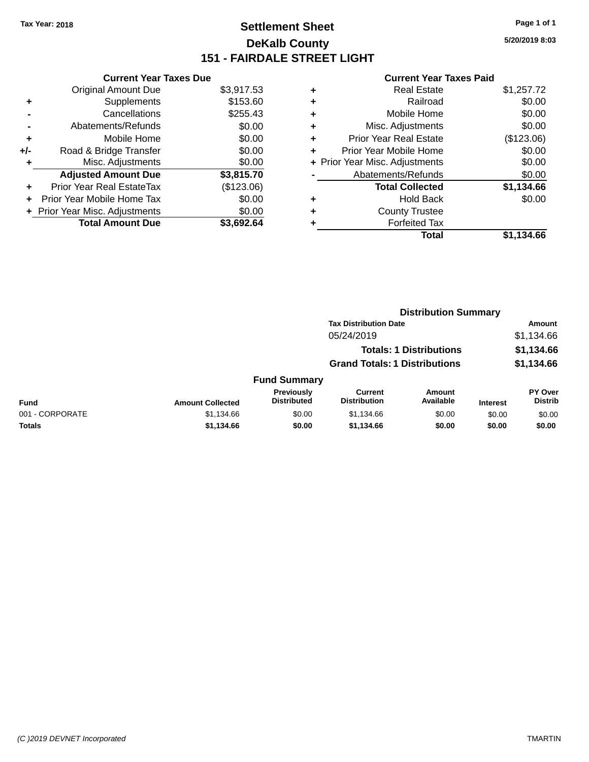### **Settlement Sheet Tax Year: 2018 Page 1 of 1 DeKalb County 151 - FAIRDALE STREET LIGHT**

**5/20/2019 8:03**

|       | <b>Current Year Taxes Due</b>     |            |  |  |  |  |
|-------|-----------------------------------|------------|--|--|--|--|
|       | <b>Original Amount Due</b>        | \$3,917.53 |  |  |  |  |
| ٠     | Supplements                       | \$153.60   |  |  |  |  |
|       | Cancellations                     | \$255.43   |  |  |  |  |
|       | Abatements/Refunds                | \$0.00     |  |  |  |  |
| ٠     | Mobile Home                       | \$0.00     |  |  |  |  |
| $+/-$ | Road & Bridge Transfer            | \$0.00     |  |  |  |  |
| ٠     | Misc. Adjustments                 | \$0.00     |  |  |  |  |
|       | <b>Adjusted Amount Due</b>        | \$3,815.70 |  |  |  |  |
| ٠     | <b>Prior Year Real EstateTax</b>  | (\$123.06) |  |  |  |  |
| ÷     | <b>Prior Year Mobile Home Tax</b> | \$0.00     |  |  |  |  |
|       | + Prior Year Misc. Adjustments    | \$0.00     |  |  |  |  |
|       | <b>Total Amount Due</b>           | \$3.692.64 |  |  |  |  |

|   | <b>Real Estate</b>             | \$1,257.72 |
|---|--------------------------------|------------|
| ٠ | Railroad                       | \$0.00     |
| ٠ | Mobile Home                    | \$0.00     |
| ٠ | Misc. Adjustments              | \$0.00     |
| ٠ | Prior Year Real Estate         | (\$123.06) |
| ٠ | Prior Year Mobile Home         | \$0.00     |
|   | + Prior Year Misc. Adjustments | \$0.00     |
|   | Abatements/Refunds             | \$0.00     |
|   | <b>Total Collected</b>         | \$1,134.66 |
| ٠ | Hold Back                      | \$0.00     |
| ٠ | <b>County Trustee</b>          |            |
| ٠ | <b>Forfeited Tax</b>           |            |
|   | <b>Total</b>                   | \$1.134.66 |
|   |                                |            |

|                 |                         |                                  | <b>Distribution Summary</b>           |                                |                 |                           |
|-----------------|-------------------------|----------------------------------|---------------------------------------|--------------------------------|-----------------|---------------------------|
|                 |                         |                                  | <b>Tax Distribution Date</b>          |                                |                 | Amount                    |
|                 |                         |                                  | 05/24/2019                            |                                |                 | \$1,134.66                |
|                 |                         |                                  |                                       | <b>Totals: 1 Distributions</b> |                 | \$1,134.66                |
|                 |                         |                                  | <b>Grand Totals: 1 Distributions</b>  |                                |                 | \$1,134.66                |
|                 |                         | <b>Fund Summary</b>              |                                       |                                |                 |                           |
| <b>Fund</b>     | <b>Amount Collected</b> | Previously<br><b>Distributed</b> | <b>Current</b><br><b>Distribution</b> | Amount<br>Available            | <b>Interest</b> | PY Over<br><b>Distrib</b> |
| 001 - CORPORATE | \$1,134.66              | \$0.00                           | \$1,134.66                            | \$0.00                         | \$0.00          | \$0.00                    |
| <b>Totals</b>   | \$1,134.66              | \$0.00                           | \$1,134.66                            | \$0.00                         | \$0.00          | \$0.00                    |
|                 |                         |                                  |                                       |                                |                 |                           |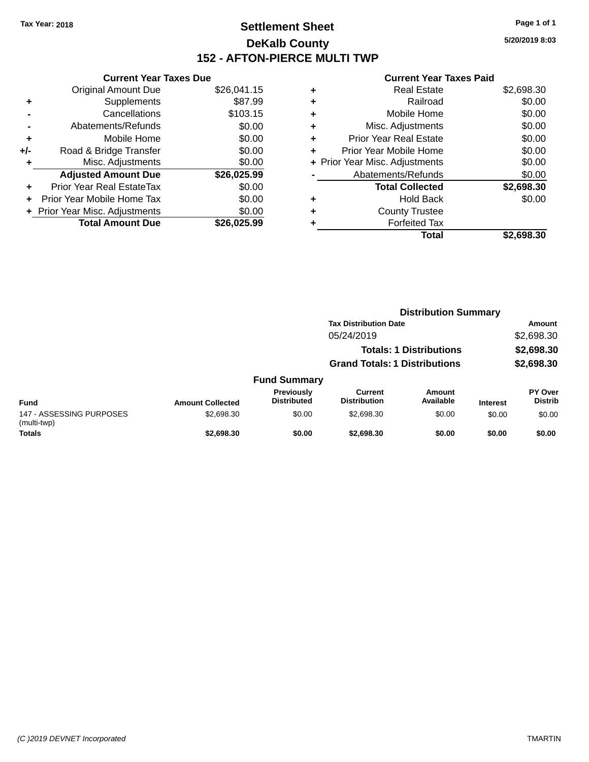$+$  Supplements

### **Settlement Sheet Tax Year: 2018 Page 1 of 1 DeKalb County 152 - AFTON-PIERCE MULTI TWP**

**5/20/2019 8:03**

#### **Current Year Taxes Paid**

|   | Total                          | \$2.698.30 |
|---|--------------------------------|------------|
|   | <b>Forfeited Tax</b>           |            |
| ٠ | <b>County Trustee</b>          |            |
| ٠ | <b>Hold Back</b>               | \$0.00     |
|   | <b>Total Collected</b>         | \$2,698.30 |
|   | Abatements/Refunds             | \$0.00     |
|   | + Prior Year Misc. Adjustments | \$0.00     |
| ٠ | Prior Year Mobile Home         | \$0.00     |
| ٠ | Prior Year Real Estate         | \$0.00     |
| ٠ | Misc. Adjustments              | \$0.00     |
| ٠ | Mobile Home                    | \$0.00     |
| ٠ | Railroad                       | \$0.00     |
| ٠ | Real Estate                    | \$2,698.30 |

|                | <b>Total Amount Due</b>          | \$26,025.99 |   |
|----------------|----------------------------------|-------------|---|
|                | + Prior Year Misc. Adjustments   | \$0.00      |   |
|                | Prior Year Mobile Home Tax       | \$0.00      |   |
|                | <b>Prior Year Real EstateTax</b> | \$0.00      |   |
|                | <b>Adjusted Amount Due</b>       | \$26,025.99 |   |
| ٠              | Misc. Adjustments                | \$0.00      | ٠ |
| $+/-$          | Road & Bridge Transfer           | \$0.00      |   |
| ٠              | Mobile Home                      | \$0.00      | ٠ |
| $\blacksquare$ | Abatements/Refunds               | \$0.00      |   |
|                | Cancellations                    | \$103.15    |   |

**Current Year Taxes Due**

Original Amount Due \$26,041.15<br>Supplements \$87.99

|                                         |                         |                                  | <b>Distribution Summary</b>           |                                |                 |                                  |  |
|-----------------------------------------|-------------------------|----------------------------------|---------------------------------------|--------------------------------|-----------------|----------------------------------|--|
|                                         |                         |                                  | <b>Tax Distribution Date</b>          |                                |                 | Amount                           |  |
|                                         |                         |                                  | 05/24/2019                            |                                |                 | \$2,698.30                       |  |
|                                         |                         |                                  |                                       | <b>Totals: 1 Distributions</b> |                 | \$2,698.30                       |  |
|                                         |                         |                                  | <b>Grand Totals: 1 Distributions</b>  |                                |                 | \$2,698.30                       |  |
|                                         |                         | <b>Fund Summary</b>              |                                       |                                |                 |                                  |  |
| <b>Fund</b>                             | <b>Amount Collected</b> | Previously<br><b>Distributed</b> | <b>Current</b><br><b>Distribution</b> | Amount<br>Available            | <b>Interest</b> | <b>PY Over</b><br><b>Distrib</b> |  |
| 147 - ASSESSING PURPOSES<br>(multi-twp) | \$2,698.30              | \$0.00                           | \$2,698.30                            | \$0.00                         | \$0.00          | \$0.00                           |  |
| <b>Totals</b>                           | \$2,698.30              | \$0.00                           | \$2,698.30                            | \$0.00                         | \$0.00          | \$0.00                           |  |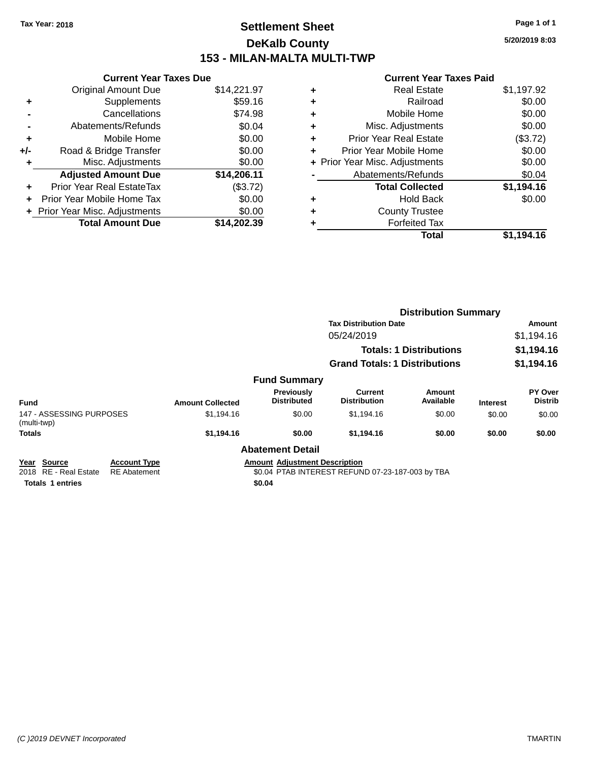### **Settlement Sheet Tax Year: 2018 Page 1 of 1 DeKalb County 153 - MILAN-MALTA MULTI-TWP**

**5/20/2019 8:03**

|     | <b>Current Year Taxes Due</b>  |             |  |  |  |  |
|-----|--------------------------------|-------------|--|--|--|--|
|     | <b>Original Amount Due</b>     | \$14,221.97 |  |  |  |  |
| ٠   | Supplements                    | \$59.16     |  |  |  |  |
|     | Cancellations                  | \$74.98     |  |  |  |  |
|     | Abatements/Refunds             | \$0.04      |  |  |  |  |
| ٠   | Mobile Home                    | \$0.00      |  |  |  |  |
| +/- | Road & Bridge Transfer         | \$0.00      |  |  |  |  |
| ٠   | Misc. Adjustments              | \$0.00      |  |  |  |  |
|     | <b>Adjusted Amount Due</b>     | \$14,206.11 |  |  |  |  |
| ٠   | Prior Year Real EstateTax      | (\$3.72)    |  |  |  |  |
|     | Prior Year Mobile Home Tax     | \$0.00      |  |  |  |  |
|     | + Prior Year Misc. Adjustments | \$0.00      |  |  |  |  |
|     | <b>Total Amount Due</b>        | \$14.202.39 |  |  |  |  |

|   | Total                          | \$1,194.16 |
|---|--------------------------------|------------|
| ٠ | <b>Forfeited Tax</b>           |            |
| ٠ | <b>County Trustee</b>          |            |
| ٠ | <b>Hold Back</b>               | \$0.00     |
|   | <b>Total Collected</b>         | \$1,194.16 |
|   | Abatements/Refunds             | \$0.04     |
|   | + Prior Year Misc. Adjustments | \$0.00     |
| ٠ | Prior Year Mobile Home         | \$0.00     |
| ٠ | <b>Prior Year Real Estate</b>  | (\$3.72)   |
| ٠ | Misc. Adjustments              | \$0.00     |
| ٠ | Mobile Home                    | \$0.00     |
| ٠ | Railroad                       | \$0.00     |
| ٠ | Real Estate                    | \$1,197.92 |
|   |                                |            |

|                                                   |                                            |                         |                                         | <b>Distribution Summary</b>                      |                                |                 |                           |
|---------------------------------------------------|--------------------------------------------|-------------------------|-----------------------------------------|--------------------------------------------------|--------------------------------|-----------------|---------------------------|
|                                                   |                                            |                         |                                         | <b>Tax Distribution Date</b>                     |                                |                 | Amount                    |
|                                                   |                                            |                         |                                         | 05/24/2019                                       |                                |                 | \$1,194.16                |
|                                                   |                                            |                         |                                         |                                                  | <b>Totals: 1 Distributions</b> |                 | \$1,194.16                |
|                                                   |                                            |                         |                                         | <b>Grand Totals: 1 Distributions</b>             |                                |                 | \$1,194.16                |
|                                                   |                                            |                         | <b>Fund Summary</b>                     |                                                  |                                |                 |                           |
| <b>Fund</b>                                       |                                            | <b>Amount Collected</b> | <b>Previously</b><br><b>Distributed</b> | Current<br><b>Distribution</b>                   | <b>Amount</b><br>Available     | <b>Interest</b> | PY Over<br><b>Distrib</b> |
| 147 - ASSESSING PURPOSES<br>(multi-twp)           |                                            | \$1,194.16              | \$0.00                                  | \$1,194.16                                       | \$0.00                         | \$0.00          | \$0.00                    |
| <b>Totals</b>                                     |                                            | \$1,194.16              | \$0.00                                  | \$1,194.16                                       | \$0.00                         | \$0.00          | \$0.00                    |
|                                                   |                                            |                         | <b>Abatement Detail</b>                 |                                                  |                                |                 |                           |
| Source<br>Year<br><b>RE</b> - Real Estate<br>2018 | <b>Account Type</b><br><b>RE</b> Abatement |                         | <b>Amount Adjustment Description</b>    | \$0.04 PTAB INTEREST REFUND 07-23-187-003 by TBA |                                |                 |                           |
| <b>Totals 1 entries</b>                           |                                            |                         | \$0.04                                  |                                                  |                                |                 |                           |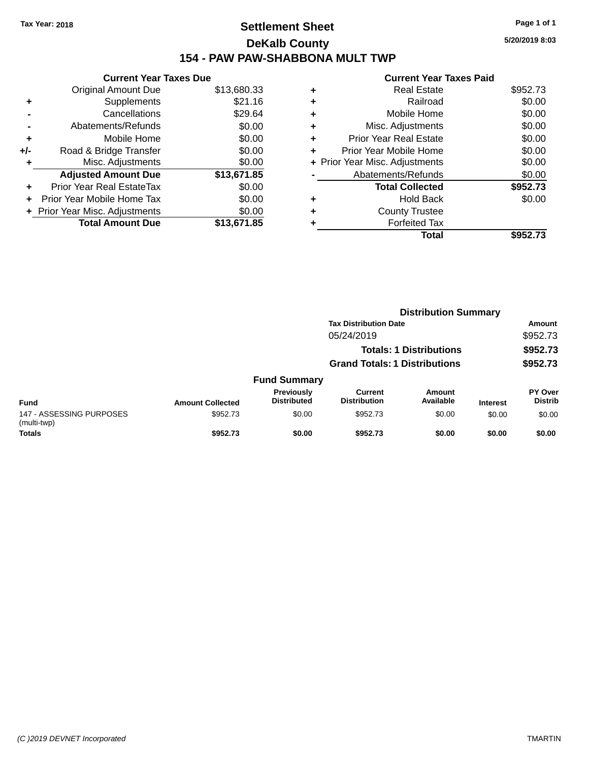### **Settlement Sheet Tax Year: 2018 Page 1 of 1 DeKalb County 154 - PAW PAW-SHABBONA MULT TWP**

**5/20/2019 8:03**

|     | <b>Current Year Taxes Due</b>  |             |  |  |  |
|-----|--------------------------------|-------------|--|--|--|
|     | <b>Original Amount Due</b>     | \$13,680.33 |  |  |  |
| ٠   | Supplements                    | \$21.16     |  |  |  |
|     | Cancellations                  | \$29.64     |  |  |  |
|     | Abatements/Refunds             | \$0.00      |  |  |  |
| ٠   | Mobile Home                    | \$0.00      |  |  |  |
| +/- | Road & Bridge Transfer         | \$0.00      |  |  |  |
| ٠   | Misc. Adjustments              | \$0.00      |  |  |  |
|     | <b>Adjusted Amount Due</b>     | \$13,671.85 |  |  |  |
|     | Prior Year Real EstateTax      | \$0.00      |  |  |  |
|     | Prior Year Mobile Home Tax     | \$0.00      |  |  |  |
|     | + Prior Year Misc. Adjustments | \$0.00      |  |  |  |
|     | <b>Total Amount Due</b>        | \$13,671.85 |  |  |  |
|     |                                |             |  |  |  |

| ٠ | <b>Real Estate</b>             | \$952.73 |
|---|--------------------------------|----------|
| ٠ | Railroad                       | \$0.00   |
| ٠ | Mobile Home                    | \$0.00   |
| ٠ | Misc. Adjustments              | \$0.00   |
| ٠ | <b>Prior Year Real Estate</b>  | \$0.00   |
|   | Prior Year Mobile Home         | \$0.00   |
|   | + Prior Year Misc. Adjustments | \$0.00   |
|   | Abatements/Refunds             | \$0.00   |
|   | <b>Total Collected</b>         | \$952.73 |
| ٠ | Hold Back                      | \$0.00   |
| ٠ | <b>County Trustee</b>          |          |
|   | <b>Forfeited Tax</b>           |          |
|   | Total                          | \$952.73 |
|   |                                |          |

|                                         |                         |                                         | <b>Distribution Summary</b>           |                                |                 |                           |
|-----------------------------------------|-------------------------|-----------------------------------------|---------------------------------------|--------------------------------|-----------------|---------------------------|
|                                         |                         |                                         | <b>Tax Distribution Date</b>          |                                |                 | Amount                    |
|                                         |                         |                                         | 05/24/2019                            |                                |                 | \$952.73                  |
|                                         |                         |                                         |                                       | <b>Totals: 1 Distributions</b> |                 | \$952.73                  |
|                                         |                         |                                         | <b>Grand Totals: 1 Distributions</b>  |                                |                 | \$952.73                  |
|                                         |                         | <b>Fund Summary</b>                     |                                       |                                |                 |                           |
| <b>Fund</b>                             | <b>Amount Collected</b> | <b>Previously</b><br><b>Distributed</b> | <b>Current</b><br><b>Distribution</b> | Amount<br>Available            | <b>Interest</b> | PY Over<br><b>Distrib</b> |
| 147 - ASSESSING PURPOSES<br>(multi-twp) | \$952.73                | \$0.00                                  | \$952.73                              | \$0.00                         | \$0.00          | \$0.00                    |
| <b>Totals</b>                           | \$952.73                | \$0.00                                  | \$952.73                              | \$0.00                         | \$0.00          | \$0.00                    |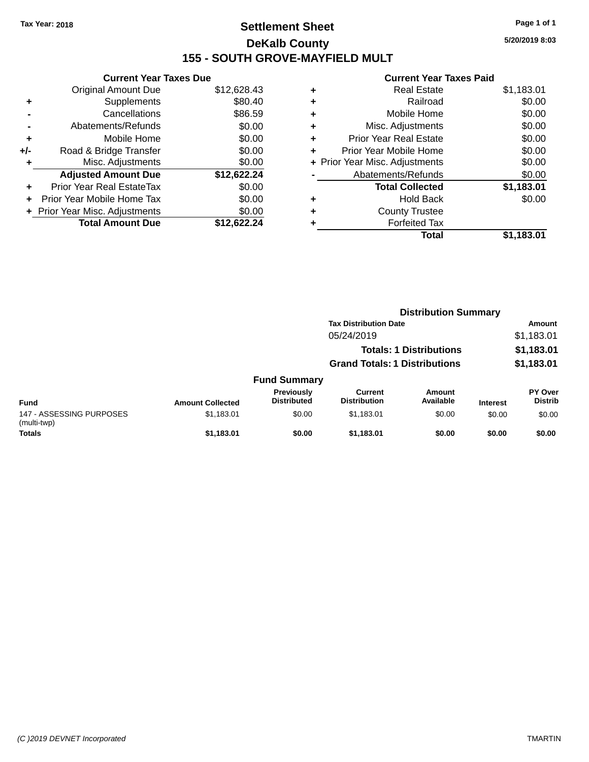### **Settlement Sheet Tax Year: 2018 Page 1 of 1 DeKalb County 155 - SOUTH GROVE-MAYFIELD MULT**

**5/20/2019 8:03**

|     | <b>Current Year Taxes Due</b>  |             |  |  |  |  |
|-----|--------------------------------|-------------|--|--|--|--|
|     | <b>Original Amount Due</b>     | \$12,628.43 |  |  |  |  |
| ٠   | Supplements                    | \$80.40     |  |  |  |  |
|     | Cancellations                  | \$86.59     |  |  |  |  |
|     | Abatements/Refunds             | \$0.00      |  |  |  |  |
| ٠   | Mobile Home                    | \$0.00      |  |  |  |  |
| +/- | Road & Bridge Transfer         | \$0.00      |  |  |  |  |
| ٠   | Misc. Adjustments              | \$0.00      |  |  |  |  |
|     | <b>Adjusted Amount Due</b>     | \$12,622.24 |  |  |  |  |
| ٠   | Prior Year Real EstateTax      | \$0.00      |  |  |  |  |
|     | Prior Year Mobile Home Tax     | \$0.00      |  |  |  |  |
|     | + Prior Year Misc. Adjustments | \$0.00      |  |  |  |  |
|     | <b>Total Amount Due</b>        | \$12.622.24 |  |  |  |  |
|     |                                |             |  |  |  |  |

|   | Total                          | \$1,183.01 |
|---|--------------------------------|------------|
|   | <b>Forfeited Tax</b>           |            |
| ٠ | <b>County Trustee</b>          |            |
| ٠ | <b>Hold Back</b>               | \$0.00     |
|   | <b>Total Collected</b>         | \$1,183.01 |
|   | Abatements/Refunds             | \$0.00     |
|   | + Prior Year Misc. Adjustments | \$0.00     |
| ٠ | Prior Year Mobile Home         | \$0.00     |
| ÷ | <b>Prior Year Real Estate</b>  | \$0.00     |
| ٠ | Misc. Adjustments              | \$0.00     |
| ÷ | Mobile Home                    | \$0.00     |
| ٠ | Railroad                       | \$0.00     |
| ٠ | <b>Real Estate</b>             | \$1,183.01 |
|   |                                |            |

|                                         |                         |                                  | <b>Distribution Summary</b>           |                                |                 |                           |
|-----------------------------------------|-------------------------|----------------------------------|---------------------------------------|--------------------------------|-----------------|---------------------------|
|                                         |                         |                                  | <b>Tax Distribution Date</b>          |                                |                 | <b>Amount</b>             |
|                                         |                         |                                  | 05/24/2019                            |                                |                 | \$1,183.01                |
|                                         |                         |                                  |                                       | <b>Totals: 1 Distributions</b> |                 | \$1,183.01                |
|                                         |                         |                                  | <b>Grand Totals: 1 Distributions</b>  |                                |                 | \$1,183.01                |
|                                         |                         | <b>Fund Summary</b>              |                                       |                                |                 |                           |
| <b>Fund</b>                             | <b>Amount Collected</b> | Previously<br><b>Distributed</b> | <b>Current</b><br><b>Distribution</b> | <b>Amount</b><br>Available     | <b>Interest</b> | PY Over<br><b>Distrib</b> |
| 147 - ASSESSING PURPOSES<br>(multi-twp) | \$1,183.01              | \$0.00                           | \$1.183.01                            | \$0.00                         | \$0.00          | \$0.00                    |
| <b>Totals</b>                           | \$1.183.01              | \$0.00                           | \$1.183.01                            | \$0.00                         | \$0.00          | \$0.00                    |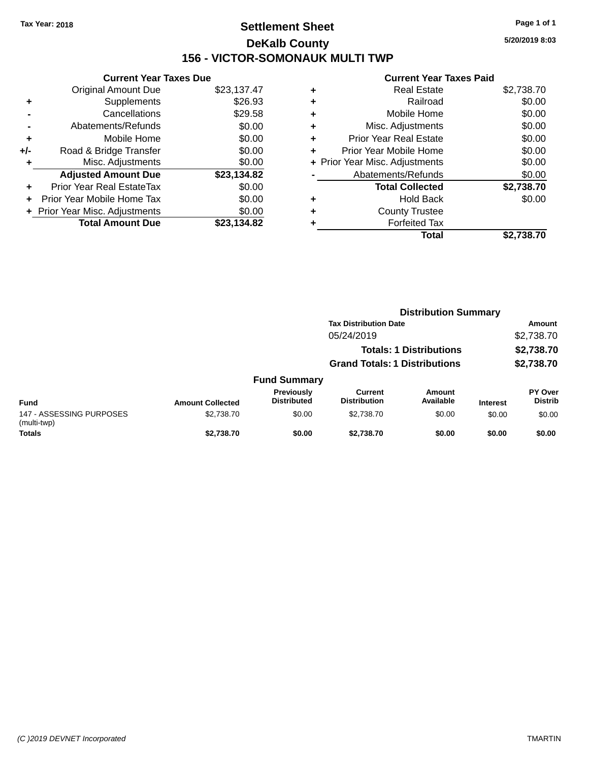### **Settlement Sheet Tax Year: 2018 Page 1 of 1 DeKalb County 156 - VICTOR-SOMONAUK MULTI TWP**

**5/20/2019 8:03**

| <b>Current Year Taxes Due</b> |                                |  |  |  |  |
|-------------------------------|--------------------------------|--|--|--|--|
| <b>Original Amount Due</b>    | \$23,137.47                    |  |  |  |  |
| Supplements                   | \$26.93                        |  |  |  |  |
| Cancellations                 | \$29.58                        |  |  |  |  |
| Abatements/Refunds            | \$0.00                         |  |  |  |  |
| Mobile Home                   | \$0.00                         |  |  |  |  |
| Road & Bridge Transfer        | \$0.00                         |  |  |  |  |
| Misc. Adjustments             | \$0.00                         |  |  |  |  |
| <b>Adjusted Amount Due</b>    | \$23,134.82                    |  |  |  |  |
| Prior Year Real EstateTax     | \$0.00                         |  |  |  |  |
| Prior Year Mobile Home Tax    | \$0.00                         |  |  |  |  |
|                               | \$0.00                         |  |  |  |  |
| <b>Total Amount Due</b>       | \$23.134.82                    |  |  |  |  |
|                               | + Prior Year Misc. Adjustments |  |  |  |  |

|   | <b>Real Estate</b>             | \$2,738.70 |
|---|--------------------------------|------------|
| ٠ | Railroad                       | \$0.00     |
| ٠ | Mobile Home                    | \$0.00     |
| ٠ | Misc. Adjustments              | \$0.00     |
| ٠ | <b>Prior Year Real Estate</b>  | \$0.00     |
| ٠ | Prior Year Mobile Home         | \$0.00     |
|   | + Prior Year Misc. Adjustments | \$0.00     |
|   | Abatements/Refunds             | \$0.00     |
|   | <b>Total Collected</b>         | \$2,738.70 |
| ٠ | Hold Back                      | \$0.00     |
| ٠ | <b>County Trustee</b>          |            |
| ٠ | <b>Forfeited Tax</b>           |            |
|   | <b>Total</b>                   | \$2,738.70 |
|   |                                |            |

|                                         |                         |                                         | <b>Distribution Summary</b>          |                                |                 |                           |
|-----------------------------------------|-------------------------|-----------------------------------------|--------------------------------------|--------------------------------|-----------------|---------------------------|
|                                         |                         |                                         | <b>Tax Distribution Date</b>         |                                |                 | Amount                    |
|                                         |                         |                                         | 05/24/2019                           |                                |                 | \$2,738.70                |
|                                         |                         |                                         |                                      | <b>Totals: 1 Distributions</b> |                 | \$2,738.70                |
|                                         |                         |                                         | <b>Grand Totals: 1 Distributions</b> |                                |                 | \$2,738.70                |
|                                         |                         | <b>Fund Summary</b>                     |                                      |                                |                 |                           |
| <b>Fund</b>                             | <b>Amount Collected</b> | <b>Previously</b><br><b>Distributed</b> | Current<br><b>Distribution</b>       | Amount<br>Available            | <b>Interest</b> | PY Over<br><b>Distrib</b> |
| 147 - ASSESSING PURPOSES<br>(multi-twp) | \$2,738.70              | \$0.00                                  | \$2,738,70                           | \$0.00                         | \$0.00          | \$0.00                    |
| <b>Totals</b>                           | \$2.738.70              | \$0.00                                  | \$2.738.70                           | \$0.00                         | \$0.00          | \$0.00                    |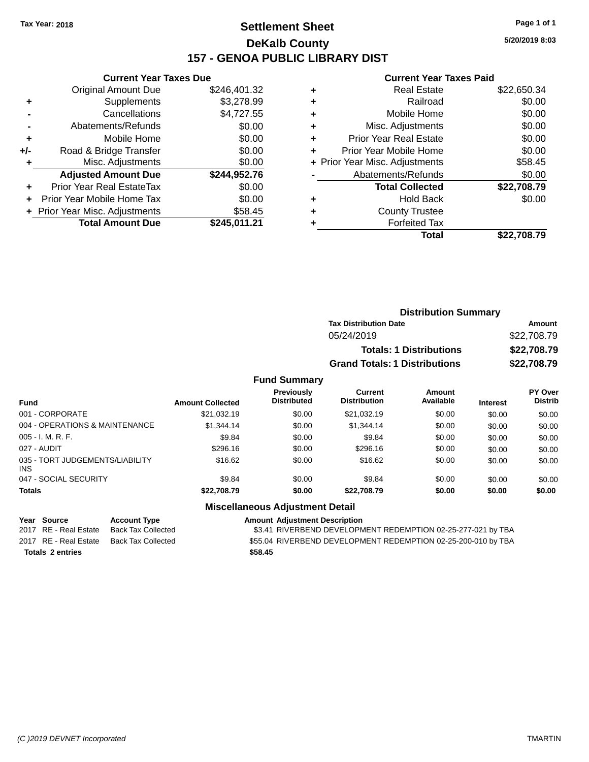### **Settlement Sheet Tax Year: 2018 Page 1 of 1 DeKalb County 157 - GENOA PUBLIC LIBRARY DIST**

**Current Year Taxes Due**

|       | <b>Original Amount Due</b>     | \$246,401.32 |
|-------|--------------------------------|--------------|
| ٠     | Supplements                    | \$3,278.99   |
|       | Cancellations                  | \$4,727.55   |
|       | Abatements/Refunds             | \$0.00       |
| ٠     | Mobile Home                    | \$0.00       |
| $+/-$ | Road & Bridge Transfer         | \$0.00       |
| ٠     | Misc. Adjustments              | \$0.00       |
|       | <b>Adjusted Amount Due</b>     | \$244,952.76 |
|       | Prior Year Real EstateTax      | \$0.00       |
|       | Prior Year Mobile Home Tax     | \$0.00       |
|       | + Prior Year Misc. Adjustments | \$58.45      |
|       | <b>Total Amount Due</b>        | \$245,011.21 |

#### **Current Year Taxes Paid**

|   | <b>Real Estate</b>             | \$22,650.34 |
|---|--------------------------------|-------------|
|   | Railroad                       | \$0.00      |
| ٠ | Mobile Home                    | \$0.00      |
| ٠ | Misc. Adjustments              | \$0.00      |
| ٠ | <b>Prior Year Real Estate</b>  | \$0.00      |
| ٠ | Prior Year Mobile Home         | \$0.00      |
|   | + Prior Year Misc. Adjustments | \$58.45     |
|   | Abatements/Refunds             | \$0.00      |
|   | <b>Total Collected</b>         | \$22,708.79 |
| ٠ | <b>Hold Back</b>               | \$0.00      |
|   | <b>County Trustee</b>          |             |
|   | <b>Forfeited Tax</b>           |             |
|   | Total                          | \$22,708.79 |
|   |                                |             |

| <b>Distribution Summary</b>          |             |
|--------------------------------------|-------------|
| <b>Tax Distribution Date</b>         | Amount      |
| 05/24/2019                           | \$22,708.79 |
| <b>Totals: 1 Distributions</b>       | \$22,708.79 |
| <b>Grand Totals: 1 Distributions</b> | \$22,708.79 |

#### **Fund Summary**

| <b>Fund</b>                                   | <b>Amount Collected</b> | <b>Previously</b><br><b>Distributed</b> | Current<br><b>Distribution</b> | Amount<br>Available | <b>Interest</b> | <b>PY Over</b><br><b>Distrib</b> |
|-----------------------------------------------|-------------------------|-----------------------------------------|--------------------------------|---------------------|-----------------|----------------------------------|
| 001 - CORPORATE                               | \$21.032.19             | \$0.00                                  | \$21.032.19                    | \$0.00              | \$0.00          | \$0.00                           |
| 004 - OPERATIONS & MAINTENANCE                | \$1,344.14              | \$0.00                                  | \$1,344.14                     | \$0.00              | \$0.00          | \$0.00                           |
| $005 - I. M. R. F.$                           | \$9.84                  | \$0.00                                  | \$9.84                         | \$0.00              | \$0.00          | \$0.00                           |
| 027 - AUDIT                                   | \$296.16                | \$0.00                                  | \$296.16                       | \$0.00              | \$0.00          | \$0.00                           |
| 035 - TORT JUDGEMENTS/LIABILITY<br><b>INS</b> | \$16.62                 | \$0.00                                  | \$16.62                        | \$0.00              | \$0.00          | \$0.00                           |
| 047 - SOCIAL SECURITY                         | \$9.84                  | \$0.00                                  | \$9.84                         | \$0.00              | \$0.00          | \$0.00                           |
| <b>Totals</b>                                 | \$22,708.79             | \$0.00                                  | \$22.708.79                    | \$0.00              | \$0.00          | \$0.00                           |

### **Miscellaneous Adjustment Detail**

**Totals \$58.45 2 entries**

**Year Source Account Type Amount Adjustment Description** \$3.41 RIVERBEND DEVELOPMENT REDEMPTION 02-25-277-021 by TBA 2017 RE - Real Estate Back Tax Collected \$55.04 RIVERBEND DEVEL OPMENT REDEMPTION 02-25-200-010 by TBA

**5/20/2019 8:03**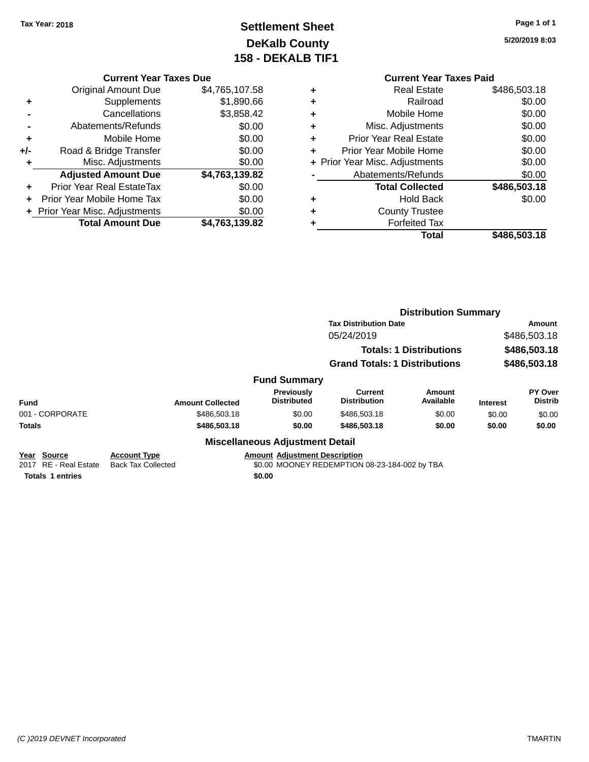### **Settlement Sheet Tax Year: 2018 Page 1 of 1 DeKalb County 158 - DEKALB TIF1**

**5/20/2019 8:03**

### **Current Year Taxes Due**

|     | <b>Original Amount Due</b>       | \$4,765,107.58 |
|-----|----------------------------------|----------------|
|     | Supplements                      | \$1,890.66     |
|     | Cancellations                    | \$3,858.42     |
|     | Abatements/Refunds               | \$0.00         |
| ٠   | Mobile Home                      | \$0.00         |
| +/- | Road & Bridge Transfer           | \$0.00         |
| ٠   | Misc. Adjustments                | \$0.00         |
|     | <b>Adjusted Amount Due</b>       | \$4,763,139.82 |
|     | <b>Prior Year Real EstateTax</b> | \$0.00         |
|     | Prior Year Mobile Home Tax       | \$0.00         |
|     | + Prior Year Misc. Adjustments   | \$0.00         |
|     | <b>Total Amount Due</b>          | \$4,763,139.82 |

|   | <b>Current Year Taxes Paid</b> |              |  |  |  |
|---|--------------------------------|--------------|--|--|--|
| ٠ | <b>Real Estate</b>             | \$486,503.18 |  |  |  |
| ٠ | Railroad                       | \$0.00       |  |  |  |
| ٠ | Mobile Home                    | \$0.00       |  |  |  |
| ٠ | Misc. Adjustments              | \$0.00       |  |  |  |
| ٠ | <b>Prior Year Real Estate</b>  | \$0.00       |  |  |  |
| ٠ | Prior Year Mobile Home         | \$0.00       |  |  |  |
|   | + Prior Year Misc. Adjustments | \$0.00       |  |  |  |
|   | Abatements/Refunds             | \$0.00       |  |  |  |
|   | <b>Total Collected</b>         | \$486,503.18 |  |  |  |
| ٠ | <b>Hold Back</b>               | \$0.00       |  |  |  |
|   | <b>County Trustee</b>          |              |  |  |  |
|   | <b>Forfeited Tax</b>           |              |  |  |  |
|   | Total                          | \$486,503.18 |  |  |  |
|   |                                |              |  |  |  |

|                                      |                                                  |                                        | <b>Distribution Summary</b>                   |                     |                              |                           |
|--------------------------------------|--------------------------------------------------|----------------------------------------|-----------------------------------------------|---------------------|------------------------------|---------------------------|
|                                      |                                                  |                                        | <b>Tax Distribution Date</b>                  | Amount              |                              |                           |
|                                      |                                                  |                                        | 05/24/2019<br><b>Totals: 1 Distributions</b>  |                     | \$486,503.18<br>\$486,503.18 |                           |
|                                      |                                                  |                                        |                                               |                     |                              |                           |
|                                      |                                                  |                                        | <b>Grand Totals: 1 Distributions</b>          |                     |                              | \$486,503.18              |
|                                      |                                                  | <b>Fund Summary</b>                    |                                               |                     |                              |                           |
| <b>Fund</b>                          | <b>Amount Collected</b>                          | Previously<br><b>Distributed</b>       | Current<br><b>Distribution</b>                | Amount<br>Available | <b>Interest</b>              | PY Over<br><b>Distrib</b> |
| 001 - CORPORATE                      | \$486,503.18                                     | \$0.00                                 | \$486,503.18                                  | \$0.00              | \$0.00                       | \$0.00                    |
| <b>Totals</b>                        | \$486,503.18                                     | \$0.00                                 | \$486,503.18                                  | \$0.00              | \$0.00                       | \$0.00                    |
|                                      |                                                  | <b>Miscellaneous Adjustment Detail</b> |                                               |                     |                              |                           |
| Year Source<br>2017 RE - Real Estate | <b>Account Type</b><br><b>Back Tax Collected</b> | <b>Amount Adjustment Description</b>   | \$0.00 MOONEY REDEMPTION 08-23-184-002 by TBA |                     |                              |                           |

**Totals 1 entries** \$0.00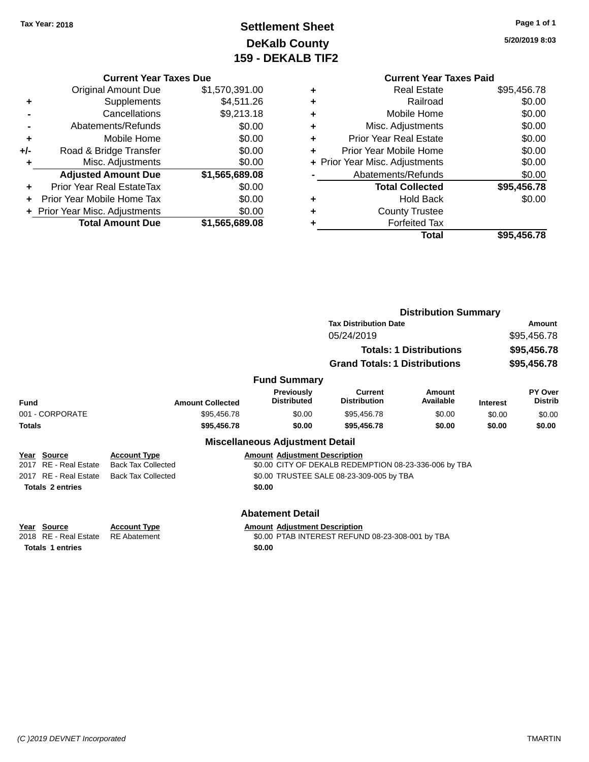### **Settlement Sheet Tax Year: 2018 Page 1 of 1 DeKalb County 159 - DEKALB TIF2**

**5/20/2019 8:03**

#### **Current Year Taxes Due**

|     | <b>Original Amount Due</b>     | \$1,570,391.00 |
|-----|--------------------------------|----------------|
| ٠   | Supplements                    | \$4,511.26     |
|     | Cancellations                  | \$9,213.18     |
|     | Abatements/Refunds             | \$0.00         |
| ٠   | Mobile Home                    | \$0.00         |
| +/- | Road & Bridge Transfer         | \$0.00         |
| ٠   | Misc. Adjustments              | \$0.00         |
|     | <b>Adjusted Amount Due</b>     | \$1,565,689.08 |
| ٠   | Prior Year Real EstateTax      | \$0.00         |
|     | Prior Year Mobile Home Tax     | \$0.00         |
|     | + Prior Year Misc. Adjustments | \$0.00         |
|     | <b>Total Amount Due</b>        | \$1,565,689.08 |

|   | <b>Current Year Taxes Paid</b> |             |
|---|--------------------------------|-------------|
| ٠ | <b>Real Estate</b>             | \$95,456.78 |
| ٠ | Railroad                       | \$0.00      |
|   | Mobile Home                    | \$0.00      |
|   | Misc. Adjustments              | \$0.00      |
| ٠ | <b>Prior Year Real Estate</b>  | \$0.00      |
| ٠ | Prior Year Mobile Home         | \$0.00      |
|   | + Prior Year Misc. Adjustments | \$0.00      |
|   | Abatements/Refunds             | \$0.00      |
|   | <b>Total Collected</b>         | \$95,456.78 |
|   | Hold Back                      | \$0.00      |
|   | <b>County Trustee</b>          |             |
|   | <b>Forfeited Tax</b>           |             |
|   | Total                          | \$95.456.78 |
|   |                                |             |

|                                 |                           |                                         | <b>Distribution Summary</b>                           |                                |                 |                           |  |
|---------------------------------|---------------------------|-----------------------------------------|-------------------------------------------------------|--------------------------------|-----------------|---------------------------|--|
|                                 |                           |                                         | <b>Tax Distribution Date</b>                          |                                |                 | Amount                    |  |
|                                 |                           |                                         | 05/24/2019                                            |                                |                 | \$95,456.78               |  |
|                                 |                           |                                         |                                                       | <b>Totals: 1 Distributions</b> |                 | \$95,456.78               |  |
|                                 |                           |                                         | <b>Grand Totals: 1 Distributions</b>                  |                                |                 | \$95,456.78               |  |
|                                 |                           | <b>Fund Summary</b>                     |                                                       |                                |                 |                           |  |
| <b>Fund</b>                     | <b>Amount Collected</b>   | <b>Previously</b><br><b>Distributed</b> | <b>Current</b><br><b>Distribution</b>                 | Amount<br>Available            | <b>Interest</b> | PY Over<br><b>Distrib</b> |  |
| 001 - CORPORATE                 | \$95,456.78               | \$0.00                                  | \$95,456.78                                           | \$0.00                         | \$0.00          | \$0.00                    |  |
| <b>Totals</b>                   | \$95,456.78               | \$0.00                                  | \$95,456.78                                           | \$0.00                         | \$0.00          | \$0.00                    |  |
|                                 |                           | <b>Miscellaneous Adjustment Detail</b>  |                                                       |                                |                 |                           |  |
| Year Source                     | <b>Account Type</b>       | <b>Amount Adjustment Description</b>    |                                                       |                                |                 |                           |  |
| RE - Real Estate<br>2017        | <b>Back Tax Collected</b> |                                         | \$0.00 CITY OF DEKALB REDEMPTION 08-23-336-006 by TBA |                                |                 |                           |  |
| RE - Real Estate<br>2017        | <b>Back Tax Collected</b> |                                         | \$0.00 TRUSTEE SALE 08-23-309-005 by TBA              |                                |                 |                           |  |
| <b>Totals 2 entries</b>         |                           | \$0.00                                  |                                                       |                                |                 |                           |  |
|                                 |                           | <b>Abatement Detail</b>                 |                                                       |                                |                 |                           |  |
| Source<br>Year                  | <b>Account Type</b>       | <b>Amount Adjustment Description</b>    |                                                       |                                |                 |                           |  |
| <b>RE</b> - Real Estate<br>2018 | <b>RE</b> Abatement       |                                         | \$0.00 PTAB INTEREST REFUND 08-23-308-001 by TBA      |                                |                 |                           |  |
| <b>Totals 1 entries</b>         |                           | \$0.00                                  |                                                       |                                |                 |                           |  |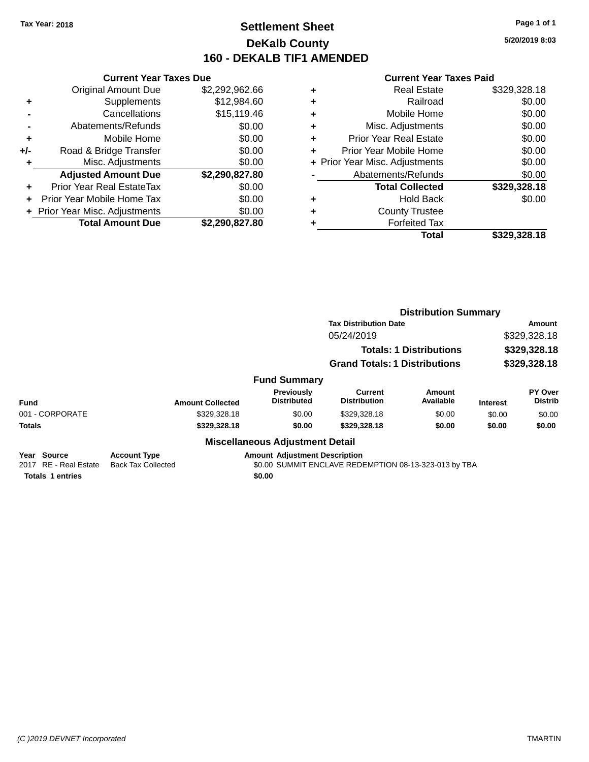### **Settlement Sheet Tax Year: 2018 Page 1 of 1 DeKalb County 160 - DEKALB TIF1 AMENDED**

**5/20/2019 8:03**

|     | <b>Current Year Taxes Due</b>  |                |  |  |
|-----|--------------------------------|----------------|--|--|
|     | <b>Original Amount Due</b>     | \$2,292,962.66 |  |  |
| ٠   | Supplements                    | \$12,984.60    |  |  |
|     | \$15,119.46<br>Cancellations   |                |  |  |
|     | \$0.00<br>Abatements/Refunds   |                |  |  |
| ٠   | Mobile Home                    | \$0.00         |  |  |
| +/- | Road & Bridge Transfer         | \$0.00         |  |  |
|     | Misc. Adjustments              | \$0.00         |  |  |
|     | <b>Adjusted Amount Due</b>     | \$2,290,827.80 |  |  |
| ÷   | Prior Year Real EstateTax      | \$0.00         |  |  |
| ÷   | Prior Year Mobile Home Tax     | \$0.00         |  |  |
|     | + Prior Year Misc. Adjustments | \$0.00         |  |  |
|     | <b>Total Amount Due</b>        | \$2.290.827.80 |  |  |

|   | Real Estate                    | \$329,328.18 |
|---|--------------------------------|--------------|
| ٠ | Railroad                       | \$0.00       |
| ٠ | Mobile Home                    | \$0.00       |
| ٠ | Misc. Adjustments              | \$0.00       |
| ٠ | <b>Prior Year Real Estate</b>  | \$0.00       |
| ÷ | Prior Year Mobile Home         | \$0.00       |
|   | + Prior Year Misc. Adjustments | \$0.00       |
|   | Abatements/Refunds             | \$0.00       |
|   | <b>Total Collected</b>         | \$329,328.18 |
| ٠ | Hold Back                      | \$0.00       |
| ٠ | <b>County Trustee</b>          |              |
|   | <b>Forfeited Tax</b>           |              |
|   | <b>Total</b>                   | \$329.328.18 |
|   |                                |              |

|                                                                                     |                                                  |                                                |                                                       | <b>Distribution Summary</b>                   |                 |                           |
|-------------------------------------------------------------------------------------|--------------------------------------------------|------------------------------------------------|-------------------------------------------------------|-----------------------------------------------|-----------------|---------------------------|
|                                                                                     |                                                  |                                                | <b>Tax Distribution Date</b>                          | <b>Amount</b><br>\$329,328.18<br>\$329,328.18 |                 |                           |
|                                                                                     |                                                  |                                                | 05/24/2019                                            |                                               |                 |                           |
|                                                                                     |                                                  |                                                | <b>Totals: 1 Distributions</b>                        |                                               |                 |                           |
|                                                                                     |                                                  |                                                | <b>Grand Totals: 1 Distributions</b>                  |                                               | \$329,328.18    |                           |
|                                                                                     |                                                  | <b>Fund Summary</b>                            |                                                       |                                               |                 |                           |
| <b>Fund</b>                                                                         | <b>Amount Collected</b>                          | Previously<br><b>Distributed</b>               | Current<br><b>Distribution</b>                        | Amount<br>Available                           | <b>Interest</b> | PY Over<br><b>Distrib</b> |
| 001 - CORPORATE                                                                     | \$329,328.18                                     | \$0.00                                         | \$329,328.18                                          | \$0.00                                        | \$0.00          | \$0.00                    |
| <b>Totals</b>                                                                       | \$329,328.18                                     | \$0.00                                         | \$329,328.18                                          | \$0.00                                        | \$0.00          | \$0.00                    |
|                                                                                     |                                                  | <b>Miscellaneous Adjustment Detail</b>         |                                                       |                                               |                 |                           |
| <b>Source</b><br>Year<br><b>RE</b> - Real Estate<br>2017<br><b>Totals 1 entries</b> | <b>Account Type</b><br><b>Back Tax Collected</b> | <b>Amount Adjustment Description</b><br>\$0.00 | \$0.00 SUMMIT ENCLAVE REDEMPTION 08-13-323-013 by TBA |                                               |                 |                           |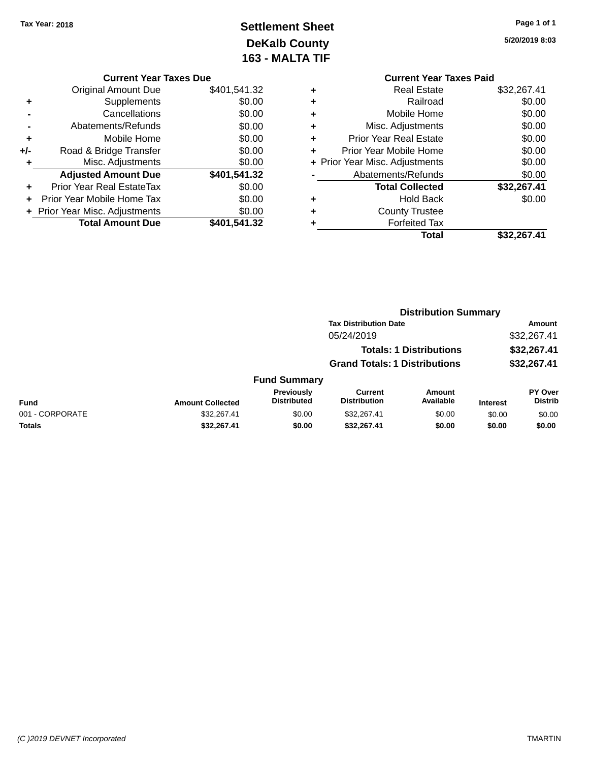### **Settlement Sheet Tax Year: 2018 Page 1 of 1 DeKalb County 163 - MALTA TIF**

**5/20/2019 8:03**

|     | <b>Current Year Taxes Due</b>  |              |  |  |  |  |
|-----|--------------------------------|--------------|--|--|--|--|
|     | <b>Original Amount Due</b>     | \$401,541.32 |  |  |  |  |
|     | Supplements                    | \$0.00       |  |  |  |  |
|     | Cancellations                  | \$0.00       |  |  |  |  |
|     | Abatements/Refunds             | \$0.00       |  |  |  |  |
| ٠   | Mobile Home                    | \$0.00       |  |  |  |  |
| +/- | Road & Bridge Transfer         | \$0.00       |  |  |  |  |
| ٠   | Misc. Adjustments              | \$0.00       |  |  |  |  |
|     | <b>Adjusted Amount Due</b>     | \$401,541.32 |  |  |  |  |
| ÷   | Prior Year Real EstateTax      | \$0.00       |  |  |  |  |
|     | Prior Year Mobile Home Tax     | \$0.00       |  |  |  |  |
|     | + Prior Year Misc. Adjustments | \$0.00       |  |  |  |  |
|     | <b>Total Amount Due</b>        | \$401,541.32 |  |  |  |  |

|   | <b>Current Year Taxes Paid</b> |             |
|---|--------------------------------|-------------|
| ٠ | <b>Real Estate</b>             | \$32,267.41 |
| ٠ | Railroad                       | \$0.00      |
|   | Mobile Home                    | \$0.00      |
| ٠ | Misc. Adjustments              | \$0.00      |
| ٠ | <b>Prior Year Real Estate</b>  | \$0.00      |
|   | Prior Year Mobile Home         | \$0.00      |
|   | + Prior Year Misc. Adjustments | \$0.00      |
|   | Abatements/Refunds             | \$0.00      |
|   | <b>Total Collected</b>         | \$32,267.41 |
| ÷ | <b>Hold Back</b>               | \$0.00      |
|   | <b>County Trustee</b>          |             |
|   | <b>Forfeited Tax</b>           |             |
|   | Total                          | \$32,267.41 |
|   |                                |             |

|                 |                         |                                         | <b>Distribution Summary</b>           |                                |                 |                           |
|-----------------|-------------------------|-----------------------------------------|---------------------------------------|--------------------------------|-----------------|---------------------------|
|                 |                         |                                         | <b>Tax Distribution Date</b>          |                                |                 | <b>Amount</b>             |
|                 |                         |                                         | 05/24/2019                            |                                |                 | \$32,267.41               |
|                 |                         |                                         |                                       | <b>Totals: 1 Distributions</b> |                 | \$32,267.41               |
|                 |                         |                                         | <b>Grand Totals: 1 Distributions</b>  |                                |                 | \$32,267.41               |
|                 |                         | <b>Fund Summary</b>                     |                                       |                                |                 |                           |
| <b>Fund</b>     | <b>Amount Collected</b> | <b>Previously</b><br><b>Distributed</b> | <b>Current</b><br><b>Distribution</b> | Amount<br>Available            | <b>Interest</b> | PY Over<br><b>Distrib</b> |
| 001 - CORPORATE | \$32,267.41             | \$0.00                                  | \$32,267.41                           | \$0.00                         | \$0.00          | \$0.00                    |
| <b>Totals</b>   | \$32,267.41             | \$0.00                                  | \$32,267.41                           | \$0.00                         | \$0.00          | \$0.00                    |
|                 |                         |                                         |                                       |                                |                 |                           |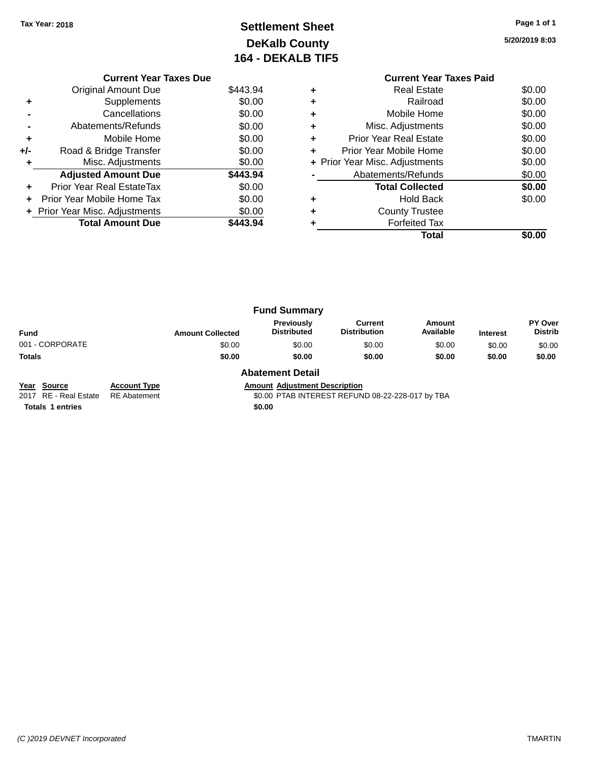### **Settlement Sheet Tax Year: 2018 Page 1 of 1 DeKalb County 164 - DEKALB TIF5**

**5/20/2019 8:03**

|     | <b>Current Year Taxes Due</b>  |          |
|-----|--------------------------------|----------|
|     | <b>Original Amount Due</b>     | \$443.94 |
| ٠   | Supplements                    | \$0.00   |
|     | Cancellations                  | \$0.00   |
|     | Abatements/Refunds             | \$0.00   |
| ٠   | Mobile Home                    | \$0.00   |
| +/- | Road & Bridge Transfer         | \$0.00   |
|     | Misc. Adjustments              | \$0.00   |
|     | <b>Adjusted Amount Due</b>     | \$443.94 |
| ٠   | Prior Year Real EstateTax      | \$0.00   |
| ÷   | Prior Year Mobile Home Tax     | \$0.00   |
|     | + Prior Year Misc. Adjustments | \$0.00   |
|     | <b>Total Amount Due</b>        | \$443.94 |
|     |                                |          |

### **Current Year Taxes Paid +** Real Estate \$0.00 **+** Railroad \$0.00 **+** Mobile Home \$0.00 **+** Misc. Adjustments \$0.00 **+** Prior Year Real Estate \$0.00 **+** Prior Year Mobile Home \$0.00 **+ Prior Year Misc. Adjustments**  $$0.00$ **-** Abatements/Refunds \$0.00 **Total Collected \$0.00 +** Hold Back \$0.00 **+** County Trustee **+** Forfeited Tax **Total \$0.00**

|                 |                         | <b>Fund Summary</b>              |                                |                     |                 |                           |
|-----------------|-------------------------|----------------------------------|--------------------------------|---------------------|-----------------|---------------------------|
| <b>Fund</b>     | <b>Amount Collected</b> | Previously<br><b>Distributed</b> | Current<br><b>Distribution</b> | Amount<br>Available | <b>Interest</b> | PY Over<br><b>Distrib</b> |
| 001 - CORPORATE | \$0.00                  | \$0.00                           | \$0.00                         | \$0.00              | \$0.00          | \$0.00                    |
| <b>Totals</b>   | \$0.00                  | \$0.00                           | \$0.00                         | \$0.00              | \$0.00          | \$0.00                    |
|                 |                         | <b>Abatement Detail</b>          |                                |                     |                 |                           |

**Year Source Account Type Amount Adjustment Description**

2017 RE - Real Estate RE Abatement \$0.00 PTAB INTEREST REFUND 08-22-228-017 by TBA

**Totals 1 entries** \$0.00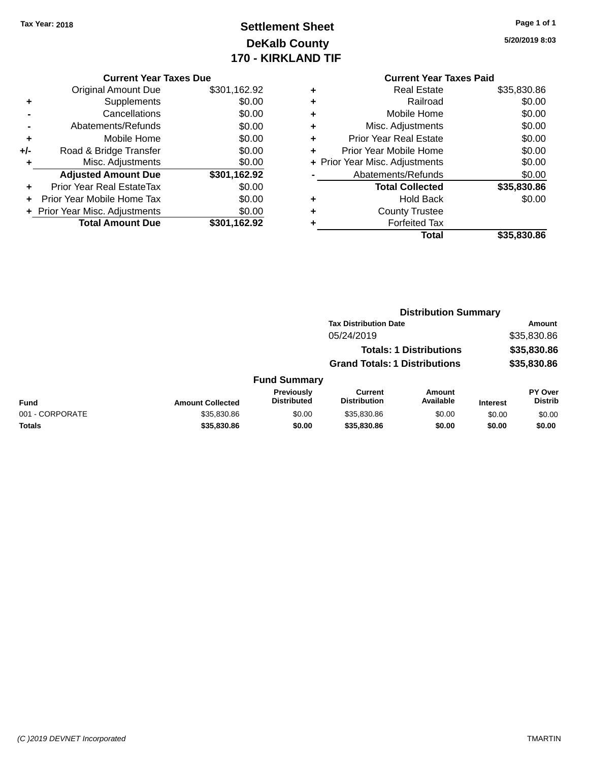## **Settlement Sheet Tax Year: 2018 Page 1 of 1 DeKalb County 170 - KIRKLAND TIF**

| Page 1 of 1 |  |  |  |
|-------------|--|--|--|
|-------------|--|--|--|

**5/20/2019 8:03**

|   | <b>Current Year Taxes Paid</b> |             |
|---|--------------------------------|-------------|
| ٠ | <b>Real Estate</b>             | \$35,830.86 |
| ٠ | Railroad                       | \$0.00      |
| ٠ | Mobile Home                    | \$0.00      |
| ٠ | Misc. Adjustments              | \$0.00      |
| ٠ | <b>Prior Year Real Estate</b>  | \$0.00      |
| ٠ | Prior Year Mobile Home         | \$0.00      |
|   | + Prior Year Misc. Adjustments | \$0.00      |
|   | Abatements/Refunds             | \$0.00      |
|   | <b>Total Collected</b>         | \$35,830.86 |
| ٠ | <b>Hold Back</b>               | \$0.00      |
| ٠ | <b>County Trustee</b>          |             |
|   | <b>Forfeited Tax</b>           |             |
|   | Total                          | \$35,830.86 |
|   |                                |             |

|     | <b>Current Year Taxes Due</b>  |              |
|-----|--------------------------------|--------------|
|     | <b>Original Amount Due</b>     | \$301,162.92 |
| ٠   | Supplements                    | \$0.00       |
|     | Cancellations                  | \$0.00       |
|     | Abatements/Refunds             | \$0.00       |
| ٠   | Mobile Home                    | \$0.00       |
| +/- | Road & Bridge Transfer         | \$0.00       |
| ٠   | Misc. Adjustments              | \$0.00       |
|     | <b>Adjusted Amount Due</b>     | \$301,162.92 |
|     | Prior Year Real EstateTax      | \$0.00       |
|     | Prior Year Mobile Home Tax     | \$0.00       |
|     | + Prior Year Misc. Adjustments | \$0.00       |
|     | <b>Total Amount Due</b>        | \$301,162.92 |
|     |                                |              |

|                 |                           | <b>Distribution Summary</b>          |                                |             |                                  |
|-----------------|---------------------------|--------------------------------------|--------------------------------|-------------|----------------------------------|
|                 |                           | <b>Tax Distribution Date</b>         |                                |             | <b>Amount</b>                    |
|                 |                           | 05/24/2019                           |                                |             | \$35,830.86                      |
|                 |                           |                                      | <b>Totals: 1 Distributions</b> |             | \$35,830.86                      |
|                 |                           | <b>Grand Totals: 1 Distributions</b> |                                |             | \$35,830.86                      |
|                 | <b>Fund Summary</b>       |                                      |                                |             |                                  |
| maunt Callantad | Previously<br>Distributed | Current<br><b>Distribution</b>       | Amount<br>Available            | In terms of | <b>PY Over</b><br><b>Distrib</b> |

| <b>Fund</b>     | <b>Amount Collected</b> | <b>Previously</b><br><b>Distributed</b> | Current<br><b>Distribution</b> | Amount<br>Available | Interest | PY Over<br><b>Distrib</b> |
|-----------------|-------------------------|-----------------------------------------|--------------------------------|---------------------|----------|---------------------------|
| 001 - CORPORATE | \$35,830.86             | \$0.00                                  | \$35,830.86                    | \$0.00              | \$0.00   | \$0.00                    |
| <b>Totals</b>   | \$35,830.86             | \$0.00                                  | \$35,830,86                    | \$0.00              | \$0.00   | \$0.00                    |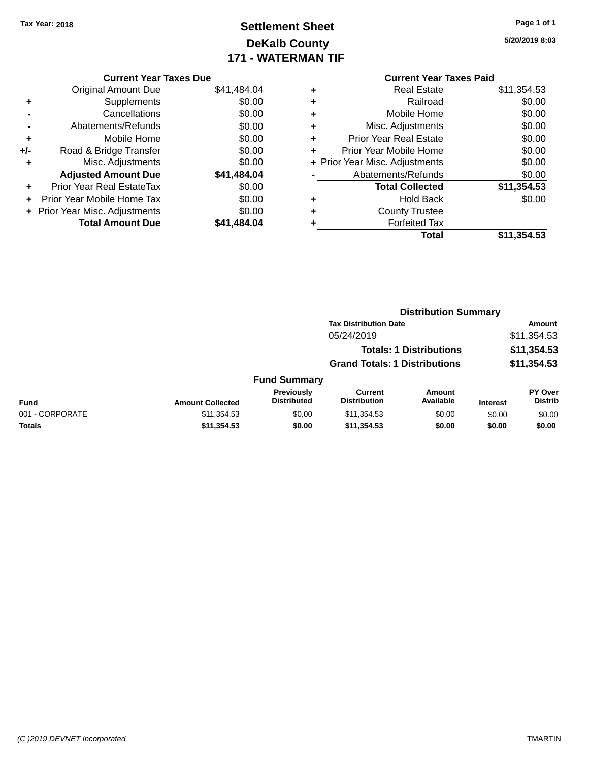## **Settlement Sheet Tax Year: 2018 Page 1 of 1 DeKalb County 171 - WATERMAN TIF**

| Page 1 of 1 |  |  |  |
|-------------|--|--|--|
|-------------|--|--|--|

**5/20/2019 8:03**

|     | <b>Current Year Taxes Due</b>  |             |
|-----|--------------------------------|-------------|
|     | <b>Original Amount Due</b>     | \$41,484.04 |
| ٠   | Supplements                    | \$0.00      |
|     | Cancellations                  | \$0.00      |
|     | Abatements/Refunds             | \$0.00      |
| ٠   | Mobile Home                    | \$0.00      |
| +/- | Road & Bridge Transfer         | \$0.00      |
| ٠   | Misc. Adjustments              | \$0.00      |
|     | <b>Adjusted Amount Due</b>     | \$41,484.04 |
|     | Prior Year Real EstateTax      | \$0.00      |
| ÷   | Prior Year Mobile Home Tax     | \$0.00      |
|     | + Prior Year Misc. Adjustments | \$0.00      |
|     | <b>Total Amount Due</b>        | \$41.484.04 |

|   | <b>Current Year Taxes Paid</b> |             |
|---|--------------------------------|-------------|
| ٠ | <b>Real Estate</b>             | \$11,354.53 |
| ٠ | Railroad                       | \$0.00      |
| ٠ | Mobile Home                    | \$0.00      |
| ٠ | Misc. Adjustments              | \$0.00      |
| ٠ | <b>Prior Year Real Estate</b>  | \$0.00      |
| ÷ | Prior Year Mobile Home         | \$0.00      |
|   | + Prior Year Misc. Adjustments | \$0.00      |
|   | Abatements/Refunds             | \$0.00      |
|   | <b>Total Collected</b>         | \$11,354.53 |
| ٠ | <b>Hold Back</b>               | \$0.00      |
|   | <b>County Trustee</b>          |             |
|   | <b>Forfeited Tax</b>           |             |
|   | Total                          | \$11,354.53 |
|   |                                |             |

|                 |                         |                                  | <b>Distribution Summary</b>                                            |                     |                            |                           |
|-----------------|-------------------------|----------------------------------|------------------------------------------------------------------------|---------------------|----------------------------|---------------------------|
|                 |                         |                                  | <b>Tax Distribution Date</b>                                           |                     | <b>Amount</b>              |                           |
|                 |                         |                                  | 05/24/2019                                                             |                     |                            | \$11,354.53               |
|                 |                         |                                  | <b>Totals: 1 Distributions</b><br><b>Grand Totals: 1 Distributions</b> |                     | \$11,354.53<br>\$11,354.53 |                           |
|                 |                         |                                  |                                                                        |                     |                            |                           |
|                 |                         | <b>Fund Summary</b>              |                                                                        |                     |                            |                           |
| <b>Fund</b>     | <b>Amount Collected</b> | Previously<br><b>Distributed</b> | <b>Current</b><br><b>Distribution</b>                                  | Amount<br>Available | <b>Interest</b>            | PY Over<br><b>Distrib</b> |
| 001 - CORPORATE | \$11,354.53             | \$0.00                           | \$11,354.53                                                            | \$0.00              | \$0.00                     | \$0.00                    |
| <b>Totals</b>   | \$11,354.53             | \$0.00                           | \$11,354.53                                                            | \$0.00              | \$0.00                     | \$0.00                    |
|                 |                         |                                  |                                                                        |                     |                            |                           |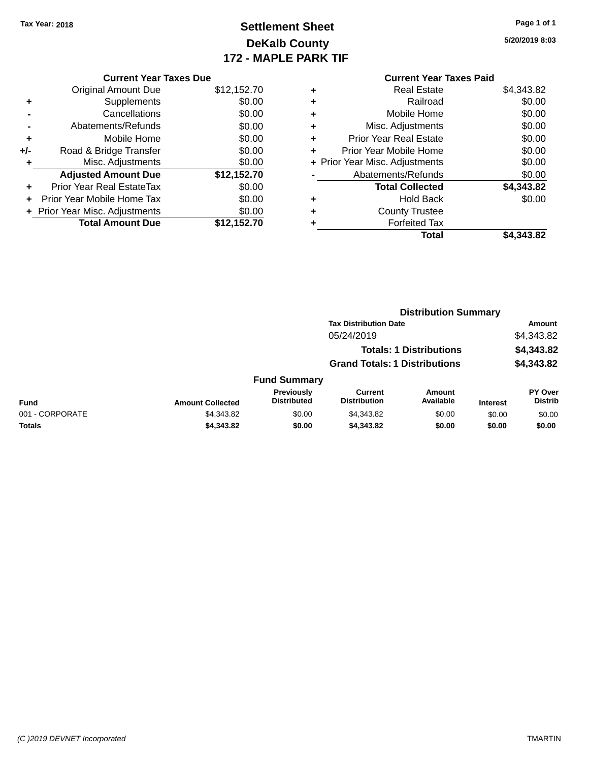### **Settlement Sheet Tax Year: 2018 Page 1 of 1 DeKalb County 172 - MAPLE PARK TIF**

**5/20/2019 8:03**

|     | <b>Current Year Taxes Due</b>  |             |   | <b>Current Year Taxes Paid</b> |               |
|-----|--------------------------------|-------------|---|--------------------------------|---------------|
|     | Original Amount Due            | \$12,152.70 | ٠ | <b>Real Estate</b>             | \$4,343.82    |
| ٠   | Supplements                    | \$0.00      | ÷ | Railroad                       | \$0.00        |
|     | Cancellations                  | \$0.00      | ٠ | Mobile Home                    | \$0.00        |
|     | Abatements/Refunds             | \$0.00      | ٠ | Misc. Adjustments              | \$0.00        |
| ٠   | Mobile Home                    | \$0.00      | ÷ | <b>Prior Year Real Estate</b>  | \$0.00        |
| +/- | Road & Bridge Transfer         | \$0.00      |   | Prior Year Mobile Home         | \$0.00        |
|     | Misc. Adjustments              | \$0.00      |   | + Prior Year Misc. Adjustments | \$0.00        |
|     | <b>Adjusted Amount Due</b>     | \$12,152.70 |   | Abatements/Refunds             | \$0.00        |
| ٠   | Prior Year Real EstateTax      | \$0.00      |   | <b>Total Collected</b>         | \$4,343.82    |
| ÷.  | Prior Year Mobile Home Tax     | \$0.00      | ٠ | <b>Hold Back</b>               | \$0.00        |
|     | + Prior Year Misc. Adjustments | \$0.00      | ٠ | <b>County Trustee</b>          |               |
|     | <b>Total Amount Due</b>        | \$12,152.70 |   | <b>Forfeited Tax</b>           |               |
|     |                                |             |   | — <b>.</b>                     | * * * * * * * |

| <b>Total</b> | \$4,343.82 |
|--------------|------------|
|              |            |
|              |            |

|                 |                         |                                  | <b>Distribution Summary</b>                                            |                     |                 |                                  |
|-----------------|-------------------------|----------------------------------|------------------------------------------------------------------------|---------------------|-----------------|----------------------------------|
|                 |                         |                                  | <b>Tax Distribution Date</b>                                           |                     |                 | Amount                           |
|                 |                         |                                  | 05/24/2019                                                             |                     |                 | \$4,343.82                       |
|                 |                         |                                  | <b>Totals: 1 Distributions</b><br><b>Grand Totals: 1 Distributions</b> |                     |                 | \$4,343.82                       |
|                 |                         |                                  |                                                                        |                     | \$4,343.82      |                                  |
|                 |                         | <b>Fund Summary</b>              |                                                                        |                     |                 |                                  |
| <b>Fund</b>     | <b>Amount Collected</b> | Previously<br><b>Distributed</b> | <b>Current</b><br><b>Distribution</b>                                  | Amount<br>Available | <b>Interest</b> | <b>PY Over</b><br><b>Distrib</b> |
| 001 - CORPORATE | \$4,343.82              | \$0.00                           | \$4,343.82                                                             | \$0.00              | \$0.00          | \$0.00                           |
| <b>Totals</b>   | \$4,343.82              | \$0.00                           | \$4,343.82                                                             | \$0.00              | \$0.00          | \$0.00                           |
|                 |                         |                                  |                                                                        |                     |                 |                                  |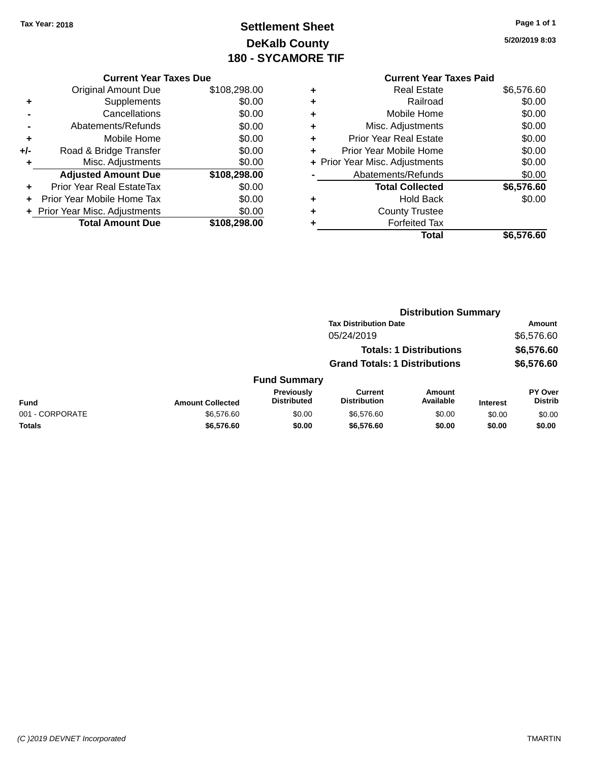# **Settlement Sheet Tax Year: 2018 Page 1 of 1 DeKalb County 180 - SYCAMORE TIF**

**5/20/2019 8:03**

|     | <b>Current Year Taxes Due</b>    |              |
|-----|----------------------------------|--------------|
|     | <b>Original Amount Due</b>       | \$108,298.00 |
| ٠   | Supplements                      | \$0.00       |
|     | Cancellations                    | \$0.00       |
|     | Abatements/Refunds               | \$0.00       |
| ٠   | Mobile Home                      | \$0.00       |
| +/- | Road & Bridge Transfer           | \$0.00       |
| ٠   | Misc. Adjustments                | \$0.00       |
|     | <b>Adjusted Amount Due</b>       | \$108,298.00 |
| ٠   | <b>Prior Year Real EstateTax</b> | \$0.00       |
|     | Prior Year Mobile Home Tax       | \$0.00       |
|     | + Prior Year Misc. Adjustments   | \$0.00       |
|     | <b>Total Amount Due</b>          | \$108,298.00 |

#### **Current Year Taxes Paid +** Real Estate \$6,576.60 **+** Railroad \$0.00 **+** Mobile Home \$0.00 **+** Misc. Adjustments \$0.00 **+** Prior Year Real Estate \$0.00 **+** Prior Year Mobile Home \$0.00 **+ Prior Year Misc. Adjustments**  $$0.00$ **-** Abatements/Refunds \$0.00 **Total Collected \$6,576.60 +** Hold Back \$0.00 **+** County Trustee **+** Forfeited Tax **Total \$6,576.60**

|                 |                         |                                         | <b>Distribution Summary</b>           |                                |                 |                                  |
|-----------------|-------------------------|-----------------------------------------|---------------------------------------|--------------------------------|-----------------|----------------------------------|
|                 |                         |                                         | <b>Tax Distribution Date</b>          |                                |                 | Amount                           |
|                 |                         |                                         | 05/24/2019                            |                                |                 | \$6,576.60                       |
|                 |                         |                                         |                                       | <b>Totals: 1 Distributions</b> |                 | \$6,576.60                       |
|                 |                         |                                         | <b>Grand Totals: 1 Distributions</b>  |                                |                 | \$6,576.60                       |
|                 |                         | <b>Fund Summary</b>                     |                                       |                                |                 |                                  |
| Fund            | <b>Amount Collected</b> | <b>Previously</b><br><b>Distributed</b> | <b>Current</b><br><b>Distribution</b> | Amount<br>Available            | <b>Interest</b> | <b>PY Over</b><br><b>Distrib</b> |
| 001 - CORPORATE | \$6,576.60              | \$0.00                                  | \$6,576.60                            | \$0.00                         | \$0.00          | \$0.00                           |
| <b>Totals</b>   | \$6,576.60              | \$0.00                                  | \$6,576.60                            | \$0.00                         | \$0.00          | \$0.00                           |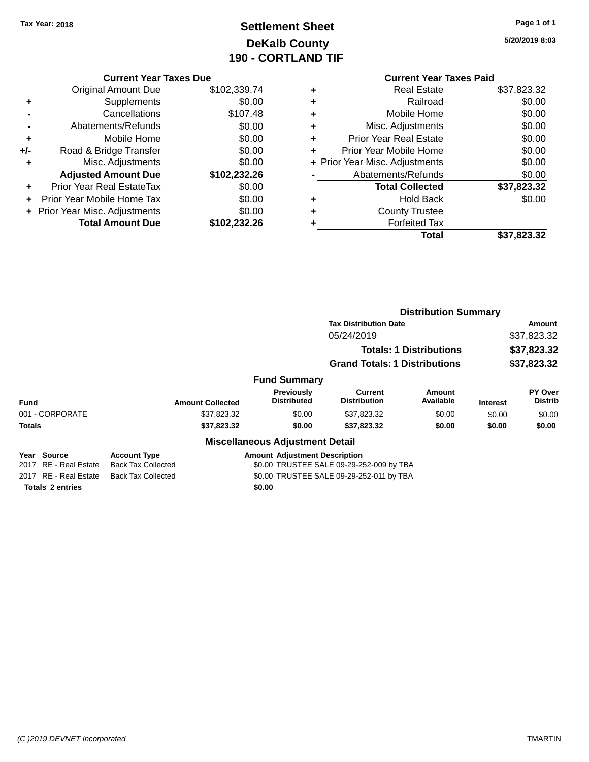# **Settlement Sheet Tax Year: 2018 Page 1 of 1 DeKalb County 190 - CORTLAND TIF**

**5/20/2019 8:03**

|       | <b>Current Year Taxes Due</b>  |              |
|-------|--------------------------------|--------------|
|       | <b>Original Amount Due</b>     | \$102,339.74 |
| ٠     | Supplements                    | \$0.00       |
|       | Cancellations                  | \$107.48     |
|       | Abatements/Refunds             | \$0.00       |
| ٠     | Mobile Home                    | \$0.00       |
| $+/-$ | Road & Bridge Transfer         | \$0.00       |
|       | Misc. Adjustments              | \$0.00       |
|       | <b>Adjusted Amount Due</b>     | \$102,232.26 |
| ÷     | Prior Year Real EstateTax      | \$0.00       |
|       | Prior Year Mobile Home Tax     | \$0.00       |
|       | + Prior Year Misc. Adjustments | \$0.00       |
|       | <b>Total Amount Due</b>        | \$102.232.26 |
|       |                                |              |

#### **Current Year Taxes Paid +** Real Estate \$37,823.32<br>Railroad \$0.00 **+** Railroad \$0.00 **+** Mobile Home \$0.00 **+** Misc. Adjustments \$0.00

|           | Total                          | \$37,823.32 |
|-----------|--------------------------------|-------------|
| ÷         | <b>Forfeited Tax</b>           |             |
| $\ddot{}$ | <b>County Trustee</b>          |             |
| ÷         | <b>Hold Back</b>               | \$0.00      |
|           | <b>Total Collected</b>         | \$37,823.32 |
|           | Abatements/Refunds             | \$0.00      |
|           | + Prior Year Misc. Adjustments | \$0.00      |
| ÷         | Prior Year Mobile Home         | \$0.00      |
| ÷         | <b>Prior Year Real Estate</b>  | \$0.00      |
|           |                                |             |

|                                         |                                                  |                                          | <b>Distribution Summary</b>              |                                |                 |                    |
|-----------------------------------------|--------------------------------------------------|------------------------------------------|------------------------------------------|--------------------------------|-----------------|--------------------|
|                                         |                                                  |                                          | <b>Tax Distribution Date</b>             |                                | Amount          |                    |
|                                         |                                                  |                                          | 05/24/2019                               |                                |                 | \$37,823.32        |
|                                         |                                                  |                                          |                                          | <b>Totals: 1 Distributions</b> |                 | \$37,823.32        |
|                                         |                                                  |                                          | <b>Grand Totals: 1 Distributions</b>     |                                |                 | \$37,823.32        |
|                                         |                                                  | <b>Fund Summary</b>                      |                                          |                                |                 |                    |
| <b>Fund</b>                             | <b>Amount Collected</b>                          | Previously<br><b>Distributed</b>         | <b>Current</b><br><b>Distribution</b>    | Amount<br>Available            | <b>Interest</b> | PY Over<br>Distrib |
| 001 - CORPORATE                         | \$37,823.32                                      | \$0.00                                   | \$37,823.32                              | \$0.00                         | \$0.00          | \$0.00             |
| <b>Totals</b>                           | \$37,823.32                                      | \$0.00                                   | \$37,823.32                              | \$0.00                         | \$0.00          | \$0.00             |
|                                         |                                                  | <b>Miscellaneous Adjustment Detail</b>   |                                          |                                |                 |                    |
| Year Source<br>RE - Real Estate<br>2017 | <b>Account Type</b><br><b>Back Tax Collected</b> | <b>Amount Adjustment Description</b>     | \$0.00 TRUSTEE SALE 09-29-252-009 by TBA |                                |                 |                    |
| 2017 RE - Real Estate                   | <b>Back Tax Collected</b>                        | \$0.00 TRUSTEE SALE 09-29-252-011 by TBA |                                          |                                |                 |                    |

**Totals 2 entries** \$0.00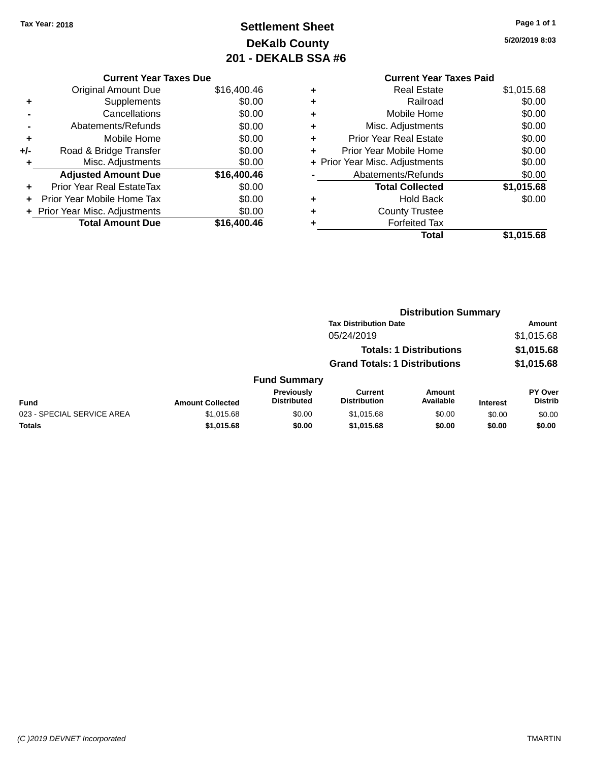# **Settlement Sheet Tax Year: 2018 Page 1 of 1 DeKalb County 201 - DEKALB SSA #6**

**5/20/2019 8:03**

#### **Current Year Taxes Paid +** Real Estate \$1,015.68 **+** Railroad \$0.00 **+** Mobile Home \$0.00 **+** Misc. Adjustments \$0.00 **+** Prior Year Real Estate \$0.00 **+** Prior Year Mobile Home \$0.00 **+ Prior Year Misc. Adjustments**  $$0.00$ **-** Abatements/Refunds \$0.00 **Total Collected \$1,015.68 +** Hold Back \$0.00 **+** County Trustee **+** Forfeited Tax **Total \$1,015.68**

|                            |                         |                                         | <b>Distribution Summary</b>           |                                |                 |                                  |
|----------------------------|-------------------------|-----------------------------------------|---------------------------------------|--------------------------------|-----------------|----------------------------------|
|                            |                         |                                         | <b>Tax Distribution Date</b>          |                                |                 | Amount                           |
|                            |                         |                                         | 05/24/2019                            |                                |                 | \$1,015.68                       |
|                            |                         |                                         |                                       | <b>Totals: 1 Distributions</b> |                 | \$1,015.68                       |
|                            |                         |                                         | <b>Grand Totals: 1 Distributions</b>  |                                |                 | \$1,015.68                       |
|                            |                         | <b>Fund Summary</b>                     |                                       |                                |                 |                                  |
| <b>Fund</b>                | <b>Amount Collected</b> | <b>Previously</b><br><b>Distributed</b> | <b>Current</b><br><b>Distribution</b> | <b>Amount</b><br>Available     | <b>Interest</b> | <b>PY Over</b><br><b>Distrib</b> |
| 023 - SPECIAL SERVICE AREA | \$1,015.68              | \$0.00                                  | \$1,015.68                            | \$0.00                         | \$0.00          | \$0.00                           |
| <b>Totals</b>              | \$1,015.68              | \$0.00                                  | \$1,015.68                            | \$0.00                         | \$0.00          | \$0.00                           |
|                            |                         |                                         |                                       |                                |                 |                                  |

# **Current Year Taxes Due**

|       | <b>Original Amount Due</b>       | \$16,400.46 |
|-------|----------------------------------|-------------|
| ٠     | Supplements                      | \$0.00      |
|       | Cancellations                    | \$0.00      |
|       | Abatements/Refunds               | \$0.00      |
| ٠     | Mobile Home                      | \$0.00      |
| $+/-$ | Road & Bridge Transfer           | \$0.00      |
|       | Misc. Adjustments                | \$0.00      |
|       |                                  |             |
|       | <b>Adjusted Amount Due</b>       | \$16,400.46 |
| ٠     | <b>Prior Year Real EstateTax</b> | \$0.00      |
|       | Prior Year Mobile Home Tax       | \$0.00      |
|       | + Prior Year Misc. Adjustments   | \$0.00      |
|       | <b>Total Amount Due</b>          | \$16,400.46 |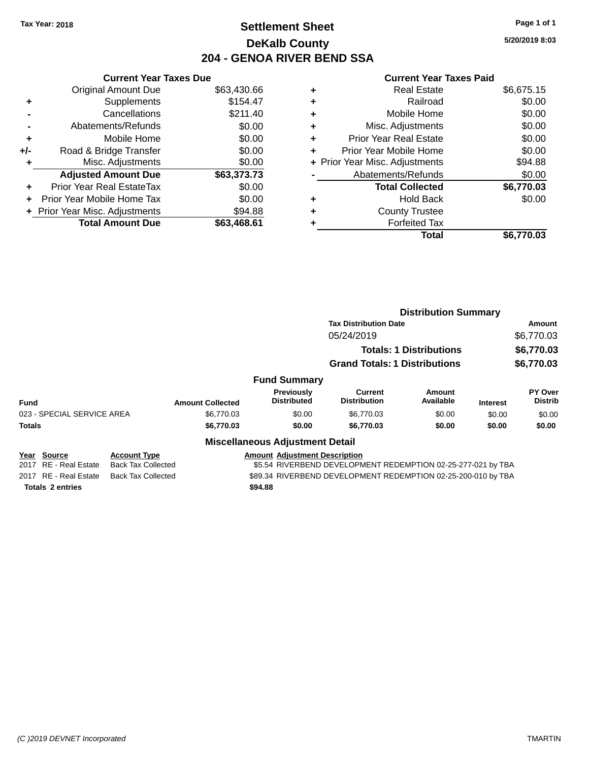# **Settlement Sheet Tax Year: 2018 Page 1 of 1 DeKalb County 204 - GENOA RIVER BEND SSA**

**5/20/2019 8:03**

|     | <b>Current Year Taxes Due</b>    |             |
|-----|----------------------------------|-------------|
|     | <b>Original Amount Due</b>       | \$63,430.66 |
| ٠   | Supplements                      | \$154.47    |
|     | Cancellations                    | \$211.40    |
|     | Abatements/Refunds               | \$0.00      |
| ٠   | Mobile Home                      | \$0.00      |
| +/- | Road & Bridge Transfer           | \$0.00      |
| ٠   | Misc. Adjustments                | \$0.00      |
|     | <b>Adjusted Amount Due</b>       | \$63,373.73 |
| ٠   | <b>Prior Year Real EstateTax</b> | \$0.00      |
| ÷   | Prior Year Mobile Home Tax       | \$0.00      |
|     | + Prior Year Misc. Adjustments   | \$94.88     |
|     | <b>Total Amount Due</b>          | \$63.468.61 |

| ٠ | <b>Real Estate</b>             | \$6,675.15 |
|---|--------------------------------|------------|
| ٠ | Railroad                       | \$0.00     |
| ٠ | Mobile Home                    | \$0.00     |
| ٠ | Misc. Adjustments              | \$0.00     |
| ٠ | <b>Prior Year Real Estate</b>  | \$0.00     |
| ٠ | Prior Year Mobile Home         | \$0.00     |
|   | + Prior Year Misc. Adjustments | \$94.88    |
|   | Abatements/Refunds             | \$0.00     |
|   | <b>Total Collected</b>         | \$6,770.03 |
| ٠ | <b>Hold Back</b>               | \$0.00     |
| ٠ | <b>County Trustee</b>          |            |
| ٠ | <b>Forfeited Tax</b>           |            |
|   | <b>Total</b>                   | \$6,770.03 |
|   |                                |            |

|                                                    |                           |                         |                                         | <b>Distribution Summary</b>                                   |                                |                 |                           |
|----------------------------------------------------|---------------------------|-------------------------|-----------------------------------------|---------------------------------------------------------------|--------------------------------|-----------------|---------------------------|
|                                                    |                           |                         |                                         | <b>Tax Distribution Date</b>                                  |                                |                 | Amount                    |
|                                                    |                           |                         |                                         | 05/24/2019                                                    |                                |                 | \$6,770.03                |
|                                                    |                           |                         |                                         |                                                               | <b>Totals: 1 Distributions</b> |                 | \$6,770.03                |
|                                                    |                           |                         |                                         | <b>Grand Totals: 1 Distributions</b>                          |                                |                 | \$6,770.03                |
|                                                    |                           |                         | <b>Fund Summary</b>                     |                                                               |                                |                 |                           |
| <b>Fund</b>                                        |                           | <b>Amount Collected</b> | <b>Previously</b><br><b>Distributed</b> | Current<br><b>Distribution</b>                                | Amount<br>Available            | <b>Interest</b> | PY Over<br><b>Distrib</b> |
| 023 - SPECIAL SERVICE AREA                         |                           | \$6,770.03              | \$0.00                                  | \$6,770.03                                                    | \$0.00                         | \$0.00          | \$0.00                    |
| <b>Totals</b>                                      |                           | \$6,770.03              | \$0.00                                  | \$6,770.03                                                    | \$0.00                         | \$0.00          | \$0.00                    |
|                                                    |                           |                         | <b>Miscellaneous Adjustment Detail</b>  |                                                               |                                |                 |                           |
| <b>Source</b><br>Year                              | <b>Account Type</b>       |                         | <b>Amount Adjustment Description</b>    |                                                               |                                |                 |                           |
| RE - Real Estate<br>2017                           | <b>Back Tax Collected</b> |                         |                                         | \$5.54 RIVERBEND DEVELOPMENT REDEMPTION 02-25-277-021 by TBA  |                                |                 |                           |
| 2017 RE - Real Estate<br><b>Back Tax Collected</b> |                           |                         |                                         | \$89.34 RIVERBEND DEVELOPMENT REDEMPTION 02-25-200-010 by TBA |                                |                 |                           |
| <b>Totals 2 entries</b>                            |                           |                         | \$94.88                                 |                                                               |                                |                 |                           |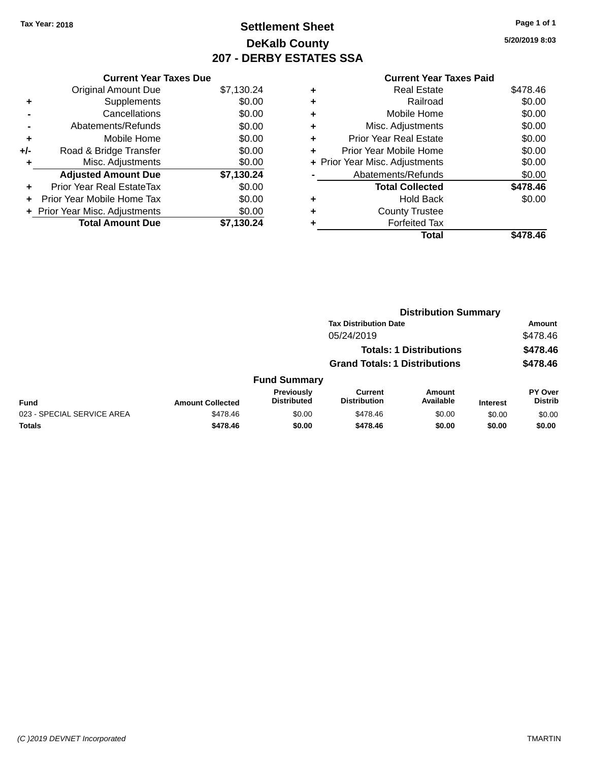# **Settlement Sheet Tax Year: 2018 Page 1 of 1 DeKalb County 207 - DERBY ESTATES SSA**

**5/20/2019 8:03**

|       | <b>Current Year Taxes Due</b>  |            |
|-------|--------------------------------|------------|
|       | <b>Original Amount Due</b>     | \$7,130.24 |
| ٠     | Supplements                    | \$0.00     |
|       | Cancellations                  | \$0.00     |
|       | Abatements/Refunds             | \$0.00     |
| ٠     | Mobile Home                    | \$0.00     |
| $+/-$ | Road & Bridge Transfer         | \$0.00     |
| ٠     | Misc. Adjustments              | \$0.00     |
|       | <b>Adjusted Amount Due</b>     | \$7,130.24 |
| ٠     | Prior Year Real EstateTax      | \$0.00     |
|       | Prior Year Mobile Home Tax     | \$0.00     |
|       | + Prior Year Misc. Adjustments | \$0.00     |
|       | <b>Total Amount Due</b>        | \$7.130.24 |
|       |                                |            |

|   | <b>Real Estate</b>             | \$478.46 |
|---|--------------------------------|----------|
| ٠ | Railroad                       | \$0.00   |
| ٠ | Mobile Home                    | \$0.00   |
| ٠ | Misc. Adjustments              | \$0.00   |
| ٠ | <b>Prior Year Real Estate</b>  | \$0.00   |
| ٠ | Prior Year Mobile Home         | \$0.00   |
|   | + Prior Year Misc. Adjustments | \$0.00   |
|   | Abatements/Refunds             | \$0.00   |
|   | <b>Total Collected</b>         | \$478.46 |
| ٠ | Hold Back                      | \$0.00   |
| ٠ | <b>County Trustee</b>          |          |
| ٠ | <b>Forfeited Tax</b>           |          |
|   | Total                          | \$478.46 |
|   |                                |          |

|                            |                         |                                  |                                       | <b>Distribution Summary</b>    |                 |                           |
|----------------------------|-------------------------|----------------------------------|---------------------------------------|--------------------------------|-----------------|---------------------------|
|                            |                         |                                  | <b>Tax Distribution Date</b>          |                                |                 | <b>Amount</b>             |
|                            |                         |                                  | 05/24/2019                            |                                |                 | \$478.46                  |
|                            |                         |                                  |                                       | <b>Totals: 1 Distributions</b> |                 | \$478.46                  |
|                            |                         |                                  | <b>Grand Totals: 1 Distributions</b>  |                                |                 | \$478.46                  |
|                            |                         | <b>Fund Summary</b>              |                                       |                                |                 |                           |
| <b>Fund</b>                | <b>Amount Collected</b> | Previously<br><b>Distributed</b> | <b>Current</b><br><b>Distribution</b> | <b>Amount</b><br>Available     | <b>Interest</b> | PY Over<br><b>Distrib</b> |
| 023 - SPECIAL SERVICE AREA | \$478.46                | \$0.00                           | \$478.46                              | \$0.00                         | \$0.00          | \$0.00                    |
| <b>Totals</b>              | \$478.46                | \$0.00                           | \$478.46                              | \$0.00                         | \$0.00          | \$0.00                    |
|                            |                         |                                  |                                       |                                |                 |                           |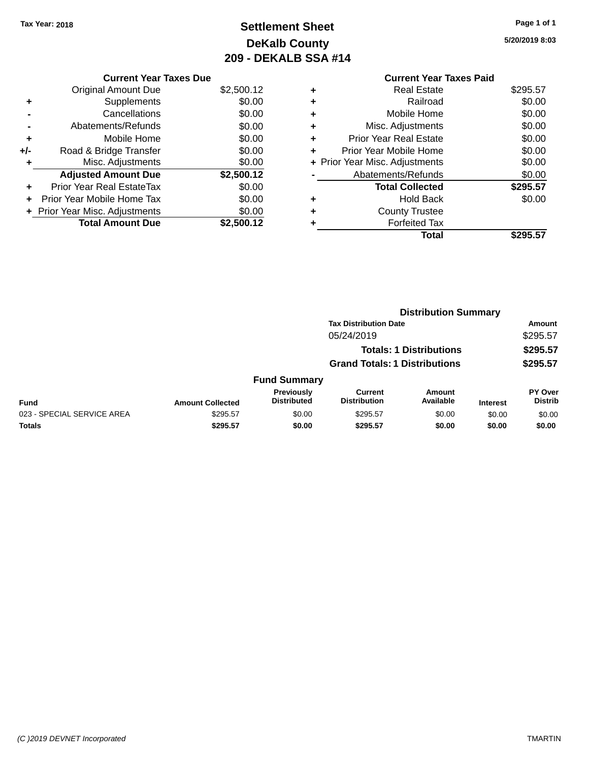# **Settlement Sheet Tax Year: 2018 Page 1 of 1 DeKalb County 209 - DEKALB SSA #14**

**5/20/2019 8:03**

**Total \$295.57**

|     | <b>Current Year Taxes Due</b>  |            |
|-----|--------------------------------|------------|
|     | <b>Original Amount Due</b>     | \$2,500.12 |
| ٠   | Supplements                    | \$0.00     |
|     | Cancellations                  | \$0.00     |
|     | Abatements/Refunds             | \$0.00     |
| ٠   | Mobile Home                    | \$0.00     |
| +/- | Road & Bridge Transfer         | \$0.00     |
|     | Misc. Adjustments              | \$0.00     |
|     | <b>Adjusted Amount Due</b>     | \$2,500.12 |
| ٠   | Prior Year Real EstateTax      | \$0.00     |
|     | Prior Year Mobile Home Tax     | \$0.00     |
|     | + Prior Year Misc. Adjustments | \$0.00     |
|     | <b>Total Amount Due</b>        | \$2,500.12 |

#### **Current Year Taxes Paid +** Real Estate \$295.57 **+** Railroad \$0.00 **+** Mobile Home \$0.00 **+** Misc. Adjustments \$0.00 **+** Prior Year Real Estate \$0.00 **+** Prior Year Mobile Home \$0.00 **+ Prior Year Misc. Adjustments \$0.00 -** Abatements/Refunds \$0.00 **Total Collected \$295.57 +** Hold Back \$0.00 **+** County Trustee

**+** Forfeited Tax

|                            |                         |                                  | <b>Distribution Summary</b>           |                                |                 |                                  |  |
|----------------------------|-------------------------|----------------------------------|---------------------------------------|--------------------------------|-----------------|----------------------------------|--|
|                            |                         |                                  | <b>Tax Distribution Date</b>          |                                |                 | <b>Amount</b>                    |  |
|                            |                         |                                  | 05/24/2019                            |                                |                 | \$295.57                         |  |
|                            |                         |                                  |                                       | <b>Totals: 1 Distributions</b> |                 | \$295.57                         |  |
|                            |                         |                                  | <b>Grand Totals: 1 Distributions</b>  |                                |                 | \$295.57                         |  |
|                            |                         | <b>Fund Summary</b>              |                                       |                                |                 |                                  |  |
| Fund                       | <b>Amount Collected</b> | Previously<br><b>Distributed</b> | <b>Current</b><br><b>Distribution</b> | Amount<br>Available            | <b>Interest</b> | <b>PY Over</b><br><b>Distrib</b> |  |
| 023 - SPECIAL SERVICE AREA | \$295.57                | \$0.00                           | \$295.57                              | \$0.00                         | \$0.00          | \$0.00                           |  |
| <b>Totals</b>              | \$295.57                | \$0.00                           | \$295.57                              | \$0.00                         | \$0.00          | \$0.00                           |  |
|                            |                         |                                  |                                       |                                |                 |                                  |  |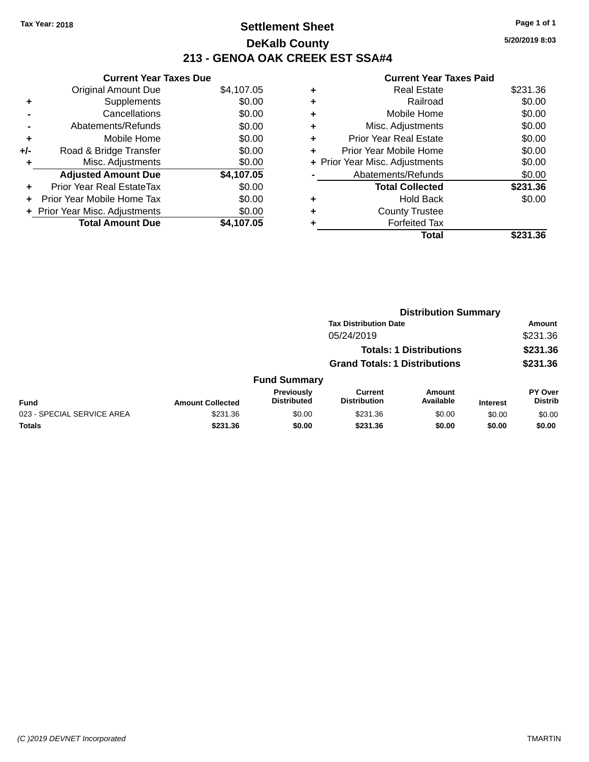# **Settlement Sheet Tax Year: 2018 Page 1 of 1 DeKalb County 213 - GENOA OAK CREEK EST SSA#4**

**5/20/2019 8:03**

|     | <b>Current Year Taxes Due</b>  |            |
|-----|--------------------------------|------------|
|     | <b>Original Amount Due</b>     | \$4,107.05 |
| ٠   | Supplements                    | \$0.00     |
|     | Cancellations                  | \$0.00     |
|     | Abatements/Refunds             | \$0.00     |
| ٠   | Mobile Home                    | \$0.00     |
| +/- | Road & Bridge Transfer         | \$0.00     |
| ٠   | Misc. Adjustments              | \$0.00     |
|     | <b>Adjusted Amount Due</b>     | \$4,107.05 |
| ÷   | Prior Year Real EstateTax      | \$0.00     |
| ÷   | Prior Year Mobile Home Tax     | \$0.00     |
|     | + Prior Year Misc. Adjustments | \$0.00     |
|     | <b>Total Amount Due</b>        | \$4.107.05 |

|   | <b>Real Estate</b>             | \$231.36 |
|---|--------------------------------|----------|
| ٠ | Railroad                       | \$0.00   |
| ٠ | Mobile Home                    | \$0.00   |
| ٠ | Misc. Adjustments              | \$0.00   |
| ٠ | <b>Prior Year Real Estate</b>  | \$0.00   |
|   | Prior Year Mobile Home         | \$0.00   |
|   | + Prior Year Misc. Adjustments | \$0.00   |
|   | Abatements/Refunds             | \$0.00   |
|   | <b>Total Collected</b>         | \$231.36 |
| ٠ | <b>Hold Back</b>               | \$0.00   |
| ٠ | <b>County Trustee</b>          |          |
| ٠ | <b>Forfeited Tax</b>           |          |
|   | Total                          | \$231.36 |
|   |                                |          |

|                            |                         |                                  |                                       | <b>Distribution Summary</b>    |                 |                           |
|----------------------------|-------------------------|----------------------------------|---------------------------------------|--------------------------------|-----------------|---------------------------|
|                            |                         |                                  | <b>Tax Distribution Date</b>          |                                |                 | <b>Amount</b>             |
|                            |                         |                                  | 05/24/2019                            |                                |                 | \$231.36                  |
|                            |                         |                                  |                                       | <b>Totals: 1 Distributions</b> |                 | \$231.36                  |
|                            |                         |                                  | <b>Grand Totals: 1 Distributions</b>  |                                |                 | \$231.36                  |
|                            |                         | <b>Fund Summary</b>              |                                       |                                |                 |                           |
| <b>Fund</b>                | <b>Amount Collected</b> | Previously<br><b>Distributed</b> | <b>Current</b><br><b>Distribution</b> | <b>Amount</b><br>Available     | <b>Interest</b> | PY Over<br><b>Distrib</b> |
| 023 - SPECIAL SERVICE AREA | \$231.36                | \$0.00                           | \$231.36                              | \$0.00                         | \$0.00          | \$0.00                    |
| <b>Totals</b>              | \$231.36                | \$0.00                           | \$231.36                              | \$0.00                         | \$0.00          | \$0.00                    |
|                            |                         |                                  |                                       |                                |                 |                           |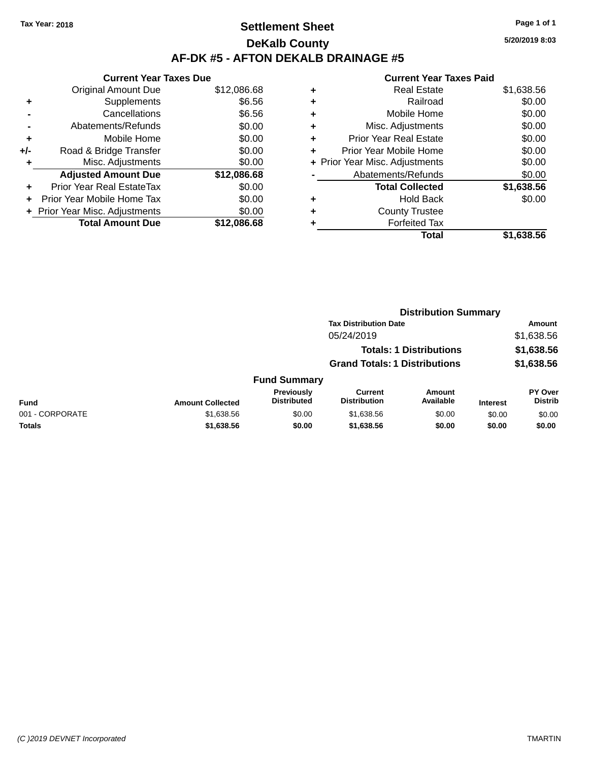# **Settlement Sheet Tax Year: 2018 Page 1 of 1 DeKalb County AF-DK #5 - AFTON DEKALB DRAINAGE #5**

**Current Year Taxes Due** Original Amount Due \$12,086.68 **+** Supplements \$6.56 **-** Cancellations \$6.56 **-** Abatements/Refunds \$0.00 **+** Mobile Home \$0.00 **+/-** Road & Bridge Transfer \$0.00 **+** Misc. Adjustments \$0.00 **Adjusted Amount Due \$12,086.68 +** Prior Year Real EstateTax \$0.00 **+** Prior Year Mobile Home Tax \$0.00 **+** Prior Year Misc. Adjustments  $$0.00$ **Total Amount Due \$12,086.68**

#### **Current Year Taxes Paid +** Real Estate \$1,638.56 **+** Railroad \$0.00 **+** Mobile Home \$0.00 **+** Misc. Adjustments \$0.00 **+** Prior Year Real Estate \$0.00 **+** Prior Year Mobile Home \$0.00 **+** Prior Year Misc. Adjustments  $$0.00$ Abatements/Refunds \$0.00 **Total Collected \$1,638.56 +** Hold Back \$0.00 **+** County Trustee **+** Forfeited Tax

**Total \$1,638.56**

**Distribution Summary**

|                 |                         |                                  | <b>Tax Distribution Date</b>          |                                |                 | <b>Amount</b>                    |
|-----------------|-------------------------|----------------------------------|---------------------------------------|--------------------------------|-----------------|----------------------------------|
|                 |                         |                                  | 05/24/2019                            |                                |                 | \$1,638.56                       |
|                 |                         |                                  |                                       | <b>Totals: 1 Distributions</b> |                 | \$1,638.56                       |
|                 |                         |                                  | <b>Grand Totals: 1 Distributions</b>  |                                |                 | \$1,638.56                       |
|                 |                         | <b>Fund Summary</b>              |                                       |                                |                 |                                  |
| Fund            | <b>Amount Collected</b> | Previously<br><b>Distributed</b> | <b>Current</b><br><b>Distribution</b> | <b>Amount</b><br>Available     | <b>Interest</b> | <b>PY Over</b><br><b>Distrib</b> |
| 001 - CORPORATE | \$1,638.56              | \$0.00                           | \$1,638.56                            | \$0.00                         | \$0.00          | \$0.00                           |
| <b>Totals</b>   | \$1,638.56              | \$0.00                           | \$1,638.56                            | \$0.00                         | \$0.00          | \$0.00                           |
|                 |                         |                                  |                                       |                                |                 |                                  |

| Page 1 of 1    |
|----------------|
| 5/20/2019 8:03 |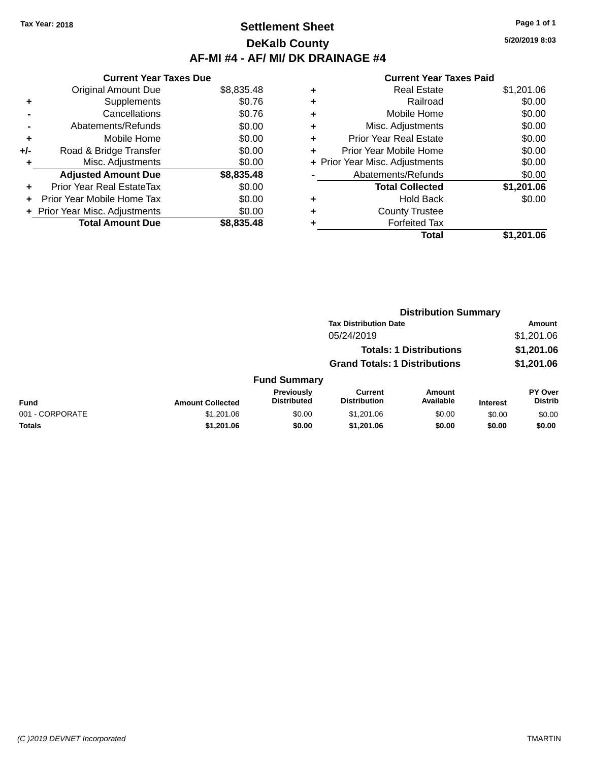# **Settlement Sheet Tax Year: 2018 Page 1 of 1 DeKalb County AF-MI #4 - AF/ MI/ DK DRAINAGE #4**

**5/20/2019 8:03**

|     | <b>Current Year Taxes Due</b>  |            |
|-----|--------------------------------|------------|
|     | <b>Original Amount Due</b>     | \$8,835.48 |
| ٠   | Supplements                    | \$0.76     |
|     | Cancellations                  | \$0.76     |
|     | Abatements/Refunds             | \$0.00     |
| ٠   | Mobile Home                    | \$0.00     |
| +/- | Road & Bridge Transfer         | \$0.00     |
| ٠   | Misc. Adjustments              | \$0.00     |
|     | <b>Adjusted Amount Due</b>     | \$8,835.48 |
| ÷   | Prior Year Real EstateTax      | \$0.00     |
| ÷   | Prior Year Mobile Home Tax     | \$0.00     |
|     | + Prior Year Misc. Adjustments | \$0.00     |
|     | <b>Total Amount Due</b>        | \$8,835,48 |

| ٠ | <b>Real Estate</b>             | \$1,201.06 |
|---|--------------------------------|------------|
| ٠ | Railroad                       | \$0.00     |
| ٠ | Mobile Home                    | \$0.00     |
| ٠ | Misc. Adjustments              | \$0.00     |
| ٠ | <b>Prior Year Real Estate</b>  | \$0.00     |
|   | Prior Year Mobile Home         | \$0.00     |
|   | + Prior Year Misc. Adjustments | \$0.00     |
|   | Abatements/Refunds             | \$0.00     |
|   | <b>Total Collected</b>         | \$1,201.06 |
| ٠ | <b>Hold Back</b>               | \$0.00     |
| ٠ | <b>County Trustee</b>          |            |
| ٠ | <b>Forfeited Tax</b>           |            |
|   | Total                          | \$1,201.06 |
|   |                                |            |

|                 |                         |                                         | <b>Distribution Summary</b>           |                                |                 |                           |
|-----------------|-------------------------|-----------------------------------------|---------------------------------------|--------------------------------|-----------------|---------------------------|
|                 |                         |                                         | <b>Tax Distribution Date</b>          |                                |                 | <b>Amount</b>             |
|                 |                         |                                         | 05/24/2019                            |                                |                 | \$1,201.06                |
|                 |                         |                                         |                                       | <b>Totals: 1 Distributions</b> |                 | \$1,201.06                |
|                 |                         |                                         | <b>Grand Totals: 1 Distributions</b>  |                                |                 | \$1,201.06                |
|                 |                         | <b>Fund Summary</b>                     |                                       |                                |                 |                           |
| <b>Fund</b>     | <b>Amount Collected</b> | <b>Previously</b><br><b>Distributed</b> | <b>Current</b><br><b>Distribution</b> | Amount<br>Available            | <b>Interest</b> | PY Over<br><b>Distrib</b> |
| 001 - CORPORATE | \$1,201.06              | \$0.00                                  | \$1,201.06                            | \$0.00                         | \$0.00          | \$0.00                    |
| <b>Totals</b>   | \$1,201.06              | \$0.00                                  | \$1,201.06                            | \$0.00                         | \$0.00          | \$0.00                    |
|                 |                         |                                         |                                       |                                |                 |                           |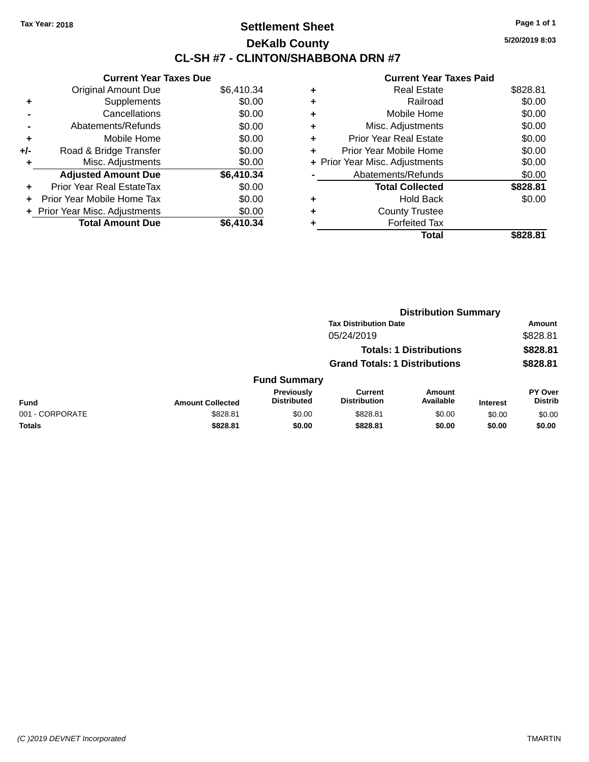# **Settlement Sheet Tax Year: 2018 Page 1 of 1 DeKalb County CL-SH #7 - CLINTON/SHABBONA DRN #7**

**5/20/2019 8:03**

|     | <b>Current Year Taxes Due</b>  |            |
|-----|--------------------------------|------------|
|     | <b>Original Amount Due</b>     | \$6,410.34 |
| ٠   | Supplements                    | \$0.00     |
|     | Cancellations                  | \$0.00     |
|     | Abatements/Refunds             | \$0.00     |
| ٠   | Mobile Home                    | \$0.00     |
| +/- | Road & Bridge Transfer         | \$0.00     |
|     | Misc. Adjustments              | \$0.00     |
|     | <b>Adjusted Amount Due</b>     | \$6,410.34 |
| ÷   | Prior Year Real EstateTax      | \$0.00     |
| ÷   | Prior Year Mobile Home Tax     | \$0.00     |
|     | + Prior Year Misc. Adjustments | \$0.00     |
|     | <b>Total Amount Due</b>        | \$6,410.34 |

|   | Total                          | \$828.81 |
|---|--------------------------------|----------|
|   | <b>Forfeited Tax</b>           |          |
|   | <b>County Trustee</b>          |          |
| ٠ | <b>Hold Back</b>               | \$0.00   |
|   | <b>Total Collected</b>         | \$828.81 |
|   | Abatements/Refunds             | \$0.00   |
|   | + Prior Year Misc. Adjustments | \$0.00   |
| ٠ | Prior Year Mobile Home         | \$0.00   |
| ÷ | <b>Prior Year Real Estate</b>  | \$0.00   |
| ٠ | Misc. Adjustments              | \$0.00   |
| ٠ | Mobile Home                    | \$0.00   |
| ٠ | Railroad                       | \$0.00   |
| ٠ | <b>Real Estate</b>             | \$828.81 |
|   |                                |          |

|                 |                         |                                         | <b>Distribution Summary</b>          |                                |                 |                                  |
|-----------------|-------------------------|-----------------------------------------|--------------------------------------|--------------------------------|-----------------|----------------------------------|
|                 |                         |                                         | <b>Tax Distribution Date</b>         |                                |                 | Amount                           |
|                 |                         |                                         | 05/24/2019                           |                                |                 | \$828.81                         |
|                 |                         |                                         |                                      | <b>Totals: 1 Distributions</b> |                 | \$828.81                         |
|                 |                         |                                         | <b>Grand Totals: 1 Distributions</b> |                                |                 | \$828.81                         |
|                 |                         | <b>Fund Summary</b>                     |                                      |                                |                 |                                  |
| <b>Fund</b>     | <b>Amount Collected</b> | <b>Previously</b><br><b>Distributed</b> | Current<br><b>Distribution</b>       | <b>Amount</b><br>Available     | <b>Interest</b> | <b>PY Over</b><br><b>Distrib</b> |
| 001 - CORPORATE | \$828.81                | \$0.00                                  | \$828.81                             | \$0.00                         | \$0.00          | \$0.00                           |
| <b>Totals</b>   | \$828.81                | \$0.00                                  | \$828.81                             | \$0.00                         | \$0.00          | \$0.00                           |
|                 |                         |                                         |                                      |                                |                 |                                  |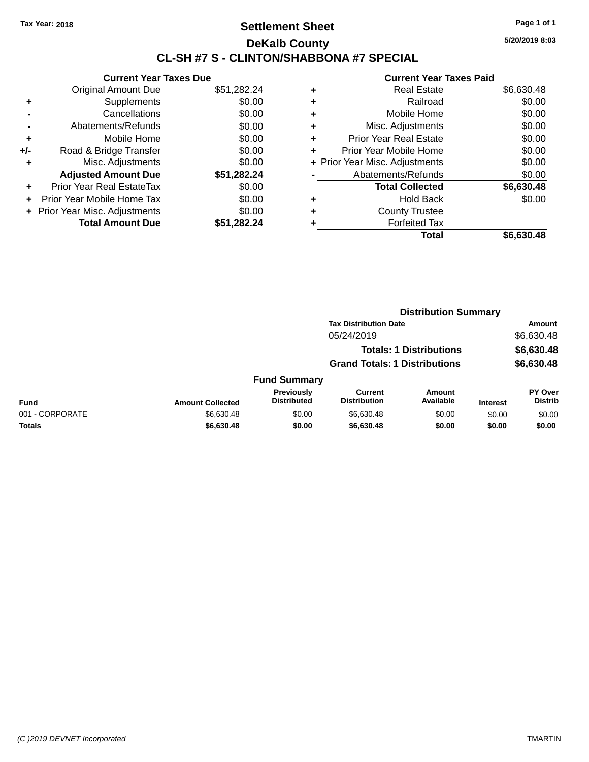### **Settlement Sheet Tax Year: 2018 Page 1 of 1 DeKalb County CL-SH #7 S - CLINTON/SHABBONA #7 SPECIAL**

**Current Year Taxes Due** Original Amount Due \$51,282.24 **+** Supplements \$0.00 **-** Cancellations \$0.00 **-** Abatements/Refunds \$0.00 **+** Mobile Home \$0.00 **+/-** Road & Bridge Transfer \$0.00 **+** Misc. Adjustments \$0.00 **Adjusted Amount Due \$51,282.24 +** Prior Year Real EstateTax \$0.00 **+** Prior Year Mobile Home Tax \$0.00 **+** Prior Year Misc. Adjustments  $$0.00$ **Total Amount Due \$51,282.24**

#### **Current Year Taxes Paid +** Real Estate \$6,630.48 **+** Railroad \$0.00 **+** Mobile Home \$0.00 **+** Misc. Adjustments \$0.00 **+** Prior Year Real Estate \$0.00 **+** Prior Year Mobile Home \$0.00 **+** Prior Year Misc. Adjustments  $$0.00$ Abatements/Refunds \$0.00 **Total Collected \$6,630.48 +** Hold Back \$0.00 **+** County Trustee **+** Forfeited Tax **Total \$6,630.48**

**Distribution Summary**

|                 |                         |                                         | <b>Tax Distribution Date</b><br>05/24/2019 |                                |                 | <b>Amount</b>                    |  |
|-----------------|-------------------------|-----------------------------------------|--------------------------------------------|--------------------------------|-----------------|----------------------------------|--|
|                 |                         |                                         |                                            |                                |                 | \$6,630.48                       |  |
|                 |                         |                                         |                                            | <b>Totals: 1 Distributions</b> |                 | \$6,630.48                       |  |
|                 |                         |                                         | <b>Grand Totals: 1 Distributions</b>       |                                |                 | \$6,630.48                       |  |
|                 |                         | <b>Fund Summary</b>                     |                                            |                                |                 |                                  |  |
| Fund            | <b>Amount Collected</b> | <b>Previously</b><br><b>Distributed</b> | <b>Current</b><br><b>Distribution</b>      | <b>Amount</b><br>Available     | <b>Interest</b> | <b>PY Over</b><br><b>Distrib</b> |  |
| 001 - CORPORATE | \$6,630.48              | \$0.00                                  | \$6,630.48                                 | \$0.00                         | \$0.00          | \$0.00                           |  |
| Totals          | \$6,630.48              | \$0.00                                  | \$6,630.48                                 | \$0.00                         | \$0.00          | \$0.00                           |  |
|                 |                         |                                         |                                            |                                |                 |                                  |  |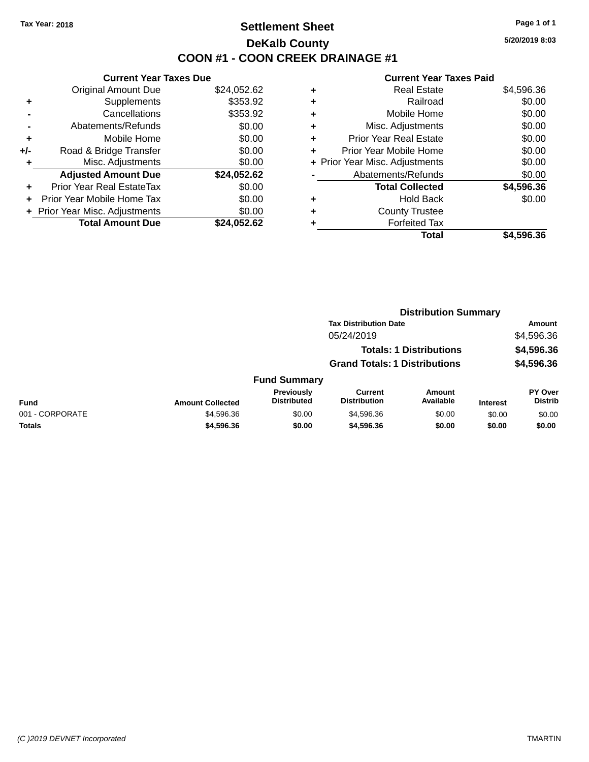# **Settlement Sheet Tax Year: 2018 Page 1 of 1 DeKalb County COON #1 - COON CREEK DRAINAGE #1**

**5/20/2019 8:03**

|     | <b>Current Year Taxes Due</b>  |             |
|-----|--------------------------------|-------------|
|     | <b>Original Amount Due</b>     | \$24,052.62 |
| ٠   | Supplements                    | \$353.92    |
|     | Cancellations                  | \$353.92    |
|     | Abatements/Refunds             | \$0.00      |
| ٠   | Mobile Home                    | \$0.00      |
| +/- | Road & Bridge Transfer         | \$0.00      |
|     | Misc. Adjustments              | \$0.00      |
|     | <b>Adjusted Amount Due</b>     | \$24,052.62 |
| ÷   | Prior Year Real EstateTax      | \$0.00      |
|     | Prior Year Mobile Home Tax     | \$0.00      |
|     | + Prior Year Misc. Adjustments | \$0.00      |
|     | <b>Total Amount Due</b>        | \$24.052.62 |

| ٠ | <b>Real Estate</b>             | \$4,596.36 |
|---|--------------------------------|------------|
| ٠ | Railroad                       | \$0.00     |
| ٠ | Mobile Home                    | \$0.00     |
| ٠ | Misc. Adjustments              | \$0.00     |
| ٠ | <b>Prior Year Real Estate</b>  | \$0.00     |
| ÷ | Prior Year Mobile Home         | \$0.00     |
|   | + Prior Year Misc. Adjustments | \$0.00     |
|   | Abatements/Refunds             | \$0.00     |
|   | <b>Total Collected</b>         | \$4,596.36 |
| ٠ | <b>Hold Back</b>               | \$0.00     |
| ٠ | <b>County Trustee</b>          |            |
| ٠ | <b>Forfeited Tax</b>           |            |
|   | Total                          | \$4,596.36 |
|   |                                |            |

|                 | <b>Distribution Summary</b> |                                  |                                       |                                |                 |                                  |
|-----------------|-----------------------------|----------------------------------|---------------------------------------|--------------------------------|-----------------|----------------------------------|
|                 |                             |                                  | <b>Tax Distribution Date</b>          |                                |                 | Amount                           |
|                 |                             |                                  | 05/24/2019                            |                                |                 | \$4,596.36                       |
|                 |                             |                                  |                                       | <b>Totals: 1 Distributions</b> |                 | \$4,596.36                       |
|                 |                             |                                  | <b>Grand Totals: 1 Distributions</b>  |                                |                 | \$4,596.36                       |
|                 |                             | <b>Fund Summary</b>              |                                       |                                |                 |                                  |
| <b>Fund</b>     | <b>Amount Collected</b>     | Previously<br><b>Distributed</b> | <b>Current</b><br><b>Distribution</b> | Amount<br>Available            | <b>Interest</b> | <b>PY Over</b><br><b>Distrib</b> |
| 001 - CORPORATE | \$4,596.36                  | \$0.00                           | \$4,596.36                            | \$0.00                         | \$0.00          | \$0.00                           |
| Totals          | \$4,596.36                  | \$0.00                           | \$4,596.36                            | \$0.00                         | \$0.00          | \$0.00                           |
|                 |                             |                                  |                                       |                                |                 |                                  |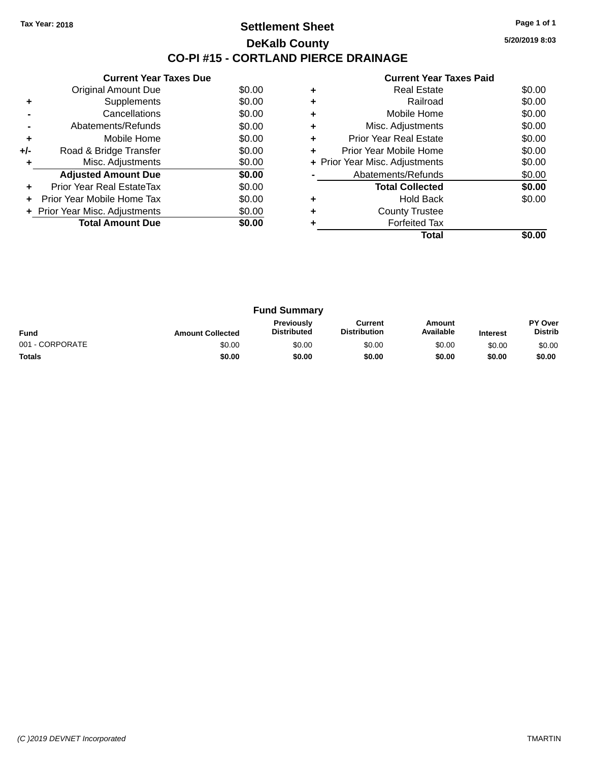### **Settlement Sheet Tax Year: 2018 Page 1 of 1 DeKalb County CO-PI #15 - CORTLAND PIERCE DRAINAGE**

**5/20/2019 8:03**

|     | <b>Current Year Taxes Due</b>  |        |
|-----|--------------------------------|--------|
|     | Original Amount Due            | \$0.00 |
| ٠   | Supplements                    | \$0.00 |
|     | Cancellations                  | \$0.00 |
|     | Abatements/Refunds             | \$0.00 |
| ٠   | Mobile Home                    | \$0.00 |
| +/- | Road & Bridge Transfer         | \$0.00 |
| ٠   | Misc. Adjustments              | \$0.00 |
|     | <b>Adjusted Amount Due</b>     | \$0.00 |
| ٠   | Prior Year Real EstateTax      | \$0.00 |
|     | Prior Year Mobile Home Tax     | \$0.00 |
|     | + Prior Year Misc. Adjustments | \$0.00 |
|     | <b>Total Amount Due</b>        | \$0.00 |
|     |                                |        |

|   | <b>Real Estate</b>             | \$0.00 |
|---|--------------------------------|--------|
|   | Railroad                       | \$0.00 |
|   | Mobile Home                    | \$0.00 |
| ٠ | Misc. Adjustments              | \$0.00 |
| ٠ | Prior Year Real Estate         | \$0.00 |
| ٠ | Prior Year Mobile Home         | \$0.00 |
|   | + Prior Year Misc. Adjustments | \$0.00 |
|   | Abatements/Refunds             | \$0.00 |
|   | <b>Total Collected</b>         | \$0.00 |
|   | <b>Hold Back</b>               | \$0.00 |
|   | <b>County Trustee</b>          |        |
|   | <b>Forfeited Tax</b>           |        |
|   | Total                          |        |

|                 |                         | <b>Fund Summary</b>                     |                                |                     |                 |                           |
|-----------------|-------------------------|-----------------------------------------|--------------------------------|---------------------|-----------------|---------------------------|
| <b>Fund</b>     | <b>Amount Collected</b> | <b>Previously</b><br><b>Distributed</b> | Current<br><b>Distribution</b> | Amount<br>Available | <b>Interest</b> | PY Over<br><b>Distrib</b> |
| 001 - CORPORATE | \$0.00                  | \$0.00                                  | \$0.00                         | \$0.00              | \$0.00          | \$0.00                    |
| <b>Totals</b>   | \$0.00                  | \$0.00                                  | \$0.00                         | \$0.00              | \$0.00          | \$0.00                    |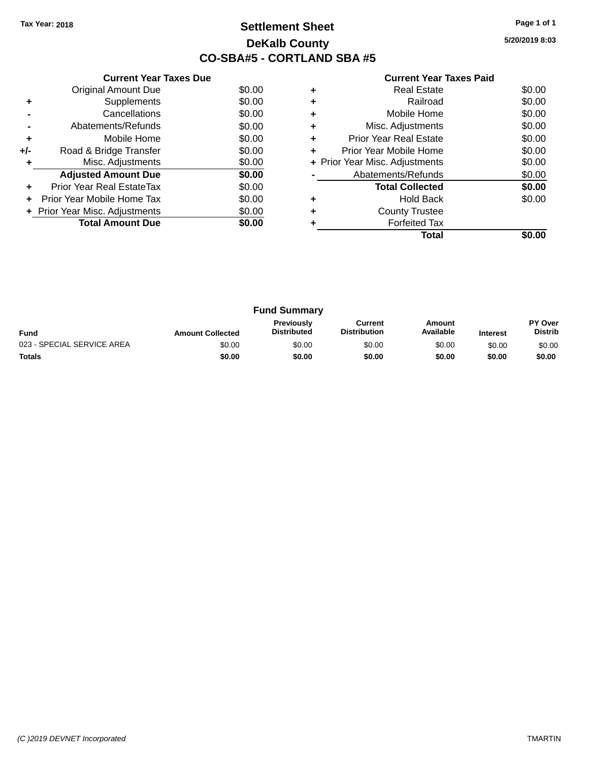# **Settlement Sheet Tax Year: 2018 Page 1 of 1 DeKalb County CO-SBA#5 - CORTLAND SBA #5**

**5/20/2019 8:03**

|       | <b>Current Year Taxes Due</b>  |        |  |  |  |  |
|-------|--------------------------------|--------|--|--|--|--|
|       | <b>Original Amount Due</b>     | \$0.00 |  |  |  |  |
| ٠     | Supplements                    | \$0.00 |  |  |  |  |
|       | Cancellations                  | \$0.00 |  |  |  |  |
|       | Abatements/Refunds             | \$0.00 |  |  |  |  |
| ٠     | Mobile Home                    | \$0.00 |  |  |  |  |
| $+/-$ | Road & Bridge Transfer         | \$0.00 |  |  |  |  |
|       | Misc. Adjustments              | \$0.00 |  |  |  |  |
|       | <b>Adjusted Amount Due</b>     | \$0.00 |  |  |  |  |
|       | Prior Year Real EstateTax      | \$0.00 |  |  |  |  |
|       | Prior Year Mobile Home Tax     | \$0.00 |  |  |  |  |
|       | + Prior Year Misc. Adjustments | \$0.00 |  |  |  |  |
|       | <b>Total Amount Due</b>        | \$0.00 |  |  |  |  |
|       |                                |        |  |  |  |  |

|   | Total                          |        |
|---|--------------------------------|--------|
|   | <b>Forfeited Tax</b>           |        |
|   | <b>County Trustee</b>          |        |
|   | <b>Hold Back</b>               | \$0.00 |
|   | <b>Total Collected</b>         | \$0.00 |
|   | Abatements/Refunds             | \$0.00 |
|   | + Prior Year Misc. Adjustments | \$0.00 |
| ٠ | Prior Year Mobile Home         | \$0.00 |
| ٠ | Prior Year Real Estate         | \$0.00 |
| ٠ | Misc. Adjustments              | \$0.00 |
|   | Mobile Home                    | \$0.00 |
|   | Railroad                       | \$0.00 |
|   | Real Estate                    | \$0.00 |

|                            |                         | <b>Fund Summary</b>                     |                                |                     |                 |                           |
|----------------------------|-------------------------|-----------------------------------------|--------------------------------|---------------------|-----------------|---------------------------|
| <b>Fund</b>                | <b>Amount Collected</b> | <b>Previously</b><br><b>Distributed</b> | Current<br><b>Distribution</b> | Amount<br>Available | <b>Interest</b> | PY Over<br><b>Distrib</b> |
| 023 - SPECIAL SERVICE AREA | \$0.00                  | \$0.00                                  | \$0.00                         | \$0.00              | \$0.00          | \$0.00                    |
| <b>Totals</b>              | \$0.00                  | \$0.00                                  | \$0.00                         | \$0.00              | \$0.00          | \$0.00                    |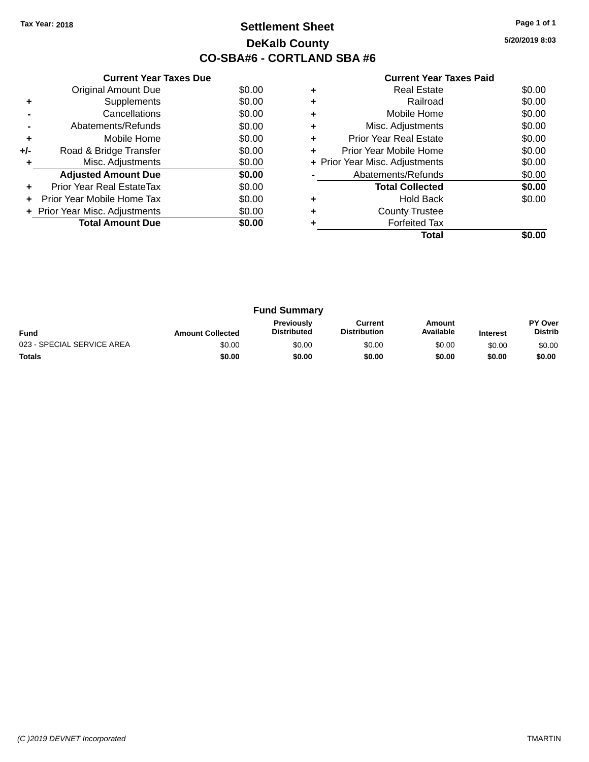# **Settlement Sheet Tax Year: 2018 Page 1 of 1 DeKalb County CO-SBA#6 - CORTLAND SBA #6**

**5/20/2019 8:03**

|     | <b>Current Year Taxes Due</b>  |        |
|-----|--------------------------------|--------|
|     | <b>Original Amount Due</b>     | \$0.00 |
| ٠   | Supplements                    | \$0.00 |
|     | Cancellations                  | \$0.00 |
|     | Abatements/Refunds             | \$0.00 |
| ٠   | Mobile Home                    | \$0.00 |
| +/- | Road & Bridge Transfer         | \$0.00 |
| ٠   | Misc. Adjustments              | \$0.00 |
|     | <b>Adjusted Amount Due</b>     | \$0.00 |
| ÷   | Prior Year Real EstateTax      | \$0.00 |
|     | Prior Year Mobile Home Tax     | \$0.00 |
|     | + Prior Year Misc. Adjustments | \$0.00 |
|     | <b>Total Amount Due</b>        | \$0.00 |
|     |                                |        |

|   | Real Estate                    | \$0.00 |
|---|--------------------------------|--------|
| ٠ | Railroad                       | \$0.00 |
| ٠ | Mobile Home                    | \$0.00 |
| ٠ | Misc. Adjustments              | \$0.00 |
| ٠ | <b>Prior Year Real Estate</b>  | \$0.00 |
| ٠ | Prior Year Mobile Home         | \$0.00 |
|   | + Prior Year Misc. Adjustments | \$0.00 |
|   | Abatements/Refunds             | \$0.00 |
|   | <b>Total Collected</b>         | \$0.00 |
| ٠ | Hold Back                      | \$0.00 |
| ٠ | <b>County Trustee</b>          |        |
|   | <b>Forfeited Tax</b>           |        |
|   | Total                          |        |

| <b>Fund Summary</b>        |                         |                                         |                                |                     |                 |                           |
|----------------------------|-------------------------|-----------------------------------------|--------------------------------|---------------------|-----------------|---------------------------|
| <b>Fund</b>                | <b>Amount Collected</b> | <b>Previously</b><br><b>Distributed</b> | Current<br><b>Distribution</b> | Amount<br>Available | <b>Interest</b> | PY Over<br><b>Distrib</b> |
| 023 - SPECIAL SERVICE AREA | \$0.00                  | \$0.00                                  | \$0.00                         | \$0.00              | \$0.00          | \$0.00                    |
| <b>Totals</b>              | \$0.00                  | \$0.00                                  | \$0.00                         | \$0.00              | \$0.00          | \$0.00                    |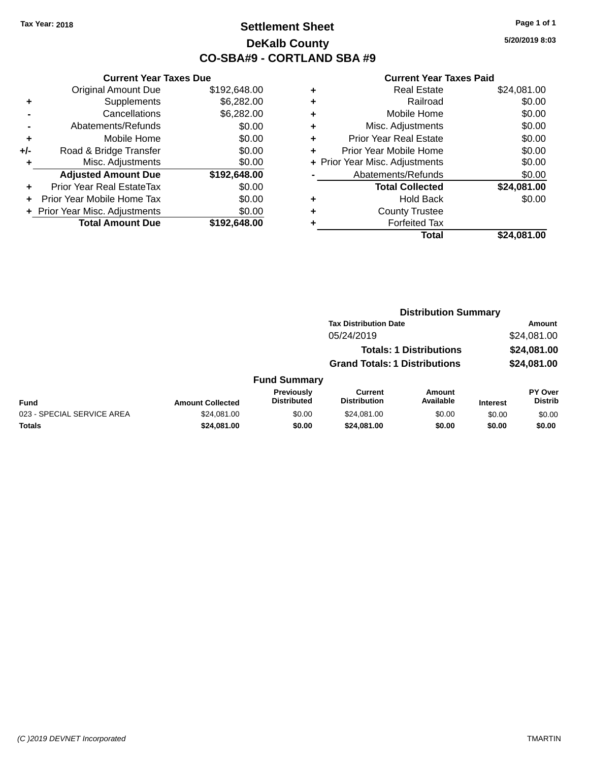# **Settlement Sheet Tax Year: 2018 Page 1 of 1 DeKalb County CO-SBA#9 - CORTLAND SBA #9**

**5/20/2019 8:03**

|     | <b>Current Year Taxes Due</b>  |              |  |  |  |
|-----|--------------------------------|--------------|--|--|--|
|     | <b>Original Amount Due</b>     | \$192,648.00 |  |  |  |
| ٠   | Supplements                    | \$6,282.00   |  |  |  |
|     | Cancellations                  | \$6,282.00   |  |  |  |
|     | Abatements/Refunds             | \$0.00       |  |  |  |
| ٠   | Mobile Home                    | \$0.00       |  |  |  |
| +/- | Road & Bridge Transfer         | \$0.00       |  |  |  |
| ٠   | Misc. Adjustments              | \$0.00       |  |  |  |
|     | <b>Adjusted Amount Due</b>     | \$192,648.00 |  |  |  |
| ÷   | Prior Year Real EstateTax      | \$0.00       |  |  |  |
|     | Prior Year Mobile Home Tax     | \$0.00       |  |  |  |
|     | + Prior Year Misc. Adjustments | \$0.00       |  |  |  |
|     | <b>Total Amount Due</b>        | \$192.648.00 |  |  |  |
|     |                                |              |  |  |  |

| ٠ | <b>Real Estate</b>             | \$24,081.00 |
|---|--------------------------------|-------------|
| ٠ | Railroad                       | \$0.00      |
| ٠ | Mobile Home                    | \$0.00      |
| ٠ | Misc. Adjustments              | \$0.00      |
| ٠ | <b>Prior Year Real Estate</b>  | \$0.00      |
| ٠ | Prior Year Mobile Home         | \$0.00      |
|   | + Prior Year Misc. Adjustments | \$0.00      |
|   | Abatements/Refunds             | \$0.00      |
|   | <b>Total Collected</b>         | \$24,081.00 |
| ٠ | Hold Back                      | \$0.00      |
| ٠ | <b>County Trustee</b>          |             |
| ٠ | <b>Forfeited Tax</b>           |             |
|   | Total                          | \$24,081.00 |
|   |                                |             |

|                            |                         |                                  | <b>Distribution Summary</b>           |                                |                 |                                  |
|----------------------------|-------------------------|----------------------------------|---------------------------------------|--------------------------------|-----------------|----------------------------------|
|                            |                         |                                  | <b>Tax Distribution Date</b>          |                                |                 | <b>Amount</b>                    |
|                            |                         |                                  | 05/24/2019                            |                                |                 | \$24,081.00                      |
|                            |                         |                                  |                                       | <b>Totals: 1 Distributions</b> |                 | \$24,081.00                      |
|                            |                         |                                  | <b>Grand Totals: 1 Distributions</b>  |                                |                 | \$24,081.00                      |
|                            |                         | <b>Fund Summary</b>              |                                       |                                |                 |                                  |
| Fund                       | <b>Amount Collected</b> | Previously<br><b>Distributed</b> | <b>Current</b><br><b>Distribution</b> | <b>Amount</b><br>Available     | <b>Interest</b> | <b>PY Over</b><br><b>Distrib</b> |
| 023 - SPECIAL SERVICE AREA | \$24.081.00             | \$0.00                           | \$24.081.00                           | \$0.00                         | \$0.00          | \$0.00                           |
| Totals                     | \$24,081.00             | \$0.00                           | \$24,081.00                           | \$0.00                         | \$0.00          | \$0.00                           |
|                            |                         |                                  |                                       |                                |                 |                                  |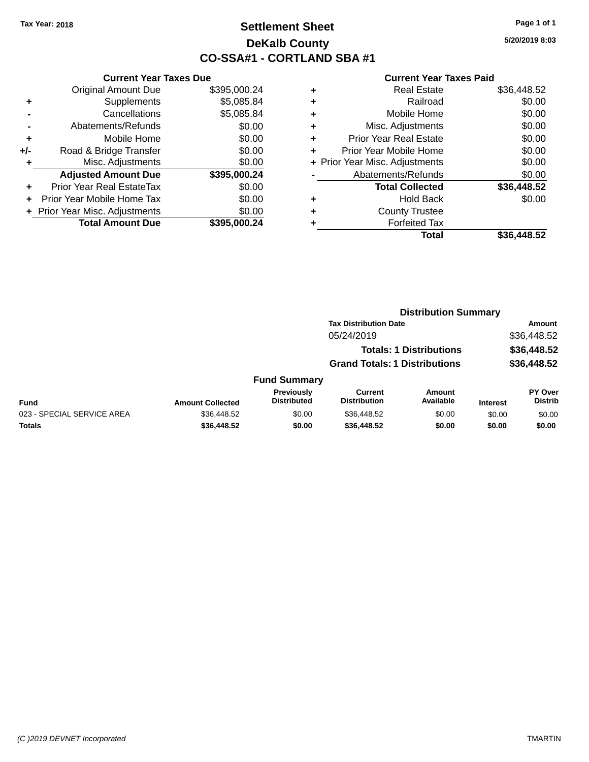# **Settlement Sheet Tax Year: 2018 Page 1 of 1 DeKalb County CO-SSA#1 - CORTLAND SBA #1**

**5/20/2019 8:03**

|     | <b>Current Year Taxes Due</b>  |              |
|-----|--------------------------------|--------------|
|     | <b>Original Amount Due</b>     | \$395,000.24 |
| ٠   | Supplements                    | \$5,085.84   |
|     | Cancellations                  | \$5,085.84   |
|     | Abatements/Refunds             | \$0.00       |
| ٠   | Mobile Home                    | \$0.00       |
| +/- | Road & Bridge Transfer         | \$0.00       |
|     | Misc. Adjustments              | \$0.00       |
|     | <b>Adjusted Amount Due</b>     | \$395,000.24 |
| ٠   | Prior Year Real EstateTax      | \$0.00       |
|     | Prior Year Mobile Home Tax     | \$0.00       |
|     | + Prior Year Misc. Adjustments | \$0.00       |
|     | <b>Total Amount Due</b>        | \$395,000.24 |
|     |                                |              |

| ٠ | <b>Real Estate</b>             | \$36,448.52 |
|---|--------------------------------|-------------|
| ٠ | Railroad                       | \$0.00      |
| ٠ | Mobile Home                    | \$0.00      |
| ٠ | Misc. Adjustments              | \$0.00      |
| ٠ | <b>Prior Year Real Estate</b>  | \$0.00      |
| ÷ | Prior Year Mobile Home         | \$0.00      |
|   | + Prior Year Misc. Adjustments | \$0.00      |
|   | Abatements/Refunds             | \$0.00      |
|   | <b>Total Collected</b>         | \$36,448.52 |
| ٠ | <b>Hold Back</b>               | \$0.00      |
| ٠ | <b>County Trustee</b>          |             |
| ٠ | <b>Forfeited Tax</b>           |             |
|   | Total                          | \$36.448.52 |
|   |                                |             |

|                            |                         |                                  | <b>Distribution Summary</b>           |                                |                 |                                  |
|----------------------------|-------------------------|----------------------------------|---------------------------------------|--------------------------------|-----------------|----------------------------------|
|                            |                         |                                  | <b>Tax Distribution Date</b>          |                                |                 | Amount                           |
|                            |                         |                                  | 05/24/2019                            |                                |                 | \$36,448.52                      |
|                            |                         |                                  |                                       | <b>Totals: 1 Distributions</b> |                 | \$36,448.52                      |
|                            |                         |                                  | <b>Grand Totals: 1 Distributions</b>  |                                |                 | \$36,448.52                      |
|                            |                         | <b>Fund Summary</b>              |                                       |                                |                 |                                  |
| Fund                       | <b>Amount Collected</b> | Previously<br><b>Distributed</b> | <b>Current</b><br><b>Distribution</b> | <b>Amount</b><br>Available     | <b>Interest</b> | <b>PY Over</b><br><b>Distrib</b> |
| 023 - SPECIAL SERVICE AREA | \$36,448.52             | \$0.00                           | \$36,448.52                           | \$0.00                         | \$0.00          | \$0.00                           |
| Totals                     | \$36,448.52             | \$0.00                           | \$36,448.52                           | \$0.00                         | \$0.00          | \$0.00                           |
|                            |                         |                                  |                                       |                                |                 |                                  |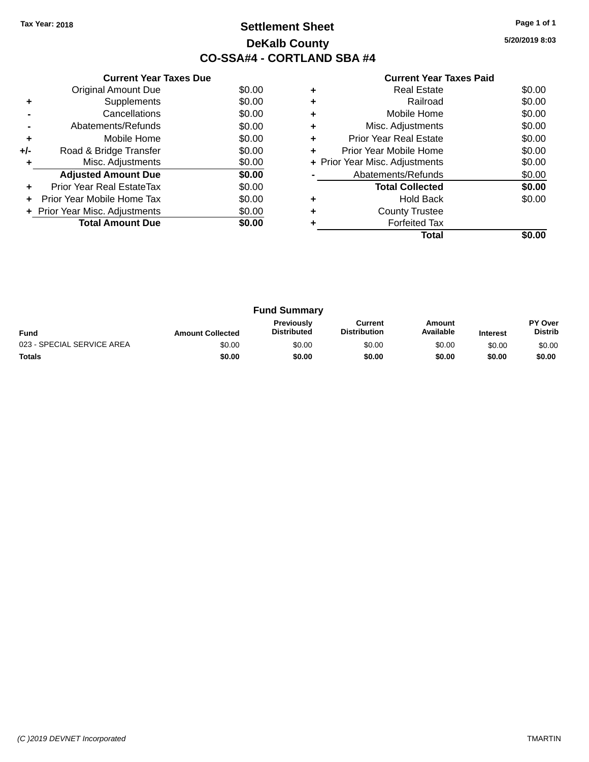# **Settlement Sheet Tax Year: 2018 Page 1 of 1 DeKalb County CO-SSA#4 - CORTLAND SBA #4**

**5/20/2019 8:03**

| <b>Current Year Taxes Paid</b> |  |  |  |
|--------------------------------|--|--|--|
|--------------------------------|--|--|--|

|     | <b>Current Year Taxes Due</b>  |        |
|-----|--------------------------------|--------|
|     | <b>Original Amount Due</b>     | \$0.00 |
| ٠   | Supplements                    | \$0.00 |
|     | Cancellations                  | \$0.00 |
|     | Abatements/Refunds             | \$0.00 |
| ٠   | Mobile Home                    | \$0.00 |
| +/- | Road & Bridge Transfer         | \$0.00 |
| ٠   | Misc. Adjustments              | \$0.00 |
|     | <b>Adjusted Amount Due</b>     | \$0.00 |
| ÷   | Prior Year Real EstateTax      | \$0.00 |
| ÷   | Prior Year Mobile Home Tax     | \$0.00 |
|     | + Prior Year Misc. Adjustments | \$0.00 |
|     | <b>Total Amount Due</b>        | \$0.00 |
|     |                                |        |

|   | <b>Real Estate</b>             | \$0.00 |
|---|--------------------------------|--------|
|   | Railroad                       | \$0.00 |
|   | Mobile Home                    | \$0.00 |
| ٠ | Misc. Adjustments              | \$0.00 |
| ٠ | <b>Prior Year Real Estate</b>  | \$0.00 |
| ٠ | Prior Year Mobile Home         | \$0.00 |
|   | + Prior Year Misc. Adjustments | \$0.00 |
|   | Abatements/Refunds             | \$0.00 |
|   | <b>Total Collected</b>         | \$0.00 |
| ٠ | <b>Hold Back</b>               | \$0.00 |
|   | <b>County Trustee</b>          |        |
|   | <b>Forfeited Tax</b>           |        |
|   | Total                          |        |

| <b>Fund Summary</b>        |                         |                                         |                                |                     |                 |                                  |
|----------------------------|-------------------------|-----------------------------------------|--------------------------------|---------------------|-----------------|----------------------------------|
| <b>Fund</b>                | <b>Amount Collected</b> | <b>Previously</b><br><b>Distributed</b> | Current<br><b>Distribution</b> | Amount<br>Available | <b>Interest</b> | <b>PY Over</b><br><b>Distrib</b> |
| 023 - SPECIAL SERVICE AREA | \$0.00                  | \$0.00                                  | \$0.00                         | \$0.00              | \$0.00          | \$0.00                           |
| <b>Totals</b>              | \$0.00                  | \$0.00                                  | \$0.00                         | \$0.00              | \$0.00          | \$0.00                           |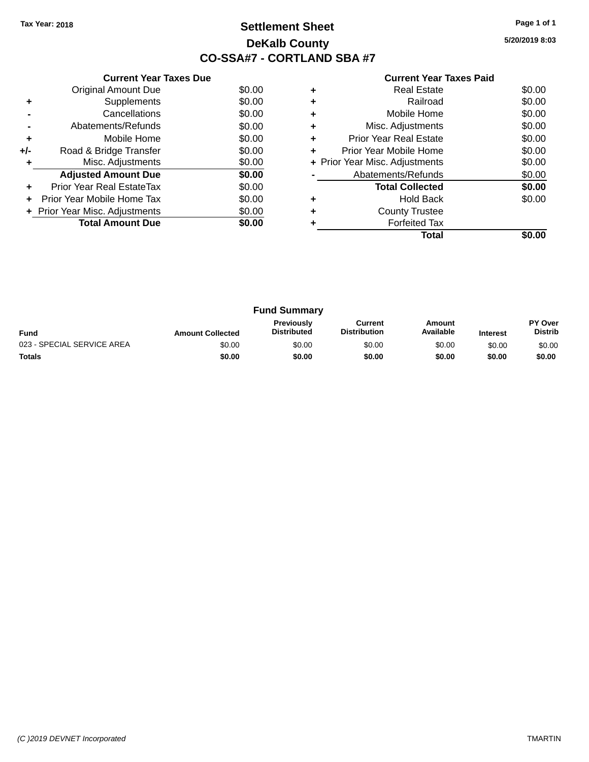# **Settlement Sheet Tax Year: 2018 Page 1 of 1 DeKalb County CO-SSA#7 - CORTLAND SBA #7**

**5/20/2019 8:03**

| <b>Current Year Taxes Paid</b> |
|--------------------------------|
| <b>Real Estate</b>             |
| Railroad                       |
| Mobile Home                    |
| Misc. Adjustments              |

|     | <b>Original Amount Due</b>     | \$0.00 |
|-----|--------------------------------|--------|
| ٠   | Supplements                    | \$0.00 |
|     | Cancellations                  | \$0.00 |
|     | Abatements/Refunds             | \$0.00 |
| ٠   | Mobile Home                    | \$0.00 |
| +/- | Road & Bridge Transfer         | \$0.00 |
| ٠   | Misc. Adjustments              | \$0.00 |
|     | <b>Adjusted Amount Due</b>     | \$0.00 |
| ÷   | Prior Year Real EstateTax      | \$0.00 |
|     |                                |        |
| ÷   | Prior Year Mobile Home Tax     | \$0.00 |
|     | + Prior Year Misc. Adjustments | \$0.00 |
|     | <b>Total Amount Due</b>        | \$0.00 |

**Current Year Taxes Due**

|   | <b>Real Estate</b>             | \$0.00 |
|---|--------------------------------|--------|
|   | Railroad                       | \$0.00 |
|   | Mobile Home                    | \$0.00 |
|   | Misc. Adjustments              | \$0.00 |
| ٠ | <b>Prior Year Real Estate</b>  | \$0.00 |
| ÷ | Prior Year Mobile Home         | \$0.00 |
|   | + Prior Year Misc. Adjustments | \$0.00 |
|   | Abatements/Refunds             | \$0.00 |
|   | <b>Total Collected</b>         | \$0.00 |
|   | <b>Hold Back</b>               | \$0.00 |
|   | <b>County Trustee</b>          |        |
|   | <b>Forfeited Tax</b>           |        |
|   | Total                          |        |

|                            |                         | <b>Fund Summary</b>                     |                                |                     |                 |                           |
|----------------------------|-------------------------|-----------------------------------------|--------------------------------|---------------------|-----------------|---------------------------|
| <b>Fund</b>                | <b>Amount Collected</b> | <b>Previously</b><br><b>Distributed</b> | Current<br><b>Distribution</b> | Amount<br>Available | <b>Interest</b> | PY Over<br><b>Distrib</b> |
| 023 - SPECIAL SERVICE AREA | \$0.00                  | \$0.00                                  | \$0.00                         | \$0.00              | \$0.00          | \$0.00                    |
| <b>Totals</b>              | \$0.00                  | \$0.00                                  | \$0.00                         | \$0.00              | \$0.00          | \$0.00                    |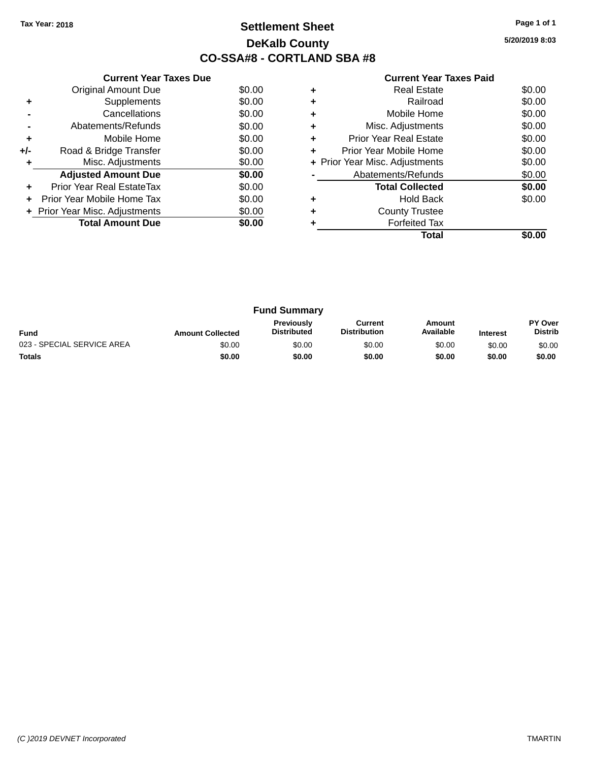# **Settlement Sheet Tax Year: 2018 Page 1 of 1 DeKalb County CO-SSA#8 - CORTLAND SBA #8**

**5/20/2019 8:03**

|     | <b>Current Year Taxes Due</b>  |        |
|-----|--------------------------------|--------|
|     | <b>Original Amount Due</b>     | \$0.00 |
| ٠   | Supplements                    | \$0.00 |
|     | Cancellations                  | \$0.00 |
|     | Abatements/Refunds             | \$0.00 |
| ٠   | Mobile Home                    | \$0.00 |
| +/- | Road & Bridge Transfer         | \$0.00 |
| ٠   | Misc. Adjustments              | \$0.00 |
|     | <b>Adjusted Amount Due</b>     | \$0.00 |
|     | Prior Year Real EstateTax      | \$0.00 |
|     | Prior Year Mobile Home Tax     | \$0.00 |
|     | + Prior Year Misc. Adjustments | \$0.00 |
|     | <b>Total Amount Due</b>        | \$0.00 |
|     |                                |        |

|   | Real Estate                    | \$0.00 |
|---|--------------------------------|--------|
|   | Railroad                       | \$0.00 |
| ٠ | Mobile Home                    | \$0.00 |
| ٠ | Misc. Adjustments              | \$0.00 |
| ٠ | <b>Prior Year Real Estate</b>  | \$0.00 |
| ٠ | Prior Year Mobile Home         | \$0.00 |
|   | + Prior Year Misc. Adjustments | \$0.00 |
|   | Abatements/Refunds             | \$0.00 |
|   | <b>Total Collected</b>         | \$0.00 |
| ٠ | <b>Hold Back</b>               | \$0.00 |
|   | <b>County Trustee</b>          |        |
|   | <b>Forfeited Tax</b>           |        |
|   | Total                          |        |

| <b>Fund Summary</b>        |                         |                                         |                                |                     |                 |                                  |
|----------------------------|-------------------------|-----------------------------------------|--------------------------------|---------------------|-----------------|----------------------------------|
| <b>Fund</b>                | <b>Amount Collected</b> | <b>Previously</b><br><b>Distributed</b> | Current<br><b>Distribution</b> | Amount<br>Available | <b>Interest</b> | <b>PY Over</b><br><b>Distrib</b> |
| 023 - SPECIAL SERVICE AREA | \$0.00                  | \$0.00                                  | \$0.00                         | \$0.00              | \$0.00          | \$0.00                           |
| <b>Totals</b>              | \$0.00                  | \$0.00                                  | \$0.00                         | \$0.00              | \$0.00          | \$0.00                           |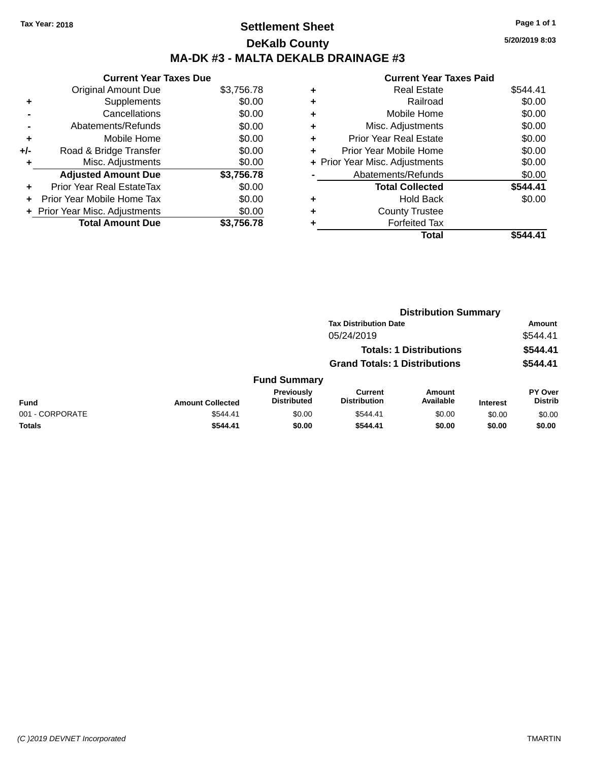# **Settlement Sheet Tax Year: 2018 Page 1 of 1 DeKalb County MA-DK #3 - MALTA DEKALB DRAINAGE #3**

|     | <b>Current Year Taxes Due</b>  |            |
|-----|--------------------------------|------------|
|     | <b>Original Amount Due</b>     | \$3,756.78 |
| ٠   | Supplements                    | \$0.00     |
|     | Cancellations                  | \$0.00     |
|     | Abatements/Refunds             | \$0.00     |
| ٠   | Mobile Home                    | \$0.00     |
| +/- | Road & Bridge Transfer         | \$0.00     |
|     | Misc. Adjustments              | \$0.00     |
|     | <b>Adjusted Amount Due</b>     | \$3,756.78 |
|     | Prior Year Real EstateTax      | \$0.00     |
|     | Prior Year Mobile Home Tax     | \$0.00     |
|     | + Prior Year Misc. Adjustments | \$0.00     |
|     | <b>Total Amount Due</b>        | \$3,756.78 |

|   | <b>Current Year Taxes Paid</b> |          |
|---|--------------------------------|----------|
| ٠ | <b>Real Estate</b>             | \$544.41 |
| ٠ | Railroad                       | \$0.00   |
| ٠ | Mobile Home                    | \$0.00   |
|   | Misc. Adjustments              | \$0.00   |
| ٠ | <b>Prior Year Real Estate</b>  | \$0.00   |
| ٠ | Prior Year Mobile Home         | \$0.00   |
|   | + Prior Year Misc. Adjustments | \$0.00   |
|   | Abatements/Refunds             | \$0.00   |
|   | <b>Total Collected</b>         | \$544.41 |
|   | <b>Hold Back</b>               | \$0.00   |
|   | <b>County Trustee</b>          |          |
|   | <b>Forfeited Tax</b>           |          |
|   | Total                          |          |

|                 |                         | <b>Distribution Summary</b>      |                                       |                                |                 |                                  |
|-----------------|-------------------------|----------------------------------|---------------------------------------|--------------------------------|-----------------|----------------------------------|
|                 |                         |                                  | <b>Tax Distribution Date</b>          |                                |                 | <b>Amount</b>                    |
|                 |                         |                                  | 05/24/2019                            |                                |                 | \$544.41                         |
|                 |                         |                                  |                                       | <b>Totals: 1 Distributions</b> |                 | \$544.41                         |
|                 |                         |                                  | <b>Grand Totals: 1 Distributions</b>  |                                |                 | \$544.41                         |
|                 |                         | <b>Fund Summary</b>              |                                       |                                |                 |                                  |
| <b>Fund</b>     | <b>Amount Collected</b> | Previously<br><b>Distributed</b> | <b>Current</b><br><b>Distribution</b> | <b>Amount</b><br>Available     | <b>Interest</b> | <b>PY Over</b><br><b>Distrib</b> |
| 001 - CORPORATE | \$544.41                | \$0.00                           | \$544.41                              | \$0.00                         | \$0.00          | \$0.00                           |
| Totals          | \$544.41                | \$0.00                           | \$544.41                              | \$0.00                         | \$0.00          | \$0.00                           |
|                 |                         |                                  |                                       |                                |                 |                                  |

**5/20/2019 8:03**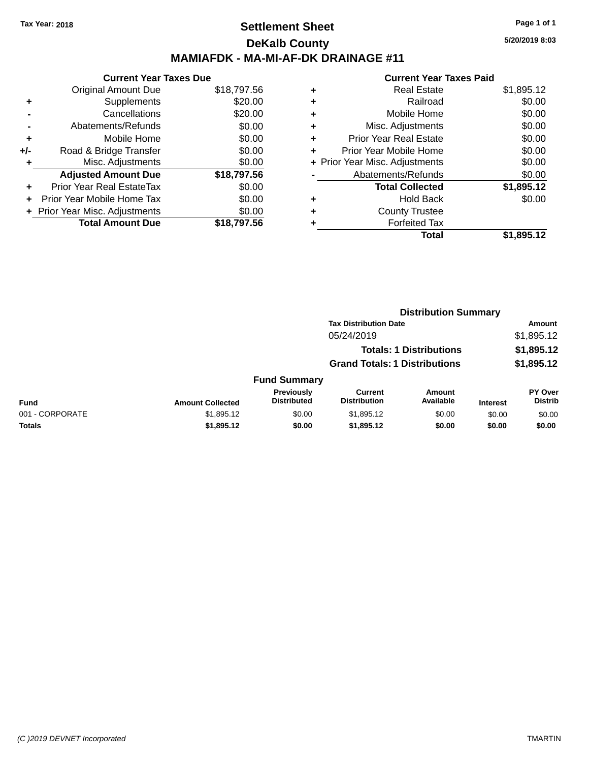## **Settlement Sheet Tax Year: 2018 Page 1 of 1 DeKalb County MAMIAFDK - MA-MI-AF-DK DRAINAGE #11**

**Current Year Taxes Due** Original Amount Due \$18,797.56 **+** Supplements \$20.00 **-** Cancellations \$20.00 **-** Abatements/Refunds \$0.00 **+** Mobile Home \$0.00 **+/-** Road & Bridge Transfer \$0.00 **+** Misc. Adjustments \$0.00 **Adjusted Amount Due \$18,797.56 +** Prior Year Real EstateTax \$0.00 **+** Prior Year Mobile Home Tax \$0.00 **+ Prior Year Misc. Adjustments**  $$0.00$ **Total Amount Due \$18,797.56**

|   | Total                          | \$1,895.12 |
|---|--------------------------------|------------|
| ٠ | <b>Forfeited Tax</b>           |            |
| ٠ | <b>County Trustee</b>          |            |
| ٠ | <b>Hold Back</b>               | \$0.00     |
|   | <b>Total Collected</b>         | \$1,895.12 |
|   | Abatements/Refunds             | \$0.00     |
|   | + Prior Year Misc. Adjustments | \$0.00     |
| ٠ | Prior Year Mobile Home         | \$0.00     |
| ٠ | <b>Prior Year Real Estate</b>  | \$0.00     |
| ٠ | Misc. Adjustments              | \$0.00     |
| ٠ | Mobile Home                    | \$0.00     |
| ٠ | Railroad                       | \$0.00     |
| ٠ | <b>Real Estate</b>             | \$1,895.12 |
|   |                                |            |

|                 |                         |                                  | <b>Distribution Summary</b>           |                                |                 |                           |
|-----------------|-------------------------|----------------------------------|---------------------------------------|--------------------------------|-----------------|---------------------------|
|                 |                         |                                  | <b>Tax Distribution Date</b>          |                                |                 | Amount                    |
|                 |                         |                                  | 05/24/2019                            |                                |                 | \$1,895.12                |
|                 |                         |                                  |                                       | <b>Totals: 1 Distributions</b> |                 | \$1,895.12                |
|                 |                         |                                  | <b>Grand Totals: 1 Distributions</b>  |                                |                 | \$1,895.12                |
|                 |                         | <b>Fund Summary</b>              |                                       |                                |                 |                           |
| <b>Fund</b>     | <b>Amount Collected</b> | Previously<br><b>Distributed</b> | <b>Current</b><br><b>Distribution</b> | <b>Amount</b><br>Available     | <b>Interest</b> | PY Over<br><b>Distrib</b> |
| 001 - CORPORATE | \$1,895.12              | \$0.00                           | \$1,895.12                            | \$0.00                         | \$0.00          | \$0.00                    |
| Totals          | \$1,895.12              | \$0.00                           | \$1,895.12                            | \$0.00                         | \$0.00          | \$0.00                    |
|                 |                         |                                  |                                       |                                |                 |                           |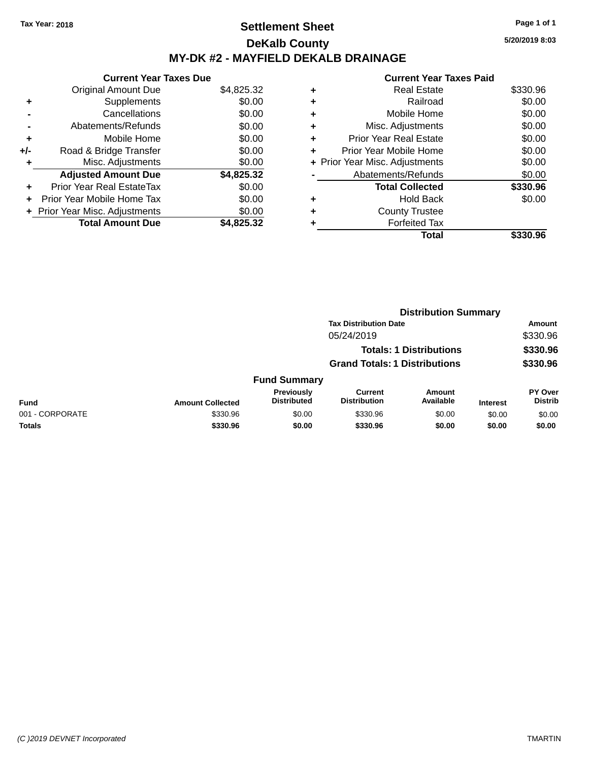# **Settlement Sheet Tax Year: 2018 Page 1 of 1 DeKalb County MY-DK #2 - MAYFIELD DEKALB DRAINAGE**

**Current Year Taxes Due** Original Amount Due \$4,825.32 **+** Supplements \$0.00 **-** Cancellations \$0.00 **-** Abatements/Refunds \$0.00 **+** Mobile Home \$0.00 **+/-** Road & Bridge Transfer \$0.00 **+** Misc. Adjustments \$0.00 **Adjusted Amount Due \$4,825.32 +** Prior Year Real EstateTax \$0.00 **+** Prior Year Mobile Home Tax \$0.00 **+** Prior Year Misc. Adjustments  $$0.00$ **Total Amount Due \$4,825.32**

#### **Current Year Taxes Paid +** Real Estate \$330.96 **+** Railroad \$0.00 **+** Mobile Home \$0.00 **+** Misc. Adjustments \$0.00 **+** Prior Year Real Estate \$0.00 **+** Prior Year Mobile Home \$0.00 **+** Prior Year Misc. Adjustments  $$0.00$ Abatements/Refunds \$0.00 **Total Collected \$330.96 +** Hold Back \$0.00 **+** County Trustee **+** Forfeited Tax **Total \$330.96**

**Distribution Summary**

|                         |                                  |                                |                     |                                                                                                        | Amount                           |  |
|-------------------------|----------------------------------|--------------------------------|---------------------|--------------------------------------------------------------------------------------------------------|----------------------------------|--|
|                         |                                  | 05/24/2019                     |                     |                                                                                                        | \$330.96                         |  |
|                         |                                  |                                |                     |                                                                                                        | \$330.96                         |  |
|                         |                                  |                                |                     |                                                                                                        | \$330.96                         |  |
|                         |                                  |                                |                     |                                                                                                        |                                  |  |
| <b>Amount Collected</b> | Previously<br><b>Distributed</b> | Current<br><b>Distribution</b> | Amount<br>Available | <b>Interest</b>                                                                                        | <b>PY Over</b><br><b>Distrib</b> |  |
| \$330.96                | \$0.00                           | \$330.96                       | \$0.00              | \$0.00                                                                                                 | \$0.00                           |  |
| \$330.96                | \$0.00                           | \$330.96                       | \$0.00              | \$0.00                                                                                                 | \$0.00                           |  |
|                         |                                  |                                | <b>Fund Summary</b> | <b>Tax Distribution Date</b><br><b>Totals: 1 Distributions</b><br><b>Grand Totals: 1 Distributions</b> | 213811846011 Julianu             |  |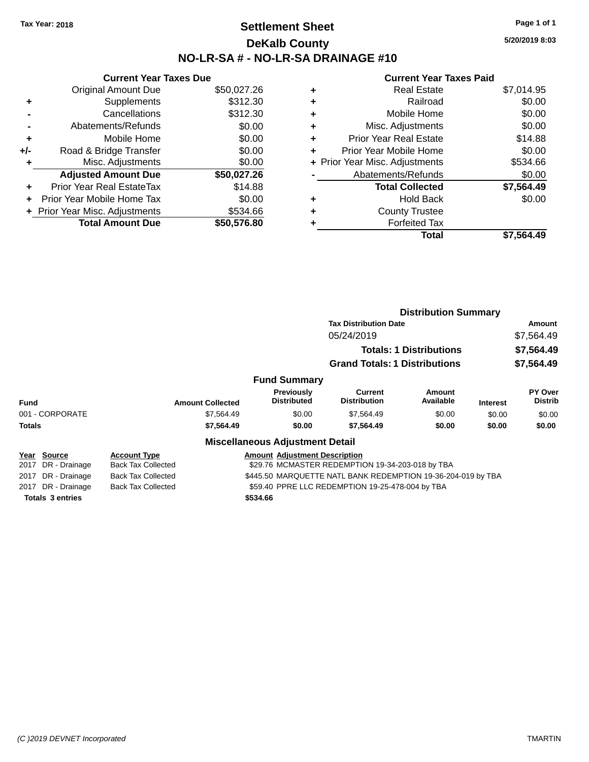# **Settlement Sheet Tax Year: 2018 Page 1 of 1 DeKalb County NO-LR-SA # - NO-LR-SA DRAINAGE #10**

**5/20/2019 8:03**

|     | <b>Current Year Taxes Due</b>    |             |
|-----|----------------------------------|-------------|
|     | <b>Original Amount Due</b>       | \$50,027.26 |
| ٠   | Supplements                      | \$312.30    |
|     | Cancellations                    | \$312.30    |
|     | Abatements/Refunds               | \$0.00      |
| ٠   | Mobile Home                      | \$0.00      |
| +/- | Road & Bridge Transfer           | \$0.00      |
| ٠   | Misc. Adjustments                | \$0.00      |
|     | <b>Adjusted Amount Due</b>       | \$50,027.26 |
| ÷   | <b>Prior Year Real EstateTax</b> | \$14.88     |
| ÷   | Prior Year Mobile Home Tax       | \$0.00      |
|     | + Prior Year Misc. Adjustments   | \$534.66    |
|     | <b>Total Amount Due</b>          | \$50,576.80 |

| ٠ | Real Estate                    | \$7,014.95 |
|---|--------------------------------|------------|
| ٠ | Railroad                       | \$0.00     |
| ٠ | Mobile Home                    | \$0.00     |
| ٠ | Misc. Adjustments              | \$0.00     |
| ٠ | <b>Prior Year Real Estate</b>  | \$14.88    |
| ٠ | Prior Year Mobile Home         | \$0.00     |
|   | + Prior Year Misc. Adjustments | \$534.66   |
|   | Abatements/Refunds             | \$0.00     |
|   | <b>Total Collected</b>         | \$7,564.49 |
| ٠ | Hold Back                      | \$0.00     |
| ٠ | <b>County Trustee</b>          |            |
|   | <b>Forfeited Tax</b>           |            |
|   | Total                          | \$7,564.49 |
|   |                                |            |

|                         |                           |                                                              | <b>Distribution Summary</b>          |                                |                 |                           |
|-------------------------|---------------------------|--------------------------------------------------------------|--------------------------------------|--------------------------------|-----------------|---------------------------|
|                         |                           | <b>Tax Distribution Date</b>                                 |                                      |                                | Amount          |                           |
|                         |                           |                                                              | 05/24/2019                           |                                |                 | \$7,564.49                |
|                         |                           |                                                              |                                      | <b>Totals: 1 Distributions</b> |                 | \$7,564.49                |
|                         |                           |                                                              | <b>Grand Totals: 1 Distributions</b> |                                |                 | \$7,564.49                |
|                         |                           | <b>Fund Summary</b>                                          |                                      |                                |                 |                           |
| <b>Fund</b>             | <b>Amount Collected</b>   | Previously<br><b>Distributed</b>                             | Current<br><b>Distribution</b>       | Amount<br>Available            | <b>Interest</b> | PY Over<br><b>Distrib</b> |
| 001 - CORPORATE         | \$7,564.49                | \$0.00                                                       | \$7,564.49                           | \$0.00                         | \$0.00          | \$0.00                    |
| <b>Totals</b>           | \$7,564.49                | \$0.00                                                       | \$7,564.49                           | \$0.00                         | \$0.00          | \$0.00                    |
|                         |                           | <b>Miscellaneous Adjustment Detail</b>                       |                                      |                                |                 |                           |
| Source<br>Year          | <b>Account Type</b>       | <b>Amount Adjustment Description</b>                         |                                      |                                |                 |                           |
| 2017<br>DR - Drainage   | <b>Back Tax Collected</b> | \$29.76 MCMASTER REDEMPTION 19-34-203-018 by TBA             |                                      |                                |                 |                           |
| DR - Drainage<br>2017   | <b>Back Tax Collected</b> | \$445.50 MARQUETTE NATL BANK REDEMPTION 19-36-204-019 by TBA |                                      |                                |                 |                           |
| DR - Drainage<br>2017   | <b>Back Tax Collected</b> | \$59.40 PPRE LLC REDEMPTION 19-25-478-004 by TBA             |                                      |                                |                 |                           |
| <b>Totals 3 entries</b> |                           | \$534.66                                                     |                                      |                                |                 |                           |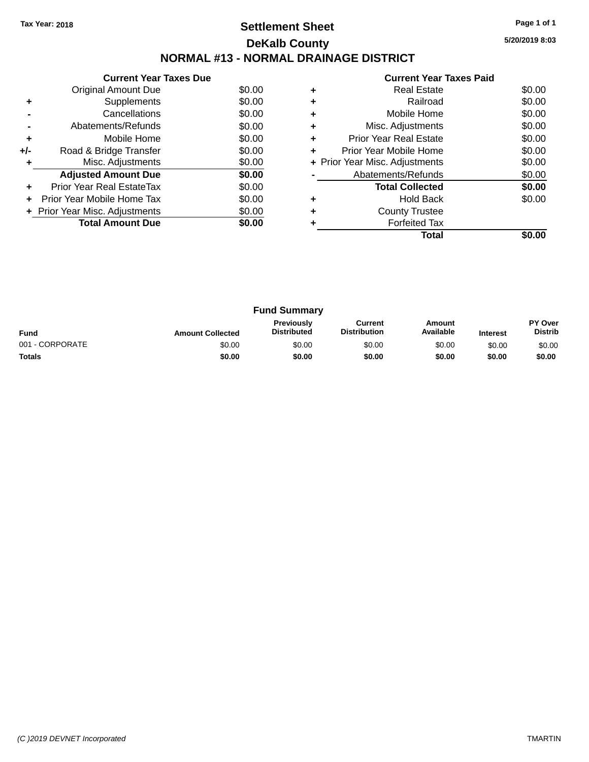# **Settlement Sheet Tax Year: 2018 Page 1 of 1 DeKalb County NORMAL #13 - NORMAL DRAINAGE DISTRICT**

**Current Year Taxes Due** Original Amount Due \$0.00<br>Supplements \$0.00 **+** Supplements **-** Cancellations \$0.00 **-** Abatements/Refunds \$0.00 **+** Mobile Home \$0.00 **+/-** Road & Bridge Transfer \$0.00<br> **+** Misc. Adjustments \$0.00 **+** Misc. Adjustments Adjusted Amount Due \$0.00 **+** Prior Year Real EstateTax \$0.00 **+** Prior Year Mobile Home Tax \$0.00 **+ Prior Year Misc. Adjustments**  $$0.00$ **Total Amount Due \$0.00** 

|   | <b>Current Year Taxes Paid</b> |        |
|---|--------------------------------|--------|
| ٠ | <b>Real Estate</b>             | \$0.00 |
| ٠ | Railroad                       | \$0.00 |
| ٠ | Mobile Home                    | \$0.00 |
|   | Misc. Adjustments              | \$0.00 |
| ٠ | <b>Prior Year Real Estate</b>  | \$0.00 |
| ٠ | Prior Year Mobile Home         | \$0.00 |
|   | + Prior Year Misc. Adjustments | \$0.00 |
|   | Abatements/Refunds             | \$0.00 |
|   | <b>Total Collected</b>         | \$0.00 |
| ٠ | Hold Back                      | \$0.00 |
| ٠ | <b>County Trustee</b>          |        |
|   | <b>Forfeited Tax</b>           |        |
|   | Total                          |        |

| <b>Fund Summary</b> |                         |                                  |                                |                     |                 |                                  |
|---------------------|-------------------------|----------------------------------|--------------------------------|---------------------|-----------------|----------------------------------|
| <b>Fund</b>         | <b>Amount Collected</b> | Previously<br><b>Distributed</b> | Current<br><b>Distribution</b> | Amount<br>Available | <b>Interest</b> | <b>PY Over</b><br><b>Distrib</b> |
| 001 - CORPORATE     | \$0.00                  | \$0.00                           | \$0.00                         | \$0.00              | \$0.00          | \$0.00                           |
| <b>Totals</b>       | \$0.00                  | \$0.00                           | \$0.00                         | \$0.00              | \$0.00          | \$0.00                           |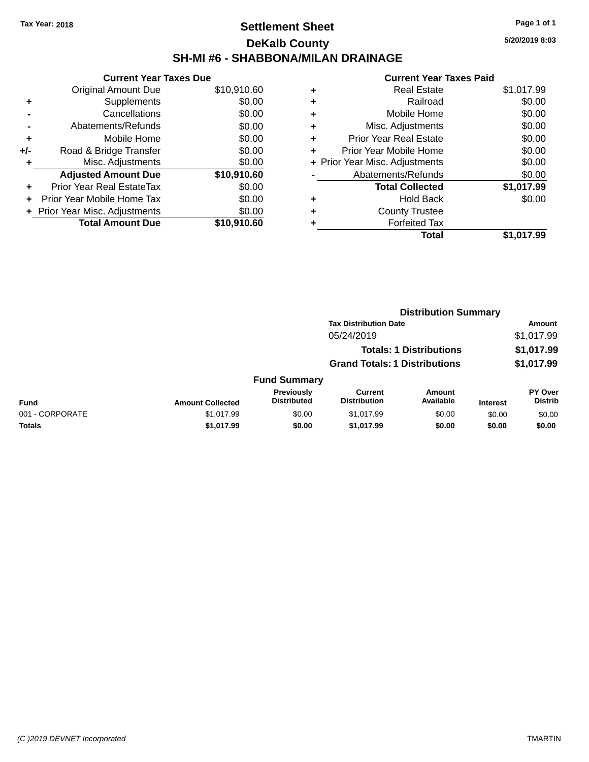# **Settlement Sheet Tax Year: 2018 Page 1 of 1 DeKalb County SH-MI #6 - SHABBONA/MILAN DRAINAGE**

**5/20/2019 8:03**

| <b>Original Amount Due</b>   | \$10,910.60                   |
|------------------------------|-------------------------------|
| Supplements                  | \$0.00                        |
| Cancellations                | \$0.00                        |
| Abatements/Refunds           | \$0.00                        |
| Mobile Home                  | \$0.00                        |
| Road & Bridge Transfer       | \$0.00                        |
| Misc. Adjustments            | \$0.00                        |
| <b>Adjusted Amount Due</b>   | \$10,910.60                   |
| Prior Year Real EstateTax    | \$0.00                        |
| Prior Year Mobile Home Tax   | \$0.00                        |
| Prior Year Misc. Adjustments | \$0.00                        |
| <b>Total Amount Due</b>      | \$10.910.60                   |
|                              | <b>Current Year Taxes Due</b> |

|   | <b>Real Estate</b>             | \$1,017.99 |
|---|--------------------------------|------------|
| ٠ | Railroad                       | \$0.00     |
| ٠ | Mobile Home                    | \$0.00     |
| ٠ | Misc. Adjustments              | \$0.00     |
| ٠ | <b>Prior Year Real Estate</b>  | \$0.00     |
|   | Prior Year Mobile Home         | \$0.00     |
|   | + Prior Year Misc. Adjustments | \$0.00     |
|   | Abatements/Refunds             | \$0.00     |
|   | <b>Total Collected</b>         | \$1,017.99 |
| ٠ | <b>Hold Back</b>               | \$0.00     |
|   | <b>County Trustee</b>          |            |
| ٠ | <b>Forfeited Tax</b>           |            |
|   | Total                          | \$1,017.99 |
|   |                                |            |

|                 |                         |                                  | <b>Distribution Summary</b>           |                                |                 |                                  |
|-----------------|-------------------------|----------------------------------|---------------------------------------|--------------------------------|-----------------|----------------------------------|
|                 |                         |                                  | <b>Tax Distribution Date</b>          |                                |                 | <b>Amount</b>                    |
|                 |                         |                                  | 05/24/2019                            |                                |                 | \$1,017.99                       |
|                 |                         |                                  |                                       | <b>Totals: 1 Distributions</b> |                 | \$1,017.99                       |
|                 |                         |                                  | <b>Grand Totals: 1 Distributions</b>  |                                |                 | \$1,017.99                       |
|                 |                         | <b>Fund Summary</b>              |                                       |                                |                 |                                  |
| <b>Fund</b>     | <b>Amount Collected</b> | Previously<br><b>Distributed</b> | <b>Current</b><br><b>Distribution</b> | Amount<br>Available            | <b>Interest</b> | <b>PY Over</b><br><b>Distrib</b> |
| 001 - CORPORATE | \$1,017.99              | \$0.00                           | \$1,017.99                            | \$0.00                         | \$0.00          | \$0.00                           |
| Totals          | \$1,017.99              | \$0.00                           | \$1,017.99                            | \$0.00                         | \$0.00          | \$0.00                           |
|                 |                         |                                  |                                       |                                |                 |                                  |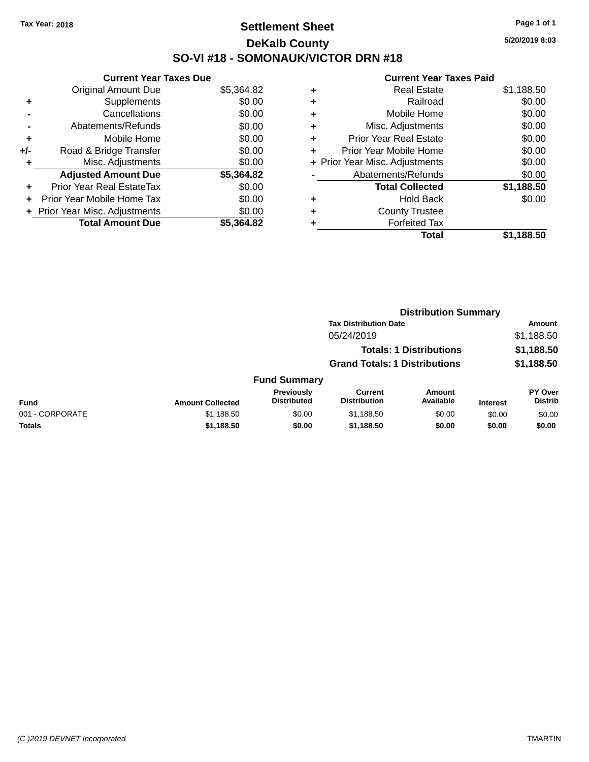# **Settlement Sheet Tax Year: 2018 Page 1 of 1 DeKalb County SO-VI #18 - SOMONAUK/VICTOR DRN #18**

**5/20/2019 8:03**

|     | <b>Current Year Taxes Due</b>  |            |
|-----|--------------------------------|------------|
|     | <b>Original Amount Due</b>     | \$5,364.82 |
| ÷   | Supplements                    | \$0.00     |
|     | Cancellations                  | \$0.00     |
|     | Abatements/Refunds             | \$0.00     |
| ٠   | Mobile Home                    | \$0.00     |
| +/- | Road & Bridge Transfer         | \$0.00     |
| ٠   | Misc. Adjustments              | \$0.00     |
|     | <b>Adjusted Amount Due</b>     | \$5,364.82 |
| ÷   | Prior Year Real EstateTax      | \$0.00     |
| ÷   | Prior Year Mobile Home Tax     | \$0.00     |
|     | + Prior Year Misc. Adjustments | \$0.00     |
|     | <b>Total Amount Due</b>        | \$5.364.82 |

| ٠ | <b>Real Estate</b>             | \$1,188.50 |
|---|--------------------------------|------------|
| ٠ | Railroad                       | \$0.00     |
| ٠ | Mobile Home                    | \$0.00     |
| ٠ | Misc. Adjustments              | \$0.00     |
| ٠ | <b>Prior Year Real Estate</b>  | \$0.00     |
| ÷ | Prior Year Mobile Home         | \$0.00     |
|   | + Prior Year Misc. Adjustments | \$0.00     |
|   | Abatements/Refunds             | \$0.00     |
|   | <b>Total Collected</b>         | \$1,188.50 |
| ٠ | Hold Back                      | \$0.00     |
| ٠ | <b>County Trustee</b>          |            |
| ٠ | <b>Forfeited Tax</b>           |            |
|   | Total                          | \$1,188.50 |
|   |                                |            |

|                 |                         |                                  |                                       | <b>Distribution Summary</b>    |                 |                                  |
|-----------------|-------------------------|----------------------------------|---------------------------------------|--------------------------------|-----------------|----------------------------------|
|                 |                         |                                  | <b>Tax Distribution Date</b>          |                                |                 | Amount                           |
|                 |                         |                                  | 05/24/2019                            |                                |                 | \$1,188.50                       |
|                 |                         |                                  |                                       | <b>Totals: 1 Distributions</b> |                 | \$1,188.50                       |
|                 |                         |                                  | <b>Grand Totals: 1 Distributions</b>  |                                |                 | \$1,188.50                       |
|                 |                         | <b>Fund Summary</b>              |                                       |                                |                 |                                  |
| <b>Fund</b>     | <b>Amount Collected</b> | Previously<br><b>Distributed</b> | <b>Current</b><br><b>Distribution</b> | Amount<br>Available            | <b>Interest</b> | <b>PY Over</b><br><b>Distrib</b> |
| 001 - CORPORATE | \$1,188.50              | \$0.00                           | \$1,188.50                            | \$0.00                         | \$0.00          | \$0.00                           |
| Totals          | \$1,188.50              | \$0.00                           | \$1,188.50                            | \$0.00                         | \$0.00          | \$0.00                           |
|                 |                         |                                  |                                       |                                |                 |                                  |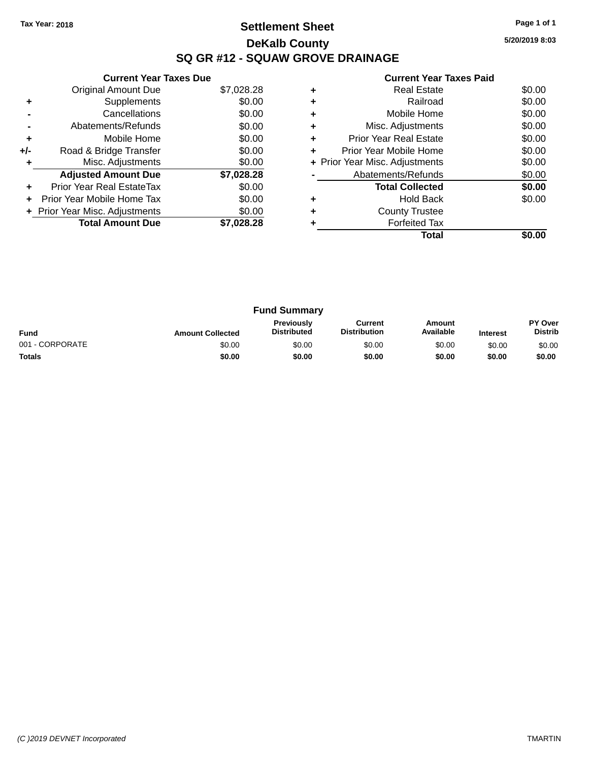# **Settlement Sheet Tax Year: 2018 Page 1 of 1 DeKalb County SQ GR #12 - SQUAW GROVE DRAINAGE**

**5/20/2019 8:03**

|     | <b>Current Year Taxes Due</b>  |            |
|-----|--------------------------------|------------|
|     | <b>Original Amount Due</b>     | \$7,028.28 |
| ٠   | Supplements                    | \$0.00     |
|     | Cancellations                  | \$0.00     |
|     | Abatements/Refunds             | \$0.00     |
| ٠   | Mobile Home                    | \$0.00     |
| +/- | Road & Bridge Transfer         | \$0.00     |
| ٠   | Misc. Adjustments              | \$0.00     |
|     | <b>Adjusted Amount Due</b>     | \$7,028.28 |
| ٠   | Prior Year Real EstateTax      | \$0.00     |
|     | Prior Year Mobile Home Tax     | \$0.00     |
|     | + Prior Year Misc. Adjustments | \$0.00     |
|     | <b>Total Amount Due</b>        | \$7.028.28 |
|     |                                |            |

|   | <b>Real Estate</b>             | \$0.00 |
|---|--------------------------------|--------|
|   | Railroad                       | \$0.00 |
| ٠ | Mobile Home                    | \$0.00 |
| ٠ | Misc. Adjustments              | \$0.00 |
| ٠ | Prior Year Real Estate         | \$0.00 |
|   | Prior Year Mobile Home         | \$0.00 |
|   | + Prior Year Misc. Adjustments | \$0.00 |
|   | Abatements/Refunds             | \$0.00 |
|   | <b>Total Collected</b>         | \$0.00 |
|   | Hold Back                      | \$0.00 |
|   | <b>County Trustee</b>          |        |
|   | <b>Forfeited Tax</b>           |        |
|   | Total                          |        |

| <b>Fund Summary</b> |                         |                                         |                                |                     |                 |                           |
|---------------------|-------------------------|-----------------------------------------|--------------------------------|---------------------|-----------------|---------------------------|
| <b>Fund</b>         | <b>Amount Collected</b> | <b>Previously</b><br><b>Distributed</b> | Current<br><b>Distribution</b> | Amount<br>Available | <b>Interest</b> | PY Over<br><b>Distrib</b> |
| 001 - CORPORATE     | \$0.00                  | \$0.00                                  | \$0.00                         | \$0.00              | \$0.00          | \$0.00                    |
| <b>Totals</b>       | \$0.00                  | \$0.00                                  | \$0.00                         | \$0.00              | \$0.00          | \$0.00                    |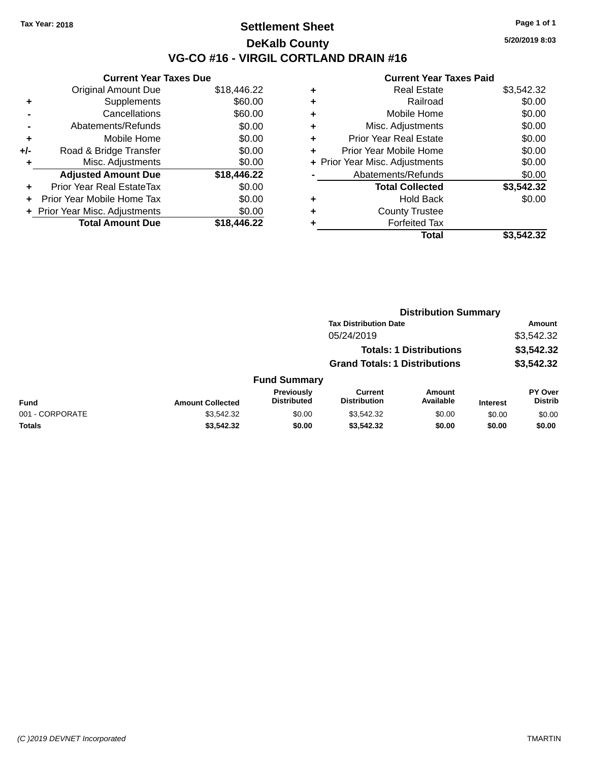### **Settlement Sheet Tax Year: 2018 Page 1 of 1 DeKalb County VG-CO #16 - VIRGIL CORTLAND DRAIN #16**

**5/20/2019 8:03**

|     | <b>Current Year Taxes Due</b>  |             |
|-----|--------------------------------|-------------|
|     | <b>Original Amount Due</b>     | \$18,446.22 |
| ٠   | Supplements                    | \$60.00     |
|     | Cancellations                  | \$60.00     |
|     | Abatements/Refunds             | \$0.00      |
| ٠   | Mobile Home                    | \$0.00      |
| +/- | Road & Bridge Transfer         | \$0.00      |
| ٠   | Misc. Adjustments              | \$0.00      |
|     | <b>Adjusted Amount Due</b>     | \$18,446.22 |
| ÷   | Prior Year Real EstateTax      | \$0.00      |
| ÷   | Prior Year Mobile Home Tax     | \$0.00      |
|     | + Prior Year Misc. Adjustments | \$0.00      |
|     | <b>Total Amount Due</b>        | \$18.446.22 |

| ٠ | <b>Real Estate</b>             | \$3,542.32 |
|---|--------------------------------|------------|
| ٠ | Railroad                       | \$0.00     |
| ٠ | Mobile Home                    | \$0.00     |
| ٠ | Misc. Adjustments              | \$0.00     |
| ٠ | <b>Prior Year Real Estate</b>  | \$0.00     |
| ÷ | Prior Year Mobile Home         | \$0.00     |
|   | + Prior Year Misc. Adjustments | \$0.00     |
|   | Abatements/Refunds             | \$0.00     |
|   | <b>Total Collected</b>         | \$3,542.32 |
| ٠ | Hold Back                      | \$0.00     |
| ٠ | <b>County Trustee</b>          |            |
| ٠ | <b>Forfeited Tax</b>           |            |
|   | Total                          | \$3.542.32 |
|   |                                |            |

|                 |                         | <b>Distribution Summary</b>      |                                       |                                |                 |                                  |
|-----------------|-------------------------|----------------------------------|---------------------------------------|--------------------------------|-----------------|----------------------------------|
|                 |                         |                                  | <b>Tax Distribution Date</b>          |                                |                 | Amount                           |
|                 |                         |                                  | 05/24/2019                            |                                |                 | \$3,542.32                       |
|                 |                         |                                  |                                       | <b>Totals: 1 Distributions</b> |                 | \$3,542.32                       |
|                 |                         |                                  | <b>Grand Totals: 1 Distributions</b>  |                                |                 | \$3,542.32                       |
|                 |                         | <b>Fund Summary</b>              |                                       |                                |                 |                                  |
| <b>Fund</b>     | <b>Amount Collected</b> | Previously<br><b>Distributed</b> | <b>Current</b><br><b>Distribution</b> | Amount<br>Available            | <b>Interest</b> | <b>PY Over</b><br><b>Distrib</b> |
| 001 - CORPORATE | \$3,542.32              | \$0.00                           | \$3,542.32                            | \$0.00                         | \$0.00          | \$0.00                           |
| Totals          | \$3,542.32              | \$0.00                           | \$3,542.32                            | \$0.00                         | \$0.00          | \$0.00                           |
|                 |                         |                                  |                                       |                                |                 |                                  |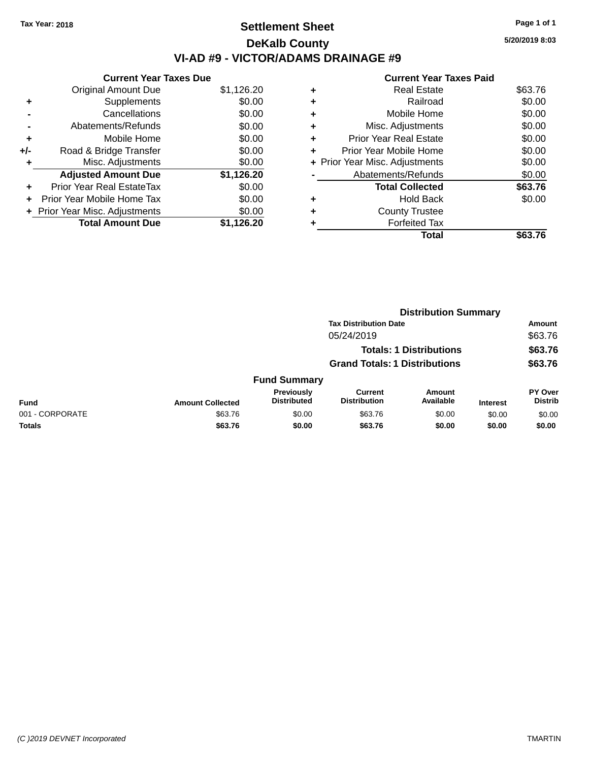# **Settlement Sheet Tax Year: 2018 Page 1 of 1 DeKalb County VI-AD #9 - VICTOR/ADAMS DRAINAGE #9**

**Current Year Taxes Due** Original Amount Due \$1,126.20 **+** Supplements \$0.00 **-** Cancellations \$0.00 **-** Abatements/Refunds \$0.00 **+** Mobile Home \$0.00 **+/-** Road & Bridge Transfer \$0.00 **+** Misc. Adjustments \$0.00 **Adjusted Amount Due \$1,126.20 +** Prior Year Real EstateTax \$0.00 **+** Prior Year Mobile Home Tax \$0.00 **+ Prior Year Misc. Adjustments**  $$0.00$ **Total Amount Due \$1,126.20**

# **Current Year Taxes Paid +** Real Estate \$63.76

|   | Total                          | \$63.76 |
|---|--------------------------------|---------|
|   | <b>Forfeited Tax</b>           |         |
| ٠ | <b>County Trustee</b>          |         |
| ٠ | <b>Hold Back</b>               | \$0.00  |
|   | <b>Total Collected</b>         | \$63.76 |
|   | Abatements/Refunds             | \$0.00  |
|   | + Prior Year Misc. Adjustments | \$0.00  |
| ٠ | Prior Year Mobile Home         | \$0.00  |
| ٠ | <b>Prior Year Real Estate</b>  | \$0.00  |
| ٠ | Misc. Adjustments              | \$0.00  |
| ٠ | Mobile Home                    | \$0.00  |
|   | Railroad                       | \$0.00  |

|                 |                         |                                  |                                       | <b>Distribution Summary</b>    |                 |                           |
|-----------------|-------------------------|----------------------------------|---------------------------------------|--------------------------------|-----------------|---------------------------|
|                 |                         |                                  | <b>Tax Distribution Date</b>          |                                |                 | <b>Amount</b>             |
|                 |                         |                                  | 05/24/2019                            |                                |                 | \$63.76                   |
|                 |                         |                                  |                                       | <b>Totals: 1 Distributions</b> |                 | \$63.76                   |
|                 |                         |                                  | <b>Grand Totals: 1 Distributions</b>  |                                |                 | \$63.76                   |
|                 |                         | <b>Fund Summary</b>              |                                       |                                |                 |                           |
| <b>Fund</b>     | <b>Amount Collected</b> | Previously<br><b>Distributed</b> | <b>Current</b><br><b>Distribution</b> | <b>Amount</b><br>Available     | <b>Interest</b> | PY Over<br><b>Distrib</b> |
| 001 - CORPORATE | \$63.76                 | \$0.00                           | \$63.76                               | \$0.00                         | \$0.00          | \$0.00                    |
| <b>Totals</b>   | \$63.76                 | \$0.00                           | \$63.76                               | \$0.00                         | \$0.00          | \$0.00                    |
|                 |                         |                                  |                                       |                                |                 |                           |

**5/20/2019 8:03**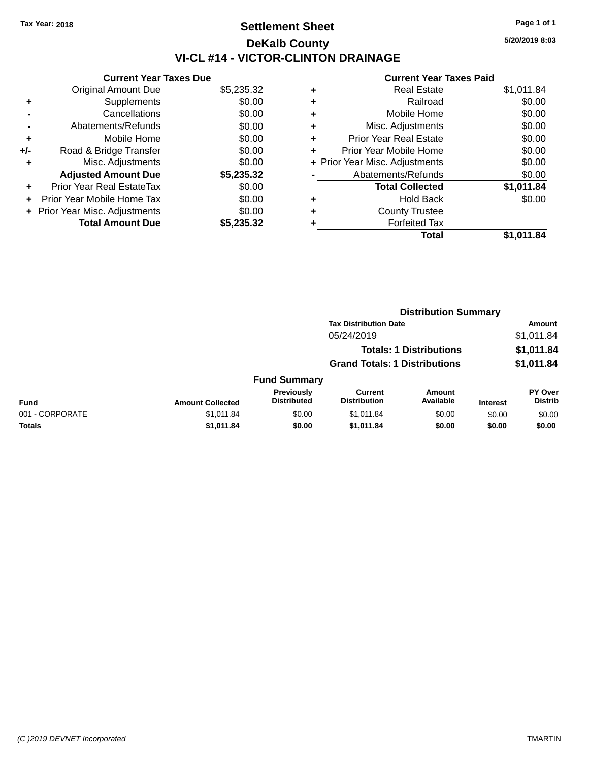# **Settlement Sheet Tax Year: 2018 Page 1 of 1 DeKalb County VI-CL #14 - VICTOR-CLINTON DRAINAGE**

**5/20/2019 8:03**

| <b>Current Year Taxes Due</b> |            |
|-------------------------------|------------|
| <b>Original Amount Due</b>    | \$5,235.32 |
| Supplements                   | \$0.00     |
| Cancellations                 | \$0.00     |
| Abatements/Refunds            | \$0.00     |
| Mobile Home                   | \$0.00     |
| Road & Bridge Transfer        | \$0.00     |
| Misc. Adjustments             | \$0.00     |
| <b>Adjusted Amount Due</b>    | \$5,235.32 |
| Prior Year Real EstateTax     | \$0.00     |
| Prior Year Mobile Home Tax    | \$0.00     |
| Prior Year Misc. Adjustments  | \$0.00     |
| <b>Total Amount Due</b>       | \$5.235.32 |
|                               |            |

| ٠ | <b>Real Estate</b>             | \$1,011.84 |
|---|--------------------------------|------------|
| ٠ | Railroad                       | \$0.00     |
| ٠ | Mobile Home                    | \$0.00     |
| ٠ | Misc. Adjustments              | \$0.00     |
| ٠ | <b>Prior Year Real Estate</b>  | \$0.00     |
|   | Prior Year Mobile Home         | \$0.00     |
|   | + Prior Year Misc. Adjustments | \$0.00     |
|   | Abatements/Refunds             | \$0.00     |
|   | <b>Total Collected</b>         | \$1,011.84 |
| ٠ | <b>Hold Back</b>               | \$0.00     |
|   | <b>County Trustee</b>          |            |
| ٠ | <b>Forfeited Tax</b>           |            |
|   | Total                          | \$1.011.84 |
|   |                                |            |

|                 |                         |                                  |                                       | <b>Distribution Summary</b>    |                 |                           |
|-----------------|-------------------------|----------------------------------|---------------------------------------|--------------------------------|-----------------|---------------------------|
|                 |                         |                                  | <b>Tax Distribution Date</b>          |                                |                 | <b>Amount</b>             |
|                 |                         |                                  | 05/24/2019                            |                                |                 | \$1,011.84                |
|                 |                         |                                  |                                       | <b>Totals: 1 Distributions</b> |                 | \$1,011.84                |
|                 |                         |                                  | <b>Grand Totals: 1 Distributions</b>  |                                |                 | \$1,011.84                |
|                 |                         | <b>Fund Summary</b>              |                                       |                                |                 |                           |
| <b>Fund</b>     | <b>Amount Collected</b> | Previously<br><b>Distributed</b> | <b>Current</b><br><b>Distribution</b> | <b>Amount</b><br>Available     | <b>Interest</b> | PY Over<br><b>Distrib</b> |
| 001 - CORPORATE | \$1,011.84              | \$0.00                           | \$1,011.84                            | \$0.00                         | \$0.00          | \$0.00                    |
| <b>Totals</b>   | \$1,011.84              | \$0.00                           | \$1,011.84                            | \$0.00                         | \$0.00          | \$0.00                    |
|                 |                         |                                  |                                       |                                |                 |                           |